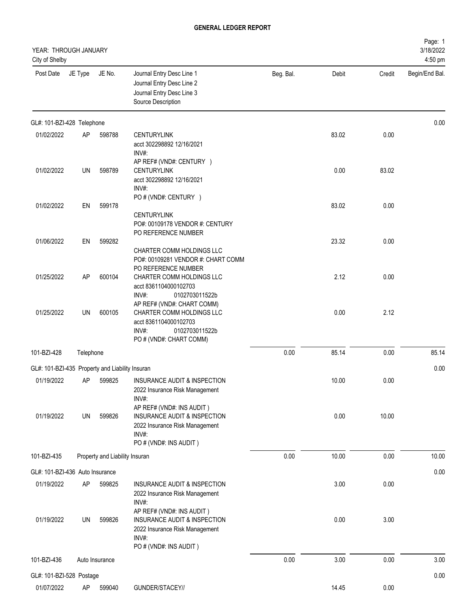| YEAR: THROUGH JANUARY<br>City of Shelby         |           |                                |                                                                                                                                        |           |       |        | Page: 1<br>3/18/2022<br>4:50 pm |
|-------------------------------------------------|-----------|--------------------------------|----------------------------------------------------------------------------------------------------------------------------------------|-----------|-------|--------|---------------------------------|
| Post Date                                       | JE Type   | JE No.                         | Journal Entry Desc Line 1<br>Journal Entry Desc Line 2<br>Journal Entry Desc Line 3<br>Source Description                              | Beg. Bal. | Debit | Credit | Begin/End Bal.                  |
| GL#: 101-BZI-428 Telephone                      |           |                                |                                                                                                                                        |           |       |        | 0.00                            |
| 01/02/2022                                      | AP        | 598788                         | <b>CENTURYLINK</b><br>acct 302298892 12/16/2021<br>INV#:                                                                               |           | 83.02 | 0.00   |                                 |
| 01/02/2022                                      | UN        | 598789                         | AP REF# (VND#: CENTURY )<br><b>CENTURYLINK</b><br>acct 302298892 12/16/2021<br>INV#:                                                   |           | 0.00  | 83.02  |                                 |
| 01/02/2022                                      | EN        | 599178                         | PO # (VND#: CENTURY )<br><b>CENTURYLINK</b><br>PO#: 00109178 VENDOR #: CENTURY                                                         |           | 83.02 | 0.00   |                                 |
| 01/06/2022                                      | EN        | 599282                         | PO REFERENCE NUMBER<br>CHARTER COMM HOLDINGS LLC<br>PO#: 00109281 VENDOR #: CHART COMM                                                 |           | 23.32 | 0.00   |                                 |
| 01/25/2022                                      | AP        | 600104                         | PO REFERENCE NUMBER<br>CHARTER COMM HOLDINGS LLC<br>acct 8361104000102703<br>INV#:<br>0102703011522b                                   |           | 2.12  | 0.00   |                                 |
| 01/25/2022                                      | UN        | 600105                         | AP REF# (VND#: CHART COMM)<br>CHARTER COMM HOLDINGS LLC<br>acct 8361104000102703<br>INV#:<br>0102703011522b<br>PO # (VND#: CHART COMM) |           | 0.00  | 2.12   |                                 |
| 101-BZI-428                                     | Telephone |                                |                                                                                                                                        | 0.00      | 85.14 | 0.00   | 85.14                           |
| GL#: 101-BZI-435 Property and Liability Insuran |           |                                |                                                                                                                                        |           |       |        | 0.00                            |
| 01/19/2022                                      | AP        | 599825                         | INSURANCE AUDIT & INSPECTION<br>2022 Insurance Risk Management<br>INV#:<br>AP REF# (VND#: INS AUDIT)                                   |           | 10.00 | 0.00   |                                 |
| 01/19/2022                                      | UN        | 599826                         | INSURANCE AUDIT & INSPECTION<br>2022 Insurance Risk Management<br>INV#:<br>PO # (VND#: INS AUDIT)                                      |           | 0.00  | 10.00  |                                 |
| 101-BZI-435                                     |           | Property and Liability Insuran |                                                                                                                                        | 0.00      | 10.00 | 0.00   | 10.00                           |
| GL#: 101-BZI-436 Auto Insurance                 |           |                                |                                                                                                                                        |           |       |        | 0.00                            |
| 01/19/2022                                      | AP        | 599825                         | INSURANCE AUDIT & INSPECTION<br>2022 Insurance Risk Management<br>INV#:                                                                |           | 3.00  | 0.00   |                                 |
| 01/19/2022                                      | UN        | 599826                         | AP REF# (VND#: INS AUDIT)<br>INSURANCE AUDIT & INSPECTION<br>2022 Insurance Risk Management<br>INV#:<br>PO # (VND#: INS AUDIT)         |           | 0.00  | 3.00   |                                 |
| 101-BZI-436                                     |           | Auto Insurance                 |                                                                                                                                        | 0.00      | 3.00  | 0.00   | 3.00                            |
| GL#: 101-BZI-528 Postage                        |           |                                |                                                                                                                                        |           |       |        | 0.00                            |
| 01/07/2022                                      | AP        | 599040                         | GUNDER/STACEY//                                                                                                                        |           | 14.45 | 0.00   |                                 |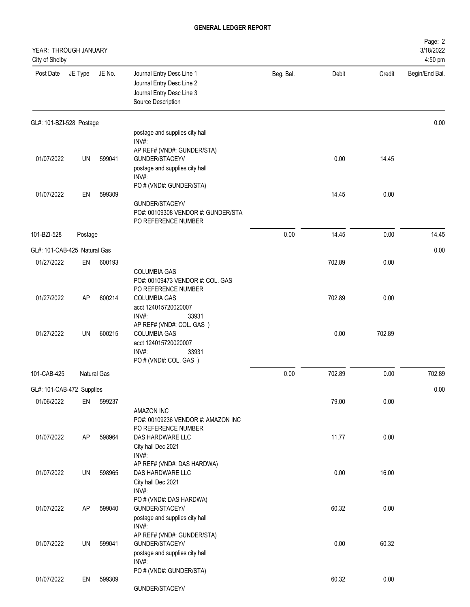| YEAR: THROUGH JANUARY<br>City of Shelby |           |             |                                                                                                           |           |        |        | Page: 2<br>3/18/2022<br>4:50 pm |
|-----------------------------------------|-----------|-------------|-----------------------------------------------------------------------------------------------------------|-----------|--------|--------|---------------------------------|
| Post Date                               | JE Type   | JE No.      | Journal Entry Desc Line 1<br>Journal Entry Desc Line 2<br>Journal Entry Desc Line 3<br>Source Description | Beg. Bal. | Debit  | Credit | Begin/End Bal.                  |
| GL#: 101-BZI-528 Postage                |           |             |                                                                                                           |           |        |        | 0.00                            |
|                                         |           |             | postage and supplies city hall<br>INV#:                                                                   |           |        |        |                                 |
|                                         |           |             | AP REF# (VND#: GUNDER/STA)                                                                                |           |        |        |                                 |
| 01/07/2022                              | UN        | 599041      | GUNDER/STACEY//                                                                                           |           | 0.00   | 14.45  |                                 |
|                                         |           |             | postage and supplies city hall<br>INV#:                                                                   |           |        |        |                                 |
|                                         |           |             | PO # (VND#: GUNDER/STA)                                                                                   |           |        |        |                                 |
| 01/07/2022                              | EN        | 599309      | GUNDER/STACEY//                                                                                           |           | 14.45  | 0.00   |                                 |
|                                         |           |             | PO#: 00109308 VENDOR #: GUNDER/STA<br>PO REFERENCE NUMBER                                                 |           |        |        |                                 |
| 101-BZI-528                             | Postage   |             |                                                                                                           | 0.00      | 14.45  | 0.00   | 14.45                           |
| GL#: 101-CAB-425 Natural Gas            |           |             |                                                                                                           |           |        |        | 0.00                            |
| 01/27/2022                              | EN        | 600193      |                                                                                                           |           | 702.89 | 0.00   |                                 |
|                                         |           |             | <b>COLUMBIA GAS</b>                                                                                       |           |        |        |                                 |
|                                         |           |             | PO#: 00109473 VENDOR #: COL. GAS<br>PO REFERENCE NUMBER                                                   |           |        |        |                                 |
| 01/27/2022                              | <b>AP</b> | 600214      | <b>COLUMBIA GAS</b>                                                                                       |           | 702.89 | 0.00   |                                 |
|                                         |           |             | acct 124015720020007<br>INV#:<br>33931                                                                    |           |        |        |                                 |
|                                         |           |             | AP REF# (VND#: COL. GAS )                                                                                 |           |        |        |                                 |
| 01/27/2022                              | UN        | 600215      | <b>COLUMBIA GAS</b><br>acct 124015720020007                                                               |           | 0.00   | 702.89 |                                 |
|                                         |           |             | INV#:<br>33931                                                                                            |           |        |        |                                 |
|                                         |           |             | PO # (VND#: COL. GAS)                                                                                     |           |        |        |                                 |
| 101-CAB-425                             |           | Natural Gas |                                                                                                           | 0.00      | 702.89 | 0.00   | 702.89                          |
| GL#: 101-CAB-472 Supplies               |           |             |                                                                                                           |           |        |        | 0.00                            |
| 01/06/2022                              | EN        | 599237      |                                                                                                           |           | 79.00  | 0.00   |                                 |
|                                         |           |             | AMAZON INC<br>PO#: 00109236 VENDOR #: AMAZON INC                                                          |           |        |        |                                 |
|                                         |           |             | PO REFERENCE NUMBER                                                                                       |           |        |        |                                 |
| 01/07/2022                              | AP        | 598964      | DAS HARDWARE LLC                                                                                          |           | 11.77  | 0.00   |                                 |
|                                         |           |             | City hall Dec 2021<br>INV#:                                                                               |           |        |        |                                 |
|                                         |           |             | AP REF# (VND#: DAS HARDWA)                                                                                |           |        |        |                                 |
| 01/07/2022                              | UN        | 598965      | DAS HARDWARE LLC<br>City hall Dec 2021                                                                    |           | 0.00   | 16.00  |                                 |
|                                         |           |             | INV#:                                                                                                     |           |        |        |                                 |
| 01/07/2022                              | AP        | 599040      | PO # (VND#: DAS HARDWA)<br>GUNDER/STACEY//                                                                |           | 60.32  | 0.00   |                                 |
|                                         |           |             | postage and supplies city hall                                                                            |           |        |        |                                 |
|                                         |           |             | INV#:                                                                                                     |           |        |        |                                 |
| 01/07/2022                              | UN        | 599041      | AP REF# (VND#: GUNDER/STA)<br>GUNDER/STACEY//                                                             |           | 0.00   | 60.32  |                                 |
|                                         |           |             | postage and supplies city hall                                                                            |           |        |        |                                 |
|                                         |           |             | INV#:<br>PO # (VND#: GUNDER/STA)                                                                          |           |        |        |                                 |
| 01/07/2022                              | EN        | 599309      |                                                                                                           |           | 60.32  | 0.00   |                                 |
|                                         |           |             | GUNDER/STACEY//                                                                                           |           |        |        |                                 |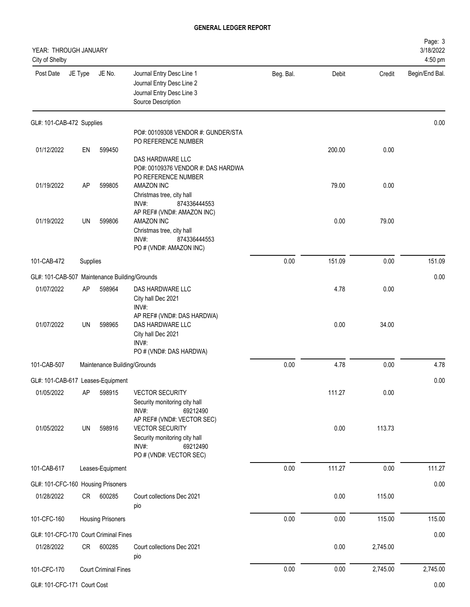| YEAR: THROUGH JANUARY<br>City of Shelby       |          |                              |                                                                                                                                       |           |        |          | Page: 3<br>3/18/2022<br>4:50 pm |
|-----------------------------------------------|----------|------------------------------|---------------------------------------------------------------------------------------------------------------------------------------|-----------|--------|----------|---------------------------------|
| Post Date                                     | JE Type  | JE No.                       | Journal Entry Desc Line 1<br>Journal Entry Desc Line 2<br>Journal Entry Desc Line 3<br>Source Description                             | Beg. Bal. | Debit  | Credit   | Begin/End Bal.                  |
| GL#: 101-CAB-472 Supplies                     |          |                              |                                                                                                                                       |           |        |          | 0.00                            |
|                                               |          |                              | PO#: 00109308 VENDOR #: GUNDER/STA<br>PO REFERENCE NUMBER                                                                             |           |        |          |                                 |
| 01/12/2022                                    | EN       | 599450                       |                                                                                                                                       |           | 200.00 | 0.00     |                                 |
| 01/19/2022                                    | AP       | 599805                       | DAS HARDWARE LLC<br>PO#: 00109376 VENDOR #: DAS HARDWA<br>PO REFERENCE NUMBER<br>AMAZON INC                                           |           | 79.00  | 0.00     |                                 |
|                                               |          |                              | Christmas tree, city hall<br>INV#:<br>874336444553<br>AP REF# (VND#: AMAZON INC)                                                      |           |        |          |                                 |
| 01/19/2022                                    | UN       | 599806                       | AMAZON INC<br>Christmas tree, city hall<br>INV#:<br>874336444553<br>PO # (VND#: AMAZON INC)                                           |           | 0.00   | 79.00    |                                 |
| 101-CAB-472                                   | Supplies |                              |                                                                                                                                       | 0.00      | 151.09 | 0.00     | 151.09                          |
| GL#: 101-CAB-507 Maintenance Building/Grounds |          |                              |                                                                                                                                       |           |        |          | 0.00                            |
| 01/07/2022                                    | AP       | 598964                       | DAS HARDWARE LLC<br>City hall Dec 2021<br>INV#:                                                                                       |           | 4.78   | 0.00     |                                 |
| 01/07/2022                                    | UN       | 598965                       | AP REF# (VND#: DAS HARDWA)<br>DAS HARDWARE LLC<br>City hall Dec 2021<br>INV#:<br>PO # (VND#: DAS HARDWA)                              |           | 0.00   | 34.00    |                                 |
| 101-CAB-507                                   |          | Maintenance Building/Grounds |                                                                                                                                       | 0.00      | 4.78   | 0.00     | 4.78                            |
| GL#: 101-CAB-617 Leases-Equipment             |          |                              |                                                                                                                                       |           |        |          | 0.00                            |
| 01/05/2022                                    | AP       | 598915                       | <b>VECTOR SECURITY</b><br>Security monitoring city hall<br>INV#:<br>69212490                                                          |           | 111.27 | 0.00     |                                 |
| 01/05/2022                                    | UN       | 598916                       | AP REF# (VND#: VECTOR SEC)<br><b>VECTOR SECURITY</b><br>Security monitoring city hall<br>INV#:<br>69212490<br>PO # (VND#: VECTOR SEC) |           | 0.00   | 113.73   |                                 |
| 101-CAB-617                                   |          | Leases-Equipment             |                                                                                                                                       | 0.00      | 111.27 | 0.00     | 111.27                          |
| GL#: 101-CFC-160 Housing Prisoners            |          |                              |                                                                                                                                       |           |        |          | 0.00                            |
| 01/28/2022                                    | CR       | 600285                       | Court collections Dec 2021<br>pio                                                                                                     |           | 0.00   | 115.00   |                                 |
| 101-CFC-160                                   |          | <b>Housing Prisoners</b>     |                                                                                                                                       | 0.00      | 0.00   | 115.00   | 115.00                          |
| GL#: 101-CFC-170 Court Criminal Fines         |          |                              |                                                                                                                                       |           |        |          | 0.00                            |
| 01/28/2022                                    | CR       | 600285                       | Court collections Dec 2021<br>pio                                                                                                     |           | 0.00   | 2,745.00 |                                 |
| 101-CFC-170                                   |          | <b>Court Criminal Fines</b>  |                                                                                                                                       | $0.00\,$  | 0.00   | 2,745.00 | 2,745.00                        |

GL#: 101-CFC-171 Court Cost 0.00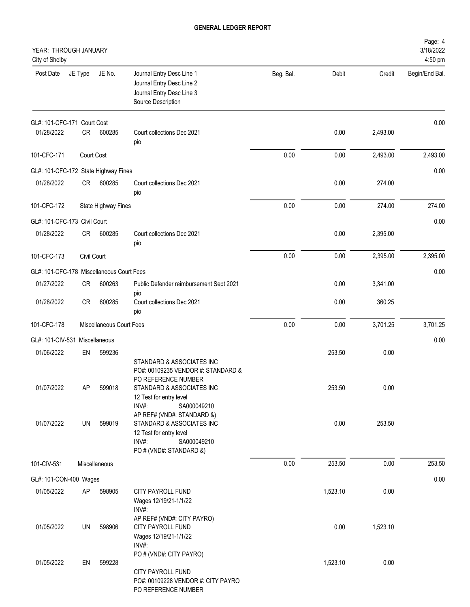| YEAR: THROUGH JANUARY<br>City of Shelby   |             |                          |                                                                                                                                                                                                                                                                                                                 |           |                |                | Page: 4<br>3/18/2022<br>4:50 pm |
|-------------------------------------------|-------------|--------------------------|-----------------------------------------------------------------------------------------------------------------------------------------------------------------------------------------------------------------------------------------------------------------------------------------------------------------|-----------|----------------|----------------|---------------------------------|
| Post Date                                 | JE Type     | JE No.                   | Journal Entry Desc Line 1<br>Journal Entry Desc Line 2<br>Journal Entry Desc Line 3<br>Source Description                                                                                                                                                                                                       | Beg. Bal. | Debit          | Credit         | Begin/End Bal.                  |
| GL#: 101-CFC-171 Court Cost<br>01/28/2022 | CR          | 600285                   | Court collections Dec 2021                                                                                                                                                                                                                                                                                      |           | 0.00           | 2,493.00       | 0.00                            |
|                                           |             |                          | pio                                                                                                                                                                                                                                                                                                             |           |                |                |                                 |
| 101-CFC-171                               | Court Cost  |                          |                                                                                                                                                                                                                                                                                                                 | 0.00      | 0.00           | 2,493.00       | 2,493.00                        |
| GL#: 101-CFC-172 State Highway Fines      |             |                          |                                                                                                                                                                                                                                                                                                                 |           |                |                | 0.00                            |
| 01/28/2022                                | CR          | 600285                   | Court collections Dec 2021<br>pio                                                                                                                                                                                                                                                                               |           | 0.00           | 274.00         |                                 |
| 101-CFC-172                               |             | State Highway Fines      |                                                                                                                                                                                                                                                                                                                 | 0.00      | 0.00           | 274.00         | 274.00                          |
| GL#: 101-CFC-173 Civil Court              |             |                          |                                                                                                                                                                                                                                                                                                                 |           |                |                | 0.00                            |
| 01/28/2022                                | CR          | 600285                   | Court collections Dec 2021<br>pio                                                                                                                                                                                                                                                                               |           | 0.00           | 2,395.00       |                                 |
| 101-CFC-173                               | Civil Court |                          |                                                                                                                                                                                                                                                                                                                 | 0.00      | 0.00           | 2,395.00       | 2,395.00                        |
| GL#: 101-CFC-178 Miscellaneous Court Fees |             |                          |                                                                                                                                                                                                                                                                                                                 |           |                |                | 0.00                            |
| 01/27/2022                                | CR          | 600263                   | Public Defender reimbursement Sept 2021                                                                                                                                                                                                                                                                         |           | 0.00           | 3,341.00       |                                 |
| 01/28/2022                                | CR          | 600285                   | pio<br>Court collections Dec 2021<br>pio                                                                                                                                                                                                                                                                        |           | 0.00           | 360.25         |                                 |
| 101-CFC-178                               |             | Miscellaneous Court Fees |                                                                                                                                                                                                                                                                                                                 | 0.00      | 0.00           | 3,701.25       | 3,701.25                        |
| GL#: 101-CIV-531                          |             | Miscellaneous            |                                                                                                                                                                                                                                                                                                                 |           |                |                | 0.00                            |
| 01/06/2022                                | EN          | 599236                   |                                                                                                                                                                                                                                                                                                                 |           | 253.50         | 0.00           |                                 |
| 01/07/2022<br>01/07/2022                  | AP<br>UN    | 599018<br>599019         | STANDARD & ASSOCIATES INC<br>PO#: 00109235 VENDOR #: STANDARD &<br>PO REFERENCE NUMBER<br>STANDARD & ASSOCIATES INC<br>12 Test for entry level<br>INV#:<br>SA000049210<br>AP REF# (VND#: STANDARD &)<br>STANDARD & ASSOCIATES INC<br>12 Test for entry level<br>INV#:<br>SA000049210<br>PO # (VND#: STANDARD &) |           | 253.50<br>0.00 | 0.00<br>253.50 |                                 |
| 101-CIV-531                               |             | Miscellaneous            |                                                                                                                                                                                                                                                                                                                 | 0.00      | 253.50         | 0.00           | 253.50                          |
| GL#: 101-CON-400 Wages                    |             |                          |                                                                                                                                                                                                                                                                                                                 |           |                |                | 0.00                            |
| 01/05/2022                                | AP          | 598905                   | CITY PAYROLL FUND<br>Wages 12/19/21-1/1/22<br>INV#:                                                                                                                                                                                                                                                             |           | 1,523.10       | 0.00           |                                 |
| 01/05/2022                                | UN          | 598906                   | AP REF# (VND#: CITY PAYRO)<br><b>CITY PAYROLL FUND</b><br>Wages 12/19/21-1/1/22<br>INV#:<br>PO # (VND#: CITY PAYRO)                                                                                                                                                                                             |           | 0.00           | 1,523.10       |                                 |
| 01/05/2022                                | EN          | 599228                   | CITY PAYROLL FUND<br>PO#: 00109228 VENDOR #: CITY PAYRO<br>PO REFERENCE NUMBER                                                                                                                                                                                                                                  |           | 1,523.10       | 0.00           |                                 |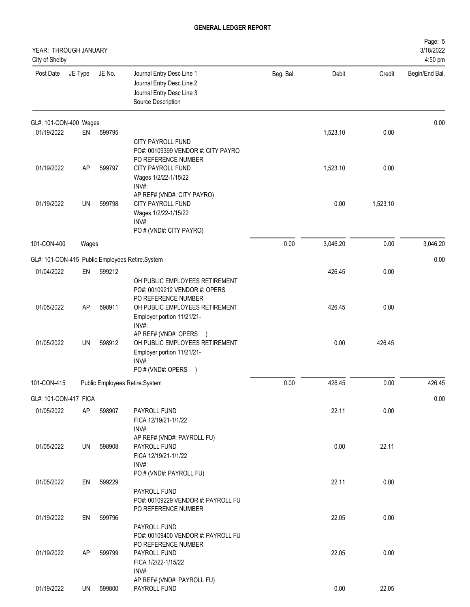| YEAR: THROUGH JANUARY<br>City of Shelby |         |        |                                                                                                                                                      |           |          |          | Page: 5<br>3/18/2022<br>4:50 pm |
|-----------------------------------------|---------|--------|------------------------------------------------------------------------------------------------------------------------------------------------------|-----------|----------|----------|---------------------------------|
| Post Date                               | JE Type | JE No. | Journal Entry Desc Line 1<br>Journal Entry Desc Line 2<br>Journal Entry Desc Line 3<br>Source Description                                            | Beg. Bal. | Debit    | Credit   | Begin/End Bal.                  |
| GL#: 101-CON-400 Wages                  |         |        |                                                                                                                                                      |           |          |          | 0.00                            |
| 01/19/2022                              | EN      | 599795 | <b>CITY PAYROLL FUND</b><br>PO#: 00109399 VENDOR #: CITY PAYRO<br>PO REFERENCE NUMBER                                                                |           | 1,523.10 | 0.00     |                                 |
| 01/19/2022                              | AP      | 599797 | CITY PAYROLL FUND<br>Wages 1/2/22-1/15/22<br>INV#:                                                                                                   |           | 1,523.10 | 0.00     |                                 |
| 01/19/2022                              | UN      | 599798 | AP REF# (VND#: CITY PAYRO)<br><b>CITY PAYROLL FUND</b><br>Wages 1/2/22-1/15/22<br>INV#:<br>PO # (VND#: CITY PAYRO)                                   |           | 0.00     | 1,523.10 |                                 |
| 101-CON-400                             | Wages   |        |                                                                                                                                                      | 0.00      | 3,046.20 | 0.00     | 3,046.20                        |
|                                         |         |        | GL#: 101-CON-415 Public Employees Retire.System                                                                                                      |           |          |          | 0.00                            |
| 01/04/2022                              | EN      | 599212 | OH PUBLIC EMPLOYEES RETIREMENT<br>PO#: 00109212 VENDOR #: OPERS                                                                                      |           | 426.45   | 0.00     |                                 |
| 01/05/2022                              | AP      | 598911 | PO REFERENCE NUMBER<br>OH PUBLIC EMPLOYEES RETIREMENT<br>Employer portion 11/21/21-<br>INV#:                                                         |           | 426.45   | 0.00     |                                 |
| 01/05/2022                              | UN      | 598912 | AP REF# (VND#: OPERS<br>$\rightarrow$<br>OH PUBLIC EMPLOYEES RETIREMENT<br>Employer portion 11/21/21-<br>INV#:<br>PO # (VND#: OPERS<br>$\rightarrow$ |           | 0.00     | 426.45   |                                 |
| 101-CON-415                             |         |        | Public Employees Retire.System                                                                                                                       | 0.00      | 426.45   | 0.00     | 426.45                          |
| GL#: 101-CON-417 FICA                   |         |        |                                                                                                                                                      |           |          |          | 0.00                            |
| 01/05/2022                              | AP      | 598907 | PAYROLL FUND<br>FICA 12/19/21-1/1/22<br>INV#:                                                                                                        |           | 22.11    | 0.00     |                                 |
| 01/05/2022                              | UN      | 598908 | AP REF# (VND#: PAYROLL FU)<br>PAYROLL FUND<br>FICA 12/19/21-1/1/22<br>INV#:<br>PO # (VND#: PAYROLL FU)                                               |           | 0.00     | 22.11    |                                 |
| 01/05/2022                              | EN      | 599229 | PAYROLL FUND<br>PO#: 00109229 VENDOR #: PAYROLL FU<br>PO REFERENCE NUMBER                                                                            |           | 22.11    | 0.00     |                                 |
| 01/19/2022                              | EN      | 599796 | PAYROLL FUND<br>PO#: 00109400 VENDOR #: PAYROLL FU<br>PO REFERENCE NUMBER                                                                            |           | 22.05    | 0.00     |                                 |
| 01/19/2022                              | AP      | 599799 | PAYROLL FUND<br>FICA 1/2/22-1/15/22<br>INV#:<br>AP REF# (VND#: PAYROLL FU)                                                                           |           | 22.05    | 0.00     |                                 |
| 01/19/2022                              | UN      | 599800 | PAYROLL FUND                                                                                                                                         |           | 0.00     | 22.05    |                                 |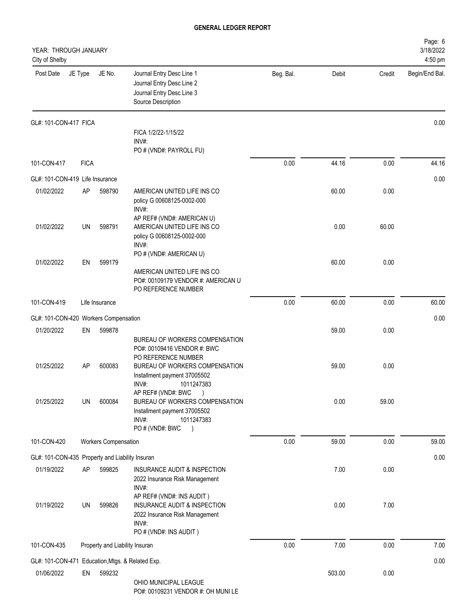| YEAR: THROUGH JANUARY<br>City of Shelby          |             |                             |                                                                                                                                             |           |        |        | Page: 6<br>3/18/2022<br>4:50 pm |
|--------------------------------------------------|-------------|-----------------------------|---------------------------------------------------------------------------------------------------------------------------------------------|-----------|--------|--------|---------------------------------|
| Post Date                                        | JE Type     | JE No.                      | Journal Entry Desc Line 1<br>Journal Entry Desc Line 2<br>Journal Entry Desc Line 3<br>Source Description                                   | Beg. Bal. | Debit  | Credit | Begin/End Bal.                  |
| GL#: 101-CON-417 FICA                            |             |                             |                                                                                                                                             |           |        |        | 0.00                            |
|                                                  |             |                             | FICA 1/2/22-1/15/22<br>INV#:<br>PO # (VND#: PAYROLL FU)                                                                                     |           |        |        |                                 |
| 101-CON-417                                      | <b>FICA</b> |                             |                                                                                                                                             | 0.00      | 44.16  | 0.00   | 44.16                           |
| GL#: 101-CON-419 Life Insurance                  |             |                             |                                                                                                                                             |           |        |        | 0.00                            |
| 01/02/2022                                       | AP          | 598790                      | AMERICAN UNITED LIFE INS CO<br>policy G 00608125-0002-000<br>INV#:                                                                          |           | 60.00  | 0.00   |                                 |
| 01/02/2022                                       | UN          | 598791                      | AP REF# (VND#: AMERICAN U)<br>AMERICAN UNITED LIFE INS CO<br>policy G 00608125-0002-000<br>INV#:                                            |           | 0.00   | 60.00  |                                 |
| 01/02/2022                                       | EN          | 599179                      | PO # (VND#: AMERICAN U)<br>AMERICAN UNITED LIFE INS CO<br>PO#: 00109179 VENDOR #: AMERICAN U<br>PO REFERENCE NUMBER                         |           | 60.00  | 0.00   |                                 |
| 101-CON-419                                      |             | Life Insurance              |                                                                                                                                             | 0.00      | 60.00  | 0.00   | 60.00                           |
| GL#: 101-CON-420 Workers Compensation            |             |                             |                                                                                                                                             |           |        |        | 0.00                            |
| 01/20/2022                                       | EN          | 599878                      | BUREAU OF WORKERS COMPENSATION<br>PO#: 00109416 VENDOR #: BWC                                                                               |           | 59.00  | 0.00   |                                 |
| 01/25/2022                                       | AP          | 600083                      | PO REFERENCE NUMBER<br>BUREAU OF WORKERS COMPENSATION<br>Installment payment 37005502<br>INV#:<br>1011247383                                |           | 59.00  | 0.00   |                                 |
| 01/25/2022                                       | UN          | 600084                      | AP REF# (VND#: BWC<br>BUREAU OF WORKERS COMPENSATION<br>Installment payment 37005502<br>INV#:<br>1011247383<br>PO # (VND#: BWC<br>$\lambda$ |           | 0.00   | 59.00  |                                 |
| 101-CON-420                                      |             | <b>Workers Compensation</b> |                                                                                                                                             | 0.00      | 59.00  | 0.00   | 59.00                           |
| GL#: 101-CON-435 Property and Liability Insuran  |             |                             |                                                                                                                                             |           |        |        | 0.00                            |
| 01/19/2022                                       | AP          | 599825                      | INSURANCE AUDIT & INSPECTION<br>2022 Insurance Risk Management<br>INV#:                                                                     |           | 7.00   | 0.00   |                                 |
| 01/19/2022                                       | UN          | 599826                      | AP REF# (VND#: INS AUDIT)<br>INSURANCE AUDIT & INSPECTION<br>2022 Insurance Risk Management<br>INV#:<br>PO # (VND#: INS AUDIT)              |           | 0.00   | 7.00   |                                 |
| 101-CON-435                                      |             |                             | Property and Liability Insuran                                                                                                              | 0.00      | 7.00   | 0.00   | 7.00                            |
| GL#: 101-CON-471 Education, Mtgs. & Related Exp. |             |                             |                                                                                                                                             |           |        |        | 0.00                            |
| 01/06/2022                                       | EN          | 599232                      | OHIO MUNICIPAL LEAGUE<br>PO#: 00109231 VENDOR #: OH MUNI LE                                                                                 |           | 503.00 | 0.00   |                                 |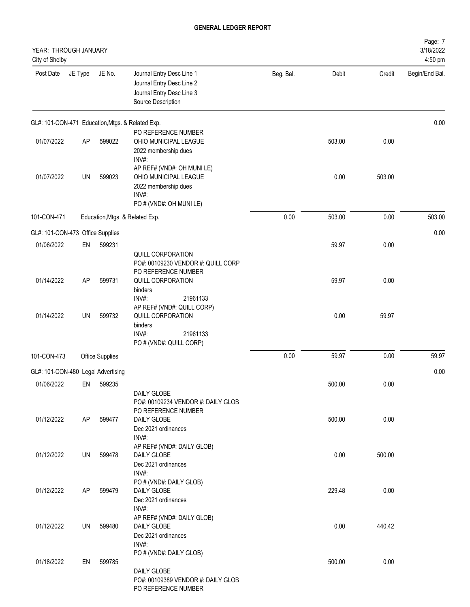| YEAR: THROUGH JANUARY<br>City of Shelby          |         |                                 |                                                                                                                                            |           |        |        | Page: 7<br>3/18/2022<br>4:50 pm |
|--------------------------------------------------|---------|---------------------------------|--------------------------------------------------------------------------------------------------------------------------------------------|-----------|--------|--------|---------------------------------|
| Post Date                                        | JE Type | JE No.                          | Journal Entry Desc Line 1<br>Journal Entry Desc Line 2<br>Journal Entry Desc Line 3<br>Source Description                                  | Beg. Bal. | Debit  | Credit | Begin/End Bal.                  |
| GL#: 101-CON-471 Education, Mtgs. & Related Exp. |         |                                 |                                                                                                                                            |           |        |        | 0.00                            |
| 01/07/2022                                       | AP      | 599022                          | PO REFERENCE NUMBER<br>OHIO MUNICIPAL LEAGUE<br>2022 membership dues<br>INV#:                                                              |           | 503.00 | 0.00   |                                 |
| 01/07/2022                                       | UN      | 599023                          | AP REF# (VND#: OH MUNI LE)<br>OHIO MUNICIPAL LEAGUE<br>2022 membership dues<br>INV#:<br>PO # (VND#: OH MUNI LE)                            |           | 0.00   | 503.00 |                                 |
| 101-CON-471                                      |         | Education, Mtgs. & Related Exp. |                                                                                                                                            | 0.00      | 503.00 | 0.00   | 503.00                          |
| GL#: 101-CON-473 Office Supplies                 |         |                                 |                                                                                                                                            |           |        |        | 0.00                            |
| 01/06/2022                                       | EN      | 599231                          |                                                                                                                                            |           | 59.97  | 0.00   |                                 |
| 01/14/2022                                       | AP      | 599731                          | QUILL CORPORATION<br>PO#: 00109230 VENDOR #: QUILL CORP<br>PO REFERENCE NUMBER<br>QUILL CORPORATION                                        |           | 59.97  | 0.00   |                                 |
| 01/14/2022                                       | UN      | 599732                          | binders<br>INV#:<br>21961133<br>AP REF# (VND#: QUILL CORP)<br>QUILL CORPORATION<br>binders<br>INV#:<br>21961133<br>PO # (VND#: QUILL CORP) |           | 0.00   | 59.97  |                                 |
| 101-CON-473                                      |         | Office Supplies                 |                                                                                                                                            | 0.00      | 59.97  | 0.00   | 59.97                           |
| GL#: 101-CON-480 Legal Advertising               |         |                                 |                                                                                                                                            |           |        |        | 0.00                            |
| 01/06/2022                                       | EN      | 599235                          |                                                                                                                                            |           | 500.00 | 0.00   |                                 |
| 01/12/2022                                       | AP      | 599477                          | DAILY GLOBE<br>PO#: 00109234 VENDOR #: DAILY GLOB<br>PO REFERENCE NUMBER<br>DAILY GLOBE<br>Dec 2021 ordinances                             |           | 500.00 | 0.00   |                                 |
| 01/12/2022                                       | UN      | 599478                          | INV#:<br>AP REF# (VND#: DAILY GLOB)<br>DAILY GLOBE<br>Dec 2021 ordinances                                                                  |           | 0.00   | 500.00 |                                 |
| 01/12/2022                                       | AP      | 599479                          | INV#:<br>PO # (VND#: DAILY GLOB)<br>DAILY GLOBE<br>Dec 2021 ordinances                                                                     |           | 229.48 | 0.00   |                                 |
| 01/12/2022                                       | UN      | 599480                          | INV#:<br>AP REF# (VND#: DAILY GLOB)<br>DAILY GLOBE<br>Dec 2021 ordinances<br>INV#:                                                         |           | 0.00   | 440.42 |                                 |
| 01/18/2022                                       | EN      | 599785                          | PO # (VND#: DAILY GLOB)<br>DAILY GLOBE<br>PO#: 00109389 VENDOR #: DAILY GLOB<br>PO REFERENCE NUMBER                                        |           | 500.00 | 0.00   |                                 |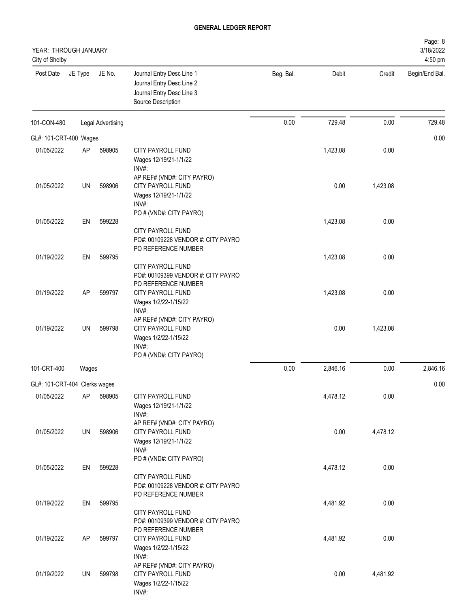| YEAR: THROUGH JANUARY<br>City of Shelby |           |                   |                                                                                                                    |           |          |          | Page: 8<br>3/18/2022<br>4:50 pm |
|-----------------------------------------|-----------|-------------------|--------------------------------------------------------------------------------------------------------------------|-----------|----------|----------|---------------------------------|
| Post Date                               | JE Type   | JE No.            | Journal Entry Desc Line 1<br>Journal Entry Desc Line 2<br>Journal Entry Desc Line 3<br>Source Description          | Beg. Bal. | Debit    | Credit   | Begin/End Bal.                  |
| 101-CON-480                             |           | Legal Advertising |                                                                                                                    | 0.00      | 729.48   | 0.00     | 729.48                          |
| GL#: 101-CRT-400 Wages                  |           |                   |                                                                                                                    |           |          |          | 0.00                            |
| 01/05/2022                              | AP        | 598905            | CITY PAYROLL FUND<br>Wages 12/19/21-1/1/22<br>INV#:                                                                |           | 1,423.08 | 0.00     |                                 |
| 01/05/2022                              | UN        | 598906            | AP REF# (VND#: CITY PAYRO)<br>CITY PAYROLL FUND<br>Wages 12/19/21-1/1/22<br>INV#:                                  |           | 0.00     | 1,423.08 |                                 |
| 01/05/2022                              | EN        | 599228            | PO # (VND#: CITY PAYRO)<br>CITY PAYROLL FUND                                                                       |           | 1,423.08 | 0.00     |                                 |
| 01/19/2022                              | EN        | 599795            | PO#: 00109228 VENDOR #: CITY PAYRO<br>PO REFERENCE NUMBER<br>CITY PAYROLL FUND                                     |           | 1,423.08 | 0.00     |                                 |
| 01/19/2022                              | AP        | 599797            | PO#: 00109399 VENDOR #: CITY PAYRO<br>PO REFERENCE NUMBER<br>CITY PAYROLL FUND<br>Wages 1/2/22-1/15/22<br>INV#:    |           | 1,423.08 | 0.00     |                                 |
| 01/19/2022                              | <b>UN</b> | 599798            | AP REF# (VND#: CITY PAYRO)<br><b>CITY PAYROLL FUND</b><br>Wages 1/2/22-1/15/22<br>INV#:<br>PO # (VND#: CITY PAYRO) |           | 0.00     | 1,423.08 |                                 |
| 101-CRT-400                             | Wages     |                   |                                                                                                                    | 0.00      | 2,846.16 | 0.00     | 2,846.16                        |
| GL#: 101-CRT-404 Clerks wages           |           |                   |                                                                                                                    |           |          |          | 0.00                            |
| 01/05/2022                              | AP        | 598905            | CITY PAYROLL FUND<br>Wages 12/19/21-1/1/22<br>INV#:                                                                |           | 4,478.12 | 0.00     |                                 |
| 01/05/2022                              | UN        | 598906            | AP REF# (VND#: CITY PAYRO)<br>CITY PAYROLL FUND<br>Wages 12/19/21-1/1/22<br>INV#:                                  |           | 0.00     | 4,478.12 |                                 |
| 01/05/2022                              | EN        | 599228            | PO # (VND#: CITY PAYRO)<br><b>CITY PAYROLL FUND</b><br>PO#: 00109228 VENDOR #: CITY PAYRO                          |           | 4,478.12 | 0.00     |                                 |
| 01/19/2022                              | EN        | 599795            | PO REFERENCE NUMBER<br>CITY PAYROLL FUND                                                                           |           | 4,481.92 | 0.00     |                                 |
| 01/19/2022                              | AP        | 599797            | PO#: 00109399 VENDOR #: CITY PAYRO<br>PO REFERENCE NUMBER<br>CITY PAYROLL FUND<br>Wages 1/2/22-1/15/22             |           | 4,481.92 | 0.00     |                                 |
| 01/19/2022                              | UN        | 599798            | INV#:<br>AP REF# (VND#: CITY PAYRO)<br>CITY PAYROLL FUND<br>Wages 1/2/22-1/15/22<br>INV#:                          |           | 0.00     | 4,481.92 |                                 |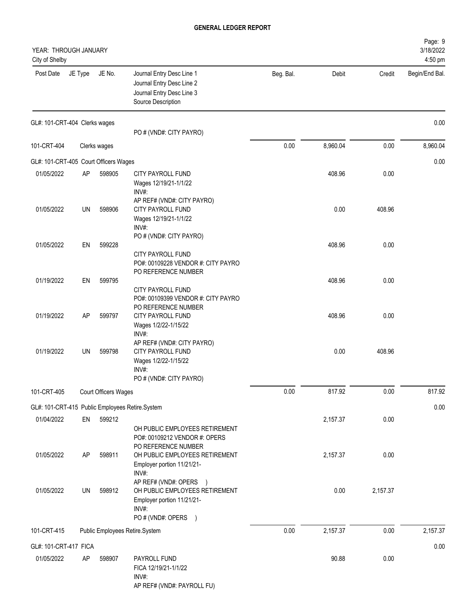| YEAR: THROUGH JANUARY<br>City of Shelby                       |           |                      |                                                                                                                               |           |          |          | Page: 9<br>3/18/2022<br>4:50 pm |
|---------------------------------------------------------------|-----------|----------------------|-------------------------------------------------------------------------------------------------------------------------------|-----------|----------|----------|---------------------------------|
| Post Date                                                     | JE Type   | JE No.               | Journal Entry Desc Line 1<br>Journal Entry Desc Line 2<br>Journal Entry Desc Line 3<br>Source Description                     | Beg. Bal. | Debit    | Credit   | Begin/End Bal.                  |
| GL#: 101-CRT-404 Clerks wages                                 |           |                      | PO # (VND#: CITY PAYRO)                                                                                                       |           |          |          | 0.00                            |
| 101-CRT-404                                                   |           | Clerks wages         |                                                                                                                               | 0.00      | 8,960.04 | 0.00     | 8,960.04                        |
| GL#: 101-CRT-405 Court Officers Wages                         |           |                      |                                                                                                                               |           |          |          | 0.00                            |
| 01/05/2022                                                    | <b>AP</b> | 598905               | CITY PAYROLL FUND<br>Wages 12/19/21-1/1/22                                                                                    |           | 408.96   | 0.00     |                                 |
| 01/05/2022                                                    | UN        | 598906               | INV#:<br>AP REF# (VND#: CITY PAYRO)<br>CITY PAYROLL FUND<br>Wages 12/19/21-1/1/22<br>INV#:                                    |           | 0.00     | 408.96   |                                 |
| 01/05/2022                                                    | EN        | 599228               | PO # (VND#: CITY PAYRO)<br>CITY PAYROLL FUND                                                                                  |           | 408.96   | 0.00     |                                 |
| 01/19/2022                                                    | EN        | 599795               | PO#: 00109228 VENDOR #: CITY PAYRO<br>PO REFERENCE NUMBER<br>CITY PAYROLL FUND                                                |           | 408.96   | 0.00     |                                 |
| 01/19/2022                                                    | AP        | 599797               | PO#: 00109399 VENDOR #: CITY PAYRO<br>PO REFERENCE NUMBER<br><b>CITY PAYROLL FUND</b><br>Wages 1/2/22-1/15/22                 |           | 408.96   | 0.00     |                                 |
| 01/19/2022                                                    | UN        | 599798               | INV#:<br>AP REF# (VND#: CITY PAYRO)<br>CITY PAYROLL FUND<br>Wages 1/2/22-1/15/22<br>INV#:<br>PO # (VND#: CITY PAYRO)          |           | 0.00     | 408.96   |                                 |
| 101-CRT-405                                                   |           | Court Officers Wages |                                                                                                                               | 0.00      | 817.92   | 0.00     | 817.92                          |
|                                                               |           |                      |                                                                                                                               |           |          |          | 0.00                            |
| GL#: 101-CRT-415 Public Employees Retire.System<br>01/04/2022 | EN        | 599212               | OH PUBLIC EMPLOYEES RETIREMENT                                                                                                |           | 2,157.37 | 0.00     |                                 |
| 01/05/2022                                                    | <b>AP</b> | 598911               | PO#: 00109212 VENDOR #: OPERS<br>PO REFERENCE NUMBER<br>OH PUBLIC EMPLOYEES RETIREMENT<br>Employer portion 11/21/21-<br>INV#: |           | 2,157.37 | 0.00     |                                 |
| 01/05/2022                                                    | UN        | 598912               | AP REF# (VND#: OPERS<br>OH PUBLIC EMPLOYEES RETIREMENT<br>Employer portion 11/21/21-<br>INV#:<br>PO#(VND#: OPERS )            |           | 0.00     | 2,157.37 |                                 |
| 101-CRT-415                                                   |           |                      | Public Employees Retire.System                                                                                                | 0.00      | 2,157.37 | 0.00     | 2,157.37                        |
| GL#: 101-CRT-417 FICA                                         |           |                      |                                                                                                                               |           |          |          | 0.00                            |
| 01/05/2022                                                    | AP        | 598907               | PAYROLL FUND<br>FICA 12/19/21-1/1/22<br>INV#:<br>AP REF# (VND#: PAYROLL FU)                                                   |           | 90.88    | 0.00     |                                 |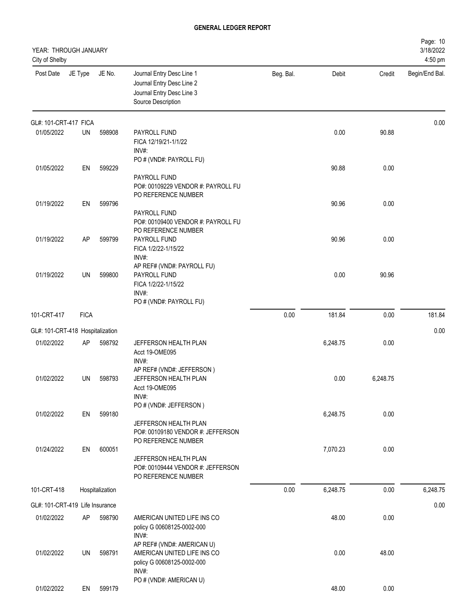| YEAR: THROUGH JANUARY<br>City of Shelby |             |                 |                                                                                                             |           |          |          | Page: 10<br>3/18/2022<br>4:50 pm |
|-----------------------------------------|-------------|-----------------|-------------------------------------------------------------------------------------------------------------|-----------|----------|----------|----------------------------------|
| Post Date                               | JE Type     | JE No.          | Journal Entry Desc Line 1<br>Journal Entry Desc Line 2<br>Journal Entry Desc Line 3<br>Source Description   | Beg. Bal. | Debit    | Credit   | Begin/End Bal.                   |
| GL#: 101-CRT-417 FICA                   |             |                 |                                                                                                             |           |          |          | 0.00                             |
| 01/05/2022                              | UN          | 598908          | PAYROLL FUND<br>FICA 12/19/21-1/1/22<br>INV#:                                                               |           | 0.00     | 90.88    |                                  |
| 01/05/2022                              | EN          | 599229          | PO # (VND#: PAYROLL FU)<br>PAYROLL FUND<br>PO#: 00109229 VENDOR #: PAYROLL FU                               |           | 90.88    | 0.00     |                                  |
| 01/19/2022                              | EN          | 599796          | PO REFERENCE NUMBER<br>PAYROLL FUND<br>PO#: 00109400 VENDOR #: PAYROLL FU<br>PO REFERENCE NUMBER            |           | 90.96    | 0.00     |                                  |
| 01/19/2022                              | AP          | 599799          | <b>PAYROLL FUND</b><br>FICA 1/2/22-1/15/22<br>INV#:<br>AP REF# (VND#: PAYROLL FU)                           |           | 90.96    | 0.00     |                                  |
| 01/19/2022                              | UN          | 599800          | PAYROLL FUND<br>FICA 1/2/22-1/15/22<br>INV#:<br>PO # (VND#: PAYROLL FU)                                     |           | 0.00     | 90.96    |                                  |
| 101-CRT-417                             | <b>FICA</b> |                 |                                                                                                             | 0.00      | 181.84   | 0.00     | 181.84                           |
| GL#: 101-CRT-418 Hospitalization        |             |                 |                                                                                                             |           |          |          | 0.00                             |
| 01/02/2022                              | AP          | 598792          | JEFFERSON HEALTH PLAN<br>Acct 19-OME095<br>INV#:                                                            |           | 6,248.75 | 0.00     |                                  |
| 01/02/2022                              | UN          | 598793          | AP REF# (VND#: JEFFERSON)<br>JEFFERSON HEALTH PLAN<br>Acct 19-OME095<br>INV#:                               |           | 0.00     | 6,248.75 |                                  |
| 01/02/2022                              | EN          | 599180          | PO # (VND#: JEFFERSON)<br>JEFFERSON HEALTH PLAN<br>PO#: 00109180 VENDOR #: JEFFERSON<br>PO REFERENCE NUMBER |           | 6,248.75 | 0.00     |                                  |
| 01/24/2022                              | EN          | 600051          | JEFFERSON HEALTH PLAN<br>PO#: 00109444 VENDOR #: JEFFERSON<br>PO REFERENCE NUMBER                           |           | 7,070.23 | 0.00     |                                  |
| 101-CRT-418                             |             | Hospitalization |                                                                                                             | 0.00      | 6,248.75 | 0.00     | 6,248.75                         |
| GL#: 101-CRT-419 Life Insurance         |             |                 |                                                                                                             |           |          |          | 0.00                             |
| 01/02/2022                              | AP          | 598790          | AMERICAN UNITED LIFE INS CO<br>policy G 00608125-0002-000<br>INV#:                                          |           | 48.00    | 0.00     |                                  |
| 01/02/2022                              | UN          | 598791          | AP REF# (VND#: AMERICAN U)<br>AMERICAN UNITED LIFE INS CO<br>policy G 00608125-0002-000<br>INV#:            |           | 0.00     | 48.00    |                                  |
| 01/02/2022                              | EN          | 599179          | PO # (VND#: AMERICAN U)                                                                                     |           | 48.00    | 0.00     |                                  |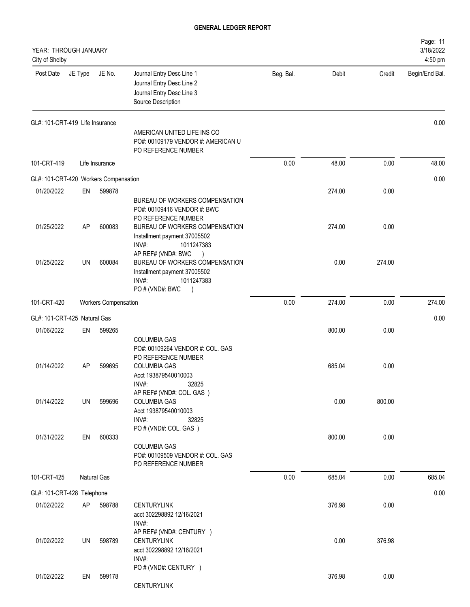| YEAR: THROUGH JANUARY<br>City of Shelby |         |                             |                                                                                                                                               |           |        |        | Page: 11<br>3/18/2022<br>4:50 pm |
|-----------------------------------------|---------|-----------------------------|-----------------------------------------------------------------------------------------------------------------------------------------------|-----------|--------|--------|----------------------------------|
| Post Date                               | JE Type | JE No.                      | Journal Entry Desc Line 1<br>Journal Entry Desc Line 2<br>Journal Entry Desc Line 3<br>Source Description                                     | Beg. Bal. | Debit  | Credit | Begin/End Bal.                   |
| GL#: 101-CRT-419 Life Insurance         |         |                             |                                                                                                                                               |           |        |        | 0.00                             |
|                                         |         |                             | AMERICAN UNITED LIFE INS CO<br>PO#: 00109179 VENDOR #: AMERICAN U<br>PO REFERENCE NUMBER                                                      |           |        |        |                                  |
| 101-CRT-419                             |         | Life Insurance              |                                                                                                                                               | 0.00      | 48.00  | 0.00   | 48.00                            |
| GL#: 101-CRT-420 Workers Compensation   |         |                             |                                                                                                                                               |           |        |        | 0.00                             |
| 01/20/2022                              | EN      | 599878                      | BUREAU OF WORKERS COMPENSATION<br>PO#: 00109416 VENDOR #: BWC                                                                                 |           | 274.00 | 0.00   |                                  |
| 01/25/2022                              | AP      | 600083                      | PO REFERENCE NUMBER<br>BUREAU OF WORKERS COMPENSATION<br>Installment payment 37005502<br>INV#:<br>1011247383                                  |           | 274.00 | 0.00   |                                  |
| 01/25/2022                              | UN      | 600084                      | AP REF# (VND#: BWC<br>BUREAU OF WORKERS COMPENSATION<br>Installment payment 37005502<br>INV#:<br>1011247383<br>PO#(VND#: BWC<br>$\rightarrow$ |           | 0.00   | 274.00 |                                  |
| 101-CRT-420                             |         | <b>Workers Compensation</b> |                                                                                                                                               | 0.00      | 274.00 | 0.00   | 274.00                           |
| GL#: 101-CRT-425 Natural Gas            |         |                             |                                                                                                                                               |           |        |        | 0.00                             |
| 01/06/2022                              | EN      | 599265                      |                                                                                                                                               |           | 800.00 | 0.00   |                                  |
|                                         |         |                             | <b>COLUMBIA GAS</b><br>PO#: 00109264 VENDOR #: COL. GAS<br>PO REFERENCE NUMBER                                                                |           |        |        |                                  |
| 01/14/2022                              | AP      | 599695                      | <b>COLUMBIA GAS</b><br>Acct 193879540010003<br>INV#:<br>32825                                                                                 |           | 685.04 | 0.00   |                                  |
| 01/14/2022                              | UN      | 599696                      | AP REF# (VND#: COL. GAS)<br><b>COLUMBIA GAS</b><br>Acct 193879540010003<br>INV#:<br>32825                                                     |           | 0.00   | 800.00 |                                  |
| 01/31/2022                              | EN      | 600333                      | PO # (VND#: COL. GAS)<br><b>COLUMBIA GAS</b><br>PO#: 00109509 VENDOR #: COL. GAS<br>PO REFERENCE NUMBER                                       |           | 800.00 | 0.00   |                                  |
| 101-CRT-425                             |         | <b>Natural Gas</b>          |                                                                                                                                               | 0.00      | 685.04 | 0.00   | 685.04                           |
| GL#: 101-CRT-428 Telephone              |         |                             |                                                                                                                                               |           |        |        | 0.00                             |
| 01/02/2022                              | AP      | 598788                      | <b>CENTURYLINK</b><br>acct 302298892 12/16/2021<br>INV#:                                                                                      |           | 376.98 | 0.00   |                                  |
| 01/02/2022                              | UN      | 598789                      | AP REF# (VND#: CENTURY )<br><b>CENTURYLINK</b><br>acct 302298892 12/16/2021<br>INV#:                                                          |           | 0.00   | 376.98 |                                  |
| 01/02/2022                              | EN      | 599178                      | PO # (VND#: CENTURY )<br><b>CENTURYLINK</b>                                                                                                   |           | 376.98 | 0.00   |                                  |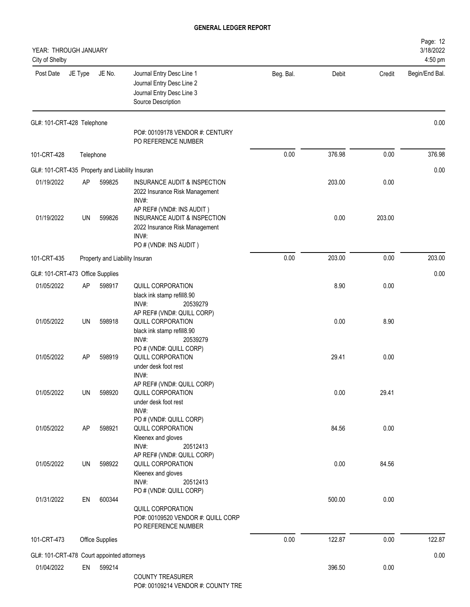| YEAR: THROUGH JANUARY<br>City of Shelby         |           |                                |                                                                                                              |           |        |        | Page: 12<br>3/18/2022<br>4:50 pm |
|-------------------------------------------------|-----------|--------------------------------|--------------------------------------------------------------------------------------------------------------|-----------|--------|--------|----------------------------------|
| Post Date                                       | JE Type   | JE No.                         | Journal Entry Desc Line 1<br>Journal Entry Desc Line 2<br>Journal Entry Desc Line 3<br>Source Description    | Beg. Bal. | Debit  | Credit | Begin/End Bal.                   |
| GL#: 101-CRT-428 Telephone                      |           |                                | PO#: 00109178 VENDOR #: CENTURY<br>PO REFERENCE NUMBER                                                       |           |        |        | 0.00                             |
| 101-CRT-428                                     | Telephone |                                |                                                                                                              | 0.00      | 376.98 | 0.00   | 376.98                           |
| GL#: 101-CRT-435 Property and Liability Insuran |           |                                |                                                                                                              |           |        |        | 0.00                             |
| 01/19/2022                                      | <b>AP</b> | 599825                         | INSURANCE AUDIT & INSPECTION<br>2022 Insurance Risk Management<br>INV#:<br>AP REF# (VND#: INS AUDIT)         |           | 203.00 | 0.00   |                                  |
| 01/19/2022                                      | UN        | 599826                         | <b>INSURANCE AUDIT &amp; INSPECTION</b><br>2022 Insurance Risk Management<br>INV#:<br>PO # (VND#: INS AUDIT) |           | 0.00   | 203.00 |                                  |
| 101-CRT-435                                     |           | Property and Liability Insuran |                                                                                                              | 0.00      | 203.00 | 0.00   | 203.00                           |
| GL#: 101-CRT-473 Office Supplies                |           |                                |                                                                                                              |           |        |        | 0.00                             |
| 01/05/2022                                      | AP        | 598917                         | QUILL CORPORATION<br>black ink stamp refill8.90<br>INV#:<br>20539279                                         |           | 8.90   | 0.00   |                                  |
| 01/05/2022                                      | <b>UN</b> | 598918                         | AP REF# (VND#: QUILL CORP)<br>QUILL CORPORATION<br>black ink stamp refill8.90                                |           | 0.00   | 8.90   |                                  |
| 01/05/2022                                      | AP        | 598919                         | INV#:<br>20539279<br>PO # (VND#: QUILL CORP)<br>QUILL CORPORATION<br>under desk foot rest                    |           | 29.41  | 0.00   |                                  |
| 01/05/2022                                      | UN        | 598920                         | INV#:<br>AP REF# (VND#: QUILL CORP)<br><b>QUILL CORPORATION</b><br>under desk foot rest<br>INV#:             |           | 0.00   | 29.41  |                                  |
| 01/05/2022                                      | AP        | 598921                         | PO # (VND#: QUILL CORP)<br>QUILL CORPORATION<br>Kleenex and gloves<br>INV#:<br>20512413                      |           | 84.56  | 0.00   |                                  |
| 01/05/2022                                      | UN        | 598922                         | AP REF# (VND#: QUILL CORP)<br>QUILL CORPORATION<br>Kleenex and gloves<br>INV#:<br>20512413                   |           | 0.00   | 84.56  |                                  |
| 01/31/2022                                      | EN        | 600344                         | PO # (VND#: QUILL CORP)<br>QUILL CORPORATION<br>PO#: 00109520 VENDOR #: QUILL CORP<br>PO REFERENCE NUMBER    |           | 500.00 | 0.00   |                                  |
| 101-CRT-473                                     |           | <b>Office Supplies</b>         |                                                                                                              | 0.00      | 122.87 | 0.00   | 122.87                           |
| GL#: 101-CRT-478 Court appointed attorneys      |           |                                |                                                                                                              |           |        |        | 0.00                             |
| 01/04/2022                                      | EN        | 599214                         | <b>COUNTY TREASURER</b><br>DO#: 00100214 VENDOD #: COUNTY TDE                                                |           | 396.50 | 0.00   |                                  |

PO#: 00109214 VENDOR #: COUNTY TRE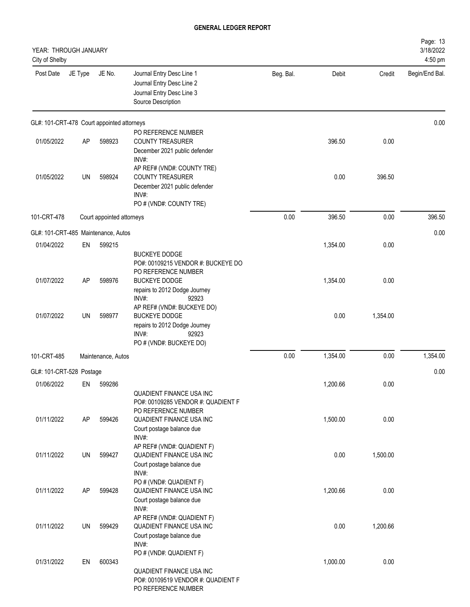| YEAR: THROUGH JANUARY<br>City of Shelby |         |                                            |                                                                                                                            |           |          |          | Page: 13<br>3/18/2022<br>4:50 pm |
|-----------------------------------------|---------|--------------------------------------------|----------------------------------------------------------------------------------------------------------------------------|-----------|----------|----------|----------------------------------|
| Post Date                               | JE Type | JE No.                                     | Journal Entry Desc Line 1<br>Journal Entry Desc Line 2<br>Journal Entry Desc Line 3<br>Source Description                  | Beg. Bal. | Debit    | Credit   | Begin/End Bal.                   |
|                                         |         | GL#: 101-CRT-478 Court appointed attorneys |                                                                                                                            |           |          |          | 0.00                             |
| 01/05/2022                              | AP      | 598923                                     | PO REFERENCE NUMBER<br>COUNTY TREASURER<br>December 2021 public defender<br>INV#:                                          |           | 396.50   | 0.00     |                                  |
| 01/05/2022                              | UN      | 598924                                     | AP REF# (VND#: COUNTY TRE)<br><b>COUNTY TREASURER</b><br>December 2021 public defender<br>INV#:<br>PO # (VND#: COUNTY TRE) |           | 0.00     | 396.50   |                                  |
| 101-CRT-478                             |         | Court appointed attorneys                  |                                                                                                                            | 0.00      | 396.50   | 0.00     | 396.50                           |
|                                         |         | GL#: 101-CRT-485 Maintenance, Autos        |                                                                                                                            |           |          |          | 0.00                             |
| 01/04/2022                              | EN      | 599215                                     |                                                                                                                            |           | 1,354.00 | 0.00     |                                  |
| 01/07/2022                              | AP      | 598976                                     | <b>BUCKEYE DODGE</b><br>PO#: 00109215 VENDOR #: BUCKEYE DO<br>PO REFERENCE NUMBER<br><b>BUCKEYE DODGE</b>                  |           | 1,354.00 | 0.00     |                                  |
|                                         |         |                                            | repairs to 2012 Dodge Journey<br>INV#:<br>92923<br>AP REF# (VND#: BUCKEYE DO)                                              |           |          |          |                                  |
| 01/07/2022                              | UN      | 598977                                     | <b>BUCKEYE DODGE</b><br>repairs to 2012 Dodge Journey<br>INV#:<br>92923<br>PO # (VND#: BUCKEYE DO)                         |           | 0.00     | 1,354.00 |                                  |
| 101-CRT-485                             |         | Maintenance, Autos                         |                                                                                                                            | 0.00      | 1,354.00 | 0.00     | 1,354.00                         |
| GL#: 101-CRT-528 Postage                |         |                                            |                                                                                                                            |           |          |          | 0.00                             |
| 01/06/2022                              | EN      | 599286                                     | <b>QUADIENT FINANCE USA INC</b>                                                                                            |           | 1,200.66 | 0.00     |                                  |
| 01/11/2022                              | AP      | 599426                                     | PO#: 00109285 VENDOR #: QUADIENT F<br>PO REFERENCE NUMBER<br>QUADIENT FINANCE USA INC<br>Court postage balance due         |           | 1,500.00 | 0.00     |                                  |
| 01/11/2022                              | UN      | 599427                                     | INV#:<br>AP REF# (VND#: QUADIENT F)<br>QUADIENT FINANCE USA INC<br>Court postage balance due                               |           | 0.00     | 1,500.00 |                                  |
| 01/11/2022                              | AP      | 599428                                     | INV#:<br>PO # (VND#: QUADIENT F)<br>QUADIENT FINANCE USA INC<br>Court postage balance due                                  |           | 1,200.66 | 0.00     |                                  |
| 01/11/2022                              | UN      | 599429                                     | INV#:<br>AP REF# (VND#: QUADIENT F)<br>QUADIENT FINANCE USA INC<br>Court postage balance due                               |           | 0.00     | 1,200.66 |                                  |
| 01/31/2022                              | EN      | 600343                                     | INV#:<br>PO # (VND#: QUADIENT F)<br>QUADIENT FINANCE USA INC<br>PO#: 00109519 VENDOR #: QUADIENT F<br>PO REFERENCE NUMBER  |           | 1,000.00 | 0.00     |                                  |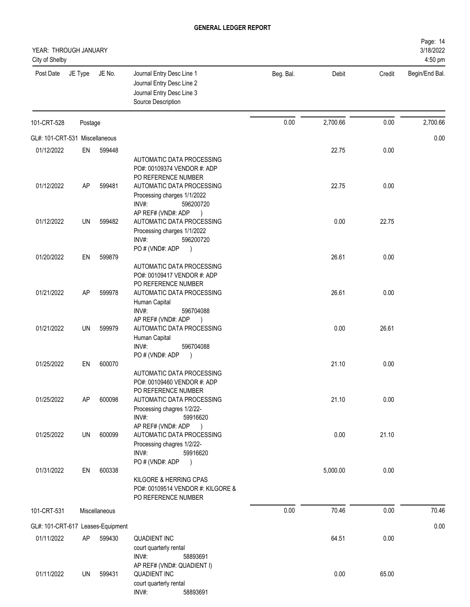| YEAR: THROUGH JANUARY<br>City of Shelby |         |                                   |                                                                                                                          |           |          |        | Page: 14<br>3/18/2022<br>4:50 pm |
|-----------------------------------------|---------|-----------------------------------|--------------------------------------------------------------------------------------------------------------------------|-----------|----------|--------|----------------------------------|
| Post Date                               | JE Type | JE No.                            | Journal Entry Desc Line 1<br>Journal Entry Desc Line 2<br>Journal Entry Desc Line 3<br>Source Description                | Beg. Bal. | Debit    | Credit | Begin/End Bal.                   |
| 101-CRT-528                             | Postage |                                   |                                                                                                                          | 0.00      | 2,700.66 | 0.00   | 2,700.66                         |
| GL#: 101-CRT-531 Miscellaneous          |         |                                   |                                                                                                                          |           |          |        | 0.00                             |
| 01/12/2022                              | EN      | 599448                            |                                                                                                                          |           | 22.75    | 0.00   |                                  |
|                                         |         |                                   | AUTOMATIC DATA PROCESSING<br>PO#: 00109374 VENDOR #: ADP<br>PO REFERENCE NUMBER                                          |           |          |        |                                  |
| 01/12/2022                              | AP      | 599481                            | AUTOMATIC DATA PROCESSING<br>Processing charges 1/1/2022<br>INV#:<br>596200720                                           |           | 22.75    | 0.00   |                                  |
| 01/12/2022                              | UN      | 599482                            | AP REF# (VND#: ADP<br>$\rightarrow$<br>AUTOMATIC DATA PROCESSING<br>Processing charges 1/1/2022<br>INV#:<br>596200720    |           | 0.00     | 22.75  |                                  |
| 01/20/2022                              | EN      | 599879                            | PO#(VND#: ADP<br>$\rightarrow$<br>AUTOMATIC DATA PROCESSING<br>PO#: 00109417 VENDOR #: ADP                               |           | 26.61    | 0.00   |                                  |
| 01/21/2022                              | AP      | 599978                            | PO REFERENCE NUMBER<br>AUTOMATIC DATA PROCESSING<br>Human Capital<br>INV#:<br>596704088                                  |           | 26.61    | 0.00   |                                  |
| 01/21/2022                              | UN      | 599979                            | AP REF# (VND#: ADP<br>$\rightarrow$<br>AUTOMATIC DATA PROCESSING<br>Human Capital<br>INV#:<br>596704088<br>PO#(VND#: ADP |           | 0.00     | 26.61  |                                  |
| 01/25/2022                              | EN      | 600070                            | $\rightarrow$<br>AUTOMATIC DATA PROCESSING<br>PO#: 00109460 VENDOR #: ADP<br>PO REFERENCE NUMBER                         |           | 21.10    | 0.00   |                                  |
| 01/25/2022                              | AP      | 600098                            | AUTOMATIC DATA PROCESSING<br>Processing chagres 1/2/22-<br>INV#:<br>59916620<br>AP REF# (VND#: ADP<br>$\rightarrow$      |           | 21.10    | 0.00   |                                  |
| 01/25/2022                              | UN      | 600099                            | AUTOMATIC DATA PROCESSING<br>Processing chagres 1/2/22-<br>INV#:<br>59916620<br>PO#(VND#: ADP<br>$\rightarrow$           |           | 0.00     | 21.10  |                                  |
| 01/31/2022                              | EN      | 600338                            | KILGORE & HERRING CPAS<br>PO#: 00109514 VENDOR #: KILGORE &<br>PO REFERENCE NUMBER                                       |           | 5,000.00 | 0.00   |                                  |
| 101-CRT-531                             |         | Miscellaneous                     |                                                                                                                          | 0.00      | 70.46    | 0.00   | 70.46                            |
|                                         |         | GL#: 101-CRT-617 Leases-Equipment |                                                                                                                          |           |          |        | 0.00                             |
| 01/11/2022                              | AP      | 599430                            | <b>QUADIENT INC</b><br>court quarterly rental<br>INV#:<br>58893691                                                       |           | 64.51    | 0.00   |                                  |
| 01/11/2022                              | UN      | 599431                            | AP REF# (VND#: QUADIENT I)<br><b>QUADIENT INC</b><br>court quarterly rental                                              |           | 0.00     | 65.00  |                                  |

INV#: 58893691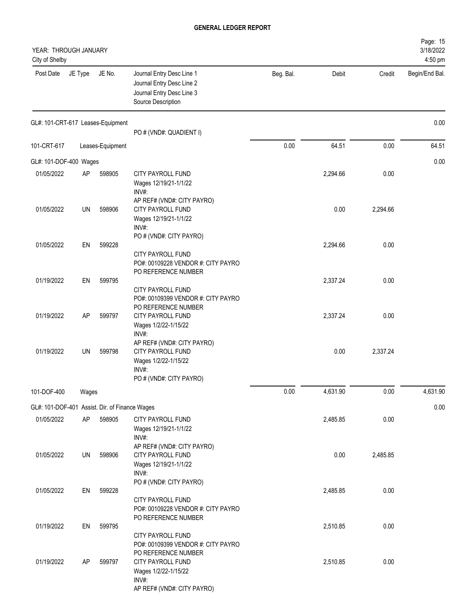| YEAR: THROUGH JANUARY<br>City of Shelby        |         |                  |                                                                                                                                                                    |           |          |          | Page: 15<br>3/18/2022<br>4:50 pm |
|------------------------------------------------|---------|------------------|--------------------------------------------------------------------------------------------------------------------------------------------------------------------|-----------|----------|----------|----------------------------------|
| Post Date                                      | JE Type | JE No.           | Journal Entry Desc Line 1<br>Journal Entry Desc Line 2<br>Journal Entry Desc Line 3<br>Source Description                                                          | Beg. Bal. | Debit    | Credit   | Begin/End Bal.                   |
| GL#: 101-CRT-617 Leases-Equipment              |         |                  | PO # (VND#: QUADIENT I)                                                                                                                                            |           |          |          | 0.00                             |
| 101-CRT-617                                    |         | Leases-Equipment |                                                                                                                                                                    | 0.00      | 64.51    | 0.00     | 64.51                            |
| GL#: 101-DOF-400 Wages                         |         |                  |                                                                                                                                                                    |           |          |          | 0.00                             |
| 01/05/2022                                     | AP      | 598905           | CITY PAYROLL FUND<br>Wages 12/19/21-1/1/22<br>INV#:                                                                                                                |           | 2,294.66 | 0.00     |                                  |
| 01/05/2022                                     | UN      | 598906           | AP REF# (VND#: CITY PAYRO)<br>CITY PAYROLL FUND<br>Wages 12/19/21-1/1/22<br>INV#:                                                                                  |           | 0.00     | 2,294.66 |                                  |
| 01/05/2022                                     | EN      | 599228           | PO # (VND#: CITY PAYRO)<br>CITY PAYROLL FUND                                                                                                                       |           | 2,294.66 | 0.00     |                                  |
| 01/19/2022                                     | EN      | 599795           | PO#: 00109228 VENDOR #: CITY PAYRO<br>PO REFERENCE NUMBER<br>CITY PAYROLL FUND                                                                                     |           | 2,337.24 | 0.00     |                                  |
| 01/19/2022                                     | AP      | 599797           | PO#: 00109399 VENDOR #: CITY PAYRO<br>PO REFERENCE NUMBER<br>CITY PAYROLL FUND<br>Wages 1/2/22-1/15/22<br>INV#:                                                    |           | 2,337.24 | 0.00     |                                  |
| 01/19/2022                                     | UN      | 599798           | AP REF# (VND#: CITY PAYRO)<br>CITY PAYROLL FUND<br>Wages 1/2/22-1/15/22<br>INV#:<br>PO # (VND#: CITY PAYRO)                                                        |           | 0.00     | 2,337.24 |                                  |
| 101-DOF-400                                    | Wages   |                  |                                                                                                                                                                    | 0.00      | 4,631.90 | 0.00     | 4,631.90                         |
| GL#: 101-DOF-401 Assist. Dir. of Finance Wages |         |                  |                                                                                                                                                                    |           |          |          | 0.00                             |
| 01/05/2022                                     | AP      | 598905           | CITY PAYROLL FUND<br>Wages 12/19/21-1/1/22<br>INV#:                                                                                                                |           | 2,485.85 | 0.00     |                                  |
| 01/05/2022                                     | UN      | 598906           | AP REF# (VND#: CITY PAYRO)<br>CITY PAYROLL FUND<br>Wages 12/19/21-1/1/22<br>INV#:                                                                                  |           | 0.00     | 2,485.85 |                                  |
| 01/05/2022                                     | EN      | 599228           | PO # (VND#: CITY PAYRO)<br>CITY PAYROLL FUND                                                                                                                       |           | 2,485.85 | 0.00     |                                  |
| 01/19/2022                                     | EN      | 599795           | PO#: 00109228 VENDOR #: CITY PAYRO<br>PO REFERENCE NUMBER                                                                                                          |           | 2,510.85 | 0.00     |                                  |
| 01/19/2022                                     | AP      | 599797           | CITY PAYROLL FUND<br>PO#: 00109399 VENDOR #: CITY PAYRO<br>PO REFERENCE NUMBER<br>CITY PAYROLL FUND<br>Wages 1/2/22-1/15/22<br>INV#:<br>AP REF# (VND#: CITY PAYRO) |           | 2,510.85 | 0.00     |                                  |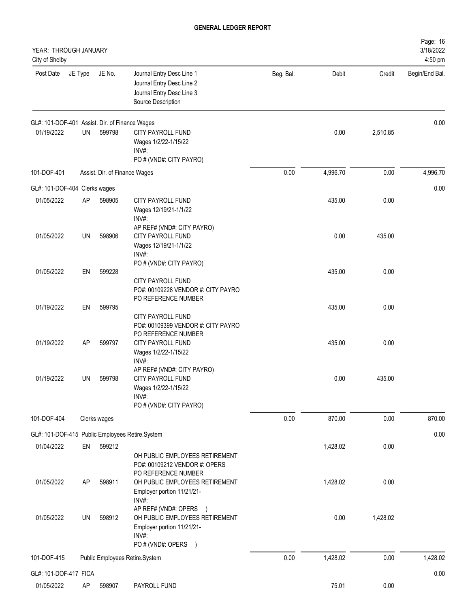| YEAR: THROUGH JANUARY<br>City of Shelby        |         |                               |                                                                                                                |           |          |          | Page: 16<br>3/18/2022<br>4:50 pm |
|------------------------------------------------|---------|-------------------------------|----------------------------------------------------------------------------------------------------------------|-----------|----------|----------|----------------------------------|
| Post Date                                      | JE Type | JE No.                        | Journal Entry Desc Line 1<br>Journal Entry Desc Line 2<br>Journal Entry Desc Line 3<br>Source Description      | Beg. Bal. | Debit    | Credit   | Begin/End Bal.                   |
| GL#: 101-DOF-401 Assist. Dir. of Finance Wages |         |                               |                                                                                                                |           |          |          | 0.00                             |
| 01/19/2022                                     | UN      | 599798                        | CITY PAYROLL FUND<br>Wages 1/2/22-1/15/22<br>INV#:<br>PO # (VND#: CITY PAYRO)                                  |           | 0.00     | 2,510.85 |                                  |
| 101-DOF-401                                    |         | Assist. Dir. of Finance Wages |                                                                                                                | 0.00      | 4,996.70 | 0.00     | 4,996.70                         |
| GL#: 101-DOF-404 Clerks wages                  |         |                               |                                                                                                                |           |          |          | 0.00                             |
| 01/05/2022                                     | AP      | 598905                        | CITY PAYROLL FUND<br>Wages 12/19/21-1/1/22<br>INV#:                                                            |           | 435.00   | 0.00     |                                  |
| 01/05/2022                                     | UN      | 598906                        | AP REF# (VND#: CITY PAYRO)<br>CITY PAYROLL FUND<br>Wages 12/19/21-1/1/22<br>INV#:                              |           | 0.00     | 435.00   |                                  |
| 01/05/2022                                     | EN      | 599228                        | PO # (VND#: CITY PAYRO)<br>CITY PAYROLL FUND<br>PO#: 00109228 VENDOR #: CITY PAYRO                             |           | 435.00   | 0.00     |                                  |
| 01/19/2022                                     | EN      | 599795                        | PO REFERENCE NUMBER<br>CITY PAYROLL FUND<br>PO#: 00109399 VENDOR #: CITY PAYRO<br>PO REFERENCE NUMBER          |           | 435.00   | 0.00     |                                  |
| 01/19/2022                                     | AP      | 599797                        | CITY PAYROLL FUND<br>Wages 1/2/22-1/15/22<br>INV#:                                                             |           | 435.00   | 0.00     |                                  |
| 01/19/2022                                     | UN      | 599798                        | AP REF# (VND#: CITY PAYRO)<br>CITY PAYROLL FUND<br>Wages 1/2/22-1/15/22<br>INV#:<br>PO # (VND#: CITY PAYRO)    |           | 0.00     | 435.00   |                                  |
| 101-DOF-404                                    |         | Clerks wages                  |                                                                                                                | 0.00      | 870.00   | 0.00     | 870.00                           |
|                                                |         |                               | GL#: 101-DOF-415 Public Employees Retire.System                                                                |           |          |          | 0.00                             |
| 01/04/2022                                     | EN      | 599212                        | OH PUBLIC EMPLOYEES RETIREMENT<br>PO#: 00109212 VENDOR #: OPERS<br>PO REFERENCE NUMBER                         |           | 1,428.02 | 0.00     |                                  |
| 01/05/2022                                     | AP      | 598911                        | OH PUBLIC EMPLOYEES RETIREMENT<br>Employer portion 11/21/21-<br>INV#:<br>AP REF# (VND#: OPERS<br>$\rightarrow$ |           | 1,428.02 | 0.00     |                                  |
| 01/05/2022                                     | UN      | 598912                        | OH PUBLIC EMPLOYEES RETIREMENT<br>Employer portion 11/21/21-<br>INV#:<br>PO # (VND#: OPERS<br>$\rightarrow$    |           | 0.00     | 1,428.02 |                                  |
| 101-DOF-415                                    |         |                               | Public Employees Retire.System                                                                                 | 0.00      | 1,428.02 | 0.00     | 1,428.02                         |
| GL#: 101-DOF-417 FICA                          |         |                               |                                                                                                                |           |          |          | 0.00                             |
| 01/05/2022                                     | AP      | 598907                        | PAYROLL FUND                                                                                                   |           | 75.01    | 0.00     |                                  |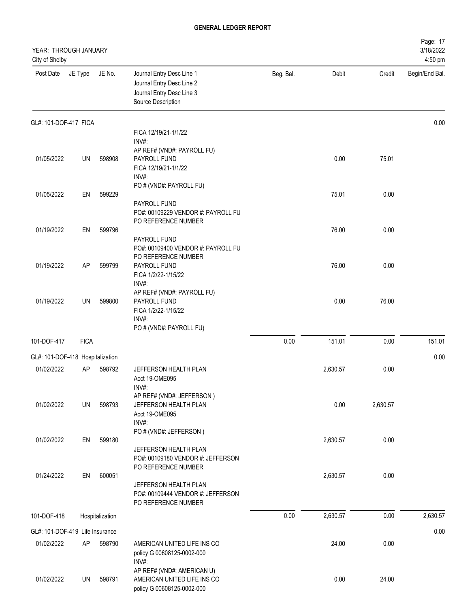| YEAR: THROUGH JANUARY<br>City of Shelby |             |                 |                                                                                                           |           |          |          | Page: 17<br>3/18/2022<br>4:50 pm |
|-----------------------------------------|-------------|-----------------|-----------------------------------------------------------------------------------------------------------|-----------|----------|----------|----------------------------------|
| Post Date                               | JE Type     | JE No.          | Journal Entry Desc Line 1<br>Journal Entry Desc Line 2<br>Journal Entry Desc Line 3<br>Source Description | Beg. Bal. | Debit    | Credit   | Begin/End Bal.                   |
| GL#: 101-DOF-417 FICA                   |             |                 |                                                                                                           |           |          |          | 0.00                             |
|                                         |             |                 | FICA 12/19/21-1/1/22<br>INV#:                                                                             |           |          |          |                                  |
|                                         |             |                 | AP REF# (VND#: PAYROLL FU)                                                                                |           |          |          |                                  |
| 01/05/2022                              | UN          | 598908          | PAYROLL FUND                                                                                              |           | 0.00     | 75.01    |                                  |
|                                         |             |                 | FICA 12/19/21-1/1/22<br>INV#:                                                                             |           |          |          |                                  |
|                                         |             |                 | PO # (VND#: PAYROLL FU)                                                                                   |           |          |          |                                  |
| 01/05/2022                              | EN          | 599229          |                                                                                                           |           | 75.01    | 0.00     |                                  |
|                                         |             |                 | PAYROLL FUND<br>PO#: 00109229 VENDOR #: PAYROLL FU                                                        |           |          |          |                                  |
|                                         |             |                 | PO REFERENCE NUMBER                                                                                       |           |          |          |                                  |
| 01/19/2022                              | EN          | 599796          |                                                                                                           |           | 76.00    | 0.00     |                                  |
|                                         |             |                 | PAYROLL FUND<br>PO#: 00109400 VENDOR #: PAYROLL FU                                                        |           |          |          |                                  |
|                                         |             |                 | PO REFERENCE NUMBER                                                                                       |           |          |          |                                  |
| 01/19/2022                              | AP          | 599799          | PAYROLL FUND                                                                                              |           | 76.00    | 0.00     |                                  |
|                                         |             |                 | FICA 1/2/22-1/15/22<br>INV#:                                                                              |           |          |          |                                  |
|                                         |             |                 | AP REF# (VND#: PAYROLL FU)                                                                                |           |          |          |                                  |
| 01/19/2022                              | UN          | 599800          | PAYROLL FUND                                                                                              |           | 0.00     | 76.00    |                                  |
|                                         |             |                 | FICA 1/2/22-1/15/22<br>INV#:                                                                              |           |          |          |                                  |
|                                         |             |                 | PO # (VND#: PAYROLL FU)                                                                                   |           |          |          |                                  |
| 101-DOF-417                             | <b>FICA</b> |                 |                                                                                                           | 0.00      | 151.01   | 0.00     | 151.01                           |
|                                         |             |                 |                                                                                                           |           |          |          |                                  |
| GL#: 101-DOF-418 Hospitalization        |             |                 |                                                                                                           |           |          |          | 0.00                             |
| 01/02/2022                              | AP          | 598792          | JEFFERSON HEALTH PLAN<br>Acct 19-OME095                                                                   |           | 2,630.57 | 0.00     |                                  |
|                                         |             |                 | INV#:                                                                                                     |           |          |          |                                  |
|                                         |             |                 | AP REF# (VND#: JEFFERSON)                                                                                 |           |          |          |                                  |
| 01/02/2022                              | UN          | 598793          | JEFFERSON HEALTH PLAN<br>Acct 19-OME095                                                                   |           | 0.00     | 2,630.57 |                                  |
|                                         |             |                 | INV#:                                                                                                     |           |          |          |                                  |
|                                         |             |                 | PO # (VND#: JEFFERSON)                                                                                    |           |          |          |                                  |
| 01/02/2022                              | EN          | 599180          | JEFFERSON HEALTH PLAN                                                                                     |           | 2,630.57 | 0.00     |                                  |
|                                         |             |                 | PO#: 00109180 VENDOR #: JEFFERSON                                                                         |           |          |          |                                  |
|                                         |             |                 | PO REFERENCE NUMBER                                                                                       |           |          |          |                                  |
| 01/24/2022                              | EN          | 600051          | JEFFERSON HEALTH PLAN                                                                                     |           | 2,630.57 | 0.00     |                                  |
|                                         |             |                 | PO#: 00109444 VENDOR #: JEFFERSON                                                                         |           |          |          |                                  |
|                                         |             |                 | PO REFERENCE NUMBER                                                                                       |           |          |          |                                  |
| 101-DOF-418                             |             | Hospitalization |                                                                                                           | 0.00      | 2,630.57 | 0.00     | 2,630.57                         |
| GL#: 101-DOF-419 Life Insurance         |             |                 |                                                                                                           |           |          |          | 0.00                             |
| 01/02/2022                              | AP          | 598790          | AMERICAN UNITED LIFE INS CO                                                                               |           | 24.00    | 0.00     |                                  |
|                                         |             |                 | policy G 00608125-0002-000                                                                                |           |          |          |                                  |
|                                         |             |                 | INV#:<br>AP REF# (VND#: AMERICAN U)                                                                       |           |          |          |                                  |
| 01/02/2022                              | UN          | 598791          | AMERICAN UNITED LIFE INS CO                                                                               |           | 0.00     | 24.00    |                                  |
|                                         |             |                 | policy G 00608125-0002-000                                                                                |           |          |          |                                  |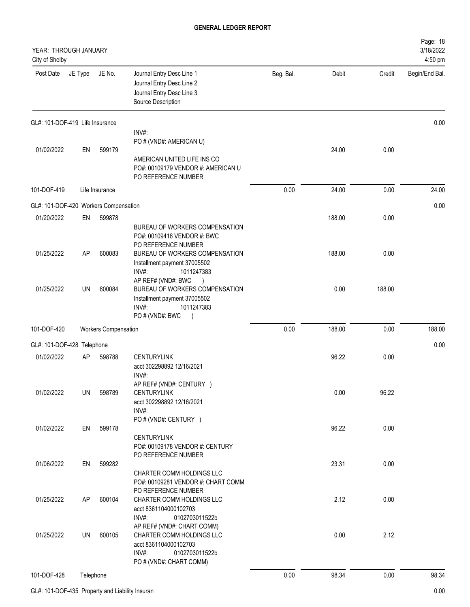| YEAR: THROUGH JANUARY<br>City of Shelby |           |                             |                                                                                                             |           |        |        | Page: 18<br>3/18/2022<br>4:50 pm |
|-----------------------------------------|-----------|-----------------------------|-------------------------------------------------------------------------------------------------------------|-----------|--------|--------|----------------------------------|
| Post Date                               | JE Type   | JE No.                      | Journal Entry Desc Line 1<br>Journal Entry Desc Line 2<br>Journal Entry Desc Line 3<br>Source Description   | Beg. Bal. | Debit  | Credit | Begin/End Bal.                   |
| GL#: 101-DOF-419 Life Insurance         |           |                             |                                                                                                             |           |        |        | 0.00                             |
| 01/02/2022                              | EN        | 599179                      | INV#:<br>PO # (VND#: AMERICAN U)<br>AMERICAN UNITED LIFE INS CO                                             |           | 24.00  | 0.00   |                                  |
|                                         |           |                             | PO#: 00109179 VENDOR #: AMERICAN U<br>PO REFERENCE NUMBER                                                   |           |        |        |                                  |
| 101-DOF-419                             |           | Life Insurance              |                                                                                                             | 0.00      | 24.00  | 0.00   | 24.00                            |
| GL#: 101-DOF-420 Workers Compensation   |           |                             |                                                                                                             |           |        |        | 0.00                             |
| 01/20/2022                              | EN        | 599878                      |                                                                                                             |           | 188.00 | 0.00   |                                  |
|                                         |           |                             | BUREAU OF WORKERS COMPENSATION<br>PO#: 00109416 VENDOR #: BWC<br>PO REFERENCE NUMBER                        |           |        |        |                                  |
| 01/25/2022                              | AP        | 600083                      | BUREAU OF WORKERS COMPENSATION<br>Installment payment 37005502<br>INV#:<br>1011247383<br>AP REF# (VND#: BWC |           | 188.00 | 0.00   |                                  |
| 01/25/2022                              | <b>UN</b> | 600084                      | BUREAU OF WORKERS COMPENSATION<br>Installment payment 37005502<br>INV#:<br>1011247383<br>PO # (VND#: BWC    |           | 0.00   | 188.00 |                                  |
| 101-DOF-420                             |           | <b>Workers Compensation</b> |                                                                                                             | 0.00      | 188.00 | 0.00   | 188.00                           |
| GL#: 101-DOF-428 Telephone              |           |                             |                                                                                                             |           |        |        | 0.00                             |
| 01/02/2022                              | AP        | 598788                      | <b>CENTURYLINK</b><br>acct 302298892 12/16/2021<br>INV#:                                                    |           | 96.22  | 0.00   |                                  |
| 01/02/2022                              | UN        | 598789                      | AP REF# (VND#: CENTURY )<br><b>CENTURYLINK</b><br>acct 302298892 12/16/2021<br>INV#:                        |           | 0.00   | 96.22  |                                  |
| 01/02/2022                              | EN        | 599178                      | PO # (VND#: CENTURY )<br><b>CENTURYLINK</b><br>PO#: 00109178 VENDOR #: CENTURY<br>PO REFERENCE NUMBER       |           | 96.22  | 0.00   |                                  |
| 01/06/2022                              | EN        | 599282                      | CHARTER COMM HOLDINGS LLC                                                                                   |           | 23.31  | 0.00   |                                  |
| 01/25/2022                              | AP        | 600104                      | PO#: 00109281 VENDOR #: CHART COMM<br>PO REFERENCE NUMBER<br>CHARTER COMM HOLDINGS LLC                      |           | 2.12   | 0.00   |                                  |
|                                         |           |                             | acct 8361104000102703<br>INV#:<br>0102703011522b<br>AP REF# (VND#: CHART COMM)                              |           |        |        |                                  |
| 01/25/2022                              | UN        | 600105                      | CHARTER COMM HOLDINGS LLC<br>acct 8361104000102703<br>INV#:<br>0102703011522b<br>PO # (VND#: CHART COMM)    |           | 0.00   | 2.12   |                                  |
| 101-DOF-428                             | Telephone |                             |                                                                                                             | 0.00      | 98.34  | 0.00   | 98.34                            |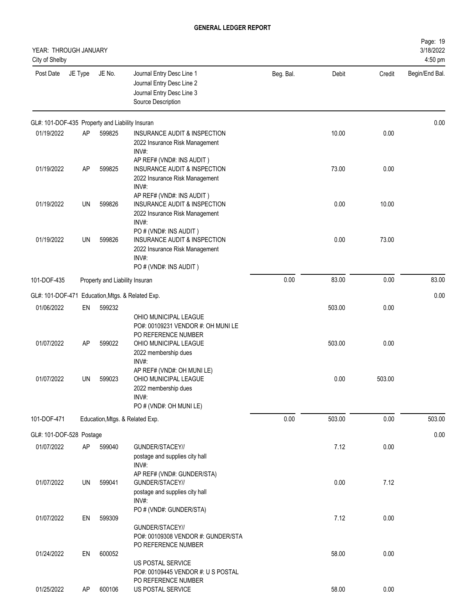| YEAR: THROUGH JANUARY<br>City of Shelby         |         |                                |                                                                                                                             |           |        |        | Page: 19<br>3/18/2022<br>4:50 pm |
|-------------------------------------------------|---------|--------------------------------|-----------------------------------------------------------------------------------------------------------------------------|-----------|--------|--------|----------------------------------|
| Post Date                                       | JE Type | JE No.                         | Journal Entry Desc Line 1<br>Journal Entry Desc Line 2<br>Journal Entry Desc Line 3<br>Source Description                   | Beg. Bal. | Debit  | Credit | Begin/End Bal.                   |
| GL#: 101-DOF-435 Property and Liability Insuran |         |                                |                                                                                                                             |           |        |        | 0.00                             |
| 01/19/2022                                      | AP      | 599825                         | INSURANCE AUDIT & INSPECTION<br>2022 Insurance Risk Management<br>INV#:<br>AP REF# (VND#: INS AUDIT)                        |           | 10.00  | 0.00   |                                  |
| 01/19/2022                                      | AP      | 599825                         | INSURANCE AUDIT & INSPECTION<br>2022 Insurance Risk Management<br>INV#:                                                     |           | 73.00  | 0.00   |                                  |
| 01/19/2022                                      | UN      | 599826                         | AP REF# (VND#: INS AUDIT)<br>INSURANCE AUDIT & INSPECTION<br>2022 Insurance Risk Management<br>INV#:                        |           | 0.00   | 10.00  |                                  |
| 01/19/2022                                      | UN      | 599826                         | PO # (VND#: INS AUDIT)<br>INSURANCE AUDIT & INSPECTION<br>2022 Insurance Risk Management<br>INV#:<br>PO # (VND#: INS AUDIT) |           | 0.00   | 73.00  |                                  |
| 101-DOF-435                                     |         | Property and Liability Insuran |                                                                                                                             | 0.00      | 83.00  | 0.00   | 83.00                            |
|                                                 |         |                                | GL#: 101-DOF-471 Education, Mtgs. & Related Exp.                                                                            |           |        |        | 0.00                             |
| 01/06/2022                                      | EN      | 599232                         |                                                                                                                             |           | 503.00 | 0.00   |                                  |
|                                                 |         |                                | OHIO MUNICIPAL LEAGUE<br>PO#: 00109231 VENDOR #: OH MUNI LE<br>PO REFERENCE NUMBER                                          |           |        |        |                                  |
| 01/07/2022                                      | AP      | 599022                         | OHIO MUNICIPAL LEAGUE<br>2022 membership dues<br>INV#:<br>AP REF# (VND#: OH MUNI LE)                                        |           | 503.00 | 0.00   |                                  |
| 01/07/2022                                      | UN      | 599023                         | OHIO MUNICIPAL LEAGUE<br>2022 membership dues<br>INV#:<br>PO # (VND#: OH MUNI LE)                                           |           | 0.00   | 503.00 |                                  |
| 101-DOF-471                                     |         |                                | Education, Mtgs. & Related Exp.                                                                                             | 0.00      | 503.00 | 0.00   | 503.00                           |
| GL#: 101-DOF-528 Postage                        |         |                                |                                                                                                                             |           |        |        | 0.00                             |
| 01/07/2022                                      | AP      | 599040                         | GUNDER/STACEY//<br>postage and supplies city hall<br>INV#:                                                                  |           | 7.12   | 0.00   |                                  |
| 01/07/2022                                      | UN      | 599041                         | AP REF# (VND#: GUNDER/STA)<br>GUNDER/STACEY//<br>postage and supplies city hall<br>INV#:                                    |           | 0.00   | 7.12   |                                  |
| 01/07/2022                                      | EN      | 599309                         | PO # (VND#: GUNDER/STA)<br>GUNDER/STACEY//<br>PO#: 00109308 VENDOR #: GUNDER/STA<br>PO REFERENCE NUMBER                     |           | 7.12   | 0.00   |                                  |
| 01/24/2022                                      | EN      | 600052                         | US POSTAL SERVICE<br>PO#: 00109445 VENDOR #: U S POSTAL<br>PO REFERENCE NUMBER                                              |           | 58.00  | 0.00   |                                  |
| 01/25/2022                                      | AP      | 600106                         | US POSTAL SERVICE                                                                                                           |           | 58.00  | 0.00   |                                  |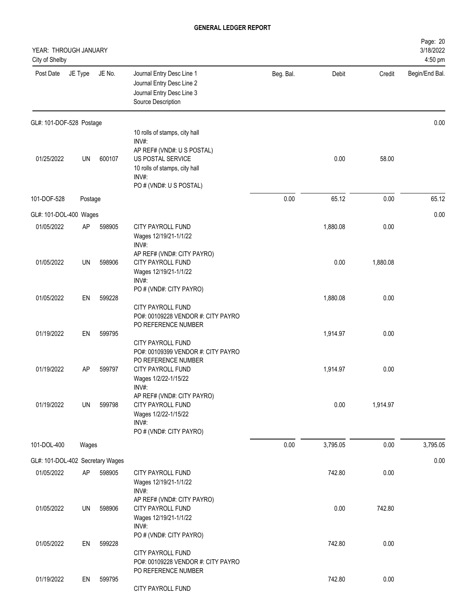| YEAR: THROUGH JANUARY<br>City of Shelby |           |        |                                                                                                                      |           |          |          | Page: 20<br>3/18/2022<br>4:50 pm |
|-----------------------------------------|-----------|--------|----------------------------------------------------------------------------------------------------------------------|-----------|----------|----------|----------------------------------|
| Post Date                               | JE Type   | JE No. | Journal Entry Desc Line 1<br>Journal Entry Desc Line 2<br>Journal Entry Desc Line 3<br>Source Description            | Beg. Bal. | Debit    | Credit   | Begin/End Bal.                   |
| GL#: 101-DOF-528 Postage                |           |        |                                                                                                                      |           |          |          | 0.00                             |
|                                         |           |        | 10 rolls of stamps, city hall<br>$INV#$ :                                                                            |           |          |          |                                  |
| 01/25/2022                              | UN        | 600107 | AP REF# (VND#: U S POSTAL)<br>US POSTAL SERVICE<br>10 rolls of stamps, city hall<br>INV#:<br>PO # (VND#: U S POSTAL) |           | 0.00     | 58.00    |                                  |
| 101-DOF-528                             | Postage   |        |                                                                                                                      | 0.00      | 65.12    | 0.00     | 65.12                            |
| GL#: 101-DOL-400 Wages                  |           |        |                                                                                                                      |           |          |          | 0.00                             |
| 01/05/2022                              | <b>AP</b> | 598905 | CITY PAYROLL FUND<br>Wages 12/19/21-1/1/22<br>INV#:                                                                  |           | 1,880.08 | 0.00     |                                  |
| 01/05/2022                              | UN        | 598906 | AP REF# (VND#: CITY PAYRO)<br>CITY PAYROLL FUND<br>Wages 12/19/21-1/1/22<br>INV#:                                    |           | 0.00     | 1,880.08 |                                  |
| 01/05/2022                              | EN        | 599228 | PO # (VND#: CITY PAYRO)<br>CITY PAYROLL FUND<br>PO#: 00109228 VENDOR #: CITY PAYRO                                   |           | 1,880.08 | 0.00     |                                  |
| 01/19/2022                              | EN        | 599795 | PO REFERENCE NUMBER<br><b>CITY PAYROLL FUND</b><br>PO#: 00109399 VENDOR #: CITY PAYRO                                |           | 1,914.97 | 0.00     |                                  |
| 01/19/2022                              | <b>AP</b> | 599797 | PO REFERENCE NUMBER<br>CITY PAYROLL FUND<br>Wages 1/2/22-1/15/22<br>INV#:                                            |           | 1,914.97 | 0.00     |                                  |
| 01/19/2022                              | UN        | 599798 | AP REF# (VND#: CITY PAYRO)<br>CITY PAYROLL FUND<br>Wages 1/2/22-1/15/22<br>INV#:<br>PO # (VND#: CITY PAYRO)          |           | 0.00     | 1,914.97 |                                  |
| 101-DOL-400                             | Wages     |        |                                                                                                                      | 0.00      | 3,795.05 | 0.00     | 3,795.05                         |
| GL#: 101-DOL-402 Secretary Wages        |           |        |                                                                                                                      |           |          |          | 0.00                             |
| 01/05/2022                              | AP        | 598905 | CITY PAYROLL FUND<br>Wages 12/19/21-1/1/22<br>INV#:                                                                  |           | 742.80   | 0.00     |                                  |
| 01/05/2022                              | UN        | 598906 | AP REF# (VND#: CITY PAYRO)<br>CITY PAYROLL FUND<br>Wages 12/19/21-1/1/22<br>$INV#$ :                                 |           | 0.00     | 742.80   |                                  |
| 01/05/2022                              | EN        | 599228 | PO # (VND#: CITY PAYRO)<br>CITY PAYROLL FUND<br>PO#: 00109228 VENDOR #: CITY PAYRO                                   |           | 742.80   | 0.00     |                                  |
| 01/19/2022                              | EN        | 599795 | PO REFERENCE NUMBER<br>CITY PAYROLL FUND                                                                             |           | 742.80   | 0.00     |                                  |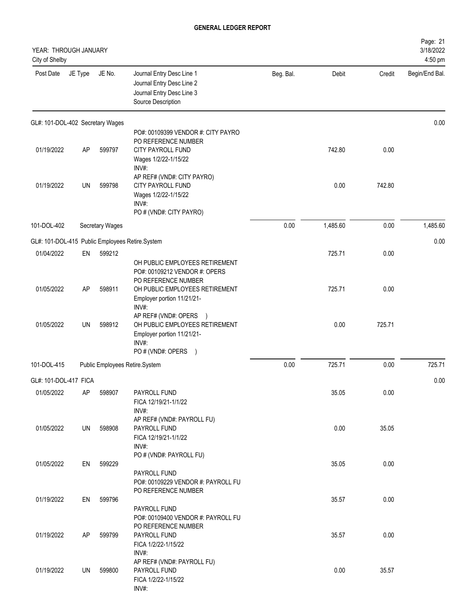| YEAR: THROUGH JANUARY<br>City of Shelby |         |                 |                                                                                                                                                                 |           |          |        | Page: 21<br>3/18/2022<br>4:50 pm |
|-----------------------------------------|---------|-----------------|-----------------------------------------------------------------------------------------------------------------------------------------------------------------|-----------|----------|--------|----------------------------------|
| Post Date                               | JE Type | JE No.          | Journal Entry Desc Line 1<br>Journal Entry Desc Line 2<br>Journal Entry Desc Line 3<br>Source Description                                                       | Beg. Bal. | Debit    | Credit | Begin/End Bal.                   |
| GL#: 101-DOL-402 Secretary Wages        |         |                 |                                                                                                                                                                 |           |          |        | 0.00                             |
| 01/19/2022                              | AP      | 599797          | PO#: 00109399 VENDOR #: CITY PAYRO<br>PO REFERENCE NUMBER<br>CITY PAYROLL FUND<br>Wages 1/2/22-1/15/22                                                          |           | 742.80   | 0.00   |                                  |
| 01/19/2022                              | UN      | 599798          | INV#:<br>AP REF# (VND#: CITY PAYRO)<br><b>CITY PAYROLL FUND</b><br>Wages 1/2/22-1/15/22<br>INV#:<br>PO # (VND#: CITY PAYRO)                                     |           | 0.00     | 742.80 |                                  |
| 101-DOL-402                             |         | Secretary Wages |                                                                                                                                                                 | 0.00      | 1,485.60 | 0.00   | 1,485.60                         |
|                                         |         |                 | GL#: 101-DOL-415 Public Employees Retire.System                                                                                                                 |           |          |        | 0.00                             |
| 01/04/2022                              | EN      | 599212          |                                                                                                                                                                 |           | 725.71   | 0.00   |                                  |
| 01/05/2022                              | AP      | 598911          | OH PUBLIC EMPLOYEES RETIREMENT<br>PO#: 00109212 VENDOR #: OPERS<br>PO REFERENCE NUMBER<br>OH PUBLIC EMPLOYEES RETIREMENT<br>Employer portion 11/21/21-<br>INV#: |           | 725.71   | 0.00   |                                  |
| 01/05/2022                              | UN      | 598912          | AP REF# (VND#: OPERS<br>OH PUBLIC EMPLOYEES RETIREMENT<br>Employer portion 11/21/21-<br>INV#:<br>PO#(VND#: OPERS )                                              |           | 0.00     | 725.71 |                                  |
| 101-DOL-415                             |         |                 | Public Employees Retire.System                                                                                                                                  | 0.00      | 725.71   | 0.00   | 725.71                           |
| GL#: 101-DOL-417 FICA                   |         |                 |                                                                                                                                                                 |           |          |        | 0.00                             |
| 01/05/2022                              | AP.     | 598907          | PAYROLL FUND<br>FICA 12/19/21-1/1/22                                                                                                                            |           | 35.05    | 0.00   |                                  |
| 01/05/2022                              | UN      | 598908          | INV#:<br>AP REF# (VND#: PAYROLL FU)<br>PAYROLL FUND<br>FICA 12/19/21-1/1/22<br>INV#:                                                                            |           | 0.00     | 35.05  |                                  |
| 01/05/2022                              | EN      | 599229          | PO # (VND#: PAYROLL FU)<br>PAYROLL FUND                                                                                                                         |           | 35.05    | 0.00   |                                  |
| 01/19/2022                              | EN      | 599796          | PO#: 00109229 VENDOR #: PAYROLL FU<br>PO REFERENCE NUMBER                                                                                                       |           | 35.57    | 0.00   |                                  |
| 01/19/2022                              | AP      | 599799          | PAYROLL FUND<br>PO#: 00109400 VENDOR #: PAYROLL FU<br>PO REFERENCE NUMBER<br>PAYROLL FUND<br>FICA 1/2/22-1/15/22                                                |           | 35.57    | 0.00   |                                  |
| 01/19/2022                              | UN      | 599800          | INV#:<br>AP REF# (VND#: PAYROLL FU)<br>PAYROLL FUND<br>FICA 1/2/22-1/15/22<br>INV#:                                                                             |           | 0.00     | 35.57  |                                  |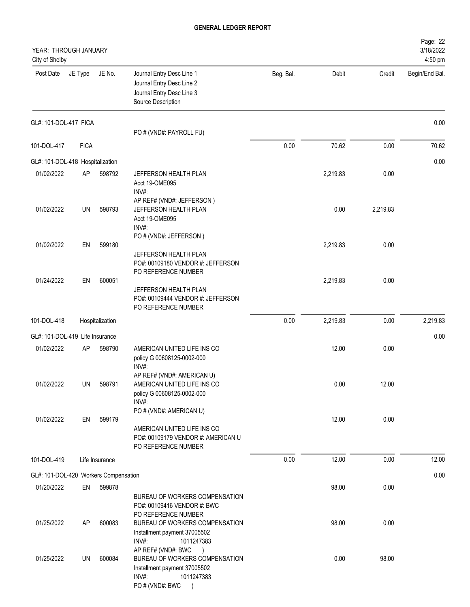| YEAR: THROUGH JANUARY<br>City of Shelby |             |                 |                                                                                                                                               |           |          |          | Page: 22<br>3/18/2022<br>4:50 pm |
|-----------------------------------------|-------------|-----------------|-----------------------------------------------------------------------------------------------------------------------------------------------|-----------|----------|----------|----------------------------------|
| Post Date                               | JE Type     | JE No.          | Journal Entry Desc Line 1<br>Journal Entry Desc Line 2<br>Journal Entry Desc Line 3<br>Source Description                                     | Beg. Bal. | Debit    | Credit   | Begin/End Bal.                   |
| GL#: 101-DOL-417 FICA                   |             |                 | PO # (VND#: PAYROLL FU)                                                                                                                       |           |          |          | 0.00                             |
| 101-DOL-417                             | <b>FICA</b> |                 |                                                                                                                                               | 0.00      | 70.62    | 0.00     | 70.62                            |
| GL#: 101-DOL-418 Hospitalization        |             |                 |                                                                                                                                               |           |          |          | 0.00                             |
| 01/02/2022                              | AP          | 598792          | JEFFERSON HEALTH PLAN<br>Acct 19-OME095<br>INV#:                                                                                              |           | 2,219.83 | 0.00     |                                  |
| 01/02/2022                              | UN          | 598793          | AP REF# (VND#: JEFFERSON)<br>JEFFERSON HEALTH PLAN<br>Acct 19-OME095<br>INV#:                                                                 |           | 0.00     | 2,219.83 |                                  |
| 01/02/2022                              | EN          | 599180          | PO # (VND#: JEFFERSON)<br>JEFFERSON HEALTH PLAN                                                                                               |           | 2,219.83 | 0.00     |                                  |
| 01/24/2022                              | EN          | 600051          | PO#: 00109180 VENDOR #: JEFFERSON<br>PO REFERENCE NUMBER<br>JEFFERSON HEALTH PLAN<br>PO#: 00109444 VENDOR #: JEFFERSON<br>PO REFERENCE NUMBER |           | 2,219.83 | 0.00     |                                  |
| 101-DOL-418                             |             | Hospitalization |                                                                                                                                               | 0.00      | 2,219.83 | 0.00     | 2,219.83                         |
| GL#: 101-DOL-419 Life Insurance         |             |                 |                                                                                                                                               |           |          |          | 0.00                             |
| 01/02/2022                              | AP          | 598790          | AMERICAN UNITED LIFE INS CO<br>policy G 00608125-0002-000<br>INV#:                                                                            |           | 12.00    | 0.00     |                                  |
| 01/02/2022                              | UN          | 598791          | AP REF# (VND#: AMERICAN U)<br>AMERICAN UNITED LIFE INS CO<br>policy G 00608125-0002-000<br>INV#:                                              |           | 0.00     | 12.00    |                                  |
| 01/02/2022                              | EN          | 599179          | PO # (VND#: AMERICAN U)<br>AMERICAN UNITED LIFE INS CO<br>PO#: 00109179 VENDOR #: AMERICAN U<br>PO REFERENCE NUMBER                           |           | 12.00    | 0.00     |                                  |
| 101-DOL-419                             |             | Life Insurance  |                                                                                                                                               | 0.00      | 12.00    | 0.00     | 12.00                            |
| GL#: 101-DOL-420 Workers Compensation   |             |                 |                                                                                                                                               |           |          |          | 0.00                             |
| 01/20/2022                              | EN          | 599878          | BUREAU OF WORKERS COMPENSATION<br>PO#: 00109416 VENDOR #: BWC                                                                                 |           | 98.00    | 0.00     |                                  |
| 01/25/2022                              | AP          | 600083          | PO REFERENCE NUMBER<br>BUREAU OF WORKERS COMPENSATION<br>Installment payment 37005502<br>INV#:<br>1011247383                                  |           | 98.00    | 0.00     |                                  |
| 01/25/2022                              | UN          | 600084          | AP REF# (VND#: BWC<br>$\rightarrow$<br>BUREAU OF WORKERS COMPENSATION<br>Installment payment 37005502<br>INV#:<br>1011247383<br>PO#(VND#: BWC |           | 0.00     | 98.00    |                                  |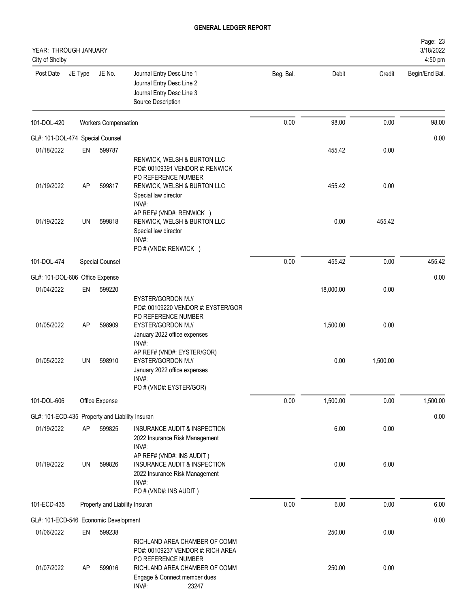| YEAR: THROUGH JANUARY<br>City of Shelby         |                 |                                |                                                                                                                                                                                                    |           |                  |                  | Page: 23<br>3/18/2022<br>4:50 pm |
|-------------------------------------------------|-----------------|--------------------------------|----------------------------------------------------------------------------------------------------------------------------------------------------------------------------------------------------|-----------|------------------|------------------|----------------------------------|
| Post Date                                       | JE Type         | JE No.                         | Journal Entry Desc Line 1<br>Journal Entry Desc Line 2<br>Journal Entry Desc Line 3<br>Source Description                                                                                          | Beg. Bal. | Debit            | Credit           | Begin/End Bal.                   |
| 101-DOL-420                                     |                 | <b>Workers Compensation</b>    |                                                                                                                                                                                                    | 0.00      | 98.00            | 0.00             | 98.00                            |
| GL#: 101-DOL-474 Special Counsel                |                 |                                |                                                                                                                                                                                                    |           |                  |                  | 0.00                             |
| 01/18/2022                                      | EN              | 599787                         |                                                                                                                                                                                                    |           | 455.42           | 0.00             |                                  |
| 01/19/2022                                      | AP              | 599817                         | RENWICK, WELSH & BURTON LLC<br>PO#: 00109391 VENDOR #: RENWICK<br>PO REFERENCE NUMBER<br>RENWICK, WELSH & BURTON LLC<br>Special law director<br>INV#:                                              |           | 455.42           | 0.00             |                                  |
| 01/19/2022                                      | UN              | 599818                         | AP REF# (VND#: RENWICK )<br>RENWICK, WELSH & BURTON LLC<br>Special law director<br>INV#:<br>PO # (VND#: RENWICK )                                                                                  |           | 0.00             | 455.42           |                                  |
| 101-DOL-474                                     |                 | Special Counsel                |                                                                                                                                                                                                    | 0.00      | 455.42           | 0.00             | 455.42                           |
| GL#: 101-DOL-606 Office Expense                 |                 |                                |                                                                                                                                                                                                    |           |                  |                  | 0.00                             |
| 01/04/2022                                      | EN              | 599220                         |                                                                                                                                                                                                    |           | 18,000.00        | 0.00             |                                  |
| 01/05/2022<br>01/05/2022                        | <b>AP</b><br>UN | 598909<br>598910               | EYSTER/GORDON M.//<br>PO#: 00109220 VENDOR #: EYSTER/GOR<br>PO REFERENCE NUMBER<br>EYSTER/GORDON M.//<br>January 2022 office expenses<br>INV#:<br>AP REF# (VND#: EYSTER/GOR)<br>EYSTER/GORDON M.// |           | 1,500.00<br>0.00 | 0.00<br>1,500.00 |                                  |
|                                                 |                 |                                | January 2022 office expenses<br>INV#:<br>PO # (VND#: EYSTER/GOR)                                                                                                                                   |           |                  |                  |                                  |
| 101-DOL-606                                     |                 | Office Expense                 |                                                                                                                                                                                                    | 0.00      | 1,500.00         | 0.00             | 1,500.00                         |
| GL#: 101-ECD-435 Property and Liability Insuran |                 |                                |                                                                                                                                                                                                    |           |                  |                  | 0.00                             |
| 01/19/2022                                      | <b>AP</b>       | 599825                         | INSURANCE AUDIT & INSPECTION<br>2022 Insurance Risk Management<br>INV#:<br>AP REF# (VND#: INS AUDIT)                                                                                               |           | 6.00             | 0.00             |                                  |
| 01/19/2022                                      | UN              | 599826                         | INSURANCE AUDIT & INSPECTION<br>2022 Insurance Risk Management<br>INV#:<br>PO # (VND#: INS AUDIT)                                                                                                  |           | 0.00             | 6.00             |                                  |
| 101-ECD-435                                     |                 | Property and Liability Insuran |                                                                                                                                                                                                    | 0.00      | 6.00             | 0.00             | 6.00                             |
| GL#: 101-ECD-546 Economic Development           |                 |                                |                                                                                                                                                                                                    |           |                  |                  | 0.00                             |
| 01/06/2022                                      | EN              | 599238                         |                                                                                                                                                                                                    |           | 250.00           | 0.00             |                                  |
| 01/07/2022                                      | AP              | 599016                         | RICHLAND AREA CHAMBER OF COMM<br>PO#: 00109237 VENDOR #: RICH AREA<br>PO REFERENCE NUMBER<br>RICHLAND AREA CHAMBER OF COMM<br>Engage & Connect member dues<br>INV#:<br>23247                       |           | 250.00           | 0.00             |                                  |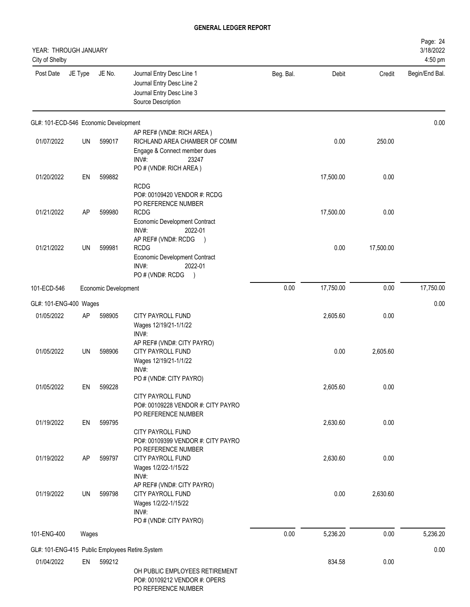| YEAR: THROUGH JANUARY<br>City of Shelby |           |                      |                                                                                                                              |           |           |           | Page: 24<br>3/18/2022<br>4:50 pm |
|-----------------------------------------|-----------|----------------------|------------------------------------------------------------------------------------------------------------------------------|-----------|-----------|-----------|----------------------------------|
| Post Date                               | JE Type   | JE No.               | Journal Entry Desc Line 1<br>Journal Entry Desc Line 2<br>Journal Entry Desc Line 3<br>Source Description                    | Beg. Bal. | Debit     | Credit    | Begin/End Bal.                   |
| GL#: 101-ECD-546 Economic Development   |           |                      |                                                                                                                              |           |           |           | 0.00                             |
| 01/07/2022                              | UN        | 599017               | AP REF# (VND#: RICH AREA)<br>RICHLAND AREA CHAMBER OF COMM<br>Engage & Connect member dues<br>INV#:<br>23247                 |           | 0.00      | 250.00    |                                  |
| 01/20/2022                              | EN        | 599882               | PO # (VND#: RICH AREA)<br><b>RCDG</b><br>PO#: 00109420 VENDOR #: RCDG                                                        |           | 17,500.00 | 0.00      |                                  |
| 01/21/2022                              | AP        | 599980               | PO REFERENCE NUMBER<br><b>RCDG</b><br>Economic Development Contract<br>INV#:<br>2022-01                                      |           | 17,500.00 | 0.00      |                                  |
| 01/21/2022                              | UN        | 599981               | AP REF# (VND#: RCDG<br><b>RCDG</b><br>Economic Development Contract<br>2022-01<br>INV#:<br>PO # (VND#: RCDG<br>$\rightarrow$ |           | 0.00      | 17,500.00 |                                  |
| 101-ECD-546                             |           | Economic Development |                                                                                                                              | 0.00      | 17,750.00 | 0.00      | 17,750.00                        |
| GL#: 101-ENG-400 Wages                  |           |                      |                                                                                                                              |           |           |           | 0.00                             |
| 01/05/2022                              | AP        | 598905               | <b>CITY PAYROLL FUND</b><br>Wages 12/19/21-1/1/22<br>INV#:                                                                   |           | 2,605.60  | 0.00      |                                  |
| 01/05/2022                              | UN        | 598906               | AP REF# (VND#: CITY PAYRO)<br>CITY PAYROLL FUND<br>Wages 12/19/21-1/1/22<br>INV#:                                            |           | 0.00      | 2,605.60  |                                  |
| 01/05/2022                              | EN        | 599228               | PO # (VND#: CITY PAYRO)<br>CITY PAYROLL FUND<br>PO#: 00109228 VENDOR #: CITY PAYRO                                           |           | 2,605.60  | 0.00      |                                  |
| 01/19/2022                              | EN        | 599795               | PO REFERENCE NUMBER<br><b>CITY PAYROLL FUND</b><br>PO#: 00109399 VENDOR #: CITY PAYRO<br>PO REFERENCE NUMBER                 |           | 2,630.60  | 0.00      |                                  |
| 01/19/2022                              | <b>AP</b> | 599797               | CITY PAYROLL FUND<br>Wages 1/2/22-1/15/22<br>INV#:<br>AP REF# (VND#: CITY PAYRO)                                             |           | 2,630.60  | 0.00      |                                  |
| 01/19/2022                              | UN        | 599798               | CITY PAYROLL FUND<br>Wages 1/2/22-1/15/22<br>INV#:<br>PO # (VND#: CITY PAYRO)                                                |           | 0.00      | 2,630.60  |                                  |
| 101-ENG-400                             | Wages     |                      |                                                                                                                              | 0.00      | 5,236.20  | 0.00      | 5,236.20                         |
|                                         |           |                      | GL#: 101-ENG-415 Public Employees Retire.System                                                                              |           |           |           | 0.00                             |
| 01/04/2022                              | EN        | 599212               | OH PUBLIC EMPLOYEES RETIREMENT<br>PO#: 00109212 VENDOR #: OPERS<br>PO REFERENCE NUMBER                                       |           | 834.58    | 0.00      |                                  |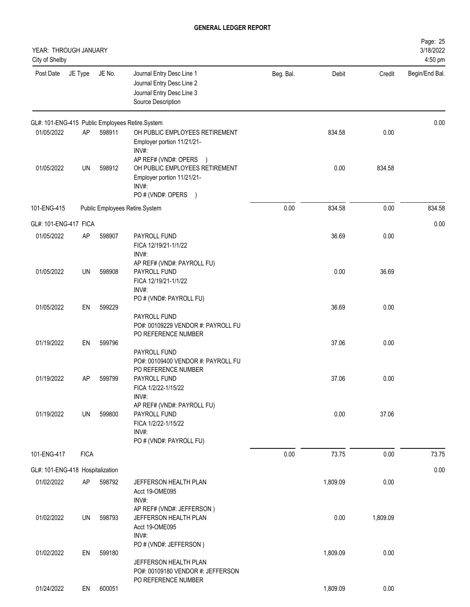| YEAR: THROUGH JANUARY<br>City of Shelby |             |        |                                                                                                           |           |          |          | Page: 25<br>3/18/2022<br>4:50 pm |
|-----------------------------------------|-------------|--------|-----------------------------------------------------------------------------------------------------------|-----------|----------|----------|----------------------------------|
| Post Date                               | JE Type     | JE No. | Journal Entry Desc Line 1<br>Journal Entry Desc Line 2<br>Journal Entry Desc Line 3<br>Source Description | Beg. Bal. | Debit    | Credit   | Begin/End Bal.                   |
|                                         |             |        | GL#: 101-ENG-415 Public Employees Retire.System                                                           |           |          |          | 0.00                             |
| 01/05/2022                              | AP          | 598911 | OH PUBLIC EMPLOYEES RETIREMENT<br>Employer portion 11/21/21-<br>INV#:<br>AP REF# (VND#: OPERS             |           | 834.58   | 0.00     |                                  |
| 01/05/2022                              | UN          | 598912 | OH PUBLIC EMPLOYEES RETIREMENT<br>Employer portion 11/21/21-<br>INV#:<br>PO # (VND#: OPERS )              |           | 0.00     | 834.58   |                                  |
| 101-ENG-415                             |             |        | Public Employees Retire.System                                                                            | 0.00      | 834.58   | 0.00     | 834.58                           |
| GL#: 101-ENG-417 FICA                   |             |        |                                                                                                           |           |          |          | 0.00                             |
| 01/05/2022                              | <b>AP</b>   | 598907 | PAYROLL FUND<br>FICA 12/19/21-1/1/22<br>INV#:                                                             |           | 36.69    | 0.00     |                                  |
| 01/05/2022                              | UN          | 598908 | AP REF# (VND#: PAYROLL FU)<br>PAYROLL FUND<br>FICA 12/19/21-1/1/22<br>INV#:                               |           | 0.00     | 36.69    |                                  |
| 01/05/2022                              | EN          | 599229 | PO # (VND#: PAYROLL FU)<br>PAYROLL FUND<br>PO#: 00109229 VENDOR #: PAYROLL FU                             |           | 36.69    | 0.00     |                                  |
| 01/19/2022                              | EN          | 599796 | PO REFERENCE NUMBER<br>PAYROLL FUND<br>PO#: 00109400 VENDOR #: PAYROLL FU<br>PO REFERENCE NUMBER          |           | 37.06    | 0.00     |                                  |
| 01/19/2022                              | AP          | 599799 | PAYROLL FUND<br>FICA 1/2/22-1/15/22<br>INV#:<br>AP REF# (VND#: PAYROLL FU)                                |           | 37.06    | 0.00     |                                  |
| 01/19/2022                              | UN          | 599800 | PAYROLL FUND<br>FICA 1/2/22-1/15/22<br>INV#:<br>PO # (VND#: PAYROLL FU)                                   |           | 0.00     | 37.06    |                                  |
| 101-ENG-417                             | <b>FICA</b> |        |                                                                                                           | 0.00      | 73.75    | 0.00     | 73.75                            |
| GL#: 101-ENG-418 Hospitalization        |             |        |                                                                                                           |           |          |          | 0.00                             |
| 01/02/2022                              | AP          | 598792 | JEFFERSON HEALTH PLAN<br>Acct 19-OME095<br>INV#:                                                          |           | 1,809.09 | 0.00     |                                  |
| 01/02/2022                              | UN          | 598793 | AP REF# (VND#: JEFFERSON)<br>JEFFERSON HEALTH PLAN<br>Acct 19-OME095<br>$INV#$ :                          |           | 0.00     | 1,809.09 |                                  |
| 01/02/2022                              | EN          | 599180 | PO # (VND#: JEFFERSON)<br>JEFFERSON HEALTH PLAN<br>PO#: 00109180 VENDOR #: JEFFERSON                      |           | 1,809.09 | 0.00     |                                  |
| 01/24/2022                              | EN          | 600051 | PO REFERENCE NUMBER                                                                                       |           | 1,809.09 | 0.00     |                                  |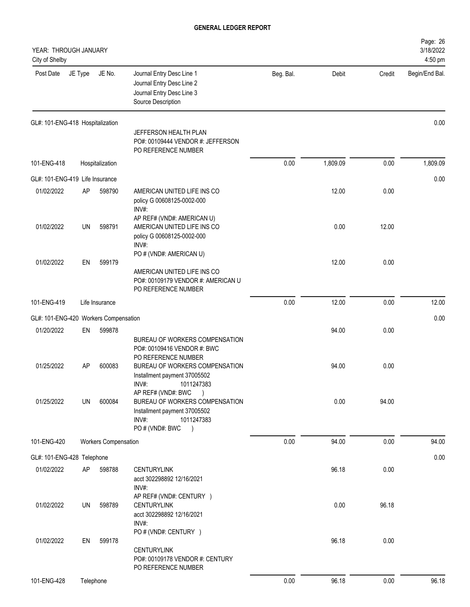| YEAR: THROUGH JANUARY<br>City of Shelby |         |                             |                                                                                                                                             |           |          |        | Page: 26<br>3/18/2022<br>4:50 pm |
|-----------------------------------------|---------|-----------------------------|---------------------------------------------------------------------------------------------------------------------------------------------|-----------|----------|--------|----------------------------------|
| Post Date                               | JE Type | JE No.                      | Journal Entry Desc Line 1<br>Journal Entry Desc Line 2<br>Journal Entry Desc Line 3<br>Source Description                                   | Beg. Bal. | Debit    | Credit | Begin/End Bal.                   |
| GL#: 101-ENG-418 Hospitalization        |         |                             |                                                                                                                                             |           |          |        | 0.00                             |
|                                         |         |                             | JEFFERSON HEALTH PLAN<br>PO#: 00109444 VENDOR #: JEFFERSON<br>PO REFERENCE NUMBER                                                           |           |          |        |                                  |
| 101-ENG-418                             |         | Hospitalization             |                                                                                                                                             | 0.00      | 1,809.09 | 0.00   | 1,809.09                         |
| GL#: 101-ENG-419 Life Insurance         |         |                             |                                                                                                                                             |           |          |        | 0.00                             |
| 01/02/2022                              | AP      | 598790                      | AMERICAN UNITED LIFE INS CO<br>policy G 00608125-0002-000<br>INV#:                                                                          |           | 12.00    | 0.00   |                                  |
| 01/02/2022                              | UN      | 598791                      | AP REF# (VND#: AMERICAN U)<br>AMERICAN UNITED LIFE INS CO<br>policy G 00608125-0002-000<br>INV#:                                            |           | 0.00     | 12.00  |                                  |
| 01/02/2022                              | EN      | 599179                      | PO # (VND#: AMERICAN U)<br>AMERICAN UNITED LIFE INS CO<br>PO#: 00109179 VENDOR #: AMERICAN U<br>PO REFERENCE NUMBER                         |           | 12.00    | 0.00   |                                  |
| 101-ENG-419                             |         | Life Insurance              |                                                                                                                                             | 0.00      | 12.00    | 0.00   | 12.00                            |
| GL#: 101-ENG-420 Workers Compensation   |         |                             |                                                                                                                                             |           |          |        | 0.00                             |
| 01/20/2022                              | EN      | 599878                      |                                                                                                                                             |           | 94.00    | 0.00   |                                  |
|                                         |         |                             | BUREAU OF WORKERS COMPENSATION<br>PO#: 00109416 VENDOR #: BWC<br>PO REFERENCE NUMBER                                                        |           |          |        |                                  |
| 01/25/2022                              | AP      | 600083                      | BUREAU OF WORKERS COMPENSATION<br>Installment payment 37005502<br>INV#:<br>1011247383                                                       |           | 94.00    | 0.00   |                                  |
| 01/25/2022                              | UN      | 600084                      | AP REF# (VND#: BWC<br>BUREAU OF WORKERS COMPENSATION<br>Installment payment 37005502<br>INV#:<br>1011247383<br>PO # (VND#: BWC<br>$\lambda$ |           | 0.00     | 94.00  |                                  |
| 101-ENG-420                             |         | <b>Workers Compensation</b> |                                                                                                                                             | 0.00      | 94.00    | 0.00   | 94.00                            |
| GL#: 101-ENG-428 Telephone              |         |                             |                                                                                                                                             |           |          |        | 0.00                             |
| 01/02/2022                              | AP      | 598788                      | <b>CENTURYLINK</b><br>acct 302298892 12/16/2021<br>INV#:                                                                                    |           | 96.18    | 0.00   |                                  |
| 01/02/2022                              | UN      | 598789                      | AP REF# (VND#: CENTURY )<br><b>CENTURYLINK</b><br>acct 302298892 12/16/2021<br>INV#:<br>PO # (VND#: CENTURY )                               |           | 0.00     | 96.18  |                                  |
| 01/02/2022                              | EN      | 599178                      | <b>CENTURYLINK</b><br>PO#: 00109178 VENDOR #: CENTURY<br>PO REFERENCE NUMBER                                                                |           | 96.18    | 0.00   |                                  |
| 101-ENG-428                             |         | Telephone                   |                                                                                                                                             | 0.00      | 96.18    | 0.00   | 96.18                            |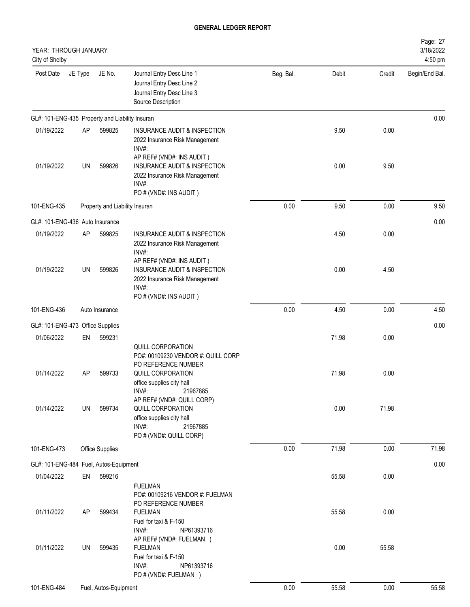| YEAR: THROUGH JANUARY<br>City of Shelby         |           |                                |                                                                                                                                                       |           |       |        | Page: 27<br>3/18/2022<br>4:50 pm |
|-------------------------------------------------|-----------|--------------------------------|-------------------------------------------------------------------------------------------------------------------------------------------------------|-----------|-------|--------|----------------------------------|
| Post Date                                       | JE Type   | JE No.                         | Journal Entry Desc Line 1<br>Journal Entry Desc Line 2<br>Journal Entry Desc Line 3<br>Source Description                                             | Beg. Bal. | Debit | Credit | Begin/End Bal.                   |
| GL#: 101-ENG-435 Property and Liability Insuran |           |                                |                                                                                                                                                       |           |       |        | 0.00                             |
| 01/19/2022                                      | <b>AP</b> | 599825                         | INSURANCE AUDIT & INSPECTION<br>2022 Insurance Risk Management<br>INV#:<br>AP REF# (VND#: INS AUDIT)                                                  |           | 9.50  | 0.00   |                                  |
| 01/19/2022                                      | UN        | 599826                         | INSURANCE AUDIT & INSPECTION<br>2022 Insurance Risk Management<br>INV#:<br>PO # (VND#: INS AUDIT)                                                     |           | 0.00  | 9.50   |                                  |
| 101-ENG-435                                     |           | Property and Liability Insuran |                                                                                                                                                       | 0.00      | 9.50  | 0.00   | 9.50                             |
| GL#: 101-ENG-436 Auto Insurance                 |           |                                |                                                                                                                                                       |           |       |        | 0.00                             |
| 01/19/2022                                      | AP        | 599825                         | INSURANCE AUDIT & INSPECTION<br>2022 Insurance Risk Management<br>INV#:                                                                               |           | 4.50  | 0.00   |                                  |
| 01/19/2022                                      | UN        | 599826                         | AP REF# (VND#: INS AUDIT)<br>INSURANCE AUDIT & INSPECTION<br>2022 Insurance Risk Management<br>INV#:<br>PO # (VND#: INS AUDIT)                        |           | 0.00  | 4.50   |                                  |
| 101-ENG-436                                     |           | Auto Insurance                 |                                                                                                                                                       | 0.00      | 4.50  | 0.00   | 4.50                             |
| GL#: 101-ENG-473 Office Supplies                |           |                                |                                                                                                                                                       |           |       |        | 0.00                             |
| 01/06/2022                                      | EN        | 599231                         |                                                                                                                                                       |           | 71.98 | 0.00   |                                  |
| 01/14/2022                                      | AP        | 599733                         | QUILL CORPORATION<br>PO#: 00109230 VENDOR #: QUILL CORP<br>PO REFERENCE NUMBER<br>QUILL CORPORATION<br>office supplies city hall<br>INV#:<br>21967885 |           | 71.98 | 0.00   |                                  |
| 01/14/2022                                      | UN        | 599734                         | AP REF# (VND#: QUILL CORP)<br>QUILL CORPORATION<br>office supplies city hall<br>INV#:<br>21967885<br>PO # (VND#: QUILL CORP)                          |           | 0.00  | 71.98  |                                  |
| 101-ENG-473                                     |           | Office Supplies                |                                                                                                                                                       | 0.00      | 71.98 | 0.00   | 71.98                            |
| GL#: 101-ENG-484 Fuel, Autos-Equipment          |           |                                |                                                                                                                                                       |           |       |        | 0.00                             |
| 01/04/2022                                      | EN        | 599216                         |                                                                                                                                                       |           | 55.58 | 0.00   |                                  |
| 01/11/2022                                      | <b>AP</b> | 599434                         | <b>FUELMAN</b><br>PO#: 00109216 VENDOR #: FUELMAN<br>PO REFERENCE NUMBER<br><b>FUELMAN</b><br>Fuel for taxi & F-150                                   |           | 55.58 | 0.00   |                                  |
| 01/11/2022                                      | UN        | 599435                         | INV#:<br>NP61393716<br>AP REF# (VND#: FUELMAN )<br><b>FUELMAN</b><br>Fuel for taxi & F-150<br>INV#:<br>NP61393716<br>PO # (VND#: FUELMAN )            |           | 0.00  | 55.58  |                                  |
| 101-ENG-484                                     |           | Fuel, Autos-Equipment          |                                                                                                                                                       | 0.00      | 55.58 | 0.00   | 55.58                            |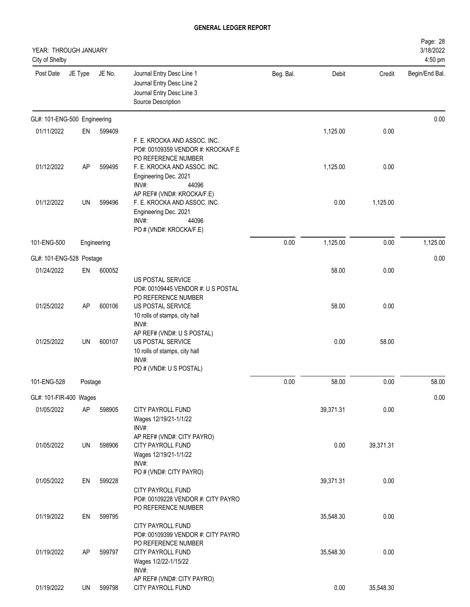| YEAR: THROUGH JANUARY<br>City of Shelby |           |             |                                                                                                                                                    |           |           |           | Page: 28<br>3/18/2022<br>4:50 pm |
|-----------------------------------------|-----------|-------------|----------------------------------------------------------------------------------------------------------------------------------------------------|-----------|-----------|-----------|----------------------------------|
| Post Date                               | JE Type   | JE No.      | Journal Entry Desc Line 1<br>Journal Entry Desc Line 2<br>Journal Entry Desc Line 3<br>Source Description                                          | Beg. Bal. | Debit     | Credit    | Begin/End Bal.                   |
| GL#: 101-ENG-500 Engineering            |           |             |                                                                                                                                                    |           |           |           | 0.00                             |
| 01/11/2022                              | EN        | 599409      |                                                                                                                                                    |           | 1,125.00  | 0.00      |                                  |
| 01/12/2022                              | <b>AP</b> | 599495      | F. E. KROCKA AND ASSOC. INC.<br>PO#: 00109359 VENDOR #: KROCKA/F.E<br>PO REFERENCE NUMBER<br>F. E. KROCKA AND ASSOC. INC.<br>Engineering Dec. 2021 |           | 1,125.00  | 0.00      |                                  |
| 01/12/2022                              | UN        | 599496      | INV#:<br>44096<br>AP REF# (VND#: KROCKA/F.E)<br>F. E. KROCKA AND ASSOC. INC.<br>Engineering Dec. 2021<br>INV#:<br>44096<br>PO # (VND#: KROCKA/F.E) |           | 0.00      | 1,125.00  |                                  |
| 101-ENG-500                             |           | Engineering |                                                                                                                                                    | 0.00      | 1,125.00  | 0.00      | 1,125.00                         |
| GL#: 101-ENG-528 Postage                |           |             |                                                                                                                                                    |           |           |           | 0.00                             |
| 01/24/2022                              | EN        | 600052      |                                                                                                                                                    |           | 58.00     | 0.00      |                                  |
|                                         |           |             | US POSTAL SERVICE<br>PO#: 00109445 VENDOR #: U S POSTAL<br>PO REFERENCE NUMBER                                                                     |           |           |           |                                  |
| 01/25/2022                              | AP        | 600106      | US POSTAL SERVICE<br>10 rolls of stamps, city hall<br>INV#:<br>AP REF# (VND#: U S POSTAL)                                                          |           | 58.00     | 0.00      |                                  |
| 01/25/2022                              | UN        | 600107      | US POSTAL SERVICE<br>10 rolls of stamps, city hall<br>INV#:<br>PO # (VND#: U S POSTAL)                                                             |           | 0.00      | 58.00     |                                  |
| 101-ENG-528                             | Postage   |             |                                                                                                                                                    | 0.00      | 58.00     | 0.00      | 58.00                            |
| GL#: 101-FIR-400 Wages                  |           |             |                                                                                                                                                    |           |           |           | 0.00                             |
| 01/05/2022                              | AP        | 598905      | CITY PAYROLL FUND<br>Wages 12/19/21-1/1/22<br>INV#:                                                                                                |           | 39,371.31 | 0.00      |                                  |
| 01/05/2022                              | UN        | 598906      | AP REF# (VND#: CITY PAYRO)<br>CITY PAYROLL FUND<br>Wages 12/19/21-1/1/22<br>INV#:                                                                  |           | 0.00      | 39,371.31 |                                  |
| 01/05/2022                              | EN        | 599228      | PO # (VND#: CITY PAYRO)<br><b>CITY PAYROLL FUND</b><br>PO#: 00109228 VENDOR #: CITY PAYRO                                                          |           | 39,371.31 | 0.00      |                                  |
| 01/19/2022                              | EN        | 599795      | PO REFERENCE NUMBER<br>CITY PAYROLL FUND<br>PO#: 00109399 VENDOR #: CITY PAYRO                                                                     |           | 35,548.30 | 0.00      |                                  |
| 01/19/2022                              | AP        | 599797      | PO REFERENCE NUMBER<br>CITY PAYROLL FUND<br>Wages 1/2/22-1/15/22<br>INV#:                                                                          |           | 35,548.30 | 0.00      |                                  |
| 01/19/2022                              | UN        | 599798      | AP REF# (VND#: CITY PAYRO)<br>CITY PAYROLL FUND                                                                                                    |           | 0.00      | 35,548.30 |                                  |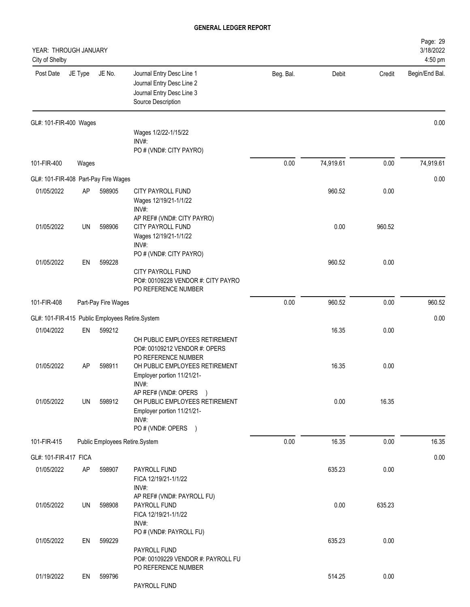| YEAR: THROUGH JANUARY<br>City of Shelby         |           |                                |                                                                                                                        |           |           |        | Page: 29<br>3/18/2022<br>4:50 pm |
|-------------------------------------------------|-----------|--------------------------------|------------------------------------------------------------------------------------------------------------------------|-----------|-----------|--------|----------------------------------|
| Post Date                                       | JE Type   | JE No.                         | Journal Entry Desc Line 1<br>Journal Entry Desc Line 2<br>Journal Entry Desc Line 3<br>Source Description              | Beg. Bal. | Debit     | Credit | Begin/End Bal.                   |
| GL#: 101-FIR-400 Wages                          |           |                                |                                                                                                                        |           |           |        | 0.00                             |
|                                                 |           |                                | Wages 1/2/22-1/15/22<br>INV#:<br>PO # (VND#: CITY PAYRO)                                                               |           |           |        |                                  |
| 101-FIR-400                                     | Wages     |                                |                                                                                                                        | 0.00      | 74,919.61 | 0.00   | 74,919.61                        |
| GL#: 101-FIR-408 Part-Pay Fire Wages            |           |                                |                                                                                                                        |           |           |        | 0.00                             |
| 01/05/2022                                      | <b>AP</b> | 598905                         | CITY PAYROLL FUND<br>Wages 12/19/21-1/1/22<br>INV#:                                                                    |           | 960.52    | 0.00   |                                  |
| 01/05/2022                                      | UN        | 598906                         | AP REF# (VND#: CITY PAYRO)<br><b>CITY PAYROLL FUND</b><br>Wages 12/19/21-1/1/22<br>INV#:                               |           | 0.00      | 960.52 |                                  |
| 01/05/2022                                      | EN        | 599228                         | PO # (VND#: CITY PAYRO)<br>CITY PAYROLL FUND<br>PO#: 00109228 VENDOR #: CITY PAYRO<br>PO REFERENCE NUMBER              |           | 960.52    | 0.00   |                                  |
| 101-FIR-408                                     |           | Part-Pay Fire Wages            |                                                                                                                        | 0.00      | 960.52    | 0.00   | 960.52                           |
| GL#: 101-FIR-415 Public Employees Retire.System |           |                                |                                                                                                                        |           |           |        | 0.00                             |
| 01/04/2022                                      | EN        | 599212                         | OH PUBLIC EMPLOYEES RETIREMENT<br>PO#: 00109212 VENDOR #: OPERS                                                        |           | 16.35     | 0.00   |                                  |
| 01/05/2022                                      | AP        | 598911                         | PO REFERENCE NUMBER<br>OH PUBLIC EMPLOYEES RETIREMENT<br>Employer portion 11/21/21-<br>INV#                            |           | 16.35     | 0.00   |                                  |
| 01/05/2022                                      | UN        | 598912                         | AP REF# (VND#: OPERS )<br>OH PUBLIC EMPLOYEES RETIREMENT<br>Employer portion 11/21/21-<br>INV#:<br>PO # (VND#: OPERS ) |           | 0.00      | 16.35  |                                  |
| 101-FIR-415                                     |           | Public Employees Retire.System |                                                                                                                        | 0.00      | 16.35     | 0.00   | 16.35                            |
| GL#: 101-FIR-417 FICA                           |           |                                |                                                                                                                        |           |           |        | 0.00                             |
| 01/05/2022                                      | AP        | 598907                         | PAYROLL FUND<br>FICA 12/19/21-1/1/22<br>INV#:                                                                          |           | 635.23    | 0.00   |                                  |
| 01/05/2022                                      | UN        | 598908                         | AP REF# (VND#: PAYROLL FU)<br>PAYROLL FUND<br>FICA 12/19/21-1/1/22<br>INV#:                                            |           | 0.00      | 635.23 |                                  |
| 01/05/2022                                      | EN        | 599229                         | PO # (VND#: PAYROLL FU)<br>PAYROLL FUND<br>PO#: 00109229 VENDOR #: PAYROLL FU                                          |           | 635.23    | 0.00   |                                  |
| 01/19/2022                                      | EN        | 599796                         | PO REFERENCE NUMBER<br>PAYROLL FUND                                                                                    |           | 514.25    | 0.00   |                                  |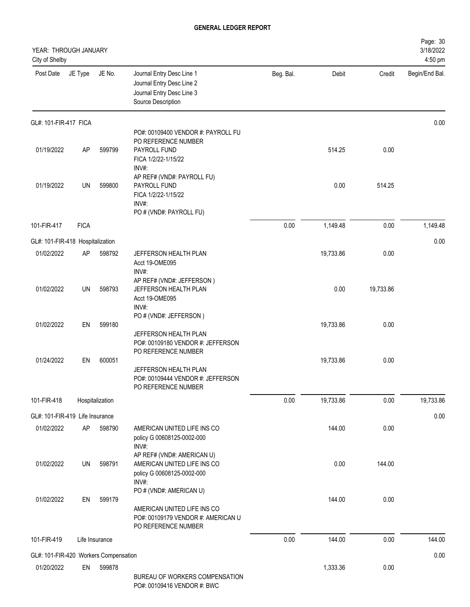| YEAR: THROUGH JANUARY<br>City of Shelby |             |                 |                                                                                                                     |           |           |           | Page: 30<br>3/18/2022<br>4:50 pm |
|-----------------------------------------|-------------|-----------------|---------------------------------------------------------------------------------------------------------------------|-----------|-----------|-----------|----------------------------------|
| Post Date                               | JE Type     | JE No.          | Journal Entry Desc Line 1<br>Journal Entry Desc Line 2<br>Journal Entry Desc Line 3<br>Source Description           | Beg. Bal. | Debit     | Credit    | Begin/End Bal.                   |
| GL#: 101-FIR-417 FICA                   |             |                 |                                                                                                                     |           |           |           | 0.00                             |
| 01/19/2022                              | <b>AP</b>   | 599799          | PO#: 00109400 VENDOR #: PAYROLL FU<br>PO REFERENCE NUMBER<br>PAYROLL FUND<br>FICA 1/2/22-1/15/22<br>INV#:           |           | 514.25    | 0.00      |                                  |
| 01/19/2022                              | UN          | 599800          | AP REF# (VND#: PAYROLL FU)<br>PAYROLL FUND<br>FICA 1/2/22-1/15/22<br>INV#:<br>PO # (VND#: PAYROLL FU)               |           | 0.00      | 514.25    |                                  |
| 101-FIR-417                             | <b>FICA</b> |                 |                                                                                                                     | 0.00      | 1,149.48  | 0.00      | 1,149.48                         |
| GL#: 101-FIR-418 Hospitalization        |             |                 |                                                                                                                     |           |           |           | 0.00                             |
| 01/02/2022                              | <b>AP</b>   | 598792          | JEFFERSON HEALTH PLAN<br>Acct 19-OME095<br>INV#:                                                                    |           | 19,733.86 | 0.00      |                                  |
| 01/02/2022                              | <b>UN</b>   | 598793          | AP REF# (VND#: JEFFERSON)<br>JEFFERSON HEALTH PLAN<br>Acct 19-OME095<br>INV#:                                       |           | 0.00      | 19,733.86 |                                  |
| 01/02/2022                              | EN          | 599180          | PO # (VND#: JEFFERSON)                                                                                              |           | 19,733.86 | 0.00      |                                  |
|                                         |             |                 | JEFFERSON HEALTH PLAN<br>PO#: 00109180 VENDOR #: JEFFERSON<br>PO REFERENCE NUMBER                                   |           |           |           |                                  |
| 01/24/2022                              | EN          | 600051          | JEFFERSON HEALTH PLAN<br>PO#: 00109444 VENDOR #: JEFFERSON<br>PO REFERENCE NUMBER                                   |           | 19,733.86 | 0.00      |                                  |
| 101-FIR-418                             |             | Hospitalization |                                                                                                                     | 0.00      | 19,733.86 | 0.00      | 19,733.86                        |
| GL#: 101-FIR-419 Life Insurance         |             |                 |                                                                                                                     |           |           |           | 0.00                             |
| 01/02/2022                              | AP          | 598790          | AMERICAN UNITED LIFE INS CO<br>policy G 00608125-0002-000<br>INV#:                                                  |           | 144.00    | 0.00      |                                  |
| 01/02/2022                              | UN          | 598791          | AP REF# (VND#: AMERICAN U)<br>AMERICAN UNITED LIFE INS CO<br>policy G 00608125-0002-000<br>INV#:                    |           | 0.00      | 144.00    |                                  |
| 01/02/2022                              | EN          | 599179          | PO # (VND#: AMERICAN U)<br>AMERICAN UNITED LIFE INS CO<br>PO#: 00109179 VENDOR #: AMERICAN U<br>PO REFERENCE NUMBER |           | 144.00    | 0.00      |                                  |
| 101-FIR-419                             |             | Life Insurance  |                                                                                                                     | 0.00      | 144.00    | 0.00      | 144.00                           |
| GL#: 101-FIR-420 Workers Compensation   |             |                 |                                                                                                                     |           |           |           | 0.00                             |
| 01/20/2022                              | EN          | 599878          | BUREAU OF WORKERS COMPENSATION<br>PO#: 00109416 VENDOR #: BWC                                                       |           | 1,333.36  | 0.00      |                                  |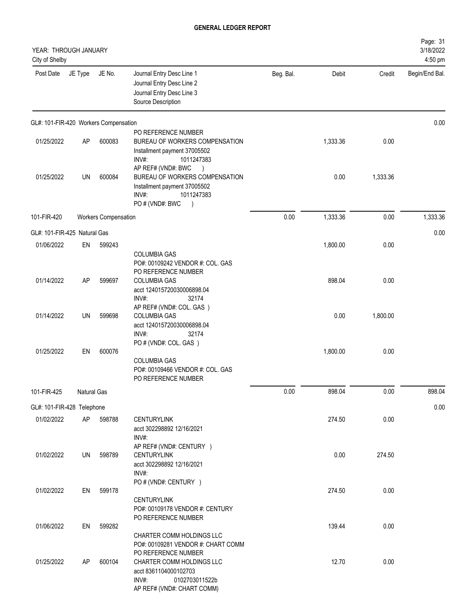| YEAR: THROUGH JANUARY<br>City of Shelby |                    |                             |                                                                                                                                                            |           |          |          | Page: 31<br>3/18/2022<br>4:50 pm |
|-----------------------------------------|--------------------|-----------------------------|------------------------------------------------------------------------------------------------------------------------------------------------------------|-----------|----------|----------|----------------------------------|
| Post Date                               | JE Type            | JE No.                      | Journal Entry Desc Line 1<br>Journal Entry Desc Line 2<br>Journal Entry Desc Line 3<br>Source Description                                                  | Beg. Bal. | Debit    | Credit   | Begin/End Bal.                   |
| GL#: 101-FIR-420 Workers Compensation   |                    |                             |                                                                                                                                                            |           |          |          | 0.00                             |
| 01/25/2022                              | AP                 | 600083                      | PO REFERENCE NUMBER<br>BUREAU OF WORKERS COMPENSATION<br>Installment payment 37005502<br>INV#:<br>1011247383                                               |           | 1,333.36 | 0.00     |                                  |
| 01/25/2022                              | UN                 | 600084                      | AP REF# (VND#: BWC<br>$\rightarrow$<br>BUREAU OF WORKERS COMPENSATION<br>Installment payment 37005502<br>1011247383<br>INV#:<br>PO#(VND#: BWC<br>$\lambda$ |           | 0.00     | 1,333.36 |                                  |
| 101-FIR-420                             |                    | <b>Workers Compensation</b> |                                                                                                                                                            | 0.00      | 1,333.36 | 0.00     | 1,333.36                         |
| GL#: 101-FIR-425 Natural Gas            |                    |                             |                                                                                                                                                            |           |          |          | 0.00                             |
| 01/06/2022                              | EN                 | 599243                      | <b>COLUMBIA GAS</b>                                                                                                                                        |           | 1,800.00 | 0.00     |                                  |
| 01/14/2022                              | AP                 | 599697                      | PO#: 00109242 VENDOR #: COL. GAS<br>PO REFERENCE NUMBER<br><b>COLUMBIA GAS</b><br>acct 124015720030006898.04<br>INV#:<br>32174                             |           | 898.04   | 0.00     |                                  |
| 01/14/2022                              | UN                 | 599698                      | AP REF# (VND#: COL. GAS)<br><b>COLUMBIA GAS</b><br>acct 124015720030006898.04<br>INV#:<br>32174                                                            |           | 0.00     | 1,800.00 |                                  |
| 01/25/2022                              | EN                 | 600076                      | PO # (VND#: COL. GAS)<br><b>COLUMBIA GAS</b><br>PO#: 00109466 VENDOR #: COL. GAS<br>PO REFERENCE NUMBER                                                    |           | 1,800.00 | 0.00     |                                  |
| 101-FIR-425                             | <b>Natural Gas</b> |                             |                                                                                                                                                            | 0.00      | 898.04   | 0.00     | 898.04                           |
| GL#: 101-FIR-428 Telephone              |                    |                             |                                                                                                                                                            |           |          |          | 0.00                             |
| 01/02/2022                              | AP                 | 598788                      | <b>CENTURYLINK</b><br>acct 302298892 12/16/2021<br>INV#:                                                                                                   |           | 274.50   | 0.00     |                                  |
| 01/02/2022                              | UN                 | 598789                      | AP REF# (VND#: CENTURY )<br><b>CENTURYLINK</b><br>acct 302298892 12/16/2021<br>INV#:                                                                       |           | 0.00     | 274.50   |                                  |
| 01/02/2022                              | EN                 | 599178                      | PO # (VND#: CENTURY )<br><b>CENTURYLINK</b><br>PO#: 00109178 VENDOR #: CENTURY                                                                             |           | 274.50   | 0.00     |                                  |
| 01/06/2022                              | EN                 | 599282                      | PO REFERENCE NUMBER<br>CHARTER COMM HOLDINGS LLC<br>PO#: 00109281 VENDOR #: CHART COMM                                                                     |           | 139.44   | 0.00     |                                  |
| 01/25/2022                              | AP                 | 600104                      | PO REFERENCE NUMBER<br>CHARTER COMM HOLDINGS LLC<br>acct 8361104000102703<br>INV#:<br>0102703011522b<br>AP REF# (VND#: CHART COMM)                         |           | 12.70    | 0.00     |                                  |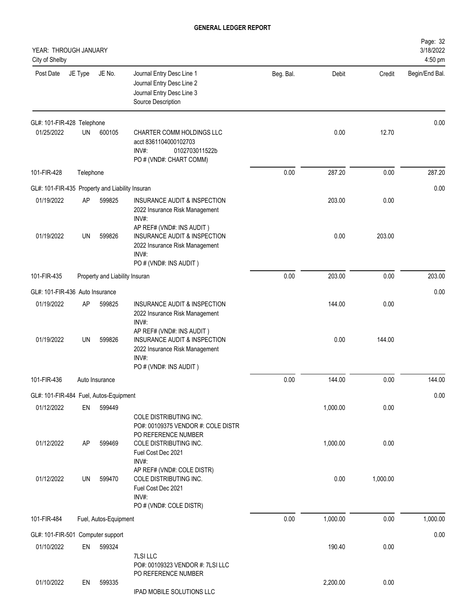| YEAR: THROUGH JANUARY<br>City of Shelby         |           |                                |                                                                                                                                     |           |          |          | Page: 32<br>3/18/2022<br>4:50 pm |
|-------------------------------------------------|-----------|--------------------------------|-------------------------------------------------------------------------------------------------------------------------------------|-----------|----------|----------|----------------------------------|
| Post Date                                       | JE Type   | JE No.                         | Journal Entry Desc Line 1<br>Journal Entry Desc Line 2<br>Journal Entry Desc Line 3<br>Source Description                           | Beg. Bal. | Debit    | Credit   | Begin/End Bal.                   |
| GL#: 101-FIR-428 Telephone                      |           |                                |                                                                                                                                     |           |          |          | 0.00                             |
| 01/25/2022                                      | UN        | 600105                         | CHARTER COMM HOLDINGS LLC<br>acct 8361104000102703<br>INV#:<br>0102703011522b<br>PO # (VND#: CHART COMM)                            |           | 0.00     | 12.70    |                                  |
| 101-FIR-428                                     | Telephone |                                |                                                                                                                                     | 0.00      | 287.20   | 0.00     | 287.20                           |
| GL#: 101-FIR-435 Property and Liability Insuran |           |                                |                                                                                                                                     |           |          |          | 0.00                             |
| 01/19/2022                                      | AP        | 599825                         | INSURANCE AUDIT & INSPECTION<br>2022 Insurance Risk Management<br>INV#:                                                             |           | 203.00   | 0.00     |                                  |
| 01/19/2022                                      | UN        | 599826                         | AP REF# (VND#: INS AUDIT)<br>INSURANCE AUDIT & INSPECTION<br>2022 Insurance Risk Management<br>INV#:<br>PO # (VND#: INS AUDIT)      |           | 0.00     | 203.00   |                                  |
| 101-FIR-435                                     |           | Property and Liability Insuran |                                                                                                                                     | 0.00      | 203.00   | 0.00     | 203.00                           |
| GL#: 101-FIR-436 Auto Insurance                 |           |                                |                                                                                                                                     |           |          |          | 0.00                             |
| 01/19/2022                                      | AP        | 599825                         | INSURANCE AUDIT & INSPECTION<br>2022 Insurance Risk Management<br>INV#:                                                             |           | 144.00   | 0.00     |                                  |
| 01/19/2022                                      | UN        | 599826                         | AP REF# (VND#: INS AUDIT)<br>INSURANCE AUDIT & INSPECTION<br>2022 Insurance Risk Management<br>INV#:<br>PO # (VND#: INS AUDIT)      |           | 0.00     | 144.00   |                                  |
| 101-FIR-436                                     |           | Auto Insurance                 |                                                                                                                                     | 0.00      | 144.00   | 0.00     | 144.00                           |
| GL#: 101-FIR-484 Fuel, Autos-Equipment          |           |                                |                                                                                                                                     |           |          |          | 0.00                             |
| 01/12/2022                                      | EN        | 599449                         |                                                                                                                                     |           | 1,000.00 | 0.00     |                                  |
| 01/12/2022                                      | AP        | 599469                         | COLE DISTRIBUTING INC.<br>PO#: 00109375 VENDOR #: COLE DISTR<br>PO REFERENCE NUMBER<br>COLE DISTRIBUTING INC.<br>Fuel Cost Dec 2021 |           | 1,000.00 | 0.00     |                                  |
| 01/12/2022                                      | UN        | 599470                         | INV#:<br>AP REF# (VND#: COLE DISTR)<br>COLE DISTRIBUTING INC.<br>Fuel Cost Dec 2021<br>INV#:<br>PO # (VND#: COLE DISTR)             |           | 0.00     | 1,000.00 |                                  |
| 101-FIR-484                                     |           | Fuel, Autos-Equipment          |                                                                                                                                     | 0.00      | 1,000.00 | 0.00     | 1,000.00                         |
| GL#: 101-FIR-501 Computer support               |           |                                |                                                                                                                                     |           |          |          | 0.00                             |
| 01/10/2022                                      | EN        | 599324                         |                                                                                                                                     |           | 190.40   | 0.00     |                                  |
| 01/10/2022                                      | EN        | 599335                         | 7LSI LLC<br>PO#: 00109323 VENDOR #: 7LSI LLC<br>PO REFERENCE NUMBER                                                                 |           | 2,200.00 | 0.00     |                                  |
|                                                 |           |                                | IPAD MOBILE SOLUTIONS LLC                                                                                                           |           |          |          |                                  |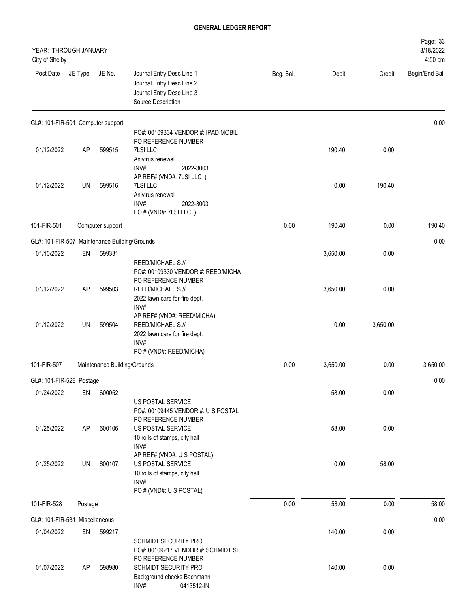| YEAR: THROUGH JANUARY<br>City of Shelby       |           |                              |                                                                                                                      |           |          |          | Page: 33<br>3/18/2022<br>4:50 pm |
|-----------------------------------------------|-----------|------------------------------|----------------------------------------------------------------------------------------------------------------------|-----------|----------|----------|----------------------------------|
| Post Date                                     | JE Type   | JE No.                       | Journal Entry Desc Line 1<br>Journal Entry Desc Line 2<br>Journal Entry Desc Line 3<br>Source Description            | Beg. Bal. | Debit    | Credit   | Begin/End Bal.                   |
| GL#: 101-FIR-501 Computer support             |           |                              |                                                                                                                      |           |          |          | 0.00                             |
| 01/12/2022                                    | <b>AP</b> | 599515                       | PO#: 00109334 VENDOR #: IPAD MOBIL<br>PO REFERENCE NUMBER<br><b>7LSI LLC</b>                                         |           | 190.40   | 0.00     |                                  |
|                                               |           |                              | Anivirus renewal<br>INV#:<br>2022-3003                                                                               |           |          |          |                                  |
| 01/12/2022                                    | UN        | 599516                       | AP REF# (VND#: 7LSI LLC)<br>7LSI LLC<br>Anivirus renewal<br>INV#:<br>2022-3003                                       |           | 0.00     | 190.40   |                                  |
|                                               |           |                              | PO # (VND#: 7LSI LLC)                                                                                                |           |          |          |                                  |
| 101-FIR-501                                   |           | Computer support             |                                                                                                                      | 0.00      | 190.40   | 0.00     | 190.40                           |
| GL#: 101-FIR-507 Maintenance Building/Grounds |           |                              |                                                                                                                      |           |          |          | 0.00                             |
| 01/10/2022                                    | EN        | 599331                       |                                                                                                                      |           | 3,650.00 | 0.00     |                                  |
| 01/12/2022                                    | <b>AP</b> | 599503                       | REED/MICHAEL S.//<br>PO#: 00109330 VENDOR #: REED/MICHA<br>PO REFERENCE NUMBER<br>REED/MICHAEL S.//                  |           | 3,650.00 | 0.00     |                                  |
|                                               |           |                              | 2022 lawn care for fire dept.<br>INV#:                                                                               |           |          |          |                                  |
| 01/12/2022                                    | UN        | 599504                       | AP REF# (VND#: REED/MICHA)<br>REED/MICHAEL S.//<br>2022 lawn care for fire dept.<br>INV#:<br>PO # (VND#: REED/MICHA) |           | 0.00     | 3,650.00 |                                  |
| 101-FIR-507                                   |           | Maintenance Building/Grounds |                                                                                                                      | 0.00      | 3,650.00 | 0.00     | 3,650.00                         |
| GL#: 101-FIR-528 Postage                      |           |                              |                                                                                                                      |           |          |          | 0.00                             |
| 01/24/2022                                    | EN        | 600052                       |                                                                                                                      |           | 58.00    | 0.00     |                                  |
|                                               |           |                              | US POSTAL SERVICE<br>PO#: 00109445 VENDOR #: U S POSTAL<br>PO REFERENCE NUMBER                                       |           |          |          |                                  |
| 01/25/2022                                    | AP        | 600106                       | US POSTAL SERVICE<br>10 rolls of stamps, city hall<br>INV#:                                                          |           | 58.00    | 0.00     |                                  |
| 01/25/2022                                    | UN        | 600107                       | AP REF# (VND#: U S POSTAL)<br>US POSTAL SERVICE<br>10 rolls of stamps, city hall                                     |           | 0.00     | 58.00    |                                  |
|                                               |           |                              | INV#:<br>PO # (VND#: U S POSTAL)                                                                                     |           |          |          |                                  |
| 101-FIR-528                                   | Postage   |                              |                                                                                                                      | 0.00      | 58.00    | 0.00     | 58.00                            |
| GL#: 101-FIR-531 Miscellaneous                |           |                              |                                                                                                                      |           |          |          | 0.00                             |
| 01/04/2022                                    | EN        | 599217                       |                                                                                                                      |           | 140.00   | 0.00     |                                  |
|                                               |           |                              | <b>SCHMIDT SECURITY PRO</b><br>PO#: 00109217 VENDOR #: SCHMIDT SE<br>PO REFERENCE NUMBER                             |           |          |          |                                  |
| 01/07/2022                                    | AP        | 598980                       | SCHMIDT SECURITY PRO<br>Background checks Bachmann<br>INV#:<br>0413512-IN                                            |           | 140.00   | 0.00     |                                  |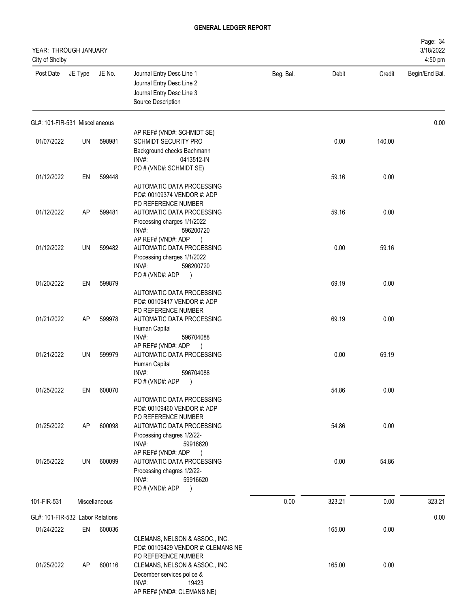| YEAR: THROUGH JANUARY<br>City of Shelby |           |               |                                                                                                                                        |           |        |        | Page: 34<br>3/18/2022<br>4:50 pm |
|-----------------------------------------|-----------|---------------|----------------------------------------------------------------------------------------------------------------------------------------|-----------|--------|--------|----------------------------------|
| Post Date                               | JE Type   | JE No.        | Journal Entry Desc Line 1<br>Journal Entry Desc Line 2<br>Journal Entry Desc Line 3<br>Source Description                              | Beg. Bal. | Debit  | Credit | Begin/End Bal.                   |
| GL#: 101-FIR-531 Miscellaneous          |           |               |                                                                                                                                        |           |        |        | 0.00                             |
| 01/07/2022                              | UN        | 598981        | AP REF# (VND#: SCHMIDT SE)<br><b>SCHMIDT SECURITY PRO</b><br>Background checks Bachmann<br>INV#:<br>0413512-IN                         |           | 0.00   | 140.00 |                                  |
| 01/12/2022                              | EN        | 599448        | PO # (VND#: SCHMIDT SE)<br>AUTOMATIC DATA PROCESSING                                                                                   |           | 59.16  | 0.00   |                                  |
| 01/12/2022                              | AP        | 599481        | PO#: 00109374 VENDOR #: ADP<br>PO REFERENCE NUMBER<br>AUTOMATIC DATA PROCESSING<br>Processing charges 1/1/2022<br>INV#:<br>596200720   |           | 59.16  | 0.00   |                                  |
| 01/12/2022                              | UN        | 599482        | AP REF# (VND#: ADP<br>$\rightarrow$<br>AUTOMATIC DATA PROCESSING<br>Processing charges 1/1/2022<br>INV#:<br>596200720                  |           | 0.00   | 59.16  |                                  |
| 01/20/2022                              | EN        | 599879        | PO # (VND#: ADP<br>$\rightarrow$<br>AUTOMATIC DATA PROCESSING                                                                          |           | 69.19  | 0.00   |                                  |
| 01/21/2022                              | <b>AP</b> | 599978        | PO#: 00109417 VENDOR #: ADP<br>PO REFERENCE NUMBER<br>AUTOMATIC DATA PROCESSING<br>Human Capital<br>INV#:<br>596704088                 |           | 69.19  | 0.00   |                                  |
| 01/21/2022                              | UN        | 599979        | AP REF# (VND#: ADP<br>$\rightarrow$<br>AUTOMATIC DATA PROCESSING<br>Human Capital<br>INV#:<br>596704088                                |           | 0.00   | 69.19  |                                  |
| 01/25/2022                              | EN        | 600070        | PO # (VND#: ADP<br>$\big)$<br>AUTOMATIC DATA PROCESSING<br>PO#: 00109460 VENDOR #: ADP                                                 |           | 54.86  | 0.00   |                                  |
| 01/25/2022                              | <b>AP</b> | 600098        | PO REFERENCE NUMBER<br>AUTOMATIC DATA PROCESSING<br>Processing chagres 1/2/22-<br>INV#:<br>59916620                                    |           | 54.86  | 0.00   |                                  |
| 01/25/2022                              | UN        | 600099        | AP REF# (VND#: ADP<br>$\rightarrow$<br>AUTOMATIC DATA PROCESSING<br>Processing chagres 1/2/22-<br>INV#:<br>59916620<br>PO # (VND#: ADP |           | 0.00   | 54.86  |                                  |
| 101-FIR-531                             |           | Miscellaneous |                                                                                                                                        | 0.00      | 323.21 | 0.00   | 323.21                           |
| GL#: 101-FIR-532 Labor Relations        |           |               |                                                                                                                                        |           |        |        | 0.00                             |
| 01/24/2022                              | EN        | 600036        | CLEMANS, NELSON & ASSOC., INC.<br>PO#: 00109429 VENDOR #: CLEMANS NE<br>PO REFERENCE NUMBER                                            |           | 165.00 | 0.00   |                                  |
| 01/25/2022                              | AP        | 600116        | CLEMANS, NELSON & ASSOC., INC.<br>December services police &<br>INV#:<br>19423<br>AP REF# (VND#: CLEMANS NE)                           |           | 165.00 | 0.00   |                                  |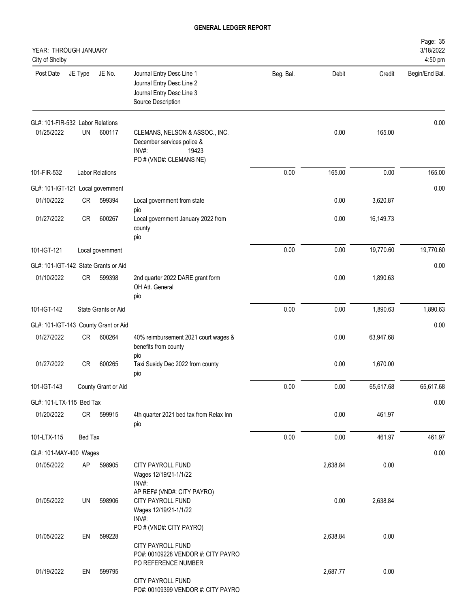|           |          |           |                                                                                                           |                                                                                                           |         | City of Shelby                                                                                                                                                                                                                                                                                                                                                                                                                                         |
|-----------|----------|-----------|-----------------------------------------------------------------------------------------------------------|-----------------------------------------------------------------------------------------------------------|---------|--------------------------------------------------------------------------------------------------------------------------------------------------------------------------------------------------------------------------------------------------------------------------------------------------------------------------------------------------------------------------------------------------------------------------------------------------------|
| Credit    | Debit    | Beg. Bal. | Journal Entry Desc Line 1<br>Journal Entry Desc Line 2<br>Journal Entry Desc Line 3<br>Source Description | JE No.                                                                                                    | JE Type | Post Date                                                                                                                                                                                                                                                                                                                                                                                                                                              |
|           |          |           |                                                                                                           |                                                                                                           |         |                                                                                                                                                                                                                                                                                                                                                                                                                                                        |
| 165.00    | 0.00     |           | CLEMANS, NELSON & ASSOC., INC.<br>December services police &<br>INV#<br>19423<br>PO # (VND#: CLEMANS NE)  | 600117                                                                                                    | UN      | 01/25/2022                                                                                                                                                                                                                                                                                                                                                                                                                                             |
| 0.00      | 165.00   | 0.00      |                                                                                                           |                                                                                                           |         | 101-FIR-532                                                                                                                                                                                                                                                                                                                                                                                                                                            |
|           |          |           |                                                                                                           |                                                                                                           |         |                                                                                                                                                                                                                                                                                                                                                                                                                                                        |
| 3,620.87  | 0.00     |           | Local government from state                                                                               | 599394                                                                                                    |         | 01/10/2022                                                                                                                                                                                                                                                                                                                                                                                                                                             |
| 16,149.73 | 0.00     |           | Local government January 2022 from<br>county<br>pio                                                       | 600267                                                                                                    |         | 01/27/2022                                                                                                                                                                                                                                                                                                                                                                                                                                             |
| 19,770.60 | 0.00     | 0.00      |                                                                                                           |                                                                                                           |         | 101-IGT-121                                                                                                                                                                                                                                                                                                                                                                                                                                            |
|           |          |           |                                                                                                           |                                                                                                           |         |                                                                                                                                                                                                                                                                                                                                                                                                                                                        |
| 1,890.63  | 0.00     |           | 2nd quarter 2022 DARE grant form<br>OH Att. General<br>pio                                                | 599398                                                                                                    |         | 01/10/2022                                                                                                                                                                                                                                                                                                                                                                                                                                             |
| 1,890.63  | 0.00     | 0.00      |                                                                                                           |                                                                                                           |         | 101-IGT-142                                                                                                                                                                                                                                                                                                                                                                                                                                            |
|           |          |           |                                                                                                           |                                                                                                           |         |                                                                                                                                                                                                                                                                                                                                                                                                                                                        |
| 63,947.68 | 0.00     |           | 40% reimbursement 2021 court wages &<br>benefits from county                                              | 600264                                                                                                    |         | 01/27/2022                                                                                                                                                                                                                                                                                                                                                                                                                                             |
| 1,670.00  | 0.00     |           | Taxi Susidy Dec 2022 from county<br>pio                                                                   | 600265                                                                                                    |         | 01/27/2022                                                                                                                                                                                                                                                                                                                                                                                                                                             |
| 65,617.68 | 0.00     | 0.00      |                                                                                                           |                                                                                                           |         | 101-IGT-143                                                                                                                                                                                                                                                                                                                                                                                                                                            |
|           |          |           |                                                                                                           |                                                                                                           |         |                                                                                                                                                                                                                                                                                                                                                                                                                                                        |
| 461.97    | 0.00     |           | 4th quarter 2021 bed tax from Relax Inn<br>pio                                                            | 599915                                                                                                    |         | 01/20/2022                                                                                                                                                                                                                                                                                                                                                                                                                                             |
| 461.97    | 0.00     | 0.00      |                                                                                                           |                                                                                                           |         | 101-LTX-115                                                                                                                                                                                                                                                                                                                                                                                                                                            |
|           |          |           |                                                                                                           |                                                                                                           |         |                                                                                                                                                                                                                                                                                                                                                                                                                                                        |
| 0.00      | 2,638.84 |           | CITY PAYROLL FUND<br>Wages 12/19/21-1/1/22<br>INV#:                                                       | 598905                                                                                                    | AP      | 01/05/2022                                                                                                                                                                                                                                                                                                                                                                                                                                             |
| 2,638.84  | 0.00     |           | CITY PAYROLL FUND<br>Wages 12/19/21-1/1/22<br>INV#:                                                       | 598906                                                                                                    |         | 01/05/2022                                                                                                                                                                                                                                                                                                                                                                                                                                             |
| 0.00      | 2,638.84 |           | CITY PAYROLL FUND                                                                                         | 599228                                                                                                    |         | 01/05/2022                                                                                                                                                                                                                                                                                                                                                                                                                                             |
| 0.00      | 2,687.77 |           | PO REFERENCE NUMBER<br>CITY PAYROLL FUND                                                                  | 599795                                                                                                    | EN      | 01/19/2022                                                                                                                                                                                                                                                                                                                                                                                                                                             |
|           |          |           |                                                                                                           | pio<br>pio<br>AP REF# (VND#: CITY PAYRO)<br>PO # (VND#: CITY PAYRO)<br>PO#: 00109228 VENDOR #: CITY PAYRO |         | YEAR: THROUGH JANUARY<br>GL#: 101-FIR-532 Labor Relations<br><b>Labor Relations</b><br>GL#: 101-IGT-121 Local government<br><b>CR</b><br>CR<br>Local government<br>GL#: 101-IGT-142 State Grants or Aid<br><b>CR</b><br>State Grants or Aid<br>GL#: 101-IGT-143 County Grant or Aid<br>CR<br><b>CR</b><br>County Grant or Aid<br>GL#: 101-LTX-115 Bed Tax<br>CR<br>Bed Tax<br>GL#: 101-MAY-400 Wages<br>UN<br>EN<br>PO#: 00109399 VENDOR #: CITY PAYRO |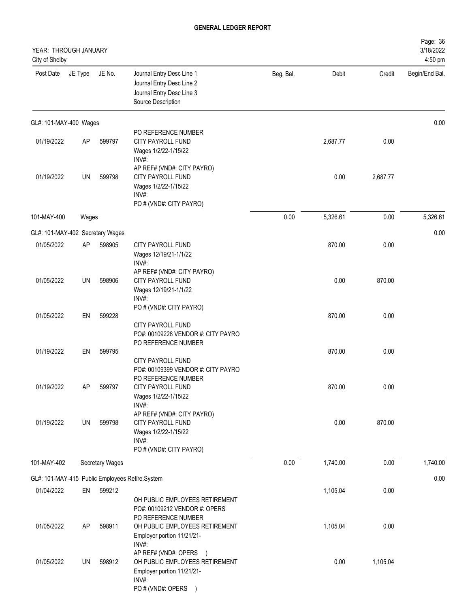| YEAR: THROUGH JANUARY<br>City of Shelby |           |                 |                                                                                                                                                        |           |          |          | Page: 36<br>3/18/2022<br>4:50 pm |
|-----------------------------------------|-----------|-----------------|--------------------------------------------------------------------------------------------------------------------------------------------------------|-----------|----------|----------|----------------------------------|
| Post Date                               | JE Type   | JE No.          | Journal Entry Desc Line 1<br>Journal Entry Desc Line 2<br>Journal Entry Desc Line 3<br>Source Description                                              | Beg. Bal. | Debit    | Credit   | Begin/End Bal.                   |
| GL#: 101-MAY-400 Wages                  |           |                 |                                                                                                                                                        |           |          |          | 0.00                             |
| 01/19/2022                              | <b>AP</b> | 599797          | PO REFERENCE NUMBER<br><b>CITY PAYROLL FUND</b><br>Wages 1/2/22-1/15/22<br>INV#:                                                                       |           | 2,687.77 | 0.00     |                                  |
| 01/19/2022                              | UN        | 599798          | AP REF# (VND#: CITY PAYRO)<br>CITY PAYROLL FUND<br>Wages 1/2/22-1/15/22<br>INV#:<br>PO # (VND#: CITY PAYRO)                                            |           | 0.00     | 2,687.77 |                                  |
| 101-MAY-400                             | Wages     |                 |                                                                                                                                                        | 0.00      | 5,326.61 | 0.00     | 5,326.61                         |
| GL#: 101-MAY-402 Secretary Wages        |           |                 |                                                                                                                                                        |           |          |          | 0.00                             |
| 01/05/2022                              | AP        | 598905          | CITY PAYROLL FUND<br>Wages 12/19/21-1/1/22<br>INV#:                                                                                                    |           | 870.00   | 0.00     |                                  |
| 01/05/2022                              | UN        | 598906          | AP REF# (VND#: CITY PAYRO)<br>CITY PAYROLL FUND<br>Wages 12/19/21-1/1/22<br>INV#:                                                                      |           | 0.00     | 870.00   |                                  |
| 01/05/2022                              | EN        | 599228          | PO # (VND#: CITY PAYRO)<br>CITY PAYROLL FUND                                                                                                           |           | 870.00   | 0.00     |                                  |
| 01/19/2022                              | EN        | 599795          | PO#: 00109228 VENDOR #: CITY PAYRO<br>PO REFERENCE NUMBER<br>CITY PAYROLL FUND                                                                         |           | 870.00   | 0.00     |                                  |
| 01/19/2022                              | AP        | 599797          | PO#: 00109399 VENDOR #: CITY PAYRO<br>PO REFERENCE NUMBER<br>CITY PAYROLL FUND<br>Wages 1/2/22-1/15/22                                                 |           | 870.00   | 0.00     |                                  |
| 01/19/2022                              | UN        | 599798          | INV#:<br>AP REF# (VND#: CITY PAYRO)<br>CITY PAYROLL FUND<br>Wages 1/2/22-1/15/22<br>INV#:<br>PO # (VND#: CITY PAYRO)                                   |           | 0.00     | 870.00   |                                  |
| 101-MAY-402                             |           | Secretary Wages |                                                                                                                                                        | 0.00      | 1,740.00 | 0.00     | 1,740.00                         |
|                                         |           |                 | GL#: 101-MAY-415 Public Employees Retire.System                                                                                                        |           |          |          | 0.00                             |
| 01/04/2022                              | EN        | 599212          |                                                                                                                                                        |           | 1,105.04 | 0.00     |                                  |
| 01/05/2022                              | AP        | 598911          | OH PUBLIC EMPLOYEES RETIREMENT<br>PO#: 00109212 VENDOR #: OPERS<br>PO REFERENCE NUMBER<br>OH PUBLIC EMPLOYEES RETIREMENT<br>Employer portion 11/21/21- |           | 1,105.04 | 0.00     |                                  |
| 01/05/2022                              | UN        | 598912          | INV#:<br>AP REF# (VND#: OPERS )<br>OH PUBLIC EMPLOYEES RETIREMENT<br>Employer portion 11/21/21-<br>INV#:<br>PO # (VND#: OPERS )                        |           | 0.00     | 1,105.04 |                                  |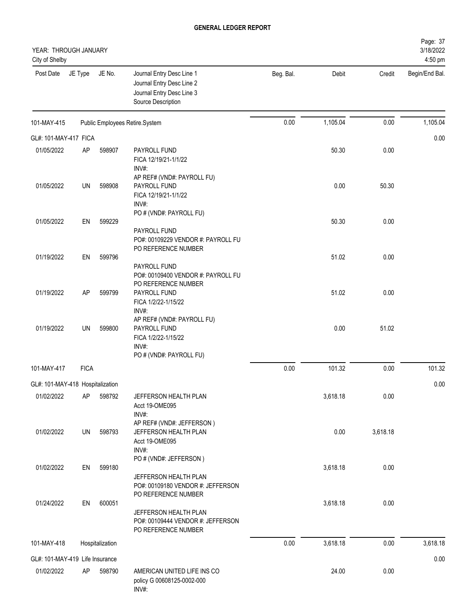| YEAR: THROUGH JANUARY<br>City of Shelby |             |                 |                                                                                                                           |           |          |          | Page: 37<br>3/18/2022<br>4:50 pm |
|-----------------------------------------|-------------|-----------------|---------------------------------------------------------------------------------------------------------------------------|-----------|----------|----------|----------------------------------|
| Post Date                               | JE Type     | JE No.          | Journal Entry Desc Line 1<br>Journal Entry Desc Line 2<br>Journal Entry Desc Line 3<br>Source Description                 | Beg. Bal. | Debit    | Credit   | Begin/End Bal.                   |
| 101-MAY-415                             |             |                 | Public Employees Retire.System                                                                                            | 0.00      | 1,105.04 | 0.00     | 1,105.04                         |
| GL#: 101-MAY-417 FICA                   |             |                 |                                                                                                                           |           |          |          | 0.00                             |
| 01/05/2022                              | AP          | 598907          | PAYROLL FUND<br>FICA 12/19/21-1/1/22<br>INV#:                                                                             |           | 50.30    | 0.00     |                                  |
| 01/05/2022                              | UN          | 598908          | AP REF# (VND#: PAYROLL FU)<br>PAYROLL FUND<br>FICA 12/19/21-1/1/22<br>INV#:                                               |           | 0.00     | 50.30    |                                  |
| 01/05/2022                              | EN          | 599229          | PO # (VND#: PAYROLL FU)                                                                                                   |           | 50.30    | 0.00     |                                  |
|                                         |             |                 | PAYROLL FUND<br>PO#: 00109229 VENDOR #: PAYROLL FU<br>PO REFERENCE NUMBER                                                 |           |          |          |                                  |
| 01/19/2022                              | EN          | 599796          |                                                                                                                           |           | 51.02    | 0.00     |                                  |
| 01/19/2022                              | AP          | 599799          | PAYROLL FUND<br>PO#: 00109400 VENDOR #: PAYROLL FU<br>PO REFERENCE NUMBER<br>PAYROLL FUND<br>FICA 1/2/22-1/15/22<br>INV#: |           | 51.02    | 0.00     |                                  |
| 01/19/2022                              | UN          | 599800          | AP REF# (VND#: PAYROLL FU)<br>PAYROLL FUND<br>FICA 1/2/22-1/15/22<br>INV#:<br>PO # (VND#: PAYROLL FU)                     |           | 0.00     | 51.02    |                                  |
| 101-MAY-417                             | <b>FICA</b> |                 |                                                                                                                           | 0.00      | 101.32   | 0.00     | 101.32                           |
| GL#: 101-MAY-418 Hospitalization        |             |                 |                                                                                                                           |           |          |          | 0.00                             |
| 01/02/2022                              | AP          | 598792          | JEFFERSON HEALTH PLAN<br>Acct 19-OME095<br>INV#:                                                                          |           | 3,618.18 | 0.00     |                                  |
| 01/02/2022                              | UN          | 598793          | AP REF# (VND#: JEFFERSON)<br>JEFFERSON HEALTH PLAN<br>Acct 19-OME095<br>INV#:                                             |           | 0.00     | 3,618.18 |                                  |
| 01/02/2022                              | EN          | 599180          | PO # (VND#: JEFFERSON)<br>JEFFERSON HEALTH PLAN                                                                           |           | 3,618.18 | 0.00     |                                  |
| 01/24/2022                              | EN          | 600051          | PO#: 00109180 VENDOR #: JEFFERSON<br>PO REFERENCE NUMBER                                                                  |           | 3,618.18 | 0.00     |                                  |
|                                         |             |                 | JEFFERSON HEALTH PLAN<br>PO#: 00109444 VENDOR #: JEFFERSON<br>PO REFERENCE NUMBER                                         |           |          |          |                                  |
| 101-MAY-418                             |             | Hospitalization |                                                                                                                           | 0.00      | 3,618.18 | 0.00     | 3,618.18                         |
| GL#: 101-MAY-419 Life Insurance         |             |                 |                                                                                                                           |           |          |          | 0.00                             |
| 01/02/2022                              | AP          | 598790          | AMERICAN UNITED LIFE INS CO<br>policy G 00608125-0002-000<br>INV#:                                                        |           | 24.00    | 0.00     |                                  |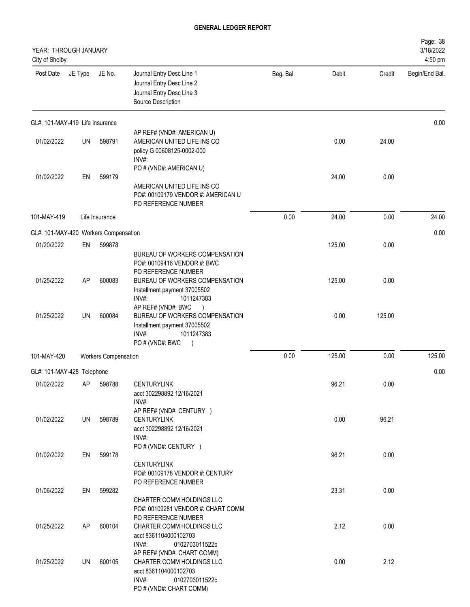| YEAR: THROUGH JANUARY<br>City of Shelby |         |                             |                                                                                                                                                                   |           |        |        | Page: 38<br>3/18/2022<br>4:50 pm |
|-----------------------------------------|---------|-----------------------------|-------------------------------------------------------------------------------------------------------------------------------------------------------------------|-----------|--------|--------|----------------------------------|
| Post Date                               | JE Type | JE No.                      | Journal Entry Desc Line 1<br>Journal Entry Desc Line 2<br>Journal Entry Desc Line 3<br>Source Description                                                         | Beg. Bal. | Debit  | Credit | Begin/End Bal.                   |
| GL#: 101-MAY-419 Life Insurance         |         |                             |                                                                                                                                                                   |           |        |        | 0.00                             |
| 01/02/2022                              | UN      | 598791                      | AP REF# (VND#: AMERICAN U)<br>AMERICAN UNITED LIFE INS CO<br>policy G 00608125-0002-000<br>INV#:                                                                  |           | 0.00   | 24.00  |                                  |
| 01/02/2022                              | EN      | 599179                      | PO # (VND#: AMERICAN U)<br>AMERICAN UNITED LIFE INS CO<br>PO#: 00109179 VENDOR #: AMERICAN U<br>PO REFERENCE NUMBER                                               |           | 24.00  | 0.00   |                                  |
| 101-MAY-419                             |         | Life Insurance              |                                                                                                                                                                   | 0.00      | 24.00  | 0.00   | 24.00                            |
| GL#: 101-MAY-420 Workers Compensation   |         |                             |                                                                                                                                                                   |           |        |        | 0.00                             |
| 01/20/2022                              | EN      | 599878                      | BUREAU OF WORKERS COMPENSATION<br>PO#: 00109416 VENDOR #: BWC                                                                                                     |           | 125.00 | 0.00   |                                  |
| 01/25/2022                              | AP      | 600083                      | PO REFERENCE NUMBER<br>BUREAU OF WORKERS COMPENSATION<br>Installment payment 37005502<br>INV#:<br>1011247383<br>AP REF# (VND#: BWC                                |           | 125.00 | 0.00   |                                  |
| 01/25/2022                              | UN      | 600084                      | BUREAU OF WORKERS COMPENSATION<br>Installment payment 37005502<br>1011247383<br>INV#:<br>PO#(VND#: BWC<br>$\lambda$                                               |           | 0.00   | 125.00 |                                  |
| 101-MAY-420                             |         | <b>Workers Compensation</b> |                                                                                                                                                                   | 0.00      | 125.00 | 0.00   | 125.00                           |
| GL#: 101-MAY-428 Telephone              |         |                             |                                                                                                                                                                   |           |        |        | 0.00                             |
| 01/02/2022                              | AP      | 598788                      | <b>CENTURYLINK</b><br>acct 302298892 12/16/2021<br>INV#:                                                                                                          |           | 96.21  | 0.00   |                                  |
| 01/02/2022                              | UN      | 598789                      | AP REF# (VND#: CENTURY )<br><b>CENTURYLINK</b><br>acct 302298892 12/16/2021<br>INV#:                                                                              |           | 0.00   | 96.21  |                                  |
| 01/02/2022                              | EN      | 599178                      | PO # (VND#: CENTURY )<br><b>CENTURYLINK</b><br>PO#: 00109178 VENDOR #: CENTURY                                                                                    |           | 96.21  | 0.00   |                                  |
| 01/06/2022                              | EN      | 599282                      | PO REFERENCE NUMBER<br>CHARTER COMM HOLDINGS LLC                                                                                                                  |           | 23.31  | 0.00   |                                  |
| 01/25/2022                              | AP      | 600104                      | PO#: 00109281 VENDOR #: CHART COMM<br>PO REFERENCE NUMBER<br>CHARTER COMM HOLDINGS LLC<br>acct 8361104000102703                                                   |           | 2.12   | 0.00   |                                  |
| 01/25/2022                              | UN      | 600105                      | INV#:<br>0102703011522b<br>AP REF# (VND#: CHART COMM)<br>CHARTER COMM HOLDINGS LLC<br>acct 8361104000102703<br>INV#:<br>0102703011522b<br>PO # (VND#: CHART COMM) |           | 0.00   | 2.12   |                                  |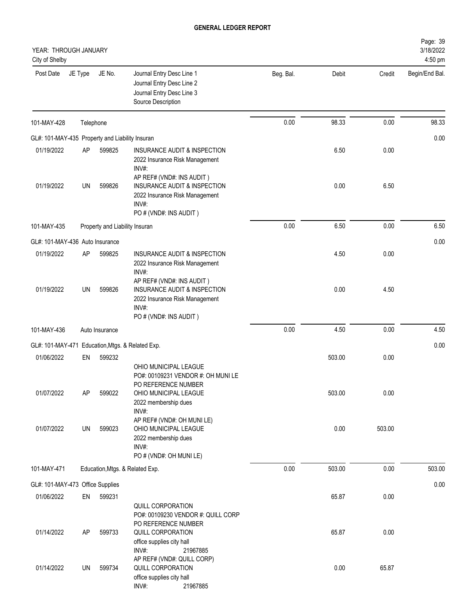| YEAR: THROUGH JANUARY<br>City of Shelby         |           |                                |                                                                                                                                                       |           |        |        | Page: 39<br>3/18/2022<br>4:50 pm |
|-------------------------------------------------|-----------|--------------------------------|-------------------------------------------------------------------------------------------------------------------------------------------------------|-----------|--------|--------|----------------------------------|
| Post Date                                       | JE Type   | JE No.                         | Journal Entry Desc Line 1<br>Journal Entry Desc Line 2<br>Journal Entry Desc Line 3<br>Source Description                                             | Beg. Bal. | Debit  | Credit | Begin/End Bal.                   |
| 101-MAY-428                                     | Telephone |                                |                                                                                                                                                       | 0.00      | 98.33  | 0.00   | 98.33                            |
| GL#: 101-MAY-435 Property and Liability Insuran |           |                                |                                                                                                                                                       |           |        |        | 0.00                             |
| 01/19/2022                                      | AP        | 599825                         | INSURANCE AUDIT & INSPECTION<br>2022 Insurance Risk Management<br>INV#:                                                                               |           | 6.50   | 0.00   |                                  |
| 01/19/2022                                      | UN        | 599826                         | AP REF# (VND#: INS AUDIT)<br>INSURANCE AUDIT & INSPECTION<br>2022 Insurance Risk Management<br>INV#:<br>PO # (VND#: INS AUDIT)                        |           | 0.00   | 6.50   |                                  |
| 101-MAY-435                                     |           | Property and Liability Insuran |                                                                                                                                                       | 0.00      | 6.50   | 0.00   | 6.50                             |
| GL#: 101-MAY-436 Auto Insurance                 |           |                                |                                                                                                                                                       |           |        |        | 0.00                             |
| 01/19/2022                                      | AP        | 599825                         | INSURANCE AUDIT & INSPECTION<br>2022 Insurance Risk Management<br>INV#:                                                                               |           | 4.50   | 0.00   |                                  |
| 01/19/2022                                      | UN        | 599826                         | AP REF# (VND#: INS AUDIT)<br>INSURANCE AUDIT & INSPECTION<br>2022 Insurance Risk Management<br>INV#:<br>PO # (VND#: INS AUDIT)                        |           | 0.00   | 4.50   |                                  |
| 101-MAY-436                                     |           | Auto Insurance                 |                                                                                                                                                       | 0.00      | 4.50   | 0.00   | 4.50                             |
|                                                 |           |                                | GL#: 101-MAY-471 Education, Mtgs. & Related Exp.                                                                                                      |           |        |        | 0.00                             |
| 01/06/2022                                      | EN        | 599232                         |                                                                                                                                                       |           | 503.00 | 0.00   |                                  |
| 01/07/2022                                      | AP        | 599022                         | OHIO MUNICIPAL LEAGUE<br>PO#: 00109231 VENDOR #: OH MUNI LE<br>PO REFERENCE NUMBER<br>OHIO MUNICIPAL LEAGUE                                           |           | 503.00 | 0.00   |                                  |
|                                                 |           |                                | 2022 membership dues<br>INV#:<br>AP REF# (VND#: OH MUNI LE)                                                                                           |           |        |        |                                  |
| 01/07/2022                                      | UN        | 599023                         | OHIO MUNICIPAL LEAGUE<br>2022 membership dues<br>INV#:<br>PO # (VND#: OH MUNI LE)                                                                     |           | 0.00   | 503.00 |                                  |
| 101-MAY-471                                     |           |                                | Education, Mtgs. & Related Exp.                                                                                                                       | 0.00      | 503.00 | 0.00   | 503.00                           |
| GL#: 101-MAY-473 Office Supplies                |           |                                |                                                                                                                                                       |           |        |        | 0.00                             |
| 01/06/2022                                      | EN        | 599231                         |                                                                                                                                                       |           | 65.87  | 0.00   |                                  |
| 01/14/2022                                      | AP        | 599733                         | QUILL CORPORATION<br>PO#: 00109230 VENDOR #: QUILL CORP<br>PO REFERENCE NUMBER<br>QUILL CORPORATION<br>office supplies city hall<br>INV#:<br>21967885 |           | 65.87  | 0.00   |                                  |
| 01/14/2022                                      | UN        | 599734                         | AP REF# (VND#: QUILL CORP)<br>QUILL CORPORATION<br>office supplies city hall<br>INV#:<br>21967885                                                     |           | 0.00   | 65.87  |                                  |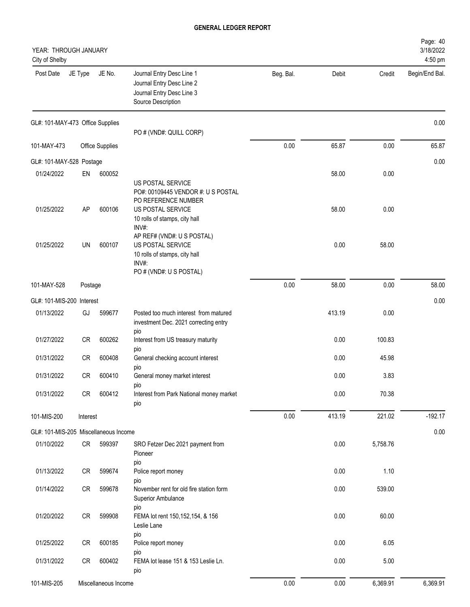| YEAR: THROUGH JANUARY<br>City of Shelby |           |                        |                                                                                                                                               |           |        |          | Page: 40<br>3/18/2022<br>4:50 pm |
|-----------------------------------------|-----------|------------------------|-----------------------------------------------------------------------------------------------------------------------------------------------|-----------|--------|----------|----------------------------------|
| Post Date                               | JE Type   | JE No.                 | Journal Entry Desc Line 1<br>Journal Entry Desc Line 2<br>Journal Entry Desc Line 3<br>Source Description                                     | Beg. Bal. | Debit  | Credit   | Begin/End Bal.                   |
| GL#: 101-MAY-473 Office Supplies        |           |                        | PO # (VND#: QUILL CORP)                                                                                                                       |           |        |          | 0.00                             |
| 101-MAY-473                             |           | <b>Office Supplies</b> |                                                                                                                                               | 0.00      | 65.87  | 0.00     | 65.87                            |
| GL#: 101-MAY-528 Postage                |           |                        |                                                                                                                                               |           |        |          | 0.00                             |
| 01/24/2022                              | EN        | 600052                 |                                                                                                                                               |           | 58.00  | 0.00     |                                  |
| 01/25/2022                              | AP        | 600106                 | US POSTAL SERVICE<br>PO#: 00109445 VENDOR #: U S POSTAL<br>PO REFERENCE NUMBER<br>US POSTAL SERVICE<br>10 rolls of stamps, city hall<br>INV#: |           | 58.00  | 0.00     |                                  |
| 01/25/2022                              | UN        | 600107                 | AP REF# (VND#: U S POSTAL)<br>US POSTAL SERVICE<br>10 rolls of stamps, city hall<br>INV#:<br>PO # (VND#: U S POSTAL)                          |           | 0.00   | 58.00    |                                  |
| 101-MAY-528                             | Postage   |                        |                                                                                                                                               | 0.00      | 58.00  | 0.00     | 58.00                            |
| GL#: 101-MIS-200 Interest               |           |                        |                                                                                                                                               |           |        |          | 0.00                             |
| 01/13/2022                              | GJ        | 599677                 | Posted too much interest from matured<br>investment Dec. 2021 correcting entry<br>pio                                                         |           | 413.19 | 0.00     |                                  |
| 01/27/2022                              | CR        | 600262                 | Interest from US treasury maturity                                                                                                            |           | 0.00   | 100.83   |                                  |
| 01/31/2022                              | <b>CR</b> | 600408                 | pio<br>General checking account interest<br>pio                                                                                               |           | 0.00   | 45.98    |                                  |
| 01/31/2022                              | <b>CR</b> | 600410                 | General money market interest                                                                                                                 |           | 0.00   | 3.83     |                                  |
| 01/31/2022                              | CR        | 600412                 | pio<br>Interest from Park National money market<br>pio                                                                                        |           | 0.00   | 70.38    |                                  |
| 101-MIS-200                             | Interest  |                        |                                                                                                                                               | 0.00      | 413.19 | 221.02   | $-192.17$                        |
| GL#: 101-MIS-205 Miscellaneous Income   |           |                        |                                                                                                                                               |           |        |          | 0.00                             |
| 01/10/2022                              | CR        | 599397                 | SRO Fetzer Dec 2021 payment from<br>Pioneer                                                                                                   |           | 0.00   | 5,758.76 |                                  |
| 01/13/2022                              | CR        | 599674                 | pio<br>Police report money<br>pio                                                                                                             |           | 0.00   | 1.10     |                                  |
| 01/14/2022                              | CR        | 599678                 | November rent for old fire station form<br>Superior Ambulance                                                                                 |           | 0.00   | 539.00   |                                  |
| 01/20/2022                              | CR        | 599908                 | pio<br>FEMA lot rent 150, 152, 154, & 156<br>Leslie Lane                                                                                      |           | 0.00   | 60.00    |                                  |
| 01/25/2022                              | CR        | 600185                 | pio<br>Police report money                                                                                                                    |           | 0.00   | 6.05     |                                  |
| 01/31/2022                              | CR        | 600402                 | pio<br>FEMA lot lease 151 & 153 Leslie Ln.<br>pio                                                                                             |           | 0.00   | 5.00     |                                  |
| 101-MIS-205                             |           | Miscellaneous Income   |                                                                                                                                               | 0.00      | 0.00   | 6,369.91 | 6,369.91                         |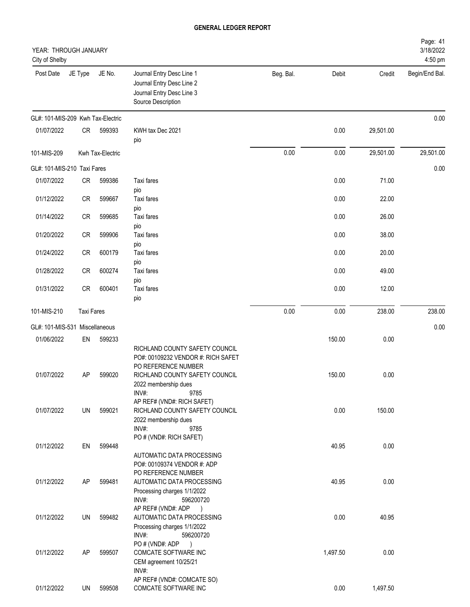| YEAR: THROUGH JANUARY<br>City of Shelby |                   |                  |                                                                                                                                                       |           |          |           | Page: 41<br>3/18/2022<br>4:50 pm |
|-----------------------------------------|-------------------|------------------|-------------------------------------------------------------------------------------------------------------------------------------------------------|-----------|----------|-----------|----------------------------------|
| Post Date                               | JE Type           | JE No.           | Journal Entry Desc Line 1<br>Journal Entry Desc Line 2<br>Journal Entry Desc Line 3<br>Source Description                                             | Beg. Bal. | Debit    | Credit    | Begin/End Bal.                   |
| GL#: 101-MIS-209 Kwh Tax-Electric       |                   |                  |                                                                                                                                                       |           |          |           | 0.00                             |
| 01/07/2022                              | CR                | 599393           | KWH tax Dec 2021<br>pio                                                                                                                               |           | 0.00     | 29,501.00 |                                  |
| 101-MIS-209                             |                   | Kwh Tax-Electric |                                                                                                                                                       | 0.00      | 0.00     | 29,501.00 | 29,501.00                        |
| GL#: 101-MIS-210 Taxi Fares             |                   |                  |                                                                                                                                                       |           |          |           | 0.00                             |
| 01/07/2022                              | CR                | 599386           | Taxi fares                                                                                                                                            |           | 0.00     | 71.00     |                                  |
| 01/12/2022                              | CR                | 599667           | pio<br>Taxi fares<br>pio                                                                                                                              |           | 0.00     | 22.00     |                                  |
| 01/14/2022                              | CR                | 599685           | Taxi fares<br>pio                                                                                                                                     |           | 0.00     | 26.00     |                                  |
| 01/20/2022                              | CR                | 599906           | Taxi fares                                                                                                                                            |           | 0.00     | 38.00     |                                  |
| 01/24/2022                              | CR                | 600179           | pio<br>Taxi fares                                                                                                                                     |           | 0.00     | 20.00     |                                  |
| 01/28/2022                              | CR                | 600274           | pio<br>Taxi fares                                                                                                                                     |           | 0.00     | 49.00     |                                  |
| 01/31/2022                              | <b>CR</b>         | 600401           | pio<br>Taxi fares<br>pio                                                                                                                              |           | 0.00     | 12.00     |                                  |
| 101-MIS-210                             | <b>Taxi Fares</b> |                  |                                                                                                                                                       | 0.00      | 0.00     | 238.00    | 238.00                           |
| GL#: 101-MIS-531                        |                   | Miscellaneous    |                                                                                                                                                       |           |          |           | 0.00                             |
| 01/06/2022                              | EN                | 599233           |                                                                                                                                                       |           | 150.00   | 0.00      |                                  |
| 01/07/2022                              | AP                | 599020           | RICHLAND COUNTY SAFETY COUNCIL<br>PO#: 00109232 VENDOR #: RICH SAFET<br>PO REFERENCE NUMBER<br>RICHLAND COUNTY SAFETY COUNCIL<br>2022 membership dues |           | 150.00   | 0.00      |                                  |
| 01/07/2022                              | UN                | 599021           | INV#:<br>9785<br>AP REF# (VND#: RICH SAFET)<br>RICHLAND COUNTY SAFETY COUNCIL<br>2022 membership dues<br>INV#:<br>9785                                |           | 0.00     | 150.00    |                                  |
| 01/12/2022                              | EN                | 599448           | PO # (VND#: RICH SAFET)<br>AUTOMATIC DATA PROCESSING<br>PO#: 00109374 VENDOR #: ADP                                                                   |           | 40.95    | 0.00      |                                  |
| 01/12/2022                              | AP                | 599481           | PO REFERENCE NUMBER<br>AUTOMATIC DATA PROCESSING<br>Processing charges 1/1/2022<br>INV#:<br>596200720                                                 |           | 40.95    | 0.00      |                                  |
| 01/12/2022                              | UN                | 599482           | AP REF# (VND#: ADP<br>$\rightarrow$<br>AUTOMATIC DATA PROCESSING<br>Processing charges 1/1/2022<br>INV#:<br>596200720                                 |           | 0.00     | 40.95     |                                  |
| 01/12/2022                              | AP                | 599507           | PO#(VND#: ADP<br>$\rightarrow$<br>COMCATE SOFTWARE INC<br>CEM agreement 10/25/21<br>INV#:                                                             |           | 1,497.50 | 0.00      |                                  |
| 01/12/2022                              | UN                | 599508           | AP REF# (VND#: COMCATE SO)<br>COMCATE SOFTWARE INC                                                                                                    |           | 0.00     | 1,497.50  |                                  |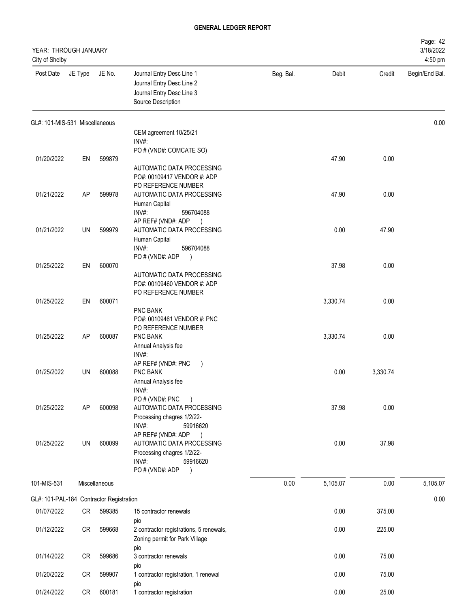| YEAR: THROUGH JANUARY<br>City of Shelby  |         |               |                                                                                                                     |           |          |          | Page: 42<br>3/18/2022<br>4:50 pm |
|------------------------------------------|---------|---------------|---------------------------------------------------------------------------------------------------------------------|-----------|----------|----------|----------------------------------|
| Post Date                                | JE Type | JE No.        | Journal Entry Desc Line 1<br>Journal Entry Desc Line 2<br>Journal Entry Desc Line 3<br>Source Description           | Beg. Bal. | Debit    | Credit   | Begin/End Bal.                   |
| GL#: 101-MIS-531 Miscellaneous           |         |               |                                                                                                                     |           |          |          | 0.00                             |
|                                          |         |               | CEM agreement 10/25/21<br>INV#:                                                                                     |           |          |          |                                  |
| 01/20/2022                               | EN      | 599879        | PO # (VND#: COMCATE SO)                                                                                             |           | 47.90    | 0.00     |                                  |
|                                          |         |               | AUTOMATIC DATA PROCESSING<br>PO#: 00109417 VENDOR #: ADP<br>PO REFERENCE NUMBER                                     |           |          |          |                                  |
| 01/21/2022                               | AP      | 599978        | AUTOMATIC DATA PROCESSING<br>Human Capital<br>INV#:<br>596704088                                                    |           | 47.90    | 0.00     |                                  |
|                                          |         |               | AP REF# (VND#: ADP<br>$\rightarrow$                                                                                 |           |          |          |                                  |
| 01/21/2022                               | UN      | 599979        | AUTOMATIC DATA PROCESSING<br>Human Capital<br>INV#:<br>596704088                                                    |           | 0.00     | 47.90    |                                  |
|                                          |         |               | PO # (VND#: ADP<br>$\lambda$                                                                                        |           |          |          |                                  |
| 01/25/2022                               | EN      | 600070        | AUTOMATIC DATA PROCESSING<br>PO#: 00109460 VENDOR #: ADP<br>PO REFERENCE NUMBER                                     |           | 37.98    | 0.00     |                                  |
| 01/25/2022                               | EN      | 600071        |                                                                                                                     |           | 3,330.74 | 0.00     |                                  |
|                                          |         |               | PNC BANK<br>PO#: 00109461 VENDOR #: PNC<br>PO REFERENCE NUMBER                                                      |           |          |          |                                  |
| 01/25/2022                               | AP      | 600087        | PNC BANK<br>Annual Analysis fee<br>INV#:                                                                            |           | 3,330.74 | 0.00     |                                  |
| 01/25/2022                               | UN      | 600088        | AP REF# (VND#: PNC<br>PNC BANK<br>Annual Analysis fee<br>INV#:                                                      |           | 0.00     | 3,330.74 |                                  |
| 01/25/2022                               | AP      | 600098        | PO # (VND#: PNC<br>AUTOMATIC DATA PROCESSING<br>Processing chagres 1/2/22-                                          |           | 37.98    | 0.00     |                                  |
| 01/25/2022                               | UN      | 600099        | INV#:<br>59916620<br>AP REF# (VND#: ADP<br>$\rightarrow$<br>AUTOMATIC DATA PROCESSING<br>Processing chagres 1/2/22- |           | 0.00     | 37.98    |                                  |
|                                          |         |               | INV#:<br>59916620<br>PO#(VND#: ADP<br>$\rightarrow$                                                                 |           |          |          |                                  |
| 101-MIS-531                              |         | Miscellaneous |                                                                                                                     | 0.00      | 5,105.07 | 0.00     | 5,105.07                         |
| GL#: 101-PAL-184 Contractor Registration |         |               |                                                                                                                     |           |          |          | 0.00                             |
| 01/07/2022                               | CR      | 599385        | 15 contractor renewals<br>pio                                                                                       |           | 0.00     | 375.00   |                                  |
| 01/12/2022                               | CR      | 599668        | 2 contractor registrations, 5 renewals,<br>Zoning permit for Park Village<br>pio                                    |           | 0.00     | 225.00   |                                  |
| 01/14/2022                               | CR      | 599686        | 3 contractor renewals<br>pio                                                                                        |           | 0.00     | 75.00    |                                  |
| 01/20/2022                               | CR      | 599907        | 1 contractor registration, 1 renewal<br>pio                                                                         |           | 0.00     | 75.00    |                                  |
| 01/24/2022                               | CR      | 600181        | 1 contractor registration                                                                                           |           | 0.00     | 25.00    |                                  |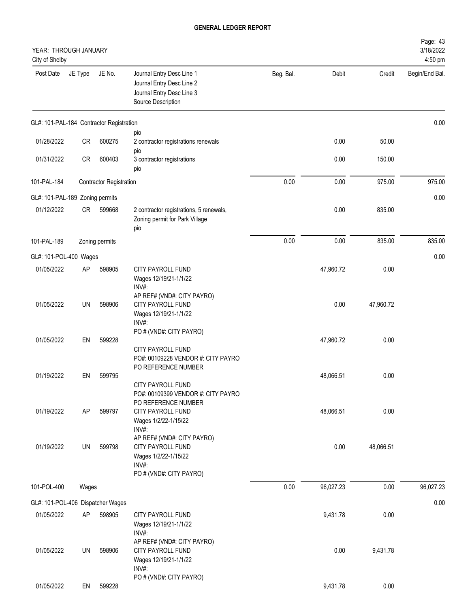| YEAR: THROUGH JANUARY<br>City of Shelby  |           |                                |                                                                                                             |           |           |           | Page: 43<br>3/18/2022<br>4:50 pm |
|------------------------------------------|-----------|--------------------------------|-------------------------------------------------------------------------------------------------------------|-----------|-----------|-----------|----------------------------------|
| Post Date                                | JE Type   | JE No.                         | Journal Entry Desc Line 1<br>Journal Entry Desc Line 2<br>Journal Entry Desc Line 3<br>Source Description   | Beg. Bal. | Debit     | Credit    | Begin/End Bal.                   |
| GL#: 101-PAL-184 Contractor Registration |           |                                |                                                                                                             |           |           |           | 0.00                             |
| 01/28/2022                               | <b>CR</b> | 600275                         | pio<br>2 contractor registrations renewals<br>pio                                                           |           | 0.00      | 50.00     |                                  |
| 01/31/2022                               | CR        | 600403                         | 3 contractor registrations<br>pio                                                                           |           | 0.00      | 150.00    |                                  |
| 101-PAL-184                              |           | <b>Contractor Registration</b> |                                                                                                             | 0.00      | 0.00      | 975.00    | 975.00                           |
| GL#: 101-PAL-189 Zoning permits          |           |                                |                                                                                                             |           |           |           | 0.00                             |
| 01/12/2022                               | CR        | 599668                         | 2 contractor registrations, 5 renewals,<br>Zoning permit for Park Village<br>pio                            |           | 0.00      | 835.00    |                                  |
| 101-PAL-189                              |           | Zoning permits                 |                                                                                                             | 0.00      | 0.00      | 835.00    | 835.00                           |
| GL#: 101-POL-400 Wages                   |           |                                |                                                                                                             |           |           |           | 0.00                             |
| 01/05/2022                               | AP        | 598905                         | CITY PAYROLL FUND<br>Wages 12/19/21-1/1/22<br>INV#:                                                         |           | 47,960.72 | 0.00      |                                  |
| 01/05/2022                               | UN        | 598906                         | AP REF# (VND#: CITY PAYRO)<br>CITY PAYROLL FUND<br>Wages 12/19/21-1/1/22<br>INV#:                           |           | 0.00      | 47,960.72 |                                  |
| 01/05/2022                               | EN        | 599228                         | PO # (VND#: CITY PAYRO)<br><b>CITY PAYROLL FUND</b><br>PO#: 00109228 VENDOR #: CITY PAYRO                   |           | 47,960.72 | 0.00      |                                  |
| 01/19/2022                               | EN        | 599795                         | PO REFERENCE NUMBER<br>CITY PAYROLL FUND<br>PO#: 00109399 VENDOR #: CITY PAYRO                              |           | 48,066.51 | 0.00      |                                  |
| 01/19/2022                               | AP        | 599797                         | PO REFERENCE NUMBER<br><b>CITY PAYROLL FUND</b><br>Wages 1/2/22-1/15/22<br>INV#:                            |           | 48,066.51 | 0.00      |                                  |
| 01/19/2022                               | UN        | 599798                         | AP REF# (VND#: CITY PAYRO)<br>CITY PAYROLL FUND<br>Wages 1/2/22-1/15/22<br>INV#:<br>PO # (VND#: CITY PAYRO) |           | 0.00      | 48,066.51 |                                  |
| 101-POL-400                              | Wages     |                                |                                                                                                             | 0.00      | 96,027.23 | 0.00      | 96,027.23                        |
| GL#: 101-POL-406 Dispatcher Wages        |           |                                |                                                                                                             |           |           |           | 0.00                             |
| 01/05/2022                               | AP        | 598905                         | CITY PAYROLL FUND<br>Wages 12/19/21-1/1/22<br>INV#:                                                         |           | 9,431.78  | 0.00      |                                  |
| 01/05/2022                               | UN        | 598906                         | AP REF# (VND#: CITY PAYRO)<br>CITY PAYROLL FUND<br>Wages 12/19/21-1/1/22<br>INV#:                           |           | 0.00      | 9,431.78  |                                  |
| 01/05/2022                               | EN        | 599228                         | PO # (VND#: CITY PAYRO)                                                                                     |           | 9,431.78  | 0.00      |                                  |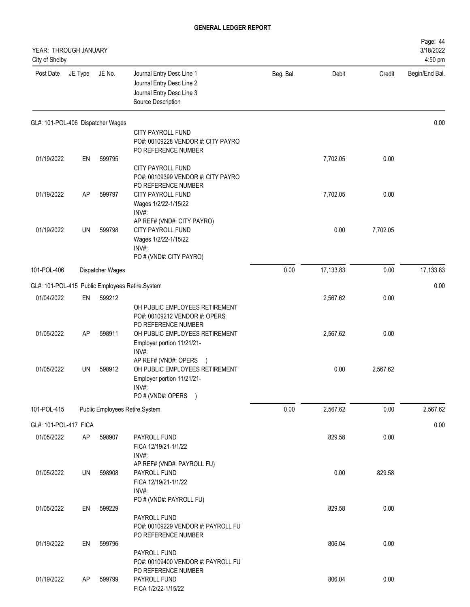| YEAR: THROUGH JANUARY<br>City of Shelby |           |                  |                                                                                                                        |           |           |          | Page: 44<br>3/18/2022<br>4:50 pm |
|-----------------------------------------|-----------|------------------|------------------------------------------------------------------------------------------------------------------------|-----------|-----------|----------|----------------------------------|
| Post Date                               | JE Type   | JE No.           | Journal Entry Desc Line 1<br>Journal Entry Desc Line 2<br>Journal Entry Desc Line 3<br>Source Description              | Beg. Bal. | Debit     | Credit   | Begin/End Bal.                   |
| GL#: 101-POL-406 Dispatcher Wages       |           |                  |                                                                                                                        |           |           |          | 0.00                             |
|                                         |           |                  | CITY PAYROLL FUND<br>PO#: 00109228 VENDOR #: CITY PAYRO<br>PO REFERENCE NUMBER                                         |           |           |          |                                  |
| 01/19/2022                              | EN        | 599795           | CITY PAYROLL FUND<br>PO#: 00109399 VENDOR #: CITY PAYRO<br>PO REFERENCE NUMBER                                         |           | 7,702.05  | 0.00     |                                  |
| 01/19/2022                              | <b>AP</b> | 599797           | CITY PAYROLL FUND<br>Wages 1/2/22-1/15/22<br>INV#:                                                                     |           | 7,702.05  | 0.00     |                                  |
| 01/19/2022                              | UN        | 599798           | AP REF# (VND#: CITY PAYRO)<br><b>CITY PAYROLL FUND</b><br>Wages 1/2/22-1/15/22<br>INV#:<br>PO # (VND#: CITY PAYRO)     |           | 0.00      | 7,702.05 |                                  |
| 101-POL-406                             |           | Dispatcher Wages |                                                                                                                        | 0.00      | 17,133.83 | 0.00     | 17,133.83                        |
|                                         |           |                  | GL#: 101-POL-415 Public Employees Retire.System                                                                        |           |           |          | 0.00                             |
| 01/04/2022                              | EN        | 599212           | OH PUBLIC EMPLOYEES RETIREMENT<br>PO#: 00109212 VENDOR #: OPERS                                                        |           | 2,567.62  | 0.00     |                                  |
| 01/05/2022                              | <b>AP</b> | 598911           | PO REFERENCE NUMBER<br>OH PUBLIC EMPLOYEES RETIREMENT<br>Employer portion 11/21/21-<br>INV#:                           |           | 2,567.62  | 0.00     |                                  |
| 01/05/2022                              | UN        | 598912           | AP REF# (VND#: OPERS )<br>OH PUBLIC EMPLOYEES RETIREMENT<br>Employer portion 11/21/21-<br>INV#:<br>PO # (VND#: OPERS ) |           | 0.00      | 2,567.62 |                                  |
| 101-POL-415                             |           |                  | Public Employees Retire.System                                                                                         | 0.00      | 2,567.62  | 0.00     | 2,567.62                         |
| GL#: 101-POL-417 FICA                   |           |                  |                                                                                                                        |           |           |          | 0.00                             |
| 01/05/2022                              | AP        | 598907           | PAYROLL FUND<br>FICA 12/19/21-1/1/22<br>INV#:<br>AP REF# (VND#: PAYROLL FU)                                            |           | 829.58    | 0.00     |                                  |
| 01/05/2022                              | UN        | 598908           | PAYROLL FUND<br>FICA 12/19/21-1/1/22<br>INV#:                                                                          |           | 0.00      | 829.58   |                                  |
| 01/05/2022                              | EN        | 599229           | PO # (VND#: PAYROLL FU)<br>PAYROLL FUND<br>PO#: 00109229 VENDOR #: PAYROLL FU                                          |           | 829.58    | 0.00     |                                  |
| 01/19/2022                              | EN        | 599796           | PO REFERENCE NUMBER<br>PAYROLL FUND<br>PO#: 00109400 VENDOR #: PAYROLL FU                                              |           | 806.04    | 0.00     |                                  |
| 01/19/2022                              | AP        | 599799           | PO REFERENCE NUMBER<br>PAYROLL FUND<br>FICA 1/2/22-1/15/22                                                             |           | 806.04    | 0.00     |                                  |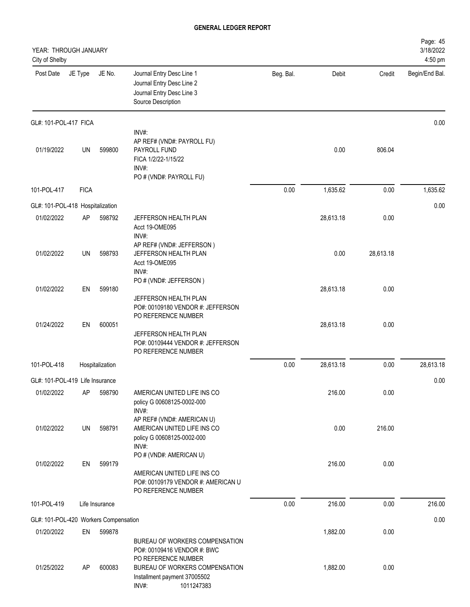| YEAR: THROUGH JANUARY<br>City of Shelby |             |                 |                                                                                                                     |           |           |           | Page: 45<br>3/18/2022<br>4:50 pm |
|-----------------------------------------|-------------|-----------------|---------------------------------------------------------------------------------------------------------------------|-----------|-----------|-----------|----------------------------------|
| Post Date                               | JE Type     | JE No.          | Journal Entry Desc Line 1<br>Journal Entry Desc Line 2<br>Journal Entry Desc Line 3<br>Source Description           | Beg. Bal. | Debit     | Credit    | Begin/End Bal.                   |
| GL#: 101-POL-417 FICA                   |             |                 |                                                                                                                     |           |           |           | 0.00                             |
| 01/19/2022                              | UN          | 599800          | INV#:<br>AP REF# (VND#: PAYROLL FU)<br>PAYROLL FUND<br>FICA 1/2/22-1/15/22<br>INV#:<br>PO # (VND#: PAYROLL FU)      |           | 0.00      | 806.04    |                                  |
| 101-POL-417                             | <b>FICA</b> |                 |                                                                                                                     | 0.00      | 1,635.62  | 0.00      | 1,635.62                         |
| GL#: 101-POL-418 Hospitalization        |             |                 |                                                                                                                     |           |           |           | 0.00                             |
| 01/02/2022                              | AP          | 598792          | JEFFERSON HEALTH PLAN<br>Acct 19-OME095<br>INV#:                                                                    |           | 28,613.18 | 0.00      |                                  |
| 01/02/2022                              | UN          | 598793          | AP REF# (VND#: JEFFERSON)<br>JEFFERSON HEALTH PLAN<br>Acct 19-OME095<br>INV#:                                       |           | 0.00      | 28,613.18 |                                  |
| 01/02/2022                              | EN          | 599180          | PO # (VND#: JEFFERSON)<br>JEFFERSON HEALTH PLAN<br>PO#: 00109180 VENDOR #: JEFFERSON                                |           | 28,613.18 | 0.00      |                                  |
| 01/24/2022                              | EN          | 600051          | PO REFERENCE NUMBER<br>JEFFERSON HEALTH PLAN<br>PO#: 00109444 VENDOR #: JEFFERSON<br>PO REFERENCE NUMBER            |           | 28,613.18 | 0.00      |                                  |
| 101-POL-418                             |             | Hospitalization |                                                                                                                     | 0.00      | 28,613.18 | 0.00      | 28,613.18                        |
| GL#: 101-POL-419 Life Insurance         |             |                 |                                                                                                                     |           |           |           | 0.00                             |
| 01/02/2022                              | AP          | 598790          | AMERICAN UNITED LIFE INS CO<br>policy G 00608125-0002-000<br>INV#:                                                  |           | 216.00    | 0.00      |                                  |
| 01/02/2022                              | UN          | 598791          | AP REF# (VND#: AMERICAN U)<br>AMERICAN UNITED LIFE INS CO<br>policy G 00608125-0002-000<br>INV#:                    |           | 0.00      | 216.00    |                                  |
| 01/02/2022                              | EN          | 599179          | PO # (VND#: AMERICAN U)<br>AMERICAN UNITED LIFE INS CO<br>PO#: 00109179 VENDOR #: AMERICAN U<br>PO REFERENCE NUMBER |           | 216.00    | 0.00      |                                  |
| 101-POL-419                             |             | Life Insurance  |                                                                                                                     | 0.00      | 216.00    | 0.00      | 216.00                           |
| GL#: 101-POL-420 Workers Compensation   |             |                 |                                                                                                                     |           |           |           | 0.00                             |
| 01/20/2022                              | EN          | 599878          | BUREAU OF WORKERS COMPENSATION<br>PO#: 00109416 VENDOR #: BWC                                                       |           | 1,882.00  | 0.00      |                                  |
| 01/25/2022                              | AP          | 600083          | PO REFERENCE NUMBER<br>BUREAU OF WORKERS COMPENSATION<br>Installment payment 37005502<br>INV#:<br>1011247383        |           | 1,882.00  | 0.00      |                                  |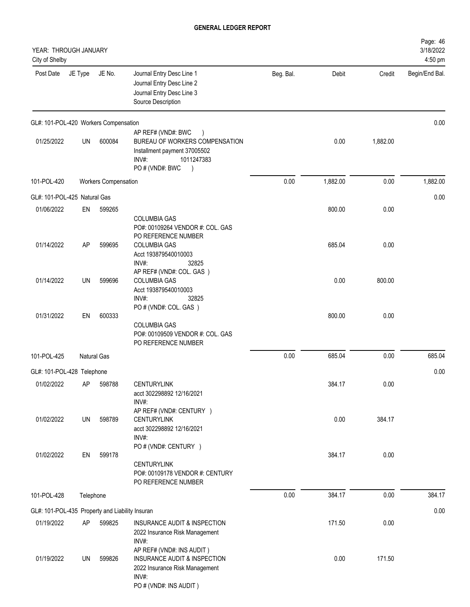| YEAR: THROUGH JANUARY<br>City of Shelby         |           |                             |                                                                                                                                                 |           |          |          | Page: 46<br>3/18/2022<br>4:50 pm |
|-------------------------------------------------|-----------|-----------------------------|-------------------------------------------------------------------------------------------------------------------------------------------------|-----------|----------|----------|----------------------------------|
| Post Date                                       | JE Type   | JE No.                      | Journal Entry Desc Line 1<br>Journal Entry Desc Line 2<br>Journal Entry Desc Line 3<br>Source Description                                       | Beg. Bal. | Debit    | Credit   | Begin/End Bal.                   |
| GL#: 101-POL-420 Workers Compensation           |           |                             |                                                                                                                                                 |           |          |          | 0.00                             |
| 01/25/2022                                      | UN        | 600084                      | AP REF# (VND#: BWC<br>BUREAU OF WORKERS COMPENSATION<br>Installment payment 37005502<br>INV#:<br>1011247383<br>PO#(VND#: BWC<br>$\lambda$       |           | 0.00     | 1,882.00 |                                  |
| 101-POL-420                                     |           | <b>Workers Compensation</b> |                                                                                                                                                 | 0.00      | 1,882.00 | 0.00     | 1,882.00                         |
| GL#: 101-POL-425 Natural Gas                    |           |                             |                                                                                                                                                 |           |          |          | 0.00                             |
| 01/06/2022                                      | EN        | 599265                      |                                                                                                                                                 |           | 800.00   | 0.00     |                                  |
| 01/14/2022                                      | AP        | 599695                      | <b>COLUMBIA GAS</b><br>PO#: 00109264 VENDOR #: COL. GAS<br>PO REFERENCE NUMBER<br><b>COLUMBIA GAS</b><br>Acct 193879540010003<br>INV#:<br>32825 |           | 685.04   | 0.00     |                                  |
| 01/14/2022                                      | <b>UN</b> | 599696                      | AP REF# (VND#: COL. GAS )<br><b>COLUMBIA GAS</b><br>Acct 193879540010003<br>INV#:<br>32825                                                      |           | 0.00     | 800.00   |                                  |
| 01/31/2022                                      | EN        | 600333                      | PO # (VND#: COL. GAS)<br><b>COLUMBIA GAS</b><br>PO#: 00109509 VENDOR #: COL. GAS<br>PO REFERENCE NUMBER                                         |           | 800.00   | 0.00     |                                  |
| 101-POL-425                                     |           | <b>Natural Gas</b>          |                                                                                                                                                 | 0.00      | 685.04   | 0.00     | 685.04                           |
| GL#: 101-POL-428 Telephone                      |           |                             |                                                                                                                                                 |           |          |          | 0.00                             |
| 01/02/2022                                      | AP        | 598788                      | <b>CENTURYLINK</b><br>acct 302298892 12/16/2021<br>INV#:                                                                                        |           | 384.17   | 0.00     |                                  |
| 01/02/2022                                      | UN        | 598789                      | AP REF# (VND#: CENTURY )<br><b>CENTURYLINK</b><br>acct 302298892 12/16/2021<br>INV#:                                                            |           | 0.00     | 384.17   |                                  |
| 01/02/2022                                      | EN        | 599178                      | PO # (VND#: CENTURY )<br><b>CENTURYLINK</b><br>PO#: 00109178 VENDOR #: CENTURY<br>PO REFERENCE NUMBER                                           |           | 384.17   | 0.00     |                                  |
| 101-POL-428                                     | Telephone |                             |                                                                                                                                                 | 0.00      | 384.17   | 0.00     | 384.17                           |
| GL#: 101-POL-435 Property and Liability Insuran |           |                             |                                                                                                                                                 |           |          |          | 0.00                             |
| 01/19/2022                                      | AP        | 599825                      | INSURANCE AUDIT & INSPECTION<br>2022 Insurance Risk Management<br>INV#:                                                                         |           | 171.50   | 0.00     |                                  |
| 01/19/2022                                      | UN        | 599826                      | AP REF# (VND#: INS AUDIT)<br>INSURANCE AUDIT & INSPECTION<br>2022 Insurance Risk Management<br>INV#:<br>PO # (VND#: INS AUDIT)                  |           | 0.00     | 171.50   |                                  |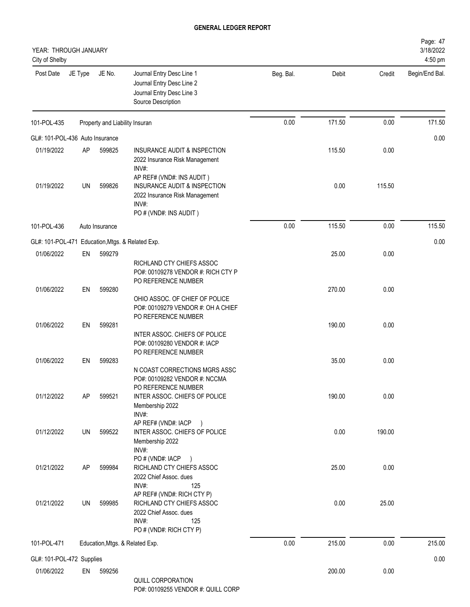| YEAR: THROUGH JANUARY<br>City of Shelby |           |                                |                                                                                                                                |           |        |        | Page: 47<br>3/18/2022<br>4:50 pm |
|-----------------------------------------|-----------|--------------------------------|--------------------------------------------------------------------------------------------------------------------------------|-----------|--------|--------|----------------------------------|
| Post Date                               | JE Type   | JE No.                         | Journal Entry Desc Line 1<br>Journal Entry Desc Line 2<br>Journal Entry Desc Line 3<br>Source Description                      | Beg. Bal. | Debit  | Credit | Begin/End Bal.                   |
| 101-POL-435                             |           | Property and Liability Insuran |                                                                                                                                | 0.00      | 171.50 | 0.00   | 171.50                           |
| GL#: 101-POL-436 Auto Insurance         |           |                                |                                                                                                                                |           |        |        | 0.00                             |
| 01/19/2022                              | <b>AP</b> | 599825                         | INSURANCE AUDIT & INSPECTION<br>2022 Insurance Risk Management<br>INV#:                                                        |           | 115.50 | 0.00   |                                  |
| 01/19/2022                              | UN        | 599826                         | AP REF# (VND#: INS AUDIT)<br>INSURANCE AUDIT & INSPECTION<br>2022 Insurance Risk Management<br>INV#:<br>PO # (VND#: INS AUDIT) |           | 0.00   | 115.50 |                                  |
| 101-POL-436                             |           | Auto Insurance                 |                                                                                                                                | 0.00      | 115.50 | 0.00   | 115.50                           |
|                                         |           |                                | GL#: 101-POL-471 Education, Mtgs. & Related Exp.                                                                               |           |        |        | 0.00                             |
| 01/06/2022                              | EN        | 599279                         |                                                                                                                                |           | 25.00  | 0.00   |                                  |
|                                         |           |                                | RICHLAND CTY CHIEFS ASSOC<br>PO#: 00109278 VENDOR #: RICH CTY P<br>PO REFERENCE NUMBER                                         |           |        |        |                                  |
| 01/06/2022                              | EN        | 599280                         | OHIO ASSOC. OF CHIEF OF POLICE<br>PO#: 00109279 VENDOR #: OH A CHIEF<br>PO REFERENCE NUMBER                                    |           | 270.00 | 0.00   |                                  |
| 01/06/2022                              | EN        | 599281                         | INTER ASSOC. CHIEFS OF POLICE<br>PO#: 00109280 VENDOR #: IACP<br>PO REFERENCE NUMBER                                           |           | 190.00 | 0.00   |                                  |
| 01/06/2022                              | EN        | 599283                         | N COAST CORRECTIONS MGRS ASSC<br>PO#: 00109282 VENDOR #: NCCMA<br>PO REFERENCE NUMBER                                          |           | 35.00  | 0.00   |                                  |
| 01/12/2022                              | AP        | 599521                         | INTER ASSOC. CHIEFS OF POLICE<br>Membership 2022<br>INV#:<br>AP REF# (VND#: IACP                                               |           | 190.00 | 0.00   |                                  |
| 01/12/2022                              | UN        | 599522                         | $\rightarrow$<br>INTER ASSOC. CHIEFS OF POLICE<br>Membership 2022<br>INV#:<br>PO # (VND#: IACP                                 |           | 0.00   | 190.00 |                                  |
| 01/21/2022                              | AP        | 599984                         | $\rightarrow$<br>RICHLAND CTY CHIEFS ASSOC<br>2022 Chief Assoc. dues<br>INV#:<br>125                                           |           | 25.00  | 0.00   |                                  |
| 01/21/2022                              | UN        | 599985                         | AP REF# (VND#: RICH CTY P)<br>RICHLAND CTY CHIEFS ASSOC<br>2022 Chief Assoc. dues<br>INV#:<br>125<br>PO # (VND#: RICH CTY P)   |           | 0.00   | 25.00  |                                  |
| 101-POL-471                             |           |                                | Education, Mtgs. & Related Exp.                                                                                                | 0.00      | 215.00 | 0.00   | 215.00                           |
| GL#: 101-POL-472 Supplies               |           |                                |                                                                                                                                |           |        |        | 0.00                             |
| 01/06/2022                              | EN        | 599256                         | QUILL CORPORATION                                                                                                              |           | 200.00 | 0.00   |                                  |

PO#: 00109255 VENDOR #: QUILL CORP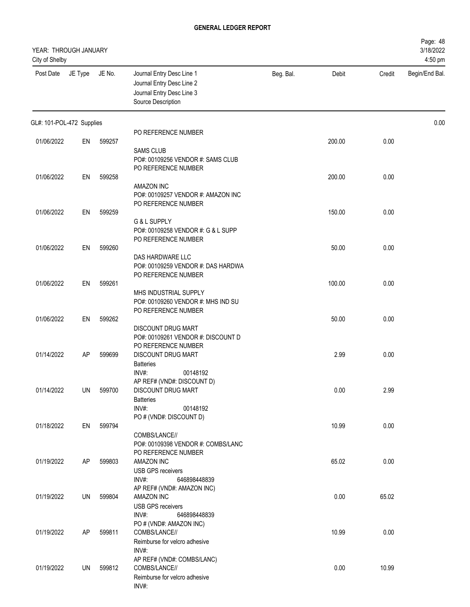| YEAR: THROUGH JANUARY<br>City of Shelby |         |        |                                                                                                           |           |        |        | Page: 48<br>3/18/2022<br>4:50 pm |
|-----------------------------------------|---------|--------|-----------------------------------------------------------------------------------------------------------|-----------|--------|--------|----------------------------------|
| Post Date                               | JE Type | JE No. | Journal Entry Desc Line 1<br>Journal Entry Desc Line 2<br>Journal Entry Desc Line 3<br>Source Description | Beg. Bal. | Debit  | Credit | Begin/End Bal.                   |
| GL#: 101-POL-472 Supplies               |         |        |                                                                                                           |           |        |        | 0.00                             |
| 01/06/2022                              | EN      | 599257 | PO REFERENCE NUMBER                                                                                       |           | 200.00 | 0.00   |                                  |
|                                         |         |        | <b>SAMS CLUB</b><br>PO#: 00109256 VENDOR #: SAMS CLUB<br>PO REFERENCE NUMBER                              |           |        |        |                                  |
| 01/06/2022                              | EN      | 599258 |                                                                                                           |           | 200.00 | 0.00   |                                  |
|                                         |         |        | <b>AMAZON INC</b><br>PO#: 00109257 VENDOR #: AMAZON INC<br>PO REFERENCE NUMBER                            |           |        |        |                                  |
| 01/06/2022                              | EN      | 599259 | G & L SUPPLY                                                                                              |           | 150.00 | 0.00   |                                  |
|                                         |         |        | PO#: 00109258 VENDOR #: G & L SUPP<br>PO REFERENCE NUMBER                                                 |           |        |        |                                  |
| 01/06/2022                              | EN      | 599260 | DAS HARDWARE LLC                                                                                          |           | 50.00  | 0.00   |                                  |
|                                         |         |        | PO#: 00109259 VENDOR #: DAS HARDWA<br>PO REFERENCE NUMBER                                                 |           |        |        |                                  |
| 01/06/2022                              | EN      | 599261 | MHS INDUSTRIAL SUPPLY                                                                                     |           | 100.00 | 0.00   |                                  |
|                                         |         |        | PO#: 00109260 VENDOR #: MHS IND SU<br>PO REFERENCE NUMBER                                                 |           |        |        |                                  |
| 01/06/2022                              | EN      | 599262 | <b>DISCOUNT DRUG MART</b><br>PO#: 00109261 VENDOR #: DISCOUNT D                                           |           | 50.00  | 0.00   |                                  |
| 01/14/2022                              | AP      | 599699 | PO REFERENCE NUMBER<br>DISCOUNT DRUG MART<br><b>Batteries</b>                                             |           | 2.99   | 0.00   |                                  |
|                                         |         |        | INV#:<br>00148192                                                                                         |           |        |        |                                  |
| 01/14/2022                              | UN      | 599700 | AP REF# (VND#: DISCOUNT D)<br>DISCOUNT DRUG MART<br><b>Batteries</b>                                      |           | 0.00   | 2.99   |                                  |
|                                         |         |        | INV#:<br>00148192<br>PO # (VND#: DISCOUNT D)                                                              |           |        |        |                                  |
| 01/18/2022                              | EN      | 599794 |                                                                                                           |           | 10.99  | 0.00   |                                  |
|                                         |         |        | COMBS/LANCE//<br>PO#: 00109398 VENDOR #: COMBS/LANC<br>PO REFERENCE NUMBER                                |           |        |        |                                  |
| 01/19/2022                              | AP      | 599803 | AMAZON INC<br><b>USB GPS receivers</b><br>INV#:<br>646898448839                                           |           | 65.02  | 0.00   |                                  |
| 01/19/2022                              | UN      | 599804 | AP REF# (VND#: AMAZON INC)<br>AMAZON INC<br><b>USB GPS receivers</b>                                      |           | 0.00   | 65.02  |                                  |
| 01/19/2022                              | AP      | 599811 | $INV#$ :<br>646898448839<br>PO # (VND#: AMAZON INC)<br>COMBS/LANCE//                                      |           | 10.99  | 0.00   |                                  |
|                                         |         |        | Reimburse for velcro adhesive<br>INV#:                                                                    |           |        |        |                                  |
| 01/19/2022                              | UN      | 599812 | AP REF# (VND#: COMBS/LANC)<br>COMBS/LANCE//<br>Reimburse for velcro adhesive                              |           | 0.00   | 10.99  |                                  |
|                                         |         |        | INV#:                                                                                                     |           |        |        |                                  |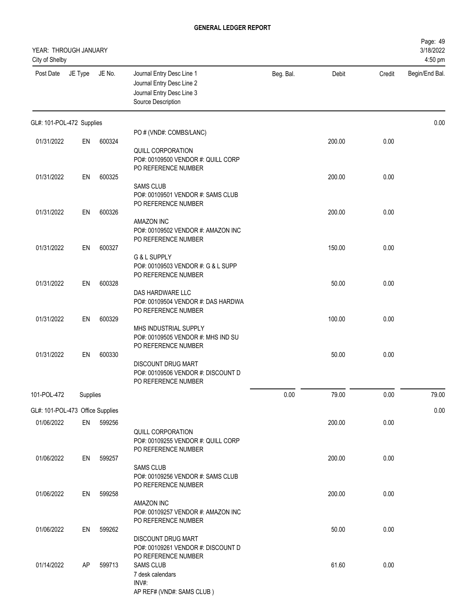| YEAR: THROUGH JANUARY<br>City of Shelby |          |        |                                                                                                           |           |        |        | Page: 49<br>3/18/2022<br>4:50 pm |
|-----------------------------------------|----------|--------|-----------------------------------------------------------------------------------------------------------|-----------|--------|--------|----------------------------------|
| Post Date                               | JE Type  | JE No. | Journal Entry Desc Line 1<br>Journal Entry Desc Line 2<br>Journal Entry Desc Line 3<br>Source Description | Beg. Bal. | Debit  | Credit | Begin/End Bal.                   |
| GL#: 101-POL-472 Supplies               |          |        |                                                                                                           |           |        |        | 0.00                             |
| 01/31/2022                              | EN       | 600324 | PO # (VND#: COMBS/LANC)                                                                                   |           | 200.00 | 0.00   |                                  |
|                                         |          |        | QUILL CORPORATION<br>PO#: 00109500 VENDOR #: QUILL CORP<br>PO REFERENCE NUMBER                            |           |        |        |                                  |
| 01/31/2022                              | EN       | 600325 | <b>SAMS CLUB</b>                                                                                          |           | 200.00 | 0.00   |                                  |
|                                         |          |        | PO#: 00109501 VENDOR #: SAMS CLUB<br>PO REFERENCE NUMBER                                                  |           |        |        |                                  |
| 01/31/2022                              | EN       | 600326 | AMAZON INC                                                                                                |           | 200.00 | 0.00   |                                  |
| 01/31/2022                              | EN       | 600327 | PO#: 00109502 VENDOR #: AMAZON INC<br>PO REFERENCE NUMBER                                                 |           | 150.00 | 0.00   |                                  |
|                                         |          |        | G & L SUPPLY<br>PO#: 00109503 VENDOR #: G & L SUPP<br>PO REFERENCE NUMBER                                 |           |        |        |                                  |
| 01/31/2022                              | EN       | 600328 |                                                                                                           |           | 50.00  | 0.00   |                                  |
|                                         |          |        | DAS HARDWARE LLC<br>PO#: 00109504 VENDOR #: DAS HARDWA<br>PO REFERENCE NUMBER                             |           |        |        |                                  |
| 01/31/2022                              | EN       | 600329 | MHS INDUSTRIAL SUPPLY<br>PO#: 00109505 VENDOR #: MHS IND SU<br>PO REFERENCE NUMBER                        |           | 100.00 | 0.00   |                                  |
| 01/31/2022                              | EN       | 600330 | <b>DISCOUNT DRUG MART</b><br>PO#: 00109506 VENDOR #: DISCOUNT D<br>PO REFERENCE NUMBER                    |           | 50.00  | 0.00   |                                  |
| 101-POL-472                             | Supplies |        |                                                                                                           | 0.00      | 79.00  | 0.00   | 79.00                            |
| GL#: 101-POL-473 Office Supplies        |          |        |                                                                                                           |           |        |        | 0.00                             |
| 01/06/2022                              | EN       | 599256 | QUILL CORPORATION<br>PO#: 00109255 VENDOR #: QUILL CORP                                                   |           | 200.00 | 0.00   |                                  |
| 01/06/2022                              | EN       | 599257 | PO REFERENCE NUMBER<br><b>SAMS CLUB</b>                                                                   |           | 200.00 | 0.00   |                                  |
| 01/06/2022                              | EN       | 599258 | PO#: 00109256 VENDOR #: SAMS CLUB<br>PO REFERENCE NUMBER                                                  |           | 200.00 | 0.00   |                                  |
|                                         |          |        | AMAZON INC<br>PO#: 00109257 VENDOR #: AMAZON INC<br>PO REFERENCE NUMBER                                   |           |        |        |                                  |
| 01/06/2022                              | EN       | 599262 | <b>DISCOUNT DRUG MART</b><br>PO#: 00109261 VENDOR #: DISCOUNT D                                           |           | 50.00  | 0.00   |                                  |
| 01/14/2022                              | AP       | 599713 | PO REFERENCE NUMBER<br><b>SAMS CLUB</b><br>7 desk calendars<br>INV#:<br>AP REF# (VND#: SAMS CLUB)         |           | 61.60  | 0.00   |                                  |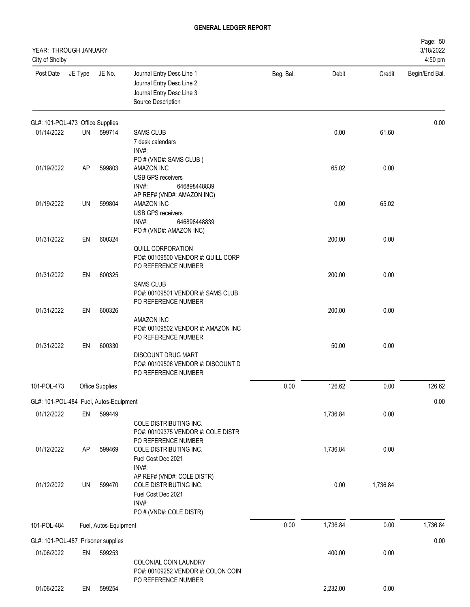| YEAR: THROUGH JANUARY<br>City of Shelby |         |                        |                                                                                                                                |           |          |          | Page: 50<br>3/18/2022<br>4:50 pm |
|-----------------------------------------|---------|------------------------|--------------------------------------------------------------------------------------------------------------------------------|-----------|----------|----------|----------------------------------|
| Post Date                               | JE Type | JE No.                 | Journal Entry Desc Line 1<br>Journal Entry Desc Line 2<br>Journal Entry Desc Line 3<br>Source Description                      | Beg. Bal. | Debit    | Credit   | Begin/End Bal.                   |
| GL#: 101-POL-473 Office Supplies        |         |                        |                                                                                                                                |           |          |          | 0.00                             |
| 01/14/2022                              | UN      | 599714                 | <b>SAMS CLUB</b><br>7 desk calendars<br>INV#:                                                                                  |           | 0.00     | 61.60    |                                  |
| 01/19/2022                              | AP      | 599803                 | PO # (VND#: SAMS CLUB)<br><b>AMAZON INC</b><br><b>USB GPS receivers</b><br>INV#:<br>646898448839<br>AP REF# (VND#: AMAZON INC) |           | 65.02    | 0.00     |                                  |
| 01/19/2022                              | UN      | 599804                 | AMAZON INC<br><b>USB GPS receivers</b><br>INV#:<br>646898448839<br>PO # (VND#: AMAZON INC)                                     |           | 0.00     | 65.02    |                                  |
| 01/31/2022                              | EN      | 600324                 | QUILL CORPORATION<br>PO#: 00109500 VENDOR #: QUILL CORP<br>PO REFERENCE NUMBER                                                 |           | 200.00   | 0.00     |                                  |
| 01/31/2022                              | EN      | 600325                 | <b>SAMS CLUB</b><br>PO#: 00109501 VENDOR #: SAMS CLUB<br>PO REFERENCE NUMBER                                                   |           | 200.00   | 0.00     |                                  |
| 01/31/2022                              | EN      | 600326                 | <b>AMAZON INC</b><br>PO#: 00109502 VENDOR #: AMAZON INC<br>PO REFERENCE NUMBER                                                 |           | 200.00   | 0.00     |                                  |
| 01/31/2022                              | EN      | 600330                 | <b>DISCOUNT DRUG MART</b><br>PO#: 00109506 VENDOR #: DISCOUNT D<br>PO REFERENCE NUMBER                                         |           | 50.00    | 0.00     |                                  |
| 101-POL-473                             |         | <b>Office Supplies</b> |                                                                                                                                | 0.00      | 126.62   | 0.00     | 126.62                           |
| GL#: 101-POL-484 Fuel, Autos-Equipment  |         |                        |                                                                                                                                |           |          |          | 0.00                             |
| 01/12/2022                              | EN      | 599449                 | COLE DISTRIBUTING INC.<br>PO#: 00109375 VENDOR #: COLE DISTR<br>PO REFERENCE NUMBER                                            |           | 1,736.84 | 0.00     |                                  |
| 01/12/2022                              | AP      | 599469                 | COLE DISTRIBUTING INC.<br>Fuel Cost Dec 2021<br>INV#:<br>AP REF# (VND#: COLE DISTR)                                            |           | 1,736.84 | 0.00     |                                  |
| 01/12/2022                              | UN      | 599470                 | COLE DISTRIBUTING INC.<br>Fuel Cost Dec 2021<br>INV#:<br>PO # (VND#: COLE DISTR)                                               |           | 0.00     | 1,736.84 |                                  |
| 101-POL-484                             |         | Fuel, Autos-Equipment  |                                                                                                                                | 0.00      | 1,736.84 | 0.00     | 1,736.84                         |
| GL#: 101-POL-487 Prisoner supplies      |         |                        |                                                                                                                                |           |          |          | 0.00                             |
| 01/06/2022                              | EN      | 599253                 | COLONIAL COIN LAUNDRY<br>PO#: 00109252 VENDOR #: COLON COIN<br>PO REFERENCE NUMBER                                             |           | 400.00   | 0.00     |                                  |
| 01/06/2022                              | EN      | 599254                 |                                                                                                                                |           | 2,232.00 | 0.00     |                                  |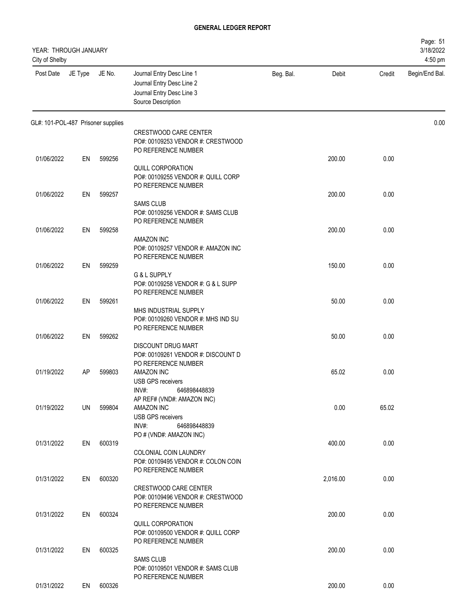| YEAR: THROUGH JANUARY<br>City of Shelby |         |        |                                                                                                                    |           |          |        | Page: 51<br>3/18/2022<br>4:50 pm |
|-----------------------------------------|---------|--------|--------------------------------------------------------------------------------------------------------------------|-----------|----------|--------|----------------------------------|
| Post Date                               | JE Type | JE No. | Journal Entry Desc Line 1<br>Journal Entry Desc Line 2<br>Journal Entry Desc Line 3<br>Source Description          | Beg. Bal. | Debit    | Credit | Begin/End Bal.                   |
| GL#: 101-POL-487 Prisoner supplies      |         |        |                                                                                                                    |           |          |        | 0.00                             |
|                                         |         |        | CRESTWOOD CARE CENTER<br>PO#: 00109253 VENDOR #: CRESTWOOD<br>PO REFERENCE NUMBER                                  |           |          |        |                                  |
| 01/06/2022                              | EN      | 599256 | QUILL CORPORATION<br>PO#: 00109255 VENDOR #: QUILL CORP<br>PO REFERENCE NUMBER                                     |           | 200.00   | 0.00   |                                  |
| 01/06/2022                              | EN      | 599257 | <b>SAMS CLUB</b><br>PO#: 00109256 VENDOR #: SAMS CLUB                                                              |           | 200.00   | 0.00   |                                  |
| 01/06/2022                              | EN      | 599258 | PO REFERENCE NUMBER<br>AMAZON INC<br>PO#: 00109257 VENDOR #: AMAZON INC                                            |           | 200.00   | 0.00   |                                  |
| 01/06/2022                              | EN      | 599259 | PO REFERENCE NUMBER<br>G & L SUPPLY<br>PO#: 00109258 VENDOR #: G & L SUPP                                          |           | 150.00   | 0.00   |                                  |
| 01/06/2022                              | EN      | 599261 | PO REFERENCE NUMBER<br>MHS INDUSTRIAL SUPPLY<br>PO#: 00109260 VENDOR #: MHS IND SU                                 |           | 50.00    | 0.00   |                                  |
| 01/06/2022                              | EN      | 599262 | PO REFERENCE NUMBER<br>DISCOUNT DRUG MART                                                                          |           | 50.00    | 0.00   |                                  |
| 01/19/2022                              | AP      | 599803 | PO#: 00109261 VENDOR #: DISCOUNT D<br>PO REFERENCE NUMBER<br><b>AMAZON INC</b><br>USB GPS receivers                |           | 65.02    | 0.00   |                                  |
| 01/19/2022                              | UN      | 599804 | INV#:<br>646898448839<br>AP REF# (VND#: AMAZON INC)<br>AMAZON INC<br><b>USB GPS receivers</b>                      |           | 0.00     | 65.02  |                                  |
| 01/31/2022                              | EN      | 600319 | INV#:<br>646898448839<br>PO # (VND#: AMAZON INC)<br><b>COLONIAL COIN LAUNDRY</b>                                   |           | 400.00   | 0.00   |                                  |
| 01/31/2022                              | EN      | 600320 | PO#: 00109495 VENDOR #: COLON COIN<br>PO REFERENCE NUMBER<br><b>CRESTWOOD CARE CENTER</b>                          |           | 2,016.00 | 0.00   |                                  |
| 01/31/2022                              | EN      | 600324 | PO#: 00109496 VENDOR #: CRESTWOOD<br>PO REFERENCE NUMBER<br>QUILL CORPORATION                                      |           | 200.00   | 0.00   |                                  |
| 01/31/2022                              | EN      | 600325 | PO#: 00109500 VENDOR #: QUILL CORP<br>PO REFERENCE NUMBER<br><b>SAMS CLUB</b><br>PO#: 00109501 VENDOR #: SAMS CLUB |           | 200.00   | 0.00   |                                  |
| 01/31/2022                              | EN      | 600326 | PO REFERENCE NUMBER                                                                                                |           | 200.00   | 0.00   |                                  |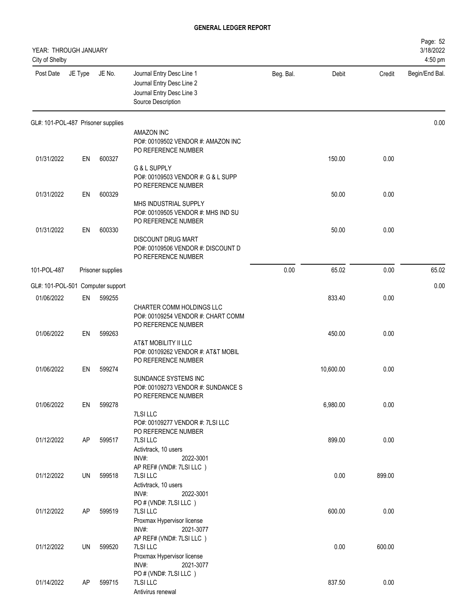| YEAR: THROUGH JANUARY<br>City of Shelby |         |                   |                                                                                                           |           |           |        | Page: 52<br>3/18/2022<br>4:50 pm |
|-----------------------------------------|---------|-------------------|-----------------------------------------------------------------------------------------------------------|-----------|-----------|--------|----------------------------------|
| Post Date                               | JE Type | JE No.            | Journal Entry Desc Line 1<br>Journal Entry Desc Line 2<br>Journal Entry Desc Line 3<br>Source Description | Beg. Bal. | Debit     | Credit | Begin/End Bal.                   |
| GL#: 101-POL-487 Prisoner supplies      |         |                   |                                                                                                           |           |           |        | 0.00                             |
|                                         |         |                   | AMAZON INC<br>PO#: 00109502 VENDOR #: AMAZON INC<br>PO REFERENCE NUMBER                                   |           |           |        |                                  |
| 01/31/2022                              | EN      | 600327            | G & L SUPPLY<br>PO#: 00109503 VENDOR #: G & L SUPP<br>PO REFERENCE NUMBER                                 |           | 150.00    | 0.00   |                                  |
| 01/31/2022                              | EN      | 600329            | MHS INDUSTRIAL SUPPLY<br>PO#: 00109505 VENDOR #: MHS IND SU<br>PO REFERENCE NUMBER                        |           | 50.00     | 0.00   |                                  |
| 01/31/2022                              | EN      | 600330            | <b>DISCOUNT DRUG MART</b><br>PO#: 00109506 VENDOR #: DISCOUNT D<br>PO REFERENCE NUMBER                    |           | 50.00     | 0.00   |                                  |
| 101-POL-487                             |         | Prisoner supplies |                                                                                                           | 0.00      | 65.02     | 0.00   | 65.02                            |
| GL#: 101-POL-501                        |         | Computer support  |                                                                                                           |           |           |        | 0.00                             |
| 01/06/2022                              | EN      | 599255            | CHARTER COMM HOLDINGS LLC<br>PO#: 00109254 VENDOR #: CHART COMM<br>PO REFERENCE NUMBER                    |           | 833.40    | 0.00   |                                  |
| 01/06/2022                              | EN      | 599263            | AT&T MOBILITY II LLC<br>PO#: 00109262 VENDOR #: AT&T MOBIL<br>PO REFERENCE NUMBER                         |           | 450.00    | 0.00   |                                  |
| 01/06/2022                              | EN      | 599274            | SUNDANCE SYSTEMS INC<br>PO#: 00109273 VENDOR #: SUNDANCE S<br>PO REFERENCE NUMBER                         |           | 10,600.00 | 0.00   |                                  |
| 01/06/2022                              | EN      | 599278            | 7LSI LLC<br>PO#: 00109277 VENDOR #: 7LSI LLC<br>PO REFERENCE NUMBER                                       |           | 6,980.00  | 0.00   |                                  |
| 01/12/2022                              | AP      | 599517            | 7LSI LLC<br>Activtrack, 10 users<br>INV#:<br>2022-3001<br>AP REF# (VND#: 7LSI LLC)                        |           | 899.00    | 0.00   |                                  |
| 01/12/2022                              | UN      | 599518            | 7LSI LLC<br>Activtrack, 10 users<br>INV#:<br>2022-3001<br>PO # (VND#: 7LSI LLC)                           |           | 0.00      | 899.00 |                                  |
| 01/12/2022                              | AP      | 599519            | 7LSI LLC<br>Proxmax Hypervisor license<br>INV#:<br>2021-3077                                              |           | 600.00    | 0.00   |                                  |
| 01/12/2022                              | UN      | 599520            | AP REF# (VND#: 7LSI LLC)<br>7LSI LLC<br>Proxmax Hypervisor license<br>INV#:<br>2021-3077                  |           | 0.00      | 600.00 |                                  |
| 01/14/2022                              | AP      | 599715            | PO # (VND#: 7LSI LLC)<br>7LSI LLC<br>Antivirus renewal                                                    |           | 837.50    | 0.00   |                                  |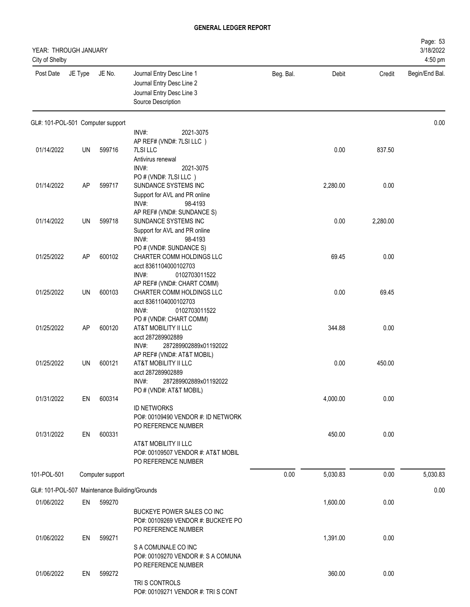| YEAR: THROUGH JANUARY<br>City of Shelby |           |                                               |                                                                                                                                             |           |          |          | Page: 53<br>3/18/2022<br>4:50 pm |
|-----------------------------------------|-----------|-----------------------------------------------|---------------------------------------------------------------------------------------------------------------------------------------------|-----------|----------|----------|----------------------------------|
| Post Date                               | JE Type   | JE No.                                        | Journal Entry Desc Line 1<br>Journal Entry Desc Line 2<br>Journal Entry Desc Line 3<br>Source Description                                   | Beg. Bal. | Debit    | Credit   | Begin/End Bal.                   |
| GL#: 101-POL-501 Computer support       |           |                                               | INV#:<br>2021-3075                                                                                                                          |           |          |          | 0.00                             |
| 01/14/2022                              | UN        | 599716                                        | AP REF# (VND#: 7LSI LLC)<br>7LSI LLC<br>Antivirus renewal<br>INV#:<br>2021-3075                                                             |           | 0.00     | 837.50   |                                  |
| 01/14/2022                              | AP        | 599717                                        | PO # (VND#: 7LSI LLC)<br>SUNDANCE SYSTEMS INC<br>Support for AVL and PR online<br>INV#:<br>98-4193                                          |           | 2,280.00 | 0.00     |                                  |
| 01/14/2022                              | UN        | 599718                                        | AP REF# (VND#: SUNDANCE S)<br>SUNDANCE SYSTEMS INC<br>Support for AVL and PR online<br>INV#:<br>98-4193                                     |           | 0.00     | 2,280.00 |                                  |
| 01/25/2022                              | AP        | 600102                                        | PO # (VND#: SUNDANCE S)<br>CHARTER COMM HOLDINGS LLC<br>acct 8361104000102703                                                               |           | 69.45    | 0.00     |                                  |
| 01/25/2022                              | UN        | 600103                                        | INV#:<br>0102703011522<br>AP REF# (VND#: CHART COMM)<br>CHARTER COMM HOLDINGS LLC<br>acct 8361104000102703                                  |           | 0.00     | 69.45    |                                  |
| 01/25/2022                              | AP        | 600120                                        | $INV#$ :<br>0102703011522<br>PO # (VND#: CHART COMM)<br>AT&T MOBILITY II LLC<br>acct 287289902889                                           |           | 344.88   | 0.00     |                                  |
| 01/25/2022                              | <b>UN</b> | 600121                                        | INV#:<br>287289902889x01192022<br>AP REF# (VND#: AT&T MOBIL)<br>AT&T MOBILITY II LLC<br>acct 287289902889<br>INV#:<br>287289902889x01192022 |           | 0.00     | 450.00   |                                  |
| 01/31/2022                              | EN        | 600314                                        | PO # (VND#: AT&T MOBIL)<br><b>ID NETWORKS</b><br>PO#: 00109490 VENDOR #: ID NETWORK                                                         |           | 4,000.00 | 0.00     |                                  |
| 01/31/2022                              | EN        | 600331                                        | PO REFERENCE NUMBER<br>AT&T MOBILITY II LLC<br>PO#: 00109507 VENDOR #: AT&T MOBIL<br>PO REFERENCE NUMBER                                    |           | 450.00   | 0.00     |                                  |
| 101-POL-501                             |           | Computer support                              |                                                                                                                                             | 0.00      | 5,030.83 | 0.00     | 5,030.83                         |
|                                         |           | GL#: 101-POL-507 Maintenance Building/Grounds |                                                                                                                                             |           |          |          | 0.00                             |
| 01/06/2022                              | EN        | 599270                                        | BUCKEYE POWER SALES CO INC<br>PO#: 00109269 VENDOR #: BUCKEYE PO<br>PO REFERENCE NUMBER                                                     |           | 1,600.00 | 0.00     |                                  |
| 01/06/2022                              | EN        | 599271                                        | S A COMUNALE CO INC<br>PO#: 00109270 VENDOR #: S A COMUNA                                                                                   |           | 1,391.00 | 0.00     |                                  |
| 01/06/2022                              | EN        | 599272                                        | PO REFERENCE NUMBER<br>TRIS CONTROLS<br>PO#: 00109271 VENDOR #: TRISCONT                                                                    |           | 360.00   | 0.00     |                                  |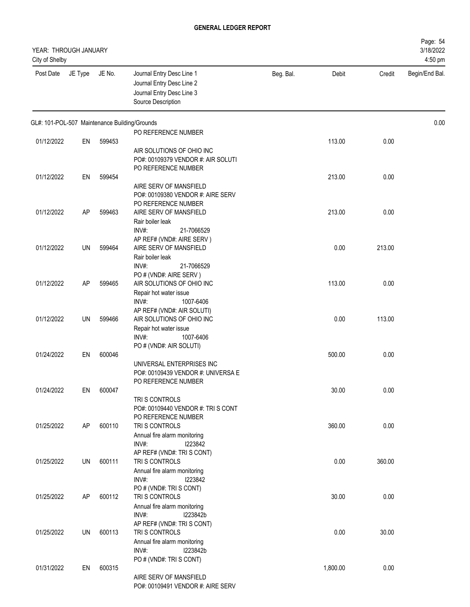| YEAR: THROUGH JANUARY<br>City of Shelby       |         |        |                                                                                                           |           |          |        | Page: 54<br>3/18/2022<br>4:50 pm |
|-----------------------------------------------|---------|--------|-----------------------------------------------------------------------------------------------------------|-----------|----------|--------|----------------------------------|
| Post Date                                     | JE Type | JE No. | Journal Entry Desc Line 1<br>Journal Entry Desc Line 2<br>Journal Entry Desc Line 3<br>Source Description | Beg. Bal. | Debit    | Credit | Begin/End Bal.                   |
| GL#: 101-POL-507 Maintenance Building/Grounds |         |        |                                                                                                           |           |          |        | 0.00                             |
|                                               |         |        | PO REFERENCE NUMBER                                                                                       |           |          |        |                                  |
| 01/12/2022                                    | EN      | 599453 |                                                                                                           |           | 113.00   | 0.00   |                                  |
|                                               |         |        | AIR SOLUTIONS OF OHIO INC<br>PO#: 00109379 VENDOR #: AIR SOLUTI                                           |           |          |        |                                  |
|                                               |         |        | PO REFERENCE NUMBER                                                                                       |           |          |        |                                  |
| 01/12/2022                                    | EN      | 599454 |                                                                                                           |           | 213.00   | 0.00   |                                  |
|                                               |         |        | AIRE SERV OF MANSFIELD                                                                                    |           |          |        |                                  |
|                                               |         |        | PO#: 00109380 VENDOR #: AIRE SERV                                                                         |           |          |        |                                  |
|                                               |         |        | PO REFERENCE NUMBER                                                                                       |           |          |        |                                  |
| 01/12/2022                                    | AP      | 599463 | AIRE SERV OF MANSFIELD                                                                                    |           | 213.00   | 0.00   |                                  |
|                                               |         |        | Rair boiler leak                                                                                          |           |          |        |                                  |
|                                               |         |        | INV#:<br>21-7066529                                                                                       |           |          |        |                                  |
| 01/12/2022                                    | UN      | 599464 | AP REF# (VND#: AIRE SERV)<br>AIRE SERV OF MANSFIELD                                                       |           | 0.00     | 213.00 |                                  |
|                                               |         |        | Rair boiler leak                                                                                          |           |          |        |                                  |
|                                               |         |        | INV#:<br>21-7066529                                                                                       |           |          |        |                                  |
|                                               |         |        | PO # (VND#: AIRE SERV)                                                                                    |           |          |        |                                  |
| 01/12/2022                                    | AP      | 599465 | AIR SOLUTIONS OF OHIO INC                                                                                 |           | 113.00   | 0.00   |                                  |
|                                               |         |        | Repair hot water issue                                                                                    |           |          |        |                                  |
|                                               |         |        | $INV#$ :<br>1007-6406                                                                                     |           |          |        |                                  |
|                                               |         |        | AP REF# (VND#: AIR SOLUTI)                                                                                |           |          |        |                                  |
| 01/12/2022                                    | UN      | 599466 | AIR SOLUTIONS OF OHIO INC                                                                                 |           | 0.00     | 113.00 |                                  |
|                                               |         |        | Repair hot water issue<br>$INV#$ :<br>1007-6406                                                           |           |          |        |                                  |
|                                               |         |        | PO # (VND#: AIR SOLUTI)                                                                                   |           |          |        |                                  |
| 01/24/2022                                    | EN      | 600046 |                                                                                                           |           | 500.00   | 0.00   |                                  |
|                                               |         |        | UNIVERSAL ENTERPRISES INC                                                                                 |           |          |        |                                  |
|                                               |         |        | PO#: 00109439 VENDOR #: UNIVERSA E                                                                        |           |          |        |                                  |
|                                               |         |        | PO REFERENCE NUMBER                                                                                       |           |          |        |                                  |
| 01/24/2022                                    | EN      | 600047 |                                                                                                           |           | 30.00    | 0.00   |                                  |
|                                               |         |        | TRIS CONTROLS                                                                                             |           |          |        |                                  |
|                                               |         |        | PO#: 00109440 VENDOR #: TRIS CONT<br>PO REFERENCE NUMBER                                                  |           |          |        |                                  |
| 01/25/2022                                    | AP      | 600110 | TRI S CONTROLS                                                                                            |           | 360.00   | 0.00   |                                  |
|                                               |         |        | Annual fire alarm monitoring                                                                              |           |          |        |                                  |
|                                               |         |        | INV#:<br>1223842                                                                                          |           |          |        |                                  |
|                                               |         |        | AP REF# (VND#: TRI S CONT)                                                                                |           |          |        |                                  |
| 01/25/2022                                    | UN      | 600111 | TRI S CONTROLS                                                                                            |           | 0.00     | 360.00 |                                  |
|                                               |         |        | Annual fire alarm monitoring                                                                              |           |          |        |                                  |
|                                               |         |        | $INV#$ :<br>1223842                                                                                       |           |          |        |                                  |
|                                               |         |        | PO # (VND#: TRI S CONT)                                                                                   |           |          |        |                                  |
| 01/25/2022                                    | AP      | 600112 | TRI S CONTROLS<br>Annual fire alarm monitoring                                                            |           | 30.00    | 0.00   |                                  |
|                                               |         |        | INV#:<br>I223842b                                                                                         |           |          |        |                                  |
|                                               |         |        | AP REF# (VND#: TRI S CONT)                                                                                |           |          |        |                                  |
| 01/25/2022                                    | UN      | 600113 | TRI S CONTROLS                                                                                            |           | 0.00     | 30.00  |                                  |
|                                               |         |        | Annual fire alarm monitoring                                                                              |           |          |        |                                  |
|                                               |         |        | INV#:<br>I223842b                                                                                         |           |          |        |                                  |
|                                               |         |        | PO # (VND#: TRI S CONT)                                                                                   |           |          |        |                                  |
| 01/31/2022                                    | EN      | 600315 |                                                                                                           |           | 1,800.00 | 0.00   |                                  |
|                                               |         |        | AIRE SERV OF MANSFIELD<br>PO#: 00109491 VENDOR #: AIRE SERV                                               |           |          |        |                                  |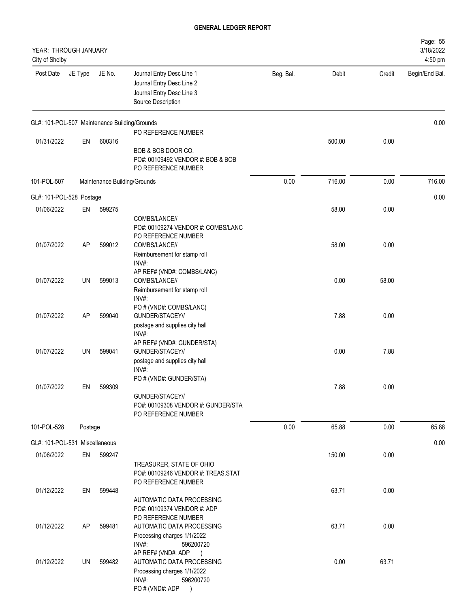| YEAR: THROUGH JANUARY<br>City of Shelby       |         |        |                                                                                                                                        |           |        |        | Page: 55<br>3/18/2022<br>4:50 pm |
|-----------------------------------------------|---------|--------|----------------------------------------------------------------------------------------------------------------------------------------|-----------|--------|--------|----------------------------------|
| Post Date                                     | JE Type | JE No. | Journal Entry Desc Line 1<br>Journal Entry Desc Line 2<br>Journal Entry Desc Line 3<br>Source Description                              | Beg. Bal. | Debit  | Credit | Begin/End Bal.                   |
| GL#: 101-POL-507 Maintenance Building/Grounds |         |        |                                                                                                                                        |           |        |        | 0.00                             |
| 01/31/2022                                    | EN      | 600316 | PO REFERENCE NUMBER                                                                                                                    |           | 500.00 | 0.00   |                                  |
|                                               |         |        | BOB & BOB DOOR CO.<br>PO#: 00109492 VENDOR #: BOB & BOB<br>PO REFERENCE NUMBER                                                         |           |        |        |                                  |
| 101-POL-507                                   |         |        | Maintenance Building/Grounds                                                                                                           | 0.00      | 716.00 | 0.00   | 716.00                           |
| GL#: 101-POL-528 Postage                      |         |        |                                                                                                                                        |           |        |        | 0.00                             |
| 01/06/2022                                    | EN      | 599275 |                                                                                                                                        |           | 58.00  | 0.00   |                                  |
| 01/07/2022                                    | AP      | 599012 | COMBS/LANCE//<br>PO#: 00109274 VENDOR #: COMBS/LANC<br>PO REFERENCE NUMBER<br>COMBS/LANCE//                                            |           | 58.00  | 0.00   |                                  |
|                                               |         |        | Reimbursement for stamp roll<br>INV#:                                                                                                  |           |        |        |                                  |
| 01/07/2022                                    | UN      | 599013 | AP REF# (VND#: COMBS/LANC)<br>COMBS/LANCE//<br>Reimbursement for stamp roll                                                            |           | 0.00   | 58.00  |                                  |
| 01/07/2022                                    | AP      | 599040 | INV#:<br>PO # (VND#: COMBS/LANC)<br>GUNDER/STACEY//<br>postage and supplies city hall                                                  |           | 7.88   | 0.00   |                                  |
| 01/07/2022                                    | UN      | 599041 | INV#:<br>AP REF# (VND#: GUNDER/STA)<br>GUNDER/STACEY//<br>postage and supplies city hall                                               |           | 0.00   | 7.88   |                                  |
| 01/07/2022                                    | EN      | 599309 | INV#:<br>PO # (VND#: GUNDER/STA)<br>GUNDER/STACEY//<br>PO#: 00109308 VENDOR #: GUNDER/STA                                              |           | 7.88   | 0.00   |                                  |
|                                               |         |        | PO REFERENCE NUMBER                                                                                                                    |           |        |        |                                  |
| 101-POL-528                                   | Postage |        |                                                                                                                                        | 0.00      | 65.88  | 0.00   | 65.88                            |
| GL#: 101-POL-531 Miscellaneous                |         |        |                                                                                                                                        |           |        |        | 0.00                             |
| 01/06/2022                                    | EN      | 599247 | TREASURER, STATE OF OHIO<br>PO#: 00109246 VENDOR #: TREAS.STAT<br>PO REFERENCE NUMBER                                                  |           | 150.00 | 0.00   |                                  |
| 01/12/2022                                    | EN      | 599448 | AUTOMATIC DATA PROCESSING<br>PO#: 00109374 VENDOR #: ADP<br>PO REFERENCE NUMBER                                                        |           | 63.71  | 0.00   |                                  |
| 01/12/2022                                    | AP      | 599481 | AUTOMATIC DATA PROCESSING<br>Processing charges 1/1/2022<br>INV#:<br>596200720                                                         |           | 63.71  | 0.00   |                                  |
| 01/12/2022                                    | UN      | 599482 | AP REF# (VND#: ADP<br>$\rightarrow$<br>AUTOMATIC DATA PROCESSING<br>Processing charges 1/1/2022<br>INV#:<br>596200720<br>PO#(VND#: ADP |           | 0.00   | 63.71  |                                  |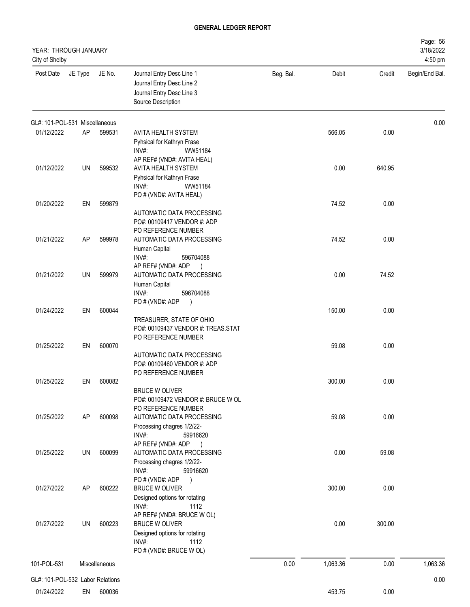| YEAR: THROUGH JANUARY<br>City of Shelby |         |               |                                                                                                           |           |          |        | Page: 56<br>3/18/2022<br>4:50 pm |
|-----------------------------------------|---------|---------------|-----------------------------------------------------------------------------------------------------------|-----------|----------|--------|----------------------------------|
| Post Date                               | JE Type | JE No.        | Journal Entry Desc Line 1<br>Journal Entry Desc Line 2<br>Journal Entry Desc Line 3<br>Source Description | Beg. Bal. | Debit    | Credit | Begin/End Bal.                   |
| GL#: 101-POL-531 Miscellaneous          |         |               |                                                                                                           |           |          |        | 0.00                             |
| 01/12/2022                              | AP      | 599531        | AVITA HEALTH SYSTEM                                                                                       |           | 566.05   | 0.00   |                                  |
|                                         |         |               | Pyhsical for Kathryn Frase<br>INV#:<br>WW51184                                                            |           |          |        |                                  |
|                                         |         |               | AP REF# (VND#: AVITA HEAL)                                                                                |           |          |        |                                  |
| 01/12/2022                              | UN      | 599532        | AVITA HEALTH SYSTEM                                                                                       |           | 0.00     | 640.95 |                                  |
|                                         |         |               | Pyhsical for Kathryn Frase                                                                                |           |          |        |                                  |
|                                         |         |               | INV#:<br>WW51184<br>PO # (VND#: AVITA HEAL)                                                               |           |          |        |                                  |
| 01/20/2022                              | EN      | 599879        |                                                                                                           |           | 74.52    | 0.00   |                                  |
|                                         |         |               | AUTOMATIC DATA PROCESSING                                                                                 |           |          |        |                                  |
|                                         |         |               | PO#: 00109417 VENDOR #: ADP                                                                               |           |          |        |                                  |
| 01/21/2022                              | AP      | 599978        | PO REFERENCE NUMBER<br>AUTOMATIC DATA PROCESSING                                                          |           | 74.52    | 0.00   |                                  |
|                                         |         |               | Human Capital                                                                                             |           |          |        |                                  |
|                                         |         |               | INV#:<br>596704088                                                                                        |           |          |        |                                  |
|                                         |         |               | AP REF# (VND#: ADP<br>$\rightarrow$                                                                       |           |          |        |                                  |
| 01/21/2022                              | UN      | 599979        | AUTOMATIC DATA PROCESSING<br>Human Capital                                                                |           | 0.00     | 74.52  |                                  |
|                                         |         |               | INV#:<br>596704088                                                                                        |           |          |        |                                  |
|                                         |         |               | PO#(VND#: ADP<br>$\rightarrow$                                                                            |           |          |        |                                  |
| 01/24/2022                              | EN      | 600044        |                                                                                                           |           | 150.00   | 0.00   |                                  |
|                                         |         |               | TREASURER, STATE OF OHIO<br>PO#: 00109437 VENDOR #: TREAS.STAT                                            |           |          |        |                                  |
|                                         |         |               | PO REFERENCE NUMBER                                                                                       |           |          |        |                                  |
| 01/25/2022                              | EN      | 600070        |                                                                                                           |           | 59.08    | 0.00   |                                  |
|                                         |         |               | AUTOMATIC DATA PROCESSING                                                                                 |           |          |        |                                  |
|                                         |         |               | PO#: 00109460 VENDOR #: ADP<br>PO REFERENCE NUMBER                                                        |           |          |        |                                  |
| 01/25/2022                              | EN      | 600082        |                                                                                                           |           | 300.00   | 0.00   |                                  |
|                                         |         |               | <b>BRUCE W OLIVER</b>                                                                                     |           |          |        |                                  |
|                                         |         |               | PO#: 00109472 VENDOR #: BRUCE W OL<br>PO REFERENCE NUMBER                                                 |           |          |        |                                  |
| 01/25/2022                              | AP      | 600098        | AUTOMATIC DATA PROCESSING                                                                                 |           | 59.08    | 0.00   |                                  |
|                                         |         |               | Processing chagres 1/2/22-                                                                                |           |          |        |                                  |
|                                         |         |               | INV#:<br>59916620                                                                                         |           |          |        |                                  |
| 01/25/2022                              | UN      | 600099        | AP REF# (VND#: ADP<br>$\rightarrow$<br>AUTOMATIC DATA PROCESSING                                          |           | 0.00     | 59.08  |                                  |
|                                         |         |               | Processing chagres 1/2/22-                                                                                |           |          |        |                                  |
|                                         |         |               | INV#:<br>59916620                                                                                         |           |          |        |                                  |
|                                         |         |               | PO # (VND#: ADP<br>$\rightarrow$                                                                          |           |          |        |                                  |
| 01/27/2022                              | AP      | 600222        | <b>BRUCE W OLIVER</b><br>Designed options for rotating                                                    |           | 300.00   | 0.00   |                                  |
|                                         |         |               | INV#:<br>1112                                                                                             |           |          |        |                                  |
|                                         |         |               | AP REF# (VND#: BRUCE W OL)                                                                                |           |          |        |                                  |
| 01/27/2022                              | UN      | 600223        | <b>BRUCE W OLIVER</b>                                                                                     |           | 0.00     | 300.00 |                                  |
|                                         |         |               | Designed options for rotating<br>INV#:<br>1112                                                            |           |          |        |                                  |
|                                         |         |               | PO # (VND#: BRUCE W OL)                                                                                   |           |          |        |                                  |
| 101-POL-531                             |         | Miscellaneous |                                                                                                           | 0.00      | 1,063.36 | 0.00   | 1,063.36                         |
| GL#: 101-POL-532 Labor Relations        |         |               |                                                                                                           |           |          |        | 0.00                             |
| 01/24/2022                              | EN      | 600036        |                                                                                                           |           | 453.75   | 0.00   |                                  |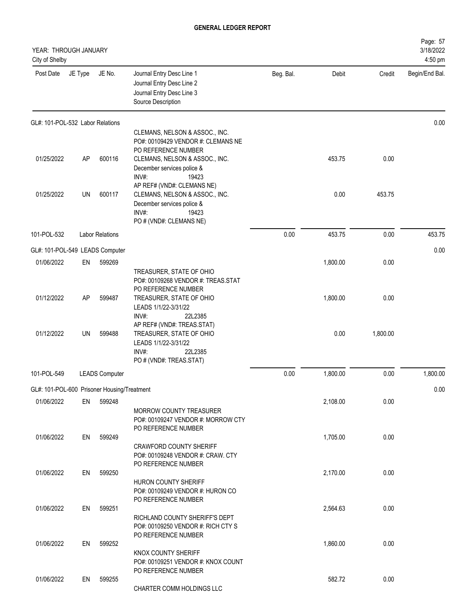| YEAR: THROUGH JANUARY<br>City of Shelby     |         |                        |                                                                                                           |           |          |          | Page: 57<br>3/18/2022<br>4:50 pm |
|---------------------------------------------|---------|------------------------|-----------------------------------------------------------------------------------------------------------|-----------|----------|----------|----------------------------------|
| Post Date                                   | JE Type | JE No.                 | Journal Entry Desc Line 1<br>Journal Entry Desc Line 2<br>Journal Entry Desc Line 3<br>Source Description | Beg. Bal. | Debit    | Credit   | Begin/End Bal.                   |
| GL#: 101-POL-532 Labor Relations            |         |                        |                                                                                                           |           |          |          | 0.00                             |
|                                             |         |                        | CLEMANS, NELSON & ASSOC., INC.<br>PO#: 00109429 VENDOR #: CLEMANS NE                                      |           |          |          |                                  |
| 01/25/2022                                  | AP      | 600116                 | PO REFERENCE NUMBER<br>CLEMANS, NELSON & ASSOC., INC.                                                     |           | 453.75   | 0.00     |                                  |
|                                             |         |                        | December services police &<br>INV#:<br>19423                                                              |           |          |          |                                  |
| 01/25/2022                                  | UN      | 600117                 | AP REF# (VND#: CLEMANS NE)<br>CLEMANS, NELSON & ASSOC., INC.<br>December services police &                |           | 0.00     | 453.75   |                                  |
|                                             |         |                        | INV#:<br>19423<br>PO # (VND#: CLEMANS NE)                                                                 |           |          |          |                                  |
| 101-POL-532                                 |         | <b>Labor Relations</b> |                                                                                                           | 0.00      | 453.75   | 0.00     | 453.75                           |
| GL#: 101-POL-549 LEADS Computer             |         |                        |                                                                                                           |           |          |          | 0.00                             |
| 01/06/2022                                  | EN      | 599269                 |                                                                                                           |           | 1,800.00 | 0.00     |                                  |
|                                             |         |                        | TREASURER, STATE OF OHIO<br>PO#: 00109268 VENDOR #: TREAS.STAT<br>PO REFERENCE NUMBER                     |           |          |          |                                  |
| 01/12/2022                                  | AP      | 599487                 | TREASURER, STATE OF OHIO<br>LEADS 1/1/22-3/31/22<br>INV#:<br>22L2385                                      |           | 1,800.00 | 0.00     |                                  |
| 01/12/2022                                  | UN      | 599488                 | AP REF# (VND#: TREAS.STAT)<br>TREASURER, STATE OF OHIO<br>LEADS 1/1/22-3/31/22<br>INV#:<br>22L2385        |           | 0.00     | 1,800.00 |                                  |
|                                             |         |                        | PO # (VND#: TREAS.STAT)                                                                                   |           |          |          |                                  |
| 101-POL-549                                 |         | <b>LEADS Computer</b>  |                                                                                                           | 0.00      | 1,800.00 | 0.00     | 1,800.00                         |
| GL#: 101-POL-600 Prisoner Housing/Treatment |         |                        |                                                                                                           |           |          |          | 0.00                             |
| 01/06/2022                                  | EN      | 599248                 | MORROW COUNTY TREASURER<br>PO#: 00109247 VENDOR #: MORROW CTY<br>PO REFERENCE NUMBER                      |           | 2,108.00 | 0.00     |                                  |
| 01/06/2022                                  | EN      | 599249                 | <b>CRAWFORD COUNTY SHERIFF</b><br>PO#: 00109248 VENDOR #: CRAW. CTY                                       |           | 1,705.00 | 0.00     |                                  |
| 01/06/2022                                  | EN      | 599250                 | PO REFERENCE NUMBER                                                                                       |           | 2,170.00 | 0.00     |                                  |
|                                             |         |                        | HURON COUNTY SHERIFF<br>PO#: 00109249 VENDOR #: HURON CO<br>PO REFERENCE NUMBER                           |           |          |          |                                  |
| 01/06/2022                                  | EN      | 599251                 | RICHLAND COUNTY SHERIFF'S DEPT<br>PO#: 00109250 VENDOR #: RICH CTY S<br>PO REFERENCE NUMBER               |           | 2,564.63 | 0.00     |                                  |
| 01/06/2022                                  | EN      | 599252                 | KNOX COUNTY SHERIFF<br>PO#: 00109251 VENDOR #: KNOX COUNT                                                 |           | 1,860.00 | 0.00     |                                  |
| 01/06/2022                                  | EN      | 599255                 | PO REFERENCE NUMBER<br>CHARTER COMM HOLDINGS LLC                                                          |           | 582.72   | 0.00     |                                  |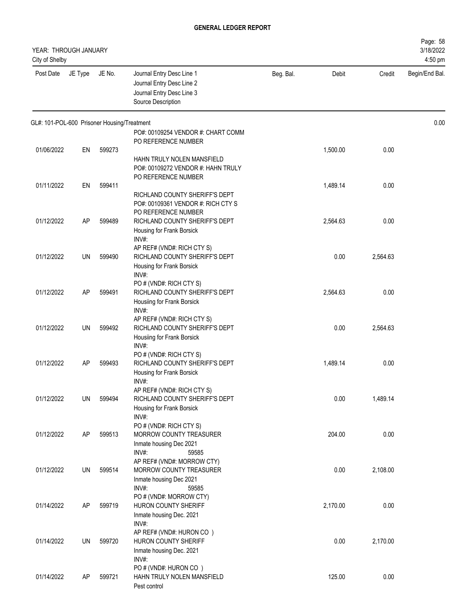| YEAR: THROUGH JANUARY<br>City of Shelby     |         |        |                                                                                                           |           |          |          | Page: 58<br>3/18/2022<br>4:50 pm |
|---------------------------------------------|---------|--------|-----------------------------------------------------------------------------------------------------------|-----------|----------|----------|----------------------------------|
| Post Date                                   | JE Type | JE No. | Journal Entry Desc Line 1<br>Journal Entry Desc Line 2<br>Journal Entry Desc Line 3<br>Source Description | Beg. Bal. | Debit    | Credit   | Begin/End Bal.                   |
| GL#: 101-POL-600 Prisoner Housing/Treatment |         |        |                                                                                                           |           |          |          | 0.00                             |
|                                             |         |        | PO#: 00109254 VENDOR #: CHART COMM                                                                        |           |          |          |                                  |
| 01/06/2022                                  | EN      | 599273 | PO REFERENCE NUMBER                                                                                       |           | 1,500.00 | 0.00     |                                  |
|                                             |         |        | HAHN TRULY NOLEN MANSFIELD                                                                                |           |          |          |                                  |
|                                             |         |        | PO#: 00109272 VENDOR #: HAHN TRULY                                                                        |           |          |          |                                  |
|                                             |         |        | PO REFERENCE NUMBER                                                                                       |           |          |          |                                  |
| 01/11/2022                                  | EN      | 599411 |                                                                                                           |           | 1,489.14 | 0.00     |                                  |
|                                             |         |        | RICHLAND COUNTY SHERIFF'S DEPT                                                                            |           |          |          |                                  |
|                                             |         |        | PO#: 00109361 VENDOR #: RICH CTY S                                                                        |           |          |          |                                  |
|                                             |         |        | PO REFERENCE NUMBER                                                                                       |           |          |          |                                  |
| 01/12/2022                                  | AP      | 599489 | RICHLAND COUNTY SHERIFF'S DEPT                                                                            |           | 2,564.63 | 0.00     |                                  |
|                                             |         |        | Housing for Frank Borsick                                                                                 |           |          |          |                                  |
|                                             |         |        | INV#:<br>AP REF# (VND#: RICH CTY S)                                                                       |           |          |          |                                  |
| 01/12/2022                                  | UN      | 599490 | RICHLAND COUNTY SHERIFF'S DEPT                                                                            |           | 0.00     | 2,564.63 |                                  |
|                                             |         |        | Housing for Frank Borsick                                                                                 |           |          |          |                                  |
|                                             |         |        | INV#:                                                                                                     |           |          |          |                                  |
|                                             |         |        | PO # (VND#: RICH CTY S)                                                                                   |           |          |          |                                  |
| 01/12/2022                                  | AP      | 599491 | RICHLAND COUNTY SHERIFF'S DEPT                                                                            |           | 2,564.63 | 0.00     |                                  |
|                                             |         |        | Housiing for Frank Borsick                                                                                |           |          |          |                                  |
|                                             |         |        | INV#:                                                                                                     |           |          |          |                                  |
|                                             |         |        | AP REF# (VND#: RICH CTY S)                                                                                |           |          |          |                                  |
| 01/12/2022                                  | UN.     | 599492 | RICHLAND COUNTY SHERIFF'S DEPT                                                                            |           | 0.00     | 2,564.63 |                                  |
|                                             |         |        | Housiing for Frank Borsick<br>INV#:                                                                       |           |          |          |                                  |
|                                             |         |        | PO # (VND#: RICH CTY S)                                                                                   |           |          |          |                                  |
| 01/12/2022                                  | AΡ      | 599493 | RICHLAND COUNTY SHERIFF'S DEPT                                                                            |           | 1,489.14 | 0.00     |                                  |
|                                             |         |        | Housing for Frank Borsick                                                                                 |           |          |          |                                  |
|                                             |         |        | INV#:                                                                                                     |           |          |          |                                  |
|                                             |         |        | AP REF# (VND#: RICH CTY S)                                                                                |           |          |          |                                  |
| 01/12/2022                                  | UN      | 599494 | RICHLAND COUNTY SHERIFF'S DEPT                                                                            |           | 0.00     | 1,489.14 |                                  |
|                                             |         |        | Housing for Frank Borsick                                                                                 |           |          |          |                                  |
|                                             |         |        | INV#:                                                                                                     |           |          |          |                                  |
| 01/12/2022                                  | AP      | 599513 | PO # (VND#: RICH CTY S)<br>MORROW COUNTY TREASURER                                                        |           | 204.00   | 0.00     |                                  |
|                                             |         |        | Inmate housing Dec 2021                                                                                   |           |          |          |                                  |
|                                             |         |        | INV#:<br>59585                                                                                            |           |          |          |                                  |
|                                             |         |        | AP REF# (VND#: MORROW CTY)                                                                                |           |          |          |                                  |
| 01/12/2022                                  | UN      | 599514 | MORROW COUNTY TREASURER                                                                                   |           | 0.00     | 2,108.00 |                                  |
|                                             |         |        | Inmate housing Dec 2021                                                                                   |           |          |          |                                  |
|                                             |         |        | INV#:<br>59585                                                                                            |           |          |          |                                  |
|                                             |         |        | PO # (VND#: MORROW CTY)                                                                                   |           |          |          |                                  |
| 01/14/2022                                  | AP      | 599719 | <b>HURON COUNTY SHERIFF</b>                                                                               |           | 2,170.00 | 0.00     |                                  |
|                                             |         |        | Inmate housing Dec. 2021                                                                                  |           |          |          |                                  |
|                                             |         |        | INV#:<br>AP REF# (VND#: HURON CO)                                                                         |           |          |          |                                  |
| 01/14/2022                                  | UN      | 599720 | HURON COUNTY SHERIFF                                                                                      |           | 0.00     | 2,170.00 |                                  |
|                                             |         |        | Inmate housing Dec. 2021                                                                                  |           |          |          |                                  |
|                                             |         |        | INV#:                                                                                                     |           |          |          |                                  |
|                                             |         |        | PO # (VND#: HURON CO)                                                                                     |           |          |          |                                  |
| 01/14/2022                                  | AP      | 599721 | HAHN TRULY NOLEN MANSFIELD                                                                                |           | 125.00   | 0.00     |                                  |
|                                             |         |        | Pest control                                                                                              |           |          |          |                                  |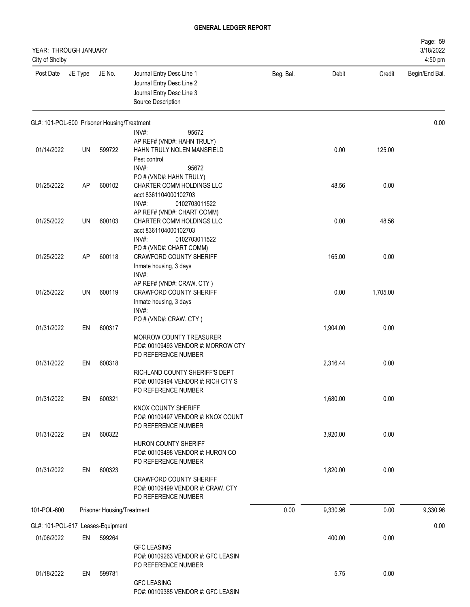| YEAR: THROUGH JANUARY<br>City of Shelby     |           |                            |                                                                                                                                                       |           |          |          | Page: 59<br>3/18/2022<br>4:50 pm |
|---------------------------------------------|-----------|----------------------------|-------------------------------------------------------------------------------------------------------------------------------------------------------|-----------|----------|----------|----------------------------------|
| Post Date                                   | JE Type   | JE No.                     | Journal Entry Desc Line 1<br>Journal Entry Desc Line 2<br>Journal Entry Desc Line 3<br>Source Description                                             | Beg. Bal. | Debit    | Credit   | Begin/End Bal.                   |
| GL#: 101-POL-600 Prisoner Housing/Treatment |           |                            | INV#:<br>95672                                                                                                                                        |           |          |          | 0.00                             |
| 01/14/2022                                  | UN        | 599722                     | AP REF# (VND#: HAHN TRULY)<br>HAHN TRULY NOLEN MANSFIELD<br>Pest control<br>INV#:<br>95672                                                            |           | 0.00     | 125.00   |                                  |
| 01/25/2022                                  | <b>AP</b> | 600102                     | PO # (VND#: HAHN TRULY)<br>CHARTER COMM HOLDINGS LLC<br>acct 8361104000102703<br>INV#:<br>0102703011522                                               |           | 48.56    | 0.00     |                                  |
| 01/25/2022                                  | UN        | 600103                     | AP REF# (VND#: CHART COMM)<br>CHARTER COMM HOLDINGS LLC<br>acct 8361104000102703                                                                      |           | 0.00     | 48.56    |                                  |
| 01/25/2022                                  | <b>AP</b> | 600118                     | INV#:<br>0102703011522<br>PO # (VND#: CHART COMM)<br><b>CRAWFORD COUNTY SHERIFF</b><br>Inmate housing, 3 days                                         |           | 165.00   | 0.00     |                                  |
| 01/25/2022                                  | <b>UN</b> | 600119                     | INV#:<br>AP REF# (VND#: CRAW. CTY)<br><b>CRAWFORD COUNTY SHERIFF</b><br>Inmate housing, 3 days<br>INV#:                                               |           | 0.00     | 1,705.00 |                                  |
| 01/31/2022                                  | EN        | 600317                     | PO # (VND#: CRAW. CTY)<br><b>MORROW COUNTY TREASURER</b>                                                                                              |           | 1,904.00 | 0.00     |                                  |
| 01/31/2022                                  | EN        | 600318                     | PO#: 00109493 VENDOR #: MORROW CTY<br>PO REFERENCE NUMBER<br>RICHLAND COUNTY SHERIFF'S DEPT                                                           |           | 2,316.44 | 0.00     |                                  |
| 01/31/2022                                  | EN        | 600321                     | PO#: 00109494 VENDOR #: RICH CTY S<br>PO REFERENCE NUMBER<br>KNOX COUNTY SHERIFF                                                                      |           | 1,680.00 | 0.00     |                                  |
| 01/31/2022                                  | EN        | 600322                     | PO#: 00109497 VENDOR #: KNOX COUNT<br>PO REFERENCE NUMBER<br>HURON COUNTY SHERIFF                                                                     |           | 3,920.00 | 0.00     |                                  |
| 01/31/2022                                  | EN        | 600323                     | PO#: 00109498 VENDOR #: HURON CO<br>PO REFERENCE NUMBER<br><b>CRAWFORD COUNTY SHERIFF</b><br>PO#: 00109499 VENDOR #: CRAW. CTY<br>PO REFERENCE NUMBER |           | 1,820.00 | 0.00     |                                  |
| 101-POL-600                                 |           | Prisoner Housing/Treatment |                                                                                                                                                       | 0.00      | 9,330.96 | 0.00     | 9,330.96                         |
| GL#: 101-POL-617 Leases-Equipment           |           |                            |                                                                                                                                                       |           |          |          | 0.00                             |
| 01/06/2022                                  | EN        | 599264                     | <b>GFC LEASING</b><br>PO#: 00109263 VENDOR #: GFC LEASIN                                                                                              |           | 400.00   | 0.00     |                                  |
| 01/18/2022                                  | EN        | 599781                     | PO REFERENCE NUMBER<br><b>GFC LEASING</b><br>PO#: 00109385 VENDOR #: GFC LEASIN                                                                       |           | 5.75     | 0.00     |                                  |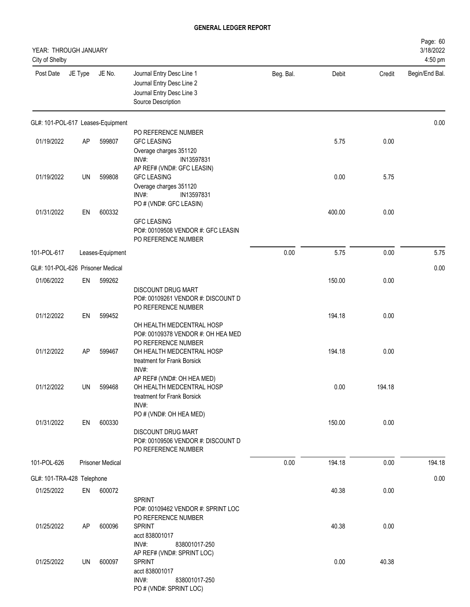| YEAR: THROUGH JANUARY<br>City of Shelby |         |                                   |                                                                                                                              |           |        |        | Page: 60<br>3/18/2022<br>4:50 pm |
|-----------------------------------------|---------|-----------------------------------|------------------------------------------------------------------------------------------------------------------------------|-----------|--------|--------|----------------------------------|
| Post Date                               | JE Type | JE No.                            | Journal Entry Desc Line 1<br>Journal Entry Desc Line 2<br>Journal Entry Desc Line 3<br>Source Description                    | Beg. Bal. | Debit  | Credit | Begin/End Bal.                   |
|                                         |         | GL#: 101-POL-617 Leases-Equipment |                                                                                                                              |           |        |        | 0.00                             |
| 01/19/2022                              | AP      | 599807                            | PO REFERENCE NUMBER<br><b>GFC LEASING</b><br>Overage charges 351120<br>INV#:<br>IN13597831                                   |           | 5.75   | 0.00   |                                  |
| 01/19/2022                              | UN      | 599808                            | AP REF# (VND#: GFC LEASIN)<br><b>GFC LEASING</b><br>Overage charges 351120<br>INV#:<br>IN13597831<br>PO # (VND#: GFC LEASIN) |           | 0.00   | 5.75   |                                  |
| 01/31/2022                              | EN      | 600332                            | <b>GFC LEASING</b><br>PO#: 00109508 VENDOR #: GFC LEASIN<br>PO REFERENCE NUMBER                                              |           | 400.00 | 0.00   |                                  |
| 101-POL-617                             |         | Leases-Equipment                  |                                                                                                                              | 0.00      | 5.75   | 0.00   | 5.75                             |
| GL#: 101-POL-626 Prisoner Medical       |         |                                   |                                                                                                                              |           |        |        | 0.00                             |
| 01/06/2022                              | EN      | 599262                            | <b>DISCOUNT DRUG MART</b><br>PO#: 00109261 VENDOR #: DISCOUNT D<br>PO REFERENCE NUMBER                                       |           | 150.00 | 0.00   |                                  |
| 01/12/2022                              | EN      | 599452                            | OH HEALTH MEDCENTRAL HOSP<br>PO#: 00109378 VENDOR #: OH HEA MED                                                              |           | 194.18 | 0.00   |                                  |
| 01/12/2022                              | AP      | 599467                            | PO REFERENCE NUMBER<br>OH HEALTH MEDCENTRAL HOSP<br>treatment for Frank Borsick<br>INV#:                                     |           | 194.18 | 0.00   |                                  |
| 01/12/2022                              | UN      | 599468                            | AP REF# (VND#: OH HEA MED)<br>OH HEALTH MEDCENTRAL HOSP<br>treatment for Frank Borsick<br>INV#:                              |           | 0.00   | 194.18 |                                  |
| 01/31/2022                              | EN      | 600330                            | PO # (VND#: OH HEA MED)<br><b>DISCOUNT DRUG MART</b><br>PO#: 00109506 VENDOR #: DISCOUNT D<br>PO REFERENCE NUMBER            |           | 150.00 | 0.00   |                                  |
| 101-POL-626                             |         | <b>Prisoner Medical</b>           |                                                                                                                              | 0.00      | 194.18 | 0.00   | 194.18                           |
| GL#: 101-TRA-428 Telephone              |         |                                   |                                                                                                                              |           |        |        | 0.00                             |
| 01/25/2022                              | EN      | 600072                            | <b>SPRINT</b><br>PO#: 00109462 VENDOR #: SPRINT LOC                                                                          |           | 40.38  | 0.00   |                                  |
| 01/25/2022                              | AP      | 600096                            | PO REFERENCE NUMBER<br><b>SPRINT</b><br>acct 838001017<br>INV#:<br>838001017-250                                             |           | 40.38  | 0.00   |                                  |
| 01/25/2022                              | UN      | 600097                            | AP REF# (VND#: SPRINT LOC)<br><b>SPRINT</b><br>acct 838001017<br>INV#:<br>838001017-250<br>PO # (VND#: SPRINT LOC)           |           | 0.00   | 40.38  |                                  |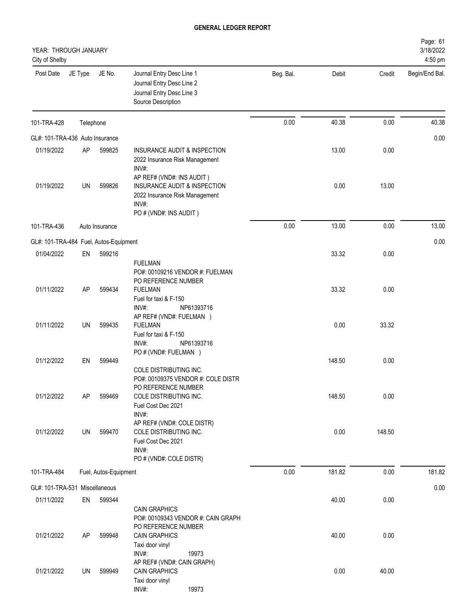| YEAR: THROUGH JANUARY<br>City of Shelby |           |                       |                                                                                                                                            |           |        |        | Page: 61<br>3/18/2022<br>4:50 pm |
|-----------------------------------------|-----------|-----------------------|--------------------------------------------------------------------------------------------------------------------------------------------|-----------|--------|--------|----------------------------------|
| Post Date                               | JE Type   | JE No.                | Journal Entry Desc Line 1<br>Journal Entry Desc Line 2<br>Journal Entry Desc Line 3<br>Source Description                                  | Beg. Bal. | Debit  | Credit | Begin/End Bal.                   |
| 101-TRA-428                             | Telephone |                       |                                                                                                                                            | 0.00      | 40.38  | 0.00   | 40.38                            |
| GL#: 101-TRA-436 Auto Insurance         |           |                       |                                                                                                                                            |           |        |        | 0.00                             |
| 01/19/2022                              | AP        | 599825                | INSURANCE AUDIT & INSPECTION<br>2022 Insurance Risk Management<br>INV#:<br>AP REF# (VND#: INS AUDIT)                                       |           | 13.00  | 0.00   |                                  |
| 01/19/2022                              | UN        | 599826                | INSURANCE AUDIT & INSPECTION<br>2022 Insurance Risk Management<br>INV#:<br>PO # (VND#: INS AUDIT)                                          |           | 0.00   | 13.00  |                                  |
| 101-TRA-436                             |           | Auto Insurance        |                                                                                                                                            | 0.00      | 13.00  | 0.00   | 13.00                            |
| GL#: 101-TRA-484 Fuel, Autos-Equipment  |           |                       |                                                                                                                                            |           |        |        | 0.00                             |
| 01/04/2022                              | EN        | 599216                |                                                                                                                                            |           | 33.32  | 0.00   |                                  |
| 01/11/2022                              | AP        | 599434                | <b>FUELMAN</b><br>PO#: 00109216 VENDOR #: FUELMAN<br>PO REFERENCE NUMBER<br><b>FUELMAN</b>                                                 |           | 33.32  | 0.00   |                                  |
| 01/11/2022                              | <b>UN</b> | 599435                | Fuel for taxi & F-150<br>INV#:<br>NP61393716<br>AP REF# (VND#: FUELMAN )<br><b>FUELMAN</b><br>Fuel for taxi & F-150<br>INV#:<br>NP61393716 |           | 0.00   | 33.32  |                                  |
| 01/12/2022                              | EN        | 599449                | PO # (VND#: FUELMAN )                                                                                                                      |           | 148.50 | 0.00   |                                  |
|                                         |           |                       | COLE DISTRIBUTING INC.<br>PO#: 00109375 VENDOR #: COLE DISTR<br>PO REFERENCE NUMBER                                                        |           |        |        |                                  |
| 01/12/2022                              | AP        | 599469                | COLE DISTRIBUTING INC.<br>Fuel Cost Dec 2021<br>INV#:<br>AP REF# (VND#: COLE DISTR)                                                        |           | 148.50 | 0.00   |                                  |
| 01/12/2022                              | UN        | 599470                | COLE DISTRIBUTING INC.<br>Fuel Cost Dec 2021<br>INV#:<br>PO # (VND#: COLE DISTR)                                                           |           | 0.00   | 148.50 |                                  |
| 101-TRA-484                             |           | Fuel, Autos-Equipment |                                                                                                                                            | 0.00      | 181.82 | 0.00   | 181.82                           |
| GL#: 101-TRA-531 Miscellaneous          |           |                       |                                                                                                                                            |           |        |        | 0.00                             |
| 01/11/2022                              | EN        | 599344                |                                                                                                                                            |           | 40.00  | 0.00   |                                  |
| 01/21/2022                              | AP        | 599948                | <b>CAIN GRAPHICS</b><br>PO#: 00109343 VENDOR #: CAIN GRAPH<br>PO REFERENCE NUMBER<br><b>CAIN GRAPHICS</b><br>Taxi door vinyl               |           | 40.00  | 0.00   |                                  |
| 01/21/2022                              | UN        | 599949                | INV#:<br>19973<br>AP REF# (VND#: CAIN GRAPH)<br><b>CAIN GRAPHICS</b><br>Taxi door vinyl<br>INV#:<br>19973                                  |           | 0.00   | 40.00  |                                  |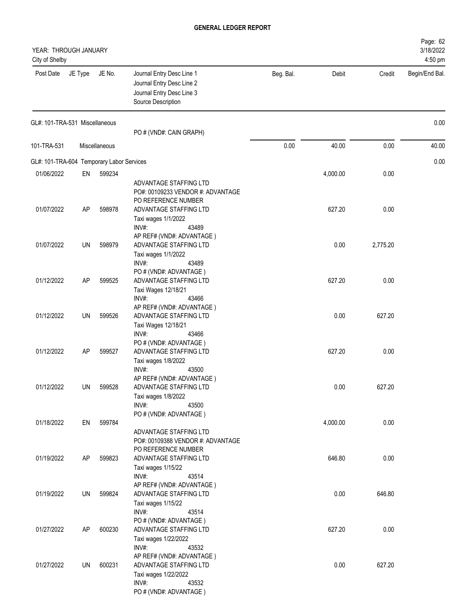| YEAR: THROUGH JANUARY<br>City of Shelby   |         |               |                                                                                                                            |           |          |          | Page: 62<br>3/18/2022<br>4:50 pm |
|-------------------------------------------|---------|---------------|----------------------------------------------------------------------------------------------------------------------------|-----------|----------|----------|----------------------------------|
| Post Date                                 | JE Type | JE No.        | Journal Entry Desc Line 1<br>Journal Entry Desc Line 2<br>Journal Entry Desc Line 3<br>Source Description                  | Beg. Bal. | Debit    | Credit   | Begin/End Bal.                   |
| GL#: 101-TRA-531 Miscellaneous            |         |               | PO # (VND#: CAIN GRAPH)                                                                                                    |           |          |          | 0.00                             |
| 101-TRA-531                               |         | Miscellaneous |                                                                                                                            | 0.00      | 40.00    | 0.00     | 40.00                            |
| GL#: 101-TRA-604 Temporary Labor Services |         |               |                                                                                                                            |           |          |          | 0.00                             |
| 01/06/2022                                | EN      | 599234        |                                                                                                                            |           | 4,000.00 | 0.00     |                                  |
|                                           |         |               | ADVANTAGE STAFFING LTD<br>PO#: 00109233 VENDOR #: ADVANTAGE<br>PO REFERENCE NUMBER                                         |           |          |          |                                  |
| 01/07/2022                                | AP      | 598978        | ADVANTAGE STAFFING LTD<br>Taxi wages 1/1/2022<br>INV#:<br>43489                                                            |           | 627.20   | 0.00     |                                  |
| 01/07/2022                                | UN      | 598979        | AP REF# (VND#: ADVANTAGE)<br>ADVANTAGE STAFFING LTD<br>Taxi wages 1/1/2022                                                 |           | 0.00     | 2,775.20 |                                  |
| 01/12/2022                                | AP      | 599525        | INV#:<br>43489<br>PO # (VND#: ADVANTAGE)<br>ADVANTAGE STAFFING LTD<br>Taxi Wages 12/18/21                                  |           | 627.20   | 0.00     |                                  |
| 01/12/2022                                | UN      | 599526        | INV#:<br>43466<br>AP REF# (VND#: ADVANTAGE)<br>ADVANTAGE STAFFING LTD<br>Taxi Wages 12/18/21                               |           | 0.00     | 627.20   |                                  |
| 01/12/2022                                | AP      | 599527        | INV#:<br>43466<br>PO # (VND#: ADVANTAGE)<br>ADVANTAGE STAFFING LTD<br>Taxi wages 1/8/2022                                  |           | 627.20   | 0.00     |                                  |
| 01/12/2022                                | UN      | 599528        | INV#:<br>43500<br>AP REF# (VND#: ADVANTAGE)<br>ADVANTAGE STAFFING LTD<br>Taxi wages 1/8/2022                               |           | 0.00     | 627.20   |                                  |
| 01/18/2022                                | EN      | 599784        | INV#:<br>43500<br>PO # (VND#: ADVANTAGE)<br>ADVANTAGE STAFFING LTD                                                         |           | 4,000.00 | 0.00     |                                  |
| 01/19/2022                                | AP      | 599823        | PO#: 00109388 VENDOR #: ADVANTAGE<br>PO REFERENCE NUMBER<br>ADVANTAGE STAFFING LTD<br>Taxi wages 1/15/22<br>43514<br>INV#: |           | 646.80   | 0.00     |                                  |
| 01/19/2022                                | UN      | 599824        | AP REF# (VND#: ADVANTAGE)<br>ADVANTAGE STAFFING LTD<br>Taxi wages 1/15/22<br>INV#:<br>43514                                |           | 0.00     | 646.80   |                                  |
| 01/27/2022                                | AP      | 600230        | PO # (VND#: ADVANTAGE)<br>ADVANTAGE STAFFING LTD<br>Taxi wages 1/22/2022<br>INV#:<br>43532                                 |           | 627.20   | 0.00     |                                  |
| 01/27/2022                                | UN      | 600231        | AP REF# (VND#: ADVANTAGE)<br>ADVANTAGE STAFFING LTD<br>Taxi wages 1/22/2022<br>INV#:<br>43532<br>PO # (VND#: ADVANTAGE)    |           | 0.00     | 627.20   |                                  |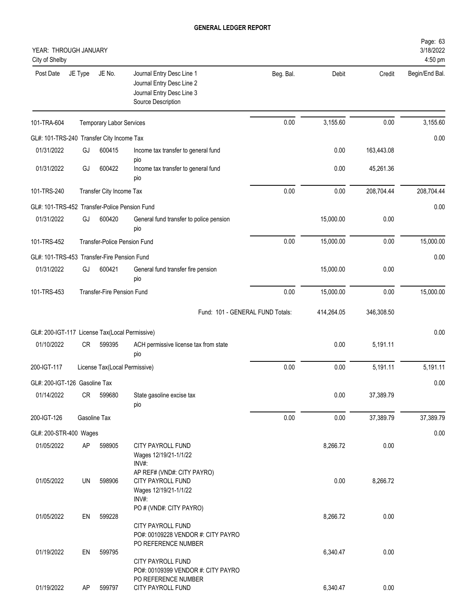| YEAR: THROUGH JANUARY<br>City of Shelby        |         |                                 |                                                                                                           |           |            |            | Page: 63<br>3/18/2022<br>4:50 pm |
|------------------------------------------------|---------|---------------------------------|-----------------------------------------------------------------------------------------------------------|-----------|------------|------------|----------------------------------|
| Post Date                                      | JE Type | JE No.                          | Journal Entry Desc Line 1<br>Journal Entry Desc Line 2<br>Journal Entry Desc Line 3<br>Source Description | Beg. Bal. | Debit      | Credit     | Begin/End Bal.                   |
| 101-TRA-604                                    |         | <b>Temporary Labor Services</b> |                                                                                                           | 0.00      | 3,155.60   | 0.00       | 3,155.60                         |
| GL#: 101-TRS-240 Transfer City Income Tax      |         |                                 |                                                                                                           |           |            |            | 0.00                             |
| 01/31/2022                                     | GJ      | 600415                          | Income tax transfer to general fund<br>pio                                                                |           | 0.00       | 163,443.08 |                                  |
| 01/31/2022                                     | GJ      | 600422                          | Income tax transfer to general fund<br>pio                                                                |           | 0.00       | 45,261.36  |                                  |
| 101-TRS-240                                    |         | Transfer City Income Tax        |                                                                                                           | 0.00      | 0.00       | 208,704.44 | 208,704.44                       |
| GL#: 101-TRS-452 Transfer-Police Pension Fund  |         |                                 |                                                                                                           |           |            |            | 0.00                             |
| 01/31/2022                                     | GJ      | 600420                          | General fund transfer to police pension<br>pio                                                            |           | 15,000.00  | 0.00       |                                  |
| 101-TRS-452                                    |         | Transfer-Police Pension Fund    |                                                                                                           | 0.00      | 15,000.00  | 0.00       | 15,000.00                        |
| GL#: 101-TRS-453 Transfer-Fire Pension Fund    |         |                                 |                                                                                                           |           |            |            | 0.00                             |
| 01/31/2022                                     | GJ      | 600421                          | General fund transfer fire pension<br>pio                                                                 |           | 15,000.00  | 0.00       |                                  |
| 101-TRS-453                                    |         | Transfer-Fire Pension Fund      |                                                                                                           | 0.00      | 15,000.00  | 0.00       | 15,000.00                        |
|                                                |         |                                 | Fund: 101 - GENERAL FUND Totals:                                                                          |           | 414,264.05 | 346,308.50 |                                  |
| GL#: 200-IGT-117 License Tax(Local Permissive) |         |                                 |                                                                                                           |           |            |            | 0.00                             |
| 01/10/2022                                     | CR      | 599395                          | ACH permissive license tax from state<br>pio                                                              |           | 0.00       | 5,191.11   |                                  |
| 200-IGT-117                                    |         | License Tax(Local Permissive)   |                                                                                                           | 0.00      | 0.00       | 5,191.11   | 5,191.11                         |
| GL#: 200-IGT-126 Gasoline Tax                  |         |                                 |                                                                                                           |           |            |            | 0.00                             |
| 01/14/2022                                     | CR      | 599680                          | State gasoline excise tax<br>pio                                                                          |           | 0.00       | 37,389.79  |                                  |
| 200-IGT-126                                    |         | Gasoline Tax                    |                                                                                                           | 0.00      | 0.00       | 37,389.79  | 37,389.79                        |
| GL#: 200-STR-400 Wages                         |         |                                 |                                                                                                           |           |            |            | 0.00                             |
| 01/05/2022                                     | AP      | 598905                          | CITY PAYROLL FUND<br>Wages 12/19/21-1/1/22<br>INV#:                                                       |           | 8,266.72   | 0.00       |                                  |
| 01/05/2022                                     | UN      | 598906                          | AP REF# (VND#: CITY PAYRO)<br>CITY PAYROLL FUND<br>Wages 12/19/21-1/1/22<br>INV#:                         |           | 0.00       | 8,266.72   |                                  |
| 01/05/2022                                     | EN      | 599228                          | PO # (VND#: CITY PAYRO)<br>CITY PAYROLL FUND<br>PO#: 00109228 VENDOR #: CITY PAYRO                        |           | 8,266.72   | 0.00       |                                  |
| 01/19/2022                                     | EN      | 599795                          | PO REFERENCE NUMBER<br>CITY PAYROLL FUND<br>PO#: 00109399 VENDOR #: CITY PAYRO<br>PO REFERENCE NUMBER     |           | 6,340.47   | 0.00       |                                  |
| 01/19/2022                                     | AP      | 599797                          | CITY PAYROLL FUND                                                                                         |           | 6,340.47   | 0.00       |                                  |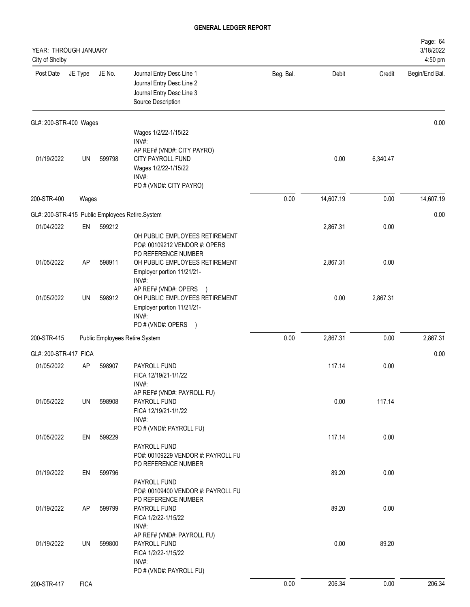| YEAR: THROUGH JANUARY<br>City of Shelby |             |        |                                                                                                                                              |           |           |          | Page: 64<br>3/18/2022<br>4:50 pm |
|-----------------------------------------|-------------|--------|----------------------------------------------------------------------------------------------------------------------------------------------|-----------|-----------|----------|----------------------------------|
| Post Date                               | JE Type     | JE No. | Journal Entry Desc Line 1<br>Journal Entry Desc Line 2<br>Journal Entry Desc Line 3<br>Source Description                                    | Beg. Bal. | Debit     | Credit   | Begin/End Bal.                   |
| GL#: 200-STR-400 Wages                  |             |        |                                                                                                                                              |           |           |          | 0.00                             |
| 01/19/2022                              | UN          | 599798 | Wages 1/2/22-1/15/22<br>INV#:<br>AP REF# (VND#: CITY PAYRO)<br>CITY PAYROLL FUND<br>Wages 1/2/22-1/15/22<br>INV#:<br>PO # (VND#: CITY PAYRO) |           | 0.00      | 6,340.47 |                                  |
| 200-STR-400                             | Wages       |        |                                                                                                                                              | 0.00      | 14,607.19 | 0.00     | 14,607.19                        |
|                                         |             |        | GL#: 200-STR-415 Public Employees Retire.System                                                                                              |           |           |          | 0.00                             |
| 01/04/2022                              | EN          | 599212 | OH PUBLIC EMPLOYEES RETIREMENT<br>PO#: 00109212 VENDOR #: OPERS<br>PO REFERENCE NUMBER                                                       |           | 2,867.31  | 0.00     |                                  |
| 01/05/2022                              | AP          | 598911 | OH PUBLIC EMPLOYEES RETIREMENT<br>Employer portion 11/21/21-<br>INV#:<br>AP REF# (VND#: OPERS<br>$\rightarrow$                               |           | 2,867.31  | 0.00     |                                  |
| 01/05/2022                              | UN          | 598912 | OH PUBLIC EMPLOYEES RETIREMENT<br>Employer portion 11/21/21-<br>INV#:<br>PO # (VND#: OPERS<br>$\rightarrow$                                  |           | 0.00      | 2,867.31 |                                  |
| 200-STR-415                             |             |        | Public Employees Retire.System                                                                                                               | 0.00      | 2,867.31  | 0.00     | 2,867.31                         |
| GL#: 200-STR-417 FICA                   |             |        |                                                                                                                                              |           |           |          | 0.00                             |
| 01/05/2022                              | AP          | 598907 | PAYROLL FUND<br>FICA 12/19/21-1/1/22<br>INV#:                                                                                                |           | 117.14    | 0.00     |                                  |
| 01/05/2022                              | UN          | 598908 | AP REF# (VND#: PAYROLL FU)<br>PAYROLL FUND<br>FICA 12/19/21-1/1/22<br>INV#:<br>PO # (VND#: PAYROLL FU)                                       |           | 0.00      | 117.14   |                                  |
| 01/05/2022                              | EN          | 599229 | PAYROLL FUND<br>PO#: 00109229 VENDOR #: PAYROLL FU<br>PO REFERENCE NUMBER                                                                    |           | 117.14    | 0.00     |                                  |
| 01/19/2022                              | EN          | 599796 | PAYROLL FUND<br>PO#: 00109400 VENDOR #: PAYROLL FU                                                                                           |           | 89.20     | 0.00     |                                  |
| 01/19/2022                              | AP          | 599799 | PO REFERENCE NUMBER<br>PAYROLL FUND<br>FICA 1/2/22-1/15/22<br>INV#:                                                                          |           | 89.20     | 0.00     |                                  |
| 01/19/2022                              | UN          | 599800 | AP REF# (VND#: PAYROLL FU)<br>PAYROLL FUND<br>FICA 1/2/22-1/15/22<br>INV#:<br>PO # (VND#: PAYROLL FU)                                        |           | 0.00      | 89.20    |                                  |
| 200-STR-417                             | <b>FICA</b> |        |                                                                                                                                              | 0.00      | 206.34    | 0.00     | 206.34                           |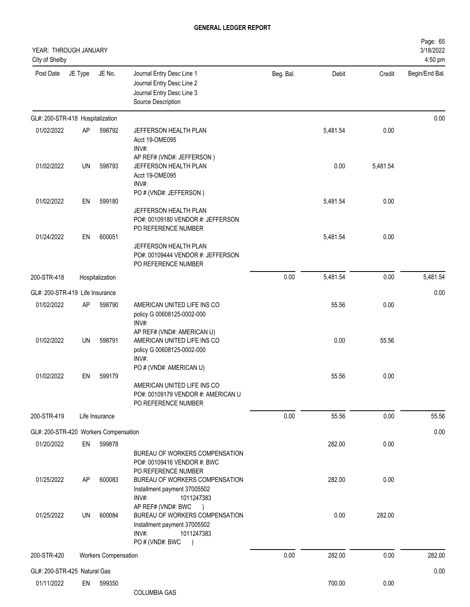| YEAR: THROUGH JANUARY<br>City of Shelby |           |                             |                                                                                                                                                                             |           |          |          | Page: 65<br>3/18/2022<br>4:50 pm |
|-----------------------------------------|-----------|-----------------------------|-----------------------------------------------------------------------------------------------------------------------------------------------------------------------------|-----------|----------|----------|----------------------------------|
| Post Date                               | JE Type   | JE No.                      | Journal Entry Desc Line 1<br>Journal Entry Desc Line 2<br>Journal Entry Desc Line 3<br>Source Description                                                                   | Beg. Bal. | Debit    | Credit   | Begin/End Bal.                   |
| GL#: 200-STR-418 Hospitalization        |           |                             |                                                                                                                                                                             |           |          |          | 0.00                             |
| 01/02/2022                              | AP        | 598792                      | JEFFERSON HEALTH PLAN<br>Acct 19-OME095<br>INV#:                                                                                                                            |           | 5,481.54 | 0.00     |                                  |
| 01/02/2022                              | <b>UN</b> | 598793                      | AP REF# (VND#: JEFFERSON)<br>JEFFERSON HEALTH PLAN<br>Acct 19-OME095<br>INV#:                                                                                               |           | 0.00     | 5,481.54 |                                  |
| 01/02/2022                              | EN        | 599180                      | PO # (VND#: JEFFERSON)<br>JEFFERSON HEALTH PLAN<br>PO#: 00109180 VENDOR #: JEFFERSON                                                                                        |           | 5,481.54 | 0.00     |                                  |
| 01/24/2022                              | EN        | 600051                      | PO REFERENCE NUMBER<br>JEFFERSON HEALTH PLAN<br>PO#: 00109444 VENDOR #: JEFFERSON<br>PO REFERENCE NUMBER                                                                    |           | 5,481.54 | 0.00     |                                  |
| 200-STR-418                             |           | Hospitalization             |                                                                                                                                                                             | 0.00      | 5,481.54 | 0.00     | 5,481.54                         |
| GL#: 200-STR-419 Life Insurance         |           |                             |                                                                                                                                                                             |           |          |          | 0.00                             |
| 01/02/2022                              | AP        | 598790                      | AMERICAN UNITED LIFE INS CO<br>policy G 00608125-0002-000<br>INV#:                                                                                                          |           | 55.56    | 0.00     |                                  |
| 01/02/2022                              | <b>UN</b> | 598791                      | AP REF# (VND#: AMERICAN U)<br>AMERICAN UNITED LIFE INS CO<br>policy G 00608125-0002-000<br>INV#:                                                                            |           | 0.00     | 55.56    |                                  |
| 01/02/2022                              | EN        | 599179                      | PO # (VND#: AMERICAN U)<br>AMERICAN UNITED LIFE INS CO<br>PO#: 00109179 VENDOR #: AMERICAN U<br>PO REFERENCE NUMBER                                                         |           | 55.56    | 0.00     |                                  |
| 200-STR-419                             |           | Life Insurance              |                                                                                                                                                                             | 0.00      | 55.56    | 0.00     | 55.56                            |
| GL#: 200-STR-420 Workers Compensation   |           |                             |                                                                                                                                                                             |           |          |          | 0.00                             |
| 01/20/2022                              | EN        | 599878                      | BUREAU OF WORKERS COMPENSATION<br>PO#: 00109416 VENDOR #: BWC                                                                                                               |           | 282.00   | 0.00     |                                  |
| 01/25/2022                              | AP        | 600083                      | PO REFERENCE NUMBER<br>BUREAU OF WORKERS COMPENSATION<br>Installment payment 37005502<br>INV#:<br>1011247383                                                                |           | 282.00   | 0.00     |                                  |
| 01/25/2022                              | UN        | 600084                      | AP REF# (VND#: BWC<br>$\rightarrow$<br>BUREAU OF WORKERS COMPENSATION<br>Installment payment 37005502<br>INV#:<br>1011247383<br>PO # (VND#: BWC<br>$\overline{\phantom{a}}$ |           | 0.00     | 282.00   |                                  |
| 200-STR-420                             |           | <b>Workers Compensation</b> |                                                                                                                                                                             | 0.00      | 282.00   | 0.00     | 282.00                           |
| GL#: 200-STR-425 Natural Gas            |           |                             |                                                                                                                                                                             |           |          |          | 0.00                             |
| 01/11/2022                              | EN        | 599350                      | <b>COLUMBIA GAS</b>                                                                                                                                                         |           | 700.00   | 0.00     |                                  |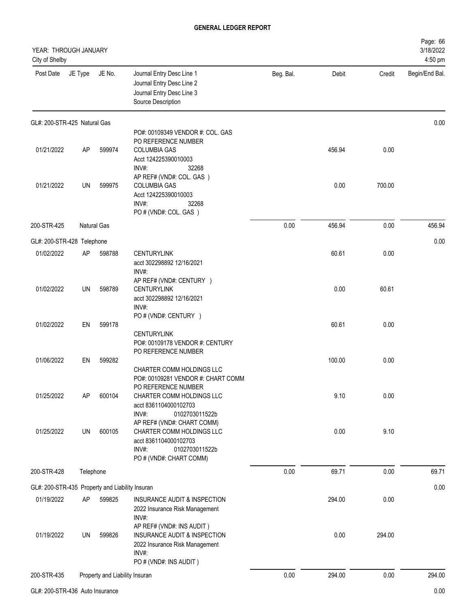| YEAR: THROUGH JANUARY<br>City of Shelby         |           |                                |                                                                                                                                        |           |        |        | Page: 66<br>3/18/2022<br>4:50 pm |
|-------------------------------------------------|-----------|--------------------------------|----------------------------------------------------------------------------------------------------------------------------------------|-----------|--------|--------|----------------------------------|
| Post Date                                       | JE Type   | JE No.                         | Journal Entry Desc Line 1<br>Journal Entry Desc Line 2<br>Journal Entry Desc Line 3<br>Source Description                              | Beg. Bal. | Debit  | Credit | Begin/End Bal.                   |
| GL#: 200-STR-425 Natural Gas                    |           |                                |                                                                                                                                        |           |        |        | 0.00                             |
| 01/21/2022                                      | AP        | 599974                         | PO#: 00109349 VENDOR #: COL. GAS<br>PO REFERENCE NUMBER<br><b>COLUMBIA GAS</b><br>Acct 124225390010003<br>INV#:<br>32268               |           | 456.94 | 0.00   |                                  |
| 01/21/2022                                      | UN        | 599975                         | AP REF# (VND#: COL. GAS)<br><b>COLUMBIA GAS</b><br>Acct 124225390010003<br>INV#:<br>32268<br>PO # (VND#: COL. GAS)                     |           | 0.00   | 700.00 |                                  |
| 200-STR-425                                     |           | Natural Gas                    |                                                                                                                                        | 0.00      | 456.94 | 0.00   | 456.94                           |
| GL#: 200-STR-428 Telephone                      |           |                                |                                                                                                                                        |           |        |        | 0.00                             |
| 01/02/2022                                      | AP        | 598788                         | <b>CENTURYLINK</b><br>acct 302298892 12/16/2021<br>INV#:                                                                               |           | 60.61  | 0.00   |                                  |
| 01/02/2022                                      | UN        | 598789                         | AP REF# (VND#: CENTURY )<br><b>CENTURYLINK</b><br>acct 302298892 12/16/2021<br>INV#:                                                   |           | 0.00   | 60.61  |                                  |
| 01/02/2022                                      | EN        | 599178                         | PO # (VND#: CENTURY )<br><b>CENTURYLINK</b><br>PO#: 00109178 VENDOR #: CENTURY                                                         |           | 60.61  | 0.00   |                                  |
| 01/06/2022                                      | EN        | 599282                         | PO REFERENCE NUMBER<br>CHARTER COMM HOLDINGS LLC<br>PO#: 00109281 VENDOR #: CHART COMM                                                 |           | 100.00 | 0.00   |                                  |
| 01/25/2022                                      | AP        | 600104                         | PO REFERENCE NUMBER<br>CHARTER COMM HOLDINGS LLC<br>acct 8361104000102703<br>INV#:<br>0102703011522b                                   |           | 9.10   | 0.00   |                                  |
| 01/25/2022                                      | UN        | 600105                         | AP REF# (VND#: CHART COMM)<br>CHARTER COMM HOLDINGS LLC<br>acct 8361104000102703<br>INV#:<br>0102703011522b<br>PO # (VND#: CHART COMM) |           | 0.00   | 9.10   |                                  |
| 200-STR-428                                     | Telephone |                                |                                                                                                                                        | 0.00      | 69.71  | 0.00   | 69.71                            |
| GL#: 200-STR-435 Property and Liability Insuran |           |                                |                                                                                                                                        |           |        |        | 0.00                             |
| 01/19/2022                                      | AP        | 599825                         | INSURANCE AUDIT & INSPECTION<br>2022 Insurance Risk Management<br>INV#:                                                                |           | 294.00 | 0.00   |                                  |
| 01/19/2022                                      | UN        | 599826                         | AP REF# (VND#: INS AUDIT)<br>INSURANCE AUDIT & INSPECTION<br>2022 Insurance Risk Management<br>INV#:<br>PO # (VND#: INS AUDIT)         |           | 0.00   | 294.00 |                                  |
| 200-STR-435                                     |           | Property and Liability Insuran |                                                                                                                                        | 0.00      | 294.00 | 0.00   | 294.00                           |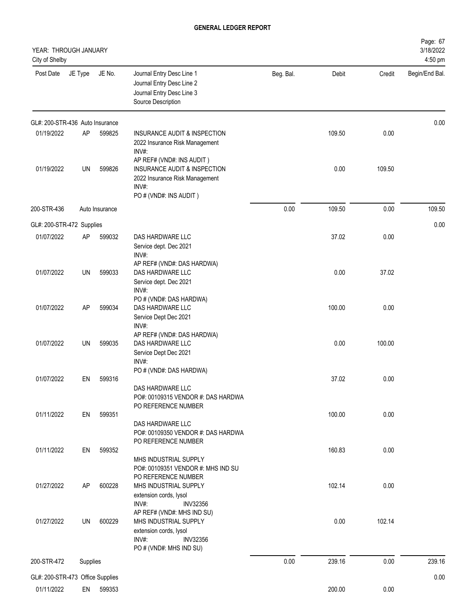| YEAR: THROUGH JANUARY<br>City of Shelby |           |                |                                                                                                                                      |           |        |        | Page: 67<br>3/18/2022<br>4:50 pm |
|-----------------------------------------|-----------|----------------|--------------------------------------------------------------------------------------------------------------------------------------|-----------|--------|--------|----------------------------------|
| Post Date                               | JE Type   | JE No.         | Journal Entry Desc Line 1<br>Journal Entry Desc Line 2<br>Journal Entry Desc Line 3<br>Source Description                            | Beg. Bal. | Debit  | Credit | Begin/End Bal.                   |
| GL#: 200-STR-436 Auto Insurance         |           |                |                                                                                                                                      |           |        |        | 0.00                             |
| 01/19/2022                              | AP        | 599825         | INSURANCE AUDIT & INSPECTION<br>2022 Insurance Risk Management<br>INV#:                                                              |           | 109.50 | 0.00   |                                  |
| 01/19/2022                              | UN        | 599826         | AP REF# (VND#: INS AUDIT)<br>INSURANCE AUDIT & INSPECTION<br>2022 Insurance Risk Management<br>INV#:<br>PO # (VND#: INS AUDIT)       |           | 0.00   | 109.50 |                                  |
| 200-STR-436                             |           | Auto Insurance |                                                                                                                                      | 0.00      | 109.50 | 0.00   | 109.50                           |
| GL#: 200-STR-472 Supplies               |           |                |                                                                                                                                      |           |        |        | 0.00                             |
| 01/07/2022                              | AP        | 599032         | DAS HARDWARE LLC                                                                                                                     |           | 37.02  | 0.00   |                                  |
|                                         |           |                | Service dept. Dec 2021<br>$INV#$ :                                                                                                   |           |        |        |                                  |
| 01/07/2022                              | UN        | 599033         | AP REF# (VND#: DAS HARDWA)<br>DAS HARDWARE LLC<br>Service dept. Dec 2021<br>INV#:                                                    |           | 0.00   | 37.02  |                                  |
| 01/07/2022                              | <b>AP</b> | 599034         | PO # (VND#: DAS HARDWA)<br>DAS HARDWARE LLC<br>Service Dept Dec 2021<br>INV#:<br>AP REF# (VND#: DAS HARDWA)                          |           | 100.00 | 0.00   |                                  |
| 01/07/2022                              | UN        | 599035         | DAS HARDWARE LLC<br>Service Dept Dec 2021<br>INV#:<br>PO # (VND#: DAS HARDWA)                                                        |           | 0.00   | 100.00 |                                  |
| 01/07/2022                              | EN        | 599316         |                                                                                                                                      |           | 37.02  | 0.00   |                                  |
|                                         |           |                | DAS HARDWARE LLC<br>PO#: 00109315 VENDOR #: DAS HARDWA<br>PO REFERENCE NUMBER                                                        |           |        |        |                                  |
| 01/11/2022                              | EN        | 599351         | DAS HARDWARE LLC<br>PO#: 00109350 VENDOR #: DAS HARDWA<br>PO REFERENCE NUMBER                                                        |           | 100.00 | 0.00   |                                  |
| 01/11/2022                              | EN        | 599352         | MHS INDUSTRIAL SUPPLY<br>PO#: 00109351 VENDOR #: MHS IND SU<br>PO REFERENCE NUMBER                                                   |           | 160.83 | 0.00   |                                  |
| 01/27/2022                              | AP        | 600228         | MHS INDUSTRIAL SUPPLY<br>extension cords, lysol<br>INV#:<br><b>INV32356</b>                                                          |           | 102.14 | 0.00   |                                  |
| 01/27/2022                              | UN        | 600229         | AP REF# (VND#: MHS IND SU)<br>MHS INDUSTRIAL SUPPLY<br>extension cords, lysol<br>INV#:<br><b>INV32356</b><br>PO # (VND#: MHS IND SU) |           | 0.00   | 102.14 |                                  |
| 200-STR-472                             | Supplies  |                |                                                                                                                                      | 0.00      | 239.16 | 0.00   | 239.16                           |
| GL#: 200-STR-473 Office Supplies        |           |                |                                                                                                                                      |           |        |        | 0.00                             |
| 01/11/2022                              |           | EN 599353      |                                                                                                                                      |           | 200.00 | 0.00   |                                  |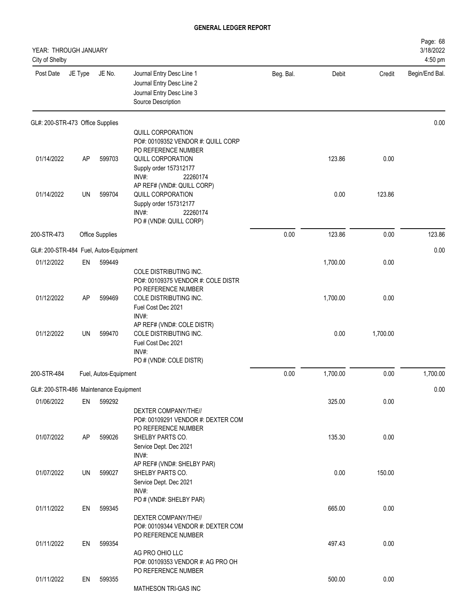| YEAR: THROUGH JANUARY<br>City of Shelby |           |                       |                                                                                                           |           |          |          | Page: 68<br>3/18/2022<br>4:50 pm |
|-----------------------------------------|-----------|-----------------------|-----------------------------------------------------------------------------------------------------------|-----------|----------|----------|----------------------------------|
| Post Date                               | JE Type   | JE No.                | Journal Entry Desc Line 1<br>Journal Entry Desc Line 2<br>Journal Entry Desc Line 3<br>Source Description | Beg. Bal. | Debit    | Credit   | Begin/End Bal.                   |
| GL#: 200-STR-473 Office Supplies        |           |                       |                                                                                                           |           |          |          | 0.00                             |
|                                         |           |                       | QUILL CORPORATION<br>PO#: 00109352 VENDOR #: QUILL CORP                                                   |           |          |          |                                  |
|                                         |           |                       | PO REFERENCE NUMBER                                                                                       |           |          |          |                                  |
| 01/14/2022                              | <b>AP</b> | 599703                | QUILL CORPORATION                                                                                         |           | 123.86   | 0.00     |                                  |
|                                         |           |                       | Supply order 157312177<br>INV#:<br>22260174                                                               |           |          |          |                                  |
|                                         |           |                       | AP REF# (VND#: QUILL CORP)                                                                                |           |          |          |                                  |
| 01/14/2022                              | UN        | 599704                | QUILL CORPORATION                                                                                         |           | 0.00     | 123.86   |                                  |
|                                         |           |                       | Supply order 157312177<br>INV#:<br>22260174                                                               |           |          |          |                                  |
|                                         |           |                       | PO # (VND#: QUILL CORP)                                                                                   |           |          |          |                                  |
| 200-STR-473                             |           | Office Supplies       |                                                                                                           | 0.00      | 123.86   | 0.00     | 123.86                           |
| GL#: 200-STR-484 Fuel, Autos-Equipment  |           |                       |                                                                                                           |           |          |          | 0.00                             |
| 01/12/2022                              | EN        | 599449                |                                                                                                           |           | 1,700.00 | 0.00     |                                  |
|                                         |           |                       | COLE DISTRIBUTING INC.                                                                                    |           |          |          |                                  |
|                                         |           |                       | PO#: 00109375 VENDOR #: COLE DISTR                                                                        |           |          |          |                                  |
| 01/12/2022                              | AP        | 599469                | PO REFERENCE NUMBER<br>COLE DISTRIBUTING INC.                                                             |           | 1,700.00 | 0.00     |                                  |
|                                         |           |                       | Fuel Cost Dec 2021                                                                                        |           |          |          |                                  |
|                                         |           |                       | INV#:                                                                                                     |           |          |          |                                  |
| 01/12/2022                              | <b>UN</b> | 599470                | AP REF# (VND#: COLE DISTR)<br>COLE DISTRIBUTING INC.                                                      |           | 0.00     | 1,700.00 |                                  |
|                                         |           |                       | Fuel Cost Dec 2021                                                                                        |           |          |          |                                  |
|                                         |           |                       | INV#:                                                                                                     |           |          |          |                                  |
|                                         |           |                       | PO # (VND#: COLE DISTR)                                                                                   |           |          |          |                                  |
| 200-STR-484                             |           | Fuel, Autos-Equipment |                                                                                                           | 0.00      | 1,700.00 | 0.00     | 1,700.00                         |
| GL#: 200-STR-486 Maintenance Equipment  |           |                       |                                                                                                           |           |          |          | 0.00                             |
| 01/06/2022                              | EN        | 599292                |                                                                                                           |           | 325.00   | 0.00     |                                  |
|                                         |           |                       | DEXTER COMPANY/THE//                                                                                      |           |          |          |                                  |
|                                         |           |                       | PO#: 00109291 VENDOR #: DEXTER COM<br>PO REFERENCE NUMBER                                                 |           |          |          |                                  |
| 01/07/2022                              | AP        | 599026                | SHELBY PARTS CO.                                                                                          |           | 135.30   | 0.00     |                                  |
|                                         |           |                       | Service Dept. Dec 2021                                                                                    |           |          |          |                                  |
|                                         |           |                       | INV#:<br>AP REF# (VND#: SHELBY PAR)                                                                       |           |          |          |                                  |
| 01/07/2022                              | UN        | 599027                | SHELBY PARTS CO.                                                                                          |           | 0.00     | 150.00   |                                  |
|                                         |           |                       | Service Dept. Dec 2021                                                                                    |           |          |          |                                  |
|                                         |           |                       | INV#:<br>PO # (VND#: SHELBY PAR)                                                                          |           |          |          |                                  |
| 01/11/2022                              | EN        | 599345                |                                                                                                           |           | 665.00   | 0.00     |                                  |
|                                         |           |                       | DEXTER COMPANY/THE//                                                                                      |           |          |          |                                  |
|                                         |           |                       | PO#: 00109344 VENDOR #: DEXTER COM<br>PO REFERENCE NUMBER                                                 |           |          |          |                                  |
| 01/11/2022                              | EN        | 599354                |                                                                                                           |           | 497.43   | 0.00     |                                  |
|                                         |           |                       | AG PRO OHIO LLC                                                                                           |           |          |          |                                  |
|                                         |           |                       | PO#: 00109353 VENDOR #: AG PRO OH                                                                         |           |          |          |                                  |
| 01/11/2022                              | EN        | 599355                | PO REFERENCE NUMBER                                                                                       |           | 500.00   | 0.00     |                                  |
|                                         |           |                       | MATHESON TRI-GAS INC                                                                                      |           |          |          |                                  |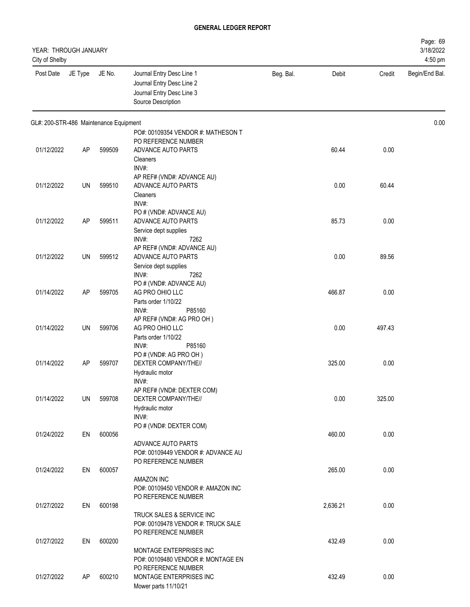| YEAR: THROUGH JANUARY<br>City of Shelby |         |        |                                                                                                           |           |          |        | Page: 69<br>3/18/2022<br>4:50 pm |
|-----------------------------------------|---------|--------|-----------------------------------------------------------------------------------------------------------|-----------|----------|--------|----------------------------------|
| Post Date                               | JE Type | JE No. | Journal Entry Desc Line 1<br>Journal Entry Desc Line 2<br>Journal Entry Desc Line 3<br>Source Description | Beg. Bal. | Debit    | Credit | Begin/End Bal.                   |
| GL#: 200-STR-486 Maintenance Equipment  |         |        |                                                                                                           |           |          |        | 0.00                             |
| 01/12/2022                              | AP      | 599509 | PO#: 00109354 VENDOR #: MATHESON T<br>PO REFERENCE NUMBER<br>ADVANCE AUTO PARTS<br>Cleaners               |           | 60.44    | 0.00   |                                  |
| 01/12/2022                              | UN      | 599510 | INV#:<br>AP REF# (VND#: ADVANCE AU)<br>ADVANCE AUTO PARTS<br>Cleaners                                     |           | 0.00     | 60.44  |                                  |
| 01/12/2022                              | AP      | 599511 | INV#:<br>PO # (VND#: ADVANCE AU)<br>ADVANCE AUTO PARTS<br>Service dept supplies                           |           | 85.73    | 0.00   |                                  |
| 01/12/2022                              | UN      | 599512 | INV#:<br>7262<br>AP REF# (VND#: ADVANCE AU)<br>ADVANCE AUTO PARTS<br>Service dept supplies                |           | 0.00     | 89.56  |                                  |
| 01/14/2022                              | AP      | 599705 | 7262<br>INV#:<br>PO # (VND#: ADVANCE AU)<br>AG PRO OHIO LLC<br>Parts order 1/10/22                        |           | 466.87   | 0.00   |                                  |
| 01/14/2022                              | UN      | 599706 | INV#:<br>P85160<br>AP REF# (VND#: AG PRO OH)<br>AG PRO OHIO LLC<br>Parts order 1/10/22                    |           | 0.00     | 497.43 |                                  |
| 01/14/2022                              | AP      | 599707 | INV#:<br>P85160<br>PO#(VND#: AG PRO OH)<br>DEXTER COMPANY/THE//<br>Hydraulic motor<br>INV#:               |           | 325.00   | 0.00   |                                  |
| 01/14/2022                              | UN      | 599708 | AP REF# (VND#: DEXTER COM)<br>DEXTER COMPANY/THE//<br>Hydraulic motor<br>INV#:                            |           | 0.00     | 325.00 |                                  |
| 01/24/2022                              | EN      | 600056 | PO # (VND#: DEXTER COM)<br>ADVANCE AUTO PARTS<br>PO#: 00109449 VENDOR #: ADVANCE AU                       |           | 460.00   | 0.00   |                                  |
| 01/24/2022                              | EN      | 600057 | PO REFERENCE NUMBER<br>AMAZON INC<br>PO#: 00109450 VENDOR #: AMAZON INC                                   |           | 265.00   | 0.00   |                                  |
| 01/27/2022                              | EN      | 600198 | PO REFERENCE NUMBER<br>TRUCK SALES & SERVICE INC<br>PO#: 00109478 VENDOR #: TRUCK SALE                    |           | 2,636.21 | 0.00   |                                  |
| 01/27/2022                              | EN      | 600200 | PO REFERENCE NUMBER<br>MONTAGE ENTERPRISES INC<br>PO#: 00109480 VENDOR #: MONTAGE EN                      |           | 432.49   | 0.00   |                                  |
| 01/27/2022                              | AP      | 600210 | PO REFERENCE NUMBER<br>MONTAGE ENTERPRISES INC<br>Mower parts 11/10/21                                    |           | 432.49   | 0.00   |                                  |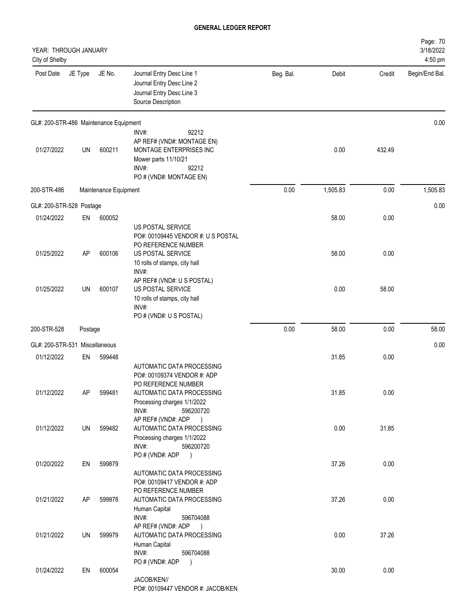| YEAR: THROUGH JANUARY<br>City of Shelby |           |                       |                                                                                                                                              |           |          |        | Page: 70<br>3/18/2022<br>4:50 pm |
|-----------------------------------------|-----------|-----------------------|----------------------------------------------------------------------------------------------------------------------------------------------|-----------|----------|--------|----------------------------------|
| Post Date                               | JE Type   | JE No.                | Journal Entry Desc Line 1<br>Journal Entry Desc Line 2<br>Journal Entry Desc Line 3<br>Source Description                                    | Beg. Bal. | Debit    | Credit | Begin/End Bal.                   |
| GL#: 200-STR-486 Maintenance Equipment  |           |                       |                                                                                                                                              |           |          |        | 0.00                             |
| 01/27/2022                              | <b>UN</b> | 600211                | 92212<br>INV#:<br>AP REF# (VND#: MONTAGE EN)<br>MONTAGE ENTERPRISES INC<br>Mower parts 11/10/21<br>92212<br>INV#:<br>PO # (VND#: MONTAGE EN) |           | 0.00     | 432.49 |                                  |
| 200-STR-486                             |           | Maintenance Equipment |                                                                                                                                              | 0.00      | 1,505.83 | 0.00   | 1,505.83                         |
| GL#: 200-STR-528 Postage                |           |                       |                                                                                                                                              |           |          |        | 0.00                             |
| 01/24/2022                              | EN        | 600052                | US POSTAL SERVICE<br>PO#: 00109445 VENDOR #: U S POSTAL                                                                                      |           | 58.00    | 0.00   |                                  |
| 01/25/2022                              | AP        | 600106                | PO REFERENCE NUMBER<br><b>US POSTAL SERVICE</b><br>10 rolls of stamps, city hall<br>INV#:                                                    |           | 58.00    | 0.00   |                                  |
| 01/25/2022                              | <b>UN</b> | 600107                | AP REF# (VND#: U S POSTAL)<br>US POSTAL SERVICE<br>10 rolls of stamps, city hall<br>INV#:<br>PO # (VND#: U S POSTAL)                         |           | 0.00     | 58.00  |                                  |
| 200-STR-528                             | Postage   |                       |                                                                                                                                              | 0.00      | 58.00    | 0.00   | 58.00                            |
| GL#: 200-STR-531 Miscellaneous          |           |                       |                                                                                                                                              |           |          |        | 0.00                             |
| 01/12/2022                              | EN        | 599448                | AUTOMATIC DATA PROCESSING<br>PO#: 00109374 VENDOR #: ADP                                                                                     |           | 31.85    | 0.00   |                                  |
| 01/12/2022                              | AP        | 599481                | PO REFERENCE NUMBER<br>AUTOMATIC DATA PROCESSING<br>Processing charges 1/1/2022<br>INV#:<br>596200720                                        |           | 31.85    | 0.00   |                                  |
| 01/12/2022                              | UN        | 599482                | AP REF# (VND#: ADP<br>$\rightarrow$<br>AUTOMATIC DATA PROCESSING<br>Processing charges 1/1/2022<br>INV#:<br>596200720                        |           | 0.00     | 31.85  |                                  |
| 01/20/2022                              | EN        | 599879                | PO # (VND#: ADP<br>$\rightarrow$<br>AUTOMATIC DATA PROCESSING<br>PO#: 00109417 VENDOR #: ADP                                                 |           | 37.26    | 0.00   |                                  |
| 01/21/2022                              | AP        | 599978                | PO REFERENCE NUMBER<br>AUTOMATIC DATA PROCESSING<br>Human Capital<br>INV#:<br>596704088                                                      |           | 37.26    | 0.00   |                                  |
| 01/21/2022                              | UN        | 599979                | AP REF# (VND#: ADP<br>$\rightarrow$<br>AUTOMATIC DATA PROCESSING<br>Human Capital<br>INV#:<br>596704088                                      |           | 0.00     | 37.26  |                                  |
| 01/24/2022                              | EN        | 600054                | PO # (VND#: ADP<br>$\rightarrow$<br>JACOB/KEN//<br>PO#: 00109447 VENDOR #: JACOB/KEN                                                         |           | 30.00    | 0.00   |                                  |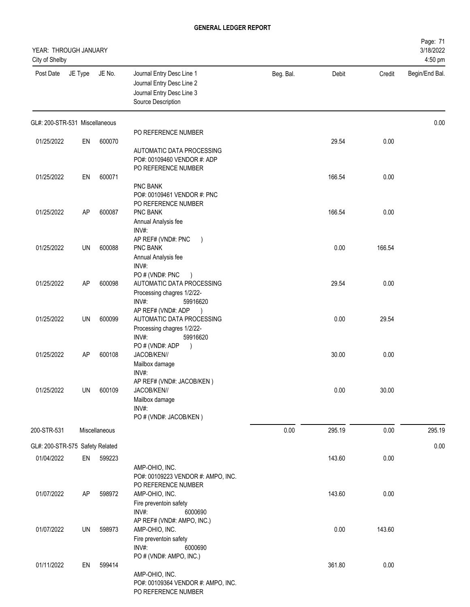| YEAR: THROUGH JANUARY<br>City of Shelby |           |               |                                                                                                                     |           |        |        | Page: 71<br>3/18/2022<br>4:50 pm |
|-----------------------------------------|-----------|---------------|---------------------------------------------------------------------------------------------------------------------|-----------|--------|--------|----------------------------------|
| Post Date                               | JE Type   | JE No.        | Journal Entry Desc Line 1<br>Journal Entry Desc Line 2<br>Journal Entry Desc Line 3<br>Source Description           | Beg. Bal. | Debit  | Credit | Begin/End Bal.                   |
| GL#: 200-STR-531 Miscellaneous          |           |               |                                                                                                                     |           |        |        | 0.00                             |
| 01/25/2022                              | EN        | 600070        | PO REFERENCE NUMBER                                                                                                 |           | 29.54  | 0.00   |                                  |
|                                         |           |               | AUTOMATIC DATA PROCESSING<br>PO#: 00109460 VENDOR #: ADP<br>PO REFERENCE NUMBER                                     |           |        |        |                                  |
| 01/25/2022                              | EN        | 600071        |                                                                                                                     |           | 166.54 | 0.00   |                                  |
| 01/25/2022                              | <b>AP</b> | 600087        | PNC BANK<br>PO#: 00109461 VENDOR #: PNC<br>PO REFERENCE NUMBER<br>PNC BANK<br>Annual Analysis fee                   |           | 166.54 | 0.00   |                                  |
| 01/25/2022                              | UN        | 600088        | INV#:<br>AP REF# (VND#: PNC<br>$\rightarrow$<br>PNC BANK<br>Annual Analysis fee<br>INV#:                            |           | 0.00   | 166.54 |                                  |
| 01/25/2022                              | <b>AP</b> | 600098        | PO# (VND#: PNC<br>AUTOMATIC DATA PROCESSING<br>Processing chagres 1/2/22-<br>INV#:<br>59916620                      |           | 29.54  | 0.00   |                                  |
| 01/25/2022                              | UN        | 600099        | AP REF# (VND#: ADP<br>$\rightarrow$<br>AUTOMATIC DATA PROCESSING<br>Processing chagres 1/2/22-<br>INV#:<br>59916620 |           | 0.00   | 29.54  |                                  |
| 01/25/2022                              | <b>AP</b> | 600108        | PO # (VND#: ADP<br>$\lambda$<br>JACOB/KEN//<br>Mailbox damage<br>INV#:                                              |           | 30.00  | 0.00   |                                  |
| 01/25/2022                              | UN        | 600109        | AP REF# (VND#: JACOB/KEN)<br>JACOB/KEN//<br>Mailbox damage<br>INV#:<br>PO # (VND#: JACOB/KEN)                       |           | 0.00   | 30.00  |                                  |
| 200-STR-531                             |           | Miscellaneous |                                                                                                                     | 0.00      | 295.19 | 0.00   | 295.19                           |
| GL#: 200-STR-575 Safety Related         |           |               |                                                                                                                     |           |        |        | 0.00                             |
| 01/04/2022                              | EN        | 599223        | AMP-OHIO, INC.<br>PO#: 00109223 VENDOR #: AMPO, INC.                                                                |           | 143.60 | 0.00   |                                  |
| 01/07/2022                              | <b>AP</b> | 598972        | PO REFERENCE NUMBER<br>AMP-OHIO, INC.<br>Fire preventoin safety<br>INV#:<br>6000690<br>AP REF# (VND#: AMPO, INC.)   |           | 143.60 | 0.00   |                                  |
| 01/07/2022                              | UN        | 598973        | AMP-OHIO, INC.<br>Fire preventoin safety<br>INV#:<br>6000690<br>PO # (VND#: AMPO, INC.)                             |           | 0.00   | 143.60 |                                  |
| 01/11/2022                              | EN        | 599414        | AMP-OHIO, INC.<br>PO#: 00109364 VENDOR #: AMPO, INC.<br>PO REFERENCE NUMBER                                         |           | 361.80 | 0.00   |                                  |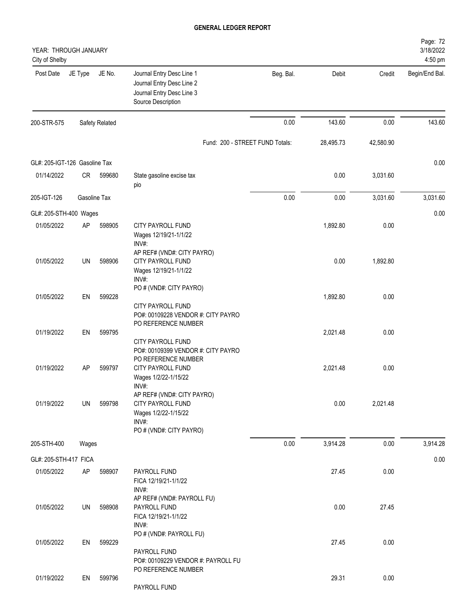| YEAR: THROUGH JANUARY<br>City of Shelby |              |                |                                                                                                              |           |           |           | Page: 72<br>3/18/2022<br>4:50 pm |
|-----------------------------------------|--------------|----------------|--------------------------------------------------------------------------------------------------------------|-----------|-----------|-----------|----------------------------------|
| Post Date                               | JE Type      | JE No.         | Journal Entry Desc Line 1<br>Journal Entry Desc Line 2<br>Journal Entry Desc Line 3<br>Source Description    | Beg. Bal. | Debit     | Credit    | Begin/End Bal.                   |
| 200-STR-575                             |              | Safety Related |                                                                                                              | 0.00      | 143.60    | 0.00      | 143.60                           |
|                                         |              |                | Fund: 200 - STREET FUND Totals:                                                                              |           | 28,495.73 | 42,580.90 |                                  |
| GL#: 205-IGT-126 Gasoline Tax           |              |                |                                                                                                              |           |           |           | 0.00                             |
| 01/14/2022                              | CR           | 599680         | State gasoline excise tax<br>pio                                                                             |           | 0.00      | 3,031.60  |                                  |
| 205-IGT-126                             | Gasoline Tax |                |                                                                                                              | 0.00      | 0.00      | 3,031.60  | 3,031.60                         |
| GL#: 205-STH-400 Wages                  |              |                |                                                                                                              |           |           |           | 0.00                             |
| 01/05/2022                              | AP           | 598905         | CITY PAYROLL FUND<br>Wages 12/19/21-1/1/22<br>INV#:                                                          |           | 1,892.80  | 0.00      |                                  |
| 01/05/2022                              | UN           | 598906         | AP REF# (VND#: CITY PAYRO)<br>CITY PAYROLL FUND<br>Wages 12/19/21-1/1/22<br>INV#:<br>PO # (VND#: CITY PAYRO) |           | 0.00      | 1,892.80  |                                  |
| 01/05/2022                              | EN           | 599228         | CITY PAYROLL FUND<br>PO#: 00109228 VENDOR #: CITY PAYRO<br>PO REFERENCE NUMBER                               |           | 1,892.80  | 0.00      |                                  |
| 01/19/2022                              | EN           | 599795         | CITY PAYROLL FUND<br>PO#: 00109399 VENDOR #: CITY PAYRO<br>PO REFERENCE NUMBER                               |           | 2,021.48  | 0.00      |                                  |
| 01/19/2022                              | AP           | 599797         | CITY PAYROLL FUND<br>Wages 1/2/22-1/15/22<br>INV#:<br>AP REF# (VND#: CITY PAYRO)                             |           | 2,021.48  | 0.00      |                                  |
| 01/19/2022                              | UN           | 599798         | CITY PAYROLL FUND<br>Wages 1/2/22-1/15/22<br>INV#:<br>PO # (VND#: CITY PAYRO)                                |           | 0.00      | 2,021.48  |                                  |
| 205-STH-400                             | Wages        |                |                                                                                                              | 0.00      | 3,914.28  | 0.00      | 3,914.28                         |
| GL#: 205-STH-417 FICA                   |              |                |                                                                                                              |           |           |           | 0.00                             |
| 01/05/2022                              | AP           | 598907         | PAYROLL FUND<br>FICA 12/19/21-1/1/22<br>INV#:                                                                |           | 27.45     | 0.00      |                                  |
| 01/05/2022                              | UN           | 598908         | AP REF# (VND#: PAYROLL FU)<br>PAYROLL FUND<br>FICA 12/19/21-1/1/22<br>INV#:                                  |           | 0.00      | 27.45     |                                  |
| 01/05/2022                              | EN           | 599229         | PO # (VND#: PAYROLL FU)<br>PAYROLL FUND<br>PO#: 00109229 VENDOR #: PAYROLL FU                                |           | 27.45     | 0.00      |                                  |
| 01/19/2022                              | EN           | 599796         | PO REFERENCE NUMBER<br>PAYROLL FUND                                                                          |           | 29.31     | 0.00      |                                  |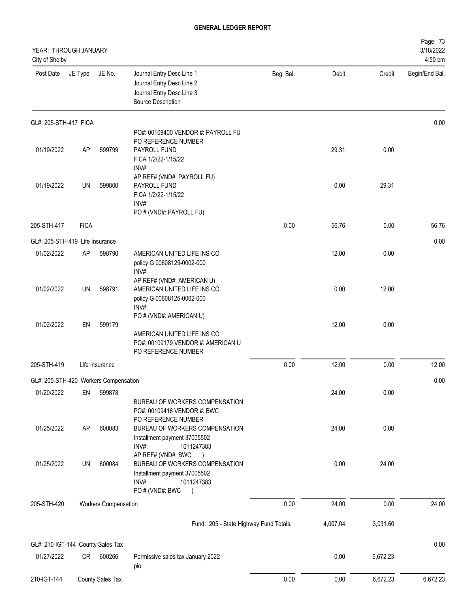| YEAR: THROUGH JANUARY<br>City of Shelby |             |                             |                                                                                                                                             |           |          |          | Page: 73<br>3/18/2022<br>4:50 pm |
|-----------------------------------------|-------------|-----------------------------|---------------------------------------------------------------------------------------------------------------------------------------------|-----------|----------|----------|----------------------------------|
| Post Date                               | JE Type     | JE No.                      | Journal Entry Desc Line 1<br>Journal Entry Desc Line 2<br>Journal Entry Desc Line 3<br>Source Description                                   | Beg. Bal. | Debit    | Credit   | Begin/End Bal.                   |
| GL#: 205-STH-417 FICA                   |             |                             |                                                                                                                                             |           |          |          | 0.00                             |
| 01/19/2022                              | <b>AP</b>   | 599799                      | PO#: 00109400 VENDOR #: PAYROLL FU<br>PO REFERENCE NUMBER<br>PAYROLL FUND<br>FICA 1/2/22-1/15/22<br>INV#:                                   |           | 29.31    | 0.00     |                                  |
| 01/19/2022                              | UN          | 599800                      | AP REF# (VND#: PAYROLL FU)<br>PAYROLL FUND<br>FICA 1/2/22-1/15/22<br>INV#:<br>PO # (VND#: PAYROLL FU)                                       |           | 0.00     | 29.31    |                                  |
| 205-STH-417                             | <b>FICA</b> |                             |                                                                                                                                             | 0.00      | 56.76    | 0.00     | 56.76                            |
| GL#: 205-STH-419 Life Insurance         |             |                             |                                                                                                                                             |           |          |          | 0.00                             |
| 01/02/2022                              | AP          | 598790                      | AMERICAN UNITED LIFE INS CO<br>policy G 00608125-0002-000<br>INV#:                                                                          |           | 12.00    | 0.00     |                                  |
| 01/02/2022                              | UN          | 598791                      | AP REF# (VND#: AMERICAN U)<br>AMERICAN UNITED LIFE INS CO<br>policy G 00608125-0002-000<br>INV#:                                            |           | 0.00     | 12.00    |                                  |
| 01/02/2022                              | EN          | 599179                      | PO # (VND#: AMERICAN U)<br>AMERICAN UNITED LIFE INS CO<br>PO#: 00109179 VENDOR #: AMERICAN U<br>PO REFERENCE NUMBER                         |           | 12.00    | 0.00     |                                  |
| 205-STH-419                             |             | Life Insurance              |                                                                                                                                             | 0.00      | 12.00    | 0.00     | 12.00                            |
| GL#: 205-STH-420 Workers Compensation   |             |                             |                                                                                                                                             |           |          |          | 0.00                             |
| 01/20/2022                              | EN          | 599878                      | BUREAU OF WORKERS COMPENSATION<br>PO#: 00109416 VENDOR #: BWC                                                                               |           | 24.00    | 0.00     |                                  |
| 01/25/2022                              | AP          | 600083                      | PO REFERENCE NUMBER<br>BUREAU OF WORKERS COMPENSATION<br>Installment payment 37005502<br>INV#:<br>1011247383                                |           | 24.00    | 0.00     |                                  |
| 01/25/2022                              | UN          | 600084                      | AP REF# (VND#: BWC<br>BUREAU OF WORKERS COMPENSATION<br>Installment payment 37005502<br>INV#:<br>1011247383<br>PO # (VND#: BWC<br>$\lambda$ |           | 0.00     | 24.00    |                                  |
| 205-STH-420                             |             | <b>Workers Compensation</b> |                                                                                                                                             | 0.00      | 24.00    | 0.00     | 24.00                            |
|                                         |             |                             | Fund: 205 - State Highway Fund Totals:                                                                                                      |           | 4,007.04 | 3,031.60 |                                  |
| GL#: 210-IGT-144 County Sales Tax       |             |                             |                                                                                                                                             |           |          |          | 0.00                             |
| 01/27/2022                              | CR          | 600266                      | Permissive sales tax January 2022<br>pio                                                                                                    |           | 0.00     | 6,672.23 |                                  |
| 210-IGT-144                             |             | County Sales Tax            |                                                                                                                                             | 0.00      | 0.00     | 6,672.23 | 6,672.23                         |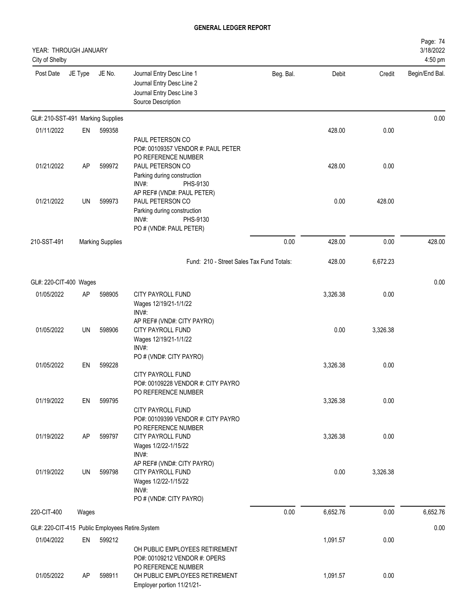| YEAR: THROUGH JANUARY<br>City of Shelby         |           |                         |                                                                                                                                                       |           |          |          | Page: 74<br>3/18/2022<br>4:50 pm |
|-------------------------------------------------|-----------|-------------------------|-------------------------------------------------------------------------------------------------------------------------------------------------------|-----------|----------|----------|----------------------------------|
| Post Date                                       | JE Type   | JE No.                  | Journal Entry Desc Line 1<br>Journal Entry Desc Line 2<br>Journal Entry Desc Line 3<br>Source Description                                             | Beg. Bal. | Debit    | Credit   | Begin/End Bal.                   |
| GL#: 210-SST-491 Marking Supplies               |           |                         |                                                                                                                                                       |           |          |          | 0.00                             |
| 01/11/2022                                      | EN        | 599358                  |                                                                                                                                                       |           | 428.00   | 0.00     |                                  |
| 01/21/2022                                      | <b>AP</b> | 599972                  | PAUL PETERSON CO<br>PO#: 00109357 VENDOR #: PAUL PETER<br>PO REFERENCE NUMBER<br>PAUL PETERSON CO<br>Parking during construction<br>INV#:<br>PHS-9130 |           | 428.00   | 0.00     |                                  |
| 01/21/2022                                      | UN        | 599973                  | AP REF# (VND#: PAUL PETER)<br>PAUL PETERSON CO<br>Parking during construction<br>INV#:<br>PHS-9130<br>PO # (VND#: PAUL PETER)                         |           | 0.00     | 428.00   |                                  |
| 210-SST-491                                     |           | <b>Marking Supplies</b> |                                                                                                                                                       | 0.00      | 428.00   | 0.00     | 428.00                           |
|                                                 |           |                         | Fund: 210 - Street Sales Tax Fund Totals:                                                                                                             |           | 428.00   | 6,672.23 |                                  |
| GL#: 220-CIT-400 Wages                          |           |                         |                                                                                                                                                       |           |          |          | 0.00                             |
| 01/05/2022                                      | AP        | 598905                  | CITY PAYROLL FUND<br>Wages 12/19/21-1/1/22<br>INV#:                                                                                                   |           | 3,326.38 | 0.00     |                                  |
| 01/05/2022                                      | UN        | 598906                  | AP REF# (VND#: CITY PAYRO)<br><b>CITY PAYROLL FUND</b><br>Wages 12/19/21-1/1/22<br>INV#:                                                              |           | 0.00     | 3,326.38 |                                  |
| 01/05/2022                                      | EN        | 599228                  | PO # (VND#: CITY PAYRO)                                                                                                                               |           | 3,326.38 | 0.00     |                                  |
|                                                 |           |                         | <b>CITY PAYROLL FUND</b><br>PO#: 00109228 VENDOR #: CITY PAYRO<br>PO REFERENCE NUMBER                                                                 |           |          |          |                                  |
| 01/19/2022                                      | EN        | 599795                  |                                                                                                                                                       |           | 3,326.38 | 0.00     |                                  |
|                                                 |           |                         | CITY PAYROLL FUND<br>PO#: 00109399 VENDOR #: CITY PAYRO<br>PO REFERENCE NUMBER                                                                        |           |          |          |                                  |
| 01/19/2022                                      | AP        | 599797                  | CITY PAYROLL FUND<br>Wages 1/2/22-1/15/22<br>INV#:                                                                                                    |           | 3,326.38 | 0.00     |                                  |
| 01/19/2022                                      | UN        | 599798                  | AP REF# (VND#: CITY PAYRO)<br>CITY PAYROLL FUND<br>Wages 1/2/22-1/15/22<br>INV#:<br>PO # (VND#: CITY PAYRO)                                           |           | 0.00     | 3,326.38 |                                  |
| 220-CIT-400                                     | Wages     |                         |                                                                                                                                                       | 0.00      | 6,652.76 | 0.00     | 6,652.76                         |
| GL#: 220-CIT-415 Public Employees Retire.System |           |                         |                                                                                                                                                       |           |          |          | 0.00                             |
| 01/04/2022                                      | EN        | 599212                  |                                                                                                                                                       |           | 1,091.57 | 0.00     |                                  |
|                                                 |           |                         | OH PUBLIC EMPLOYEES RETIREMENT<br>PO#: 00109212 VENDOR #: OPERS<br>PO REFERENCE NUMBER                                                                |           |          |          |                                  |
| 01/05/2022                                      | <b>AP</b> | 598911                  | OH PUBLIC EMPLOYEES RETIREMENT<br>Employer portion 11/21/21-                                                                                          |           | 1,091.57 | 0.00     |                                  |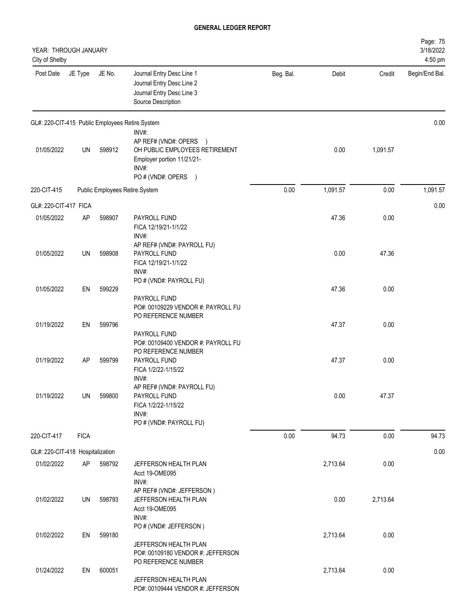| YEAR: THROUGH JANUARY<br>City of Shelby |             |        |                                                                                                                                                |           |          |          | Page: 75<br>3/18/2022<br>4:50 pm |
|-----------------------------------------|-------------|--------|------------------------------------------------------------------------------------------------------------------------------------------------|-----------|----------|----------|----------------------------------|
| Post Date                               | JE Type     | JE No. | Journal Entry Desc Line 1<br>Journal Entry Desc Line 2<br>Journal Entry Desc Line 3<br>Source Description                                      | Beg. Bal. | Debit    | Credit   | Begin/End Bal.                   |
|                                         |             |        | GL#: 220-CIT-415 Public Employees Retire.System                                                                                                |           |          |          | 0.00                             |
| 01/05/2022                              | UN          | 598912 | INV#:<br>AP REF# (VND#: OPERS<br>$\rightarrow$<br>OH PUBLIC EMPLOYEES RETIREMENT<br>Employer portion 11/21/21-<br>INV#:<br>PO # (VND#: OPERS ) |           | 0.00     | 1,091.57 |                                  |
| 220-CIT-415                             |             |        | Public Employees Retire.System                                                                                                                 | 0.00      | 1,091.57 | 0.00     | 1,091.57                         |
| GL#: 220-CIT-417 FICA                   |             |        |                                                                                                                                                |           |          |          | 0.00                             |
| 01/05/2022                              | AP          | 598907 | PAYROLL FUND<br>FICA 12/19/21-1/1/22<br>INV#:                                                                                                  |           | 47.36    | 0.00     |                                  |
| 01/05/2022                              | UN          | 598908 | AP REF# (VND#: PAYROLL FU)<br>PAYROLL FUND<br>FICA 12/19/21-1/1/22<br>INV#:                                                                    |           | 0.00     | 47.36    |                                  |
| 01/05/2022                              | EN          | 599229 | PO # (VND#: PAYROLL FU)<br>PAYROLL FUND<br>PO#: 00109229 VENDOR #: PAYROLL FU                                                                  |           | 47.36    | 0.00     |                                  |
| 01/19/2022                              | EN          | 599796 | PO REFERENCE NUMBER<br>PAYROLL FUND                                                                                                            |           | 47.37    | 0.00     |                                  |
| 01/19/2022                              | AP          | 599799 | PO#: 00109400 VENDOR #: PAYROLL FU<br>PO REFERENCE NUMBER<br>PAYROLL FUND<br>FICA 1/2/22-1/15/22<br>INV#:                                      |           | 47.37    | 0.00     |                                  |
| 01/19/2022                              | UN          | 599800 | AP REF# (VND#: PAYROLL FU)<br>PAYROLL FUND<br>FICA 1/2/22-1/15/22<br>INV#:<br>PO # (VND#: PAYROLL FU)                                          |           | 0.00     | 47.37    |                                  |
| 220-CIT-417                             | <b>FICA</b> |        |                                                                                                                                                | 0.00      | 94.73    | 0.00     | 94.73                            |
| GL#: 220-CIT-418 Hospitalization        |             |        |                                                                                                                                                |           |          |          | 0.00                             |
| 01/02/2022                              | AP          | 598792 | JEFFERSON HEALTH PLAN<br>Acct 19-OME095<br>INV#:                                                                                               |           | 2,713.64 | 0.00     |                                  |
| 01/02/2022                              | UN          | 598793 | AP REF# (VND#: JEFFERSON)<br>JEFFERSON HEALTH PLAN<br>Acct 19-OME095<br>INV#:                                                                  |           | 0.00     | 2,713.64 |                                  |
| 01/02/2022                              | EN          | 599180 | PO # (VND#: JEFFERSON)<br>JEFFERSON HEALTH PLAN                                                                                                |           | 2,713.64 | 0.00     |                                  |
| 01/24/2022                              | EN          | 600051 | PO#: 00109180 VENDOR #: JEFFERSON<br>PO REFERENCE NUMBER<br>JEFFERSON HEALTH PLAN<br>PO#: 00109444 VENDOR #: JEFFERSON                         |           | 2,713.64 | 0.00     |                                  |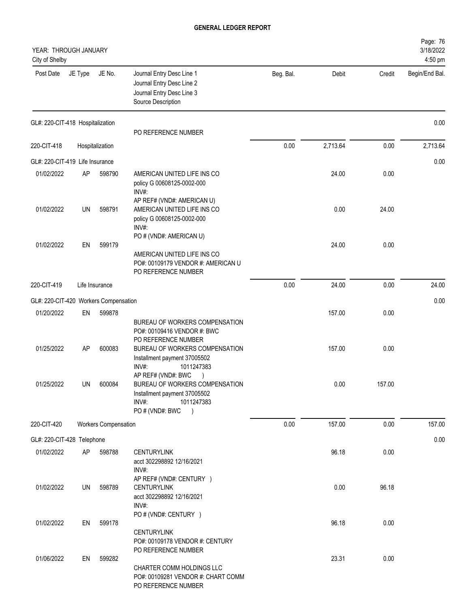| YEAR: THROUGH JANUARY<br>City of Shelby |         |                             |                                                                                                                                                                               |           |          |        | Page: 76<br>3/18/2022<br>4:50 pm |
|-----------------------------------------|---------|-----------------------------|-------------------------------------------------------------------------------------------------------------------------------------------------------------------------------|-----------|----------|--------|----------------------------------|
| Post Date                               | JE Type | JE No.                      | Journal Entry Desc Line 1<br>Journal Entry Desc Line 2<br>Journal Entry Desc Line 3<br>Source Description                                                                     | Beg. Bal. | Debit    | Credit | Begin/End Bal.                   |
| GL#: 220-CIT-418 Hospitalization        |         |                             | PO REFERENCE NUMBER                                                                                                                                                           |           |          |        | 0.00                             |
| 220-CIT-418                             |         | Hospitalization             |                                                                                                                                                                               | 0.00      | 2,713.64 | 0.00   | 2,713.64                         |
| GL#: 220-CIT-419 Life Insurance         |         |                             |                                                                                                                                                                               |           |          |        | 0.00                             |
| 01/02/2022                              | AP      | 598790                      | AMERICAN UNITED LIFE INS CO<br>policy G 00608125-0002-000<br>INV#:                                                                                                            |           | 24.00    | 0.00   |                                  |
| 01/02/2022                              | UN      | 598791                      | AP REF# (VND#: AMERICAN U)<br>AMERICAN UNITED LIFE INS CO<br>policy G 00608125-0002-000<br>INV#:                                                                              |           | 0.00     | 24.00  |                                  |
| 01/02/2022                              | EN      | 599179                      | PO # (VND#: AMERICAN U)<br>AMERICAN UNITED LIFE INS CO<br>PO#: 00109179 VENDOR #: AMERICAN U<br>PO REFERENCE NUMBER                                                           |           | 24.00    | 0.00   |                                  |
| 220-CIT-419                             |         | Life Insurance              |                                                                                                                                                                               | 0.00      | 24.00    | 0.00   | 24.00                            |
| GL#: 220-CIT-420 Workers Compensation   |         |                             |                                                                                                                                                                               |           |          |        | 0.00                             |
| 01/20/2022                              | EN      | 599878                      |                                                                                                                                                                               |           | 157.00   | 0.00   |                                  |
| 01/25/2022                              | AP      | 600083                      | BUREAU OF WORKERS COMPENSATION<br>PO#: 00109416 VENDOR #: BWC<br>PO REFERENCE NUMBER<br>BUREAU OF WORKERS COMPENSATION<br>Installment payment 37005502<br>INV#:<br>1011247383 |           | 157.00   | 0.00   |                                  |
| 01/25/2022                              | UN      | 600084                      | AP REF# (VND#: BWC<br>BUREAU OF WORKERS COMPENSATION<br>Installment payment 37005502<br>INV#:<br>1011247383<br>PO # (VND#: BWC<br>$\lambda$                                   |           | 0.00     | 157.00 |                                  |
| 220-CIT-420                             |         | <b>Workers Compensation</b> |                                                                                                                                                                               | 0.00      | 157.00   | 0.00   | 157.00                           |
| GL#: 220-CIT-428 Telephone              |         |                             |                                                                                                                                                                               |           |          |        | 0.00                             |
| 01/02/2022                              | AP      | 598788                      | <b>CENTURYLINK</b><br>acct 302298892 12/16/2021<br>INV#:                                                                                                                      |           | 96.18    | 0.00   |                                  |
| 01/02/2022                              | UN      | 598789                      | AP REF# (VND#: CENTURY )<br><b>CENTURYLINK</b><br>acct 302298892 12/16/2021<br>INV#:<br>PO # (VND#: CENTURY )                                                                 |           | 0.00     | 96.18  |                                  |
| 01/02/2022                              | EN      | 599178                      | <b>CENTURYLINK</b>                                                                                                                                                            |           | 96.18    | 0.00   |                                  |
| 01/06/2022                              | EN      | 599282                      | PO#: 00109178 VENDOR #: CENTURY<br>PO REFERENCE NUMBER<br>CHARTER COMM HOLDINGS LLC<br>PO#: 00109281 VENDOR #: CHART COMM<br>PO REFERENCE NUMBER                              |           | 23.31    | 0.00   |                                  |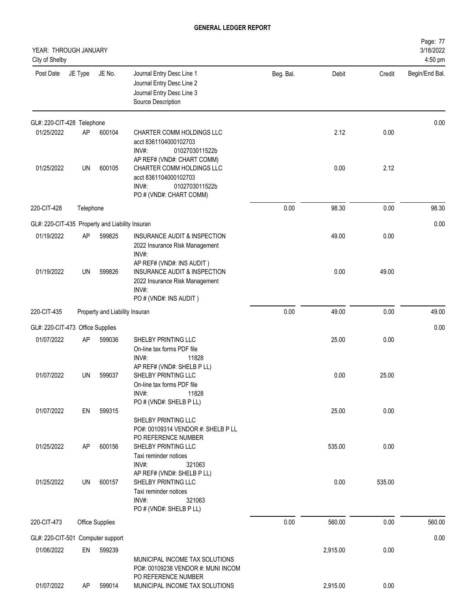| YEAR: THROUGH JANUARY<br>City of Shelby         |           |                                |                                                                                                                                |           |          |        | Page: 77<br>3/18/2022<br>4:50 pm |
|-------------------------------------------------|-----------|--------------------------------|--------------------------------------------------------------------------------------------------------------------------------|-----------|----------|--------|----------------------------------|
| Post Date                                       | JE Type   | JE No.                         | Journal Entry Desc Line 1<br>Journal Entry Desc Line 2<br>Journal Entry Desc Line 3<br>Source Description                      | Beg. Bal. | Debit    | Credit | Begin/End Bal.                   |
| GL#: 220-CIT-428 Telephone                      |           |                                |                                                                                                                                |           |          |        | 0.00                             |
| 01/25/2022                                      | AP        | 600104                         | CHARTER COMM HOLDINGS LLC<br>acct 8361104000102703<br>INV#:<br>0102703011522b<br>AP REF# (VND#: CHART COMM)                    |           | 2.12     | 0.00   |                                  |
| 01/25/2022                                      | UN        | 600105                         | CHARTER COMM HOLDINGS LLC<br>acct 8361104000102703<br>INV#:<br>0102703011522b<br>PO # (VND#: CHART COMM)                       |           | 0.00     | 2.12   |                                  |
| 220-CIT-428                                     | Telephone |                                |                                                                                                                                | 0.00      | 98.30    | 0.00   | 98.30                            |
| GL#: 220-CIT-435 Property and Liability Insuran |           |                                |                                                                                                                                |           |          |        | 0.00                             |
| 01/19/2022                                      | AP        | 599825                         | INSURANCE AUDIT & INSPECTION<br>2022 Insurance Risk Management<br>INV#:                                                        |           | 49.00    | 0.00   |                                  |
| 01/19/2022                                      | UN        | 599826                         | AP REF# (VND#: INS AUDIT)<br>INSURANCE AUDIT & INSPECTION<br>2022 Insurance Risk Management<br>INV#:<br>PO # (VND#: INS AUDIT) |           | 0.00     | 49.00  |                                  |
| 220-CIT-435                                     |           | Property and Liability Insuran |                                                                                                                                | 0.00      | 49.00    | 0.00   | 49.00                            |
| GL#: 220-CIT-473 Office Supplies                |           |                                |                                                                                                                                |           |          |        | 0.00                             |
| 01/07/2022                                      | AP        | 599036                         | SHELBY PRINTING LLC<br>On-line tax forms PDF file<br>INV#:<br>11828                                                            |           | 25.00    | 0.00   |                                  |
| 01/07/2022                                      | UN        | 599037                         | AP REF# (VND#: SHELB P LL)<br><b>SHELBY PRINTING LLC</b><br>On-line tax forms PDF file<br>INV#:<br>11828                       |           | 0.00     | 25.00  |                                  |
| 01/07/2022                                      | EN        | 599315                         | PO # (VND#: SHELB P LL)<br>SHELBY PRINTING LLC<br>PO#: 00109314 VENDOR #: SHELB P LL<br>PO REFERENCE NUMBER                    |           | 25.00    | 0.00   |                                  |
| 01/25/2022                                      | AP        | 600156                         | SHELBY PRINTING LLC<br>Taxi reminder notices<br>INV#:<br>321063<br>AP REF# (VND#: SHELB P LL)                                  |           | 535.00   | 0.00   |                                  |
| 01/25/2022                                      | UN        | 600157                         | SHELBY PRINTING LLC<br>Taxi reminder notices<br>INV#:<br>321063<br>PO # (VND#: SHELB P LL)                                     |           | 0.00     | 535.00 |                                  |
| 220-CIT-473                                     |           | <b>Office Supplies</b>         |                                                                                                                                | 0.00      | 560.00   | 0.00   | 560.00                           |
| GL#: 220-CIT-501 Computer support               |           |                                |                                                                                                                                |           |          |        | 0.00                             |
| 01/06/2022                                      | EN        | 599239                         | MUNICIPAL INCOME TAX SOLUTIONS<br>PO#: 00109238 VENDOR #: MUNI INCOM<br>PO REFERENCE NUMBER                                    |           | 2,915.00 | 0.00   |                                  |
| 01/07/2022                                      | AP        | 599014                         | MUNICIPAL INCOME TAX SOLUTIONS                                                                                                 |           | 2,915.00 | 0.00   |                                  |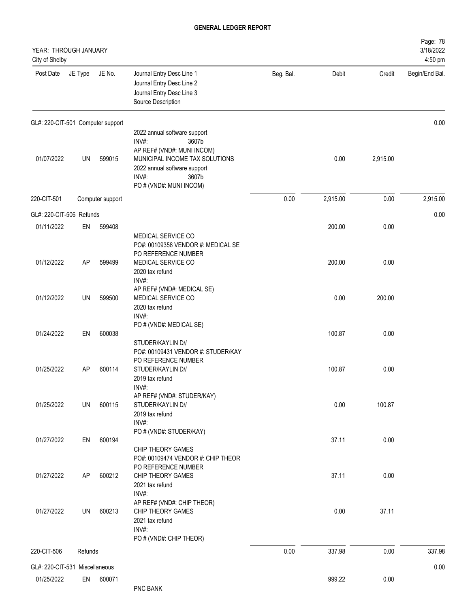| YEAR: THROUGH JANUARY<br>City of Shelby |           |                  |                                                                                                                                                                                             |           |          |          | Page: 78<br>3/18/2022<br>4:50 pm |
|-----------------------------------------|-----------|------------------|---------------------------------------------------------------------------------------------------------------------------------------------------------------------------------------------|-----------|----------|----------|----------------------------------|
| Post Date                               | JE Type   | JE No.           | Journal Entry Desc Line 1<br>Journal Entry Desc Line 2<br>Journal Entry Desc Line 3<br>Source Description                                                                                   | Beg. Bal. | Debit    | Credit   | Begin/End Bal.                   |
| GL#: 220-CIT-501 Computer support       |           |                  |                                                                                                                                                                                             |           |          |          | 0.00                             |
| 01/07/2022                              | UN        | 599015           | 2022 annual software support<br>INV#:<br>3607b<br>AP REF# (VND#: MUNI INCOM)<br>MUNICIPAL INCOME TAX SOLUTIONS<br>2022 annual software support<br>INV#:<br>3607b<br>PO # (VND#: MUNI INCOM) |           | 0.00     | 2,915.00 |                                  |
| 220-CIT-501                             |           | Computer support |                                                                                                                                                                                             | $0.00\,$  | 2,915.00 | 0.00     | 2,915.00                         |
| GL#: 220-CIT-506 Refunds                |           |                  |                                                                                                                                                                                             |           |          |          | 0.00                             |
| 01/11/2022                              | EN        | 599408           | MEDICAL SERVICE CO<br>PO#: 00109358 VENDOR #: MEDICAL SE<br>PO REFERENCE NUMBER                                                                                                             |           | 200.00   | 0.00     |                                  |
| 01/12/2022                              | AP        | 599499           | MEDICAL SERVICE CO<br>2020 tax refund<br>INV#:                                                                                                                                              |           | 200.00   | 0.00     |                                  |
| 01/12/2022                              | <b>UN</b> | 599500           | AP REF# (VND#: MEDICAL SE)<br>MEDICAL SERVICE CO<br>2020 tax refund<br>INV#:                                                                                                                |           | 0.00     | 200.00   |                                  |
| 01/24/2022                              | EN        | 600038           | PO # (VND#: MEDICAL SE)<br>STUDER/KAYLIN D//<br>PO#: 00109431 VENDOR #: STUDER/KAY                                                                                                          |           | 100.87   | 0.00     |                                  |
| 01/25/2022                              | AP        | 600114           | PO REFERENCE NUMBER<br>STUDER/KAYLIN D//<br>2019 tax refund<br>INV#:                                                                                                                        |           | 100.87   | 0.00     |                                  |
| 01/25/2022                              | UN        | 600115           | AP REF# (VND#: STUDER/KAY)<br>STUDER/KAYLIN D//<br>2019 tax refund<br>INV#:                                                                                                                 |           | 0.00     | 100.87   |                                  |
| 01/27/2022                              | EN        | 600194           | PO # (VND#: STUDER/KAY)<br>CHIP THEORY GAMES<br>PO#: 00109474 VENDOR #: CHIP THEOR                                                                                                          |           | 37.11    | 0.00     |                                  |
| 01/27/2022                              | AP        | 600212           | PO REFERENCE NUMBER<br>CHIP THEORY GAMES<br>2021 tax refund<br>INV#:                                                                                                                        |           | 37.11    | 0.00     |                                  |
| 01/27/2022                              | UN        | 600213           | AP REF# (VND#: CHIP THEOR)<br>CHIP THEORY GAMES<br>2021 tax refund<br>INV#:<br>PO # (VND#: CHIP THEOR)                                                                                      |           | 0.00     | 37.11    |                                  |
| 220-CIT-506                             | Refunds   |                  |                                                                                                                                                                                             | 0.00      | 337.98   | 0.00     | 337.98                           |
| GL#: 220-CIT-531 Miscellaneous          |           |                  |                                                                                                                                                                                             |           |          |          | 0.00                             |
| 01/25/2022                              | EN        | 600071           | PNC BANK                                                                                                                                                                                    |           | 999.22   | 0.00     |                                  |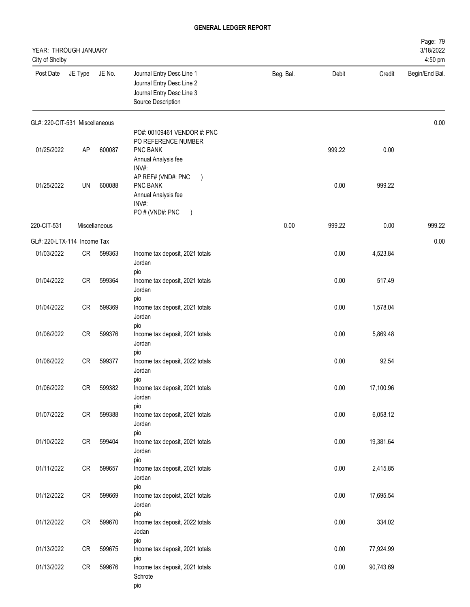| YEAR: THROUGH JANUARY<br>City of Shelby |            |               |                                                                                                                           |           |        |           | Page: 79<br>3/18/2022<br>4:50 pm |
|-----------------------------------------|------------|---------------|---------------------------------------------------------------------------------------------------------------------------|-----------|--------|-----------|----------------------------------|
| Post Date                               | JE Type    | JE No.        | Journal Entry Desc Line 1<br>Journal Entry Desc Line 2<br>Journal Entry Desc Line 3<br>Source Description                 | Beg. Bal. | Debit  | Credit    | Begin/End Bal.                   |
| GL#: 220-CIT-531 Miscellaneous          |            |               |                                                                                                                           |           |        |           | 0.00                             |
| 01/25/2022                              | AP         | 600087        | PO#: 00109461 VENDOR #: PNC<br>PO REFERENCE NUMBER<br>PNC BANK<br>Annual Analysis fee                                     |           | 999.22 | 0.00      |                                  |
| 01/25/2022                              | UN         | 600088        | INV#:<br>AP REF# (VND#: PNC<br>$\big)$<br>PNC BANK<br>Annual Analysis fee<br>INV#:<br>PO # (VND#: PNC<br>$\left( \right)$ |           | 0.00   | 999.22    |                                  |
| 220-CIT-531                             |            | Miscellaneous |                                                                                                                           | 0.00      | 999.22 | 0.00      | 999.22                           |
| GL#: 220-LTX-114 Income Tax             |            |               |                                                                                                                           |           |        |           | 0.00                             |
| 01/03/2022                              | CR         | 599363        | Income tax deposit, 2021 totals<br>Jordan<br>pio                                                                          |           | 0.00   | 4,523.84  |                                  |
| 01/04/2022                              | CR         | 599364        | Income tax deposit, 2021 totals<br>Jordan                                                                                 |           | 0.00   | 517.49    |                                  |
| 01/04/2022                              | ${\sf CR}$ | 599369        | pio<br>Income tax deposit, 2021 totals<br>Jordan                                                                          |           | 0.00   | 1,578.04  |                                  |
| 01/06/2022                              | ${\sf CR}$ | 599376        | pio<br>Income tax deposit, 2021 totals<br>Jordan                                                                          |           | 0.00   | 5,869.48  |                                  |
| 01/06/2022                              | <b>CR</b>  | 599377        | pio<br>Income tax deposit, 2022 totals<br>Jordan                                                                          |           | 0.00   | 92.54     |                                  |
| 01/06/2022                              | CR         | 599382        | pio<br>Income tax deposit, 2021 totals<br>Jordan                                                                          |           | 0.00   | 17,100.96 |                                  |
| 01/07/2022                              | CR         | 599388        | pio<br>Income tax deposit, 2021 totals<br>Jordan                                                                          |           | 0.00   | 6,058.12  |                                  |
| 01/10/2022                              | CR         | 599404        | pio<br>Income tax deposit, 2021 totals<br>Jordan                                                                          |           | 0.00   | 19,381.64 |                                  |
| 01/11/2022                              | CR         | 599657        | pio<br>Income tax deposit, 2021 totals<br>Jordan                                                                          |           | 0.00   | 2,415.85  |                                  |
| 01/12/2022                              | CR         | 599669        | pio<br>Income tax depoist, 2021 totals<br>Jordan                                                                          |           | 0.00   | 17,695.54 |                                  |
| 01/12/2022                              | CR         | 599670        | pio<br>Income tax deposit, 2022 totals<br>Jodan                                                                           |           | 0.00   | 334.02    |                                  |
| 01/13/2022                              | CR         | 599675        | pio<br>Income tax deposit, 2021 totals                                                                                    |           | 0.00   | 77,924.99 |                                  |
| 01/13/2022                              | CR         | 599676        | pio<br>Income tax deposit, 2021 totals<br>Schrote<br>pio                                                                  |           | 0.00   | 90,743.69 |                                  |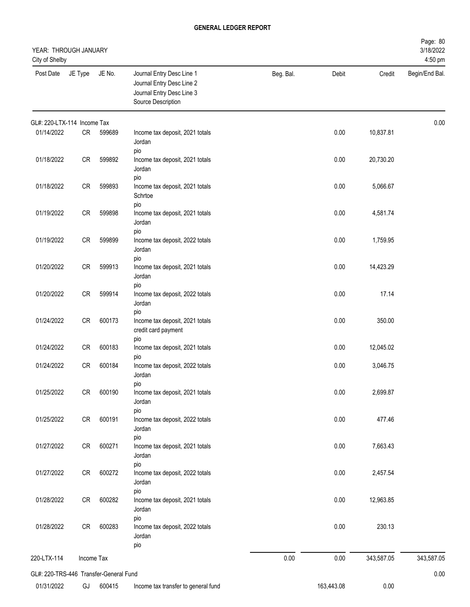| YEAR: THROUGH JANUARY<br>City of Shelby |            |        |                                                                                                           |           |            |            | Page: 80<br>3/18/2022<br>4:50 pm |
|-----------------------------------------|------------|--------|-----------------------------------------------------------------------------------------------------------|-----------|------------|------------|----------------------------------|
| Post Date                               | JE Type    | JE No. | Journal Entry Desc Line 1<br>Journal Entry Desc Line 2<br>Journal Entry Desc Line 3<br>Source Description | Beg. Bal. | Debit      | Credit     | Begin/End Bal.                   |
| GL#: 220-LTX-114 Income Tax             |            |        |                                                                                                           |           |            |            | 0.00                             |
| 01/14/2022                              | CR         | 599689 | Income tax deposit, 2021 totals<br>Jordan<br>pio                                                          |           | 0.00       | 10,837.81  |                                  |
| 01/18/2022                              | CR         | 599892 | Income tax deposit, 2021 totals<br>Jordan<br>pio                                                          |           | 0.00       | 20,730.20  |                                  |
| 01/18/2022                              | CR         | 599893 | Income tax deposit, 2021 totals<br>Schrtoe                                                                |           | 0.00       | 5,066.67   |                                  |
| 01/19/2022                              | <b>CR</b>  | 599898 | pio<br>Income tax deposit, 2021 totals<br>Jordan                                                          |           | 0.00       | 4,581.74   |                                  |
| 01/19/2022                              | CR         | 599899 | pio<br>Income tax deposit, 2022 totals<br>Jordan                                                          |           | 0.00       | 1,759.95   |                                  |
| 01/20/2022                              | CR         | 599913 | pio<br>Income tax deposit, 2021 totals<br>Jordan                                                          |           | 0.00       | 14,423.29  |                                  |
| 01/20/2022                              | <b>CR</b>  | 599914 | pio<br>Income tax deposit, 2022 totals<br>Jordan                                                          |           | 0.00       | 17.14      |                                  |
| 01/24/2022                              | <b>CR</b>  | 600173 | pio<br>Income tax deposit, 2021 totals<br>credit card payment                                             |           | 0.00       | 350.00     |                                  |
| 01/24/2022                              | CR         | 600183 | pio<br>Income tax deposit, 2021 totals                                                                    |           | 0.00       | 12,045.02  |                                  |
| 01/24/2022                              | <b>CR</b>  | 600184 | pio<br>Income tax deposit, 2022 totals<br>Jordan<br>pio                                                   |           | 0.00       | 3,046.75   |                                  |
| 01/25/2022                              | CR         | 600190 | Income tax deposit, 2021 totals<br>Jordan<br>pio                                                          |           | 0.00       | 2,699.87   |                                  |
| 01/25/2022                              | CR         | 600191 | Income tax deposit, 2022 totals<br>Jordan<br>pio                                                          |           | 0.00       | 477.46     |                                  |
| 01/27/2022                              | CR         | 600271 | Income tax deposit, 2021 totals<br>Jordan<br>pio                                                          |           | 0.00       | 7,663.43   |                                  |
| 01/27/2022                              | CR         | 600272 | Income tax deposit, 2022 totals<br>Jordan<br>pio                                                          |           | 0.00       | 2,457.54   |                                  |
| 01/28/2022                              | CR         | 600282 | Income tax deposit, 2021 totals<br>Jordan                                                                 |           | 0.00       | 12,963.85  |                                  |
| 01/28/2022                              | CR         | 600283 | pio<br>Income tax deposit, 2022 totals<br>Jordan<br>pio                                                   |           | 0.00       | 230.13     |                                  |
| 220-LTX-114                             | Income Tax |        |                                                                                                           | 0.00      | 0.00       | 343,587.05 | 343,587.05                       |
| GL#: 220-TRS-446 Transfer-General Fund  |            |        |                                                                                                           |           |            |            | 0.00                             |
| 01/31/2022                              | GJ         | 600415 | Income tax transfer to general fund                                                                       |           | 163,443.08 | 0.00       |                                  |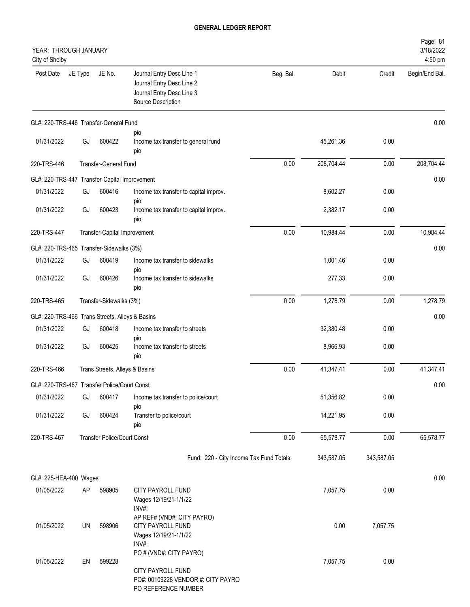| YEAR: THROUGH JANUARY<br>City of Shelby         |         |                                    |                                                                                                           |           |            |            | Page: 81<br>3/18/2022<br>4:50 pm |
|-------------------------------------------------|---------|------------------------------------|-----------------------------------------------------------------------------------------------------------|-----------|------------|------------|----------------------------------|
| Post Date                                       | JE Type | JE No.                             | Journal Entry Desc Line 1<br>Journal Entry Desc Line 2<br>Journal Entry Desc Line 3<br>Source Description | Beg. Bal. | Debit      | Credit     | Begin/End Bal.                   |
| GL#: 220-TRS-446 Transfer-General Fund          |         |                                    |                                                                                                           |           |            |            | 0.00                             |
| 01/31/2022                                      | GJ      | 600422                             | pio<br>Income tax transfer to general fund<br>pio                                                         |           | 45,261.36  | 0.00       |                                  |
| 220-TRS-446                                     |         | <b>Transfer-General Fund</b>       |                                                                                                           | 0.00      | 208,704.44 | 0.00       | 208,704.44                       |
| GL#: 220-TRS-447 Transfer-Capital Improvement   |         |                                    |                                                                                                           |           |            |            | 0.00                             |
| 01/31/2022                                      | GJ      | 600416                             | Income tax transfer to capital improv.                                                                    |           | 8,602.27   | 0.00       |                                  |
| 01/31/2022                                      | GJ      | 600423                             | pio<br>Income tax transfer to capital improv.<br>pio                                                      |           | 2,382.17   | 0.00       |                                  |
| 220-TRS-447                                     |         | Transfer-Capital Improvement       |                                                                                                           | 0.00      | 10,984.44  | 0.00       | 10,984.44                        |
| GL#: 220-TRS-465 Transfer-Sidewalks (3%)        |         |                                    |                                                                                                           |           |            |            | 0.00                             |
| 01/31/2022                                      | GJ      | 600419                             | Income tax transfer to sidewalks                                                                          |           | 1,001.46   | 0.00       |                                  |
| 01/31/2022                                      | GJ      | 600426                             | pio<br>Income tax transfer to sidewalks<br>pio                                                            |           | 277.33     | 0.00       |                                  |
| 220-TRS-465                                     |         | Transfer-Sidewalks (3%)            |                                                                                                           | 0.00      | 1,278.79   | 0.00       | 1,278.79                         |
| GL#: 220-TRS-466 Trans Streets, Alleys & Basins |         |                                    |                                                                                                           |           |            |            | 0.00                             |
| 01/31/2022                                      | GJ      | 600418                             | Income tax transfer to streets                                                                            |           | 32,380.48  | 0.00       |                                  |
| 01/31/2022                                      | GJ      | 600425                             | pio<br>Income tax transfer to streets<br>pio                                                              |           | 8,966.93   | 0.00       |                                  |
| 220-TRS-466                                     |         | Trans Streets, Alleys & Basins     |                                                                                                           | 0.00      | 41,347.41  | 0.00       | 41,347.41                        |
| GL#: 220-TRS-467 Transfer Police/Court Const    |         |                                    |                                                                                                           |           |            |            | 0.00                             |
| 01/31/2022                                      | GJ      | 600417                             | Income tax transfer to police/court                                                                       |           | 51,356.82  | 0.00       |                                  |
| 01/31/2022                                      | GJ      | 600424                             | pio<br>Transfer to police/court<br>pio                                                                    |           | 14,221.95  | 0.00       |                                  |
| 220-TRS-467                                     |         | <b>Transfer Police/Court Const</b> |                                                                                                           | 0.00      | 65,578.77  | 0.00       | 65,578.77                        |
|                                                 |         |                                    | Fund: 220 - City Income Tax Fund Totals:                                                                  |           | 343,587.05 | 343,587.05 |                                  |
| GL#: 225-HEA-400 Wages                          |         |                                    |                                                                                                           |           |            |            | 0.00                             |
| 01/05/2022                                      | AP      | 598905                             | CITY PAYROLL FUND<br>Wages 12/19/21-1/1/22<br>INV#:                                                       |           | 7,057.75   | 0.00       |                                  |
| 01/05/2022                                      | UN      | 598906                             | AP REF# (VND#: CITY PAYRO)<br>CITY PAYROLL FUND<br>Wages 12/19/21-1/1/22<br>INV#:                         |           | 0.00       | 7,057.75   |                                  |
| 01/05/2022                                      | EN      | 599228                             | PO # (VND#: CITY PAYRO)<br>CITY PAYROLL FUND<br>PO#: 00109228 VENDOR #: CITY PAYRO<br>PO REFERENCE NUMBER |           | 7,057.75   | 0.00       |                                  |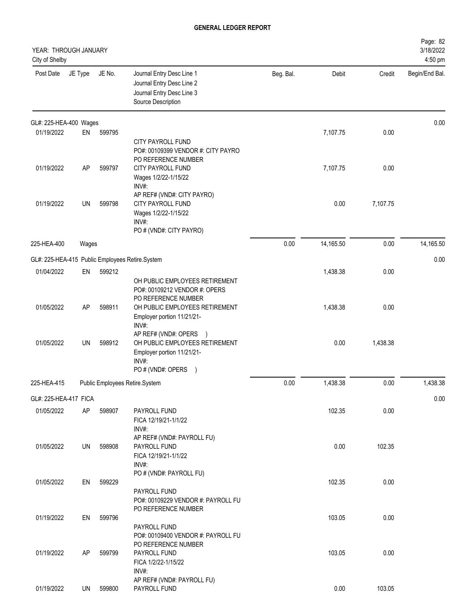| YEAR: THROUGH JANUARY<br>City of Shelby |         |        |                                                                                                                                     |           |           |          | Page: 82<br>3/18/2022<br>4:50 pm |
|-----------------------------------------|---------|--------|-------------------------------------------------------------------------------------------------------------------------------------|-----------|-----------|----------|----------------------------------|
| Post Date                               | JE Type | JE No. | Journal Entry Desc Line 1<br>Journal Entry Desc Line 2<br>Journal Entry Desc Line 3<br>Source Description                           | Beg. Bal. | Debit     | Credit   | Begin/End Bal.                   |
| GL#: 225-HEA-400 Wages                  |         |        |                                                                                                                                     |           |           |          | 0.00                             |
| 01/19/2022                              | EN      | 599795 |                                                                                                                                     |           | 7,107.75  | 0.00     |                                  |
|                                         |         |        | <b>CITY PAYROLL FUND</b><br>PO#: 00109399 VENDOR #: CITY PAYRO<br>PO REFERENCE NUMBER                                               |           |           |          |                                  |
| 01/19/2022                              | AP      | 599797 | CITY PAYROLL FUND<br>Wages 1/2/22-1/15/22<br>INV#:                                                                                  |           | 7,107.75  | 0.00     |                                  |
| 01/19/2022                              | UN      | 599798 | AP REF# (VND#: CITY PAYRO)<br><b>CITY PAYROLL FUND</b>                                                                              |           | 0.00      | 7,107.75 |                                  |
|                                         |         |        | Wages 1/2/22-1/15/22<br>INV#:<br>PO # (VND#: CITY PAYRO)                                                                            |           |           |          |                                  |
| 225-HEA-400                             | Wages   |        |                                                                                                                                     | 0.00      | 14,165.50 | 0.00     | 14,165.50                        |
|                                         |         |        | GL#: 225-HEA-415 Public Employees Retire.System                                                                                     |           |           |          | 0.00                             |
| 01/04/2022                              | EN      | 599212 |                                                                                                                                     |           | 1,438.38  | 0.00     |                                  |
|                                         |         |        | OH PUBLIC EMPLOYEES RETIREMENT<br>PO#: 00109212 VENDOR #: OPERS<br>PO REFERENCE NUMBER                                              |           |           |          |                                  |
| 01/05/2022                              | AP      | 598911 | OH PUBLIC EMPLOYEES RETIREMENT<br>Employer portion 11/21/21-<br>INV#:                                                               |           | 1,438.38  | 0.00     |                                  |
| 01/05/2022                              | UN      | 598912 | AP REF# (VND#: OPERS<br>OH PUBLIC EMPLOYEES RETIREMENT<br>Employer portion 11/21/21-<br>INV#:<br>PO # (VND#: OPERS<br>$\rightarrow$ |           | 0.00      | 1,438.38 |                                  |
| 225-HEA-415                             |         |        | Public Employees Retire.System                                                                                                      | 0.00      | 1,438.38  | 0.00     | 1,438.38                         |
| GL#: 225-HEA-417 FICA                   |         |        |                                                                                                                                     |           |           |          | 0.00                             |
| 01/05/2022                              | AP      | 598907 | PAYROLL FUND<br>FICA 12/19/21-1/1/22<br>INV#:                                                                                       |           | 102.35    | 0.00     |                                  |
| 01/05/2022                              | UN      | 598908 | AP REF# (VND#: PAYROLL FU)<br>PAYROLL FUND<br>FICA 12/19/21-1/1/22<br>INV#:                                                         |           | 0.00      | 102.35   |                                  |
| 01/05/2022                              | EN      | 599229 | PO # (VND#: PAYROLL FU)<br>PAYROLL FUND<br>PO#: 00109229 VENDOR #: PAYROLL FU                                                       |           | 102.35    | 0.00     |                                  |
|                                         |         |        | PO REFERENCE NUMBER                                                                                                                 |           |           |          |                                  |
| 01/19/2022                              | EN      | 599796 | PAYROLL FUND<br>PO#: 00109400 VENDOR #: PAYROLL FU<br>PO REFERENCE NUMBER                                                           |           | 103.05    | 0.00     |                                  |
| 01/19/2022                              | AP      | 599799 | PAYROLL FUND<br>FICA 1/2/22-1/15/22<br>INV#:                                                                                        |           | 103.05    | 0.00     |                                  |
| 01/19/2022                              | UN      | 599800 | AP REF# (VND#: PAYROLL FU)<br>PAYROLL FUND                                                                                          |           | 0.00      | 103.05   |                                  |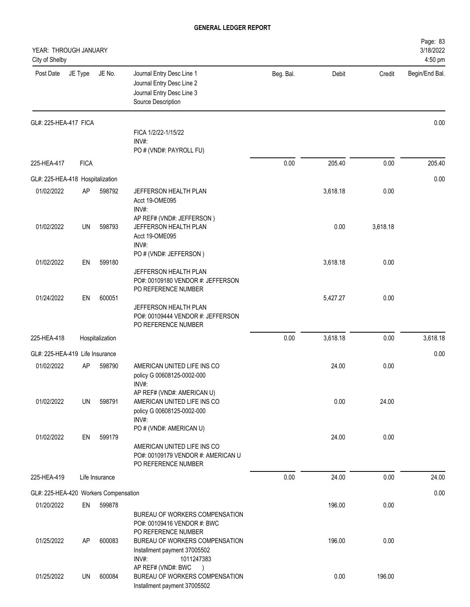| YEAR: THROUGH JANUARY<br>City of Shelby |             |                 |                                                                                                           |           |          |          | Page: 83<br>3/18/2022<br>4:50 pm |
|-----------------------------------------|-------------|-----------------|-----------------------------------------------------------------------------------------------------------|-----------|----------|----------|----------------------------------|
| Post Date                               | JE Type     | JE No.          | Journal Entry Desc Line 1<br>Journal Entry Desc Line 2<br>Journal Entry Desc Line 3<br>Source Description | Beg. Bal. | Debit    | Credit   | Begin/End Bal.                   |
| GL#: 225-HEA-417 FICA                   |             |                 |                                                                                                           |           |          |          | 0.00                             |
|                                         |             |                 | FICA 1/2/22-1/15/22<br>$INV#$ :                                                                           |           |          |          |                                  |
|                                         |             |                 | PO # (VND#: PAYROLL FU)                                                                                   |           |          |          |                                  |
| 225-HEA-417                             | <b>FICA</b> |                 |                                                                                                           | 0.00      | 205.40   | 0.00     | 205.40                           |
| GL#: 225-HEA-418 Hospitalization        |             |                 |                                                                                                           |           |          |          | 0.00                             |
| 01/02/2022                              | AP          | 598792          | JEFFERSON HEALTH PLAN                                                                                     |           | 3,618.18 | 0.00     |                                  |
|                                         |             |                 | Acct 19-OME095<br>INV#:                                                                                   |           |          |          |                                  |
|                                         |             |                 | AP REF# (VND#: JEFFERSON)                                                                                 |           |          |          |                                  |
| 01/02/2022                              | UN          | 598793          | JEFFERSON HEALTH PLAN                                                                                     |           | 0.00     | 3,618.18 |                                  |
|                                         |             |                 | Acct 19-OME095<br>INV#:                                                                                   |           |          |          |                                  |
|                                         |             |                 | PO # (VND#: JEFFERSON)                                                                                    |           |          |          |                                  |
| 01/02/2022                              | EN          | 599180          | JEFFERSON HEALTH PLAN                                                                                     |           | 3,618.18 | 0.00     |                                  |
|                                         |             |                 | PO#: 00109180 VENDOR #: JEFFERSON                                                                         |           |          |          |                                  |
| 01/24/2022                              | EN          | 600051          | PO REFERENCE NUMBER                                                                                       |           |          |          |                                  |
|                                         |             |                 | JEFFERSON HEALTH PLAN                                                                                     |           | 5,427.27 | 0.00     |                                  |
|                                         |             |                 | PO#: 00109444 VENDOR #: JEFFERSON<br>PO REFERENCE NUMBER                                                  |           |          |          |                                  |
| 225-HEA-418                             |             | Hospitalization |                                                                                                           | 0.00      | 3,618.18 | 0.00     | 3,618.18                         |
| GL#: 225-HEA-419 Life Insurance         |             |                 |                                                                                                           |           |          |          | 0.00                             |
| 01/02/2022                              | AP          | 598790          | AMERICAN UNITED LIFE INS CO                                                                               |           | 24.00    | 0.00     |                                  |
|                                         |             |                 | policy G 00608125-0002-000                                                                                |           |          |          |                                  |
|                                         |             |                 | INV#:<br>AP REF# (VND#: AMERICAN U)                                                                       |           |          |          |                                  |
| 01/02/2022                              | UN          | 598791          | AMERICAN UNITED LIFE INS CO                                                                               |           | 0.00     | 24.00    |                                  |
|                                         |             |                 | policy G 00608125-0002-000<br>INV#:                                                                       |           |          |          |                                  |
|                                         |             |                 | PO # (VND#: AMERICAN U)                                                                                   |           |          |          |                                  |
| 01/02/2022                              | EN          | 599179          |                                                                                                           |           | 24.00    | 0.00     |                                  |
|                                         |             |                 | AMERICAN UNITED LIFE INS CO<br>PO#: 00109179 VENDOR #: AMERICAN U                                         |           |          |          |                                  |
|                                         |             |                 | PO REFERENCE NUMBER                                                                                       |           |          |          |                                  |
| 225-HEA-419                             |             | Life Insurance  |                                                                                                           | 0.00      | 24.00    | 0.00     | 24.00                            |
| GL#: 225-HEA-420 Workers Compensation   |             |                 |                                                                                                           |           |          |          | 0.00                             |
| 01/20/2022                              | EN          | 599878          |                                                                                                           |           | 196.00   | 0.00     |                                  |
|                                         |             |                 | BUREAU OF WORKERS COMPENSATION                                                                            |           |          |          |                                  |
|                                         |             |                 | PO#: 00109416 VENDOR #: BWC<br>PO REFERENCE NUMBER                                                        |           |          |          |                                  |
| 01/25/2022                              | AP          | 600083          | BUREAU OF WORKERS COMPENSATION                                                                            |           | 196.00   | 0.00     |                                  |
|                                         |             |                 | Installment payment 37005502                                                                              |           |          |          |                                  |
|                                         |             |                 | INV#:<br>1011247383<br>AP REF# (VND#: BWC                                                                 |           |          |          |                                  |
| 01/25/2022                              | UN          | 600084          | BUREAU OF WORKERS COMPENSATION<br>Installment payment 37005502                                            |           | 0.00     | 196.00   |                                  |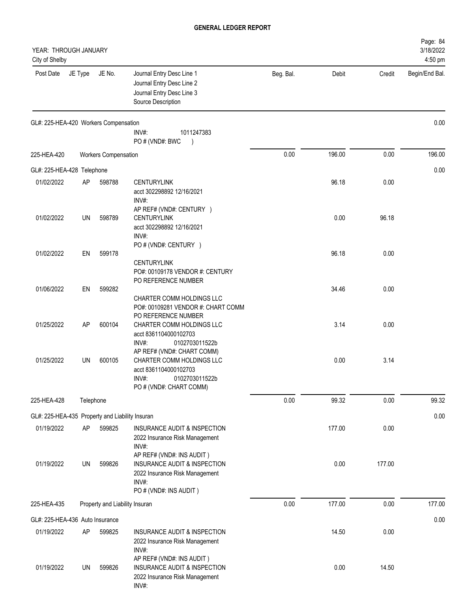| YEAR: THROUGH JANUARY<br>City of Shelby         |           |                                |                                                                                                                                        |           |        |        | Page: 84<br>3/18/2022<br>4:50 pm |
|-------------------------------------------------|-----------|--------------------------------|----------------------------------------------------------------------------------------------------------------------------------------|-----------|--------|--------|----------------------------------|
| Post Date                                       | JE Type   | JE No.                         | Journal Entry Desc Line 1<br>Journal Entry Desc Line 2<br>Journal Entry Desc Line 3<br>Source Description                              | Beg. Bal. | Debit  | Credit | Begin/End Bal.                   |
| GL#: 225-HEA-420 Workers Compensation           |           |                                | $INV#$ :<br>1011247383<br>PO#(VND#: BWC                                                                                                |           |        |        | 0.00                             |
| 225-HEA-420                                     |           | <b>Workers Compensation</b>    |                                                                                                                                        | 0.00      | 196.00 | 0.00   | 196.00                           |
| GL#: 225-HEA-428 Telephone                      |           |                                |                                                                                                                                        |           |        |        | 0.00                             |
| 01/02/2022                                      | AP        | 598788                         | <b>CENTURYLINK</b><br>acct 302298892 12/16/2021<br>INV#:<br>AP REF# (VND#: CENTURY )                                                   |           | 96.18  | 0.00   |                                  |
| 01/02/2022                                      | <b>UN</b> | 598789                         | <b>CENTURYLINK</b><br>acct 302298892 12/16/2021<br>INV#:<br>PO # (VND#: CENTURY )                                                      |           | 0.00   | 96.18  |                                  |
| 01/02/2022                                      | EN        | 599178                         | <b>CENTURYLINK</b><br>PO#: 00109178 VENDOR #: CENTURY<br>PO REFERENCE NUMBER                                                           |           | 96.18  | 0.00   |                                  |
| 01/06/2022                                      | EN        | 599282                         | CHARTER COMM HOLDINGS LLC<br>PO#: 00109281 VENDOR #: CHART COMM<br>PO REFERENCE NUMBER                                                 |           | 34.46  | 0.00   |                                  |
| 01/25/2022                                      | AP        | 600104                         | CHARTER COMM HOLDINGS LLC<br>acct 8361104000102703<br>INV#:<br>0102703011522b                                                          |           | 3.14   | 0.00   |                                  |
| 01/25/2022                                      | <b>UN</b> | 600105                         | AP REF# (VND#: CHART COMM)<br>CHARTER COMM HOLDINGS LLC<br>acct 8361104000102703<br>INV#:<br>0102703011522b<br>PO # (VND#: CHART COMM) |           | 0.00   | 3.14   |                                  |
| 225-HEA-428                                     | Telephone |                                |                                                                                                                                        | 0.00      | 99.32  | 0.00   | 99.32                            |
| GL#: 225-HEA-435 Property and Liability Insuran |           |                                |                                                                                                                                        |           |        |        | 0.00                             |
| 01/19/2022                                      | AP        | 599825                         | INSURANCE AUDIT & INSPECTION<br>2022 Insurance Risk Management<br>INV#:<br>AP REF# (VND#: INS AUDIT)                                   |           | 177.00 | 0.00   |                                  |
| 01/19/2022                                      | UN        | 599826                         | INSURANCE AUDIT & INSPECTION<br>2022 Insurance Risk Management<br>INV#:<br>PO # (VND#: INS AUDIT)                                      |           | 0.00   | 177.00 |                                  |
| 225-HEA-435                                     |           | Property and Liability Insuran |                                                                                                                                        | 0.00      | 177.00 | 0.00   | 177.00                           |
| GL#: 225-HEA-436 Auto Insurance                 |           |                                |                                                                                                                                        |           |        |        | 0.00                             |
| 01/19/2022                                      | AP        | 599825                         | INSURANCE AUDIT & INSPECTION<br>2022 Insurance Risk Management<br>INV#:<br>AP REF# (VND#: INS AUDIT)                                   |           | 14.50  | 0.00   |                                  |
| 01/19/2022                                      | UN        | 599826                         | INSURANCE AUDIT & INSPECTION<br>2022 Insurance Risk Management<br>INV#:                                                                |           | 0.00   | 14.50  |                                  |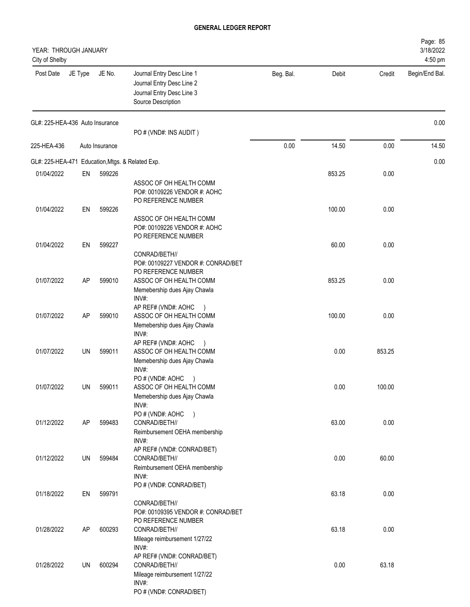| YEAR: THROUGH JANUARY<br>City of Shelby          |         |                |                                                                                                                  |           |        |        | Page: 85<br>3/18/2022<br>4:50 pm |
|--------------------------------------------------|---------|----------------|------------------------------------------------------------------------------------------------------------------|-----------|--------|--------|----------------------------------|
| Post Date                                        | JE Type | JE No.         | Journal Entry Desc Line 1<br>Journal Entry Desc Line 2<br>Journal Entry Desc Line 3<br>Source Description        | Beg. Bal. | Debit  | Credit | Begin/End Bal.                   |
| GL#: 225-HEA-436 Auto Insurance                  |         |                | PO # (VND#: INS AUDIT)                                                                                           |           |        |        | 0.00                             |
| 225-HEA-436                                      |         | Auto Insurance |                                                                                                                  | 0.00      | 14.50  | 0.00   | 14.50                            |
| GL#: 225-HEA-471 Education, Mtgs. & Related Exp. |         |                |                                                                                                                  |           |        |        | 0.00                             |
| 01/04/2022                                       | EN      | 599226         | ASSOC OF OH HEALTH COMM<br>PO#: 00109226 VENDOR #: AOHC<br>PO REFERENCE NUMBER                                   |           | 853.25 | 0.00   |                                  |
| 01/04/2022                                       | EN      | 599226         | ASSOC OF OH HEALTH COMM<br>PO#: 00109226 VENDOR #: AOHC<br>PO REFERENCE NUMBER                                   |           | 100.00 | 0.00   |                                  |
| 01/04/2022                                       | EN      | 599227         | CONRAD/BETH//<br>PO#: 00109227 VENDOR #: CONRAD/BET<br>PO REFERENCE NUMBER                                       |           | 60.00  | 0.00   |                                  |
| 01/07/2022                                       | AP      | 599010         | ASSOC OF OH HEALTH COMM<br>Memebership dues Ajay Chawla<br>INV#:                                                 |           | 853.25 | 0.00   |                                  |
| 01/07/2022                                       | AP      | 599010         | AP REF# (VND#: AOHC<br>ASSOC OF OH HEALTH COMM<br>Memebership dues Ajay Chawla<br>INV#:                          |           | 100.00 | 0.00   |                                  |
| 01/07/2022                                       | UN      | 599011         | AP REF# (VND#: AOHC<br>ASSOC OF OH HEALTH COMM<br>Memebership dues Ajay Chawla<br>INV#:                          |           | 0.00   | 853.25 |                                  |
| 01/07/2022                                       | UN      | 599011         | PO#(VND#: AOHC<br>ASSOC OF OH HEALTH COMM<br>Memebership dues Ajay Chawla<br>INV#:                               |           | 0.00   | 100.00 |                                  |
| 01/12/2022                                       | AP      | 599483         | PO # (VND#: AOHC )<br>CONRAD/BETH//<br>Reimbursement OEHA membership<br>INV#:                                    |           | 63.00  | 0.00   |                                  |
| 01/12/2022                                       | UN      | 599484         | AP REF# (VND#: CONRAD/BET)<br>CONRAD/BETH//<br>Reimbursement OEHA membership<br>INV#:                            |           | 0.00   | 60.00  |                                  |
| 01/18/2022                                       | EN      | 599791         | PO # (VND#: CONRAD/BET)<br>CONRAD/BETH//<br>PO#: 00109395 VENDOR #: CONRAD/BET                                   |           | 63.18  | 0.00   |                                  |
| 01/28/2022                                       | AP      | 600293         | PO REFERENCE NUMBER<br>CONRAD/BETH//<br>Mileage reimbursement 1/27/22<br>INV#:                                   |           | 63.18  | 0.00   |                                  |
| 01/28/2022                                       | UN      | 600294         | AP REF# (VND#: CONRAD/BET)<br>CONRAD/BETH//<br>Mileage reimbursement 1/27/22<br>INV#:<br>PO # (VND#: CONRAD/BET) |           | 0.00   | 63.18  |                                  |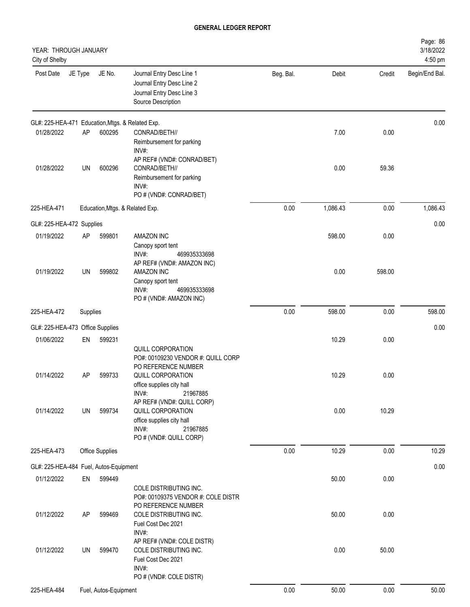| YEAR: THROUGH JANUARY<br>City of Shelby          |           |                       |                                                                                                                                                       |           |          |        | Page: 86<br>3/18/2022<br>4:50 pm |
|--------------------------------------------------|-----------|-----------------------|-------------------------------------------------------------------------------------------------------------------------------------------------------|-----------|----------|--------|----------------------------------|
| Post Date                                        | JE Type   | JE No.                | Journal Entry Desc Line 1<br>Journal Entry Desc Line 2<br>Journal Entry Desc Line 3<br>Source Description                                             | Beg. Bal. | Debit    | Credit | Begin/End Bal.                   |
| GL#: 225-HEA-471 Education, Mtgs. & Related Exp. |           |                       |                                                                                                                                                       |           |          |        | 0.00                             |
| 01/28/2022                                       | AP        | 600295                | CONRAD/BETH//<br>Reimbursement for parking<br>INV#:                                                                                                   |           | 7.00     | 0.00   |                                  |
| 01/28/2022                                       | <b>UN</b> | 600296                | AP REF# (VND#: CONRAD/BET)<br>CONRAD/BETH//<br>Reimbursement for parking<br>INV#:<br>PO # (VND#: CONRAD/BET)                                          |           | 0.00     | 59.36  |                                  |
| 225-HEA-471                                      |           |                       | Education, Mtgs. & Related Exp.                                                                                                                       | 0.00      | 1,086.43 | 0.00   | 1,086.43                         |
| GL#: 225-HEA-472 Supplies                        |           |                       |                                                                                                                                                       |           |          |        | 0.00                             |
| 01/19/2022                                       | AP        | 599801                | AMAZON INC<br>Canopy sport tent<br>INV#:<br>469935333698                                                                                              |           | 598.00   | 0.00   |                                  |
| 01/19/2022                                       | UN        | 599802                | AP REF# (VND#: AMAZON INC)<br>AMAZON INC<br>Canopy sport tent<br>INV#:<br>469935333698<br>PO # (VND#: AMAZON INC)                                     |           | 0.00     | 598.00 |                                  |
| 225-HEA-472                                      | Supplies  |                       |                                                                                                                                                       | 0.00      | 598.00   | 0.00   | 598.00                           |
| GL#: 225-HEA-473 Office Supplies                 |           |                       |                                                                                                                                                       |           |          |        | 0.00                             |
| 01/06/2022                                       | EN        | 599231                |                                                                                                                                                       |           | 10.29    | 0.00   |                                  |
| 01/14/2022                                       | AP        | 599733                | QUILL CORPORATION<br>PO#: 00109230 VENDOR #: QUILL CORP<br>PO REFERENCE NUMBER<br>QUILL CORPORATION<br>office supplies city hall<br>INV#:<br>21967885 |           | 10.29    | 0.00   |                                  |
| 01/14/2022                                       | UN        | 599734                | AP REF# (VND#: QUILL CORP)<br>QUILL CORPORATION<br>office supplies city hall<br>INV#:<br>21967885<br>PO # (VND#: QUILL CORP)                          |           | 0.00     | 10.29  |                                  |
| 225-HEA-473                                      |           | Office Supplies       |                                                                                                                                                       | 0.00      | 10.29    | 0.00   | 10.29                            |
| GL#: 225-HEA-484 Fuel, Autos-Equipment           |           |                       |                                                                                                                                                       |           |          |        | 0.00                             |
| 01/12/2022                                       | EN        | 599449                | COLE DISTRIBUTING INC.<br>PO#: 00109375 VENDOR #: COLE DISTR                                                                                          |           | 50.00    | 0.00   |                                  |
| 01/12/2022                                       | <b>AP</b> | 599469                | PO REFERENCE NUMBER<br>COLE DISTRIBUTING INC.<br>Fuel Cost Dec 2021<br>INV#:                                                                          |           | 50.00    | 0.00   |                                  |
| 01/12/2022                                       | UN        | 599470                | AP REF# (VND#: COLE DISTR)<br>COLE DISTRIBUTING INC.<br>Fuel Cost Dec 2021<br>INV#:<br>PO # (VND#: COLE DISTR)                                        |           | 0.00     | 50.00  |                                  |
| 225-HEA-484                                      |           | Fuel, Autos-Equipment |                                                                                                                                                       | 0.00      | 50.00    | 0.00   | 50.00                            |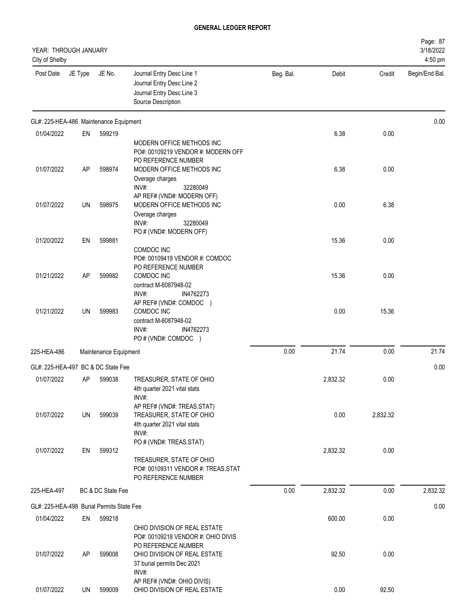| YEAR: THROUGH JANUARY<br>City of Shelby   |         |                       |                                                                                                           |           |          |          | Page: 87<br>3/18/2022<br>4:50 pm |
|-------------------------------------------|---------|-----------------------|-----------------------------------------------------------------------------------------------------------|-----------|----------|----------|----------------------------------|
| Post Date                                 | JE Type | JE No.                | Journal Entry Desc Line 1<br>Journal Entry Desc Line 2<br>Journal Entry Desc Line 3<br>Source Description | Beg. Bal. | Debit    | Credit   | Begin/End Bal.                   |
| GL#: 225-HEA-486 Maintenance Equipment    |         |                       |                                                                                                           |           |          |          | 0.00                             |
| 01/04/2022                                | EN      | 599219                | MODERN OFFICE METHODS INC<br>PO#: 00109219 VENDOR #: MODERN OFF<br>PO REFERENCE NUMBER                    |           | 6.38     | 0.00     |                                  |
| 01/07/2022                                | AP      | 598974                | MODERN OFFICE METHODS INC<br>Overage charges<br>INV#:<br>32280049<br>AP REF# (VND#: MODERN OFF)           |           | 6.38     | 0.00     |                                  |
| 01/07/2022                                | UN      | 598975                | MODERN OFFICE METHODS INC<br>Overage charges<br>INV#:<br>32280049<br>PO # (VND#: MODERN OFF)              |           | 0.00     | 6.38     |                                  |
| 01/20/2022                                | EN      | 599881                | COMDOC INC<br>PO#: 00109419 VENDOR #: COMDOC<br>PO REFERENCE NUMBER                                       |           | 15.36    | 0.00     |                                  |
| 01/21/2022                                | AP      | 599982                | COMDOC INC<br>contract M-6087948-02<br>INV#:<br>IN4762273<br>AP REF# (VND#: COMDOC )                      |           | 15.36    | 0.00     |                                  |
| 01/21/2022                                | UN      | 599983                | COMDOC INC<br>contract M-6087948-02<br>INV#:<br>IN4762273<br>PO # (VND#: COMDOC )                         |           | 0.00     | 15.36    |                                  |
| 225-HEA-486                               |         | Maintenance Equipment |                                                                                                           | 0.00      | 21.74    | 0.00     | 21.74                            |
| GL#: 225-HEA-497 BC & DC State Fee        |         |                       |                                                                                                           |           |          |          | 0.00                             |
| 01/07/2022                                | AP      | 599038                | TREASURER, STATE OF OHIO<br>4th quarter 2021 vital stats<br>INV#:<br>AP REF# (VND#: TREAS.STAT)           |           | 2,832.32 | 0.00     |                                  |
| 01/07/2022                                | UN      | 599039                | TREASURER, STATE OF OHIO<br>4th quarter 2021 vital stats<br>INV#:<br>PO # (VND#: TREAS.STAT)              |           | 0.00     | 2,832.32 |                                  |
| 01/07/2022                                | EN      | 599312                | TREASURER, STATE OF OHIO<br>PO#: 00109311 VENDOR #: TREAS.STAT<br>PO REFERENCE NUMBER                     |           | 2,832.32 | 0.00     |                                  |
| 225-HEA-497                               |         | BC & DC State Fee     |                                                                                                           | 0.00      | 2,832.32 | 0.00     | 2,832.32                         |
| GL#: 225-HEA-498 Burial Permits State Fee |         |                       |                                                                                                           |           |          |          | 0.00                             |
| 01/04/2022                                | EN      | 599218                | OHIO DIVISION OF REAL ESTATE<br>PO#: 00109218 VENDOR #: OHIO DIVIS<br>PO REFERENCE NUMBER                 |           | 600.00   | 0.00     |                                  |
| 01/07/2022                                | AP      | 599008                | OHIO DIVISION OF REAL ESTATE<br>37 burial permits Dec 2021<br>INV#:<br>AP REF# (VND#: OHIO DIVIS)         |           | 92.50    | 0.00     |                                  |
| 01/07/2022                                | UN      | 599009                | OHIO DIVISION OF REAL ESTATE                                                                              |           | 0.00     | 92.50    |                                  |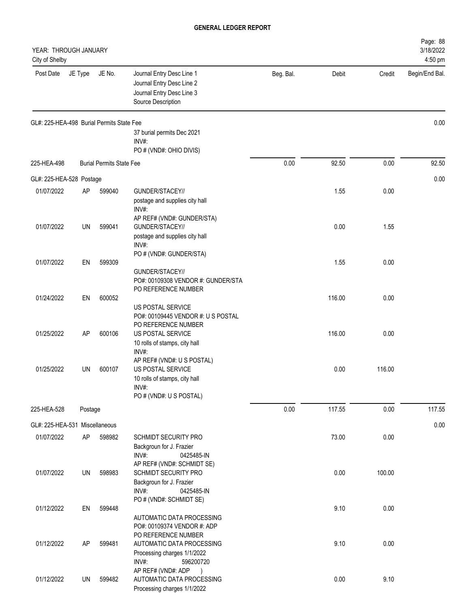| YEAR: THROUGH JANUARY<br>City of Shelby   |           |                                 |                                                                                                                                      |           |        |        | Page: 88<br>3/18/2022<br>4:50 pm |
|-------------------------------------------|-----------|---------------------------------|--------------------------------------------------------------------------------------------------------------------------------------|-----------|--------|--------|----------------------------------|
| Post Date                                 | JE Type   | JE No.                          | Journal Entry Desc Line 1<br>Journal Entry Desc Line 2<br>Journal Entry Desc Line 3<br>Source Description                            | Beg. Bal. | Debit  | Credit | Begin/End Bal.                   |
| GL#: 225-HEA-498 Burial Permits State Fee |           |                                 |                                                                                                                                      |           |        |        | 0.00                             |
|                                           |           |                                 | 37 burial permits Dec 2021<br>$INV#$ :                                                                                               |           |        |        |                                  |
|                                           |           |                                 | PO # (VND#: OHIO DIVIS)                                                                                                              |           |        |        |                                  |
| 225-HEA-498                               |           | <b>Burial Permits State Fee</b> |                                                                                                                                      | 0.00      | 92.50  | 0.00   | 92.50                            |
| GL#: 225-HEA-528 Postage                  |           |                                 |                                                                                                                                      |           |        |        | 0.00                             |
| 01/07/2022                                | AP        | 599040                          | GUNDER/STACEY//<br>postage and supplies city hall<br>INV#:                                                                           |           | 1.55   | 0.00   |                                  |
| 01/07/2022                                | UN        | 599041                          | AP REF# (VND#: GUNDER/STA)<br>GUNDER/STACEY//<br>postage and supplies city hall<br>INV#:                                             |           | 0.00   | 1.55   |                                  |
| 01/07/2022                                | EN        | 599309                          | PO # (VND#: GUNDER/STA)                                                                                                              |           | 1.55   | 0.00   |                                  |
|                                           |           |                                 | GUNDER/STACEY//<br>PO#: 00109308 VENDOR #: GUNDER/STA<br>PO REFERENCE NUMBER                                                         |           |        |        |                                  |
| 01/24/2022                                | EN        | 600052                          | US POSTAL SERVICE<br>PO#: 00109445 VENDOR #: U S POSTAL                                                                              |           | 116.00 | 0.00   |                                  |
| 01/25/2022                                | <b>AP</b> | 600106                          | PO REFERENCE NUMBER<br>US POSTAL SERVICE<br>10 rolls of stamps, city hall                                                            |           | 116.00 | 0.00   |                                  |
| 01/25/2022                                | UN        | 600107                          | INV#:<br>AP REF# (VND#: U S POSTAL)<br>US POSTAL SERVICE<br>10 rolls of stamps, city hall<br>INV#:<br>PO # (VND#: U S POSTAL)        |           | 0.00   | 116.00 |                                  |
| 225-HEA-528                               | Postage   |                                 |                                                                                                                                      | 0.00      | 117.55 | 0.00   | 117.55                           |
|                                           |           |                                 |                                                                                                                                      |           |        |        |                                  |
| GL#: 225-HEA-531 Miscellaneous            |           |                                 |                                                                                                                                      |           |        |        | 0.00                             |
| 01/07/2022                                | AP        | 598982                          | <b>SCHMIDT SECURITY PRO</b><br>Backgroun for J. Frazier<br>INV#:<br>0425485-IN<br>AP REF# (VND#: SCHMIDT SE)                         |           | 73.00  | 0.00   |                                  |
| 01/07/2022                                | UN        | 598983                          | SCHMIDT SECURITY PRO<br>Backgroun for J. Frazier<br>INV#:<br>0425485-IN                                                              |           | 0.00   | 100.00 |                                  |
| 01/12/2022                                | EN        | 599448                          | PO # (VND#: SCHMIDT SE)<br>AUTOMATIC DATA PROCESSING                                                                                 |           | 9.10   | 0.00   |                                  |
| 01/12/2022                                | AP        | 599481                          | PO#: 00109374 VENDOR #: ADP<br>PO REFERENCE NUMBER<br>AUTOMATIC DATA PROCESSING<br>Processing charges 1/1/2022<br>INV#:<br>596200720 |           | 9.10   | 0.00   |                                  |
| 01/12/2022                                | UN        | 599482                          | AP REF# (VND#: ADP<br>AUTOMATIC DATA PROCESSING<br>Processing charges 1/1/2022                                                       |           | 0.00   | 9.10   |                                  |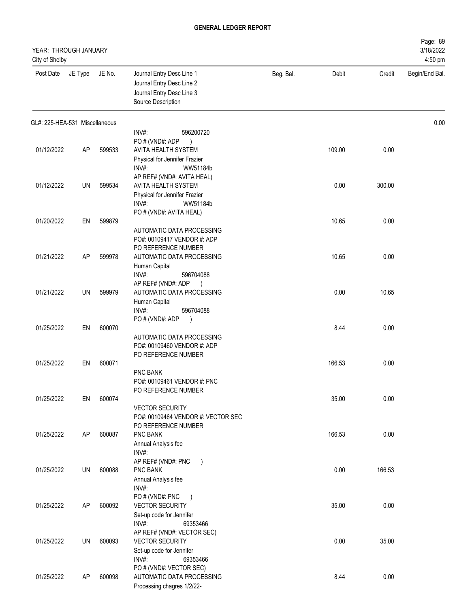| YEAR: THROUGH JANUARY<br>City of Shelby |         |        |                                                                                                           |           |        |        | Page: 89<br>3/18/2022<br>4:50 pm |
|-----------------------------------------|---------|--------|-----------------------------------------------------------------------------------------------------------|-----------|--------|--------|----------------------------------|
| Post Date                               | JE Type | JE No. | Journal Entry Desc Line 1<br>Journal Entry Desc Line 2<br>Journal Entry Desc Line 3<br>Source Description | Beg. Bal. | Debit  | Credit | Begin/End Bal.                   |
| GL#: 225-HEA-531 Miscellaneous          |         |        |                                                                                                           |           |        |        | 0.00                             |
|                                         |         |        | INV#:<br>596200720                                                                                        |           |        |        |                                  |
| 01/12/2022                              | AP      | 599533 | PO # (VND#: ADP<br>AVITA HEALTH SYSTEM                                                                    |           | 109.00 | 0.00   |                                  |
|                                         |         |        | Physical for Jennifer Frazier                                                                             |           |        |        |                                  |
|                                         |         |        | INV#:<br>WW51184b                                                                                         |           |        |        |                                  |
|                                         |         |        | AP REF# (VND#: AVITA HEAL)                                                                                |           |        |        |                                  |
| 01/12/2022                              | UN      | 599534 | AVITA HEALTH SYSTEM                                                                                       |           | 0.00   | 300.00 |                                  |
|                                         |         |        | Physical for Jennifer Frazier<br>INV#:<br>WW51184b                                                        |           |        |        |                                  |
|                                         |         |        | PO # (VND#: AVITA HEAL)                                                                                   |           |        |        |                                  |
| 01/20/2022                              | EN      | 599879 |                                                                                                           |           | 10.65  | 0.00   |                                  |
|                                         |         |        | AUTOMATIC DATA PROCESSING                                                                                 |           |        |        |                                  |
|                                         |         |        | PO#: 00109417 VENDOR #: ADP<br>PO REFERENCE NUMBER                                                        |           |        |        |                                  |
| 01/21/2022                              | AP      | 599978 | AUTOMATIC DATA PROCESSING                                                                                 |           | 10.65  | 0.00   |                                  |
|                                         |         |        | Human Capital                                                                                             |           |        |        |                                  |
|                                         |         |        | INV#:<br>596704088                                                                                        |           |        |        |                                  |
| 01/21/2022                              | UN      | 599979 | AP REF# (VND#: ADP<br>$\lambda$<br>AUTOMATIC DATA PROCESSING                                              |           | 0.00   | 10.65  |                                  |
|                                         |         |        | Human Capital                                                                                             |           |        |        |                                  |
|                                         |         |        | INV#:<br>596704088                                                                                        |           |        |        |                                  |
|                                         |         |        | PO#(VND#: ADP<br>$\lambda$                                                                                |           |        |        |                                  |
| 01/25/2022                              | EN      | 600070 |                                                                                                           |           | 8.44   | 0.00   |                                  |
|                                         |         |        | AUTOMATIC DATA PROCESSING<br>PO#: 00109460 VENDOR #: ADP                                                  |           |        |        |                                  |
|                                         |         |        | PO REFERENCE NUMBER                                                                                       |           |        |        |                                  |
| 01/25/2022                              | EN      | 600071 |                                                                                                           |           | 166.53 | 0.00   |                                  |
|                                         |         |        | <b>PNC BANK</b>                                                                                           |           |        |        |                                  |
|                                         |         |        | PO#: 00109461 VENDOR #: PNC<br>PO REFERENCE NUMBER                                                        |           |        |        |                                  |
| 01/25/2022                              | EN      | 600074 |                                                                                                           |           | 35.00  | 0.00   |                                  |
|                                         |         |        | <b>VECTOR SECURITY</b>                                                                                    |           |        |        |                                  |
|                                         |         |        | PO#: 00109464 VENDOR #: VECTOR SEC                                                                        |           |        |        |                                  |
|                                         |         |        | PO REFERENCE NUMBER                                                                                       |           |        |        |                                  |
| 01/25/2022                              | AP      | 600087 | PNC BANK<br>Annual Analysis fee                                                                           |           | 166.53 | 0.00   |                                  |
|                                         |         |        | INV#:                                                                                                     |           |        |        |                                  |
|                                         |         |        | AP REF# (VND#: PNC<br>$\rightarrow$                                                                       |           |        |        |                                  |
| 01/25/2022                              | UN      | 600088 | PNC BANK                                                                                                  |           | 0.00   | 166.53 |                                  |
|                                         |         |        | Annual Analysis fee                                                                                       |           |        |        |                                  |
|                                         |         |        | INV#:<br>PO # (VND#: PNC<br>$\rightarrow$                                                                 |           |        |        |                                  |
| 01/25/2022                              | AP      | 600092 | <b>VECTOR SECURITY</b>                                                                                    |           | 35.00  | 0.00   |                                  |
|                                         |         |        | Set-up code for Jennifer                                                                                  |           |        |        |                                  |
|                                         |         |        | INV#:<br>69353466                                                                                         |           |        |        |                                  |
| 01/25/2022                              | UN      | 600093 | AP REF# (VND#: VECTOR SEC)<br><b>VECTOR SECURITY</b>                                                      |           | 0.00   | 35.00  |                                  |
|                                         |         |        | Set-up code for Jennifer                                                                                  |           |        |        |                                  |
|                                         |         |        | INV#:<br>69353466                                                                                         |           |        |        |                                  |
|                                         |         |        | PO # (VND#: VECTOR SEC)                                                                                   |           |        |        |                                  |
| 01/25/2022                              | AP      | 600098 | AUTOMATIC DATA PROCESSING<br>Processing chagres 1/2/22-                                                   |           | 8.44   | 0.00   |                                  |
|                                         |         |        |                                                                                                           |           |        |        |                                  |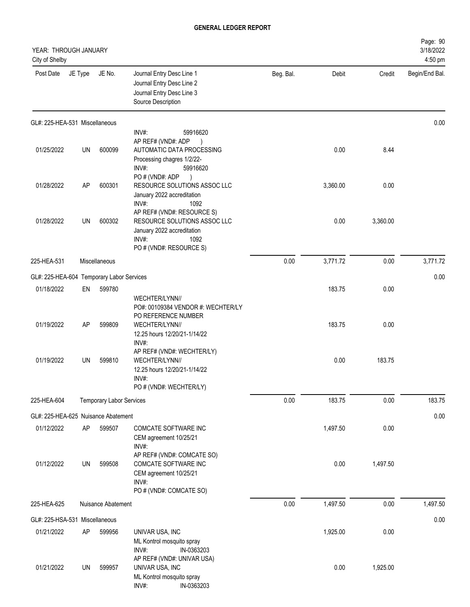| YEAR: THROUGH JANUARY<br>City of Shelby   |         |                                 |                                                                                                                                      |           |          |          | Page: 90<br>3/18/2022<br>4:50 pm |
|-------------------------------------------|---------|---------------------------------|--------------------------------------------------------------------------------------------------------------------------------------|-----------|----------|----------|----------------------------------|
| Post Date                                 | JE Type | JE No.                          | Journal Entry Desc Line 1<br>Journal Entry Desc Line 2<br>Journal Entry Desc Line 3<br>Source Description                            | Beg. Bal. | Debit    | Credit   | Begin/End Bal.                   |
| GL#: 225-HEA-531 Miscellaneous            |         |                                 |                                                                                                                                      |           |          |          | 0.00                             |
| 01/25/2022                                | UN      | 600099                          | INV#:<br>59916620<br>AP REF# (VND#: ADP<br>AUTOMATIC DATA PROCESSING<br>Processing chagres 1/2/22-<br>INV#:<br>59916620              |           | 0.00     | 8.44     |                                  |
| 01/28/2022                                | AP      | 600301                          | PO#(VND#: ADP<br>RESOURCE SOLUTIONS ASSOC LLC<br>January 2022 accreditation<br>INV#:<br>1092                                         |           | 3,360.00 | 0.00     |                                  |
| 01/28/2022                                | UN      | 600302                          | AP REF# (VND#: RESOURCE S)<br>RESOURCE SOLUTIONS ASSOC LLC<br>January 2022 accreditation<br>INV#:<br>1092<br>PO # (VND#: RESOURCE S) |           | 0.00     | 3,360.00 |                                  |
| 225-HEA-531                               |         | Miscellaneous                   |                                                                                                                                      | 0.00      | 3,771.72 | 0.00     | 3,771.72                         |
| GL#: 225-HEA-604 Temporary Labor Services |         |                                 |                                                                                                                                      |           |          |          | 0.00                             |
| 01/18/2022                                | EN      | 599780                          |                                                                                                                                      |           | 183.75   | 0.00     |                                  |
|                                           |         |                                 | WECHTER/LYNN//<br>PO#: 00109384 VENDOR #: WECHTER/LY<br>PO REFERENCE NUMBER                                                          |           |          |          |                                  |
| 01/19/2022                                | AP      | 599809                          | WECHTER/LYNN//<br>12.25 hours 12/20/21-1/14/22<br>INV#:<br>AP REF# (VND#: WECHTER/LY)                                                |           | 183.75   | 0.00     |                                  |
| 01/19/2022                                | UN      | 599810                          | WECHTER/LYNN//<br>12.25 hours 12/20/21-1/14/22<br>INV#:<br>PO # (VND#: WECHTER/LY)                                                   |           | 0.00     | 183.75   |                                  |
| 225-HEA-604                               |         | <b>Temporary Labor Services</b> |                                                                                                                                      | 0.00      | 183.75   | 0.00     | 183.75                           |
| GL#: 225-HEA-625 Nuisance Abatement       |         |                                 |                                                                                                                                      |           |          |          | 0.00                             |
| 01/12/2022                                | AP      | 599507                          | <b>COMCATE SOFTWARE INC</b><br>CEM agreement 10/25/21<br>INV#:                                                                       |           | 1,497.50 | 0.00     |                                  |
| 01/12/2022                                | UN      | 599508                          | AP REF# (VND#: COMCATE SO)<br>COMCATE SOFTWARE INC<br>CEM agreement 10/25/21<br>INV#:<br>PO # (VND#: COMCATE SO)                     |           | 0.00     | 1,497.50 |                                  |
| 225-HEA-625                               |         | Nuisance Abatement              |                                                                                                                                      | 0.00      | 1,497.50 | 0.00     | 1,497.50                         |
| GL#: 225-HSA-531 Miscellaneous            |         |                                 |                                                                                                                                      |           |          |          | 0.00                             |
| 01/21/2022                                | AP      | 599956                          | UNIVAR USA, INC<br>ML Kontrol mosquito spray<br>INV#:<br>IN-0363203                                                                  |           | 1,925.00 | 0.00     |                                  |
| 01/21/2022                                | UN      | 599957                          | AP REF# (VND#: UNIVAR USA)<br>UNIVAR USA, INC<br>ML Kontrol mosquito spray                                                           |           | 0.00     | 1,925.00 |                                  |

INV#: IN-0363203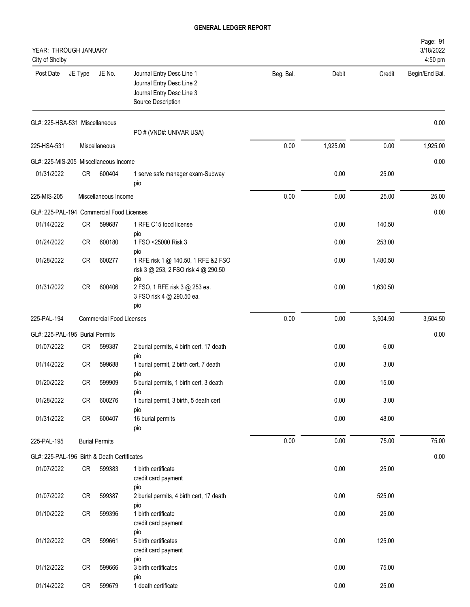| YEAR: THROUGH JANUARY<br>City of Shelby     |         |                                 |                                                                                                           |           |          |          | Page: 91<br>3/18/2022<br>4:50 pm |
|---------------------------------------------|---------|---------------------------------|-----------------------------------------------------------------------------------------------------------|-----------|----------|----------|----------------------------------|
| Post Date                                   | JE Type | JE No.                          | Journal Entry Desc Line 1<br>Journal Entry Desc Line 2<br>Journal Entry Desc Line 3<br>Source Description | Beg. Bal. | Debit    | Credit   | Begin/End Bal.                   |
| GL#: 225-HSA-531 Miscellaneous              |         |                                 | PO # (VND#: UNIVAR USA)                                                                                   |           |          |          | 0.00                             |
| 225-HSA-531                                 |         | Miscellaneous                   |                                                                                                           | 0.00      | 1,925.00 | 0.00     | 1,925.00                         |
| GL#: 225-MIS-205 Miscellaneous Income       |         |                                 |                                                                                                           |           |          |          | 0.00                             |
| 01/31/2022                                  | CR      | 600404                          | 1 serve safe manager exam-Subway<br>pio                                                                   |           | 0.00     | 25.00    |                                  |
| 225-MIS-205                                 |         | Miscellaneous Income            |                                                                                                           | 0.00      | 0.00     | 25.00    | 25.00                            |
| GL#: 225-PAL-194 Commercial Food Licenses   |         |                                 |                                                                                                           |           |          |          | 0.00                             |
| 01/14/2022                                  | CR      | 599687                          | 1 RFE C15 food license                                                                                    |           | 0.00     | 140.50   |                                  |
| 01/24/2022                                  | CR      | 600180                          | pio<br>1 FSO <25000 Risk 3<br>pio                                                                         |           | 0.00     | 253.00   |                                  |
| 01/28/2022                                  | CR      | 600277                          | 1 RFE risk 1 @ 140.50, 1 RFE & 2 FSO<br>risk 3 @ 253, 2 FSO risk 4 @ 290.50                               |           | 0.00     | 1,480.50 |                                  |
| 01/31/2022                                  | CR      | 600406                          | pio<br>2 FSO, 1 RFE risk 3 @ 253 ea.<br>3 FSO risk 4 @ 290.50 ea.<br>pio                                  |           | 0.00     | 1,630.50 |                                  |
| 225-PAL-194                                 |         | <b>Commercial Food Licenses</b> |                                                                                                           | 0.00      | 0.00     | 3,504.50 | 3,504.50                         |
| GL#: 225-PAL-195 Burial Permits             |         |                                 |                                                                                                           |           |          |          | 0.00                             |
| 01/07/2022                                  | CR      | 599387                          | 2 burial permits, 4 birth cert, 17 death<br>pio                                                           |           | 0.00     | 6.00     |                                  |
| 01/14/2022                                  | CR      | 599688                          | 1 burial permit, 2 birth cert, 7 death                                                                    |           | 0.00     | 3.00     |                                  |
| 01/20/2022                                  | CR      | 599909                          | pio<br>5 burial permits, 1 birth cert, 3 death<br>pio                                                     |           | 0.00     | 15.00    |                                  |
| 01/28/2022                                  | CR      | 600276                          | 1 burial permit, 3 birth, 5 death cert                                                                    |           | 0.00     | 3.00     |                                  |
| 01/31/2022                                  | CR      | 600407                          | pio<br>16 burial permits<br>pio                                                                           |           | 0.00     | 48.00    |                                  |
| 225-PAL-195                                 |         | <b>Burial Permits</b>           |                                                                                                           | $0.00\,$  | 0.00     | 75.00    | 75.00                            |
| GL#: 225-PAL-196 Birth & Death Certificates |         |                                 |                                                                                                           |           |          |          | 0.00                             |
| 01/07/2022                                  | CR      | 599383                          | 1 birth certificate<br>credit card payment                                                                |           | 0.00     | 25.00    |                                  |
| 01/07/2022                                  | CR      | 599387                          | pio<br>2 burial permits, 4 birth cert, 17 death                                                           |           | 0.00     | 525.00   |                                  |
| 01/10/2022                                  | CR      | 599396                          | pio<br>1 birth certificate<br>credit card payment<br>pio                                                  |           | 0.00     | 25.00    |                                  |
| 01/12/2022                                  | CR      | 599661                          | 5 birth certificates<br>credit card payment                                                               |           | 0.00     | 125.00   |                                  |
| 01/12/2022                                  | CR      | 599666                          | pio<br>3 birth certificates                                                                               |           | 0.00     | 75.00    |                                  |
| 01/14/2022                                  | CR      | 599679                          | pio<br>1 death certificate                                                                                |           | 0.00     | 25.00    |                                  |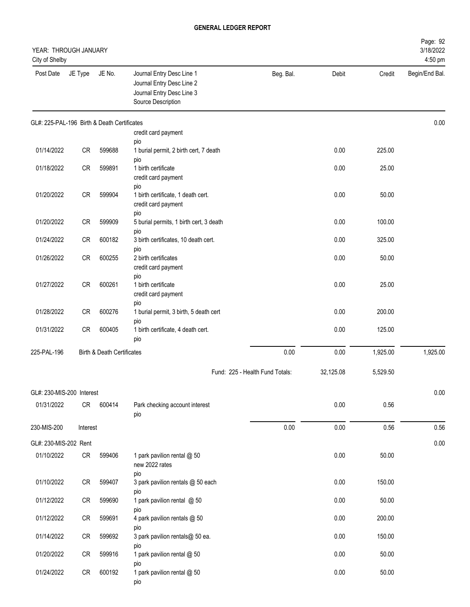| YEAR: THROUGH JANUARY<br>City of Shelby     |           |                                       |                                                                                                           |                                 |           |          | Page: 92<br>3/18/2022<br>4:50 pm |
|---------------------------------------------|-----------|---------------------------------------|-----------------------------------------------------------------------------------------------------------|---------------------------------|-----------|----------|----------------------------------|
| Post Date                                   | JE Type   | JE No.                                | Journal Entry Desc Line 1<br>Journal Entry Desc Line 2<br>Journal Entry Desc Line 3<br>Source Description | Beg. Bal.                       | Debit     | Credit   | Begin/End Bal.                   |
| GL#: 225-PAL-196 Birth & Death Certificates |           |                                       | credit card payment                                                                                       |                                 |           |          | 0.00                             |
| 01/14/2022                                  | <b>CR</b> | 599688                                | pio<br>1 burial permit, 2 birth cert, 7 death<br>pio                                                      |                                 | 0.00      | 225.00   |                                  |
| 01/18/2022                                  | CR        | 599891                                | 1 birth certificate<br>credit card payment<br>pio                                                         |                                 | 0.00      | 25.00    |                                  |
| 01/20/2022                                  | CR        | 599904                                | 1 birth certificate, 1 death cert.<br>credit card payment<br>pio                                          |                                 | 0.00      | 50.00    |                                  |
| 01/20/2022                                  | CR        | 599909                                | 5 burial permits, 1 birth cert, 3 death                                                                   |                                 | 0.00      | 100.00   |                                  |
| 01/24/2022                                  | CR        | 600182                                | pio<br>3 birth certificates, 10 death cert.                                                               |                                 | 0.00      | 325.00   |                                  |
| 01/26/2022                                  | CR        | 600255                                | pio<br>2 birth certificates<br>credit card payment<br>pio                                                 |                                 | 0.00      | 50.00    |                                  |
| 01/27/2022                                  | CR        | 600261                                | 1 birth certificate<br>credit card payment                                                                |                                 | 0.00      | 25.00    |                                  |
| 01/28/2022                                  | CR        | 600276                                | pio<br>1 burial permit, 3 birth, 5 death cert<br>pio                                                      |                                 | 0.00      | 200.00   |                                  |
| 01/31/2022                                  | CR        | 600405                                | 1 birth certificate, 4 death cert.<br>pio                                                                 |                                 | 0.00      | 125.00   |                                  |
| 225-PAL-196                                 |           | <b>Birth &amp; Death Certificates</b> |                                                                                                           | 0.00                            | 0.00      | 1,925.00 | 1,925.00                         |
|                                             |           |                                       |                                                                                                           | Fund: 225 - Health Fund Totals: | 32,125.08 | 5,529.50 |                                  |
| GL#: 230-MIS-200 Interest                   |           |                                       |                                                                                                           |                                 |           |          | 0.00                             |
| 01/31/2022                                  | CR        | 600414                                | Park checking account interest<br>pio                                                                     |                                 | 0.00      | 0.56     |                                  |
| 230-MIS-200                                 | Interest  |                                       |                                                                                                           | 0.00                            | 0.00      | 0.56     | 0.56                             |
| GL#: 230-MIS-202 Rent                       |           |                                       |                                                                                                           |                                 |           |          | 0.00                             |
| 01/10/2022                                  | CR        | 599406                                | 1 park pavilion rental @ 50<br>new 2022 rates                                                             |                                 | 0.00      | 50.00    |                                  |
| 01/10/2022                                  | CR        | 599407                                | pio<br>3 park pavilion rentals @ 50 each                                                                  |                                 | 0.00      | 150.00   |                                  |
| 01/12/2022                                  | CR        | 599690                                | pio<br>1 park pavilion rental @ 50<br>pio                                                                 |                                 | 0.00      | 50.00    |                                  |
| 01/12/2022                                  | CR        | 599691                                | 4 park pavilion rentals @ 50<br>pio                                                                       |                                 | 0.00      | 200.00   |                                  |
| 01/14/2022                                  | CR        | 599692                                | 3 park pavilion rentals@ 50 ea.<br>pio                                                                    |                                 | 0.00      | 150.00   |                                  |
| 01/20/2022                                  | CR        | 599916                                | 1 park pavilion rental @ 50<br>pio                                                                        |                                 | 0.00      | 50.00    |                                  |
| 01/24/2022                                  | CR        | 600192                                | 1 park pavilion rental @ 50<br>pio                                                                        |                                 | 0.00      | 50.00    |                                  |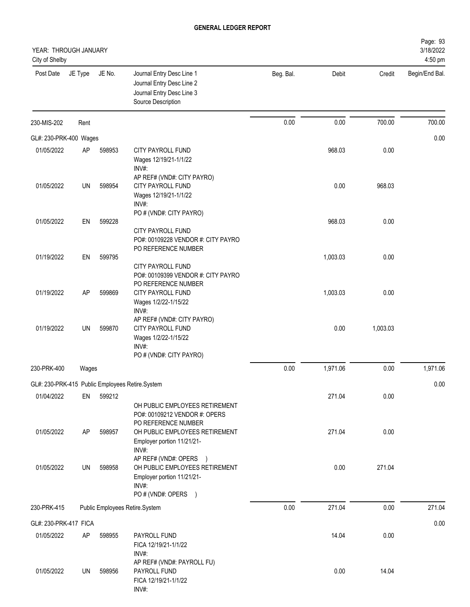| YEAR: THROUGH JANUARY<br>City of Shelby |           |        |                                                                                                                                       |           |          |          | Page: 93<br>3/18/2022<br>4:50 pm |
|-----------------------------------------|-----------|--------|---------------------------------------------------------------------------------------------------------------------------------------|-----------|----------|----------|----------------------------------|
| Post Date                               | JE Type   | JE No. | Journal Entry Desc Line 1<br>Journal Entry Desc Line 2<br>Journal Entry Desc Line 3<br>Source Description                             | Beg. Bal. | Debit    | Credit   | Begin/End Bal.                   |
| 230-MIS-202                             | Rent      |        |                                                                                                                                       | 0.00      | 0.00     | 700.00   | 700.00                           |
| GL#: 230-PRK-400 Wages                  |           |        |                                                                                                                                       |           |          |          | 0.00                             |
| 01/05/2022                              | AP        | 598953 | <b>CITY PAYROLL FUND</b><br>Wages 12/19/21-1/1/22<br>INV#:                                                                            |           | 968.03   | 0.00     |                                  |
| 01/05/2022                              | UN        | 598954 | AP REF# (VND#: CITY PAYRO)<br>CITY PAYROLL FUND<br>Wages 12/19/21-1/1/22<br>INV#:                                                     |           | 0.00     | 968.03   |                                  |
| 01/05/2022                              | EN        | 599228 | PO # (VND#: CITY PAYRO)                                                                                                               |           | 968.03   | 0.00     |                                  |
| 01/19/2022                              |           |        | CITY PAYROLL FUND<br>PO#: 00109228 VENDOR #: CITY PAYRO<br>PO REFERENCE NUMBER                                                        |           |          |          |                                  |
|                                         | EN        | 599795 | CITY PAYROLL FUND<br>PO#: 00109399 VENDOR #: CITY PAYRO<br>PO REFERENCE NUMBER                                                        |           | 1,003.03 | 0.00     |                                  |
| 01/19/2022                              | AP        | 599869 | CITY PAYROLL FUND<br>Wages 1/2/22-1/15/22<br>INV#:<br>AP REF# (VND#: CITY PAYRO)                                                      |           | 1,003.03 | 0.00     |                                  |
| 01/19/2022                              | <b>UN</b> | 599870 | CITY PAYROLL FUND<br>Wages 1/2/22-1/15/22<br>INV#:<br>PO # (VND#: CITY PAYRO)                                                         |           | 0.00     | 1,003.03 |                                  |
| 230-PRK-400                             | Wages     |        |                                                                                                                                       | 0.00      | 1,971.06 | 0.00     | 1,971.06                         |
|                                         |           |        | GL#: 230-PRK-415 Public Employees Retire.System                                                                                       |           |          |          | 0.00                             |
| 01/04/2022                              | EN        | 599212 | OH PUBLIC EMPLOYEES RETIREMENT                                                                                                        |           | 271.04   | 0.00     |                                  |
| 01/05/2022                              | AP        | 598957 | PO#: 00109212 VENDOR #: OPERS<br>PO REFERENCE NUMBER<br>OH PUBLIC EMPLOYEES RETIREMENT<br>Employer portion 11/21/21-<br>INV#:         |           | 271.04   | 0.00     |                                  |
| 01/05/2022                              | UN        | 598958 | AP REF# (VND#: OPERS<br>$\rightarrow$<br>OH PUBLIC EMPLOYEES RETIREMENT<br>Employer portion 11/21/21-<br>INV#:<br>PO # (VND#: OPERS ) |           | 0.00     | 271.04   |                                  |
| 230-PRK-415                             |           |        | Public Employees Retire.System                                                                                                        | 0.00      | 271.04   | 0.00     | 271.04                           |
| GL#: 230-PRK-417 FICA                   |           |        |                                                                                                                                       |           |          |          | 0.00                             |
| 01/05/2022                              | AP        | 598955 | PAYROLL FUND<br>FICA 12/19/21-1/1/22                                                                                                  |           | 14.04    | 0.00     |                                  |
| 01/05/2022                              | UN        | 598956 | INV#:<br>AP REF# (VND#: PAYROLL FU)<br>PAYROLL FUND<br>FICA 12/19/21-1/1/22<br>INV#:                                                  |           | 0.00     | 14.04    |                                  |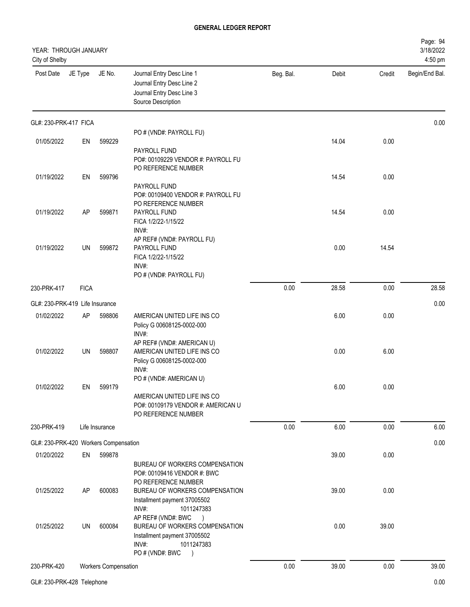| YEAR: THROUGH JANUARY<br>City of Shelby |             |                             |                                                                                                                                                                                     |           |       |        | Page: 94<br>3/18/2022<br>4:50 pm |
|-----------------------------------------|-------------|-----------------------------|-------------------------------------------------------------------------------------------------------------------------------------------------------------------------------------|-----------|-------|--------|----------------------------------|
| Post Date                               | JE Type     | JE No.                      | Journal Entry Desc Line 1<br>Journal Entry Desc Line 2<br>Journal Entry Desc Line 3<br>Source Description                                                                           | Beg. Bal. | Debit | Credit | Begin/End Bal.                   |
| GL#: 230-PRK-417 FICA                   |             |                             |                                                                                                                                                                                     |           |       |        | 0.00                             |
|                                         |             |                             | PO # (VND#: PAYROLL FU)                                                                                                                                                             |           |       |        |                                  |
| 01/05/2022                              | EN          | 599229                      | PAYROLL FUND<br>PO#: 00109229 VENDOR #: PAYROLL FU<br>PO REFERENCE NUMBER                                                                                                           |           | 14.04 | 0.00   |                                  |
| 01/19/2022                              | EN          | 599796                      | PAYROLL FUND<br>PO#: 00109400 VENDOR #: PAYROLL FU<br>PO REFERENCE NUMBER                                                                                                           |           | 14.54 | 0.00   |                                  |
| 01/19/2022                              | AP          | 599871                      | PAYROLL FUND<br>FICA 1/2/22-1/15/22<br>INV#:<br>AP REF# (VND#: PAYROLL FU)                                                                                                          |           | 14.54 | 0.00   |                                  |
| 01/19/2022                              | UN          | 599872                      | PAYROLL FUND<br>FICA 1/2/22-1/15/22<br>INV#:<br>PO # (VND#: PAYROLL FU)                                                                                                             |           | 0.00  | 14.54  |                                  |
| 230-PRK-417                             | <b>FICA</b> |                             |                                                                                                                                                                                     | 0.00      | 28.58 | 0.00   | 28.58                            |
| GL#: 230-PRK-419 Life Insurance         |             |                             |                                                                                                                                                                                     |           |       |        | 0.00                             |
| 01/02/2022                              | AP          | 598806                      | AMERICAN UNITED LIFE INS CO<br>Policy G 00608125-0002-000<br>INV#:                                                                                                                  |           | 6.00  | 0.00   |                                  |
| 01/02/2022                              | UN          | 598807                      | AP REF# (VND#: AMERICAN U)<br>AMERICAN UNITED LIFE INS CO<br>Policy G 00608125-0002-000<br>INV#:                                                                                    |           | 0.00  | 6.00   |                                  |
| 01/02/2022                              | EN          | 599179                      | PO # (VND#: AMERICAN U)<br>AMERICAN UNITED LIFE INS CO<br>PO#: 00109179 VENDOR #: AMERICAN U<br>PO REFERENCE NUMBER                                                                 |           | 6.00  | 0.00   |                                  |
| 230-PRK-419                             |             | Life Insurance              |                                                                                                                                                                                     | 0.00      | 6.00  | 0.00   | 6.00                             |
| GL#: 230-PRK-420 Workers Compensation   |             |                             |                                                                                                                                                                                     |           |       |        | 0.00                             |
| 01/20/2022                              | EN          | 599878                      |                                                                                                                                                                                     |           | 39.00 | 0.00   |                                  |
| 01/25/2022                              | AP          | 600083                      | BUREAU OF WORKERS COMPENSATION<br>PO#: 00109416 VENDOR #: BWC<br>PO REFERENCE NUMBER<br>BUREAU OF WORKERS COMPENSATION<br>Installment payment 37005502                              |           | 39.00 | 0.00   |                                  |
| 01/25/2022                              | UN          | 600084                      | INV#:<br>1011247383<br>AP REF# (VND#: BWC<br>$\rightarrow$<br>BUREAU OF WORKERS COMPENSATION<br>Installment payment 37005502<br>INV#:<br>1011247383<br>PO # (VND#: BWC<br>$\lambda$ |           | 0.00  | 39.00  |                                  |
| 230-PRK-420                             |             | <b>Workers Compensation</b> |                                                                                                                                                                                     | 0.00      | 39.00 | 0.00   | 39.00                            |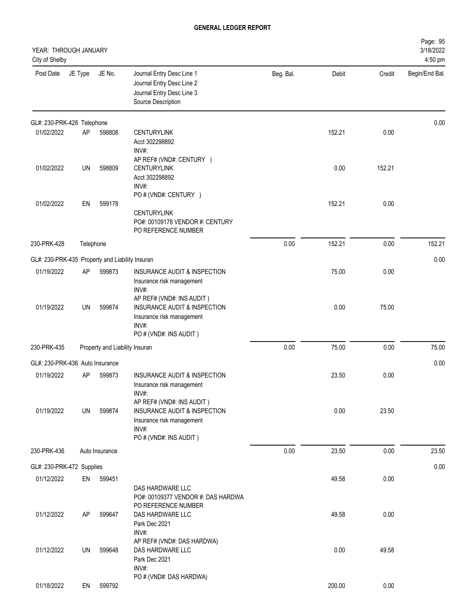| YEAR: THROUGH JANUARY<br>City of Shelby         |           |                                |                                                                                                                                      |           |        |        | Page: 95<br>3/18/2022<br>4:50 pm |
|-------------------------------------------------|-----------|--------------------------------|--------------------------------------------------------------------------------------------------------------------------------------|-----------|--------|--------|----------------------------------|
| Post Date                                       | JE Type   | JE No.                         | Journal Entry Desc Line 1<br>Journal Entry Desc Line 2<br>Journal Entry Desc Line 3<br>Source Description                            | Beg. Bal. | Debit  | Credit | Begin/End Bal.                   |
| GL#: 230-PRK-428 Telephone                      |           |                                |                                                                                                                                      |           |        |        | 0.00                             |
| 01/02/2022                                      | AP        | 598808                         | <b>CENTURYLINK</b><br>Acct 302298892<br>INV#:                                                                                        |           | 152.21 | 0.00   |                                  |
| 01/02/2022                                      | UN        | 598809                         | AP REF# (VND#: CENTURY )<br><b>CENTURYLINK</b><br>Acct 302298892<br>INV#:                                                            |           | 0.00   | 152.21 |                                  |
| 01/02/2022                                      | EN        | 599178                         | PO # (VND#: CENTURY )<br><b>CENTURYLINK</b><br>PO#: 00109178 VENDOR #: CENTURY<br>PO REFERENCE NUMBER                                |           | 152.21 | 0.00   |                                  |
| 230-PRK-428                                     | Telephone |                                |                                                                                                                                      | 0.00      | 152.21 | 0.00   | 152.21                           |
| GL#: 230-PRK-435 Property and Liability Insuran |           |                                |                                                                                                                                      |           |        |        | 0.00                             |
| 01/19/2022                                      | AP        | 599873                         | <b>INSURANCE AUDIT &amp; INSPECTION</b><br>Insurance risk management<br>INV#:                                                        |           | 75.00  | 0.00   |                                  |
| 01/19/2022                                      | UN        | 599874                         | AP REF# (VND#: INS AUDIT)<br>INSURANCE AUDIT & INSPECTION<br>Insurance risk management<br>INV#:<br>PO # (VND#: INS AUDIT)            |           | 0.00   | 75.00  |                                  |
| 230-PRK-435                                     |           | Property and Liability Insuran |                                                                                                                                      | 0.00      | 75.00  | 0.00   | 75.00                            |
| GL#: 230-PRK-436 Auto Insurance                 |           |                                |                                                                                                                                      |           |        |        | 0.00                             |
| 01/19/2022                                      | AP        | 599873                         | INSURANCE AUDIT & INSPECTION<br>Insurance risk management<br>INV#:                                                                   |           | 23.50  | 0.00   |                                  |
| 01/19/2022                                      | UN        | 599874                         | AP REF# (VND#: INS AUDIT)<br><b>INSURANCE AUDIT &amp; INSPECTION</b><br>Insurance risk management<br>INV#:<br>PO # (VND#: INS AUDIT) |           | 0.00   | 23.50  |                                  |
| 230-PRK-436                                     |           | Auto Insurance                 |                                                                                                                                      | 0.00      | 23.50  | 0.00   | 23.50                            |
| GL#: 230-PRK-472 Supplies                       |           |                                |                                                                                                                                      |           |        |        | 0.00                             |
| 01/12/2022                                      | EN        | 599451                         | DAS HARDWARE LLC<br>PO#: 00109377 VENDOR #: DAS HARDWA<br>PO REFERENCE NUMBER                                                        |           | 49.58  | 0.00   |                                  |
| 01/12/2022                                      | AP        | 599647                         | DAS HARDWARE LLC<br>Park Dec 2021<br>INV#:                                                                                           |           | 49.58  | 0.00   |                                  |
| 01/12/2022                                      | UN        | 599648                         | AP REF# (VND#: DAS HARDWA)<br>DAS HARDWARE LLC<br>Park Dec 2021<br>INV#:                                                             |           | 0.00   | 49.58  |                                  |
| 01/18/2022                                      | EN        | 599792                         | PO # (VND#: DAS HARDWA)                                                                                                              |           | 200.00 | 0.00   |                                  |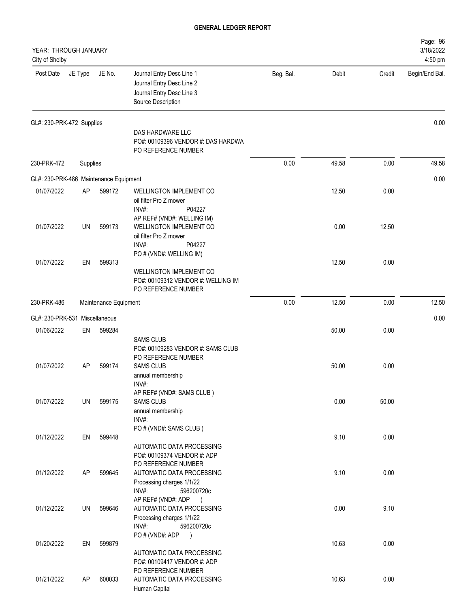| YEAR: THROUGH JANUARY<br>City of Shelby |          |                       |                                                                                                                        |           |       |        | Page: 96<br>3/18/2022<br>4:50 pm |
|-----------------------------------------|----------|-----------------------|------------------------------------------------------------------------------------------------------------------------|-----------|-------|--------|----------------------------------|
| Post Date                               | JE Type  | JE No.                | Journal Entry Desc Line 1<br>Journal Entry Desc Line 2<br>Journal Entry Desc Line 3<br>Source Description              | Beg. Bal. | Debit | Credit | Begin/End Bal.                   |
| GL#: 230-PRK-472 Supplies               |          |                       |                                                                                                                        |           |       |        | 0.00                             |
|                                         |          |                       | DAS HARDWARE LLC<br>PO#: 00109396 VENDOR #: DAS HARDWA<br>PO REFERENCE NUMBER                                          |           |       |        |                                  |
| 230-PRK-472                             | Supplies |                       |                                                                                                                        | 0.00      | 49.58 | 0.00   | 49.58                            |
| GL#: 230-PRK-486 Maintenance Equipment  |          |                       |                                                                                                                        |           |       |        | 0.00                             |
| 01/07/2022                              | AP       | 599172                | <b>WELLINGTON IMPLEMENT CO</b><br>oil filter Pro Z mower<br>INV#:<br>P04227                                            |           | 12.50 | 0.00   |                                  |
| 01/07/2022                              | UN       | 599173                | AP REF# (VND#: WELLING IM)<br><b>WELLINGTON IMPLEMENT CO</b><br>oil filter Pro Z mower<br>INV#:<br>P04227              |           | 0.00  | 12.50  |                                  |
| 01/07/2022                              | EN       | 599313                | PO # (VND#: WELLING IM)<br><b>WELLINGTON IMPLEMENT CO</b><br>PO#: 00109312 VENDOR #: WELLING IM<br>PO REFERENCE NUMBER |           | 12.50 | 0.00   |                                  |
| 230-PRK-486                             |          | Maintenance Equipment |                                                                                                                        | 0.00      | 12.50 | 0.00   | 12.50                            |
| GL#: 230-PRK-531 Miscellaneous          |          |                       |                                                                                                                        |           |       |        | 0.00                             |
| 01/06/2022                              | EN       | 599284                |                                                                                                                        |           | 50.00 | 0.00   |                                  |
|                                         |          |                       | <b>SAMS CLUB</b><br>PO#: 00109283 VENDOR #: SAMS CLUB<br>PO REFERENCE NUMBER                                           |           |       |        |                                  |
| 01/07/2022                              | AP       | 599174                | <b>SAMS CLUB</b><br>annual membership<br>INV#:<br>AP REF# (VND#: SAMS CLUB)                                            |           | 50.00 | 0.00   |                                  |
| 01/07/2022                              | UN       | 599175                | <b>SAMS CLUB</b><br>annual membership<br>INV#:<br>PO # (VND#: SAMS CLUB)                                               |           | 0.00  | 50.00  |                                  |
| 01/12/2022                              | EN       | 599448                | AUTOMATIC DATA PROCESSING<br>PO#: 00109374 VENDOR #: ADP<br>PO REFERENCE NUMBER                                        |           | 9.10  | 0.00   |                                  |
| 01/12/2022                              | AP       | 599645                | AUTOMATIC DATA PROCESSING<br>Processing charges 1/1/22<br>INV#:<br>596200720c<br>AP REF# (VND#: ADP<br>$\rightarrow$   |           | 9.10  | 0.00   |                                  |
| 01/12/2022                              | UN       | 599646                | AUTOMATIC DATA PROCESSING<br>Processing charges 1/1/22<br>INV#:<br>596200720c                                          |           | 0.00  | 9.10   |                                  |
| 01/20/2022                              | EN       | 599879                | PO#(VND#: ADP<br>$\lambda$<br>AUTOMATIC DATA PROCESSING<br>PO#: 00109417 VENDOR #: ADP                                 |           | 10.63 | 0.00   |                                  |
| 01/21/2022                              | AP       | 600033                | PO REFERENCE NUMBER<br>AUTOMATIC DATA PROCESSING<br>Human Capital                                                      |           | 10.63 | 0.00   |                                  |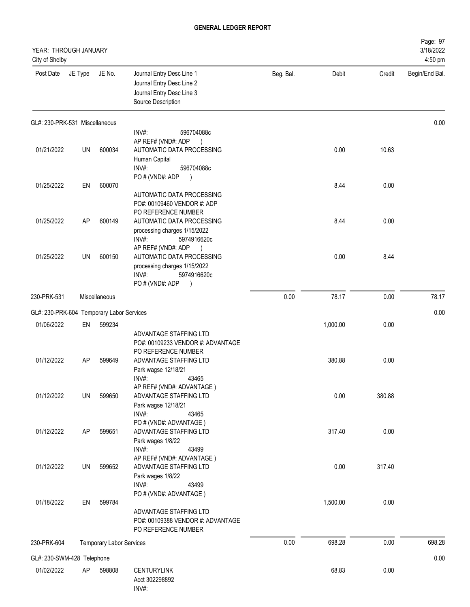| YEAR: THROUGH JANUARY<br>City of Shelby   |           |                                 |                                                                                                                                                       |           |          |        | Page: 97<br>3/18/2022<br>4:50 pm |
|-------------------------------------------|-----------|---------------------------------|-------------------------------------------------------------------------------------------------------------------------------------------------------|-----------|----------|--------|----------------------------------|
| Post Date                                 | JE Type   | JE No.                          | Journal Entry Desc Line 1<br>Journal Entry Desc Line 2<br>Journal Entry Desc Line 3<br>Source Description                                             | Beg. Bal. | Debit    | Credit | Begin/End Bal.                   |
| GL#: 230-PRK-531 Miscellaneous            |           |                                 |                                                                                                                                                       |           |          |        | 0.00                             |
| 01/21/2022                                | UN        | 600034                          | INV#:<br>596704088c<br>AP REF# (VND#: ADP<br>AUTOMATIC DATA PROCESSING<br>Human Capital<br>INV#:<br>596704088c                                        |           | 0.00     | 10.63  |                                  |
| 01/25/2022                                | EN        | 600070                          | PO # (VND#: ADP<br>AUTOMATIC DATA PROCESSING<br>PO#: 00109460 VENDOR #: ADP                                                                           |           | 8.44     | 0.00   |                                  |
| 01/25/2022                                | AP        | 600149                          | PO REFERENCE NUMBER<br>AUTOMATIC DATA PROCESSING<br>processing charges 1/15/2022<br>INV#:<br>5974916620c                                              |           | 8.44     | 0.00   |                                  |
| 01/25/2022                                | UN        | 600150                          | AP REF# (VND#: ADP<br>$\rightarrow$<br>AUTOMATIC DATA PROCESSING<br>processing charges 1/15/2022<br>INV#:<br>5974916620c<br>PO # (VND#: ADP           |           | 0.00     | 8.44   |                                  |
| 230-PRK-531                               |           | Miscellaneous                   |                                                                                                                                                       | 0.00      | 78.17    | 0.00   | 78.17                            |
| GL#: 230-PRK-604 Temporary Labor Services |           |                                 |                                                                                                                                                       |           |          |        | 0.00                             |
| 01/06/2022                                | EN        | 599234                          |                                                                                                                                                       |           | 1,000.00 | 0.00   |                                  |
| 01/12/2022                                | AP        | 599649                          | ADVANTAGE STAFFING LTD<br>PO#: 00109233 VENDOR #: ADVANTAGE<br>PO REFERENCE NUMBER<br>ADVANTAGE STAFFING LTD<br>Park wagse 12/18/21<br>INV#:<br>43465 |           | 380.88   | 0.00   |                                  |
| 01/12/2022                                | UN        | 599650                          | AP REF# (VND#: ADVANTAGE)<br>ADVANTAGE STAFFING LTD<br>Park wagse 12/18/21<br>INV#:<br>43465                                                          |           | 0.00     | 380.88 |                                  |
| 01/12/2022                                | <b>AP</b> | 599651                          | PO # (VND#: ADVANTAGE)<br>ADVANTAGE STAFFING LTD<br>Park wages 1/8/22<br>INV#:<br>43499                                                               |           | 317.40   | 0.00   |                                  |
| 01/12/2022                                | UN        | 599652                          | AP REF# (VND#: ADVANTAGE)<br>ADVANTAGE STAFFING LTD<br>Park wages 1/8/22<br>INV#:<br>43499                                                            |           | 0.00     | 317.40 |                                  |
| 01/18/2022                                | EN        | 599784                          | PO # (VND#: ADVANTAGE)<br>ADVANTAGE STAFFING LTD<br>PO#: 00109388 VENDOR #: ADVANTAGE<br>PO REFERENCE NUMBER                                          |           | 1,500.00 | 0.00   |                                  |
| 230-PRK-604                               |           | <b>Temporary Labor Services</b> |                                                                                                                                                       | 0.00      | 698.28   | 0.00   | 698.28                           |
| GL#: 230-SWM-428 Telephone                |           |                                 |                                                                                                                                                       |           |          |        | 0.00                             |
| 01/02/2022                                | AP        | 598808                          | <b>CENTURYLINK</b><br>Acct 302298892<br>INV#:                                                                                                         |           | 68.83    | 0.00   |                                  |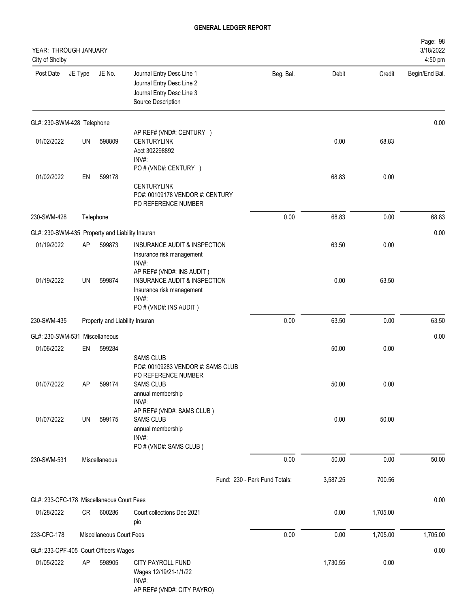| YEAR: THROUGH JANUARY<br>City of Shelby         |           |                          |                                                                                                                           |                               |          |          | Page: 98<br>3/18/2022<br>4:50 pm |
|-------------------------------------------------|-----------|--------------------------|---------------------------------------------------------------------------------------------------------------------------|-------------------------------|----------|----------|----------------------------------|
| Post Date                                       | JE Type   | JE No.                   | Journal Entry Desc Line 1<br>Journal Entry Desc Line 2<br>Journal Entry Desc Line 3<br>Source Description                 | Beg. Bal.                     | Debit    | Credit   | Begin/End Bal.                   |
| GL#: 230-SWM-428 Telephone                      |           |                          |                                                                                                                           |                               |          |          | 0.00                             |
| 01/02/2022                                      | UN        | 598809                   | AP REF# (VND#: CENTURY )<br><b>CENTURYLINK</b><br>Acct 302298892<br>INV#:                                                 |                               | 0.00     | 68.83    |                                  |
| 01/02/2022                                      | EN        | 599178                   | PO # (VND#: CENTURY )<br><b>CENTURYLINK</b><br>PO#: 00109178 VENDOR #: CENTURY<br>PO REFERENCE NUMBER                     |                               | 68.83    | 0.00     |                                  |
| 230-SWM-428                                     |           | Telephone                |                                                                                                                           | 0.00                          | 68.83    | 0.00     | 68.83                            |
| GL#: 230-SWM-435 Property and Liability Insuran |           |                          |                                                                                                                           |                               |          |          | 0.00                             |
| 01/19/2022                                      | AP        | 599873                   | INSURANCE AUDIT & INSPECTION<br>Insurance risk management<br>INV#:                                                        |                               | 63.50    | 0.00     |                                  |
| 01/19/2022                                      | <b>UN</b> | 599874                   | AP REF# (VND#: INS AUDIT)<br>INSURANCE AUDIT & INSPECTION<br>Insurance risk management<br>INV#:<br>PO # (VND#: INS AUDIT) |                               | 0.00     | 63.50    |                                  |
| 230-SWM-435                                     |           |                          | Property and Liability Insuran                                                                                            | 0.00                          | 63.50    | 0.00     | 63.50                            |
| GL#: 230-SWM-531 Miscellaneous                  |           |                          |                                                                                                                           |                               |          |          | 0.00                             |
| 01/06/2022                                      | EN        | 599284                   | <b>SAMS CLUB</b><br>PO#: 00109283 VENDOR #: SAMS CLUB                                                                     |                               | 50.00    | 0.00     |                                  |
| 01/07/2022                                      | AP        | 599174                   | PO REFERENCE NUMBER<br><b>SAMS CLUB</b><br>annual membership<br>INV#:                                                     |                               | 50.00    | 0.00     |                                  |
| 01/07/2022                                      | UN        | 599175                   | AP REF# (VND#: SAMS CLUB)<br><b>SAMS CLUB</b><br>annual membership<br>INV#:<br>PO # (VND#: SAMS CLUB)                     |                               | 0.00     | 50.00    |                                  |
| 230-SWM-531                                     |           | Miscellaneous            |                                                                                                                           | 0.00                          | 50.00    | 0.00     | 50.00                            |
|                                                 |           |                          |                                                                                                                           | Fund: 230 - Park Fund Totals: | 3,587.25 | 700.56   |                                  |
| GL#: 233-CFC-178 Miscellaneous Court Fees       |           |                          |                                                                                                                           |                               |          |          | 0.00                             |
| 01/28/2022                                      | CR        | 600286                   | Court collections Dec 2021<br>pio                                                                                         |                               | 0.00     | 1,705.00 |                                  |
| 233-CFC-178                                     |           | Miscellaneous Court Fees |                                                                                                                           | 0.00                          | 0.00     | 1,705.00 | 1,705.00                         |
| GL#: 233-CPF-405 Court Officers Wages           |           |                          |                                                                                                                           |                               |          |          | 0.00                             |
| 01/05/2022                                      | AP        | 598905                   | CITY PAYROLL FUND<br>Wages 12/19/21-1/1/22<br>INV#:<br>AP REF# (VND#: CITY PAYRO)                                         |                               | 1,730.55 | 0.00     |                                  |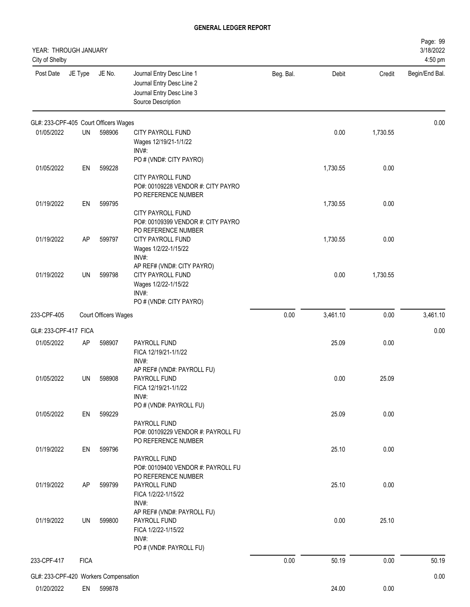| YEAR: THROUGH JANUARY<br>City of Shelby |             |                             |                                                                                                           |           |          |          | Page: 99<br>3/18/2022<br>4:50 pm |
|-----------------------------------------|-------------|-----------------------------|-----------------------------------------------------------------------------------------------------------|-----------|----------|----------|----------------------------------|
| Post Date                               | JE Type     | JE No.                      | Journal Entry Desc Line 1<br>Journal Entry Desc Line 2<br>Journal Entry Desc Line 3<br>Source Description | Beg. Bal. | Debit    | Credit   | Begin/End Bal.                   |
| GL#: 233-CPF-405 Court Officers Wages   |             |                             |                                                                                                           |           |          |          | 0.00                             |
| 01/05/2022                              | UN          | 598906                      | CITY PAYROLL FUND<br>Wages 12/19/21-1/1/22<br>INV#:                                                       |           | 0.00     | 1,730.55 |                                  |
| 01/05/2022                              | EN          | 599228                      | PO # (VND#: CITY PAYRO)<br>CITY PAYROLL FUND<br>PO#: 00109228 VENDOR #: CITY PAYRO<br>PO REFERENCE NUMBER |           | 1,730.55 | 0.00     |                                  |
| 01/19/2022                              | EN          | 599795                      | CITY PAYROLL FUND<br>PO#: 00109399 VENDOR #: CITY PAYRO<br>PO REFERENCE NUMBER                            |           | 1,730.55 | 0.00     |                                  |
| 01/19/2022                              | AP          | 599797                      | CITY PAYROLL FUND<br>Wages 1/2/22-1/15/22<br>INV#:<br>AP REF# (VND#: CITY PAYRO)                          |           | 1,730.55 | 0.00     |                                  |
| 01/19/2022                              | UN          | 599798                      | CITY PAYROLL FUND<br>Wages 1/2/22-1/15/22<br>INV#:<br>PO # (VND#: CITY PAYRO)                             |           | 0.00     | 1,730.55 |                                  |
| 233-CPF-405                             |             | <b>Court Officers Wages</b> |                                                                                                           | 0.00      | 3,461.10 | 0.00     | 3,461.10                         |
| GL#: 233-CPF-417 FICA                   |             |                             |                                                                                                           |           |          |          | 0.00                             |
| 01/05/2022                              | AP          | 598907                      | PAYROLL FUND<br>FICA 12/19/21-1/1/22<br>$INV#$ :                                                          |           | 25.09    | 0.00     |                                  |
| 01/05/2022                              | UN          | 598908                      | AP REF# (VND#: PAYROLL FU)<br>PAYROLL FUND<br>FICA 12/19/21-1/1/22<br>INV#:                               |           | 0.00     | 25.09    |                                  |
| 01/05/2022                              | EN          | 599229                      | PO # (VND#: PAYROLL FU)<br>PAYROLL FUND<br>PO#: 00109229 VENDOR #: PAYROLL FU<br>PO REFERENCE NUMBER      |           | 25.09    | 0.00     |                                  |
| 01/19/2022                              | EN          | 599796                      | PAYROLL FUND<br>PO#: 00109400 VENDOR #: PAYROLL FU<br>PO REFERENCE NUMBER                                 |           | 25.10    | 0.00     |                                  |
| 01/19/2022                              | AP          | 599799                      | PAYROLL FUND<br>FICA 1/2/22-1/15/22<br>INV#:<br>AP REF# (VND#: PAYROLL FU)                                |           | 25.10    | 0.00     |                                  |
| 01/19/2022                              | UN          | 599800                      | PAYROLL FUND<br>FICA 1/2/22-1/15/22<br>INV#:<br>PO # (VND#: PAYROLL FU)                                   |           | 0.00     | 25.10    |                                  |
| 233-CPF-417                             | <b>FICA</b> |                             |                                                                                                           | 0.00      | 50.19    | 0.00     | 50.19                            |
| GL#: 233-CPF-420 Workers Compensation   |             |                             |                                                                                                           |           |          |          | 0.00                             |
| 01/20/2022                              | EN          | 599878                      |                                                                                                           |           | 24.00    | 0.00     |                                  |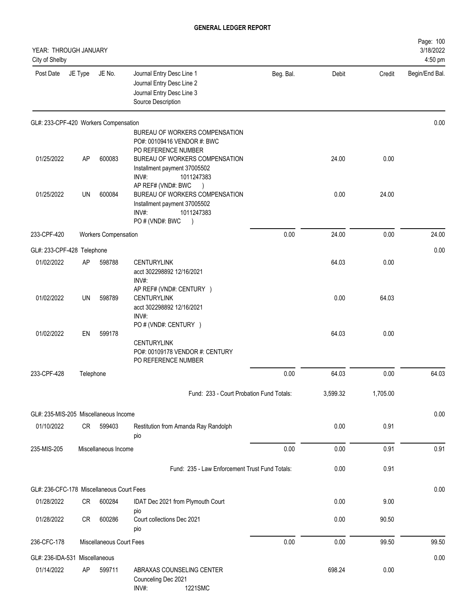| YEAR: THROUGH JANUARY<br>City of Shelby   |           |                             |                                                                                                                     |           |          |          | Page: 100<br>3/18/2022<br>4:50 pm |
|-------------------------------------------|-----------|-----------------------------|---------------------------------------------------------------------------------------------------------------------|-----------|----------|----------|-----------------------------------|
| Post Date                                 | JE Type   | JE No.                      | Journal Entry Desc Line 1<br>Journal Entry Desc Line 2<br>Journal Entry Desc Line 3<br>Source Description           | Beg. Bal. | Debit    | Credit   | Begin/End Bal.                    |
| GL#: 233-CPF-420 Workers Compensation     |           |                             |                                                                                                                     |           |          |          | 0.00                              |
|                                           |           |                             | BUREAU OF WORKERS COMPENSATION<br>PO#: 00109416 VENDOR #: BWC<br>PO REFERENCE NUMBER                                |           |          |          |                                   |
| 01/25/2022                                | AP        | 600083                      | BUREAU OF WORKERS COMPENSATION<br>Installment payment 37005502<br>INV#:<br>1011247383<br>AP REF# (VND#: BWC         |           | 24.00    | 0.00     |                                   |
| 01/25/2022                                | UN        | 600084                      | BUREAU OF WORKERS COMPENSATION<br>Installment payment 37005502<br>INV#:<br>1011247383<br>PO#(VND#: BWC<br>$\lambda$ |           | 0.00     | 24.00    |                                   |
| 233-CPF-420                               |           | <b>Workers Compensation</b> |                                                                                                                     | 0.00      | 24.00    | 0.00     | 24.00                             |
| GL#: 233-CPF-428 Telephone                |           |                             |                                                                                                                     |           |          |          | 0.00                              |
| 01/02/2022                                | AP        | 598788                      | <b>CENTURYLINK</b><br>acct 302298892 12/16/2021<br>INV#:                                                            |           | 64.03    | 0.00     |                                   |
| 01/02/2022                                | <b>UN</b> | 598789                      | AP REF# (VND#: CENTURY )<br><b>CENTURYLINK</b><br>acct 302298892 12/16/2021<br>INV#:                                |           | 0.00     | 64.03    |                                   |
| 01/02/2022                                | EN        | 599178                      | PO # (VND#: CENTURY )<br><b>CENTURYLINK</b><br>PO#: 00109178 VENDOR #: CENTURY<br>PO REFERENCE NUMBER               |           | 64.03    | 0.00     |                                   |
| 233-CPF-428                               | Telephone |                             |                                                                                                                     | 0.00      | 64.03    | 0.00     | 64.03                             |
|                                           |           |                             | Fund: 233 - Court Probation Fund Totals:                                                                            |           | 3,599.32 | 1,705.00 |                                   |
| GL#: 235-MIS-205 Miscellaneous Income     |           |                             |                                                                                                                     |           |          |          | 0.00                              |
| 01/10/2022                                | <b>CR</b> | 599403                      | Restitution from Amanda Ray Randolph<br>pio                                                                         |           | 0.00     | 0.91     |                                   |
| 235-MIS-205                               |           | Miscellaneous Income        |                                                                                                                     | 0.00      | 0.00     | 0.91     | 0.91                              |
|                                           |           |                             | Fund: 235 - Law Enforcement Trust Fund Totals:                                                                      |           | 0.00     | 0.91     |                                   |
| GL#: 236-CFC-178 Miscellaneous Court Fees |           |                             |                                                                                                                     |           |          |          | 0.00                              |
| 01/28/2022                                | CR        | 600284                      | IDAT Dec 2021 from Plymouth Court<br>pio                                                                            |           | 0.00     | 9.00     |                                   |
| 01/28/2022                                | <b>CR</b> | 600286                      | Court collections Dec 2021<br>pio                                                                                   |           | 0.00     | 90.50    |                                   |
| 236-CFC-178                               |           | Miscellaneous Court Fees    |                                                                                                                     | 0.00      | 0.00     | 99.50    | 99.50                             |
| GL#: 236-IDA-531 Miscellaneous            |           |                             |                                                                                                                     |           |          |          | 0.00                              |
| 01/14/2022                                | <b>AP</b> | 599711                      | ABRAXAS COUNSELING CENTER<br>Counceling Dec 2021<br>1221SMC<br>INV#:                                                |           | 698.24   | 0.00     |                                   |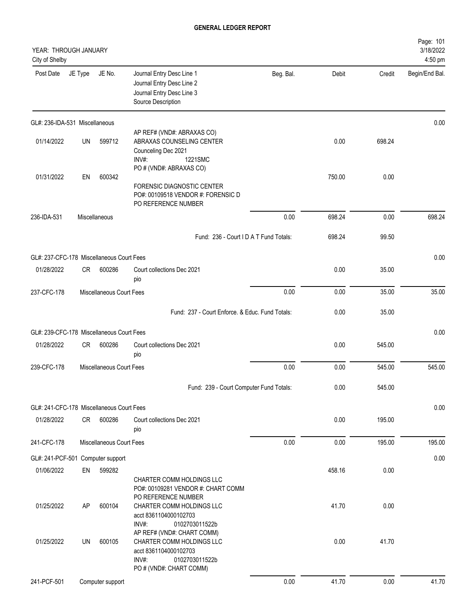| YEAR: THROUGH JANUARY<br>City of Shelby   |         |                          |                                                                                                                                        |           |        |        | Page: 101<br>3/18/2022<br>4:50 pm |
|-------------------------------------------|---------|--------------------------|----------------------------------------------------------------------------------------------------------------------------------------|-----------|--------|--------|-----------------------------------|
| Post Date                                 | JE Type | JE No.                   | Journal Entry Desc Line 1<br>Journal Entry Desc Line 2<br>Journal Entry Desc Line 3<br>Source Description                              | Beg. Bal. | Debit  | Credit | Begin/End Bal.                    |
| GL#: 236-IDA-531 Miscellaneous            |         |                          |                                                                                                                                        |           |        |        | 0.00                              |
| 01/14/2022                                | UN      | 599712                   | AP REF# (VND#: ABRAXAS CO)<br>ABRAXAS COUNSELING CENTER<br>Counceling Dec 2021<br>1221SMC<br>$INV#$ :                                  |           | 0.00   | 698.24 |                                   |
| 01/31/2022                                | EN      | 600342                   | PO # (VND#: ABRAXAS CO)<br>FORENSIC DIAGNOSTIC CENTER<br>PO#: 00109518 VENDOR #: FORENSIC D<br>PO REFERENCE NUMBER                     |           | 750.00 | 0.00   |                                   |
| 236-IDA-531                               |         | Miscellaneous            |                                                                                                                                        | 0.00      | 698.24 | 0.00   | 698.24                            |
|                                           |         |                          | Fund: 236 - Court I D A T Fund Totals:                                                                                                 |           | 698.24 | 99.50  |                                   |
| GL#: 237-CFC-178 Miscellaneous Court Fees |         |                          |                                                                                                                                        |           |        |        | 0.00                              |
| 01/28/2022                                | CR.     | 600286                   | Court collections Dec 2021<br>pio                                                                                                      |           | 0.00   | 35.00  |                                   |
| 237-CFC-178                               |         | Miscellaneous Court Fees |                                                                                                                                        | 0.00      | 0.00   | 35.00  | 35.00                             |
|                                           |         |                          | Fund: 237 - Court Enforce, & Educ, Fund Totals:                                                                                        |           | 0.00   | 35.00  |                                   |
| GL#: 239-CFC-178 Miscellaneous Court Fees |         |                          |                                                                                                                                        |           |        |        | 0.00                              |
| 01/28/2022                                | CR.     | 600286                   | Court collections Dec 2021<br>pio                                                                                                      |           | 0.00   | 545.00 |                                   |
| 239-CFC-178                               |         | Miscellaneous Court Fees |                                                                                                                                        | 0.00      | 0.00   | 545.00 | 545.00                            |
|                                           |         |                          | Fund: 239 - Court Computer Fund Totals:                                                                                                |           | 0.00   | 545.00 |                                   |
| GL#: 241-CFC-178 Miscellaneous Court Fees |         |                          |                                                                                                                                        |           |        |        | 0.00                              |
| 01/28/2022                                | CR      | 600286                   | Court collections Dec 2021<br>pio                                                                                                      |           | 0.00   | 195.00 |                                   |
| 241-CFC-178                               |         | Miscellaneous Court Fees |                                                                                                                                        | 0.00      | 0.00   | 195.00 | 195.00                            |
| GL#: 241-PCF-501 Computer support         |         |                          |                                                                                                                                        |           |        |        | 0.00                              |
| 01/06/2022                                | EN      | 599282                   | CHARTER COMM HOLDINGS LLC<br>PO#: 00109281 VENDOR #: CHART COMM                                                                        |           | 458.16 | 0.00   |                                   |
| 01/25/2022                                | AP      | 600104                   | PO REFERENCE NUMBER<br>CHARTER COMM HOLDINGS LLC<br>acct 8361104000102703<br>INV#:<br>0102703011522b                                   |           | 41.70  | 0.00   |                                   |
| 01/25/2022                                | UN      | 600105                   | AP REF# (VND#: CHART COMM)<br>CHARTER COMM HOLDINGS LLC<br>acct 8361104000102703<br>INV#:<br>0102703011522b<br>PO # (VND#: CHART COMM) |           | 0.00   | 41.70  |                                   |
| 241-PCF-501                               |         | Computer support         |                                                                                                                                        | 0.00      | 41.70  | 0.00   | 41.70                             |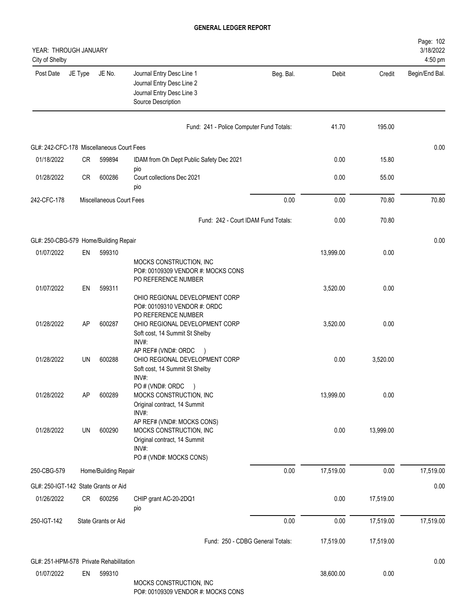| YEAR: THROUGH JANUARY<br>City of Shelby   |           |                          |                                                                                                                           |           |           |           | Page: 102<br>3/18/2022<br>4:50 pm |
|-------------------------------------------|-----------|--------------------------|---------------------------------------------------------------------------------------------------------------------------|-----------|-----------|-----------|-----------------------------------|
| Post Date                                 | JE Type   | JE No.                   | Journal Entry Desc Line 1<br>Journal Entry Desc Line 2<br>Journal Entry Desc Line 3<br>Source Description                 | Beg. Bal. | Debit     | Credit    | Begin/End Bal.                    |
|                                           |           |                          | Fund: 241 - Police Computer Fund Totals:                                                                                  |           | 41.70     | 195.00    |                                   |
| GL#: 242-CFC-178 Miscellaneous Court Fees |           |                          |                                                                                                                           |           |           |           | 0.00                              |
| 01/18/2022                                | <b>CR</b> | 599894                   | IDAM from Oh Dept Public Safety Dec 2021                                                                                  |           | 0.00      | 15.80     |                                   |
| 01/28/2022                                | <b>CR</b> | 600286                   | pio<br>Court collections Dec 2021<br>pio                                                                                  |           | 0.00      | 55.00     |                                   |
| 242-CFC-178                               |           | Miscellaneous Court Fees |                                                                                                                           | 0.00      | 0.00      | 70.80     | 70.80                             |
|                                           |           |                          | Fund: 242 - Court IDAM Fund Totals:                                                                                       |           | 0.00      | 70.80     |                                   |
| GL#: 250-CBG-579 Home/Building Repair     |           |                          |                                                                                                                           |           |           |           | 0.00                              |
| 01/07/2022                                | EN        | 599310                   | MOCKS CONSTRUCTION, INC<br>PO#: 00109309 VENDOR #: MOCKS CONS                                                             |           | 13,999.00 | 0.00      |                                   |
| 01/07/2022                                | EN        | 599311                   | PO REFERENCE NUMBER<br>OHIO REGIONAL DEVELOPMENT CORP<br>PO#: 00109310 VENDOR #: ORDC                                     |           | 3,520.00  | 0.00      |                                   |
| 01/28/2022                                | AP        | 600287                   | PO REFERENCE NUMBER<br>OHIO REGIONAL DEVELOPMENT CORP<br>Soft cost, 14 Summit St Shelby<br>INV#:                          |           | 3,520.00  | 0.00      |                                   |
| 01/28/2022                                | <b>UN</b> | 600288                   | AP REF# (VND#: ORDC<br>$\lambda$<br>OHIO REGIONAL DEVELOPMENT CORP<br>Soft cost, 14 Summit St Shelby<br>INV#:             |           | 0.00      | 3,520.00  |                                   |
| 01/28/2022                                | AP        | 600289                   | PO# (VND#: ORDC<br>$\left( \right)$<br>MOCKS CONSTRUCTION, INC<br>Original contract, 14 Summit<br>INV#:                   |           | 13,999.00 | 0.00      |                                   |
| 01/28/2022                                | UN        | 600290                   | AP REF# (VND#: MOCKS CONS)<br>MOCKS CONSTRUCTION, INC<br>Original contract, 14 Summit<br>INV#:<br>PO # (VND#: MOCKS CONS) |           | 0.00      | 13,999.00 |                                   |
| 250-CBG-579                               |           | Home/Building Repair     |                                                                                                                           | 0.00      | 17,519.00 | 0.00      | 17,519.00                         |
| GL#: 250-IGT-142 State Grants or Aid      |           |                          |                                                                                                                           |           |           |           | 0.00                              |
| 01/26/2022                                | CR        | 600256                   | CHIP grant AC-20-2DQ1<br>pio                                                                                              |           | 0.00      | 17,519.00 |                                   |
| 250-IGT-142                               |           | State Grants or Aid      |                                                                                                                           | 0.00      | 0.00      | 17,519.00 | 17,519.00                         |
|                                           |           |                          | Fund: 250 - CDBG General Totals:                                                                                          |           | 17,519.00 | 17,519.00 |                                   |
| GL#: 251-HPM-578 Private Rehabilitation   |           |                          |                                                                                                                           |           |           |           | 0.00                              |
| 01/07/2022                                | EN        | 599310                   | MOCKS CONSTRUCTION, INC                                                                                                   |           | 38,600.00 | 0.00      |                                   |

PO#: 00109309 VENDOR #: MOCKS CONS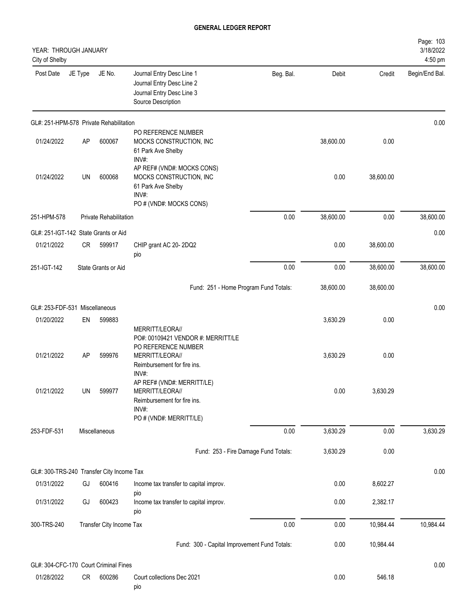| YEAR: THROUGH JANUARY<br>City of Shelby   |           |                          |                                                                                                                  |           |           |           | Page: 103<br>3/18/2022<br>4:50 pm |
|-------------------------------------------|-----------|--------------------------|------------------------------------------------------------------------------------------------------------------|-----------|-----------|-----------|-----------------------------------|
| Post Date                                 | JE Type   | JE No.                   | Journal Entry Desc Line 1<br>Journal Entry Desc Line 2<br>Journal Entry Desc Line 3<br>Source Description        | Beg. Bal. | Debit     | Credit    | Begin/End Bal.                    |
| GL#: 251-HPM-578 Private Rehabilitation   |           |                          |                                                                                                                  |           |           |           | 0.00                              |
| 01/24/2022                                | <b>AP</b> | 600067                   | PO REFERENCE NUMBER<br>MOCKS CONSTRUCTION, INC<br>61 Park Ave Shelby<br>INV#:                                    |           | 38,600.00 | 0.00      |                                   |
| 01/24/2022                                | UN        | 600068                   | AP REF# (VND#: MOCKS CONS)<br>MOCKS CONSTRUCTION, INC<br>61 Park Ave Shelby<br>INV#:<br>PO # (VND#: MOCKS CONS)  |           | 0.00      | 38,600.00 |                                   |
| 251-HPM-578                               |           | Private Rehabilitation   |                                                                                                                  | 0.00      | 38,600.00 | 0.00      | 38,600.00                         |
| GL#: 251-IGT-142 State Grants or Aid      |           |                          |                                                                                                                  |           |           |           | 0.00                              |
| 01/21/2022                                | CR.       | 599917                   | CHIP grant AC 20-2DQ2<br>pio                                                                                     |           | 0.00      | 38,600.00 |                                   |
| 251-IGT-142                               |           | State Grants or Aid      |                                                                                                                  | 0.00      | 0.00      | 38,600.00 | 38,600.00                         |
|                                           |           |                          | Fund: 251 - Home Program Fund Totals:                                                                            |           | 38,600.00 | 38,600.00 |                                   |
| GL#: 253-FDF-531 Miscellaneous            |           |                          |                                                                                                                  |           |           |           | 0.00                              |
| 01/20/2022                                | EN        | 599883                   | MERRITT/LEORA//<br>PO#: 00109421 VENDOR #: MERRITT/LE                                                            |           | 3,630.29  | 0.00      |                                   |
| 01/21/2022                                | AP        | 599976                   | PO REFERENCE NUMBER<br>MERRITT/LEORA//<br>Reimbursement for fire ins.<br>INV#:                                   |           | 3,630.29  | 0.00      |                                   |
| 01/21/2022                                | UN        | 599977                   | AP REF# (VND#: MERRITT/LE)<br>MERRITT/LEORA//<br>Reimbursement for fire ins.<br>INV#:<br>PO # (VND#: MERRITT/LE) |           | 0.00      | 3,630.29  |                                   |
| 253-FDF-531                               |           | Miscellaneous            |                                                                                                                  | 0.00      | 3,630.29  | 0.00      | 3,630.29                          |
|                                           |           |                          | Fund: 253 - Fire Damage Fund Totals:                                                                             |           | 3,630.29  | 0.00      |                                   |
| GL#: 300-TRS-240 Transfer City Income Tax |           |                          |                                                                                                                  |           |           |           | 0.00                              |
| 01/31/2022                                | GJ        | 600416                   | Income tax transfer to capital improv.                                                                           |           | 0.00      | 8,602.27  |                                   |
| 01/31/2022                                | GJ        | 600423                   | pio<br>Income tax transfer to capital improv.<br>pio                                                             |           | 0.00      | 2,382.17  |                                   |
| 300-TRS-240                               |           | Transfer City Income Tax |                                                                                                                  | 0.00      | 0.00      | 10,984.44 | 10,984.44                         |
|                                           |           |                          | Fund: 300 - Capital Improvement Fund Totals:                                                                     |           | 0.00      | 10,984.44 |                                   |
| GL#: 304-CFC-170 Court Criminal Fines     |           |                          |                                                                                                                  |           |           |           | 0.00                              |
| 01/28/2022                                | CR        | 600286                   | Court collections Dec 2021<br>pio                                                                                |           | 0.00      | 546.18    |                                   |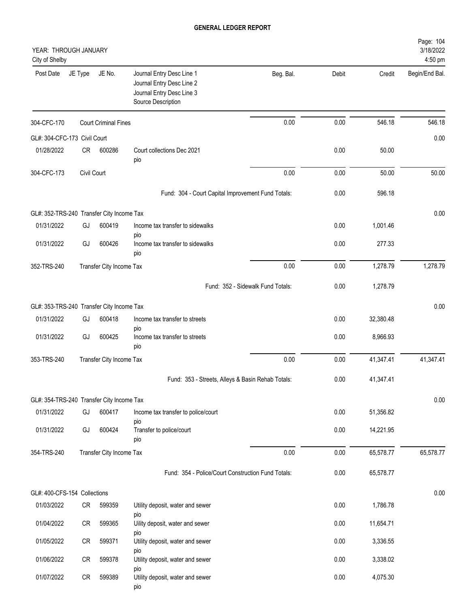| YEAR: THROUGH JANUARY<br>City of Shelby   |             |                             |                                                                                                           |           |       |           | Page: 104<br>3/18/2022<br>4:50 pm |
|-------------------------------------------|-------------|-----------------------------|-----------------------------------------------------------------------------------------------------------|-----------|-------|-----------|-----------------------------------|
| Post Date                                 | JE Type     | JE No.                      | Journal Entry Desc Line 1<br>Journal Entry Desc Line 2<br>Journal Entry Desc Line 3<br>Source Description | Beg. Bal. | Debit | Credit    | Begin/End Bal.                    |
| 304-CFC-170                               |             | <b>Court Criminal Fines</b> |                                                                                                           | 0.00      | 0.00  | 546.18    | 546.18                            |
| GL#: 304-CFC-173 Civil Court              |             |                             |                                                                                                           |           |       |           | 0.00                              |
| 01/28/2022                                | CR          | 600286                      | Court collections Dec 2021<br>pio                                                                         |           | 0.00  | 50.00     |                                   |
| 304-CFC-173                               | Civil Court |                             |                                                                                                           | 0.00      | 0.00  | 50.00     | 50.00                             |
|                                           |             |                             | Fund: 304 - Court Capital Improvement Fund Totals:                                                        |           | 0.00  | 596.18    |                                   |
| GL#: 352-TRS-240 Transfer City Income Tax |             |                             |                                                                                                           |           |       |           | 0.00                              |
| 01/31/2022                                | GJ          | 600419                      | Income tax transfer to sidewalks                                                                          |           | 0.00  | 1,001.46  |                                   |
| 01/31/2022                                | GJ          | 600426                      | pio<br>Income tax transfer to sidewalks<br>pio                                                            |           | 0.00  | 277.33    |                                   |
| 352-TRS-240                               |             | Transfer City Income Tax    |                                                                                                           | 0.00      | 0.00  | 1,278.79  | 1,278.79                          |
|                                           |             |                             | Fund: 352 - Sidewalk Fund Totals:                                                                         |           | 0.00  | 1,278.79  |                                   |
| GL#: 353-TRS-240 Transfer City Income Tax |             |                             |                                                                                                           |           |       |           | 0.00                              |
| 01/31/2022                                | GJ          | 600418                      | Income tax transfer to streets                                                                            |           | 0.00  | 32,380.48 |                                   |
| 01/31/2022                                | GJ          | 600425                      | pio<br>Income tax transfer to streets<br>pio                                                              |           | 0.00  | 8,966.93  |                                   |
| 353-TRS-240                               |             | Transfer City Income Tax    |                                                                                                           | 0.00      | 0.00  | 41,347.41 | 41,347.41                         |
|                                           |             |                             | Fund: 353 - Streets, Alleys & Basin Rehab Totals:                                                         |           | 0.00  | 41,347.41 |                                   |
| GL#: 354-TRS-240 Transfer City Income Tax |             |                             |                                                                                                           |           |       |           | 0.00                              |
| 01/31/2022                                | GJ          | 600417                      | Income tax transfer to police/court                                                                       |           | 0.00  | 51,356.82 |                                   |
| 01/31/2022                                | GJ          | 600424                      | pio<br>Transfer to police/court<br>pio                                                                    |           | 0.00  | 14,221.95 |                                   |
| 354-TRS-240                               |             | Transfer City Income Tax    |                                                                                                           | 0.00      | 0.00  | 65,578.77 | 65,578.77                         |
|                                           |             |                             | Fund: 354 - Police/Court Construction Fund Totals:                                                        |           | 0.00  | 65,578.77 |                                   |
| GL#: 400-CFS-154 Collections              |             |                             |                                                                                                           |           |       |           | 0.00                              |
| 01/03/2022                                | CR          | 599359                      | Utility deposit, water and sewer                                                                          |           | 0.00  | 1,786.78  |                                   |
| 01/04/2022                                | ${\sf CR}$  | 599365                      | pio<br>Uility deposit, water and sewer                                                                    |           | 0.00  | 11,654.71 |                                   |
| 01/05/2022                                | CR          | 599371                      | pio<br>Utility deposit, water and sewer                                                                   |           | 0.00  | 3,336.55  |                                   |
| 01/06/2022                                | ${\sf CR}$  | 599378                      | pio<br>Utility deposit, water and sewer                                                                   |           | 0.00  | 3,338.02  |                                   |
| 01/07/2022                                | CR          | 599389                      | pio<br>Utility deposit, water and sewer<br>pio                                                            |           | 0.00  | 4,075.30  |                                   |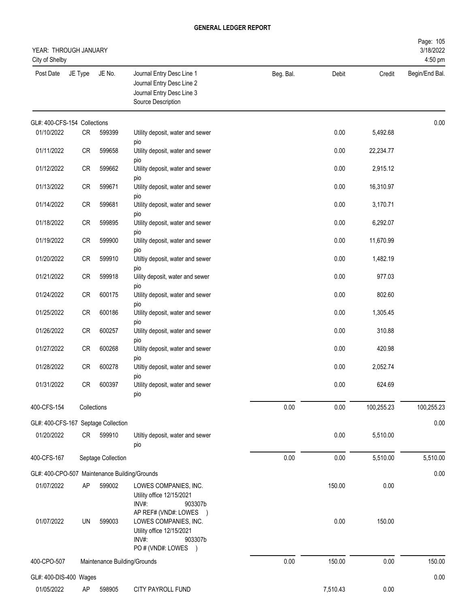| YEAR: THROUGH JANUARY<br>City of Shelby       |             |                              |                                                                                                                                        |           |          |            | Page: 105<br>3/18/2022<br>4:50 pm |
|-----------------------------------------------|-------------|------------------------------|----------------------------------------------------------------------------------------------------------------------------------------|-----------|----------|------------|-----------------------------------|
| Post Date                                     | JE Type     | JE No.                       | Journal Entry Desc Line 1<br>Journal Entry Desc Line 2<br>Journal Entry Desc Line 3<br>Source Description                              | Beg. Bal. | Debit    | Credit     | Begin/End Bal.                    |
| GL#: 400-CFS-154 Collections                  |             |                              |                                                                                                                                        |           |          |            | 0.00                              |
| 01/10/2022                                    | CR          | 599399                       | Utility deposit, water and sewer<br>pio                                                                                                |           | 0.00     | 5,492.68   |                                   |
| 01/11/2022                                    | CR          | 599658                       | Utility deposit, water and sewer                                                                                                       |           | 0.00     | 22,234.77  |                                   |
| 01/12/2022                                    | CR          | 599662                       | pio<br>Utility deposit, water and sewer                                                                                                |           | 0.00     | 2,915.12   |                                   |
| 01/13/2022                                    | CR          | 599671                       | pio<br>Utility deposit, water and sewer                                                                                                |           | 0.00     | 16,310.97  |                                   |
| 01/14/2022                                    | CR          | 599681                       | pio<br>Utility deposit, water and sewer                                                                                                |           | 0.00     | 3,170.71   |                                   |
| 01/18/2022                                    | CR          | 599895                       | pio<br>Utility deposit, water and sewer                                                                                                |           | 0.00     | 6,292.07   |                                   |
| 01/19/2022                                    | CR          | 599900                       | pio<br>Utility deposit, water and sewer<br>pio                                                                                         |           | 0.00     | 11,670.99  |                                   |
| 01/20/2022                                    | CR          | 599910                       | Utiltiy deposit, water and sewer<br>pio                                                                                                |           | 0.00     | 1,482.19   |                                   |
| 01/21/2022                                    | CR          | 599918                       | Uility deposit, water and sewer                                                                                                        |           | 0.00     | 977.03     |                                   |
| 01/24/2022                                    | CR          | 600175                       | pio<br>Utility deposit, water and sewer                                                                                                |           | 0.00     | 802.60     |                                   |
| 01/25/2022                                    | CR          | 600186                       | pio<br>Utility deposit, water and sewer                                                                                                |           | 0.00     | 1,305.45   |                                   |
| 01/26/2022                                    | CR          | 600257                       | pio<br>Utility deposit, water and sewer                                                                                                |           | 0.00     | 310.88     |                                   |
| 01/27/2022                                    | CR          | 600268                       | pio<br>Utility deposit, water and sewer                                                                                                |           | 0.00     | 420.98     |                                   |
| 01/28/2022                                    | CR          | 600278                       | pio<br>Utiltiy deposit, water and sewer                                                                                                |           | 0.00     | 2,052.74   |                                   |
| 01/31/2022                                    | CR          | 600397                       | pio<br>Utility deposit, water and sewer<br>pio                                                                                         |           | 0.00     | 624.69     |                                   |
| 400-CFS-154                                   | Collections |                              |                                                                                                                                        | 0.00      | 0.00     | 100,255.23 | 100,255.23                        |
| GL#: 400-CFS-167 Septage Collection           |             |                              |                                                                                                                                        |           |          |            | 0.00                              |
| 01/20/2022                                    | CR          | 599910                       | Utiltiy deposit, water and sewer<br>pio                                                                                                |           | 0.00     | 5,510.00   |                                   |
| 400-CFS-167                                   |             | Septage Collection           |                                                                                                                                        | 0.00      | 0.00     | 5,510.00   | 5,510.00                          |
| GL#: 400-CPO-507 Maintenance Building/Grounds |             |                              |                                                                                                                                        |           |          |            | 0.00                              |
| 01/07/2022                                    | AP          | 599002                       | LOWES COMPANIES, INC.<br>Utility office 12/15/2021<br>INV#:<br>903307b                                                                 |           | 150.00   | 0.00       |                                   |
| 01/07/2022                                    | UN          | 599003                       | AP REF# (VND#: LOWES<br>$\rightarrow$<br>LOWES COMPANIES, INC.<br>Utility office 12/15/2021<br>INV#:<br>903307b<br>PO # (VND#: LOWES ) |           | 0.00     | 150.00     |                                   |
| 400-CPO-507                                   |             | Maintenance Building/Grounds |                                                                                                                                        | 0.00      | 150.00   | 0.00       | 150.00                            |
| GL#: 400-DIS-400 Wages                        |             |                              |                                                                                                                                        |           |          |            | 0.00                              |
| 01/05/2022                                    | AP          | 598905                       | CITY PAYROLL FUND                                                                                                                      |           | 7,510.43 | 0.00       |                                   |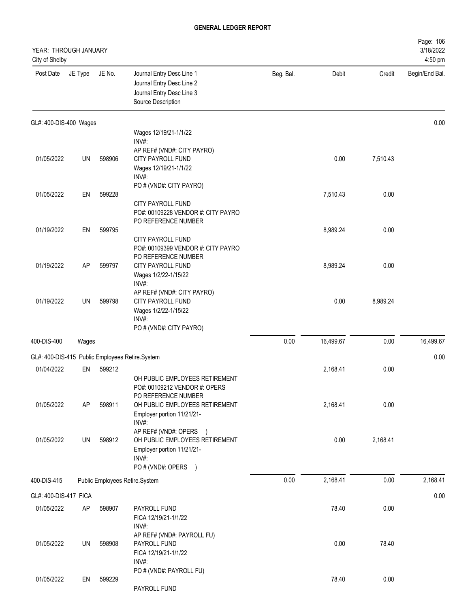| YEAR: THROUGH JANUARY<br>City of Shelby |         |        |                                                                                                           |           |           |          | Page: 106<br>3/18/2022<br>4:50 pm |
|-----------------------------------------|---------|--------|-----------------------------------------------------------------------------------------------------------|-----------|-----------|----------|-----------------------------------|
| Post Date                               | JE Type | JE No. | Journal Entry Desc Line 1<br>Journal Entry Desc Line 2<br>Journal Entry Desc Line 3<br>Source Description | Beg. Bal. | Debit     | Credit   | Begin/End Bal.                    |
| GL#: 400-DIS-400 Wages                  |         |        |                                                                                                           |           |           |          | 0.00                              |
|                                         |         |        | Wages 12/19/21-1/1/22<br>INV#:                                                                            |           |           |          |                                   |
|                                         |         |        | AP REF# (VND#: CITY PAYRO)                                                                                |           |           |          |                                   |
| 01/05/2022                              | UN      | 598906 | CITY PAYROLL FUND                                                                                         |           | 0.00      | 7,510.43 |                                   |
|                                         |         |        | Wages 12/19/21-1/1/22                                                                                     |           |           |          |                                   |
|                                         |         |        | INV#:<br>PO # (VND#: CITY PAYRO)                                                                          |           |           |          |                                   |
| 01/05/2022                              | EN      | 599228 |                                                                                                           |           | 7,510.43  | 0.00     |                                   |
|                                         |         |        | CITY PAYROLL FUND<br>PO#: 00109228 VENDOR #: CITY PAYRO                                                   |           |           |          |                                   |
|                                         |         |        | PO REFERENCE NUMBER                                                                                       |           |           |          |                                   |
| 01/19/2022                              | EN      | 599795 | CITY PAYROLL FUND                                                                                         |           | 8,989.24  | 0.00     |                                   |
|                                         |         |        | PO#: 00109399 VENDOR #: CITY PAYRO                                                                        |           |           |          |                                   |
|                                         |         |        | PO REFERENCE NUMBER                                                                                       |           |           |          |                                   |
| 01/19/2022                              | AP      | 599797 | CITY PAYROLL FUND<br>Wages 1/2/22-1/15/22                                                                 |           | 8,989.24  | 0.00     |                                   |
|                                         |         |        | INV#:                                                                                                     |           |           |          |                                   |
|                                         |         |        | AP REF# (VND#: CITY PAYRO)                                                                                |           |           |          |                                   |
| 01/19/2022                              | UN      | 599798 | CITY PAYROLL FUND                                                                                         |           | 0.00      | 8,989.24 |                                   |
|                                         |         |        | Wages 1/2/22-1/15/22<br>INV#:                                                                             |           |           |          |                                   |
|                                         |         |        | PO # (VND#: CITY PAYRO)                                                                                   |           |           |          |                                   |
| 400-DIS-400                             | Wages   |        |                                                                                                           | 0.00      | 16,499.67 | 0.00     | 16,499.67                         |
|                                         |         |        |                                                                                                           |           |           |          |                                   |
|                                         |         |        | GL#: 400-DIS-415 Public Employees Retire.System                                                           |           |           |          | 0.00                              |
| 01/04/2022                              | EN      | 599212 |                                                                                                           |           | 2,168.41  | 0.00     |                                   |
|                                         |         |        | OH PUBLIC EMPLOYEES RETIREMENT<br>PO#: 00109212 VENDOR #: OPERS                                           |           |           |          |                                   |
|                                         |         |        | PO REFERENCE NUMBER                                                                                       |           |           |          |                                   |
| 01/05/2022                              | AP      | 598911 | OH PUBLIC EMPLOYEES RETIREMENT                                                                            |           | 2,168.41  | 0.00     |                                   |
|                                         |         |        | Employer portion 11/21/21-<br>INV#:                                                                       |           |           |          |                                   |
|                                         |         |        | AP REF# (VND#: OPERS )                                                                                    |           |           |          |                                   |
| 01/05/2022                              | UN      | 598912 | OH PUBLIC EMPLOYEES RETIREMENT                                                                            |           | 0.00      | 2,168.41 |                                   |
|                                         |         |        | Employer portion 11/21/21-                                                                                |           |           |          |                                   |
|                                         |         |        | INV#:<br>PO # (VND#: OPERS )                                                                              |           |           |          |                                   |
| 400-DIS-415                             |         |        | Public Employees Retire.System                                                                            | 0.00      | 2,168.41  | 0.00     | 2,168.41                          |
|                                         |         |        |                                                                                                           |           |           |          |                                   |
| GL#: 400-DIS-417 FICA                   |         |        |                                                                                                           |           |           |          | 0.00                              |
| 01/05/2022                              | AP      | 598907 | PAYROLL FUND                                                                                              |           | 78.40     | 0.00     |                                   |
|                                         |         |        | FICA 12/19/21-1/1/22<br>INV#:                                                                             |           |           |          |                                   |
|                                         |         |        | AP REF# (VND#: PAYROLL FU)                                                                                |           |           |          |                                   |
| 01/05/2022                              | UN      | 598908 | PAYROLL FUND                                                                                              |           | 0.00      | 78.40    |                                   |
|                                         |         |        | FICA 12/19/21-1/1/22                                                                                      |           |           |          |                                   |
|                                         |         |        | INV#:<br>PO # (VND#: PAYROLL FU)                                                                          |           |           |          |                                   |
| 01/05/2022                              | EN      | 599229 |                                                                                                           |           | 78.40     | 0.00     |                                   |
|                                         |         |        | PAYROLL FUND                                                                                              |           |           |          |                                   |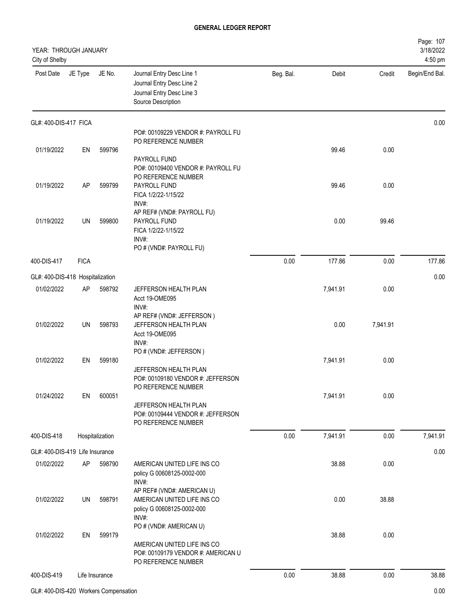| YEAR: THROUGH JANUARY<br>City of Shelby |             |                 |                                                                                                           |           |          |          | Page: 107<br>3/18/2022<br>4:50 pm |
|-----------------------------------------|-------------|-----------------|-----------------------------------------------------------------------------------------------------------|-----------|----------|----------|-----------------------------------|
| Post Date                               | JE Type     | JE No.          | Journal Entry Desc Line 1<br>Journal Entry Desc Line 2<br>Journal Entry Desc Line 3<br>Source Description | Beg. Bal. | Debit    | Credit   | Begin/End Bal.                    |
| GL#: 400-DIS-417 FICA                   |             |                 |                                                                                                           |           |          |          | 0.00                              |
|                                         |             |                 | PO#: 00109229 VENDOR #: PAYROLL FU<br>PO REFERENCE NUMBER                                                 |           |          |          |                                   |
| 01/19/2022                              | EN          | 599796          |                                                                                                           |           | 99.46    | 0.00     |                                   |
|                                         |             |                 | PAYROLL FUND<br>PO#: 00109400 VENDOR #: PAYROLL FU<br>PO REFERENCE NUMBER                                 |           |          |          |                                   |
| 01/19/2022                              | <b>AP</b>   | 599799          | PAYROLL FUND<br>FICA 1/2/22-1/15/22<br>INV#:                                                              |           | 99.46    | 0.00     |                                   |
| 01/19/2022                              | UN          | 599800          | AP REF# (VND#: PAYROLL FU)<br>PAYROLL FUND<br>FICA 1/2/22-1/15/22<br>INV#:<br>PO # (VND#: PAYROLL FU)     |           | 0.00     | 99.46    |                                   |
| 400-DIS-417                             | <b>FICA</b> |                 |                                                                                                           | 0.00      | 177.86   | 0.00     | 177.86                            |
| GL#: 400-DIS-418 Hospitalization        |             |                 |                                                                                                           |           |          |          | 0.00                              |
| 01/02/2022                              | AP          | 598792          | JEFFERSON HEALTH PLAN                                                                                     |           | 7,941.91 | 0.00     |                                   |
|                                         |             |                 | Acct 19-OME095<br>INV#:                                                                                   |           |          |          |                                   |
| 01/02/2022                              | UN          | 598793          | AP REF# (VND#: JEFFERSON)<br>JEFFERSON HEALTH PLAN<br>Acct 19-OME095<br>INV#:                             |           | 0.00     | 7,941.91 |                                   |
| 01/02/2022                              | EN          | 599180          | PO # (VND#: JEFFERSON)                                                                                    |           | 7,941.91 | 0.00     |                                   |
|                                         |             |                 | JEFFERSON HEALTH PLAN<br>PO#: 00109180 VENDOR #: JEFFERSON<br>PO REFERENCE NUMBER                         |           |          |          |                                   |
| 01/24/2022                              | EN          | 600051          |                                                                                                           |           | 7,941.91 | 0.00     |                                   |
|                                         |             |                 | JEFFERSON HEALTH PLAN<br>PO#: 00109444 VENDOR #: JEFFERSON<br>PO REFERENCE NUMBER                         |           |          |          |                                   |
| 400-DIS-418                             |             | Hospitalization |                                                                                                           | 0.00      | 7,941.91 | 0.00     | 7,941.91                          |
| GL#: 400-DIS-419 Life Insurance         |             |                 |                                                                                                           |           |          |          | 0.00                              |
| 01/02/2022                              | <b>AP</b>   | 598790          | AMERICAN UNITED LIFE INS CO<br>policy G 00608125-0002-000<br>INV#:                                        |           | 38.88    | 0.00     |                                   |
| 01/02/2022                              | UN          | 598791          | AP REF# (VND#: AMERICAN U)<br>AMERICAN UNITED LIFE INS CO<br>policy G 00608125-0002-000<br>INV#:          |           | 0.00     | 38.88    |                                   |
|                                         |             |                 | PO # (VND#: AMERICAN U)                                                                                   |           |          |          |                                   |
| 01/02/2022                              | EN          | 599179          | AMERICAN UNITED LIFE INS CO<br>PO#: 00109179 VENDOR #: AMERICAN U<br>PO REFERENCE NUMBER                  |           | 38.88    | 0.00     |                                   |
| 400-DIS-419                             |             | Life Insurance  |                                                                                                           | 0.00      | 38.88    | 0.00     | 38.88                             |
|                                         |             |                 |                                                                                                           |           |          |          |                                   |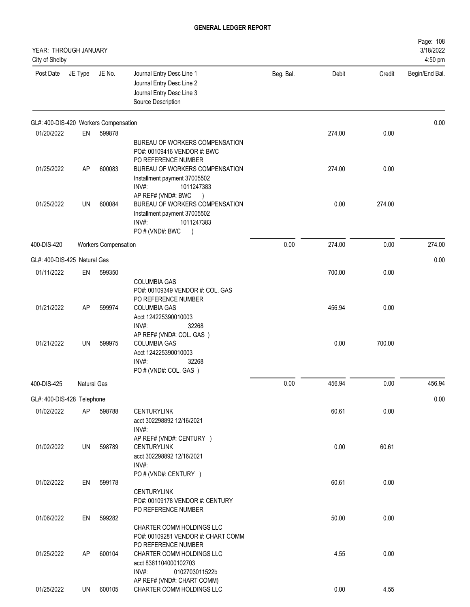| YEAR: THROUGH JANUARY<br>City of Shelby |             |                             |                                                                                                                              |           |        |        | Page: 108<br>3/18/2022<br>4:50 pm |
|-----------------------------------------|-------------|-----------------------------|------------------------------------------------------------------------------------------------------------------------------|-----------|--------|--------|-----------------------------------|
| Post Date                               | JE Type     | JE No.                      | Journal Entry Desc Line 1<br>Journal Entry Desc Line 2<br>Journal Entry Desc Line 3<br>Source Description                    | Beg. Bal. | Debit  | Credit | Begin/End Bal.                    |
| GL#: 400-DIS-420 Workers Compensation   |             |                             |                                                                                                                              |           |        |        | 0.00                              |
| 01/20/2022                              | EN          | 599878                      | BUREAU OF WORKERS COMPENSATION<br>PO#: 00109416 VENDOR #: BWC<br>PO REFERENCE NUMBER                                         |           | 274.00 | 0.00   |                                   |
| 01/25/2022                              | AP          | 600083                      | BUREAU OF WORKERS COMPENSATION<br>Installment payment 37005502<br>INV#:<br>1011247383<br>AP REF# (VND#: BWC<br>$\rightarrow$ |           | 274.00 | 0.00   |                                   |
| 01/25/2022                              | UN          | 600084                      | BUREAU OF WORKERS COMPENSATION<br>Installment payment 37005502<br>INV#:<br>1011247383<br>PO#(VND#: BWC<br>$\lambda$          |           | 0.00   | 274.00 |                                   |
| 400-DIS-420                             |             | <b>Workers Compensation</b> |                                                                                                                              | 0.00      | 274.00 | 0.00   | 274.00                            |
| GL#: 400-DIS-425 Natural Gas            |             |                             |                                                                                                                              |           |        |        | 0.00                              |
| 01/11/2022                              | EN          | 599350                      | <b>COLUMBIA GAS</b><br>PO#: 00109349 VENDOR #: COL. GAS                                                                      |           | 700.00 | 0.00   |                                   |
| 01/21/2022                              | AP          | 599974                      | PO REFERENCE NUMBER<br><b>COLUMBIA GAS</b><br>Acct 124225390010003<br>INV#:<br>32268<br>AP REF# (VND#: COL. GAS)             |           | 456.94 | 0.00   |                                   |
| 01/21/2022                              | UN          | 599975                      | <b>COLUMBIA GAS</b><br>Acct 124225390010003<br>INV#:<br>32268<br>PO # (VND#: COL. GAS)                                       |           | 0.00   | 700.00 |                                   |
| 400-DIS-425                             | Natural Gas |                             |                                                                                                                              | 0.00      | 456.94 | 0.00   | 456.94                            |
| GL#: 400-DIS-428 Telephone              |             |                             |                                                                                                                              |           |        |        | 0.00                              |
| 01/02/2022                              | AP          | 598788                      | <b>CENTURYLINK</b><br>acct 302298892 12/16/2021<br>INV#:                                                                     |           | 60.61  | 0.00   |                                   |
| 01/02/2022                              | UN          | 598789                      | AP REF# (VND#: CENTURY )<br><b>CENTURYLINK</b><br>acct 302298892 12/16/2021<br>INV#:<br>PO # (VND#: CENTURY )                |           | 0.00   | 60.61  |                                   |
| 01/02/2022                              | EN          | 599178                      | <b>CENTURYLINK</b><br>PO#: 00109178 VENDOR #: CENTURY<br>PO REFERENCE NUMBER                                                 |           | 60.61  | 0.00   |                                   |
| 01/06/2022                              | EN          | 599282                      | CHARTER COMM HOLDINGS LLC<br>PO#: 00109281 VENDOR #: CHART COMM<br>PO REFERENCE NUMBER                                       |           | 50.00  | 0.00   |                                   |
| 01/25/2022                              | AP          | 600104                      | CHARTER COMM HOLDINGS LLC<br>acct 8361104000102703<br>INV#:<br>0102703011522b<br>AP REF# (VND#: CHART COMM)                  |           | 4.55   | 0.00   |                                   |
| 01/25/2022                              | UN          | 600105                      | CHARTER COMM HOLDINGS LLC                                                                                                    |           | 0.00   | 4.55   |                                   |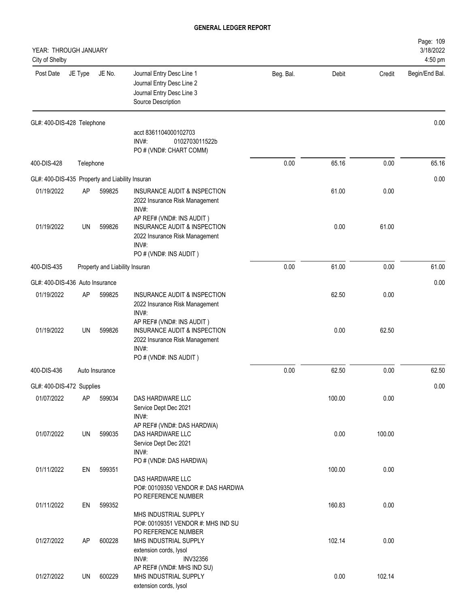| YEAR: THROUGH JANUARY<br>City of Shelby         |           |                                |                                                                                                                                           |           |        |        | Page: 109<br>3/18/2022<br>4:50 pm |
|-------------------------------------------------|-----------|--------------------------------|-------------------------------------------------------------------------------------------------------------------------------------------|-----------|--------|--------|-----------------------------------|
| Post Date                                       | JE Type   | JE No.                         | Journal Entry Desc Line 1<br>Journal Entry Desc Line 2<br>Journal Entry Desc Line 3<br>Source Description                                 | Beg. Bal. | Debit  | Credit | Begin/End Bal.                    |
| GL#: 400-DIS-428 Telephone                      |           |                                |                                                                                                                                           |           |        |        | 0.00                              |
|                                                 |           |                                | acct 8361104000102703<br>INV#:<br>0102703011522b<br>PO # (VND#: CHART COMM)                                                               |           |        |        |                                   |
| 400-DIS-428                                     | Telephone |                                |                                                                                                                                           | 0.00      | 65.16  | 0.00   | 65.16                             |
| GL#: 400-DIS-435 Property and Liability Insuran |           |                                |                                                                                                                                           |           |        |        | 0.00                              |
| 01/19/2022                                      | AP        | 599825                         | <b>INSURANCE AUDIT &amp; INSPECTION</b><br>2022 Insurance Risk Management<br>INV#:                                                        |           | 61.00  | 0.00   |                                   |
| 01/19/2022                                      | <b>UN</b> | 599826                         | AP REF# (VND#: INS AUDIT)<br><b>INSURANCE AUDIT &amp; INSPECTION</b><br>2022 Insurance Risk Management<br>INV#:<br>PO # (VND#: INS AUDIT) |           | 0.00   | 61.00  |                                   |
| 400-DIS-435                                     |           | Property and Liability Insuran |                                                                                                                                           | 0.00      | 61.00  | 0.00   | 61.00                             |
| GL#: 400-DIS-436 Auto Insurance                 |           |                                |                                                                                                                                           |           |        |        | 0.00                              |
| 01/19/2022                                      | AP        | 599825                         | INSURANCE AUDIT & INSPECTION<br>2022 Insurance Risk Management<br>INV#:                                                                   |           | 62.50  | 0.00   |                                   |
| 01/19/2022                                      | <b>UN</b> | 599826                         | AP REF# (VND#: INS AUDIT)<br>INSURANCE AUDIT & INSPECTION<br>2022 Insurance Risk Management<br>INV#:<br>PO # (VND#: INS AUDIT)            |           | 0.00   | 62.50  |                                   |
| 400-DIS-436                                     |           | Auto Insurance                 |                                                                                                                                           | 0.00      | 62.50  | 0.00   | 62.50                             |
| GL#: 400-DIS-472 Supplies                       |           |                                |                                                                                                                                           |           |        |        | 0.00                              |
| 01/07/2022                                      | AP        | 599034                         | DAS HARDWARE LLC<br>Service Dept Dec 2021<br>INV#:                                                                                        |           | 100.00 | 0.00   |                                   |
| 01/07/2022                                      | UN        | 599035                         | AP REF# (VND#: DAS HARDWA)<br>DAS HARDWARE LLC<br>Service Dept Dec 2021<br>INV#:                                                          |           | 0.00   | 100.00 |                                   |
| 01/11/2022                                      | EN        | 599351                         | PO # (VND#: DAS HARDWA)<br>DAS HARDWARE LLC<br>PO#: 00109350 VENDOR #: DAS HARDWA                                                         |           | 100.00 | 0.00   |                                   |
| 01/11/2022                                      | EN        | 599352                         | PO REFERENCE NUMBER<br>MHS INDUSTRIAL SUPPLY<br>PO#: 00109351 VENDOR #: MHS IND SU                                                        |           | 160.83 | 0.00   |                                   |
| 01/27/2022                                      | AP        | 600228                         | PO REFERENCE NUMBER<br>MHS INDUSTRIAL SUPPLY<br>extension cords, lysol<br>INV#:<br><b>INV32356</b>                                        |           | 102.14 | 0.00   |                                   |
| 01/27/2022                                      | UN        | 600229                         | AP REF# (VND#: MHS IND SU)<br>MHS INDUSTRIAL SUPPLY<br>extension cords, lysol                                                             |           | 0.00   | 102.14 |                                   |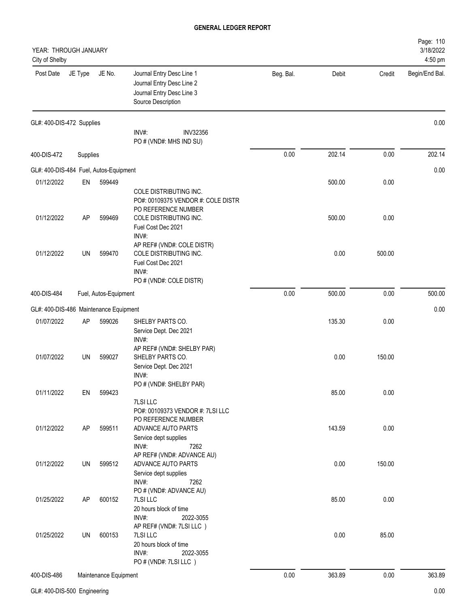| YEAR: THROUGH JANUARY<br>City of Shelby |           |                       |                                                                                                                |           |        |        | Page: 110<br>3/18/2022<br>4:50 pm |
|-----------------------------------------|-----------|-----------------------|----------------------------------------------------------------------------------------------------------------|-----------|--------|--------|-----------------------------------|
| Post Date                               | JE Type   | JE No.                | Journal Entry Desc Line 1<br>Journal Entry Desc Line 2<br>Journal Entry Desc Line 3<br>Source Description      | Beg. Bal. | Debit  | Credit | Begin/End Bal.                    |
| GL#: 400-DIS-472 Supplies               |           |                       |                                                                                                                |           |        |        | 0.00                              |
|                                         |           |                       | INV#:<br><b>INV32356</b><br>PO # (VND#: MHS IND SU)                                                            |           |        |        |                                   |
| 400-DIS-472                             | Supplies  |                       |                                                                                                                | 0.00      | 202.14 | 0.00   | 202.14                            |
| GL#: 400-DIS-484 Fuel, Autos-Equipment  |           |                       |                                                                                                                |           |        |        | 0.00                              |
| 01/12/2022                              | EN        | 599449                |                                                                                                                |           | 500.00 | 0.00   |                                   |
| 01/12/2022                              | AP        | 599469                | COLE DISTRIBUTING INC.<br>PO#: 00109375 VENDOR #: COLE DISTR<br>PO REFERENCE NUMBER<br>COLE DISTRIBUTING INC.  |           | 500.00 | 0.00   |                                   |
|                                         |           |                       | Fuel Cost Dec 2021<br>INV#:                                                                                    |           |        |        |                                   |
| 01/12/2022                              | UN        | 599470                | AP REF# (VND#: COLE DISTR)<br>COLE DISTRIBUTING INC.<br>Fuel Cost Dec 2021<br>INV#:<br>PO # (VND#: COLE DISTR) |           | 0.00   | 500.00 |                                   |
| 400-DIS-484                             |           | Fuel, Autos-Equipment |                                                                                                                | 0.00      | 500.00 | 0.00   | 500.00                            |
| GL#: 400-DIS-486 Maintenance Equipment  |           |                       |                                                                                                                |           |        |        | 0.00                              |
| 01/07/2022                              | AP        | 599026                | SHELBY PARTS CO.                                                                                               |           | 135.30 | 0.00   |                                   |
|                                         |           |                       | Service Dept. Dec 2021<br>INV#:<br>AP REF# (VND#: SHELBY PAR)                                                  |           |        |        |                                   |
| 01/07/2022                              | <b>UN</b> | 599027                | SHELBY PARTS CO.<br>Service Dept. Dec 2021<br>INV#:                                                            |           | 0.00   | 150.00 |                                   |
| 01/11/2022                              | EN        | 599423                | PO # (VND#: SHELBY PAR)                                                                                        |           | 85.00  | 0.00   |                                   |
|                                         |           |                       | 7LSI LLC<br>PO#: 00109373 VENDOR #: 7LSI LLC<br>PO REFERENCE NUMBER                                            |           |        |        |                                   |
| 01/12/2022                              | AP        | 599511                | ADVANCE AUTO PARTS<br>Service dept supplies<br>INV#:<br>7262<br>AP REF# (VND#: ADVANCE AU)                     |           | 143.59 | 0.00   |                                   |
| 01/12/2022                              | UN        | 599512                | ADVANCE AUTO PARTS<br>Service dept supplies<br>INV#:<br>7262                                                   |           | 0.00   | 150.00 |                                   |
| 01/25/2022                              | AP        | 600152                | PO # (VND#: ADVANCE AU)<br>7LSI LLC<br>20 hours block of time<br>INV#:<br>2022-3055                            |           | 85.00  | 0.00   |                                   |
| 01/25/2022                              | UN        | 600153                | AP REF# (VND#: 7LSI LLC)<br>7LSI LLC<br>20 hours block of time<br>INV#:<br>2022-3055<br>PO # (VND#: 7LSI LLC)  |           | 0.00   | 85.00  |                                   |
| 400-DIS-486                             |           | Maintenance Equipment |                                                                                                                | 0.00      | 363.89 | 0.00   | 363.89                            |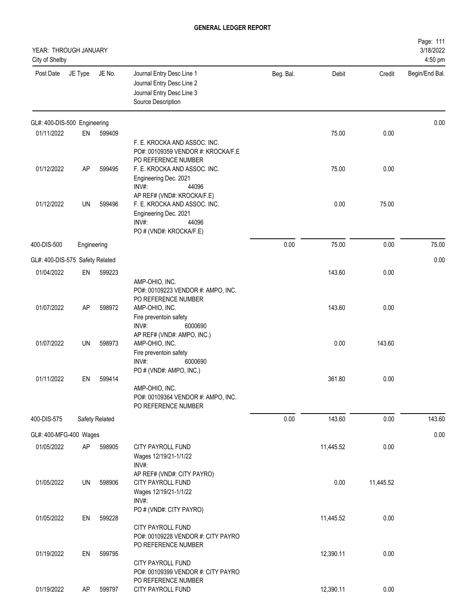| YEAR: THROUGH JANUARY<br>City of Shelby |             |                |                                                                                                           |           |           |           | Page: 111<br>3/18/2022<br>4:50 pm |
|-----------------------------------------|-------------|----------------|-----------------------------------------------------------------------------------------------------------|-----------|-----------|-----------|-----------------------------------|
| Post Date                               | JE Type     | JE No.         | Journal Entry Desc Line 1<br>Journal Entry Desc Line 2<br>Journal Entry Desc Line 3<br>Source Description | Beg. Bal. | Debit     | Credit    | Begin/End Bal.                    |
| GL#: 400-DIS-500 Engineering            |             |                |                                                                                                           |           |           |           | 0.00                              |
| 01/11/2022                              | EN          | 599409         | F. E. KROCKA AND ASSOC. INC.                                                                              |           | 75.00     | 0.00      |                                   |
|                                         |             |                | PO#: 00109359 VENDOR #: KROCKA/F.E<br>PO REFERENCE NUMBER                                                 |           |           |           |                                   |
| 01/12/2022                              | AP          | 599495         | F. E. KROCKA AND ASSOC. INC.<br>Engineering Dec. 2021<br>INV#:<br>44096                                   |           | 75.00     | 0.00      |                                   |
| 01/12/2022                              | UN          | 599496         | AP REF# (VND#: KROCKA/F.E)<br>F. E. KROCKA AND ASSOC. INC.<br>Engineering Dec. 2021<br>INV#:<br>44096     |           | 0.00      | 75.00     |                                   |
| 400-DIS-500                             | Engineering |                | PO # (VND#: KROCKA/F.E)                                                                                   | 0.00      | 75.00     | 0.00      | 75.00                             |
| GL#: 400-DIS-575 Safety Related         |             |                |                                                                                                           |           |           |           | 0.00                              |
| 01/04/2022                              | EN          | 599223         |                                                                                                           |           | 143.60    | 0.00      |                                   |
|                                         |             |                | AMP-OHIO, INC.<br>PO#: 00109223 VENDOR #: AMPO, INC.<br>PO REFERENCE NUMBER                               |           |           |           |                                   |
| 01/07/2022                              | AP          | 598972         | AMP-OHIO, INC.<br>Fire preventoin safety<br>INV#:<br>6000690<br>AP REF# (VND#: AMPO, INC.)                |           | 143.60    | 0.00      |                                   |
| 01/07/2022                              | UN          | 598973         | AMP-OHIO, INC.<br>Fire preventoin safety<br>INV#:<br>6000690<br>PO # (VND#: AMPO, INC.)                   |           | 0.00      | 143.60    |                                   |
| 01/11/2022                              | EN          | 599414         | AMP-OHIO, INC.<br>PO#: 00109364 VENDOR #: AMPO, INC.<br>PO REFERENCE NUMBER                               |           | 361.80    | 0.00      |                                   |
| 400-DIS-575                             |             | Safety Related |                                                                                                           | 0.00      | 143.60    | 0.00      | 143.60                            |
| GL#: 400-MFG-400 Wages                  |             |                |                                                                                                           |           |           |           | 0.00                              |
| 01/05/2022                              | AP          | 598905         | <b>CITY PAYROLL FUND</b><br>Wages 12/19/21-1/1/22<br>INV#:                                                |           | 11,445.52 | 0.00      |                                   |
| 01/05/2022                              | UN          | 598906         | AP REF# (VND#: CITY PAYRO)<br>CITY PAYROLL FUND<br>Wages 12/19/21-1/1/22<br>INV#:                         |           | 0.00      | 11,445.52 |                                   |
| 01/05/2022                              | EN          | 599228         | PO # (VND#: CITY PAYRO)<br>CITY PAYROLL FUND<br>PO#: 00109228 VENDOR #: CITY PAYRO                        |           | 11,445.52 | 0.00      |                                   |
| 01/19/2022                              | EN          | 599795         | PO REFERENCE NUMBER<br>CITY PAYROLL FUND<br>PO#: 00109399 VENDOR #: CITY PAYRO<br>PO REFERENCE NUMBER     |           | 12,390.11 | 0.00      |                                   |
| 01/19/2022                              | AP          | 599797         | CITY PAYROLL FUND                                                                                         |           | 12,390.11 | 0.00      |                                   |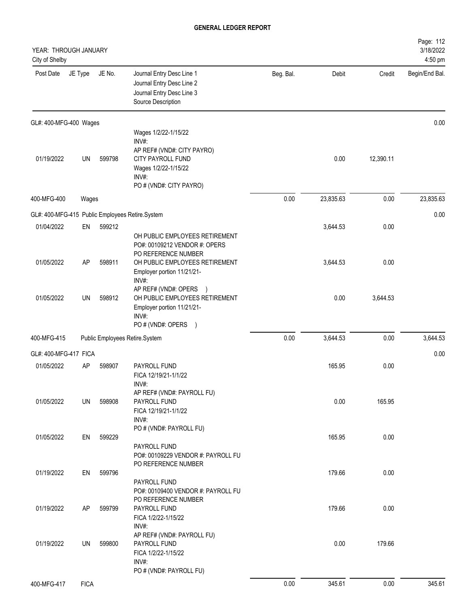| YEAR: THROUGH JANUARY<br>City of Shelby |             |        |                                                                                                                                              |           |           |           | Page: 112<br>3/18/2022<br>4:50 pm |
|-----------------------------------------|-------------|--------|----------------------------------------------------------------------------------------------------------------------------------------------|-----------|-----------|-----------|-----------------------------------|
| Post Date                               | JE Type     | JE No. | Journal Entry Desc Line 1<br>Journal Entry Desc Line 2<br>Journal Entry Desc Line 3<br>Source Description                                    | Beg. Bal. | Debit     | Credit    | Begin/End Bal.                    |
| GL#: 400-MFG-400 Wages                  |             |        |                                                                                                                                              |           |           |           | 0.00                              |
| 01/19/2022                              | UN          | 599798 | Wages 1/2/22-1/15/22<br>INV#:<br>AP REF# (VND#: CITY PAYRO)<br>CITY PAYROLL FUND<br>Wages 1/2/22-1/15/22<br>INV#:<br>PO # (VND#: CITY PAYRO) |           | 0.00      | 12,390.11 |                                   |
| 400-MFG-400                             | Wages       |        |                                                                                                                                              | 0.00      | 23,835.63 | 0.00      | 23,835.63                         |
|                                         |             |        | GL#: 400-MFG-415 Public Employees Retire.System                                                                                              |           |           |           | 0.00                              |
| 01/04/2022                              | EN          | 599212 | OH PUBLIC EMPLOYEES RETIREMENT<br>PO#: 00109212 VENDOR #: OPERS<br>PO REFERENCE NUMBER                                                       |           | 3,644.53  | 0.00      |                                   |
| 01/05/2022                              | AP          | 598911 | OH PUBLIC EMPLOYEES RETIREMENT<br>Employer portion 11/21/21-<br>INV#:<br>AP REF# (VND#: OPERS<br>$\rightarrow$                               |           | 3,644.53  | 0.00      |                                   |
| 01/05/2022                              | UN          | 598912 | OH PUBLIC EMPLOYEES RETIREMENT<br>Employer portion 11/21/21-<br>INV#:<br>PO # (VND#: OPERS<br>$\rightarrow$                                  |           | 0.00      | 3,644.53  |                                   |
| 400-MFG-415                             |             |        | Public Employees Retire.System                                                                                                               | 0.00      | 3,644.53  | 0.00      | 3,644.53                          |
| GL#: 400-MFG-417 FICA                   |             |        |                                                                                                                                              |           |           |           | 0.00                              |
| 01/05/2022                              | AP          | 598907 | PAYROLL FUND<br>FICA 12/19/21-1/1/22<br>INV#:<br>AP REF# (VND#: PAYROLL FU)                                                                  |           | 165.95    | 0.00      |                                   |
| 01/05/2022                              | UN          | 598908 | PAYROLL FUND<br>FICA 12/19/21-1/1/22<br>INV#:<br>PO # (VND#: PAYROLL FU)                                                                     |           | 0.00      | 165.95    |                                   |
| 01/05/2022                              | EN          | 599229 | PAYROLL FUND<br>PO#: 00109229 VENDOR #: PAYROLL FU<br>PO REFERENCE NUMBER                                                                    |           | 165.95    | 0.00      |                                   |
| 01/19/2022                              | EN          | 599796 | PAYROLL FUND<br>PO#: 00109400 VENDOR #: PAYROLL FU                                                                                           |           | 179.66    | 0.00      |                                   |
| 01/19/2022                              | AP          | 599799 | PO REFERENCE NUMBER<br>PAYROLL FUND<br>FICA 1/2/22-1/15/22<br>INV#:                                                                          |           | 179.66    | 0.00      |                                   |
| 01/19/2022                              | UN          | 599800 | AP REF# (VND#: PAYROLL FU)<br>PAYROLL FUND<br>FICA 1/2/22-1/15/22<br>INV#:<br>PO # (VND#: PAYROLL FU)                                        |           | 0.00      | 179.66    |                                   |
| 400-MFG-417                             | <b>FICA</b> |        |                                                                                                                                              | 0.00      | 345.61    | 0.00      | 345.61                            |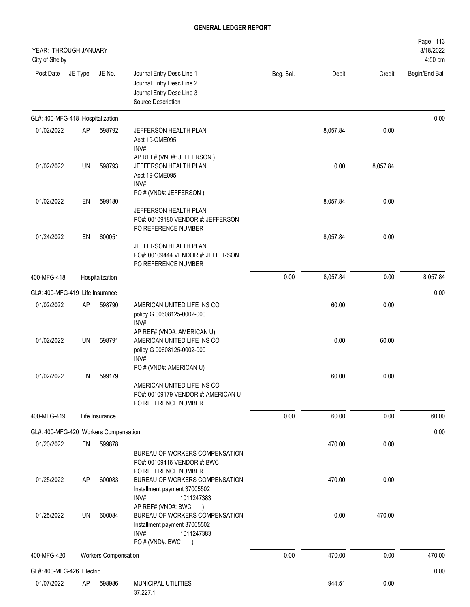| YEAR: THROUGH JANUARY<br>City of Shelby |         |                             |                                                                                                                                                                                     |           |          |          | Page: 113<br>3/18/2022<br>4:50 pm |
|-----------------------------------------|---------|-----------------------------|-------------------------------------------------------------------------------------------------------------------------------------------------------------------------------------|-----------|----------|----------|-----------------------------------|
| Post Date                               | JE Type | JE No.                      | Journal Entry Desc Line 1<br>Journal Entry Desc Line 2<br>Journal Entry Desc Line 3<br>Source Description                                                                           | Beg. Bal. | Debit    | Credit   | Begin/End Bal.                    |
| GL#: 400-MFG-418 Hospitalization        |         |                             |                                                                                                                                                                                     |           |          |          | 0.00                              |
| 01/02/2022                              | AP      | 598792                      | JEFFERSON HEALTH PLAN<br>Acct 19-OME095<br>INV#:                                                                                                                                    |           | 8,057.84 | 0.00     |                                   |
| 01/02/2022                              | UN      | 598793                      | AP REF# (VND#: JEFFERSON)<br>JEFFERSON HEALTH PLAN<br>Acct 19-OME095<br>INV#:                                                                                                       |           | 0.00     | 8,057.84 |                                   |
| 01/02/2022                              | EN      | 599180                      | PO # (VND#: JEFFERSON)                                                                                                                                                              |           | 8,057.84 | 0.00     |                                   |
| 01/24/2022                              | EN      | 600051                      | JEFFERSON HEALTH PLAN<br>PO#: 00109180 VENDOR #: JEFFERSON<br>PO REFERENCE NUMBER                                                                                                   |           | 8,057.84 | 0.00     |                                   |
|                                         |         |                             | JEFFERSON HEALTH PLAN<br>PO#: 00109444 VENDOR #: JEFFERSON<br>PO REFERENCE NUMBER                                                                                                   |           |          |          |                                   |
| 400-MFG-418                             |         | Hospitalization             |                                                                                                                                                                                     | 0.00      | 8,057.84 | 0.00     | 8,057.84                          |
| GL#: 400-MFG-419 Life Insurance         |         |                             |                                                                                                                                                                                     |           |          |          | 0.00                              |
| 01/02/2022                              | AP      | 598790                      | AMERICAN UNITED LIFE INS CO<br>policy G 00608125-0002-000<br>INV#:                                                                                                                  |           | 60.00    | 0.00     |                                   |
| 01/02/2022                              | UN      | 598791                      | AP REF# (VND#: AMERICAN U)<br>AMERICAN UNITED LIFE INS CO<br>policy G 00608125-0002-000<br>INV#:                                                                                    |           | 0.00     | 60.00    |                                   |
| 01/02/2022                              | EN      | 599179                      | PO # (VND#: AMERICAN U)<br>AMERICAN UNITED LIFE INS CO<br>PO#: 00109179 VENDOR #: AMERICAN U<br>PO REFERENCE NUMBER                                                                 |           | 60.00    | 0.00     |                                   |
| 400-MFG-419                             |         | Life Insurance              |                                                                                                                                                                                     | 0.00      | 60.00    | 0.00     | 60.00                             |
| GL#: 400-MFG-420 Workers Compensation   |         |                             |                                                                                                                                                                                     |           |          |          | 0.00                              |
| 01/20/2022                              | EN      | 599878                      |                                                                                                                                                                                     |           | 470.00   | 0.00     |                                   |
| 01/25/2022                              | AP      | 600083                      | BUREAU OF WORKERS COMPENSATION<br>PO#: 00109416 VENDOR #: BWC<br>PO REFERENCE NUMBER<br>BUREAU OF WORKERS COMPENSATION<br>Installment payment 37005502                              |           | 470.00   | 0.00     |                                   |
| 01/25/2022                              | UN      | 600084                      | INV#:<br>1011247383<br>AP REF# (VND#: BWC<br>$\rightarrow$<br>BUREAU OF WORKERS COMPENSATION<br>Installment payment 37005502<br>1011247383<br>INV#:<br>PO # (VND#: BWC<br>$\lambda$ |           | 0.00     | 470.00   |                                   |
| 400-MFG-420                             |         | <b>Workers Compensation</b> |                                                                                                                                                                                     | 0.00      | 470.00   | 0.00     | 470.00                            |
| GL#: 400-MFG-426 Electric               |         |                             |                                                                                                                                                                                     |           |          |          | 0.00                              |
| 01/07/2022                              | AP      | 598986                      | MUNICIPAL UTILITIES<br>37.227.1                                                                                                                                                     |           | 944.51   | 0.00     |                                   |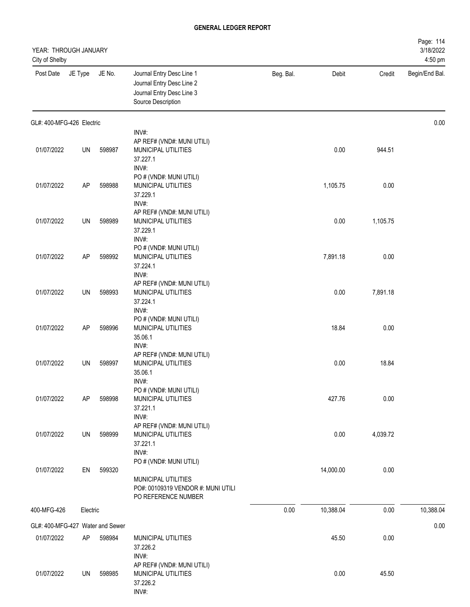| YEAR: THROUGH JANUARY<br>City of Shelby |           |        |                                                                                                             |           |           |          | Page: 114<br>3/18/2022<br>4:50 pm |
|-----------------------------------------|-----------|--------|-------------------------------------------------------------------------------------------------------------|-----------|-----------|----------|-----------------------------------|
| Post Date                               | JE Type   | JE No. | Journal Entry Desc Line 1<br>Journal Entry Desc Line 2<br>Journal Entry Desc Line 3<br>Source Description   | Beg. Bal. | Debit     | Credit   | Begin/End Bal.                    |
| GL#: 400-MFG-426 Electric               |           |        |                                                                                                             |           |           |          | 0.00                              |
| 01/07/2022                              | UN        | 598987 | INV#:<br>AP REF# (VND#: MUNI UTILI)<br><b>MUNICIPAL UTILITIES</b><br>37.227.1<br>INV#:                      |           | 0.00      | 944.51   |                                   |
| 01/07/2022                              | AP        | 598988 | PO # (VND#: MUNI UTILI)<br>MUNICIPAL UTILITIES<br>37.229.1<br>INV#:                                         |           | 1,105.75  | 0.00     |                                   |
| 01/07/2022                              | UN        | 598989 | AP REF# (VND#: MUNI UTILI)<br>MUNICIPAL UTILITIES<br>37.229.1<br>INV#:                                      |           | 0.00      | 1,105.75 |                                   |
| 01/07/2022                              | <b>AP</b> | 598992 | PO # (VND#: MUNI UTILI)<br>MUNICIPAL UTILITIES<br>37.224.1<br>INV#:                                         |           | 7,891.18  | 0.00     |                                   |
| 01/07/2022                              | UN        | 598993 | AP REF# (VND#: MUNI UTILI)<br>MUNICIPAL UTILITIES<br>37.224.1                                               |           | 0.00      | 7,891.18 |                                   |
| 01/07/2022                              | <b>AP</b> | 598996 | INV#:<br>PO # (VND#: MUNI UTILI)<br>MUNICIPAL UTILITIES<br>35.06.1                                          |           | 18.84     | 0.00     |                                   |
| 01/07/2022                              | UN        | 598997 | INV#:<br>AP REF# (VND#: MUNI UTILI)<br>MUNICIPAL UTILITIES<br>35.06.1                                       |           | 0.00      | 18.84    |                                   |
| 01/07/2022                              | AP        | 598998 | INV#:<br>PO # (VND#: MUNI UTILI)<br>MUNICIPAL UTILITIES<br>37.221.1<br>INV#:                                |           | 427.76    | 0.00     |                                   |
| 01/07/2022                              | UN        | 598999 | AP REF# (VND#: MUNI UTILI)<br>MUNICIPAL UTILITIES<br>37.221.1<br>INV#:                                      |           | 0.00      | 4,039.72 |                                   |
| 01/07/2022                              | EN        | 599320 | PO # (VND#: MUNI UTILI)<br>MUNICIPAL UTILITIES<br>PO#: 00109319 VENDOR #: MUNI UTILI<br>PO REFERENCE NUMBER |           | 14,000.00 | 0.00     |                                   |
| 400-MFG-426                             | Electric  |        |                                                                                                             | 0.00      | 10,388.04 | 0.00     | 10,388.04                         |
| GL#: 400-MFG-427 Water and Sewer        |           |        |                                                                                                             |           |           |          | 0.00                              |
| 01/07/2022                              | AP        | 598984 | MUNICIPAL UTILITIES<br>37.226.2<br>INV#:                                                                    |           | 45.50     | 0.00     |                                   |
| 01/07/2022                              | UN        | 598985 | AP REF# (VND#: MUNI UTILI)<br>MUNICIPAL UTILITIES<br>37.226.2<br>INV#:                                      |           | 0.00      | 45.50    |                                   |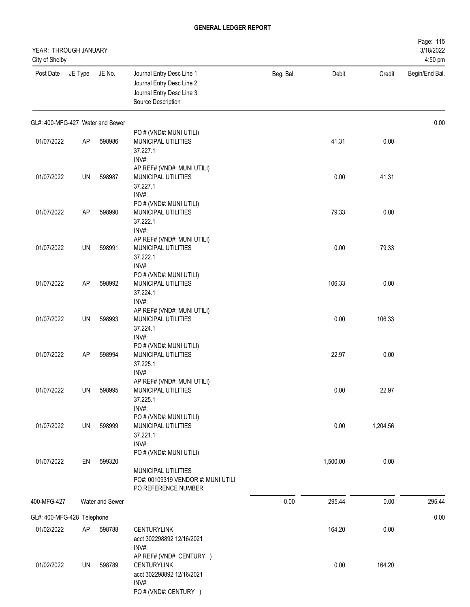| YEAR: THROUGH JANUARY<br>City of Shelby |         |                 |                                                                                                               |           |          |          | Page: 115<br>3/18/2022<br>4:50 pm |
|-----------------------------------------|---------|-----------------|---------------------------------------------------------------------------------------------------------------|-----------|----------|----------|-----------------------------------|
| Post Date                               | JE Type | JE No.          | Journal Entry Desc Line 1<br>Journal Entry Desc Line 2<br>Journal Entry Desc Line 3<br>Source Description     | Beg. Bal. | Debit    | Credit   | Begin/End Bal.                    |
| GL#: 400-MFG-427 Water and Sewer        |         |                 |                                                                                                               |           |          |          | 0.00                              |
| 01/07/2022                              | AP      | 598986          | PO # (VND#: MUNI UTILI)<br><b>MUNICIPAL UTILITIES</b><br>37.227.1                                             |           | 41.31    | 0.00     |                                   |
| 01/07/2022                              | UN      | 598987          | INV#:<br>AP REF# (VND#: MUNI UTILI)<br>MUNICIPAL UTILITIES<br>37.227.1<br>INV#:                               |           | 0.00     | 41.31    |                                   |
| 01/07/2022                              | AP      | 598990          | PO # (VND#: MUNI UTILI)<br>MUNICIPAL UTILITIES<br>37.222.1                                                    |           | 79.33    | 0.00     |                                   |
| 01/07/2022                              | UN      | 598991          | INV#:<br>AP REF# (VND#: MUNI UTILI)<br>MUNICIPAL UTILITIES<br>37.222.1                                        |           | 0.00     | 79.33    |                                   |
| 01/07/2022                              | AP      | 598992          | INV#:<br>PO # (VND#: MUNI UTILI)<br>MUNICIPAL UTILITIES<br>37.224.1                                           |           | 106.33   | 0.00     |                                   |
| 01/07/2022                              | UN      | 598993          | INV#:<br>AP REF# (VND#: MUNI UTILI)<br>MUNICIPAL UTILITIES<br>37.224.1                                        |           | 0.00     | 106.33   |                                   |
| 01/07/2022                              | AP      | 598994          | INV#:<br>PO # (VND#: MUNI UTILI)<br>MUNICIPAL UTILITIES<br>37.225.1<br>INV#:                                  |           | 22.97    | 0.00     |                                   |
| 01/07/2022                              | UN      | 598995          | AP REF# (VND#: MUNI UTILI)<br>MUNICIPAL UTILITIES<br>37.225.1<br>INV#:                                        |           | 0.00     | 22.97    |                                   |
| 01/07/2022                              | UN      | 598999          | PO # (VND#: MUNI UTILI)<br>MUNICIPAL UTILITIES<br>37.221.1<br>INV#:                                           |           | 0.00     | 1,204.56 |                                   |
| 01/07/2022                              | EN      | 599320          | PO # (VND#: MUNI UTILI)<br>MUNICIPAL UTILITIES<br>PO#: 00109319 VENDOR #: MUNI UTILI<br>PO REFERENCE NUMBER   |           | 1,500.00 | 0.00     |                                   |
| 400-MFG-427                             |         | Water and Sewer |                                                                                                               | 0.00      | 295.44   | 0.00     | 295.44                            |
| GL#: 400-MFG-428 Telephone              |         |                 |                                                                                                               |           |          |          | 0.00                              |
| 01/02/2022                              | AP      | 598788          | <b>CENTURYLINK</b><br>acct 302298892 12/16/2021<br>INV#:                                                      |           | 164.20   | 0.00     |                                   |
| 01/02/2022                              | UN      | 598789          | AP REF# (VND#: CENTURY )<br><b>CENTURYLINK</b><br>acct 302298892 12/16/2021<br>INV#:<br>PO # (VND#: CENTURY ) |           | 0.00     | 164.20   |                                   |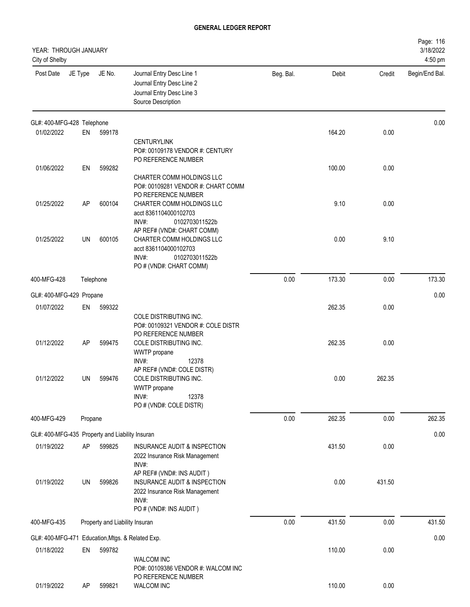| YEAR: THROUGH JANUARY<br>City of Shelby         |         |                                |                                                                                                             |           |        |        | Page: 116<br>3/18/2022<br>4:50 pm |
|-------------------------------------------------|---------|--------------------------------|-------------------------------------------------------------------------------------------------------------|-----------|--------|--------|-----------------------------------|
| Post Date                                       | JE Type | JE No.                         | Journal Entry Desc Line 1<br>Journal Entry Desc Line 2<br>Journal Entry Desc Line 3<br>Source Description   | Beg. Bal. | Debit  | Credit | Begin/End Bal.                    |
| GL#: 400-MFG-428 Telephone                      |         |                                |                                                                                                             |           |        |        | 0.00                              |
| 01/02/2022                                      | EN      | 599178                         | <b>CENTURYLINK</b><br>PO#: 00109178 VENDOR #: CENTURY<br>PO REFERENCE NUMBER                                |           | 164.20 | 0.00   |                                   |
| 01/06/2022                                      | EN      | 599282                         | CHARTER COMM HOLDINGS LLC<br>PO#: 00109281 VENDOR #: CHART COMM<br>PO REFERENCE NUMBER                      |           | 100.00 | 0.00   |                                   |
| 01/25/2022                                      | AP      | 600104                         | CHARTER COMM HOLDINGS LLC<br>acct 8361104000102703<br>INV#:<br>0102703011522b<br>AP REF# (VND#: CHART COMM) |           | 9.10   | 0.00   |                                   |
| 01/25/2022                                      | UN      | 600105                         | CHARTER COMM HOLDINGS LLC<br>acct 8361104000102703<br>INV#:<br>0102703011522b<br>PO # (VND#: CHART COMM)    |           | 0.00   | 9.10   |                                   |
| 400-MFG-428                                     |         | Telephone                      |                                                                                                             | 0.00      | 173.30 | 0.00   | 173.30                            |
| GL#: 400-MFG-429 Propane                        |         |                                |                                                                                                             |           |        |        | 0.00                              |
| 01/07/2022                                      | EN      | 599322                         | COLE DISTRIBUTING INC.<br>PO#: 00109321 VENDOR #: COLE DISTR<br>PO REFERENCE NUMBER                         |           | 262.35 | 0.00   |                                   |
| 01/12/2022                                      | AP      | 599475                         | COLE DISTRIBUTING INC.<br>WWTP propane<br>INV#:<br>12378<br>AP REF# (VND#: COLE DISTR)                      |           | 262.35 | 0.00   |                                   |
| 01/12/2022                                      | UN      | 599476                         | COLE DISTRIBUTING INC.<br>WWTP propane<br>INV#:<br>12378<br>PO # (VND#: COLE DISTR)                         |           | 0.00   | 262.35 |                                   |
| 400-MFG-429                                     | Propane |                                |                                                                                                             | 0.00      | 262.35 | 0.00   | 262.35                            |
| GL#: 400-MFG-435 Property and Liability Insuran |         |                                |                                                                                                             |           |        |        | 0.00                              |
| 01/19/2022                                      | AP      | 599825                         | INSURANCE AUDIT & INSPECTION<br>2022 Insurance Risk Management<br>INV#:<br>AP REF# (VND#: INS AUDIT)        |           | 431.50 | 0.00   |                                   |
| 01/19/2022                                      | UN      | 599826                         | INSURANCE AUDIT & INSPECTION<br>2022 Insurance Risk Management<br>INV#:<br>PO # (VND#: INS AUDIT)           |           | 0.00   | 431.50 |                                   |
| 400-MFG-435                                     |         | Property and Liability Insuran |                                                                                                             | 0.00      | 431.50 | 0.00   | 431.50                            |
|                                                 |         |                                | GL#: 400-MFG-471 Education, Mtgs. & Related Exp.                                                            |           |        |        | 0.00                              |
| 01/18/2022                                      | EN      | 599782                         | <b>WALCOM INC</b><br>PO#: 00109386 VENDOR #: WALCOM INC<br>PO REFERENCE NUMBER                              |           | 110.00 | 0.00   |                                   |
| 01/19/2022                                      | AP      | 599821                         | WALCOM INC                                                                                                  |           | 110.00 | 0.00   |                                   |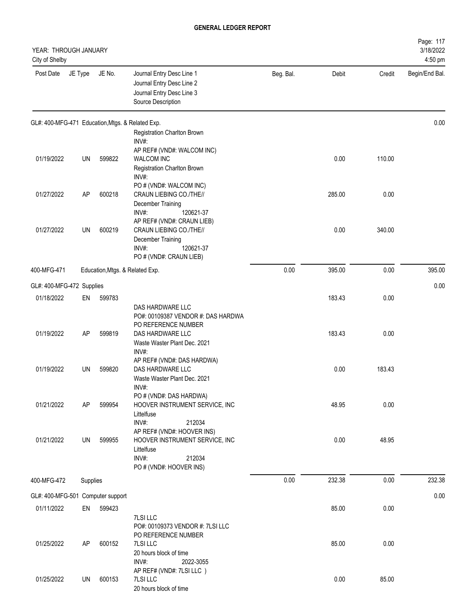| YEAR: THROUGH JANUARY<br>City of Shelby |          |        |                                                                                                           |           |        |        | Page: 117<br>3/18/2022<br>4:50 pm |
|-----------------------------------------|----------|--------|-----------------------------------------------------------------------------------------------------------|-----------|--------|--------|-----------------------------------|
| Post Date                               | JE Type  | JE No. | Journal Entry Desc Line 1<br>Journal Entry Desc Line 2<br>Journal Entry Desc Line 3<br>Source Description | Beg. Bal. | Debit  | Credit | Begin/End Bal.                    |
|                                         |          |        | GL#: 400-MFG-471 Education, Mtgs. & Related Exp.                                                          |           |        |        | 0.00                              |
|                                         |          |        | Registration Charlton Brown<br>INV#:                                                                      |           |        |        |                                   |
|                                         |          |        | AP REF# (VND#: WALCOM INC)                                                                                |           |        |        |                                   |
| 01/19/2022                              | UN       | 599822 | <b>WALCOM INC</b>                                                                                         |           | 0.00   | 110.00 |                                   |
|                                         |          |        | Registration Charlton Brown                                                                               |           |        |        |                                   |
|                                         |          |        | INV#:                                                                                                     |           |        |        |                                   |
| 01/27/2022                              | AP       | 600218 | PO # (VND#: WALCOM INC)<br>CRAUN LIEBING CO./THE//                                                        |           | 285.00 | 0.00   |                                   |
|                                         |          |        | December Training                                                                                         |           |        |        |                                   |
|                                         |          |        | INV#:<br>120621-37                                                                                        |           |        |        |                                   |
|                                         |          |        | AP REF# (VND#: CRAUN LIEB)                                                                                |           |        |        |                                   |
| 01/27/2022                              | UN       | 600219 | CRAUN LIEBING CO./THE//<br>December Training                                                              |           | 0.00   | 340.00 |                                   |
|                                         |          |        | INV#:<br>120621-37                                                                                        |           |        |        |                                   |
|                                         |          |        | PO # (VND#: CRAUN LIEB)                                                                                   |           |        |        |                                   |
| 400-MFG-471                             |          |        | Education, Mtgs. & Related Exp.                                                                           | 0.00      | 395.00 | 0.00   | 395.00                            |
|                                         |          |        |                                                                                                           |           |        |        |                                   |
| GL#: 400-MFG-472 Supplies               |          |        |                                                                                                           |           |        |        | 0.00                              |
| 01/18/2022                              | EN       | 599783 |                                                                                                           |           | 183.43 | 0.00   |                                   |
|                                         |          |        | DAS HARDWARE LLC<br>PO#: 00109387 VENDOR #: DAS HARDWA                                                    |           |        |        |                                   |
|                                         |          |        | PO REFERENCE NUMBER                                                                                       |           |        |        |                                   |
| 01/19/2022                              | AP       | 599819 | DAS HARDWARE LLC                                                                                          |           | 183.43 | 0.00   |                                   |
|                                         |          |        | Waste Waster Plant Dec. 2021                                                                              |           |        |        |                                   |
|                                         |          |        | INV#:<br>AP REF# (VND#: DAS HARDWA)                                                                       |           |        |        |                                   |
| 01/19/2022                              | UN       | 599820 | DAS HARDWARE LLC                                                                                          |           | 0.00   | 183.43 |                                   |
|                                         |          |        | Waste Waster Plant Dec. 2021                                                                              |           |        |        |                                   |
|                                         |          |        | INV#:                                                                                                     |           |        |        |                                   |
|                                         |          |        | PO # (VND#: DAS HARDWA)                                                                                   |           |        |        |                                   |
| 01/21/2022                              | AP       | 599954 | HOOVER INSTRUMENT SERVICE, INC<br>Littelfuse                                                              |           | 48.95  | 0.00   |                                   |
|                                         |          |        | INV#:<br>212034                                                                                           |           |        |        |                                   |
|                                         |          |        | AP REF# (VND#: HOOVER INS)                                                                                |           |        |        |                                   |
| 01/21/2022                              | UN       | 599955 | HOOVER INSTRUMENT SERVICE, INC                                                                            |           | 0.00   | 48.95  |                                   |
|                                         |          |        | Littelfuse<br>INV#:<br>212034                                                                             |           |        |        |                                   |
|                                         |          |        | PO # (VND#: HOOVER INS)                                                                                   |           |        |        |                                   |
| 400-MFG-472                             | Supplies |        |                                                                                                           | 0.00      | 232.38 | 0.00   | 232.38                            |
|                                         |          |        |                                                                                                           |           |        |        |                                   |
| GL#: 400-MFG-501 Computer support       |          |        |                                                                                                           |           |        |        | 0.00                              |
| 01/11/2022                              | EN       | 599423 |                                                                                                           |           | 85.00  | 0.00   |                                   |
|                                         |          |        | 7LSI LLC                                                                                                  |           |        |        |                                   |
|                                         |          |        | PO#: 00109373 VENDOR #: 7LSI LLC<br>PO REFERENCE NUMBER                                                   |           |        |        |                                   |
| 01/25/2022                              | AP       | 600152 | 7LSI LLC                                                                                                  |           | 85.00  | 0.00   |                                   |
|                                         |          |        | 20 hours block of time                                                                                    |           |        |        |                                   |
|                                         |          |        | INV#:<br>2022-3055                                                                                        |           |        |        |                                   |
| 01/25/2022                              | UN       | 600153 | AP REF# (VND#: 7LSI LLC)<br>7LSI LLC                                                                      |           | 0.00   | 85.00  |                                   |
|                                         |          |        | 20 hours block of time                                                                                    |           |        |        |                                   |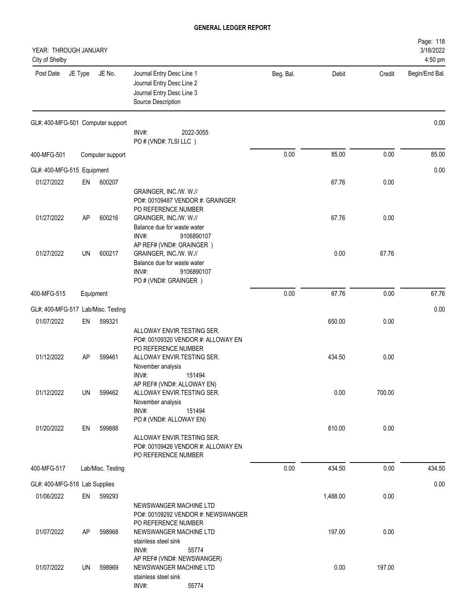| YEAR: THROUGH JANUARY<br>City of Shelby |           |                   |                                                                                                                    |           |          |        | Page: 118<br>3/18/2022<br>4:50 pm |
|-----------------------------------------|-----------|-------------------|--------------------------------------------------------------------------------------------------------------------|-----------|----------|--------|-----------------------------------|
| Post Date                               | JE Type   | JE No.            | Journal Entry Desc Line 1<br>Journal Entry Desc Line 2<br>Journal Entry Desc Line 3<br>Source Description          | Beg. Bal. | Debit    | Credit | Begin/End Bal.                    |
| GL#: 400-MFG-501 Computer support       |           |                   | $INV#$ :<br>2022-3055<br>PO # (VND#: 7LSI LLC)                                                                     |           |          |        | 0.00                              |
| 400-MFG-501                             |           | Computer support  |                                                                                                                    | 0.00      | 85.00    | 0.00   | 85.00                             |
| GL#: 400-MFG-515 Equipment              |           |                   |                                                                                                                    |           |          |        | 0.00                              |
| 01/27/2022                              | EN        | 600207            | GRAINGER, INC./W. W.//<br>PO#: 00109487 VENDOR #: GRAINGER<br>PO REFERENCE NUMBER                                  |           | 67.76    | 0.00   |                                   |
| 01/27/2022                              | AP        | 600216            | GRAINGER, INC./W. W.//<br>Balance due for waste water<br>INV#:<br>9106890107<br>AP REF# (VND#: GRAINGER)           |           | 67.76    | 0.00   |                                   |
| 01/27/2022                              | <b>UN</b> | 600217            | GRAINGER, INC./W. W.//<br>Balance due for waste water<br>INV#:<br>9106890107<br>PO # (VND#: GRAINGER)              |           | 0.00     | 67.76  |                                   |
| 400-MFG-515                             |           | Equipment         |                                                                                                                    | 0.00      | 67.76    | 0.00   | 67.76                             |
| GL#: 400-MFG-517 Lab/Misc. Testing      |           |                   |                                                                                                                    |           |          |        | 0.00                              |
| 01/07/2022                              | EN        | 599321            | ALLOWAY ENVIR.TESTING SER.<br>PO#: 00109320 VENDOR #: ALLOWAY EN<br>PO REFERENCE NUMBER                            |           | 650.00   | 0.00   |                                   |
| 01/12/2022                              | AP        | 599461            | ALLOWAY ENVIR.TESTING SER.<br>November analysis<br>INV#:<br>151494<br>AP REF# (VND#: ALLOWAY EN)                   |           | 434.50   | 0.00   |                                   |
| 01/12/2022                              | UN        | 599462            | ALLOWAY ENVIR.TESTING SER.<br>November analysis<br>INV#:<br>151494                                                 |           | 0.00     | 700.00 |                                   |
| 01/20/2022                              | EN        | 599888            | PO # (VND#: ALLOWAY EN)<br>ALLOWAY ENVIR.TESTING SER.<br>PO#: 00109426 VENDOR #: ALLOWAY EN<br>PO REFERENCE NUMBER |           | 810.00   | 0.00   |                                   |
| 400-MFG-517                             |           | Lab/Misc. Testing |                                                                                                                    | 0.00      | 434.50   | 0.00   | 434.50                            |
| GL#: 400-MFG-518 Lab Supplies           |           |                   |                                                                                                                    |           |          |        | 0.00                              |
| 01/06/2022                              | EN        | 599293            | NEWSWANGER MACHINE LTD<br>PO#: 00109292 VENDOR #: NEWSWANGER<br>PO REFERENCE NUMBER                                |           | 1,488.00 | 0.00   |                                   |
| 01/07/2022                              | AP        | 598968            | NEWSWANGER MACHINE LTD<br>stainless steel sink<br>INV#:<br>55774                                                   |           | 197.00   | 0.00   |                                   |
| 01/07/2022                              | UN        | 598969            | AP REF# (VND#: NEWSWANGER)<br>NEWSWANGER MACHINE LTD<br>stainless steel sink<br>INV#:<br>55774                     |           | 0.00     | 197.00 |                                   |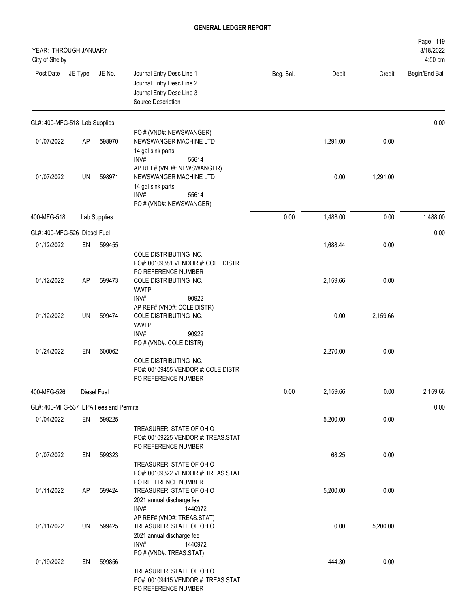| YEAR: THROUGH JANUARY<br>City of Shelby |           |              |                                                                                                                                          |           |          |          | Page: 119<br>3/18/2022<br>4:50 pm |
|-----------------------------------------|-----------|--------------|------------------------------------------------------------------------------------------------------------------------------------------|-----------|----------|----------|-----------------------------------|
| Post Date                               | JE Type   | JE No.       | Journal Entry Desc Line 1<br>Journal Entry Desc Line 2<br>Journal Entry Desc Line 3<br>Source Description                                | Beg. Bal. | Debit    | Credit   | Begin/End Bal.                    |
| GL#: 400-MFG-518 Lab Supplies           |           |              |                                                                                                                                          |           |          |          | 0.00                              |
| 01/07/2022                              | <b>AP</b> | 598970       | PO # (VND#: NEWSWANGER)<br>NEWSWANGER MACHINE LTD<br>14 gal sink parts                                                                   |           | 1,291.00 | 0.00     |                                   |
| 01/07/2022                              | UN        | 598971       | INV#:<br>55614<br>AP REF# (VND#: NEWSWANGER)<br>NEWSWANGER MACHINE LTD<br>14 gal sink parts<br>INV#:<br>55614<br>PO # (VND#: NEWSWANGER) |           | 0.00     | 1,291.00 |                                   |
| 400-MFG-518                             |           | Lab Supplies |                                                                                                                                          | 0.00      | 1,488.00 | 0.00     | 1,488.00                          |
| GL#: 400-MFG-526 Diesel Fuel            |           |              |                                                                                                                                          |           |          |          | 0.00                              |
| 01/12/2022                              | EN        | 599455       | COLE DISTRIBUTING INC.<br>PO#: 00109381 VENDOR #: COLE DISTR                                                                             |           | 1,688.44 | 0.00     |                                   |
| 01/12/2022                              | AP        | 599473       | PO REFERENCE NUMBER<br>COLE DISTRIBUTING INC.<br><b>WWTP</b><br>INV#:<br>90922                                                           |           | 2,159.66 | 0.00     |                                   |
| 01/12/2022                              | UN        | 599474       | AP REF# (VND#: COLE DISTR)<br>COLE DISTRIBUTING INC.<br><b>WWTP</b><br>INV#:<br>90922                                                    |           | 0.00     | 2,159.66 |                                   |
| 01/24/2022                              | EN        | 600062       | PO # (VND#: COLE DISTR)<br>COLE DISTRIBUTING INC.<br>PO#: 00109455 VENDOR #: COLE DISTR<br>PO REFERENCE NUMBER                           |           | 2,270.00 | 0.00     |                                   |
| 400-MFG-526                             |           | Diesel Fuel  |                                                                                                                                          | 0.00      | 2,159.66 | 0.00     | 2,159.66                          |
| GL#: 400-MFG-537 EPA Fees and Permits   |           |              |                                                                                                                                          |           |          |          | 0.00                              |
| 01/04/2022                              | EN        | 599225       | TREASURER, STATE OF OHIO<br>PO#: 00109225 VENDOR #: TREAS.STAT                                                                           |           | 5,200.00 | 0.00     |                                   |
| 01/07/2022                              | EN        | 599323       | PO REFERENCE NUMBER<br>TREASURER, STATE OF OHIO<br>PO#: 00109322 VENDOR #: TREAS.STAT                                                    |           | 68.25    | 0.00     |                                   |
| 01/11/2022                              | AP        | 599424       | PO REFERENCE NUMBER<br>TREASURER, STATE OF OHIO<br>2021 annual discharge fee<br>INV#:<br>1440972                                         |           | 5,200.00 | 0.00     |                                   |
| 01/11/2022                              | UN        | 599425       | AP REF# (VND#: TREAS.STAT)<br>TREASURER, STATE OF OHIO<br>2021 annual discharge fee<br>INV#:<br>1440972                                  |           | 0.00     | 5,200.00 |                                   |
| 01/19/2022                              | EN        | 599856       | PO # (VND#: TREAS.STAT)<br>TREASURER, STATE OF OHIO<br>PO#: 00109415 VENDOR #: TREAS.STAT<br>PO REFERENCE NUMBER                         |           | 444.30   | 0.00     |                                   |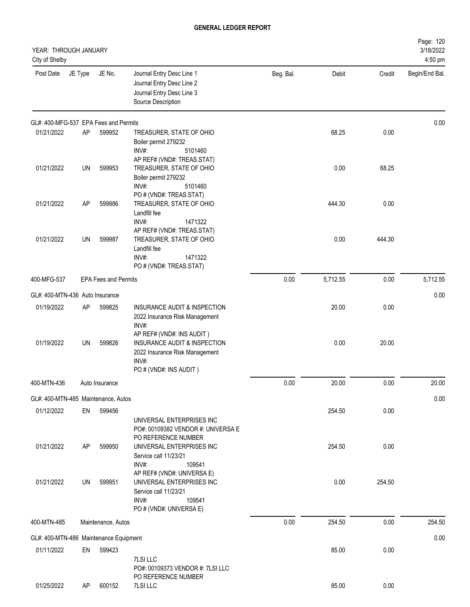| YEAR: THROUGH JANUARY<br>City of Shelby |         |                             |                                                                                                                                |           |          |        | Page: 120<br>3/18/2022<br>4:50 pm |
|-----------------------------------------|---------|-----------------------------|--------------------------------------------------------------------------------------------------------------------------------|-----------|----------|--------|-----------------------------------|
| Post Date                               | JE Type | JE No.                      | Journal Entry Desc Line 1<br>Journal Entry Desc Line 2<br>Journal Entry Desc Line 3<br>Source Description                      | Beg. Bal. | Debit    | Credit | Begin/End Bal.                    |
| GL#: 400-MFG-537 EPA Fees and Permits   |         |                             |                                                                                                                                |           |          |        | 0.00                              |
| 01/21/2022                              | AP      | 599952                      | TREASURER, STATE OF OHIO<br>Boiler permit 279232<br>INV#:<br>5101460<br>AP REF# (VND#: TREAS.STAT)                             |           | 68.25    | 0.00   |                                   |
| 01/21/2022                              | UN      | 599953                      | TREASURER, STATE OF OHIO<br>Boiler permit 279232<br>INV#:<br>5101460                                                           |           | 0.00     | 68.25  |                                   |
| 01/21/2022                              | AP      | 599986                      | PO # (VND#: TREAS.STAT)<br>TREASURER, STATE OF OHIO<br>Landfill fee<br>INV#:<br>1471322                                        |           | 444.30   | 0.00   |                                   |
| 01/21/2022                              | UN      | 599987                      | AP REF# (VND#: TREAS.STAT)<br>TREASURER, STATE OF OHIO<br>Landfill fee<br>INV#:<br>1471322<br>PO # (VND#: TREAS.STAT)          |           | 0.00     | 444.30 |                                   |
| 400-MFG-537                             |         | <b>EPA Fees and Permits</b> |                                                                                                                                | 0.00      | 5,712.55 | 0.00   | 5,712.55                          |
| GL#: 400-MTN-436 Auto Insurance         |         |                             |                                                                                                                                |           |          |        | 0.00                              |
| 01/19/2022                              | AP      | 599825                      | INSURANCE AUDIT & INSPECTION<br>2022 Insurance Risk Management<br>INV#:                                                        |           | 20.00    | 0.00   |                                   |
| 01/19/2022                              | UN      | 599826                      | AP REF# (VND#: INS AUDIT)<br>INSURANCE AUDIT & INSPECTION<br>2022 Insurance Risk Management<br>INV#:<br>PO # (VND#: INS AUDIT) |           | 0.00     | 20.00  |                                   |
| 400-MTN-436                             |         | Auto Insurance              |                                                                                                                                | 0.00      | 20.00    | 0.00   | 20.00                             |
| GL#: 400-MTN-485 Maintenance, Autos     |         |                             |                                                                                                                                |           |          |        | 0.00                              |
| 01/12/2022                              | EN      | 599456                      | UNIVERSAL ENTERPRISES INC<br>PO#: 00109382 VENDOR #: UNIVERSA E<br>PO REFERENCE NUMBER                                         |           | 254.50   | 0.00   |                                   |
| 01/21/2022                              | AP      | 599950                      | UNIVERSAL ENTERPRISES INC<br>Service call 11/23/21<br>INV#:<br>109541<br>AP REF# (VND#: UNIVERSA E)                            |           | 254.50   | 0.00   |                                   |
| 01/21/2022                              | UN      | 599951                      | UNIVERSAL ENTERPRISES INC<br>Service call 11/23/21<br>INV#:<br>109541<br>PO # (VND#: UNIVERSA E)                               |           | 0.00     | 254.50 |                                   |
| 400-MTN-485                             |         | Maintenance, Autos          |                                                                                                                                | 0.00      | 254.50   | 0.00   | 254.50                            |
| GL#: 400-MTN-486 Maintenance Equipment  |         |                             |                                                                                                                                |           |          |        | 0.00                              |
| 01/11/2022                              | EN      | 599423                      | 7LSI LLC<br>PO#: 00109373 VENDOR #: 7LSI LLC<br>PO REFERENCE NUMBER                                                            |           | 85.00    | 0.00   |                                   |
| 01/25/2022                              | AP      | 600152                      | 7LSI LLC                                                                                                                       |           | 85.00    | 0.00   |                                   |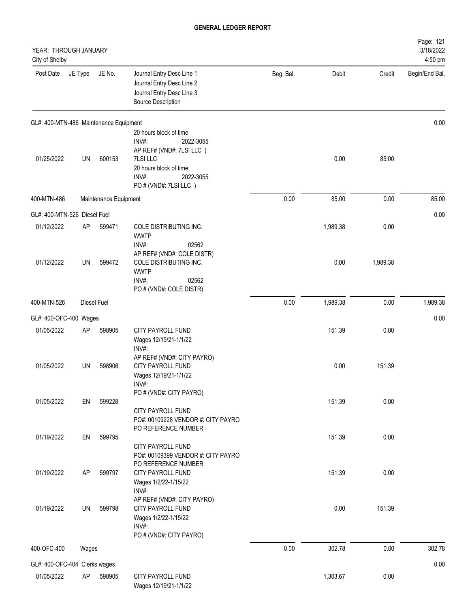| YEAR: THROUGH JANUARY<br>City of Shelby    |         |                       |                                                                                                                                      |           |          |          | Page: 121<br>3/18/2022<br>4:50 pm |
|--------------------------------------------|---------|-----------------------|--------------------------------------------------------------------------------------------------------------------------------------|-----------|----------|----------|-----------------------------------|
| Post Date                                  | JE Type | JE No.                | Journal Entry Desc Line 1<br>Journal Entry Desc Line 2<br>Journal Entry Desc Line 3<br>Source Description                            | Beg. Bal. | Debit    | Credit   | Begin/End Bal.                    |
| GL#: 400-MTN-486 Maintenance Equipment     |         |                       |                                                                                                                                      |           |          |          | 0.00                              |
| 01/25/2022                                 | UN      | 600153                | 20 hours block of time<br>INV#:<br>2022-3055<br>AP REF# (VND#: 7LSI LLC)<br>7LSI LLC<br>20 hours block of time<br>INV#:<br>2022-3055 |           | 0.00     | 85.00    |                                   |
| 400-MTN-486                                |         | Maintenance Equipment | PO#(VND#: 7LSI LLC)                                                                                                                  | 0.00      | 85.00    | 0.00     | 85.00                             |
|                                            |         |                       |                                                                                                                                      |           |          |          |                                   |
| GL#: 400-MTN-526 Diesel Fuel<br>01/12/2022 | AP      | 599471                | COLE DISTRIBUTING INC.<br><b>WWTP</b>                                                                                                |           | 1,989.38 | 0.00     | 0.00                              |
| 01/12/2022                                 | UN      | 599472                | INV#:<br>02562<br>AP REF# (VND#: COLE DISTR)<br>COLE DISTRIBUTING INC.<br><b>WWTP</b><br>INV#:<br>02562<br>PO # (VND#: COLE DISTR)   |           | 0.00     | 1,989.38 |                                   |
| 400-MTN-526                                |         | Diesel Fuel           |                                                                                                                                      | 0.00      | 1,989.38 | 0.00     | 1,989.38                          |
| GL#: 400-OFC-400 Wages                     |         |                       |                                                                                                                                      |           |          |          | 0.00                              |
| 01/05/2022                                 | AP      | 598905                | CITY PAYROLL FUND                                                                                                                    |           | 151.39   | 0.00     |                                   |
| 01/05/2022                                 | UN      | 598906                | Wages 12/19/21-1/1/22<br>INV#:<br>AP REF# (VND#: CITY PAYRO)<br>CITY PAYROLL FUND<br>Wages 12/19/21-1/1/22<br>INV#:                  |           | 0.00     | 151.39   |                                   |
|                                            |         |                       | PO # (VND#: CITY PAYRO)                                                                                                              |           |          |          |                                   |
| 01/05/2022                                 | EN      | 599228                | CITY PAYROLL FUND<br>PO#: 00109228 VENDOR #: CITY PAYRO<br>PO REFERENCE NUMBER                                                       |           | 151.39   | 0.00     |                                   |
| 01/19/2022                                 | EN      | 599795                | CITY PAYROLL FUND<br>PO#: 00109399 VENDOR #: CITY PAYRO                                                                              |           | 151.39   | 0.00     |                                   |
| 01/19/2022                                 | AP      | 599797                | PO REFERENCE NUMBER<br>CITY PAYROLL FUND<br>Wages 1/2/22-1/15/22<br>INV#:                                                            |           | 151.39   | 0.00     |                                   |
| 01/19/2022                                 | UN      | 599798                | AP REF# (VND#: CITY PAYRO)<br>CITY PAYROLL FUND<br>Wages 1/2/22-1/15/22<br>INV#:<br>PO # (VND#: CITY PAYRO)                          |           | 0.00     | 151.39   |                                   |
| 400-OFC-400                                | Wages   |                       |                                                                                                                                      | 0.00      | 302.78   | 0.00     | 302.78                            |
| GL#: 400-OFC-404 Clerks wages              |         |                       |                                                                                                                                      |           |          |          | 0.00                              |
| 01/05/2022                                 | AP      | 598905                | CITY PAYROLL FUND<br>Wages 12/19/21-1/1/22                                                                                           |           | 1,303.67 | 0.00     |                                   |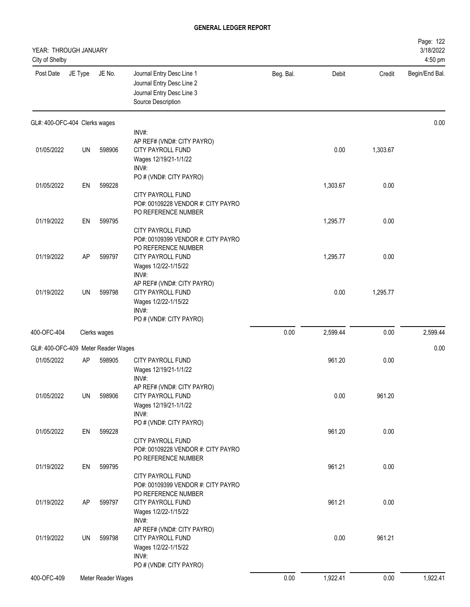| YEAR: THROUGH JANUARY<br>City of Shelby |         |                    |                                                                                                                    |           |          |          | Page: 122<br>3/18/2022<br>4:50 pm |
|-----------------------------------------|---------|--------------------|--------------------------------------------------------------------------------------------------------------------|-----------|----------|----------|-----------------------------------|
| Post Date                               | JE Type | JE No.             | Journal Entry Desc Line 1<br>Journal Entry Desc Line 2<br>Journal Entry Desc Line 3<br>Source Description          | Beg. Bal. | Debit    | Credit   | Begin/End Bal.                    |
| GL#: 400-OFC-404 Clerks wages           |         |                    |                                                                                                                    |           |          |          | 0.00                              |
| 01/05/2022                              | UN      | 598906             | INV#:<br>AP REF# (VND#: CITY PAYRO)<br>CITY PAYROLL FUND<br>Wages 12/19/21-1/1/22<br>INV#:                         |           | 0.00     | 1,303.67 |                                   |
| 01/05/2022                              | EN      | 599228             | PO # (VND#: CITY PAYRO)<br>CITY PAYROLL FUND<br>PO#: 00109228 VENDOR #: CITY PAYRO                                 |           | 1,303.67 | 0.00     |                                   |
| 01/19/2022                              | EN      | 599795             | PO REFERENCE NUMBER<br><b>CITY PAYROLL FUND</b><br>PO#: 00109399 VENDOR #: CITY PAYRO                              |           | 1,295.77 | 0.00     |                                   |
| 01/19/2022                              | AP      | 599797             | PO REFERENCE NUMBER<br>CITY PAYROLL FUND<br>Wages 1/2/22-1/15/22<br>INV#:                                          |           | 1,295.77 | 0.00     |                                   |
| 01/19/2022                              | UN      | 599798             | AP REF# (VND#: CITY PAYRO)<br><b>CITY PAYROLL FUND</b><br>Wages 1/2/22-1/15/22<br>INV#:<br>PO # (VND#: CITY PAYRO) |           | 0.00     | 1,295.77 |                                   |
| 400-OFC-404                             |         | Clerks wages       |                                                                                                                    | 0.00      | 2,599.44 | 0.00     | 2,599.44                          |
| GL#: 400-OFC-409 Meter Reader Wages     |         |                    |                                                                                                                    |           |          |          | 0.00                              |
| 01/05/2022                              | AP      | 598905             | CITY PAYROLL FUND<br>Wages 12/19/21-1/1/22<br>INV#:                                                                |           | 961.20   | 0.00     |                                   |
| 01/05/2022                              | UN      | 598906             | AP REF# (VND#: CITY PAYRO)<br>CITY PAYROLL FUND<br>Wages 12/19/21-1/1/22<br>INV#:                                  |           | 0.00     | 961.20   |                                   |
| 01/05/2022                              | EN      | 599228             | PO # (VND#: CITY PAYRO)<br>CITY PAYROLL FUND<br>PO#: 00109228 VENDOR #: CITY PAYRO                                 |           | 961.20   | 0.00     |                                   |
| 01/19/2022                              | EN      | 599795             | PO REFERENCE NUMBER<br>CITY PAYROLL FUND<br>PO#: 00109399 VENDOR #: CITY PAYRO                                     |           | 961.21   | 0.00     |                                   |
| 01/19/2022                              | AP      | 599797             | PO REFERENCE NUMBER<br>CITY PAYROLL FUND<br>Wages 1/2/22-1/15/22<br>INV#:                                          |           | 961.21   | 0.00     |                                   |
| 01/19/2022                              | UN      | 599798             | AP REF# (VND#: CITY PAYRO)<br>CITY PAYROLL FUND<br>Wages 1/2/22-1/15/22<br>INV#:<br>PO # (VND#: CITY PAYRO)        |           | 0.00     | 961.21   |                                   |
| 400-OFC-409                             |         | Meter Reader Wages |                                                                                                                    | 0.00      | 1,922.41 | 0.00     | 1,922.41                          |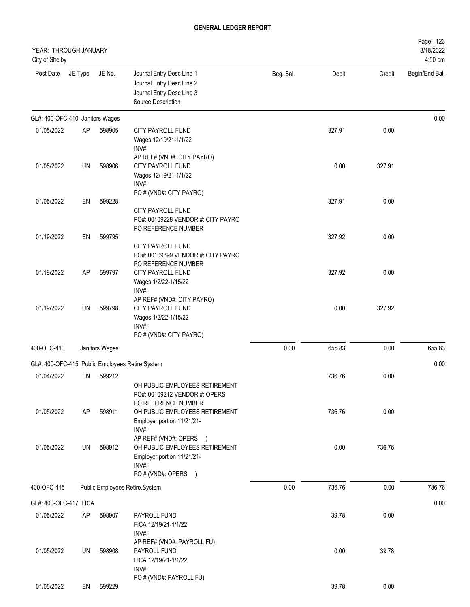| YEAR: THROUGH JANUARY<br>City of Shelby |           |                |                                                                                                                        |           |        |        | Page: 123<br>3/18/2022<br>4:50 pm |
|-----------------------------------------|-----------|----------------|------------------------------------------------------------------------------------------------------------------------|-----------|--------|--------|-----------------------------------|
| Post Date                               | JE Type   | JE No.         | Journal Entry Desc Line 1<br>Journal Entry Desc Line 2<br>Journal Entry Desc Line 3<br>Source Description              | Beg. Bal. | Debit  | Credit | Begin/End Bal.                    |
| GL#: 400-OFC-410 Janitors Wages         |           |                |                                                                                                                        |           |        |        | 0.00                              |
| 01/05/2022                              | <b>AP</b> | 598905         | <b>CITY PAYROLL FUND</b><br>Wages 12/19/21-1/1/22<br>INV#:                                                             |           | 327.91 | 0.00   |                                   |
| 01/05/2022                              | UN        | 598906         | AP REF# (VND#: CITY PAYRO)<br>CITY PAYROLL FUND<br>Wages 12/19/21-1/1/22<br>INV#:                                      |           | 0.00   | 327.91 |                                   |
| 01/05/2022                              | EN        | 599228         | PO # (VND#: CITY PAYRO)<br><b>CITY PAYROLL FUND</b><br>PO#: 00109228 VENDOR #: CITY PAYRO                              |           | 327.91 | 0.00   |                                   |
| 01/19/2022                              | EN        | 599795         | PO REFERENCE NUMBER<br>CITY PAYROLL FUND                                                                               |           | 327.92 | 0.00   |                                   |
| 01/19/2022                              | <b>AP</b> | 599797         | PO#: 00109399 VENDOR #: CITY PAYRO<br>PO REFERENCE NUMBER<br>CITY PAYROLL FUND<br>Wages 1/2/22-1/15/22<br>INV#:        |           | 327.92 | 0.00   |                                   |
| 01/19/2022                              | UN        | 599798         | AP REF# (VND#: CITY PAYRO)<br>CITY PAYROLL FUND<br>Wages 1/2/22-1/15/22<br>INV#:<br>PO # (VND#: CITY PAYRO)            |           | 0.00   | 327.92 |                                   |
| 400-OFC-410                             |           | Janitors Wages |                                                                                                                        | 0.00      | 655.83 | 0.00   | 655.83                            |
|                                         |           |                |                                                                                                                        |           |        |        |                                   |
|                                         |           |                | GL#: 400-OFC-415 Public Employees Retire.System                                                                        |           |        |        | 0.00                              |
| 01/04/2022                              | EN        | 599212         | OH PUBLIC EMPLOYEES RETIREMENT<br>PO#: 00109212 VENDOR #: OPERS<br>PO REFERENCE NUMBER                                 |           | 736.76 | 0.00   |                                   |
| 01/05/2022                              | <b>AP</b> | 598911         | OH PUBLIC EMPLOYEES RETIREMENT<br>Employer portion 11/21/21-<br>INV#:                                                  |           | 736.76 | 0.00   |                                   |
| 01/05/2022                              | UN        | 598912         | AP REF# (VND#: OPERS )<br>OH PUBLIC EMPLOYEES RETIREMENT<br>Employer portion 11/21/21-<br>INV#:<br>PO # (VND#: OPERS ) |           | 0.00   | 736.76 |                                   |
| 400-OFC-415                             |           |                | Public Employees Retire.System                                                                                         | 0.00      | 736.76 | 0.00   | 736.76                            |
|                                         |           |                |                                                                                                                        |           |        |        |                                   |
| GL#: 400-OFC-417 FICA                   |           |                |                                                                                                                        |           |        |        | 0.00                              |
| 01/05/2022                              | <b>AP</b> | 598907         | PAYROLL FUND<br>FICA 12/19/21-1/1/22<br>INV#:                                                                          |           | 39.78  | 0.00   |                                   |
| 01/05/2022                              | UN        | 598908         | AP REF# (VND#: PAYROLL FU)<br>PAYROLL FUND<br>FICA 12/19/21-1/1/22<br>INV#:<br>PO # (VND#: PAYROLL FU)                 |           | 0.00   | 39.78  |                                   |
| 01/05/2022                              | EN        | 599229         |                                                                                                                        |           | 39.78  | 0.00   |                                   |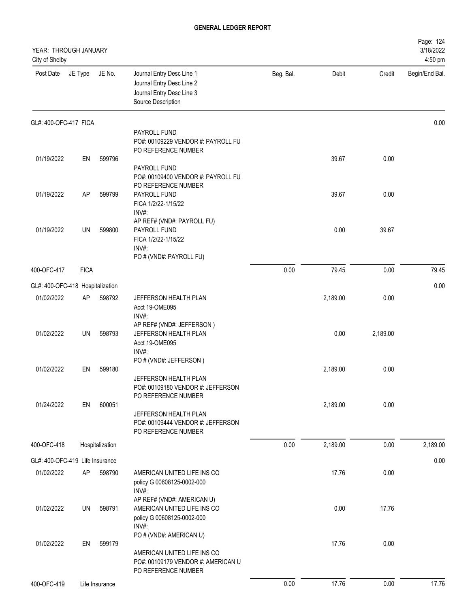| YEAR: THROUGH JANUARY<br>City of Shelby |             |                 |                                                                                                                             |           |          |          | Page: 124<br>3/18/2022<br>4:50 pm |
|-----------------------------------------|-------------|-----------------|-----------------------------------------------------------------------------------------------------------------------------|-----------|----------|----------|-----------------------------------|
| Post Date                               | JE Type     | JE No.          | Journal Entry Desc Line 1<br>Journal Entry Desc Line 2<br>Journal Entry Desc Line 3<br>Source Description                   | Beg. Bal. | Debit    | Credit   | Begin/End Bal.                    |
| GL#: 400-OFC-417 FICA                   |             |                 |                                                                                                                             |           |          |          | 0.00                              |
|                                         |             |                 | PAYROLL FUND<br>PO#: 00109229 VENDOR #: PAYROLL FU<br>PO REFERENCE NUMBER                                                   |           |          |          |                                   |
| 01/19/2022                              | EN          | 599796          | PAYROLL FUND<br>PO#: 00109400 VENDOR #: PAYROLL FU<br>PO REFERENCE NUMBER                                                   |           | 39.67    | 0.00     |                                   |
| 01/19/2022                              | AP          | 599799          | PAYROLL FUND<br>FICA 1/2/22-1/15/22<br>INV#:                                                                                |           | 39.67    | 0.00     |                                   |
| 01/19/2022                              | UN          | 599800          | AP REF# (VND#: PAYROLL FU)<br>PAYROLL FUND<br>FICA 1/2/22-1/15/22<br>INV#:<br>PO # (VND#: PAYROLL FU)                       |           | 0.00     | 39.67    |                                   |
| 400-OFC-417                             | <b>FICA</b> |                 |                                                                                                                             | 0.00      | 79.45    | 0.00     | 79.45                             |
| GL#: 400-OFC-418 Hospitalization        |             |                 |                                                                                                                             |           |          |          | 0.00                              |
| 01/02/2022                              | AP          | 598792          | JEFFERSON HEALTH PLAN<br>Acct 19-OME095<br>INV#:                                                                            |           | 2,189.00 | 0.00     |                                   |
| 01/02/2022                              | UN          | 598793          | AP REF# (VND#: JEFFERSON)<br>JEFFERSON HEALTH PLAN<br>Acct 19-OME095<br>INV#:                                               |           | 0.00     | 2,189.00 |                                   |
| 01/02/2022                              | EN          | 599180          | PO # (VND#: JEFFERSON)<br>JEFFERSON HEALTH PLAN<br>PO#: 00109180 VENDOR #: JEFFERSON<br>PO REFERENCE NUMBER                 |           | 2,189.00 | 0.00     |                                   |
| 01/24/2022                              | EN          | 600051          | JEFFERSON HEALTH PLAN<br>PO#: 00109444 VENDOR #: JEFFERSON<br>PO REFERENCE NUMBER                                           |           | 2,189.00 | 0.00     |                                   |
| 400-OFC-418                             |             | Hospitalization |                                                                                                                             | 0.00      | 2,189.00 | 0.00     | 2,189.00                          |
| GL#: 400-OFC-419 Life Insurance         |             |                 |                                                                                                                             |           |          |          | 0.00                              |
| 01/02/2022                              | AP          | 598790          | AMERICAN UNITED LIFE INS CO<br>policy G 00608125-0002-000<br>INV#:                                                          |           | 17.76    | 0.00     |                                   |
| 01/02/2022                              | UN          | 598791          | AP REF# (VND#: AMERICAN U)<br>AMERICAN UNITED LIFE INS CO<br>policy G 00608125-0002-000<br>INV#:<br>PO # (VND#: AMERICAN U) |           | 0.00     | 17.76    |                                   |
| 01/02/2022                              | EN          | 599179          | AMERICAN UNITED LIFE INS CO<br>PO#: 00109179 VENDOR #: AMERICAN U<br>PO REFERENCE NUMBER                                    |           | 17.76    | 0.00     |                                   |
| 400-OFC-419                             |             | Life Insurance  |                                                                                                                             | 0.00      | 17.76    | 0.00     | 17.76                             |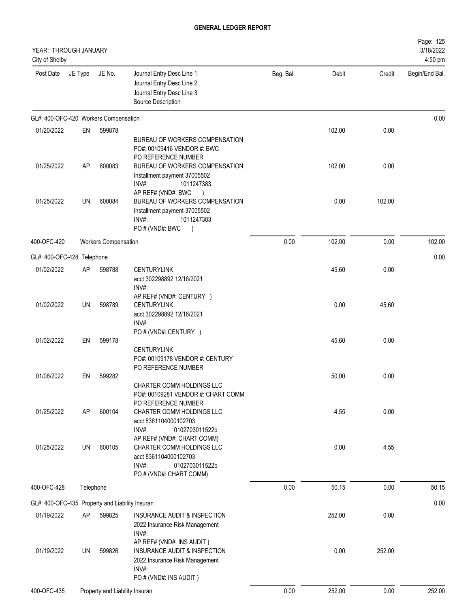| YEAR: THROUGH JANUARY<br>City of Shelby         |           |                                |                                                                                                                                                                               |           |        |        | Page: 125<br>3/18/2022<br>4:50 pm |
|-------------------------------------------------|-----------|--------------------------------|-------------------------------------------------------------------------------------------------------------------------------------------------------------------------------|-----------|--------|--------|-----------------------------------|
| Post Date                                       | JE Type   | JE No.                         | Journal Entry Desc Line 1<br>Journal Entry Desc Line 2<br>Journal Entry Desc Line 3<br>Source Description                                                                     | Beg. Bal. | Debit  | Credit | Begin/End Bal.                    |
| GL#: 400-OFC-420 Workers Compensation           |           |                                |                                                                                                                                                                               |           |        |        | 0.00                              |
| 01/20/2022                                      | EN        | 599878                         |                                                                                                                                                                               |           | 102.00 | 0.00   |                                   |
| 01/25/2022                                      | AP        | 600083                         | BUREAU OF WORKERS COMPENSATION<br>PO#: 00109416 VENDOR #: BWC<br>PO REFERENCE NUMBER<br>BUREAU OF WORKERS COMPENSATION<br>Installment payment 37005502<br>INV#:<br>1011247383 |           | 102.00 | 0.00   |                                   |
| 01/25/2022                                      | <b>UN</b> | 600084                         | AP REF# (VND#: BWC<br>BUREAU OF WORKERS COMPENSATION<br>Installment payment 37005502<br>INV#:<br>1011247383<br>PO # (VND#: BWC<br>$\lambda$                                   |           | 0.00   | 102.00 |                                   |
| 400-OFC-420                                     |           | Workers Compensation           |                                                                                                                                                                               | 0.00      | 102.00 | 0.00   | 102.00                            |
| GL#: 400-OFC-428 Telephone                      |           |                                |                                                                                                                                                                               |           |        |        | 0.00                              |
| 01/02/2022                                      | AP        | 598788                         | <b>CENTURYLINK</b><br>acct 302298892 12/16/2021<br>$INV#$ :                                                                                                                   |           | 45.60  | 0.00   |                                   |
| 01/02/2022                                      | <b>UN</b> | 598789                         | AP REF# (VND#: CENTURY )<br><b>CENTURYLINK</b><br>acct 302298892 12/16/2021<br>INV#:                                                                                          |           | 0.00   | 45.60  |                                   |
| 01/02/2022                                      | EN        | 599178                         | PO # (VND#: CENTURY )                                                                                                                                                         |           | 45.60  | 0.00   |                                   |
|                                                 |           |                                | <b>CENTURYLINK</b><br>PO#: 00109178 VENDOR #: CENTURY<br>PO REFERENCE NUMBER                                                                                                  |           |        |        |                                   |
| 01/06/2022                                      | EN        | 599282                         | CHARTER COMM HOLDINGS LLC<br>PO#: 00109281 VENDOR #: CHART COMM                                                                                                               |           | 50.00  | 0.00   |                                   |
| 01/25/2022                                      | AP        | 600104                         | PO REFERENCE NUMBER<br><b>CHARTER COMM HOLDINGS LLC</b><br>acct 8361104000102703<br>INV#:<br>0102703011522b                                                                   |           | 4.55   | 0.00   |                                   |
| 01/25/2022                                      | UN        | 600105                         | AP REF# (VND#: CHART COMM)<br>CHARTER COMM HOLDINGS LLC<br>acct 8361104000102703<br>INV#:<br>0102703011522b<br>PO # (VND#: CHART COMM)                                        |           | 0.00   | 4.55   |                                   |
| 400-OFC-428                                     |           | Telephone                      |                                                                                                                                                                               | 0.00      | 50.15  | 0.00   | 50.15                             |
| GL#: 400-OFC-435 Property and Liability Insuran |           |                                |                                                                                                                                                                               |           |        |        | 0.00                              |
| 01/19/2022                                      | AΡ        | 599825                         | INSURANCE AUDIT & INSPECTION<br>2022 Insurance Risk Management<br>INV#:                                                                                                       |           | 252.00 | 0.00   |                                   |
| 01/19/2022                                      | UN        | 599826                         | AP REF# (VND#: INS AUDIT)<br>INSURANCE AUDIT & INSPECTION<br>2022 Insurance Risk Management<br>INV#:<br>PO # (VND#: INS AUDIT)                                                |           | 0.00   | 252.00 |                                   |
| 400-OFC-435                                     |           | Property and Liability Insuran |                                                                                                                                                                               | 0.00      | 252.00 | 0.00   | 252.00                            |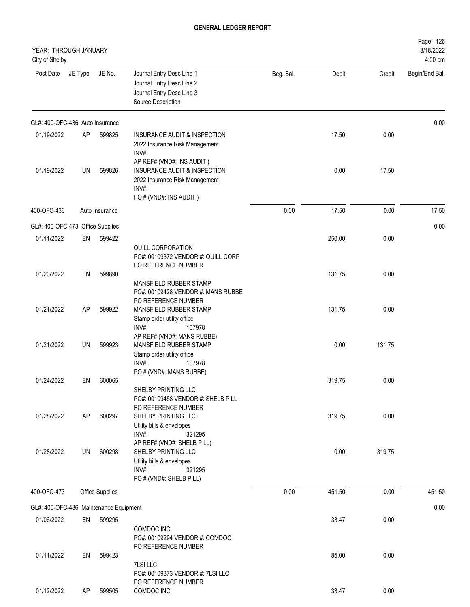| YEAR: THROUGH JANUARY<br>City of Shelby |         |                        |                                                                                                                                |           |        |        | Page: 126<br>3/18/2022<br>4:50 pm |
|-----------------------------------------|---------|------------------------|--------------------------------------------------------------------------------------------------------------------------------|-----------|--------|--------|-----------------------------------|
| Post Date                               | JE Type | JE No.                 | Journal Entry Desc Line 1<br>Journal Entry Desc Line 2<br>Journal Entry Desc Line 3<br>Source Description                      | Beg. Bal. | Debit  | Credit | Begin/End Bal.                    |
| GL#: 400-OFC-436 Auto Insurance         |         |                        |                                                                                                                                |           |        |        | 0.00                              |
| 01/19/2022                              | AP      | 599825                 | INSURANCE AUDIT & INSPECTION<br>2022 Insurance Risk Management<br>INV#:                                                        |           | 17.50  | 0.00   |                                   |
| 01/19/2022                              | UN      | 599826                 | AP REF# (VND#: INS AUDIT)<br>INSURANCE AUDIT & INSPECTION<br>2022 Insurance Risk Management<br>INV#:<br>PO # (VND#: INS AUDIT) |           | 0.00   | 17.50  |                                   |
| 400-OFC-436                             |         | Auto Insurance         |                                                                                                                                | 0.00      | 17.50  | 0.00   | 17.50                             |
| GL#: 400-OFC-473 Office Supplies        |         |                        |                                                                                                                                |           |        |        | 0.00                              |
| 01/11/2022                              | EN      | 599422                 |                                                                                                                                |           | 250.00 | 0.00   |                                   |
|                                         |         |                        | QUILL CORPORATION<br>PO#: 00109372 VENDOR #: QUILL CORP<br>PO REFERENCE NUMBER                                                 |           |        |        |                                   |
| 01/20/2022                              | EN      | 599890                 | MANSFIELD RUBBER STAMP<br>PO#: 00109428 VENDOR #: MANS RUBBE<br>PO REFERENCE NUMBER                                            |           | 131.75 | 0.00   |                                   |
| 01/21/2022                              | AP      | 599922                 | MANSFIELD RUBBER STAMP<br>Stamp order utility office<br>INV#:<br>107978<br>AP REF# (VND#: MANS RUBBE)                          |           | 131.75 | 0.00   |                                   |
| 01/21/2022                              | UN      | 599923                 | MANSFIELD RUBBER STAMP<br>Stamp order utility office<br>INV#:<br>107978<br>PO # (VND#: MANS RUBBE)                             |           | 0.00   | 131.75 |                                   |
| 01/24/2022                              | EN      | 600065                 |                                                                                                                                |           | 319.75 | 0.00   |                                   |
|                                         |         |                        | SHELBY PRINTING LLC<br>PO#: 00109458 VENDOR #: SHELB P LL<br>PO REFERENCE NUMBER                                               |           |        |        |                                   |
| 01/28/2022                              | AP      | 600297                 | SHELBY PRINTING LLC<br>Utility bills & envelopes<br>INV#:<br>321295<br>AP REF# (VND#: SHELB P LL)                              |           | 319.75 | 0.00   |                                   |
| 01/28/2022                              | UN      | 600298                 | SHELBY PRINTING LLC<br>Utility bills & envelopes<br>INV#:<br>321295<br>PO # (VND#: SHELB P LL)                                 |           | 0.00   | 319.75 |                                   |
| 400-OFC-473                             |         | <b>Office Supplies</b> |                                                                                                                                | 0.00      | 451.50 | 0.00   | 451.50                            |
| GL#: 400-OFC-486 Maintenance Equipment  |         |                        |                                                                                                                                |           |        |        | 0.00                              |
| 01/06/2022                              | EN      | 599295                 | COMDOC INC<br>PO#: 00109294 VENDOR #: COMDOC                                                                                   |           | 33.47  | 0.00   |                                   |
| 01/11/2022                              | EN      | 599423                 | PO REFERENCE NUMBER<br>7LSI LLC<br>PO#: 00109373 VENDOR #: 7LSI LLC<br>PO REFERENCE NUMBER                                     |           | 85.00  | 0.00   |                                   |
| 01/12/2022                              | AP      | 599505                 | COMDOC INC                                                                                                                     |           | 33.47  | 0.00   |                                   |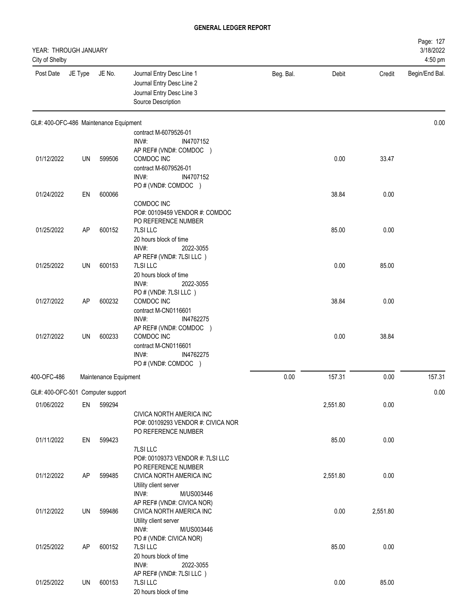| YEAR: THROUGH JANUARY<br>City of Shelby |         |                                        |                                                                                                           |           |          |          | Page: 127<br>3/18/2022<br>4:50 pm |
|-----------------------------------------|---------|----------------------------------------|-----------------------------------------------------------------------------------------------------------|-----------|----------|----------|-----------------------------------|
| Post Date                               | JE Type | JE No.                                 | Journal Entry Desc Line 1<br>Journal Entry Desc Line 2<br>Journal Entry Desc Line 3<br>Source Description | Beg. Bal. | Debit    | Credit   | Begin/End Bal.                    |
|                                         |         | GL#: 400-OFC-486 Maintenance Equipment |                                                                                                           |           |          |          | 0.00                              |
|                                         |         |                                        | contract M-6079526-01<br>INV#:<br>IN4707152                                                               |           |          |          |                                   |
|                                         |         |                                        | AP REF# (VND#: COMDOC )                                                                                   |           |          |          |                                   |
| 01/12/2022                              | UN      | 599506                                 | COMDOC INC                                                                                                |           | 0.00     | 33.47    |                                   |
|                                         |         |                                        | contract M-6079526-01<br>INV#:<br>IN4707152                                                               |           |          |          |                                   |
|                                         |         |                                        | PO # (VND#: COMDOC )                                                                                      |           |          |          |                                   |
| 01/24/2022                              | EN      | 600066                                 |                                                                                                           |           | 38.84    | 0.00     |                                   |
|                                         |         |                                        | COMDOC INC<br>PO#: 00109459 VENDOR #: COMDOC                                                              |           |          |          |                                   |
|                                         |         |                                        | PO REFERENCE NUMBER                                                                                       |           |          |          |                                   |
| 01/25/2022                              | AP      | 600152                                 | 7LSI LLC                                                                                                  |           | 85.00    | 0.00     |                                   |
|                                         |         |                                        | 20 hours block of time<br>INV#:<br>2022-3055                                                              |           |          |          |                                   |
|                                         |         |                                        | AP REF# (VND#: 7LSI LLC)                                                                                  |           |          |          |                                   |
| 01/25/2022                              | UN      | 600153                                 | 7LSI LLC                                                                                                  |           | 0.00     | 85.00    |                                   |
|                                         |         |                                        | 20 hours block of time<br>INV#:<br>2022-3055                                                              |           |          |          |                                   |
|                                         |         |                                        | PO # (VND#: 7LSI LLC)                                                                                     |           |          |          |                                   |
| 01/27/2022                              | AP      | 600232                                 | COMDOC INC                                                                                                |           | 38.84    | 0.00     |                                   |
|                                         |         |                                        | contract M-CN0116601<br>$INV#$ :<br>IN4762275                                                             |           |          |          |                                   |
|                                         |         |                                        | AP REF# (VND#: COMDOC )                                                                                   |           |          |          |                                   |
| 01/27/2022                              | UN      | 600233                                 | COMDOC INC                                                                                                |           | 0.00     | 38.84    |                                   |
|                                         |         |                                        | contract M-CN0116601<br>$INV#$ :<br>IN4762275                                                             |           |          |          |                                   |
|                                         |         |                                        | PO # (VND#: COMDOC )                                                                                      |           |          |          |                                   |
| 400-OFC-486                             |         | Maintenance Equipment                  |                                                                                                           | 0.00      | 157.31   | 0.00     | 157.31                            |
| GL#: 400-OFC-501 Computer support       |         |                                        |                                                                                                           |           |          |          | 0.00                              |
| 01/06/2022                              | EN      | 599294                                 |                                                                                                           |           | 2,551.80 | 0.00     |                                   |
|                                         |         |                                        | CIVICA NORTH AMERICA INC                                                                                  |           |          |          |                                   |
|                                         |         |                                        | PO#: 00109293 VENDOR #: CIVICA NOR<br>PO REFERENCE NUMBER                                                 |           |          |          |                                   |
| 01/11/2022                              | EN      | 599423                                 |                                                                                                           |           | 85.00    | 0.00     |                                   |
|                                         |         |                                        | 7LSI LLC                                                                                                  |           |          |          |                                   |
|                                         |         |                                        | PO#: 00109373 VENDOR #: 7LSI LLC<br>PO REFERENCE NUMBER                                                   |           |          |          |                                   |
| 01/12/2022                              | AP      | 599485                                 | CIVICA NORTH AMERICA INC                                                                                  |           | 2,551.80 | 0.00     |                                   |
|                                         |         |                                        | Utility client server                                                                                     |           |          |          |                                   |
|                                         |         |                                        | INV#:<br>M/US003446<br>AP REF# (VND#: CIVICA NOR)                                                         |           |          |          |                                   |
| 01/12/2022                              | UN      | 599486                                 | CIVICA NORTH AMERICA INC                                                                                  |           | 0.00     | 2,551.80 |                                   |
|                                         |         |                                        | Utility client server                                                                                     |           |          |          |                                   |
|                                         |         |                                        | INV#:<br>M/US003446<br>PO # (VND#: CIVICA NOR)                                                            |           |          |          |                                   |
| 01/25/2022                              | AP      | 600152                                 | 7LSI LLC                                                                                                  |           | 85.00    | 0.00     |                                   |
|                                         |         |                                        | 20 hours block of time                                                                                    |           |          |          |                                   |
|                                         |         |                                        | INV#:<br>2022-3055<br>AP REF# (VND#: 7LSI LLC)                                                            |           |          |          |                                   |
| 01/25/2022                              | UN      | 600153                                 | 7LSI LLC                                                                                                  |           | 0.00     | 85.00    |                                   |
|                                         |         |                                        | 20 hours block of time                                                                                    |           |          |          |                                   |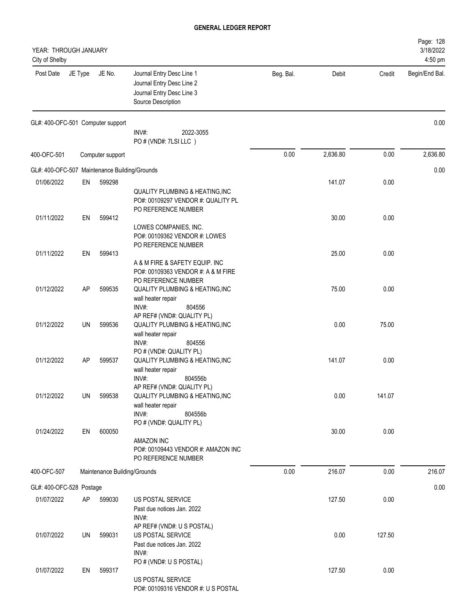| YEAR: THROUGH JANUARY<br>City of Shelby       |           |                              |                                                                                                                 |           |          |        | Page: 128<br>3/18/2022<br>4:50 pm |
|-----------------------------------------------|-----------|------------------------------|-----------------------------------------------------------------------------------------------------------------|-----------|----------|--------|-----------------------------------|
| Post Date                                     | JE Type   | JE No.                       | Journal Entry Desc Line 1<br>Journal Entry Desc Line 2<br>Journal Entry Desc Line 3<br>Source Description       | Beg. Bal. | Debit    | Credit | Begin/End Bal.                    |
| GL#: 400-OFC-501 Computer support             |           |                              | $INV#$ :<br>2022-3055                                                                                           |           |          |        | 0.00                              |
|                                               |           |                              | PO # (VND#: 7LSI LLC)                                                                                           |           |          |        |                                   |
| 400-OFC-501                                   |           | Computer support             |                                                                                                                 | 0.00      | 2,636.80 | 0.00   | 2,636.80                          |
| GL#: 400-OFC-507 Maintenance Building/Grounds |           |                              |                                                                                                                 |           |          |        | 0.00                              |
| 01/06/2022                                    | EN        | 599298                       | <b>QUALITY PLUMBING &amp; HEATING, INC</b><br>PO#: 00109297 VENDOR #: QUALITY PL<br>PO REFERENCE NUMBER         |           | 141.07   | 0.00   |                                   |
| 01/11/2022                                    | EN        | 599412                       | LOWES COMPANIES, INC.<br>PO#: 00109362 VENDOR #: LOWES<br>PO REFERENCE NUMBER                                   |           | 30.00    | 0.00   |                                   |
| 01/11/2022                                    | EN        | 599413                       | A & M FIRE & SAFETY EQUIP. INC<br>PO#: 00109363 VENDOR #: A & M FIRE                                            |           | 25.00    | 0.00   |                                   |
| 01/12/2022                                    | AP        | 599535                       | PO REFERENCE NUMBER<br>QUALITY PLUMBING & HEATING, INC<br>wall heater repair<br>$INV#$ :<br>804556              |           | 75.00    | 0.00   |                                   |
| 01/12/2022                                    | UN        | 599536                       | AP REF# (VND#: QUALITY PL)<br>QUALITY PLUMBING & HEATING, INC<br>wall heater repair<br>INV#:<br>804556          |           | 0.00     | 75.00  |                                   |
| 01/12/2022                                    | <b>AP</b> | 599537                       | PO # (VND#: QUALITY PL)<br><b>QUALITY PLUMBING &amp; HEATING, INC</b><br>wall heater repair<br>INV#:<br>804556b |           | 141.07   | 0.00   |                                   |
| 01/12/2022                                    | UN        | 599538                       | AP REF# (VND#: QUALITY PL)<br>QUALITY PLUMBING & HEATING, INC<br>wall heater repair<br>INV#:<br>804556b         |           | 0.00     | 141.07 |                                   |
| 01/24/2022                                    | EN        | 600050                       | PO # (VND#: QUALITY PL)<br>AMAZON INC<br>PO#: 00109443 VENDOR #: AMAZON INC<br>PO REFERENCE NUMBER              |           | 30.00    | 0.00   |                                   |
| 400-OFC-507                                   |           | Maintenance Building/Grounds |                                                                                                                 | 0.00      | 216.07   | 0.00   | 216.07                            |
| GL#: 400-OFC-528 Postage                      |           |                              |                                                                                                                 |           |          |        | 0.00                              |
| 01/07/2022                                    | AP        | 599030                       | US POSTAL SERVICE<br>Past due notices Jan. 2022<br>INV#:                                                        |           | 127.50   | 0.00   |                                   |
| 01/07/2022                                    | UN        | 599031                       | AP REF# (VND#: U S POSTAL)<br>US POSTAL SERVICE<br>Past due notices Jan. 2022<br>INV#:                          |           | 0.00     | 127.50 |                                   |
| 01/07/2022                                    | EN        | 599317                       | PO # (VND#: U S POSTAL)<br>US POSTAL SERVICE<br>PO#: 00109316 VENDOR #: U S POSTAL                              |           | 127.50   | 0.00   |                                   |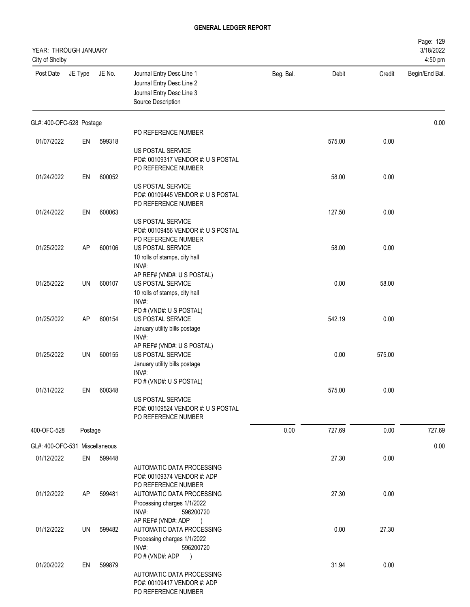| YEAR: THROUGH JANUARY<br>City of Shelby |         |        |                                                                                                           |           |        |        | Page: 129<br>3/18/2022<br>4:50 pm |
|-----------------------------------------|---------|--------|-----------------------------------------------------------------------------------------------------------|-----------|--------|--------|-----------------------------------|
| Post Date                               | JE Type | JE No. | Journal Entry Desc Line 1<br>Journal Entry Desc Line 2<br>Journal Entry Desc Line 3<br>Source Description | Beg. Bal. | Debit  | Credit | Begin/End Bal.                    |
| GL#: 400-OFC-528 Postage                |         |        |                                                                                                           |           |        |        | 0.00                              |
| 01/07/2022                              | EN      | 599318 | PO REFERENCE NUMBER                                                                                       |           | 575.00 | 0.00   |                                   |
|                                         |         |        | US POSTAL SERVICE<br>PO#: 00109317 VENDOR #: U S POSTAL                                                   |           |        |        |                                   |
|                                         |         |        | PO REFERENCE NUMBER                                                                                       |           |        |        |                                   |
| 01/24/2022                              | EN      | 600052 |                                                                                                           |           | 58.00  | 0.00   |                                   |
|                                         |         |        | US POSTAL SERVICE                                                                                         |           |        |        |                                   |
|                                         |         |        | PO#: 00109445 VENDOR #: U S POSTAL<br>PO REFERENCE NUMBER                                                 |           |        |        |                                   |
| 01/24/2022                              | EN      | 600063 |                                                                                                           |           | 127.50 | 0.00   |                                   |
|                                         |         |        | <b>US POSTAL SERVICE</b>                                                                                  |           |        |        |                                   |
|                                         |         |        | PO#: 00109456 VENDOR #: U S POSTAL                                                                        |           |        |        |                                   |
|                                         |         |        | PO REFERENCE NUMBER                                                                                       |           |        |        |                                   |
| 01/25/2022                              | AP      | 600106 | <b>US POSTAL SERVICE</b><br>10 rolls of stamps, city hall                                                 |           | 58.00  | 0.00   |                                   |
|                                         |         |        | INV#:                                                                                                     |           |        |        |                                   |
|                                         |         |        | AP REF# (VND#: U S POSTAL)                                                                                |           |        |        |                                   |
| 01/25/2022                              | UN      | 600107 | <b>US POSTAL SERVICE</b>                                                                                  |           | 0.00   | 58.00  |                                   |
|                                         |         |        | 10 rolls of stamps, city hall<br>INV#:                                                                    |           |        |        |                                   |
|                                         |         |        | PO # (VND#: U S POSTAL)                                                                                   |           |        |        |                                   |
| 01/25/2022                              | AP      | 600154 | US POSTAL SERVICE                                                                                         |           | 542.19 | 0.00   |                                   |
|                                         |         |        | January utility bills postage                                                                             |           |        |        |                                   |
|                                         |         |        | INV#:                                                                                                     |           |        |        |                                   |
|                                         |         |        | AP REF# (VND#: U S POSTAL)                                                                                |           |        |        |                                   |
| 01/25/2022                              | UN      | 600155 | US POSTAL SERVICE<br>January utility bills postage                                                        |           | 0.00   | 575.00 |                                   |
|                                         |         |        | INV#:                                                                                                     |           |        |        |                                   |
|                                         |         |        | PO # (VND#: U S POSTAL)                                                                                   |           |        |        |                                   |
| 01/31/2022                              | EN      | 600348 |                                                                                                           |           | 575.00 | 0.00   |                                   |
|                                         |         |        | US POSTAL SERVICE                                                                                         |           |        |        |                                   |
|                                         |         |        | PO#: 00109524 VENDOR #: U S POSTAL<br>PO REFERENCE NUMBER                                                 |           |        |        |                                   |
| 400-OFC-528                             | Postage |        |                                                                                                           | 0.00      | 727.69 | 0.00   | 727.69                            |
|                                         |         |        |                                                                                                           |           |        |        |                                   |
| GL#: 400-OFC-531 Miscellaneous          |         |        |                                                                                                           |           |        |        | 0.00                              |
| 01/12/2022                              | EN      | 599448 |                                                                                                           |           | 27.30  | 0.00   |                                   |
|                                         |         |        | AUTOMATIC DATA PROCESSING<br>PO#: 00109374 VENDOR #: ADP                                                  |           |        |        |                                   |
|                                         |         |        | PO REFERENCE NUMBER                                                                                       |           |        |        |                                   |
| 01/12/2022                              | AP      | 599481 | AUTOMATIC DATA PROCESSING                                                                                 |           | 27.30  | 0.00   |                                   |
|                                         |         |        | Processing charges 1/1/2022                                                                               |           |        |        |                                   |
|                                         |         |        | INV#:<br>596200720                                                                                        |           |        |        |                                   |
| 01/12/2022                              | UN      | 599482 | AP REF# (VND#: ADP<br>$\rightarrow$<br>AUTOMATIC DATA PROCESSING                                          |           | 0.00   | 27.30  |                                   |
|                                         |         |        | Processing charges 1/1/2022                                                                               |           |        |        |                                   |
|                                         |         |        | INV#:<br>596200720                                                                                        |           |        |        |                                   |
|                                         |         |        | PO # (VND#: ADP<br>$\rightarrow$                                                                          |           |        |        |                                   |
| 01/20/2022                              | EN      | 599879 |                                                                                                           |           | 31.94  | 0.00   |                                   |
|                                         |         |        | AUTOMATIC DATA PROCESSING<br>PO#: 00109417 VENDOR #: ADP                                                  |           |        |        |                                   |
|                                         |         |        | PO REFERENCE NUMBER                                                                                       |           |        |        |                                   |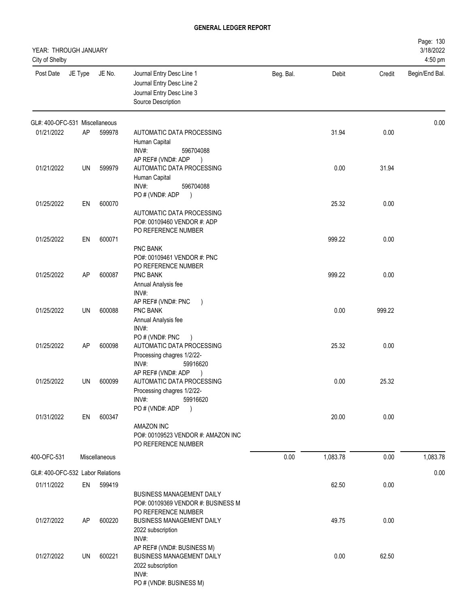| YEAR: THROUGH JANUARY<br>City of Shelby |           |               |                                                                                                                                        |           |          |        | Page: 130<br>3/18/2022<br>4:50 pm |
|-----------------------------------------|-----------|---------------|----------------------------------------------------------------------------------------------------------------------------------------|-----------|----------|--------|-----------------------------------|
| Post Date                               | JE Type   | JE No.        | Journal Entry Desc Line 1<br>Journal Entry Desc Line 2<br>Journal Entry Desc Line 3<br>Source Description                              | Beg. Bal. | Debit    | Credit | Begin/End Bal.                    |
| GL#: 400-OFC-531 Miscellaneous          |           |               |                                                                                                                                        |           |          |        | 0.00                              |
| 01/21/2022                              | AP        | 599978        | AUTOMATIC DATA PROCESSING<br>Human Capital<br>INV#:<br>596704088<br>AP REF# (VND#: ADP<br>$\rightarrow$                                |           | 31.94    | 0.00   |                                   |
| 01/21/2022                              | UN        | 599979        | AUTOMATIC DATA PROCESSING<br>Human Capital<br>INV#:<br>596704088<br>PO # (VND#: ADP<br>$\lambda$                                       |           | 0.00     | 31.94  |                                   |
| 01/25/2022                              | EN        | 600070        | AUTOMATIC DATA PROCESSING<br>PO#: 00109460 VENDOR #: ADP<br>PO REFERENCE NUMBER                                                        |           | 25.32    | 0.00   |                                   |
| 01/25/2022                              | EN        | 600071        | PNC BANK<br>PO#: 00109461 VENDOR #: PNC<br>PO REFERENCE NUMBER                                                                         |           | 999.22   | 0.00   |                                   |
| 01/25/2022                              | <b>AP</b> | 600087        | PNC BANK<br>Annual Analysis fee<br>$INV#$ :<br>AP REF# (VND#: PNC<br>$\overline{)}$                                                    |           | 999.22   | 0.00   |                                   |
| 01/25/2022                              | UN        | 600088        | PNC BANK<br>Annual Analysis fee<br>INV#:<br>PO # (VND#: PNC                                                                            |           | 0.00     | 999.22 |                                   |
| 01/25/2022                              | AP        | 600098        | AUTOMATIC DATA PROCESSING<br>Processing chagres 1/2/22-<br>INV#:<br>59916620                                                           |           | 25.32    | 0.00   |                                   |
| 01/25/2022                              | UN        | 600099        | AP REF# (VND#: ADP<br>AUTOMATIC DATA PROCESSING<br>Processing chagres 1/2/22-<br>INV#:<br>59916620<br>PO # (VND#: ADP<br>$\rightarrow$ |           | 0.00     | 25.32  |                                   |
| 01/31/2022                              | EN        | 600347        | <b>AMAZON INC</b><br>PO#: 00109523 VENDOR #: AMAZON INC<br>PO REFERENCE NUMBER                                                         |           | 20.00    | 0.00   |                                   |
| 400-OFC-531                             |           | Miscellaneous |                                                                                                                                        | 0.00      | 1,083.78 | 0.00   | 1,083.78                          |
| GL#: 400-OFC-532 Labor Relations        |           |               |                                                                                                                                        |           |          |        | 0.00                              |
| 01/11/2022                              | EN        | 599419        | <b>BUSINESS MANAGEMENT DAILY</b><br>PO#: 00109369 VENDOR #: BUSINESS M<br>PO REFERENCE NUMBER                                          |           | 62.50    | 0.00   |                                   |
| 01/27/2022                              | AP        | 600220        | <b>BUSINESS MANAGEMENT DAILY</b><br>2022 subscription<br>INV#:                                                                         |           | 49.75    | 0.00   |                                   |
| 01/27/2022                              | UN        | 600221        | AP REF# (VND#: BUSINESS M)<br><b>BUSINESS MANAGEMENT DAILY</b><br>2022 subscription<br>INV#:<br>PO # (VND#: BUSINESS M)                |           | 0.00     | 62.50  |                                   |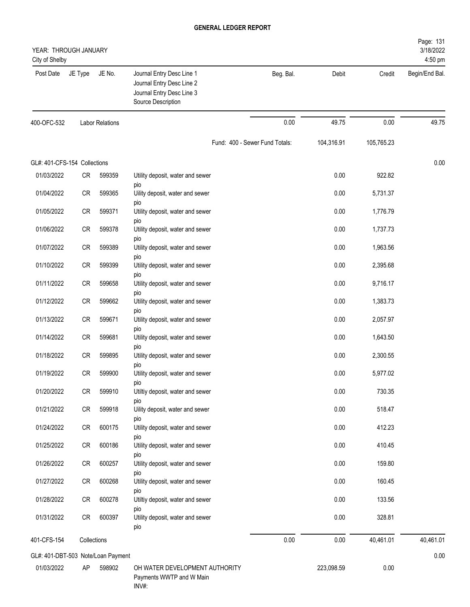| YEAR: THROUGH JANUARY<br>City of Shelby |             |                        |                                                                                                           |                                |            |            | Page: 131<br>3/18/2022<br>4:50 pm |
|-----------------------------------------|-------------|------------------------|-----------------------------------------------------------------------------------------------------------|--------------------------------|------------|------------|-----------------------------------|
| Post Date                               | JE Type     | JE No.                 | Journal Entry Desc Line 1<br>Journal Entry Desc Line 2<br>Journal Entry Desc Line 3<br>Source Description | Beg. Bal.                      | Debit      | Credit     | Begin/End Bal.                    |
| 400-OFC-532                             |             | <b>Labor Relations</b> |                                                                                                           | 0.00                           | 49.75      | 0.00       | 49.75                             |
|                                         |             |                        |                                                                                                           | Fund: 400 - Sewer Fund Totals: | 104,316.91 | 105,765.23 |                                   |
| GL#: 401-CFS-154 Collections            |             |                        |                                                                                                           |                                |            |            | 0.00                              |
| 01/03/2022                              | CR          | 599359                 | Utility deposit, water and sewer                                                                          |                                | 0.00       | 922.82     |                                   |
| 01/04/2022                              | CR          | 599365                 | pio<br>Uility deposit, water and sewer                                                                    |                                | 0.00       | 5,731.37   |                                   |
| 01/05/2022                              | CR          | 599371                 | pio<br>Utility deposit, water and sewer                                                                   |                                | 0.00       | 1,776.79   |                                   |
| 01/06/2022                              | CR          | 599378                 | pio<br>Utility deposit, water and sewer                                                                   |                                | 0.00       | 1,737.73   |                                   |
| 01/07/2022                              | CR          | 599389                 | pio<br>Utility deposit, water and sewer                                                                   |                                | 0.00       | 1,963.56   |                                   |
| 01/10/2022                              | CR          | 599399                 | pio<br>Utility deposit, water and sewer                                                                   |                                | 0.00       | 2,395.68   |                                   |
| 01/11/2022                              | CR          | 599658                 | pio<br>Utility deposit, water and sewer                                                                   |                                | 0.00       | 9,716.17   |                                   |
| 01/12/2022                              | CR          | 599662                 | pio<br>Utility deposit, water and sewer                                                                   |                                | 0.00       | 1,383.73   |                                   |
| 01/13/2022                              | <b>CR</b>   | 599671                 | pio<br>Utility deposit, water and sewer                                                                   |                                | 0.00       | 2,057.97   |                                   |
| 01/14/2022                              | CR          | 599681                 | pio<br>Utility deposit, water and sewer                                                                   |                                | 0.00       | 1,643.50   |                                   |
| 01/18/2022                              | CR          | 599895                 | pio<br>Utility deposit, water and sewer                                                                   |                                | 0.00       | 2,300.55   |                                   |
| 01/19/2022                              | <b>CR</b>   | 599900                 | pio<br>Utility deposit, water and sewer                                                                   |                                | 0.00       | 5,977.02   |                                   |
| 01/20/2022                              | CR          | 599910                 | pio<br>Utiltiy deposit, water and sewer                                                                   |                                | 0.00       | 730.35     |                                   |
| 01/21/2022                              | CR          | 599918                 | pio<br>Uility deposit, water and sewer                                                                    |                                | 0.00       | 518.47     |                                   |
| 01/24/2022                              | CR          | 600175                 | pio<br>Utility deposit, water and sewer                                                                   |                                | 0.00       | 412.23     |                                   |
| 01/25/2022                              | CR          | 600186                 | pio<br>Utility deposit, water and sewer                                                                   |                                | 0.00       | 410.45     |                                   |
| 01/26/2022                              | CR          | 600257                 | pio<br>Utility deposit, water and sewer                                                                   |                                | 0.00       | 159.80     |                                   |
| 01/27/2022                              | CR          | 600268                 | pio<br>Utility deposit, water and sewer                                                                   |                                | 0.00       | 160.45     |                                   |
| 01/28/2022                              | CR          | 600278                 | pio<br>Utiltiy deposit, water and sewer                                                                   |                                | 0.00       | 133.56     |                                   |
| 01/31/2022                              | CR          | 600397                 | pio<br>Utility deposit, water and sewer<br>pio                                                            |                                | 0.00       | 328.81     |                                   |
| 401-CFS-154                             | Collections |                        |                                                                                                           | 0.00                           | 0.00       | 40,461.01  | 40,461.01                         |
| GL#: 401-DBT-503 Note/Loan Payment      |             |                        |                                                                                                           |                                |            |            | 0.00                              |
| 01/03/2022                              | AP          | 598902                 | OH WATER DEVELOPMENT AUTHORITY<br>Payments WWTP and W Main<br>INV#:                                       |                                | 223,098.59 | 0.00       |                                   |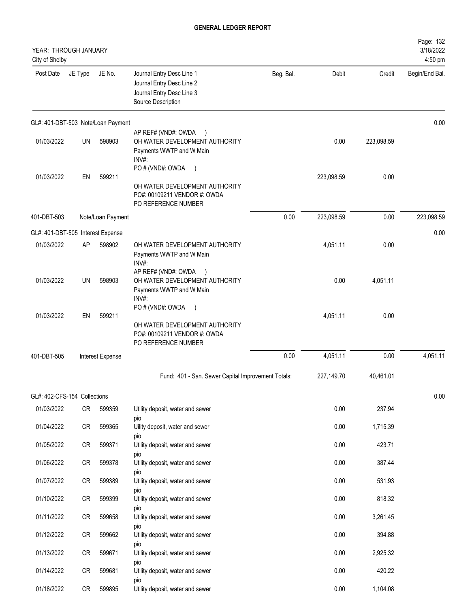| YEAR: THROUGH JANUARY<br>City of Shelby |         |                                    |                                                                                                                            |           |            |            | Page: 132<br>3/18/2022<br>4:50 pm |
|-----------------------------------------|---------|------------------------------------|----------------------------------------------------------------------------------------------------------------------------|-----------|------------|------------|-----------------------------------|
| Post Date                               | JE Type | JE No.                             | Journal Entry Desc Line 1<br>Journal Entry Desc Line 2<br>Journal Entry Desc Line 3<br>Source Description                  | Beg. Bal. | Debit      | Credit     | Begin/End Bal.                    |
|                                         |         | GL#: 401-DBT-503 Note/Loan Payment |                                                                                                                            |           |            |            | 0.00                              |
| 01/03/2022                              | UN      | 598903                             | AP REF# (VND#: OWDA<br>$\rightarrow$<br>OH WATER DEVELOPMENT AUTHORITY<br>Payments WWTP and W Main<br>INV#:                |           | 0.00       | 223,098.59 |                                   |
| 01/03/2022                              | EN      | 599211                             | PO # (VND#: OWDA<br>$\rightarrow$<br>OH WATER DEVELOPMENT AUTHORITY<br>PO#: 00109211 VENDOR #: OWDA<br>PO REFERENCE NUMBER |           | 223,098.59 | 0.00       |                                   |
| 401-DBT-503                             |         | Note/Loan Payment                  |                                                                                                                            | 0.00      | 223,098.59 | 0.00       | 223,098.59                        |
| GL#: 401-DBT-505 Interest Expense       |         |                                    |                                                                                                                            |           |            |            | 0.00                              |
| 01/03/2022                              | AP      | 598902                             | OH WATER DEVELOPMENT AUTHORITY<br>Payments WWTP and W Main<br>INV#:                                                        |           | 4,051.11   | 0.00       |                                   |
| 01/03/2022                              | UN      | 598903                             | AP REF# (VND#: OWDA<br>OH WATER DEVELOPMENT AUTHORITY<br>Payments WWTP and W Main<br>INV#:                                 |           | 0.00       | 4,051.11   |                                   |
| 01/03/2022                              | EN      | 599211                             | PO # (VND#: OWDA<br>$\rightarrow$                                                                                          |           | 4,051.11   | 0.00       |                                   |
|                                         |         |                                    | OH WATER DEVELOPMENT AUTHORITY<br>PO#: 00109211 VENDOR #: OWDA<br>PO REFERENCE NUMBER                                      |           |            |            |                                   |
| 401-DBT-505                             |         | Interest Expense                   |                                                                                                                            | 0.00      | 4,051.11   | 0.00       | 4,051.11                          |
|                                         |         |                                    | Fund: 401 - San. Sewer Capital Improvement Totals:                                                                         |           | 227,149.70 | 40,461.01  |                                   |
| GL#: 402-CFS-154 Collections            |         |                                    |                                                                                                                            |           |            |            | 0.00                              |
| 01/03/2022                              | CR      | 599359                             | Utility deposit, water and sewer                                                                                           |           | 0.00       | 237.94     |                                   |
| 01/04/2022                              | CR      | 599365                             | pio<br>Uility deposit, water and sewer                                                                                     |           | 0.00       | 1,715.39   |                                   |
| 01/05/2022                              | CR      | 599371                             | pio<br>Utility deposit, water and sewer                                                                                    |           | 0.00       | 423.71     |                                   |
| 01/06/2022                              | CR      | 599378                             | pio<br>Utility deposit, water and sewer                                                                                    |           | 0.00       | 387.44     |                                   |
| 01/07/2022                              | CR      | 599389                             | pio<br>Utility deposit, water and sewer                                                                                    |           | 0.00       | 531.93     |                                   |
| 01/10/2022                              | CR      | 599399                             | pio<br>Utility deposit, water and sewer                                                                                    |           | 0.00       | 818.32     |                                   |
| 01/11/2022                              | CR      | 599658                             | pio<br>Utility deposit, water and sewer                                                                                    |           | 0.00       | 3,261.45   |                                   |
| 01/12/2022                              | CR      | 599662                             | pio<br>Utility deposit, water and sewer                                                                                    |           | 0.00       | 394.88     |                                   |
| 01/13/2022                              | CR      | 599671                             | pio<br>Utility deposit, water and sewer                                                                                    |           | 0.00       | 2,925.32   |                                   |
| 01/14/2022                              | CR      | 599681                             | pio<br>Utility deposit, water and sewer                                                                                    |           | 0.00       | 420.22     |                                   |
| 01/18/2022                              | CR      | 599895                             | pio<br>Utility deposit, water and sewer                                                                                    |           | 0.00       | 1,104.08   |                                   |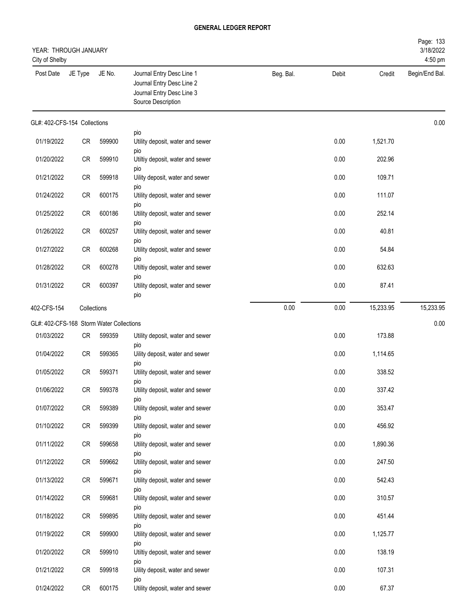| YEAR: THROUGH JANUARY<br>City of Shelby  |             |        |                                                                                                           |           |       |           | Page: 133<br>3/18/2022<br>4:50 pm |
|------------------------------------------|-------------|--------|-----------------------------------------------------------------------------------------------------------|-----------|-------|-----------|-----------------------------------|
| Post Date                                | JE Type     | JE No. | Journal Entry Desc Line 1<br>Journal Entry Desc Line 2<br>Journal Entry Desc Line 3<br>Source Description | Beg. Bal. | Debit | Credit    | Begin/End Bal.                    |
| GL#: 402-CFS-154 Collections             |             |        |                                                                                                           |           |       |           | 0.00                              |
| 01/19/2022                               | CR          | 599900 | pio<br>Utility deposit, water and sewer                                                                   |           | 0.00  | 1,521.70  |                                   |
| 01/20/2022                               | ${\sf CR}$  | 599910 | pio<br>Utiltiy deposit, water and sewer                                                                   |           | 0.00  | 202.96    |                                   |
| 01/21/2022                               | CR          | 599918 | pio<br>Uility deposit, water and sewer                                                                    |           | 0.00  | 109.71    |                                   |
| 01/24/2022                               | CR          | 600175 | pio<br>Utility deposit, water and sewer                                                                   |           | 0.00  | 111.07    |                                   |
| 01/25/2022                               | CR          | 600186 | pio<br>Utility deposit, water and sewer                                                                   |           | 0.00  | 252.14    |                                   |
| 01/26/2022                               | CR          | 600257 | pio<br>Utility deposit, water and sewer                                                                   |           | 0.00  | 40.81     |                                   |
| 01/27/2022                               | CR          | 600268 | pio<br>Utility deposit, water and sewer                                                                   |           | 0.00  | 54.84     |                                   |
| 01/28/2022                               | CR          | 600278 | pio<br>Utiltiy deposit, water and sewer                                                                   |           | 0.00  | 632.63    |                                   |
| 01/31/2022                               | CR          | 600397 | pio<br>Utility deposit, water and sewer<br>pio                                                            |           | 0.00  | 87.41     |                                   |
| 402-CFS-154                              | Collections |        |                                                                                                           | 0.00      | 0.00  | 15,233.95 | 15,233.95                         |
| GL#: 402-CFS-168 Storm Water Collections |             |        |                                                                                                           |           |       |           | 0.00                              |
| 01/03/2022                               | CR          | 599359 | Utility deposit, water and sewer<br>pio                                                                   |           | 0.00  | 173.88    |                                   |
| 01/04/2022                               | CR          | 599365 | Uility deposit, water and sewer<br>pio                                                                    |           | 0.00  | 1,114.65  |                                   |
| 01/05/2022                               | CR          | 599371 | Utility deposit, water and sewer                                                                          |           | 0.00  | 338.52    |                                   |
| 01/06/2022                               | CR          | 599378 | pio<br>Utility deposit, water and sewer                                                                   |           | 0.00  | 337.42    |                                   |
| 01/07/2022                               | CR          | 599389 | pio<br>Utility deposit, water and sewer                                                                   |           | 0.00  | 353.47    |                                   |
| 01/10/2022                               | CR          | 599399 | pio<br>Utility deposit, water and sewer                                                                   |           | 0.00  | 456.92    |                                   |
| 01/11/2022                               | <b>CR</b>   | 599658 | pio<br>Utility deposit, water and sewer                                                                   |           | 0.00  | 1,890.36  |                                   |
| 01/12/2022                               | <b>CR</b>   | 599662 | pio<br>Utility deposit, water and sewer                                                                   |           | 0.00  | 247.50    |                                   |
| 01/13/2022                               | CR          | 599671 | pio<br>Utility deposit, water and sewer                                                                   |           | 0.00  | 542.43    |                                   |
| 01/14/2022                               | CR          | 599681 | pio<br>Utility deposit, water and sewer                                                                   |           | 0.00  | 310.57    |                                   |
| 01/18/2022                               | <b>CR</b>   | 599895 | pio<br>Utility deposit, water and sewer                                                                   |           | 0.00  | 451.44    |                                   |
| 01/19/2022                               | CR          | 599900 | pio<br>Utility deposit, water and sewer                                                                   |           | 0.00  | 1,125.77  |                                   |
| 01/20/2022                               | CR          | 599910 | pio<br>Utiltiy deposit, water and sewer                                                                   |           | 0.00  | 138.19    |                                   |
| 01/21/2022                               | <b>CR</b>   | 599918 | pio<br>Uility deposit, water and sewer                                                                    |           | 0.00  | 107.31    |                                   |
| 01/24/2022                               | CR          | 600175 | pio<br>Utility deposit, water and sewer                                                                   |           | 0.00  | 67.37     |                                   |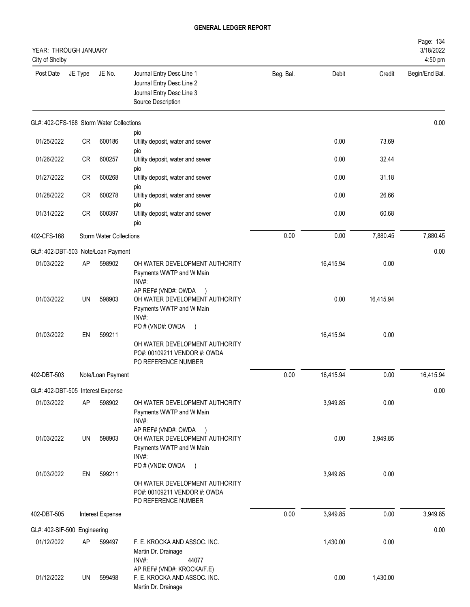| YEAR: THROUGH JANUARY<br>City of Shelby  |             |                                |                                                                                                                            |           |           |           | Page: 134<br>3/18/2022<br>4:50 pm |
|------------------------------------------|-------------|--------------------------------|----------------------------------------------------------------------------------------------------------------------------|-----------|-----------|-----------|-----------------------------------|
| Post Date                                | JE Type     | JE No.                         | Journal Entry Desc Line 1<br>Journal Entry Desc Line 2<br>Journal Entry Desc Line 3<br>Source Description                  | Beg. Bal. | Debit     | Credit    | Begin/End Bal.                    |
| GL#: 402-CFS-168 Storm Water Collections |             |                                |                                                                                                                            |           |           |           | 0.00                              |
| 01/25/2022                               | <b>CR</b>   | 600186                         | pio<br>Utility deposit, water and sewer<br>pio                                                                             |           | 0.00      | 73.69     |                                   |
| 01/26/2022                               | CR          | 600257                         | Utility deposit, water and sewer<br>pio                                                                                    |           | 0.00      | 32.44     |                                   |
| 01/27/2022                               | <b>CR</b>   | 600268                         | Utility deposit, water and sewer<br>pio                                                                                    |           | 0.00      | 31.18     |                                   |
| 01/28/2022                               | CR          | 600278                         | Utiltiy deposit, water and sewer                                                                                           |           | 0.00      | 26.66     |                                   |
| 01/31/2022                               | CR          | 600397                         | pio<br>Utility deposit, water and sewer<br>pio                                                                             |           | 0.00      | 60.68     |                                   |
| 402-CFS-168                              |             | <b>Storm Water Collections</b> |                                                                                                                            | 0.00      | 0.00      | 7,880.45  | 7,880.45                          |
| GL#: 402-DBT-503 Note/Loan Payment       |             |                                |                                                                                                                            |           |           |           | 0.00                              |
| 01/03/2022                               | AP          | 598902                         | OH WATER DEVELOPMENT AUTHORITY<br>Payments WWTP and W Main<br>INV#:<br>AP REF# (VND#: OWDA                                 |           | 16,415.94 | 0.00      |                                   |
| 01/03/2022                               | <b>UN</b>   | 598903                         | OH WATER DEVELOPMENT AUTHORITY<br>Payments WWTP and W Main<br>INV#:                                                        |           | 0.00      | 16,415.94 |                                   |
| 01/03/2022                               | EN          | 599211                         | PO # (VND#: OWDA<br>$\rightarrow$<br>OH WATER DEVELOPMENT AUTHORITY<br>PO#: 00109211 VENDOR #: OWDA<br>PO REFERENCE NUMBER |           | 16,415.94 | 0.00      |                                   |
| 402-DBT-503                              |             | Note/Loan Payment              |                                                                                                                            | 0.00      | 16,415.94 | 0.00      | 16,415.94                         |
| GL#: 402-DBT-505 Interest Expense        |             |                                |                                                                                                                            |           |           |           | 0.00                              |
| 01/03/2022                               | AP          | 598902                         | OH WATER DEVELOPMENT AUTHORITY<br>Payments WWTP and W Main<br>INV#:<br>AP REF# (VND#: OWDA                                 |           | 3,949.85  | 0.00      |                                   |
| 01/03/2022                               | UN          | 598903                         | $\rightarrow$<br>OH WATER DEVELOPMENT AUTHORITY<br>Payments WWTP and W Main<br>INV#:                                       |           | 0.00      | 3,949.85  |                                   |
| 01/03/2022                               | EN          | 599211                         | PO # (VND#: OWDA<br>$\rightarrow$<br>OH WATER DEVELOPMENT AUTHORITY<br>PO#: 00109211 VENDOR #: OWDA<br>PO REFERENCE NUMBER |           | 3,949.85  | 0.00      |                                   |
| 402-DBT-505                              |             | Interest Expense               |                                                                                                                            | 0.00      | 3,949.85  | 0.00      | 3,949.85                          |
| GL#: 402-SIF-500                         | Engineering |                                |                                                                                                                            |           |           |           | 0.00                              |
| 01/12/2022                               | AP          | 599497                         | F. E. KROCKA AND ASSOC. INC.<br>Martin Dr. Drainage<br>INV#:<br>44077<br>AP REF# (VND#: KROCKA/F.E)                        |           | 1,430.00  | 0.00      |                                   |
| 01/12/2022                               | UN          | 599498                         | F. E. KROCKA AND ASSOC. INC.<br>Martin Dr. Drainage                                                                        |           | 0.00      | 1,430.00  |                                   |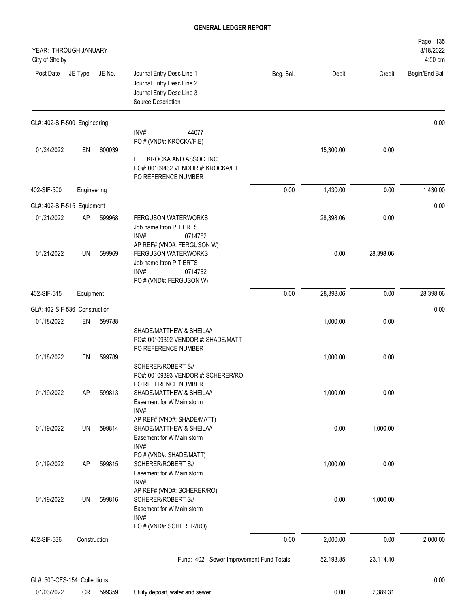| YEAR: THROUGH JANUARY<br>City of Shelby |              |        |                                                                                                                             |           |           |           | Page: 135<br>3/18/2022<br>4:50 pm |
|-----------------------------------------|--------------|--------|-----------------------------------------------------------------------------------------------------------------------------|-----------|-----------|-----------|-----------------------------------|
| Post Date                               | JE Type      | JE No. | Journal Entry Desc Line 1<br>Journal Entry Desc Line 2<br>Journal Entry Desc Line 3<br>Source Description                   | Beg. Bal. | Debit     | Credit    | Begin/End Bal.                    |
| GL#: 402-SIF-500 Engineering            |              |        |                                                                                                                             |           |           |           | 0.00                              |
|                                         |              |        | INV#:<br>44077<br>PO # (VND#: KROCKA/F.E)                                                                                   |           |           |           |                                   |
| 01/24/2022                              | EN           | 600039 | F. E. KROCKA AND ASSOC. INC.<br>PO#: 00109432 VENDOR #: KROCKA/F.E<br>PO REFERENCE NUMBER                                   |           | 15,300.00 | 0.00      |                                   |
| 402-SIF-500                             | Engineering  |        |                                                                                                                             | 0.00      | 1,430.00  | 0.00      | 1,430.00                          |
| GL#: 402-SIF-515 Equipment              |              |        |                                                                                                                             |           |           |           | 0.00                              |
| 01/21/2022                              | <b>AP</b>    | 599968 | <b>FERGUSON WATERWORKS</b><br>Job name Itron PIT ERTS<br>INV#:<br>0714762                                                   |           | 28,398.06 | 0.00      |                                   |
| 01/21/2022                              | UN           | 599969 | AP REF# (VND#: FERGUSON W)<br>FERGUSON WATERWORKS<br>Job name Itron PIT ERTS<br>INV#:<br>0714762<br>PO # (VND#: FERGUSON W) |           | 0.00      | 28,398.06 |                                   |
| 402-SIF-515                             | Equipment    |        |                                                                                                                             | 0.00      | 28,398.06 | 0.00      | 28,398.06                         |
| GL#: 402-SIF-536 Construction           |              |        |                                                                                                                             |           |           |           | 0.00                              |
| 01/18/2022                              | EN           | 599788 | SHADE/MATTHEW & SHEILA//<br>PO#: 00109392 VENDOR #: SHADE/MATT<br>PO REFERENCE NUMBER                                       |           | 1,000.00  | 0.00      |                                   |
| 01/18/2022                              | EN           | 599789 | SCHERER/ROBERT S//<br>PO#: 00109393 VENDOR #: SCHERER/RO                                                                    |           | 1,000.00  | 0.00      |                                   |
| 01/19/2022                              | <b>AP</b>    | 599813 | PO REFERENCE NUMBER<br>SHADE/MATTHEW & SHEILA//<br>Easement for W Main storm<br>INV#:                                       |           | 1,000.00  | 0.00      |                                   |
| 01/19/2022                              | UN           | 599814 | AP REF# (VND#: SHADE/MATT)<br>SHADE/MATTHEW & SHEILA//<br>Easement for W Main storm                                         |           | 0.00      | 1,000.00  |                                   |
| 01/19/2022                              | AP           | 599815 | INV#:<br>PO # (VND#: SHADE/MATT)<br>SCHERER/ROBERT S//<br>Easement for W Main storm                                         |           | 1,000.00  | 0.00      |                                   |
| 01/19/2022                              | UN           | 599816 | INV#:<br>AP REF# (VND#: SCHERER/RO)<br>SCHERER/ROBERT S//<br>Easement for W Main storm<br>$INV#$ :                          |           | 0.00      | 1,000.00  |                                   |
| 402-SIF-536                             | Construction |        | PO # (VND#: SCHERER/RO)                                                                                                     | 0.00      | 2,000.00  | 0.00      | 2,000.00                          |
|                                         |              |        | Fund: 402 - Sewer Improvement Fund Totals:                                                                                  |           | 52,193.85 | 23,114.40 |                                   |
| GL#: 500-CFS-154 Collections            |              |        |                                                                                                                             |           |           |           | 0.00                              |
|                                         |              |        |                                                                                                                             |           |           |           |                                   |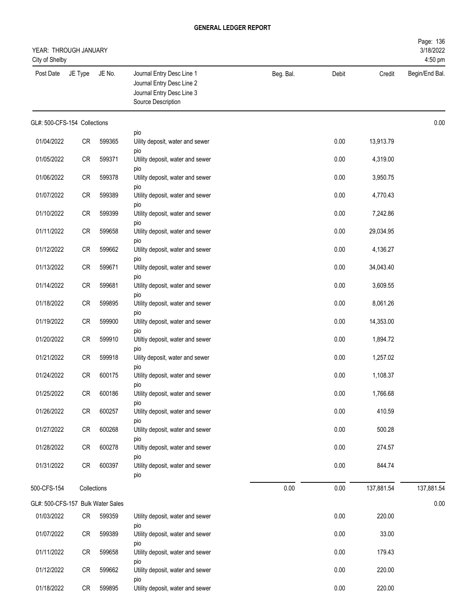| YEAR: THROUGH JANUARY<br>City of Shelby |             |        |                                                                                                           |           |       |            | Page: 136<br>3/18/2022<br>4:50 pm |
|-----------------------------------------|-------------|--------|-----------------------------------------------------------------------------------------------------------|-----------|-------|------------|-----------------------------------|
| Post Date                               | JE Type     | JE No. | Journal Entry Desc Line 1<br>Journal Entry Desc Line 2<br>Journal Entry Desc Line 3<br>Source Description | Beg. Bal. | Debit | Credit     | Begin/End Bal.                    |
| GL#: 500-CFS-154 Collections            |             |        |                                                                                                           |           |       |            | 0.00                              |
| 01/04/2022                              | CR          | 599365 | pio<br>Uility deposit, water and sewer                                                                    |           | 0.00  | 13,913.79  |                                   |
| 01/05/2022                              | ${\sf CR}$  | 599371 | pio<br>Utility deposit, water and sewer                                                                   |           | 0.00  | 4,319.00   |                                   |
| 01/06/2022                              | CR          | 599378 | pio<br>Utility deposit, water and sewer                                                                   |           | 0.00  | 3,950.75   |                                   |
| 01/07/2022                              | CR          | 599389 | pio<br>Utility deposit, water and sewer                                                                   |           | 0.00  | 4,770.43   |                                   |
| 01/10/2022                              | ${\sf CR}$  | 599399 | pio<br>Utility deposit, water and sewer                                                                   |           | 0.00  | 7,242.86   |                                   |
| 01/11/2022                              | CR          | 599658 | pio<br>Utility deposit, water and sewer                                                                   |           | 0.00  | 29,034.95  |                                   |
| 01/12/2022                              | CR          | 599662 | pio<br>Utility deposit, water and sewer                                                                   |           | 0.00  | 4,136.27   |                                   |
| 01/13/2022                              | CR          | 599671 | pio<br>Utility deposit, water and sewer                                                                   |           | 0.00  | 34,043.40  |                                   |
| 01/14/2022                              | CR          | 599681 | pio<br>Utility deposit, water and sewer                                                                   |           | 0.00  | 3,609.55   |                                   |
| 01/18/2022                              | CR          | 599895 | pio<br>Utility deposit, water and sewer                                                                   |           | 0.00  | 8,061.26   |                                   |
| 01/19/2022                              | ${\sf CR}$  | 599900 | pio<br>Utility deposit, water and sewer                                                                   |           | 0.00  | 14,353.00  |                                   |
| 01/20/2022                              | CR          | 599910 | pio<br>Utiltiy deposit, water and sewer                                                                   |           | 0.00  | 1,894.72   |                                   |
| 01/21/2022                              | CR          | 599918 | pio<br>Uility deposit, water and sewer                                                                    |           | 0.00  | 1,257.02   |                                   |
| 01/24/2022                              | <b>CR</b>   | 600175 | pio<br>Utility deposit, water and sewer                                                                   |           | 0.00  | 1,108.37   |                                   |
| 01/25/2022                              | CR          | 600186 | pio<br>Utility deposit, water and sewer                                                                   |           | 0.00  | 1,766.68   |                                   |
| 01/26/2022                              | CR          | 600257 | pio<br>Utility deposit, water and sewer                                                                   |           | 0.00  | 410.59     |                                   |
| 01/27/2022                              | CR          | 600268 | pio<br>Utility deposit, water and sewer                                                                   |           | 0.00  | 500.28     |                                   |
| 01/28/2022                              | CR          | 600278 | pio<br>Utiltiy deposit, water and sewer                                                                   |           | 0.00  | 274.57     |                                   |
| 01/31/2022                              | CR          | 600397 | pio<br>Utility deposit, water and sewer<br>pio                                                            |           | 0.00  | 844.74     |                                   |
| 500-CFS-154                             | Collections |        |                                                                                                           | 0.00      | 0.00  | 137,881.54 | 137,881.54                        |
| GL#: 500-CFS-157 Bulk Water Sales       |             |        |                                                                                                           |           |       |            | 0.00                              |
| 01/03/2022                              | CR          | 599359 | Utility deposit, water and sewer<br>pio                                                                   |           | 0.00  | 220.00     |                                   |
| 01/07/2022                              | CR          | 599389 | Utility deposit, water and sewer<br>pio                                                                   |           | 0.00  | 33.00      |                                   |
| 01/11/2022                              | CR          | 599658 | Utility deposit, water and sewer<br>pio                                                                   |           | 0.00  | 179.43     |                                   |
| 01/12/2022                              | CR          | 599662 | Utility deposit, water and sewer<br>pio                                                                   |           | 0.00  | 220.00     |                                   |
| 01/18/2022                              | CR          | 599895 | Utility deposit, water and sewer                                                                          |           | 0.00  | 220.00     |                                   |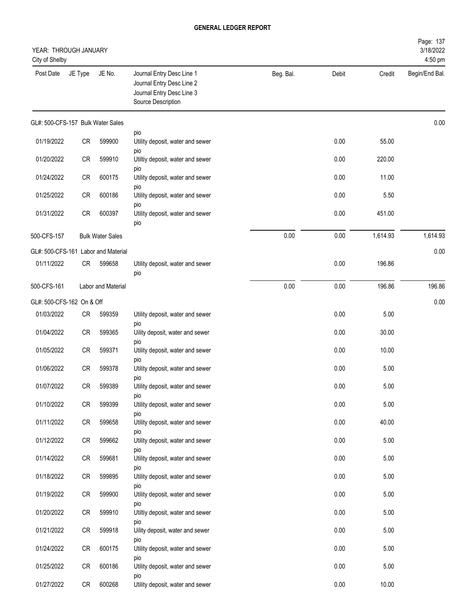| YEAR: THROUGH JANUARY<br>City of Shelby |         |                                     |                                                                                                           |           |       |          | Page: 137<br>3/18/2022<br>4:50 pm |
|-----------------------------------------|---------|-------------------------------------|-----------------------------------------------------------------------------------------------------------|-----------|-------|----------|-----------------------------------|
| Post Date                               | JE Type | JE No.                              | Journal Entry Desc Line 1<br>Journal Entry Desc Line 2<br>Journal Entry Desc Line 3<br>Source Description | Beg. Bal. | Debit | Credit   | Begin/End Bal.                    |
| GL#: 500-CFS-157 Bulk Water Sales       |         |                                     |                                                                                                           |           |       |          | 0.00                              |
| 01/19/2022                              | CR      | 599900                              | pio<br>Utility deposit, water and sewer<br>pio                                                            |           | 0.00  | 55.00    |                                   |
| 01/20/2022                              | CR      | 599910                              | Utiltiy deposit, water and sewer                                                                          |           | 0.00  | 220.00   |                                   |
| 01/24/2022                              | CR      | 600175                              | pio<br>Utility deposit, water and sewer                                                                   |           | 0.00  | 11.00    |                                   |
| 01/25/2022                              | CR      | 600186                              | pio<br>Utility deposit, water and sewer                                                                   |           | 0.00  | 5.50     |                                   |
| 01/31/2022                              | CR      | 600397                              | pio<br>Utility deposit, water and sewer<br>pio                                                            |           | 0.00  | 451.00   |                                   |
| 500-CFS-157                             |         | <b>Bulk Water Sales</b>             |                                                                                                           | 0.00      | 0.00  | 1,614.93 | 1,614.93                          |
|                                         |         | GL#: 500-CFS-161 Labor and Material |                                                                                                           |           |       |          | 0.00                              |
| 01/11/2022                              | CR      | 599658                              | Utility deposit, water and sewer<br>pio                                                                   |           | 0.00  | 196.86   |                                   |
| 500-CFS-161                             |         | Labor and Material                  |                                                                                                           | 0.00      | 0.00  | 196.86   | 196.86                            |
| GL#: 500-CFS-162 On & Off               |         |                                     |                                                                                                           |           |       |          | 0.00                              |
| 01/03/2022                              | CR      | 599359                              | Utility deposit, water and sewer                                                                          |           | 0.00  | 5.00     |                                   |
| 01/04/2022                              | CR      | 599365                              | pio<br>Uility deposit, water and sewer                                                                    |           | 0.00  | 30.00    |                                   |
| 01/05/2022                              | CR      | 599371                              | pio<br>Utility deposit, water and sewer                                                                   |           | 0.00  | 10.00    |                                   |
| 01/06/2022                              | CR      | 599378                              | pio<br>Utility deposit, water and sewer                                                                   |           | 0.00  | 5.00     |                                   |
| 01/07/2022                              | CR      | 599389                              | pio<br>Utility deposit, water and sewer                                                                   |           | 0.00  | 5.00     |                                   |
| 01/10/2022                              | CR      | 599399                              | pio<br>Utility deposit, water and sewer                                                                   |           | 0.00  | 5.00     |                                   |
| 01/11/2022                              | CR      | 599658                              | pio<br>Utility deposit, water and sewer                                                                   |           | 0.00  | 40.00    |                                   |
| 01/12/2022                              | CR      | 599662                              | pio<br>Utility deposit, water and sewer                                                                   |           | 0.00  | 5.00     |                                   |
| 01/14/2022                              | CR      | 599681                              | pio<br>Utility deposit, water and sewer                                                                   |           | 0.00  | 5.00     |                                   |
| 01/18/2022                              | CR      | 599895                              | pio<br>Utility deposit, water and sewer                                                                   |           | 0.00  | 5.00     |                                   |
| 01/19/2022                              | CR      | 599900                              | pio<br>Utility deposit, water and sewer                                                                   |           | 0.00  | 5.00     |                                   |
| 01/20/2022                              | CR      | 599910                              | pio<br>Utiltiy deposit, water and sewer                                                                   |           | 0.00  | 5.00     |                                   |
| 01/21/2022                              | CR      | 599918                              | pio<br>Uility deposit, water and sewer                                                                    |           | 0.00  | 5.00     |                                   |
| 01/24/2022                              | CR      | 600175                              | pio<br>Utility deposit, water and sewer                                                                   |           | 0.00  | 5.00     |                                   |
| 01/25/2022                              | CR      | 600186                              | pio<br>Utility deposit, water and sewer                                                                   |           | 0.00  | 5.00     |                                   |
| 01/27/2022                              | CR      | 600268                              | pio<br>Utility deposit, water and sewer                                                                   |           | 0.00  | 10.00    |                                   |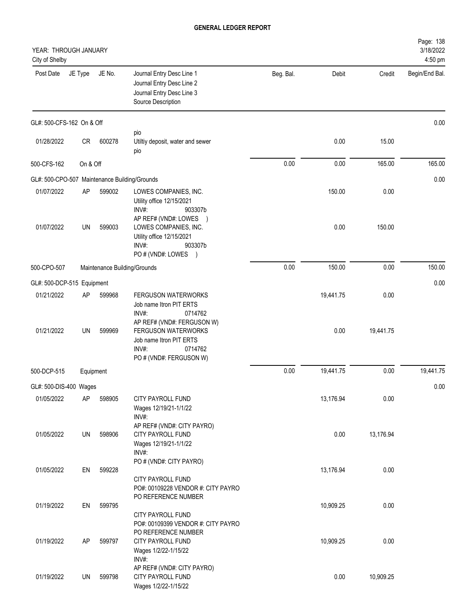| YEAR: THROUGH JANUARY<br>City of Shelby       |           |        |                                                                                                                 |           |           |           | Page: 138<br>3/18/2022<br>4:50 pm |
|-----------------------------------------------|-----------|--------|-----------------------------------------------------------------------------------------------------------------|-----------|-----------|-----------|-----------------------------------|
| Post Date                                     | JE Type   | JE No. | Journal Entry Desc Line 1<br>Journal Entry Desc Line 2<br>Journal Entry Desc Line 3<br>Source Description       | Beg. Bal. | Debit     | Credit    | Begin/End Bal.                    |
| GL#: 500-CFS-162 On & Off                     |           |        |                                                                                                                 |           |           |           | 0.00                              |
| 01/28/2022                                    | CR        | 600278 | pio<br>Utiltiy deposit, water and sewer<br>pio                                                                  |           | 0.00      | 15.00     |                                   |
| 500-CFS-162                                   | On & Off  |        |                                                                                                                 | 0.00      | 0.00      | 165.00    | 165.00                            |
| GL#: 500-CPO-507 Maintenance Building/Grounds |           |        |                                                                                                                 |           |           |           | 0.00                              |
| 01/07/2022                                    | AP        | 599002 | LOWES COMPANIES, INC.<br>Utility office 12/15/2021<br>INV#:<br>903307b<br>AP REF# (VND#: LOWES<br>$\rightarrow$ |           | 150.00    | 0.00      |                                   |
| 01/07/2022                                    | UN        | 599003 | LOWES COMPANIES, INC.<br>Utility office 12/15/2021<br>INV#:<br>903307b<br>PO # (VND#: LOWES )                   |           | 0.00      | 150.00    |                                   |
| 500-CPO-507                                   |           |        | Maintenance Building/Grounds                                                                                    | 0.00      | 150.00    | 0.00      | 150.00                            |
| GL#: 500-DCP-515 Equipment                    |           |        |                                                                                                                 |           |           |           | 0.00                              |
| 01/21/2022                                    | AP        | 599968 | <b>FERGUSON WATERWORKS</b><br>Job name Itron PIT ERTS<br>INV#:<br>0714762<br>AP REF# (VND#: FERGUSON W)         |           | 19,441.75 | 0.00      |                                   |
| 01/21/2022                                    | UN        | 599969 | <b>FERGUSON WATERWORKS</b><br>Job name Itron PIT ERTS<br>INV#:<br>0714762<br>PO # (VND#: FERGUSON W)            |           | 0.00      | 19,441.75 |                                   |
| 500-DCP-515                                   | Equipment |        |                                                                                                                 | 0.00      | 19,441.75 | 0.00      | 19,441.75                         |
| GL#: 500-DIS-400 Wages                        |           |        |                                                                                                                 |           |           |           | 0.00                              |
| 01/05/2022                                    | AP        | 598905 | CITY PAYROLL FUND<br>Wages 12/19/21-1/1/22<br>INV#:                                                             |           | 13,176.94 | 0.00      |                                   |
| 01/05/2022                                    | UN        | 598906 | AP REF# (VND#: CITY PAYRO)<br>CITY PAYROLL FUND<br>Wages 12/19/21-1/1/22<br>INV#:                               |           | 0.00      | 13,176.94 |                                   |
| 01/05/2022                                    | EN        | 599228 | PO # (VND#: CITY PAYRO)<br>CITY PAYROLL FUND<br>PO#: 00109228 VENDOR #: CITY PAYRO                              |           | 13,176.94 | 0.00      |                                   |
| 01/19/2022                                    | EN        | 599795 | PO REFERENCE NUMBER<br>CITY PAYROLL FUND<br>PO#: 00109399 VENDOR #: CITY PAYRO                                  |           | 10,909.25 | 0.00      |                                   |
| 01/19/2022                                    | AP        | 599797 | PO REFERENCE NUMBER<br>CITY PAYROLL FUND<br>Wages 1/2/22-1/15/22<br>INV#:                                       |           | 10,909.25 | 0.00      |                                   |
| 01/19/2022                                    | UN        | 599798 | AP REF# (VND#: CITY PAYRO)<br>CITY PAYROLL FUND<br>Wages 1/2/22-1/15/22                                         |           | 0.00      | 10,909.25 |                                   |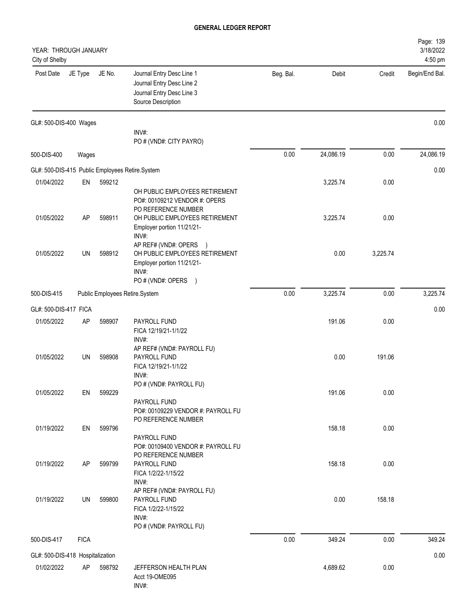| YEAR: THROUGH JANUARY<br>City of Shelby |             |        |                                                                                                                    |           |           |          | Page: 139<br>3/18/2022<br>4:50 pm |
|-----------------------------------------|-------------|--------|--------------------------------------------------------------------------------------------------------------------|-----------|-----------|----------|-----------------------------------|
| Post Date                               | JE Type     | JE No. | Journal Entry Desc Line 1<br>Journal Entry Desc Line 2<br>Journal Entry Desc Line 3<br>Source Description          | Beg. Bal. | Debit     | Credit   | Begin/End Bal.                    |
| GL#: 500-DIS-400 Wages                  |             |        | INV#:                                                                                                              |           |           |          | 0.00                              |
|                                         |             |        | PO # (VND#: CITY PAYRO)                                                                                            |           |           |          |                                   |
| 500-DIS-400                             | Wages       |        |                                                                                                                    | 0.00      | 24,086.19 | 0.00     | 24,086.19                         |
|                                         |             |        | GL#: 500-DIS-415 Public Employees Retire.System                                                                    |           |           |          | 0.00                              |
| 01/04/2022                              | EN          | 599212 |                                                                                                                    |           | 3,225.74  | 0.00     |                                   |
|                                         |             |        | OH PUBLIC EMPLOYEES RETIREMENT<br>PO#: 00109212 VENDOR #: OPERS<br>PO REFERENCE NUMBER                             |           |           |          |                                   |
| 01/05/2022                              | AP          | 598911 | OH PUBLIC EMPLOYEES RETIREMENT<br>Employer portion 11/21/21-<br>INV#:                                              |           | 3,225.74  | 0.00     |                                   |
| 01/05/2022                              | UN          | 598912 | AP REF# (VND#: OPERS<br>OH PUBLIC EMPLOYEES RETIREMENT<br>Employer portion 11/21/21-<br>INV#:<br>PO#(VND#: OPERS ) |           | 0.00      | 3,225.74 |                                   |
| 500-DIS-415                             |             |        | Public Employees Retire.System                                                                                     | 0.00      | 3,225.74  | 0.00     | 3,225.74                          |
| GL#: 500-DIS-417 FICA                   |             |        |                                                                                                                    |           |           |          | 0.00                              |
| 01/05/2022                              | <b>AP</b>   | 598907 | PAYROLL FUND<br>FICA 12/19/21-1/1/22<br>INV#:                                                                      |           | 191.06    | 0.00     |                                   |
| 01/05/2022                              | UN          | 598908 | AP REF# (VND#: PAYROLL FU)<br>PAYROLL FUND<br>FICA 12/19/21-1/1/22<br>INV#:                                        |           | 0.00      | 191.06   |                                   |
| 01/05/2022                              | EN          | 599229 | PO # (VND#: PAYROLL FU)<br>PAYROLL FUND                                                                            |           | 191.06    | 0.00     |                                   |
| 01/19/2022                              | EN          | 599796 | PO#: 00109229 VENDOR #: PAYROLL FU<br>PO REFERENCE NUMBER<br>PAYROLL FUND                                          |           | 158.18    | 0.00     |                                   |
| 01/19/2022                              | AP          | 599799 | PO#: 00109400 VENDOR #: PAYROLL FU<br>PO REFERENCE NUMBER<br>PAYROLL FUND<br>FICA 1/2/22-1/15/22                   |           | 158.18    | 0.00     |                                   |
| 01/19/2022                              | UN          | 599800 | INV#:<br>AP REF# (VND#: PAYROLL FU)<br>PAYROLL FUND<br>FICA 1/2/22-1/15/22<br>INV#:<br>PO # (VND#: PAYROLL FU)     |           | 0.00      | 158.18   |                                   |
| 500-DIS-417                             | <b>FICA</b> |        |                                                                                                                    | 0.00      | 349.24    | 0.00     | 349.24                            |
| GL#: 500-DIS-418 Hospitalization        |             |        |                                                                                                                    |           |           |          | 0.00                              |
| 01/02/2022                              | AP          | 598792 | JEFFERSON HEALTH PLAN<br>Acct 19-OME095<br>INV#:                                                                   |           | 4,689.62  | 0.00     |                                   |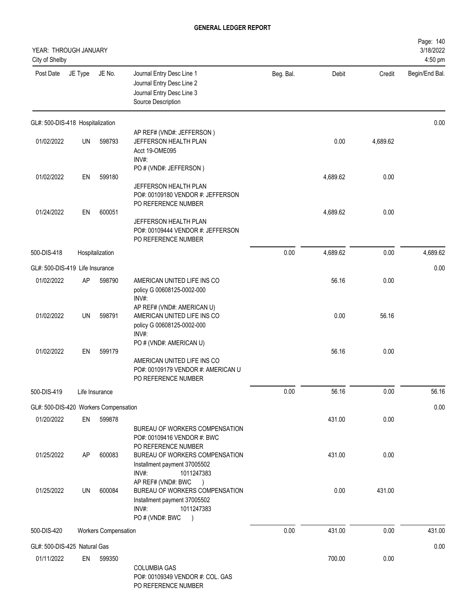| YEAR: THROUGH JANUARY<br>City of Shelby |         |                      |                                                                                                                              |           |          |          | Page: 140<br>3/18/2022<br>4:50 pm |
|-----------------------------------------|---------|----------------------|------------------------------------------------------------------------------------------------------------------------------|-----------|----------|----------|-----------------------------------|
| Post Date                               | JE Type | JE No.               | Journal Entry Desc Line 1<br>Journal Entry Desc Line 2<br>Journal Entry Desc Line 3<br>Source Description                    | Beg. Bal. | Debit    | Credit   | Begin/End Bal.                    |
| GL#: 500-DIS-418 Hospitalization        |         |                      |                                                                                                                              |           |          |          | 0.00                              |
| 01/02/2022                              | UN      | 598793               | AP REF# (VND#: JEFFERSON)<br>JEFFERSON HEALTH PLAN<br>Acct 19-OME095<br>INV#:                                                |           | 0.00     | 4,689.62 |                                   |
| 01/02/2022                              | EN      | 599180               | PO # (VND#: JEFFERSON)<br>JEFFERSON HEALTH PLAN<br>PO#: 00109180 VENDOR #: JEFFERSON<br>PO REFERENCE NUMBER                  |           | 4,689.62 | 0.00     |                                   |
| 01/24/2022                              | EN      | 600051               | JEFFERSON HEALTH PLAN<br>PO#: 00109444 VENDOR #: JEFFERSON<br>PO REFERENCE NUMBER                                            |           | 4,689.62 | 0.00     |                                   |
| 500-DIS-418                             |         | Hospitalization      |                                                                                                                              | 0.00      | 4,689.62 | 0.00     | 4,689.62                          |
| GL#: 500-DIS-419 Life Insurance         |         |                      |                                                                                                                              |           |          |          | 0.00                              |
| 01/02/2022                              | AP      | 598790               | AMERICAN UNITED LIFE INS CO<br>policy G 00608125-0002-000<br>INV#:                                                           |           | 56.16    | 0.00     |                                   |
| 01/02/2022                              | UN      | 598791               | AP REF# (VND#: AMERICAN U)<br>AMERICAN UNITED LIFE INS CO<br>policy G 00608125-0002-000<br>INV#:                             |           | 0.00     | 56.16    |                                   |
| 01/02/2022                              | EN      | 599179               | PO # (VND#: AMERICAN U)<br>AMERICAN UNITED LIFE INS CO<br>PO#: 00109179 VENDOR #: AMERICAN U<br>PO REFERENCE NUMBER          |           | 56.16    | 0.00     |                                   |
| 500-DIS-419                             |         | Life Insurance       |                                                                                                                              | 0.00      | 56.16    | 0.00     | 56.16                             |
| GL#: 500-DIS-420 Workers Compensation   |         |                      |                                                                                                                              |           |          |          | 0.00                              |
| 01/20/2022                              | EN      | 599878               | BUREAU OF WORKERS COMPENSATION<br>PO#: 00109416 VENDOR #: BWC<br>PO REFERENCE NUMBER                                         |           | 431.00   | 0.00     |                                   |
| 01/25/2022                              | AP      | 600083               | BUREAU OF WORKERS COMPENSATION<br>Installment payment 37005502<br>INV#:<br>1011247383<br>AP REF# (VND#: BWC<br>$\rightarrow$ |           | 431.00   | 0.00     |                                   |
| 01/25/2022                              | UN      | 600084               | BUREAU OF WORKERS COMPENSATION<br>Installment payment 37005502<br>INV#:<br>1011247383<br>PO # (VND#: BWC<br>$\lambda$        |           | 0.00     | 431.00   |                                   |
| 500-DIS-420                             |         | Workers Compensation |                                                                                                                              | 0.00      | 431.00   | 0.00     | 431.00                            |
| GL#: 500-DIS-425 Natural Gas            |         |                      |                                                                                                                              |           |          |          | 0.00                              |
| 01/11/2022                              | EN      | 599350               | <b>COLUMBIA GAS</b><br>PO#: 00109349 VENDOR #: COL. GAS<br>DO DEEEDENCE NIJMDED.                                             |           | 700.00   | 0.00     |                                   |

PO REFERENCE NUMBER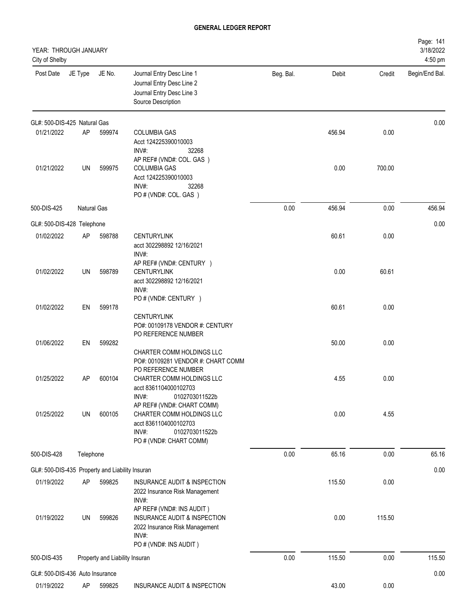| YEAR: THROUGH JANUARY<br>City of Shelby         |             |                                |                                                                                                                                |           |        |        | Page: 141<br>3/18/2022<br>4:50 pm |
|-------------------------------------------------|-------------|--------------------------------|--------------------------------------------------------------------------------------------------------------------------------|-----------|--------|--------|-----------------------------------|
| Post Date                                       | JE Type     | JE No.                         | Journal Entry Desc Line 1<br>Journal Entry Desc Line 2<br>Journal Entry Desc Line 3<br>Source Description                      | Beg. Bal. | Debit  | Credit | Begin/End Bal.                    |
| GL#: 500-DIS-425 Natural Gas                    |             |                                |                                                                                                                                |           |        |        | 0.00                              |
| 01/21/2022                                      | AP          | 599974                         | <b>COLUMBIA GAS</b><br>Acct 124225390010003<br>INV#:<br>32268<br>AP REF# (VND#: COL. GAS)                                      |           | 456.94 | 0.00   |                                   |
| 01/21/2022                                      | UN          | 599975                         | <b>COLUMBIA GAS</b><br>Acct 124225390010003<br>INV#:<br>32268<br>PO # (VND#: COL. GAS)                                         |           | 0.00   | 700.00 |                                   |
| 500-DIS-425                                     | Natural Gas |                                |                                                                                                                                | 0.00      | 456.94 | 0.00   | 456.94                            |
| GL#: 500-DIS-428 Telephone                      |             |                                |                                                                                                                                |           |        |        | 0.00                              |
| 01/02/2022                                      | AP          | 598788                         | <b>CENTURYLINK</b><br>acct 302298892 12/16/2021<br>INV#:                                                                       |           | 60.61  | 0.00   |                                   |
| 01/02/2022                                      | UN          | 598789                         | AP REF# (VND#: CENTURY)<br><b>CENTURYLINK</b><br>acct 302298892 12/16/2021<br>INV#:                                            |           | 0.00   | 60.61  |                                   |
| 01/02/2022                                      | EN          | 599178                         | PO # (VND#: CENTURY )<br><b>CENTURYLINK</b><br>PO#: 00109178 VENDOR #: CENTURY                                                 |           | 60.61  | 0.00   |                                   |
| 01/06/2022                                      | EN          | 599282                         | PO REFERENCE NUMBER<br>CHARTER COMM HOLDINGS LLC<br>PO#: 00109281 VENDOR #: CHART COMM<br>PO REFERENCE NUMBER                  |           | 50.00  | 0.00   |                                   |
| 01/25/2022                                      | AP          | 600104                         | CHARTER COMM HOLDINGS LLC<br>acct 8361104000102703<br>INV#:<br>0102703011522b<br>AP REF# (VND#: CHART COMM)                    |           | 4.55   | 0.00   |                                   |
| 01/25/2022                                      | UN          | 600105                         | CHARTER COMM HOLDINGS LLC<br>acct 8361104000102703<br>INV#:<br>0102703011522b<br>PO # (VND#: CHART COMM)                       |           | 0.00   | 4.55   |                                   |
| 500-DIS-428                                     | Telephone   |                                |                                                                                                                                | 0.00      | 65.16  | 0.00   | 65.16                             |
| GL#: 500-DIS-435 Property and Liability Insuran |             |                                |                                                                                                                                |           |        |        | 0.00                              |
| 01/19/2022                                      | AP          | 599825                         | INSURANCE AUDIT & INSPECTION<br>2022 Insurance Risk Management<br>INV#:                                                        |           | 115.50 | 0.00   |                                   |
| 01/19/2022                                      | UN          | 599826                         | AP REF# (VND#: INS AUDIT)<br>INSURANCE AUDIT & INSPECTION<br>2022 Insurance Risk Management<br>INV#:<br>PO # (VND#: INS AUDIT) |           | 0.00   | 115.50 |                                   |
| 500-DIS-435                                     |             | Property and Liability Insuran |                                                                                                                                | 0.00      | 115.50 | 0.00   | 115.50                            |
| GL#: 500-DIS-436 Auto Insurance                 |             |                                |                                                                                                                                |           |        |        | 0.00                              |
| 01/19/2022                                      | AP          | 599825                         | INSURANCE AUDIT & INSPECTION                                                                                                   |           | 43.00  | 0.00   |                                   |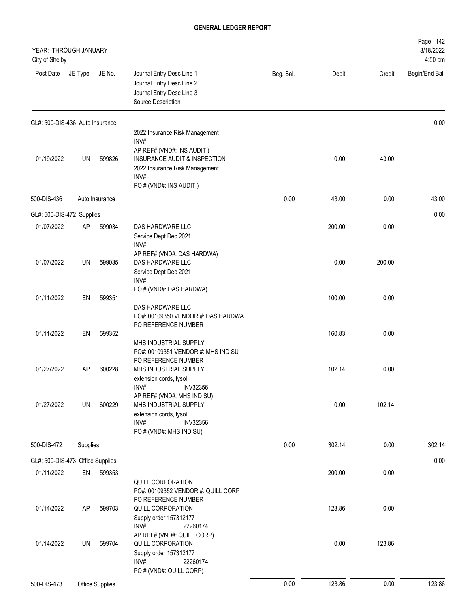| YEAR: THROUGH JANUARY<br>City of Shelby |          |                 |                                                                                                                                                                                  |           |        |        | Page: 142<br>3/18/2022<br>4:50 pm |
|-----------------------------------------|----------|-----------------|----------------------------------------------------------------------------------------------------------------------------------------------------------------------------------|-----------|--------|--------|-----------------------------------|
| Post Date                               | JE Type  | JE No.          | Journal Entry Desc Line 1<br>Journal Entry Desc Line 2<br>Journal Entry Desc Line 3<br>Source Description                                                                        | Beg. Bal. | Debit  | Credit | Begin/End Bal.                    |
| GL#: 500-DIS-436 Auto Insurance         |          |                 |                                                                                                                                                                                  |           |        |        | 0.00                              |
|                                         |          |                 | 2022 Insurance Risk Management<br>INV#:                                                                                                                                          |           |        |        |                                   |
| 01/19/2022                              | UN       | 599826          | AP REF# (VND#: INS AUDIT)<br>INSURANCE AUDIT & INSPECTION<br>2022 Insurance Risk Management<br>$INV#$ :<br>PO # (VND#: INS AUDIT)                                                |           | 0.00   | 43.00  |                                   |
| 500-DIS-436                             |          | Auto Insurance  |                                                                                                                                                                                  | 0.00      | 43.00  | 0.00   | 43.00                             |
| GL#: 500-DIS-472 Supplies               |          |                 |                                                                                                                                                                                  |           |        |        | 0.00                              |
| 01/07/2022                              | AP       | 599034          | DAS HARDWARE LLC<br>Service Dept Dec 2021<br>INV#:                                                                                                                               |           | 200.00 | 0.00   |                                   |
| 01/07/2022                              | UN       | 599035          | AP REF# (VND#: DAS HARDWA)<br>DAS HARDWARE LLC<br>Service Dept Dec 2021<br>INV#:                                                                                                 |           | 0.00   | 200.00 |                                   |
| 01/11/2022                              | EN       | 599351          | PO # (VND#: DAS HARDWA)<br>DAS HARDWARE LLC<br>PO#: 00109350 VENDOR #: DAS HARDWA                                                                                                |           | 100.00 | 0.00   |                                   |
| 01/11/2022                              | EN       | 599352          | PO REFERENCE NUMBER<br>MHS INDUSTRIAL SUPPLY                                                                                                                                     |           | 160.83 | 0.00   |                                   |
| 01/27/2022                              | AP       | 600228          | PO#: 00109351 VENDOR #: MHS IND SU<br>PO REFERENCE NUMBER<br>MHS INDUSTRIAL SUPPLY<br>extension cords, lysol<br>INV#:<br><b>INV32356</b>                                         |           | 102.14 | 0.00   |                                   |
| 01/27/2022                              | UN       | 600229          | AP REF# (VND#: MHS IND SU)<br>MHS INDUSTRIAL SUPPLY<br>extension cords, lysol<br>INV#:<br><b>INV32356</b><br>PO # (VND#: MHS IND SU)                                             |           | 0.00   | 102.14 |                                   |
| 500-DIS-472                             | Supplies |                 |                                                                                                                                                                                  | 0.00      | 302.14 | 0.00   | 302.14                            |
| GL#: 500-DIS-473 Office Supplies        |          |                 |                                                                                                                                                                                  |           |        |        | 0.00                              |
| 01/11/2022                              | EN       | 599353          |                                                                                                                                                                                  |           | 200.00 | 0.00   |                                   |
| 01/14/2022                              | AP       | 599703          | QUILL CORPORATION<br>PO#: 00109352 VENDOR #: QUILL CORP<br>PO REFERENCE NUMBER<br>QUILL CORPORATION<br>Supply order 157312177<br>INV#:<br>22260174<br>AP REF# (VND#: QUILL CORP) |           | 123.86 | 0.00   |                                   |
| 01/14/2022                              | UN       | 599704          | QUILL CORPORATION<br>Supply order 157312177<br>INV#:<br>22260174<br>PO # (VND#: QUILL CORP)                                                                                      |           | 0.00   | 123.86 |                                   |
| 500-DIS-473                             |          | Office Supplies |                                                                                                                                                                                  | 0.00      | 123.86 | 0.00   | 123.86                            |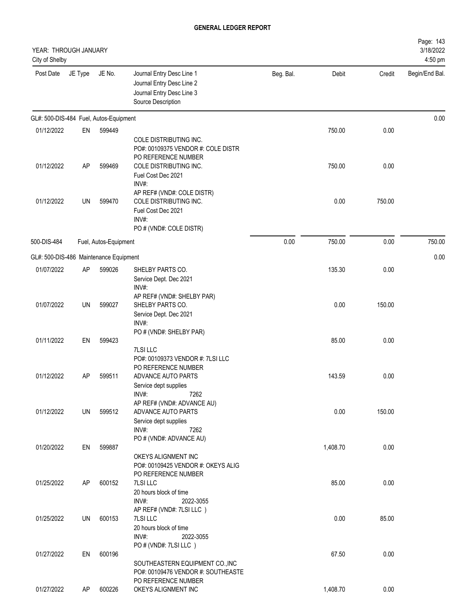| YEAR: THROUGH JANUARY<br>City of Shelby |         |                       |                                                                                                                                              |           |          |        | Page: 143<br>3/18/2022<br>4:50 pm |
|-----------------------------------------|---------|-----------------------|----------------------------------------------------------------------------------------------------------------------------------------------|-----------|----------|--------|-----------------------------------|
| Post Date                               | JE Type | JE No.                | Journal Entry Desc Line 1<br>Journal Entry Desc Line 2<br>Journal Entry Desc Line 3<br>Source Description                                    | Beg. Bal. | Debit    | Credit | Begin/End Bal.                    |
| GL#: 500-DIS-484 Fuel, Autos-Equipment  |         |                       |                                                                                                                                              |           |          |        | 0.00                              |
| 01/12/2022                              | EN      | 599449                |                                                                                                                                              |           | 750.00   | 0.00   |                                   |
| 01/12/2022                              | AP      | 599469                | COLE DISTRIBUTING INC.<br>PO#: 00109375 VENDOR #: COLE DISTR<br>PO REFERENCE NUMBER<br>COLE DISTRIBUTING INC.<br>Fuel Cost Dec 2021<br>INV#: |           | 750.00   | 0.00   |                                   |
| 01/12/2022                              | UN      | 599470                | AP REF# (VND#: COLE DISTR)<br>COLE DISTRIBUTING INC.<br>Fuel Cost Dec 2021<br>INV#:<br>PO # (VND#: COLE DISTR)                               |           | 0.00     | 750.00 |                                   |
| 500-DIS-484                             |         | Fuel, Autos-Equipment |                                                                                                                                              | 0.00      | 750.00   | 0.00   | 750.00                            |
| GL#: 500-DIS-486 Maintenance Equipment  |         |                       |                                                                                                                                              |           |          |        | 0.00                              |
| 01/07/2022                              | AP      | 599026                | SHELBY PARTS CO.<br>Service Dept. Dec 2021<br>INV#:                                                                                          |           | 135.30   | 0.00   |                                   |
| 01/07/2022                              | UN      | 599027                | AP REF# (VND#: SHELBY PAR)<br>SHELBY PARTS CO.<br>Service Dept. Dec 2021<br>INV#:                                                            |           | 0.00     | 150.00 |                                   |
| 01/11/2022                              | EN      | 599423                | PO # (VND#: SHELBY PAR)                                                                                                                      |           | 85.00    | 0.00   |                                   |
| 01/12/2022                              | AP      | 599511                | 7LSI LLC<br>PO#: 00109373 VENDOR #: 7LSI LLC<br>PO REFERENCE NUMBER<br>ADVANCE AUTO PARTS<br>Service dept supplies<br>INV#:<br>7262          |           | 143.59   | 0.00   |                                   |
| 01/12/2022                              | UN      | 599512                | AP REF# (VND#: ADVANCE AU)<br>ADVANCE AUTO PARTS<br>Service dept supplies<br>INV#:<br>7262                                                   |           | 0.00     | 150.00 |                                   |
| 01/20/2022                              | EN      | 599887                | PO # (VND#: ADVANCE AU)<br>OKEYS ALIGNMENT INC<br>PO#: 00109425 VENDOR #: OKEYS ALIG                                                         |           | 1,408.70 | 0.00   |                                   |
| 01/25/2022                              | AP      | 600152                | PO REFERENCE NUMBER<br>7LSI LLC<br>20 hours block of time<br>INV#:<br>2022-3055                                                              |           | 85.00    | 0.00   |                                   |
| 01/25/2022                              | UN      | 600153                | AP REF# (VND#: 7LSI LLC)<br>7LSI LLC<br>20 hours block of time<br>INV#:<br>2022-3055                                                         |           | 0.00     | 85.00  |                                   |
| 01/27/2022                              | EN      | 600196                | PO # (VND#: 7LSI LLC)<br>SOUTHEASTERN EQUIPMENT CO., INC<br>PO#: 00109476 VENDOR #: SOUTHEASTE<br>PO REFERENCE NUMBER                        |           | 67.50    | 0.00   |                                   |
| 01/27/2022                              | AP      | 600226                | OKEYS ALIGNMENT INC                                                                                                                          |           | 1,408.70 | 0.00   |                                   |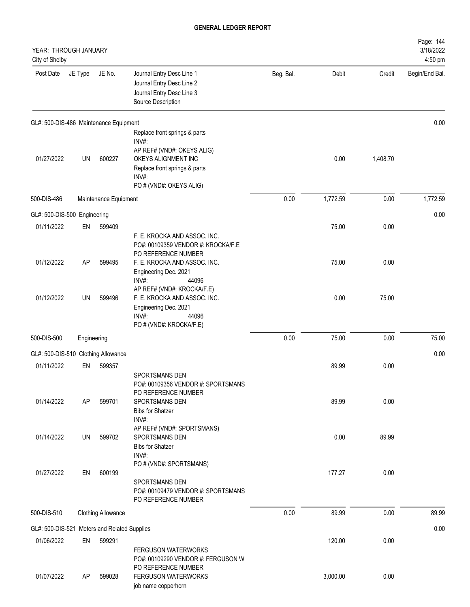| YEAR: THROUGH JANUARY<br>City of Shelby |             |                             |                                                                                                                              |           |          |          | Page: 144<br>3/18/2022<br>4:50 pm |
|-----------------------------------------|-------------|-----------------------------|------------------------------------------------------------------------------------------------------------------------------|-----------|----------|----------|-----------------------------------|
| Post Date                               | JE Type     | JE No.                      | Journal Entry Desc Line 1<br>Journal Entry Desc Line 2<br>Journal Entry Desc Line 3<br>Source Description                    | Beg. Bal. | Debit    | Credit   | Begin/End Bal.                    |
| GL#: 500-DIS-486 Maintenance Equipment  |             |                             |                                                                                                                              |           |          |          | 0.00                              |
| 01/27/2022                              | UN          | 600227                      | Replace front springs & parts<br>INV#:<br>AP REF# (VND#: OKEYS ALIG)<br>OKEYS ALIGNMENT INC<br>Replace front springs & parts |           | 0.00     | 1,408.70 |                                   |
|                                         |             |                             | INV#:<br>PO # (VND#: OKEYS ALIG)                                                                                             |           |          |          |                                   |
| 500-DIS-486                             |             | Maintenance Equipment       |                                                                                                                              | 0.00      | 1,772.59 | 0.00     | 1,772.59                          |
| GL#: 500-DIS-500 Engineering            |             |                             |                                                                                                                              |           |          |          | 0.00                              |
| 01/11/2022                              | EN          | 599409                      | F. E. KROCKA AND ASSOC. INC.<br>PO#: 00109359 VENDOR #: KROCKA/F.E<br>PO REFERENCE NUMBER                                    |           | 75.00    | 0.00     |                                   |
| 01/12/2022                              | AP          | 599495                      | F. E. KROCKA AND ASSOC. INC.<br>Engineering Dec. 2021<br>INV#:<br>44096<br>AP REF# (VND#: KROCKA/F.E)                        |           | 75.00    | 0.00     |                                   |
| 01/12/2022                              | UN          | 599496                      | F. E. KROCKA AND ASSOC. INC.<br>Engineering Dec. 2021<br>INV#:<br>44096<br>PO # (VND#: KROCKA/F.E)                           |           | 0.00     | 75.00    |                                   |
| 500-DIS-500                             | Engineering |                             |                                                                                                                              | 0.00      | 75.00    | 0.00     | 75.00                             |
| GL#: 500-DIS-510 Clothing Allowance     |             |                             |                                                                                                                              |           |          |          | 0.00                              |
| 01/11/2022                              | EN          | 599357                      | SPORTSMANS DEN<br>PO#: 00109356 VENDOR #: SPORTSMANS<br>PO REFERENCE NUMBER                                                  |           | 89.99    | 0.00     |                                   |
| 01/14/2022                              | AP          | 599701                      | SPORTSMANS DEN<br><b>Bibs for Shatzer</b><br>INV#:<br>AP REF# (VND#: SPORTSMANS)                                             |           | 89.99    | 0.00     |                                   |
| 01/14/2022                              | UN          | 599702                      | SPORTSMANS DEN<br><b>Bibs for Shatzer</b><br>INV#:                                                                           |           | 0.00     | 89.99    |                                   |
| 01/27/2022                              | EN          | 600199                      | PO # (VND#: SPORTSMANS)<br>SPORTSMANS DEN<br>PO#: 00109479 VENDOR #: SPORTSMANS<br>PO REFERENCE NUMBER                       |           | 177.27   | 0.00     |                                   |
| 500-DIS-510                             |             | <b>Clothing Allowance</b>   |                                                                                                                              | 0.00      | 89.99    | 0.00     | 89.99                             |
| GL#: 500-DIS-521                        |             | Meters and Related Supplies |                                                                                                                              |           |          |          | 0.00                              |
| 01/06/2022                              | EN          | 599291                      | <b>FERGUSON WATERWORKS</b><br>PO#: 00109290 VENDOR #: FERGUSON W<br>PO REFERENCE NUMBER                                      |           | 120.00   | 0.00     |                                   |
| 01/07/2022                              | AP          | 599028                      | <b>FERGUSON WATERWORKS</b><br>job name copperhorn                                                                            |           | 3,000.00 | 0.00     |                                   |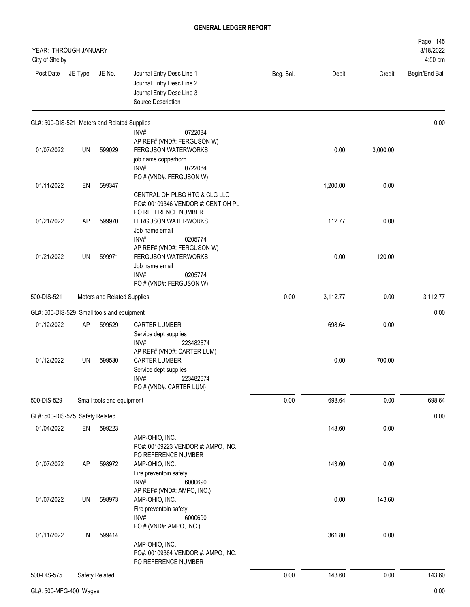| YEAR: THROUGH JANUARY<br>City of Shelby      |           |                             |                                                                                                                              |           |          |          | Page: 145<br>3/18/2022<br>4:50 pm |
|----------------------------------------------|-----------|-----------------------------|------------------------------------------------------------------------------------------------------------------------------|-----------|----------|----------|-----------------------------------|
| Post Date                                    | JE Type   | JE No.                      | Journal Entry Desc Line 1<br>Journal Entry Desc Line 2<br>Journal Entry Desc Line 3<br>Source Description                    | Beg. Bal. | Debit    | Credit   | Begin/End Bal.                    |
| GL#: 500-DIS-521 Meters and Related Supplies |           |                             |                                                                                                                              |           |          |          | 0.00                              |
| 01/07/2022                                   | UN        | 599029                      | INV#:<br>0722084<br>AP REF# (VND#: FERGUSON W)<br><b>FERGUSON WATERWORKS</b><br>job name copperhorn<br>INV#:<br>0722084      |           | 0.00     | 3,000.00 |                                   |
| 01/11/2022                                   | EN        | 599347                      | PO # (VND#: FERGUSON W)<br>CENTRAL OH PLBG HTG & CLG LLC                                                                     |           | 1,200.00 | 0.00     |                                   |
| 01/21/2022                                   | <b>AP</b> | 599970                      | PO#: 00109346 VENDOR #: CENT OH PL<br>PO REFERENCE NUMBER<br>FERGUSON WATERWORKS<br>Job name email<br>INV#:<br>0205774       |           | 112.77   | 0.00     |                                   |
| 01/21/2022                                   | UN        | 599971                      | AP REF# (VND#: FERGUSON W)<br><b>FERGUSON WATERWORKS</b><br>Job name email<br>INV#:<br>0205774<br>PO # (VND#: FERGUSON W)    |           | 0.00     | 120.00   |                                   |
| 500-DIS-521                                  |           | Meters and Related Supplies |                                                                                                                              | 0.00      | 3,112.77 | 0.00     | 3,112.77                          |
| GL#: 500-DIS-529 Small tools and equipment   |           |                             |                                                                                                                              |           |          |          | 0.00                              |
| 01/12/2022                                   | <b>AP</b> | 599529                      | <b>CARTER LUMBER</b><br>Service dept supplies<br>223482674<br>$INV#$ :                                                       |           | 698.64   | 0.00     |                                   |
| 01/12/2022                                   | UN        | 599530                      | AP REF# (VND#: CARTER LUM)<br><b>CARTER LUMBER</b><br>Service dept supplies<br>INV#:<br>223482674<br>PO # (VND#: CARTER LUM) |           | 0.00     | 700.00   |                                   |
| 500-DIS-529                                  |           | Small tools and equipment   |                                                                                                                              | 0.00      | 698.64   | 0.00     | 698.64                            |
| GL#: 500-DIS-575 Safety Related              |           |                             |                                                                                                                              |           |          |          | 0.00                              |
| 01/04/2022                                   | EN        | 599223                      | AMP-OHIO, INC.<br>PO#: 00109223 VENDOR #: AMPO, INC.<br>PO REFERENCE NUMBER                                                  |           | 143.60   | 0.00     |                                   |
| 01/07/2022                                   | AP        | 598972                      | AMP-OHIO, INC.<br>Fire preventoin safety<br>INV#:<br>6000690                                                                 |           | 143.60   | 0.00     |                                   |
| 01/07/2022                                   | UN        | 598973                      | AP REF# (VND#: AMPO, INC.)<br>AMP-OHIO, INC.<br>Fire preventoin safety<br>INV#:<br>6000690                                   |           | 0.00     | 143.60   |                                   |
| 01/11/2022                                   | EN        | 599414                      | PO # (VND#: AMPO, INC.)<br>AMP-OHIO, INC.<br>PO#: 00109364 VENDOR #: AMPO, INC.<br>PO REFERENCE NUMBER                       |           | 361.80   | 0.00     |                                   |
| 500-DIS-575                                  |           | Safety Related              |                                                                                                                              | 0.00      | 143.60   | 0.00     | 143.60                            |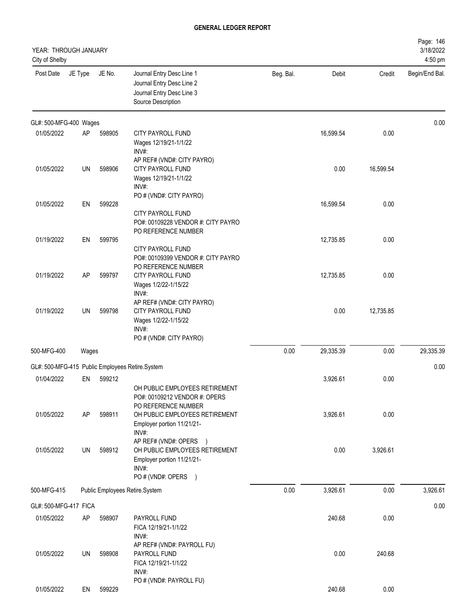| YEAR: THROUGH JANUARY<br>City of Shelby |           |        |                                                                                                                  |           |           |           | Page: 146<br>3/18/2022<br>4:50 pm |
|-----------------------------------------|-----------|--------|------------------------------------------------------------------------------------------------------------------|-----------|-----------|-----------|-----------------------------------|
| Post Date                               | JE Type   | JE No. | Journal Entry Desc Line 1<br>Journal Entry Desc Line 2<br>Journal Entry Desc Line 3<br>Source Description        | Beg. Bal. | Debit     | Credit    | Begin/End Bal.                    |
| GL#: 500-MFG-400 Wages                  |           |        |                                                                                                                  |           |           |           | 0.00                              |
| 01/05/2022                              | AP        | 598905 | <b>CITY PAYROLL FUND</b><br>Wages 12/19/21-1/1/22<br>INV#:<br>AP REF# (VND#: CITY PAYRO)                         |           | 16,599.54 | 0.00      |                                   |
| 01/05/2022                              | UN        | 598906 | <b>CITY PAYROLL FUND</b><br>Wages 12/19/21-1/1/22<br>INV#:                                                       |           | 0.00      | 16,599.54 |                                   |
| 01/05/2022                              | EN        | 599228 | PO # (VND#: CITY PAYRO)<br><b>CITY PAYROLL FUND</b><br>PO#: 00109228 VENDOR #: CITY PAYRO<br>PO REFERENCE NUMBER |           | 16,599.54 | 0.00      |                                   |
| 01/19/2022                              | EN        | 599795 | <b>CITY PAYROLL FUND</b><br>PO#: 00109399 VENDOR #: CITY PAYRO<br>PO REFERENCE NUMBER                            |           | 12,735.85 | 0.00      |                                   |
| 01/19/2022                              | AP        | 599797 | CITY PAYROLL FUND<br>Wages 1/2/22-1/15/22<br>INV#:<br>AP REF# (VND#: CITY PAYRO)                                 |           | 12,735.85 | 0.00      |                                   |
| 01/19/2022                              | UN        | 599798 | <b>CITY PAYROLL FUND</b><br>Wages 1/2/22-1/15/22<br>INV#:<br>PO # (VND#: CITY PAYRO)                             |           | 0.00      | 12,735.85 |                                   |
| 500-MFG-400                             | Wages     |        |                                                                                                                  | 0.00      | 29,335.39 | 0.00      | 29,335.39                         |
|                                         |           |        | GL#: 500-MFG-415 Public Employees Retire.System                                                                  |           |           |           | 0.00                              |
| 01/04/2022                              | EN        | 599212 | OH PUBLIC EMPLOYEES RETIREMENT<br>PO#: 00109212 VENDOR #: OPERS<br>PO REFERENCE NUMBER                           |           | 3,926.61  | 0.00      |                                   |
| 01/05/2022                              | <b>AP</b> | 598911 | OH PUBLIC EMPLOYEES RETIREMENT<br>Employer portion 11/21/21-<br>INV#:<br>AP REF# (VND#: OPERS<br>$\rightarrow$   |           | 3,926.61  | 0.00      |                                   |
| 01/05/2022                              | UN        | 598912 | OH PUBLIC EMPLOYEES RETIREMENT<br>Employer portion 11/21/21-<br>INV#:<br>PO # (VND#: OPERS )                     |           | 0.00      | 3,926.61  |                                   |
| 500-MFG-415                             |           |        | Public Employees Retire.System                                                                                   | 0.00      | 3,926.61  | 0.00      | 3,926.61                          |
| GL#: 500-MFG-417 FICA                   |           |        |                                                                                                                  |           |           |           | 0.00                              |
| 01/05/2022                              | AP        | 598907 | PAYROLL FUND<br>FICA 12/19/21-1/1/22<br>INV#:<br>AP REF# (VND#: PAYROLL FU)                                      |           | 240.68    | 0.00      |                                   |
| 01/05/2022                              | UN        | 598908 | PAYROLL FUND<br>FICA 12/19/21-1/1/22<br>INV#:<br>PO # (VND#: PAYROLL FU)                                         |           | 0.00      | 240.68    |                                   |
| 01/05/2022                              | EN        | 599229 |                                                                                                                  |           | 240.68    | 0.00      |                                   |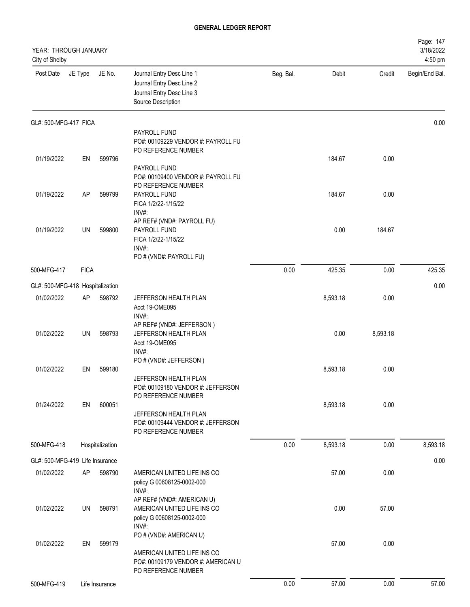| YEAR: THROUGH JANUARY<br>City of Shelby |             |                 |                                                                                                                     |           |          |          | Page: 147<br>3/18/2022<br>4:50 pm |
|-----------------------------------------|-------------|-----------------|---------------------------------------------------------------------------------------------------------------------|-----------|----------|----------|-----------------------------------|
| Post Date                               | JE Type     | JE No.          | Journal Entry Desc Line 1<br>Journal Entry Desc Line 2<br>Journal Entry Desc Line 3<br>Source Description           | Beg. Bal. | Debit    | Credit   | Begin/End Bal.                    |
| GL#: 500-MFG-417 FICA                   |             |                 |                                                                                                                     |           |          |          | 0.00                              |
|                                         |             |                 | PAYROLL FUND<br>PO#: 00109229 VENDOR #: PAYROLL FU                                                                  |           |          |          |                                   |
|                                         |             |                 | PO REFERENCE NUMBER                                                                                                 |           |          |          |                                   |
| 01/19/2022                              | EN          | 599796          | PAYROLL FUND<br>PO#: 00109400 VENDOR #: PAYROLL FU<br>PO REFERENCE NUMBER                                           |           | 184.67   | 0.00     |                                   |
| 01/19/2022                              | AP          | 599799          | PAYROLL FUND<br>FICA 1/2/22-1/15/22<br>INV#:                                                                        |           | 184.67   | 0.00     |                                   |
| 01/19/2022                              | UN          | 599800          | AP REF# (VND#: PAYROLL FU)<br>PAYROLL FUND<br>FICA 1/2/22-1/15/22<br>INV#:<br>PO # (VND#: PAYROLL FU)               |           | 0.00     | 184.67   |                                   |
| 500-MFG-417                             | <b>FICA</b> |                 |                                                                                                                     | 0.00      | 425.35   | 0.00     | 425.35                            |
| GL#: 500-MFG-418 Hospitalization        |             |                 |                                                                                                                     |           |          |          | 0.00                              |
| 01/02/2022                              | AP          | 598792          | JEFFERSON HEALTH PLAN<br>Acct 19-OME095<br>INV#:                                                                    |           | 8,593.18 | 0.00     |                                   |
| 01/02/2022                              | UN          | 598793          | AP REF# (VND#: JEFFERSON)<br>JEFFERSON HEALTH PLAN<br>Acct 19-OME095<br>INV#:                                       |           | 0.00     | 8,593.18 |                                   |
| 01/02/2022                              | EN          | 599180          | PO # (VND#: JEFFERSON)<br>JEFFERSON HEALTH PLAN<br>PO#: 00109180 VENDOR #: JEFFERSON                                |           | 8,593.18 | 0.00     |                                   |
| 01/24/2022                              | EN          | 600051          | PO REFERENCE NUMBER<br>JEFFERSON HEALTH PLAN<br>PO#: 00109444 VENDOR #: JEFFERSON<br>PO REFERENCE NUMBER            |           | 8,593.18 | 0.00     |                                   |
| 500-MFG-418                             |             | Hospitalization |                                                                                                                     | 0.00      | 8,593.18 | 0.00     | 8,593.18                          |
| GL#: 500-MFG-419 Life Insurance         |             |                 |                                                                                                                     |           |          |          | 0.00                              |
| 01/02/2022                              | AP          | 598790          | AMERICAN UNITED LIFE INS CO<br>policy G 00608125-0002-000<br>INV#:                                                  |           | 57.00    | 0.00     |                                   |
| 01/02/2022                              | UN          | 598791          | AP REF# (VND#: AMERICAN U)<br>AMERICAN UNITED LIFE INS CO<br>policy G 00608125-0002-000<br>INV#:                    |           | 0.00     | 57.00    |                                   |
| 01/02/2022                              | EN          | 599179          | PO # (VND#: AMERICAN U)<br>AMERICAN UNITED LIFE INS CO<br>PO#: 00109179 VENDOR #: AMERICAN U<br>PO REFERENCE NUMBER |           | 57.00    | 0.00     |                                   |
| 500-MFG-419                             |             | Life Insurance  |                                                                                                                     | 0.00      | 57.00    | 0.00     | 57.00                             |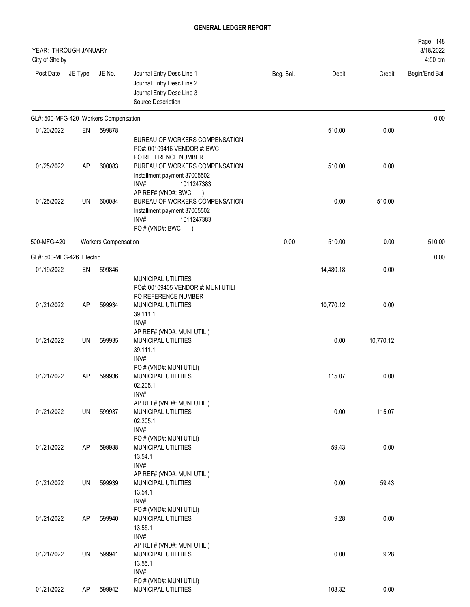| YEAR: THROUGH JANUARY<br>City of Shelby |         |                             |                                                                                                                                                                               |           |           |           | Page: 148<br>3/18/2022<br>4:50 pm |
|-----------------------------------------|---------|-----------------------------|-------------------------------------------------------------------------------------------------------------------------------------------------------------------------------|-----------|-----------|-----------|-----------------------------------|
| Post Date                               | JE Type | JE No.                      | Journal Entry Desc Line 1<br>Journal Entry Desc Line 2<br>Journal Entry Desc Line 3<br>Source Description                                                                     | Beg. Bal. | Debit     | Credit    | Begin/End Bal.                    |
| GL#: 500-MFG-420 Workers Compensation   |         |                             |                                                                                                                                                                               |           |           |           | 0.00                              |
| 01/20/2022                              | EN      | 599878                      |                                                                                                                                                                               |           | 510.00    | 0.00      |                                   |
| 01/25/2022                              | AP      | 600083                      | BUREAU OF WORKERS COMPENSATION<br>PO#: 00109416 VENDOR #: BWC<br>PO REFERENCE NUMBER<br>BUREAU OF WORKERS COMPENSATION<br>Installment payment 37005502<br>INV#:<br>1011247383 |           | 510.00    | 0.00      |                                   |
| 01/25/2022                              | UN      | 600084                      | AP REF# (VND#: BWC<br>$\lambda$<br>BUREAU OF WORKERS COMPENSATION<br>Installment payment 37005502<br>INV#:<br>1011247383<br>PO # (VND#: BWC<br>$\overline{\phantom{a}}$       |           | 0.00      | 510.00    |                                   |
| 500-MFG-420                             |         | <b>Workers Compensation</b> |                                                                                                                                                                               | 0.00      | 510.00    | 0.00      | 510.00                            |
| GL#: 500-MFG-426 Electric               |         |                             |                                                                                                                                                                               |           |           |           | 0.00                              |
| 01/19/2022                              | EN      | 599846                      |                                                                                                                                                                               |           | 14,480.18 | 0.00      |                                   |
| 01/21/2022                              | AP      | 599934                      | MUNICIPAL UTILITIES<br>PO#: 00109405 VENDOR #: MUNI UTILI<br>PO REFERENCE NUMBER<br>MUNICIPAL UTILITIES<br>39.111.1<br>INV#:                                                  |           | 10,770.12 | 0.00      |                                   |
| 01/21/2022                              | UN      | 599935                      | AP REF# (VND#: MUNI UTILI)<br>MUNICIPAL UTILITIES<br>39.111.1<br>INV#:                                                                                                        |           | 0.00      | 10,770.12 |                                   |
| 01/21/2022                              | AP      | 599936                      | PO # (VND#: MUNI UTILI)<br><b>MUNICIPAL UTILITIES</b><br>02.205.1<br>INV#:                                                                                                    |           | 115.07    | 0.00      |                                   |
| 01/21/2022                              | UN      | 599937                      | AP REF# (VND#: MUNI UTILI)<br>MUNICIPAL UTILITIES<br>02.205.1<br>INV#:                                                                                                        |           | 0.00      | 115.07    |                                   |
| 01/21/2022                              | AP      | 599938                      | PO # (VND#: MUNI UTILI)<br>MUNICIPAL UTILITIES<br>13.54.1<br>INV#:                                                                                                            |           | 59.43     | 0.00      |                                   |
| 01/21/2022                              | UN      | 599939                      | AP REF# (VND#: MUNI UTILI)<br>MUNICIPAL UTILITIES<br>13.54.1<br>INV#:                                                                                                         |           | 0.00      | 59.43     |                                   |
| 01/21/2022                              | AP      | 599940                      | PO # (VND#: MUNI UTILI)<br>MUNICIPAL UTILITIES<br>13.55.1<br>INV#:                                                                                                            |           | 9.28      | 0.00      |                                   |
| 01/21/2022                              | UN      | 599941                      | AP REF# (VND#: MUNI UTILI)<br>MUNICIPAL UTILITIES<br>13.55.1<br>INV#:                                                                                                         |           | 0.00      | 9.28      |                                   |
| 01/21/2022                              | AP      | 599942                      | PO # (VND#: MUNI UTILI)<br>MUNICIPAL UTILITIES                                                                                                                                |           | 103.32    | 0.00      |                                   |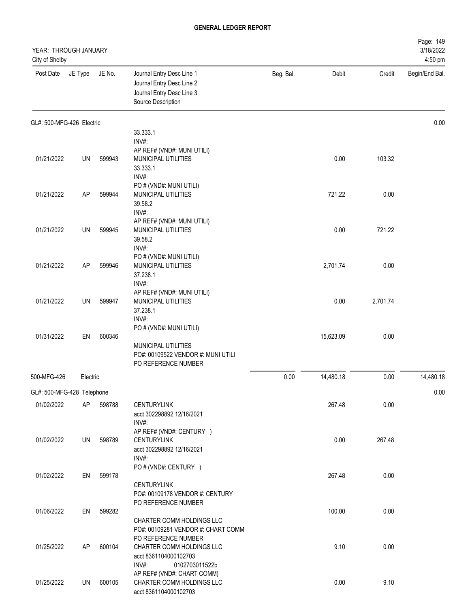| YEAR: THROUGH JANUARY<br>City of Shelby |           |        |                                                                                                             |           |           |          | Page: 149<br>3/18/2022<br>4:50 pm |
|-----------------------------------------|-----------|--------|-------------------------------------------------------------------------------------------------------------|-----------|-----------|----------|-----------------------------------|
| Post Date                               | JE Type   | JE No. | Journal Entry Desc Line 1<br>Journal Entry Desc Line 2<br>Journal Entry Desc Line 3<br>Source Description   | Beg. Bal. | Debit     | Credit   | Begin/End Bal.                    |
| GL#: 500-MFG-426 Electric               |           |        |                                                                                                             |           |           |          | 0.00                              |
|                                         |           |        | 33.333.1<br>INV#:                                                                                           |           |           |          |                                   |
| 01/21/2022                              | UN        | 599943 | AP REF# (VND#: MUNI UTILI)<br><b>MUNICIPAL UTILITIES</b><br>33.333.1<br>INV#:                               |           | 0.00      | 103.32   |                                   |
| 01/21/2022                              | AP        | 599944 | PO # (VND#: MUNI UTILI)<br>MUNICIPAL UTILITIES<br>39.58.2<br>INV#:                                          |           | 721.22    | 0.00     |                                   |
| 01/21/2022                              | UN        | 599945 | AP REF# (VND#: MUNI UTILI)<br>MUNICIPAL UTILITIES<br>39.58.2<br>INV#:                                       |           | 0.00      | 721.22   |                                   |
| 01/21/2022                              | <b>AP</b> | 599946 | PO # (VND#: MUNI UTILI)<br>MUNICIPAL UTILITIES<br>37.238.1<br>INV#:                                         |           | 2,701.74  | 0.00     |                                   |
| 01/21/2022                              | UN        | 599947 | AP REF# (VND#: MUNI UTILI)<br>MUNICIPAL UTILITIES<br>37.238.1<br>INV#:                                      |           | 0.00      | 2,701.74 |                                   |
| 01/31/2022                              | EN        | 600346 | PO # (VND#: MUNI UTILI)<br>MUNICIPAL UTILITIES<br>PO#: 00109522 VENDOR #: MUNI UTILI<br>PO REFERENCE NUMBER |           | 15,623.09 | 0.00     |                                   |
| 500-MFG-426                             | Electric  |        |                                                                                                             | 0.00      | 14,480.18 | 0.00     | 14,480.18                         |
| GL#: 500-MFG-428 Telephone              |           |        |                                                                                                             |           |           |          | 0.00                              |
| 01/02/2022                              | AP        | 598788 | <b>CENTURYLINK</b><br>acct 302298892 12/16/2021<br>INV#:                                                    |           | 267.48    | 0.00     |                                   |
| 01/02/2022                              | UN        | 598789 | AP REF# (VND#: CENTURY )<br><b>CENTURYLINK</b><br>acct 302298892 12/16/2021<br>INV#:                        |           | 0.00      | 267.48   |                                   |
| 01/02/2022                              | EN        | 599178 | PO # (VND#: CENTURY )<br><b>CENTURYLINK</b><br>PO#: 00109178 VENDOR #: CENTURY                              |           | 267.48    | 0.00     |                                   |
| 01/06/2022                              | EN        | 599282 | PO REFERENCE NUMBER<br>CHARTER COMM HOLDINGS LLC<br>PO#: 00109281 VENDOR #: CHART COMM                      |           | 100.00    | 0.00     |                                   |
| 01/25/2022                              | AP        | 600104 | PO REFERENCE NUMBER<br>CHARTER COMM HOLDINGS LLC<br>acct 8361104000102703<br>INV#:<br>0102703011522b        |           | 9.10      | 0.00     |                                   |
| 01/25/2022                              | UN        | 600105 | AP REF# (VND#: CHART COMM)<br>CHARTER COMM HOLDINGS LLC<br>acct 8361104000102703                            |           | 0.00      | 9.10     |                                   |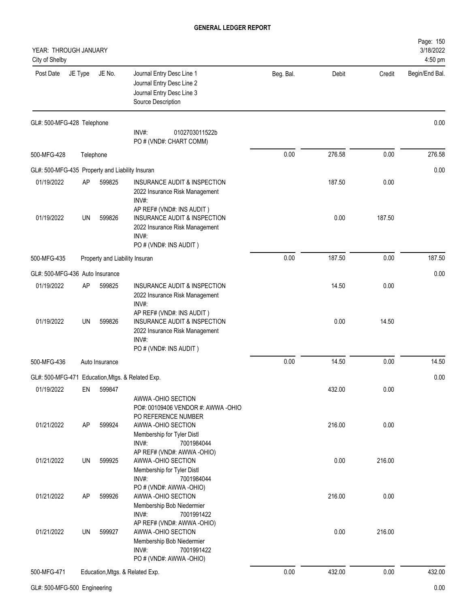| YEAR: THROUGH JANUARY<br>City of Shelby          |           |                |                                                                                                                                 |           |        |        | Page: 150<br>3/18/2022<br>4:50 pm |
|--------------------------------------------------|-----------|----------------|---------------------------------------------------------------------------------------------------------------------------------|-----------|--------|--------|-----------------------------------|
| Post Date                                        | JE Type   | JE No.         | Journal Entry Desc Line 1<br>Journal Entry Desc Line 2<br>Journal Entry Desc Line 3<br>Source Description                       | Beg. Bal. | Debit  | Credit | Begin/End Bal.                    |
| GL#: 500-MFG-428 Telephone                       |           |                | INV#:<br>0102703011522b<br>PO # (VND#: CHART COMM)                                                                              |           |        |        | 0.00                              |
| 500-MFG-428                                      | Telephone |                |                                                                                                                                 | 0.00      | 276.58 | 0.00   | 276.58                            |
| GL#: 500-MFG-435 Property and Liability Insuran  |           |                |                                                                                                                                 |           |        |        | 0.00                              |
| 01/19/2022                                       | AP        | 599825         | <b>INSURANCE AUDIT &amp; INSPECTION</b><br>2022 Insurance Risk Management<br>INV#:                                              |           | 187.50 | 0.00   |                                   |
| 01/19/2022                                       | <b>UN</b> | 599826         | AP REF# (VND#: INS AUDIT)<br>INSURANCE AUDIT & INSPECTION<br>2022 Insurance Risk Management<br>INV#:<br>PO # (VND#: INS AUDIT)  |           | 0.00   | 187.50 |                                   |
| 500-MFG-435                                      |           |                | Property and Liability Insuran                                                                                                  | 0.00      | 187.50 | 0.00   | 187.50                            |
| GL#: 500-MFG-436 Auto Insurance                  |           |                |                                                                                                                                 |           |        |        | 0.00                              |
| 01/19/2022                                       | AP        | 599825         | INSURANCE AUDIT & INSPECTION<br>2022 Insurance Risk Management<br>INV#:                                                         |           | 14.50  | 0.00   |                                   |
| 01/19/2022                                       | <b>UN</b> | 599826         | AP REF# (VND#: INS AUDIT)<br>INSURANCE AUDIT & INSPECTION<br>2022 Insurance Risk Management<br>INV#:<br>PO # (VND#: INS AUDIT)  |           | 0.00   | 14.50  |                                   |
| 500-MFG-436                                      |           | Auto Insurance |                                                                                                                                 | 0.00      | 14.50  | 0.00   | 14.50                             |
| GL#: 500-MFG-471 Education, Mtgs. & Related Exp. |           |                |                                                                                                                                 |           |        |        | 0.00                              |
| 01/19/2022                                       | EN        | 599847         | AWWA -OHIO SECTION<br>PO#: 00109406 VENDOR #: AWWA -OHIO                                                                        |           | 432.00 | 0.00   |                                   |
| 01/21/2022                                       | AP        | 599924         | PO REFERENCE NUMBER<br>AWWA-OHIO SECTION<br>Membership for Tyler Distl<br>INV#:<br>7001984044<br>AP REF# (VND#: AWWA -OHIO)     |           | 216.00 | 0.00   |                                   |
| 01/21/2022                                       | UN        | 599925         | AWWA-OHIO SECTION<br>Membership for Tyler Distl<br>INV#:<br>7001984044                                                          |           | 0.00   | 216.00 |                                   |
| 01/21/2022                                       | AP        | 599926         | PO # (VND#: AWWA -OHIO)<br>AWWA -OHIO SECTION<br>Membership Bob Niedermier<br>INV#:<br>7001991422                               |           | 216.00 | 0.00   |                                   |
| 01/21/2022                                       | UN        | 599927         | AP REF# (VND#: AWWA -OHIO)<br>AWWA -OHIO SECTION<br>Membership Bob Niedermier<br>INV#:<br>7001991422<br>PO # (VND#: AWWA -OHIO) |           | 0.00   | 216.00 |                                   |
| 500-MFG-471                                      |           |                | Education, Mtgs. & Related Exp.                                                                                                 | 0.00      | 432.00 | 0.00   | 432.00                            |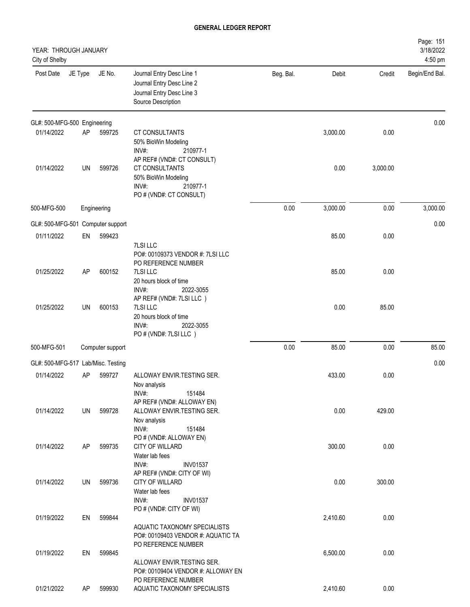| YEAR: THROUGH JANUARY<br>City of Shelby |         |                  |                                                                                                           |           |          |          | Page: 151<br>3/18/2022<br>4:50 pm |
|-----------------------------------------|---------|------------------|-----------------------------------------------------------------------------------------------------------|-----------|----------|----------|-----------------------------------|
| Post Date                               | JE Type | JE No.           | Journal Entry Desc Line 1<br>Journal Entry Desc Line 2<br>Journal Entry Desc Line 3<br>Source Description | Beg. Bal. | Debit    | Credit   | Begin/End Bal.                    |
| GL#: 500-MFG-500 Engineering            |         |                  |                                                                                                           |           |          |          | 0.00                              |
| 01/14/2022                              | AP      | 599725           | CT CONSULTANTS<br>50% BioWin Modeling<br>INV#:<br>210977-1<br>AP REF# (VND#: CT CONSULT)                  |           | 3,000.00 | 0.00     |                                   |
| 01/14/2022                              | UN      | 599726           | CT CONSULTANTS<br>50% BioWin Modeling<br>INV#:<br>210977-1<br>PO # (VND#: CT CONSULT)                     |           | 0.00     | 3,000.00 |                                   |
| 500-MFG-500                             |         | Engineering      |                                                                                                           | 0.00      | 3,000.00 | 0.00     | 3,000.00                          |
| GL#: 500-MFG-501 Computer support       |         |                  |                                                                                                           |           |          |          | 0.00                              |
| 01/11/2022                              | EN      | 599423           | <b>7LSI LLC</b>                                                                                           |           | 85.00    | 0.00     |                                   |
| 01/25/2022                              | AP      | 600152           | PO#: 00109373 VENDOR #: 7LSI LLC<br>PO REFERENCE NUMBER<br>7LSI LLC                                       |           | 85.00    | 0.00     |                                   |
|                                         |         |                  | 20 hours block of time<br>INV#:<br>2022-3055<br>AP REF# (VND#: 7LSI LLC)                                  |           |          |          |                                   |
| 01/25/2022                              | UN      | 600153           | 7LSI LLC<br>20 hours block of time<br>INV#:<br>2022-3055<br>PO # (VND#: 7LSI LLC)                         |           | 0.00     | 85.00    |                                   |
| 500-MFG-501                             |         | Computer support |                                                                                                           | 0.00      | 85.00    | 0.00     | 85.00                             |
| GL#: 500-MFG-517 Lab/Misc. Testing      |         |                  |                                                                                                           |           |          |          | 0.00                              |
| 01/14/2022                              | AP      | 599727           | ALLOWAY ENVIR.TESTING SER.<br>Nov analysis<br>INV#:<br>151484                                             |           | 433.00   | 0.00     |                                   |
| 01/14/2022                              | UN      | 599728           | AP REF# (VND#: ALLOWAY EN)<br>ALLOWAY ENVIR.TESTING SER.<br>Nov analysis<br>INV#:<br>151484               |           | 0.00     | 429.00   |                                   |
| 01/14/2022                              | AP      | 599735           | PO # (VND#: ALLOWAY EN)<br>CITY OF WILLARD<br>Water lab fees<br>INV#:<br><b>INV01537</b>                  |           | 300.00   | 0.00     |                                   |
| 01/14/2022                              | UN      | 599736           | AP REF# (VND#: CITY OF WI)<br>CITY OF WILLARD<br>Water lab fees                                           |           | 0.00     | 300.00   |                                   |
| 01/19/2022                              | EN      | 599844           | $INV#$ :<br><b>INV01537</b><br>PO # (VND#: CITY OF WI)<br>AQUATIC TAXONOMY SPECIALISTS                    |           | 2,410.60 | 0.00     |                                   |
|                                         |         |                  | PO#: 00109403 VENDOR #: AQUATIC TA<br>PO REFERENCE NUMBER                                                 |           |          |          |                                   |
| 01/19/2022                              | EN      | 599845           | ALLOWAY ENVIR.TESTING SER.<br>PO#: 00109404 VENDOR #: ALLOWAY EN                                          |           | 6,500.00 | 0.00     |                                   |
| 01/21/2022                              | AP      | 599930           | PO REFERENCE NUMBER<br>AQUATIC TAXONOMY SPECIALISTS                                                       |           | 2,410.60 | 0.00     |                                   |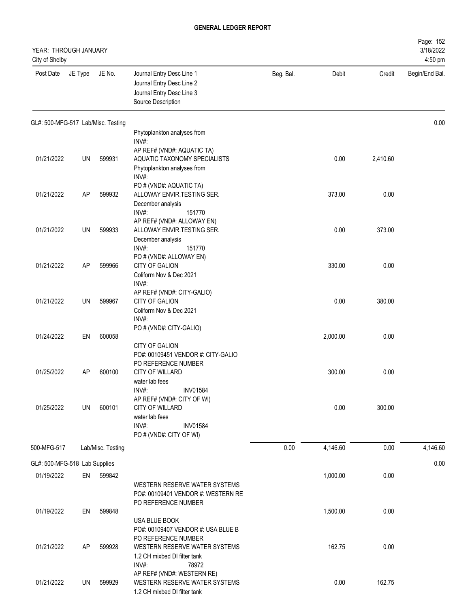| YEAR: THROUGH JANUARY<br>City of Shelby |           |                   |                                                                                                                                   |           |          |          | Page: 152<br>3/18/2022<br>4:50 pm |
|-----------------------------------------|-----------|-------------------|-----------------------------------------------------------------------------------------------------------------------------------|-----------|----------|----------|-----------------------------------|
| Post Date                               | JE Type   | JE No.            | Journal Entry Desc Line 1<br>Journal Entry Desc Line 2<br>Journal Entry Desc Line 3<br>Source Description                         | Beg. Bal. | Debit    | Credit   | Begin/End Bal.                    |
| GL#: 500-MFG-517 Lab/Misc. Testing      |           |                   |                                                                                                                                   |           |          |          | 0.00                              |
|                                         |           |                   | Phytoplankton analyses from<br>INV#:                                                                                              |           |          |          |                                   |
| 01/21/2022                              | UN        | 599931            | AP REF# (VND#: AQUATIC TA)<br>AQUATIC TAXONOMY SPECIALISTS<br>Phytoplankton analyses from<br>INV#:                                |           | 0.00     | 2,410.60 |                                   |
| 01/21/2022                              | AP        | 599932            | PO # (VND#: AQUATIC TA)<br>ALLOWAY ENVIR.TESTING SER.<br>December analysis<br>INV#:<br>151770                                     |           | 373.00   | 0.00     |                                   |
| 01/21/2022                              | UN        | 599933            | AP REF# (VND#: ALLOWAY EN)<br>ALLOWAY ENVIR.TESTING SER.<br>December analysis<br>INV#:<br>151770                                  |           | 0.00     | 373.00   |                                   |
| 01/21/2022                              | AP        | 599966            | PO # (VND#: ALLOWAY EN)<br>CITY OF GALION<br>Coliform Nov & Dec 2021<br>INV#:                                                     |           | 330.00   | 0.00     |                                   |
| 01/21/2022                              | UN        | 599967            | AP REF# (VND#: CITY-GALIO)<br>CITY OF GALION<br>Coliform Nov & Dec 2021<br>INV#:                                                  |           | 0.00     | 380.00   |                                   |
| 01/24/2022                              | EN        | 600058            | PO # (VND#: CITY-GALIO)<br>CITY OF GALION                                                                                         |           | 2,000.00 | 0.00     |                                   |
| 01/25/2022                              | <b>AP</b> | 600100            | PO#: 00109451 VENDOR #: CITY-GALIO<br>PO REFERENCE NUMBER<br><b>CITY OF WILLARD</b><br>water lab fees<br>INV#:<br><b>INV01584</b> |           | 300.00   | 0.00     |                                   |
| 01/25/2022                              | UN        | 600101            | AP REF# (VND#: CITY OF WI)<br><b>CITY OF WILLARD</b><br>water lab fees<br>INV#:<br><b>INV01584</b><br>PO # (VND#: CITY OF WI)     |           | 0.00     | 300.00   |                                   |
| 500-MFG-517                             |           | Lab/Misc. Testing |                                                                                                                                   | 0.00      | 4,146.60 | 0.00     | 4,146.60                          |
| GL#: 500-MFG-518 Lab Supplies           |           |                   |                                                                                                                                   |           |          |          | 0.00                              |
| 01/19/2022                              | EN        | 599842            | WESTERN RESERVE WATER SYSTEMS<br>PO#: 00109401 VENDOR #: WESTERN RE                                                               |           | 1,000.00 | 0.00     |                                   |
| 01/19/2022                              | EN        | 599848            | PO REFERENCE NUMBER<br>USA BLUE BOOK<br>PO#: 00109407 VENDOR #: USA BLUE B                                                        |           | 1,500.00 | 0.00     |                                   |
| 01/21/2022                              | AP        | 599928            | PO REFERENCE NUMBER<br>WESTERN RESERVE WATER SYSTEMS<br>1.2 CH mixbed DI filter tank<br>INV#:<br>78972                            |           | 162.75   | 0.00     |                                   |
| 01/21/2022                              | UN        | 599929            | AP REF# (VND#: WESTERN RE)<br>WESTERN RESERVE WATER SYSTEMS<br>1.2 CH mixbed DI filter tank                                       |           | 0.00     | 162.75   |                                   |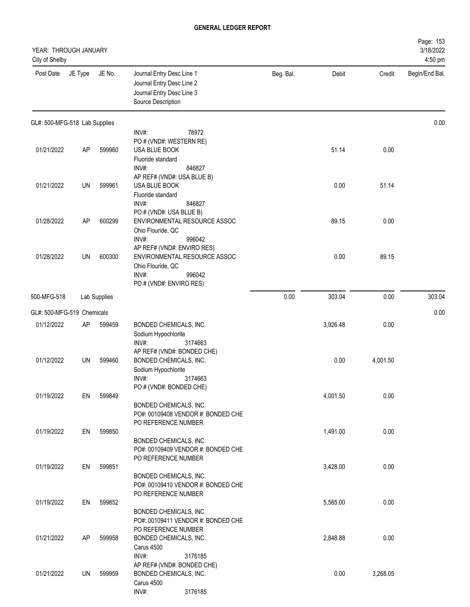| YEAR: THROUGH JANUARY<br>City of Shelby |           |              |                                                                                                                               |           |          |          | Page: 153<br>3/18/2022<br>4:50 pm |
|-----------------------------------------|-----------|--------------|-------------------------------------------------------------------------------------------------------------------------------|-----------|----------|----------|-----------------------------------|
| Post Date                               | JE Type   | JE No.       | Journal Entry Desc Line 1<br>Journal Entry Desc Line 2<br>Journal Entry Desc Line 3<br>Source Description                     | Beg. Bal. | Debit    | Credit   | Begin/End Bal.                    |
| GL#: 500-MFG-518 Lab Supplies           |           |              |                                                                                                                               |           |          |          | 0.00                              |
|                                         |           |              | INV#:<br>78972                                                                                                                |           |          |          |                                   |
| 01/21/2022                              | <b>AP</b> | 599960       | PO # (VND#: WESTERN RE)<br>USA BLUE BOOK<br>Fluoride standard<br>INV#:<br>846827                                              |           | 51.14    | 0.00     |                                   |
| 01/21/2022                              | UN        | 599961       | AP REF# (VND#: USA BLUE B)<br>USA BLUE BOOK<br>Fluoride standard                                                              |           | 0.00     | 51.14    |                                   |
| 01/28/2022                              | <b>AP</b> | 600299       | INV#:<br>846827<br>PO # (VND#: USA BLUE B)<br>ENVIRONMENTAL RESOURCE ASSOC<br>Ohio Flouride, QC<br>INV#:<br>996042            |           | 89.15    | 0.00     |                                   |
| 01/28/2022                              | UN        | 600300       | AP REF# (VND#: ENVIRO RES)<br>ENVIRONMENTAL RESOURCE ASSOC<br>Ohio Flouride, QC<br>INV#:<br>996042<br>PO # (VND#: ENVIRO RES) |           | 0.00     | 89.15    |                                   |
| 500-MFG-518                             |           | Lab Supplies |                                                                                                                               | 0.00      | 303.04   | 0.00     | 303.04                            |
| GL#: 500-MFG-519 Chemicals              |           |              |                                                                                                                               |           |          |          | 0.00                              |
| 01/12/2022                              | AP        | 599459       | BONDED CHEMICALS, INC.<br>Sodium Hypochlorite<br>3174663<br>INV#:                                                             |           | 3,926.48 | 0.00     |                                   |
| 01/12/2022                              | UN        | 599460       | AP REF# (VND#: BONDED CHE)<br>BONDED CHEMICALS, INC.<br>Sodium Hypochlorite<br>INV#:<br>3174663                               |           | 0.00     | 4,001.50 |                                   |
| 01/19/2022                              | EN        | 599849       | PO # (VND#: BONDED CHE)<br>BONDED CHEMICALS, INC.<br>PO#: 00109408 VENDOR #: BONDED CHE                                       |           | 4,001.50 | 0.00     |                                   |
| 01/19/2022                              | EN        | 599850       | PO REFERENCE NUMBER<br>BONDED CHEMICALS, INC.<br>PO#: 00109409 VENDOR #: BONDED CHE                                           |           | 1,491.00 | 0.00     |                                   |
| 01/19/2022                              | EN        | 599851       | PO REFERENCE NUMBER<br>BONDED CHEMICALS, INC.<br>PO#: 00109410 VENDOR #: BONDED CHE                                           |           | 3,428.00 | 0.00     |                                   |
| 01/19/2022                              | EN        | 599852       | PO REFERENCE NUMBER<br>BONDED CHEMICALS, INC.                                                                                 |           | 5,565.00 | 0.00     |                                   |
| 01/21/2022                              | AP        | 599958       | PO#: 00109411 VENDOR #: BONDED CHE<br>PO REFERENCE NUMBER<br>BONDED CHEMICALS, INC.<br>Carus 4500                             |           | 2,848.88 | 0.00     |                                   |
| 01/21/2022                              | UN        | 599959       | INV#:<br>3176185<br>AP REF# (VND#: BONDED CHE)<br>BONDED CHEMICALS, INC.<br>Carus 4500<br>INV#:<br>3176185                    |           | 0.00     | 3,268.05 |                                   |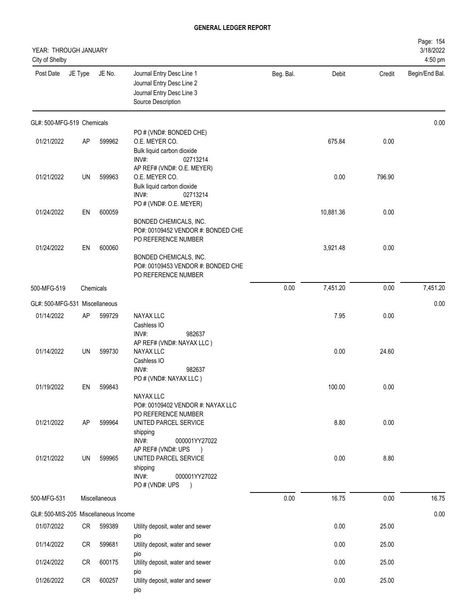| YEAR: THROUGH JANUARY<br>City of Shelby |         |               |                                                                                                                            |           |           |        | Page: 154<br>3/18/2022<br>4:50 pm |
|-----------------------------------------|---------|---------------|----------------------------------------------------------------------------------------------------------------------------|-----------|-----------|--------|-----------------------------------|
| Post Date                               | JE Type | JE No.        | Journal Entry Desc Line 1<br>Journal Entry Desc Line 2<br>Journal Entry Desc Line 3<br>Source Description                  | Beg. Bal. | Debit     | Credit | Begin/End Bal.                    |
| GL#: 500-MFG-519 Chemicals              |         |               |                                                                                                                            |           |           |        | 0.00                              |
| 01/21/2022                              | AP      | 599962        | PO # (VND#: BONDED CHE)<br>O.E. MEYER CO.<br>Bulk liquid carbon dioxide<br>INV#:<br>02713214                               |           | 675.84    | 0.00   |                                   |
| 01/21/2022                              | UN      | 599963        | AP REF# (VND#: O.E. MEYER)<br>O.E. MEYER CO.<br>Bulk liquid carbon dioxide<br>INV#:<br>02713214<br>PO # (VND#: O.E. MEYER) |           | 0.00      | 796.90 |                                   |
| 01/24/2022                              | EN      | 600059        | BONDED CHEMICALS, INC.<br>PO#: 00109452 VENDOR #: BONDED CHE<br>PO REFERENCE NUMBER                                        |           | 10,881.36 | 0.00   |                                   |
| 01/24/2022                              | EN      | 600060        | BONDED CHEMICALS, INC.<br>PO#: 00109453 VENDOR #: BONDED CHE<br>PO REFERENCE NUMBER                                        |           | 3,921.48  | 0.00   |                                   |
| 500-MFG-519                             |         | Chemicals     |                                                                                                                            | 0.00      | 7,451.20  | 0.00   | 7,451.20                          |
| GL#: 500-MFG-531 Miscellaneous          |         |               |                                                                                                                            |           |           |        | 0.00                              |
| 01/14/2022                              | AP      | 599729        | <b>NAYAX LLC</b><br>Cashless IO<br>INV#:<br>982637                                                                         |           | 7.95      | 0.00   |                                   |
| 01/14/2022                              | UN      | 599730        | AP REF# (VND#: NAYAX LLC)<br>NAYAX LLC<br>Cashless IO<br>INV#:<br>982637<br>PO # (VND#: NAYAX LLC)                         |           | 0.00      | 24.60  |                                   |
| 01/19/2022                              | EN      | 599843        | <b>NAYAX LLC</b><br>PO#: 00109402 VENDOR #: NAYAX LLC<br>PO REFERENCE NUMBER                                               |           | 100.00    | 0.00   |                                   |
| 01/21/2022                              | AP      | 599964        | UNITED PARCEL SERVICE<br>shipping<br>INV#:<br>000001YY27022<br>AP REF# (VND#: UPS<br>$\rightarrow$                         |           | 8.80      | 0.00   |                                   |
| 01/21/2022                              | UN      | 599965        | UNITED PARCEL SERVICE<br>shipping<br>INV#:<br>000001YY27022<br>PO # (VND#: UPS<br>$\rightarrow$                            |           | 0.00      | 8.80   |                                   |
| 500-MFG-531                             |         | Miscellaneous |                                                                                                                            | 0.00      | 16.75     | 0.00   | 16.75                             |
| GL#: 500-MIS-205 Miscellaneous Income   |         |               |                                                                                                                            |           |           |        | 0.00                              |
| 01/07/2022                              | CR      | 599389        | Utility deposit, water and sewer<br>pio                                                                                    |           | 0.00      | 25.00  |                                   |
| 01/14/2022                              | CR      | 599681        | Utility deposit, water and sewer<br>pio                                                                                    |           | 0.00      | 25.00  |                                   |
| 01/24/2022                              | CR      | 600175        | Utility deposit, water and sewer<br>pio                                                                                    |           | 0.00      | 25.00  |                                   |
| 01/26/2022                              | CR      | 600257        | Utility deposit, water and sewer<br>pio                                                                                    |           | 0.00      | 25.00  |                                   |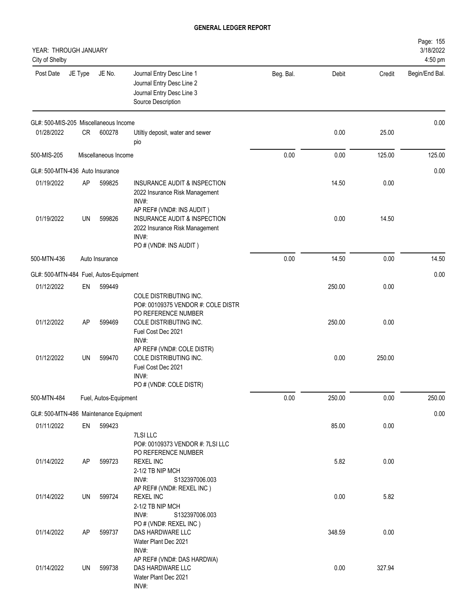| YEAR: THROUGH JANUARY<br>City of Shelby              |           |                       |                                                                                                               |           |        |        | Page: 155<br>3/18/2022<br>4:50 pm |
|------------------------------------------------------|-----------|-----------------------|---------------------------------------------------------------------------------------------------------------|-----------|--------|--------|-----------------------------------|
| Post Date                                            | JE Type   | JE No.                | Journal Entry Desc Line 1<br>Journal Entry Desc Line 2<br>Journal Entry Desc Line 3<br>Source Description     | Beg. Bal. | Debit  | Credit | Begin/End Bal.                    |
| GL#: 500-MIS-205 Miscellaneous Income                |           |                       |                                                                                                               |           |        |        | 0.00                              |
| 01/28/2022                                           | CR        | 600278                | Utiltiy deposit, water and sewer<br>pio                                                                       |           | 0.00   | 25.00  |                                   |
| 500-MIS-205                                          |           | Miscellaneous Income  |                                                                                                               | 0.00      | 0.00   | 125.00 | 125.00                            |
| GL#: 500-MTN-436 Auto Insurance                      |           |                       |                                                                                                               |           |        |        | 0.00                              |
| 01/19/2022                                           | AP        | 599825                | INSURANCE AUDIT & INSPECTION<br>2022 Insurance Risk Management<br>INV#:<br>AP REF# (VND#: INS AUDIT)          |           | 14.50  | 0.00   |                                   |
| 01/19/2022                                           | UN        | 599826                | INSURANCE AUDIT & INSPECTION<br>2022 Insurance Risk Management<br>INV#:<br>PO # (VND#: INS AUDIT)             |           | 0.00   | 14.50  |                                   |
| 500-MTN-436                                          |           | Auto Insurance        |                                                                                                               | 0.00      | 14.50  | 0.00   | 14.50                             |
| GL#: 500-MTN-484 Fuel, Autos-Equipment               |           |                       |                                                                                                               |           |        |        | 0.00                              |
| 01/12/2022                                           | EN        | 599449                |                                                                                                               |           | 250.00 | 0.00   |                                   |
| 01/12/2022                                           | AP        | 599469                | COLE DISTRIBUTING INC.<br>PO#: 00109375 VENDOR #: COLE DISTR<br>PO REFERENCE NUMBER<br>COLE DISTRIBUTING INC. |           | 250.00 | 0.00   |                                   |
| 01/12/2022                                           | <b>UN</b> | 599470                | Fuel Cost Dec 2021<br>INV#:<br>AP REF# (VND#: COLE DISTR)<br>COLE DISTRIBUTING INC.<br>Fuel Cost Dec 2021     |           | 0.00   | 250.00 |                                   |
|                                                      |           |                       | INV#:<br>PO # (VND#: COLE DISTR)                                                                              |           |        |        |                                   |
| 500-MTN-484                                          |           | Fuel, Autos-Equipment |                                                                                                               | 0.00      | 250.00 | 0.00   | 250.00                            |
|                                                      |           |                       |                                                                                                               |           |        |        |                                   |
| GL#: 500-MTN-486 Maintenance Equipment<br>01/11/2022 | EN        | 599423                |                                                                                                               |           | 85.00  | 0.00   | 0.00                              |
|                                                      |           |                       | 7LSI LLC<br>PO#: 00109373 VENDOR #: 7LSI LLC<br>PO REFERENCE NUMBER                                           |           |        |        |                                   |
| 01/14/2022                                           | AP        | 599723                | <b>REXEL INC</b><br>2-1/2 TB NIP MCH<br>INV#:<br>S132397006.003                                               |           | 5.82   | 0.00   |                                   |
| 01/14/2022                                           | UN        | 599724                | AP REF# (VND#: REXEL INC)<br><b>REXEL INC</b><br>2-1/2 TB NIP MCH<br>INV#:<br>S132397006.003                  |           | 0.00   | 5.82   |                                   |
| 01/14/2022                                           | <b>AP</b> | 599737                | PO # (VND#: REXEL INC)<br>DAS HARDWARE LLC<br>Water Plant Dec 2021<br>INV#:                                   |           | 348.59 | 0.00   |                                   |
| 01/14/2022                                           | UN        | 599738                | AP REF# (VND#: DAS HARDWA)<br>DAS HARDWARE LLC<br>Water Plant Dec 2021<br>INV#:                               |           | 0.00   | 327.94 |                                   |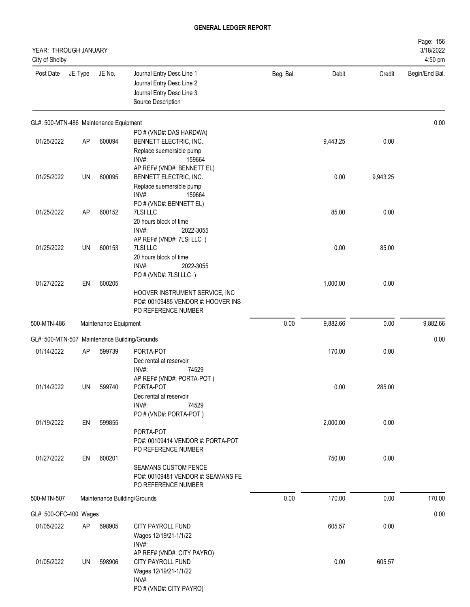| YEAR: THROUGH JANUARY<br>City of Shelby       |           |                       |                                                                                                                      |           |          |          | Page: 156<br>3/18/2022<br>4:50 pm |
|-----------------------------------------------|-----------|-----------------------|----------------------------------------------------------------------------------------------------------------------|-----------|----------|----------|-----------------------------------|
| Post Date                                     | JE Type   | JE No.                | Journal Entry Desc Line 1<br>Journal Entry Desc Line 2<br>Journal Entry Desc Line 3<br>Source Description            | Beg. Bal. | Debit    | Credit   | Begin/End Bal.                    |
| GL#: 500-MTN-486 Maintenance Equipment        |           |                       |                                                                                                                      |           |          |          | 0.00                              |
| 01/25/2022                                    | <b>AP</b> | 600094                | PO # (VND#: DAS HARDWA)<br>BENNETT ELECTRIC, INC.<br>Replace suemersible pump<br>INV#:<br>159664                     |           | 9,443.25 | 0.00     |                                   |
| 01/25/2022                                    | UN        | 600095                | AP REF# (VND#: BENNETT EL)<br>BENNETT ELECTRIC, INC.<br>Replace suemersible pump<br>INV#:<br>159664                  |           | 0.00     | 9,943.25 |                                   |
| 01/25/2022                                    | <b>AP</b> | 600152                | PO # (VND#: BENNETT EL)<br>7LSI LLC<br>20 hours block of time<br>INV#:<br>2022-3055                                  |           | 85.00    | 0.00     |                                   |
| 01/25/2022                                    | UN        | 600153                | AP REF# (VND#: 7LSI LLC)<br><b>7LSILLC</b><br>20 hours block of time<br>INV#:<br>2022-3055                           |           | 0.00     | 85.00    |                                   |
| 01/27/2022                                    | EN        | 600205                | PO # (VND#: 7LSI LLC)<br>HOOVER INSTRUMENT SERVICE, INC<br>PO#: 00109485 VENDOR #: HOOVER INS<br>PO REFERENCE NUMBER |           | 1,000.00 | 0.00     |                                   |
| 500-MTN-486                                   |           | Maintenance Equipment |                                                                                                                      | 0.00      | 9,882.66 | 0.00     | 9,882.66                          |
| GL#: 500-MTN-507 Maintenance Building/Grounds |           |                       |                                                                                                                      |           |          |          | 0.00                              |
| 01/14/2022                                    | <b>AP</b> | 599739                | PORTA-POT<br>Dec rental at reservoir<br>INV#:<br>74529                                                               |           | 170.00   | 0.00     |                                   |
| 01/14/2022                                    | UN        | 599740                | AP REF# (VND#: PORTA-POT)<br>PORTA-POT<br>Dec rental at reservoir<br>INV#:<br>74529                                  |           | 0.00     | 285.00   |                                   |
| 01/19/2022                                    | EN        | 599855                | PO # (VND#: PORTA-POT)<br>PORTA-POT<br>PO#: 00109414 VENDOR #: PORTA-POT                                             |           | 2,000.00 | 0.00     |                                   |
| 01/27/2022                                    | EN        | 600201                | PO REFERENCE NUMBER<br><b>SEAMANS CUSTOM FENCE</b><br>PO#: 00109481 VENDOR #: SEAMANS FE<br>PO REFERENCE NUMBER      |           | 750.00   | 0.00     |                                   |
| 500-MTN-507                                   |           |                       | Maintenance Building/Grounds                                                                                         | 0.00      | 170.00   | 0.00     | 170.00                            |
| GL#: 500-OFC-400 Wages                        |           |                       |                                                                                                                      |           |          |          | 0.00                              |
| 01/05/2022                                    | AP        | 598905                | CITY PAYROLL FUND<br>Wages 12/19/21-1/1/22<br>INV#:                                                                  |           | 605.57   | 0.00     |                                   |
| 01/05/2022                                    | UN        | 598906                | AP REF# (VND#: CITY PAYRO)<br>CITY PAYROLL FUND<br>Wages 12/19/21-1/1/22<br>INV#:<br>PO # (VND#: CITY PAYRO)         |           | 0.00     | 605.57   |                                   |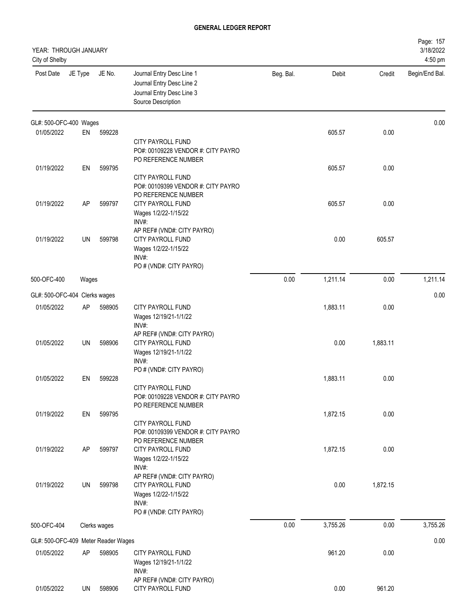| YEAR: THROUGH JANUARY<br>City of Shelby |           |              |                                                                                                             |           |          |          | Page: 157<br>3/18/2022<br>4:50 pm |
|-----------------------------------------|-----------|--------------|-------------------------------------------------------------------------------------------------------------|-----------|----------|----------|-----------------------------------|
| Post Date                               | JE Type   | JE No.       | Journal Entry Desc Line 1<br>Journal Entry Desc Line 2<br>Journal Entry Desc Line 3<br>Source Description   | Beg. Bal. | Debit    | Credit   | Begin/End Bal.                    |
| GL#: 500-OFC-400 Wages                  |           |              |                                                                                                             |           |          |          | 0.00                              |
| 01/05/2022                              | EN        | 599228       | <b>CITY PAYROLL FUND</b><br>PO#: 00109228 VENDOR #: CITY PAYRO                                              |           | 605.57   | 0.00     |                                   |
| 01/19/2022                              | EN        | 599795       | PO REFERENCE NUMBER                                                                                         |           | 605.57   | 0.00     |                                   |
|                                         |           |              | <b>CITY PAYROLL FUND</b><br>PO#: 00109399 VENDOR #: CITY PAYRO<br>PO REFERENCE NUMBER                       |           |          |          |                                   |
| 01/19/2022                              | AP        | 599797       | CITY PAYROLL FUND<br>Wages 1/2/22-1/15/22<br>INV#:                                                          |           | 605.57   | 0.00     |                                   |
| 01/19/2022                              | <b>UN</b> | 599798       | AP REF# (VND#: CITY PAYRO)<br>CITY PAYROLL FUND<br>Wages 1/2/22-1/15/22<br>INV#:<br>PO # (VND#: CITY PAYRO) |           | 0.00     | 605.57   |                                   |
| 500-OFC-400                             | Wages     |              |                                                                                                             | 0.00      | 1,211.14 | 0.00     | 1,211.14                          |
| GL#: 500-OFC-404 Clerks wages           |           |              |                                                                                                             |           |          |          | 0.00                              |
| 01/05/2022                              | AP        | 598905       | CITY PAYROLL FUND<br>Wages 12/19/21-1/1/22<br>INV#:                                                         |           | 1,883.11 | 0.00     |                                   |
| 01/05/2022                              | UN        | 598906       | AP REF# (VND#: CITY PAYRO)<br>CITY PAYROLL FUND<br>Wages 12/19/21-1/1/22<br>INV#:                           |           | 0.00     | 1,883.11 |                                   |
| 01/05/2022                              | EN        | 599228       | PO # (VND#: CITY PAYRO)<br>CITY PAYROLL FUND<br>PO#: 00109228 VENDOR #: CITY PAYRO                          |           | 1,883.11 | 0.00     |                                   |
| 01/19/2022                              | EN        | 599795       | PO REFERENCE NUMBER<br>CITY PAYROLL FUND<br>PO#: 00109399 VENDOR #: CITY PAYRO<br>PO REFERENCE NUMBER       |           | 1,872.15 | 0.00     |                                   |
| 01/19/2022                              | AP        | 599797       | CITY PAYROLL FUND<br>Wages 1/2/22-1/15/22<br>INV#:<br>AP REF# (VND#: CITY PAYRO)                            |           | 1,872.15 | 0.00     |                                   |
| 01/19/2022                              | UN        | 599798       | CITY PAYROLL FUND<br>Wages 1/2/22-1/15/22<br>INV#:<br>PO # (VND#: CITY PAYRO)                               |           | 0.00     | 1,872.15 |                                   |
| 500-OFC-404                             |           | Clerks wages |                                                                                                             | 0.00      | 3,755.26 | 0.00     | 3,755.26                          |
| GL#: 500-OFC-409 Meter Reader Wages     |           |              |                                                                                                             |           |          |          | 0.00                              |
| 01/05/2022                              | AP        | 598905       | CITY PAYROLL FUND<br>Wages 12/19/21-1/1/22<br>INV#:<br>AP REF# (VND#: CITY PAYRO)                           |           | 961.20   | 0.00     |                                   |
| 01/05/2022                              | UN        | 598906       | CITY PAYROLL FUND                                                                                           |           | 0.00     | 961.20   |                                   |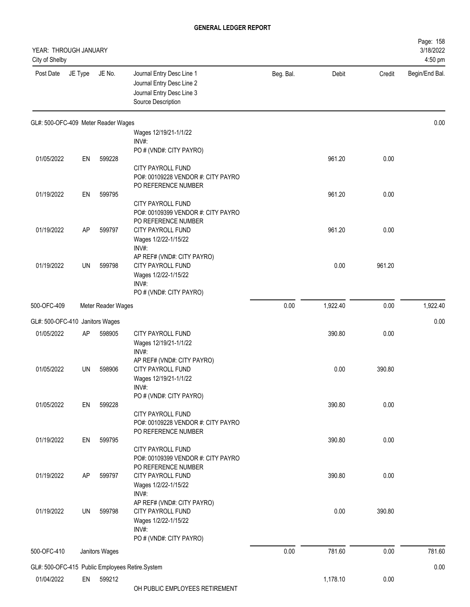| YEAR: THROUGH JANUARY<br>City of Shelby |           |                    |                                                                                                           |           |          |        | Page: 158<br>3/18/2022<br>4:50 pm |
|-----------------------------------------|-----------|--------------------|-----------------------------------------------------------------------------------------------------------|-----------|----------|--------|-----------------------------------|
| Post Date                               | JE Type   | JE No.             | Journal Entry Desc Line 1<br>Journal Entry Desc Line 2<br>Journal Entry Desc Line 3<br>Source Description | Beg. Bal. | Debit    | Credit | Begin/End Bal.                    |
| GL#: 500-OFC-409 Meter Reader Wages     |           |                    |                                                                                                           |           |          |        | 0.00                              |
|                                         |           |                    | Wages 12/19/21-1/1/22<br>INV#:                                                                            |           |          |        |                                   |
| 01/05/2022                              | EN        | 599228             | PO # (VND#: CITY PAYRO)                                                                                   |           | 961.20   | 0.00   |                                   |
|                                         |           |                    | CITY PAYROLL FUND<br>PO#: 00109228 VENDOR #: CITY PAYRO<br>PO REFERENCE NUMBER                            |           |          |        |                                   |
| 01/19/2022                              | EN        | 599795             |                                                                                                           |           | 961.20   | 0.00   |                                   |
|                                         |           |                    | CITY PAYROLL FUND<br>PO#: 00109399 VENDOR #: CITY PAYRO<br>PO REFERENCE NUMBER                            |           |          |        |                                   |
| 01/19/2022                              | AP        | 599797             | <b>CITY PAYROLL FUND</b><br>Wages 1/2/22-1/15/22                                                          |           | 961.20   | 0.00   |                                   |
|                                         |           |                    | INV#:<br>AP REF# (VND#: CITY PAYRO)                                                                       |           |          |        |                                   |
| 01/19/2022                              | UN        | 599798             | CITY PAYROLL FUND                                                                                         |           | 0.00     | 961.20 |                                   |
|                                         |           |                    | Wages 1/2/22-1/15/22<br>INV#:<br>PO # (VND#: CITY PAYRO)                                                  |           |          |        |                                   |
| 500-OFC-409                             |           | Meter Reader Wages |                                                                                                           | 0.00      | 1,922.40 | 0.00   | 1,922.40                          |
| GL#: 500-OFC-410 Janitors Wages         |           |                    |                                                                                                           |           |          |        | 0.00                              |
| 01/05/2022                              | AP        | 598905             | <b>CITY PAYROLL FUND</b>                                                                                  |           | 390.80   | 0.00   |                                   |
|                                         |           |                    | Wages 12/19/21-1/1/22<br>INV#:                                                                            |           |          |        |                                   |
| 01/05/2022                              | UN        | 598906             | AP REF# (VND#: CITY PAYRO)<br>CITY PAYROLL FUND<br>Wages 12/19/21-1/1/22                                  |           | 0.00     | 390.80 |                                   |
|                                         |           |                    | INV#:                                                                                                     |           |          |        |                                   |
| 01/05/2022                              | EN        | 599228             | PO # (VND#: CITY PAYRO)                                                                                   |           | 390.80   | 0.00   |                                   |
|                                         |           |                    | <b>CITY PAYROLL FUND</b><br>PO#: 00109228 VENDOR #: CITY PAYRO<br>PO REFERENCE NUMBER                     |           |          |        |                                   |
| 01/19/2022                              | EN        | 599795             |                                                                                                           |           | 390.80   | 0.00   |                                   |
|                                         |           |                    | CITY PAYROLL FUND<br>PO#: 00109399 VENDOR #: CITY PAYRO<br>PO REFERENCE NUMBER                            |           |          |        |                                   |
| 01/19/2022                              | <b>AP</b> | 599797             | <b>CITY PAYROLL FUND</b><br>Wages 1/2/22-1/15/22                                                          |           | 390.80   | 0.00   |                                   |
|                                         |           |                    | INV#:<br>AP REF# (VND#: CITY PAYRO)                                                                       |           |          |        |                                   |
| 01/19/2022                              | UN        | 599798             | CITY PAYROLL FUND<br>Wages 1/2/22-1/15/22<br>INV#:<br>PO # (VND#: CITY PAYRO)                             |           | 0.00     | 390.80 |                                   |
| 500-OFC-410                             |           | Janitors Wages     |                                                                                                           | 0.00      | 781.60   | 0.00   | 781.60                            |
|                                         |           |                    |                                                                                                           |           |          |        |                                   |
|                                         |           |                    | GL#: 500-OFC-415 Public Employees Retire.System                                                           |           |          |        | 0.00                              |
| 01/04/2022                              | EN        | 599212             | OH PUBLIC EMPLOYEES RETIREMENT                                                                            |           | 1,178.10 | 0.00   |                                   |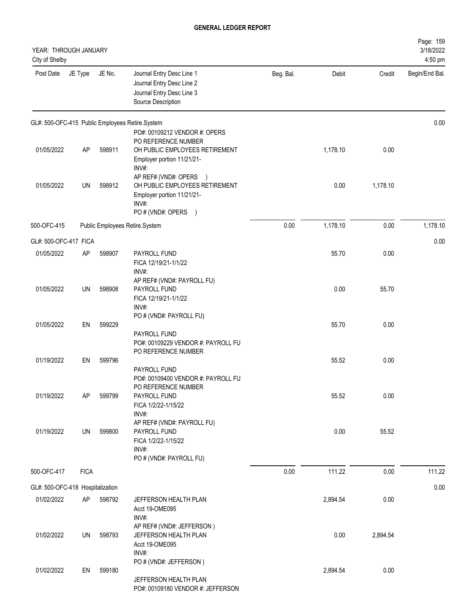| YEAR: THROUGH JANUARY<br>City of Shelby        |             |        |                                                                                                                                              |           |          |          | Page: 159<br>3/18/2022<br>4:50 pm |
|------------------------------------------------|-------------|--------|----------------------------------------------------------------------------------------------------------------------------------------------|-----------|----------|----------|-----------------------------------|
| Post Date                                      | JE Type     | JE No. | Journal Entry Desc Line 1<br>Journal Entry Desc Line 2<br>Journal Entry Desc Line 3<br>Source Description                                    | Beg. Bal. | Debit    | Credit   | Begin/End Bal.                    |
|                                                |             |        | GL#: 500-OFC-415 Public Employees Retire.System                                                                                              |           |          |          | 0.00                              |
| 01/05/2022                                     | <b>AP</b>   | 598911 | PO#: 00109212 VENDOR #: OPERS<br>PO REFERENCE NUMBER<br>OH PUBLIC EMPLOYEES RETIREMENT<br>Employer portion 11/21/21-                         |           | 1,178.10 | 0.00     |                                   |
| 01/05/2022                                     | UN          | 598912 | INV#:<br>AP REF# (VND#: OPERS<br>$\rightarrow$<br>OH PUBLIC EMPLOYEES RETIREMENT<br>Employer portion 11/21/21-<br>INV#:<br>PO#(VND#: OPERS ) |           | 0.00     | 1,178.10 |                                   |
| 500-OFC-415                                    |             |        | Public Employees Retire.System                                                                                                               | 0.00      | 1,178.10 | 0.00     | 1,178.10                          |
| GL#: 500-OFC-417 FICA                          |             |        |                                                                                                                                              |           |          |          | 0.00                              |
| 01/05/2022                                     | <b>AP</b>   | 598907 | PAYROLL FUND<br>FICA 12/19/21-1/1/22<br>INV#:                                                                                                |           | 55.70    | 0.00     |                                   |
| 01/05/2022                                     | UN          | 598908 | AP REF# (VND#: PAYROLL FU)<br>PAYROLL FUND<br>FICA 12/19/21-1/1/22<br>INV#:                                                                  |           | 0.00     | 55.70    |                                   |
| 01/05/2022                                     | EN          | 599229 | PO # (VND#: PAYROLL FU)<br>PAYROLL FUND                                                                                                      |           | 55.70    | 0.00     |                                   |
| 01/19/2022                                     | EN          | 599796 | PO#: 00109229 VENDOR #: PAYROLL FU<br>PO REFERENCE NUMBER<br>PAYROLL FUND                                                                    |           | 55.52    | 0.00     |                                   |
| 01/19/2022                                     | AP          | 599799 | PO#: 00109400 VENDOR #: PAYROLL FU<br>PO REFERENCE NUMBER<br>PAYROLL FUND<br>FICA 1/2/22-1/15/22<br>INV#:                                    |           | 55.52    | 0.00     |                                   |
| 01/19/2022                                     | UN          | 599800 | AP REF# (VND#: PAYROLL FU)<br>PAYROLL FUND<br>FICA 1/2/22-1/15/22<br>INV#:                                                                   |           | 0.00     | 55.52    |                                   |
| 500-OFC-417                                    | <b>FICA</b> |        | PO # (VND#: PAYROLL FU)                                                                                                                      | 0.00      | 111.22   | 0.00     | 111.22                            |
|                                                |             |        |                                                                                                                                              |           |          |          |                                   |
| GL#: 500-OFC-418 Hospitalization<br>01/02/2022 | AP          | 598792 | JEFFERSON HEALTH PLAN                                                                                                                        |           | 2,894.54 | 0.00     | 0.00                              |
|                                                |             |        | Acct 19-OME095<br>INV#:                                                                                                                      |           |          |          |                                   |
| 01/02/2022                                     | UN          | 598793 | AP REF# (VND#: JEFFERSON)<br>JEFFERSON HEALTH PLAN<br>Acct 19-OME095<br>INV#:                                                                |           | 0.00     | 2,894.54 |                                   |
| 01/02/2022                                     | EN          | 599180 | PO # (VND#: JEFFERSON)<br>JEFFERSON HEALTH PLAN<br>PO#: 00109180 VENDOR #: JEFFERSON                                                         |           | 2,894.54 | 0.00     |                                   |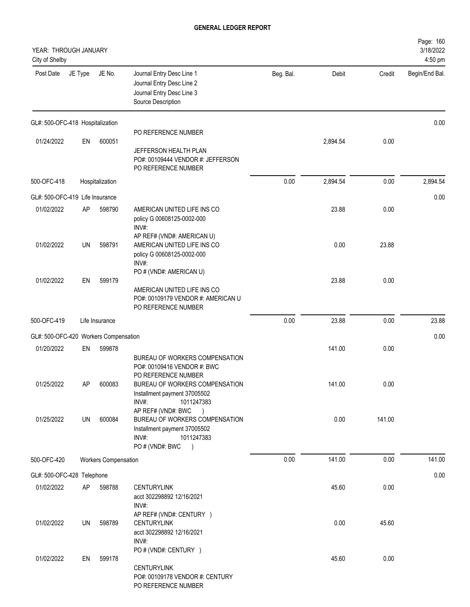| YEAR: THROUGH JANUARY<br>City of Shelby |          |                             |                                                                                                                                                                                                                                                                       |           |                |                | Page: 160<br>3/18/2022<br>4:50 pm |
|-----------------------------------------|----------|-----------------------------|-----------------------------------------------------------------------------------------------------------------------------------------------------------------------------------------------------------------------------------------------------------------------|-----------|----------------|----------------|-----------------------------------|
| Post Date                               | JE Type  | JE No.                      | Journal Entry Desc Line 1<br>Journal Entry Desc Line 2<br>Journal Entry Desc Line 3<br>Source Description                                                                                                                                                             | Beg. Bal. | Debit          | Credit         | Begin/End Bal.                    |
| GL#: 500-OFC-418 Hospitalization        |          |                             |                                                                                                                                                                                                                                                                       |           |                |                | 0.00                              |
| 01/24/2022                              | EN       | 600051                      | PO REFERENCE NUMBER<br>JEFFERSON HEALTH PLAN<br>PO#: 00109444 VENDOR #: JEFFERSON<br>PO REFERENCE NUMBER                                                                                                                                                              |           | 2,894.54       | 0.00           |                                   |
| 500-OFC-418                             |          | Hospitalization             |                                                                                                                                                                                                                                                                       | 0.00      | 2,894.54       | 0.00           | 2,894.54                          |
| GL#: 500-OFC-419 Life Insurance         |          |                             |                                                                                                                                                                                                                                                                       |           |                |                | 0.00                              |
| 01/02/2022                              | AP       | 598790                      | AMERICAN UNITED LIFE INS CO<br>policy G 00608125-0002-000<br>INV#:                                                                                                                                                                                                    |           | 23.88          | 0.00           |                                   |
| 01/02/2022                              | UN       | 598791                      | AP REF# (VND#: AMERICAN U)<br>AMERICAN UNITED LIFE INS CO<br>policy G 00608125-0002-000<br>INV#:                                                                                                                                                                      |           | 0.00           | 23.88          |                                   |
| 01/02/2022                              | EN       | 599179                      | PO # (VND#: AMERICAN U)<br>AMERICAN UNITED LIFE INS CO<br>PO#: 00109179 VENDOR #: AMERICAN U<br>PO REFERENCE NUMBER                                                                                                                                                   |           | 23.88          | 0.00           |                                   |
| 500-OFC-419                             |          | Life Insurance              |                                                                                                                                                                                                                                                                       | 0.00      | 23.88          | 0.00           | 23.88                             |
| GL#: 500-OFC-420 Workers Compensation   |          |                             |                                                                                                                                                                                                                                                                       |           |                |                | 0.00                              |
| 01/20/2022                              | EN       | 599878                      |                                                                                                                                                                                                                                                                       |           | 141.00         | 0.00           |                                   |
| 01/25/2022<br>01/25/2022                | AΡ<br>UN | 600083<br>600084            | BUREAU OF WORKERS COMPENSATION<br>PO#: 00109416 VENDOR #: BWC<br>PO REFERENCE NUMBER<br>BUREAU OF WORKERS COMPENSATION<br>Installment payment 37005502<br>INV#:<br>1011247383<br>AP REF# (VND#: BWC<br>BUREAU OF WORKERS COMPENSATION<br>Installment payment 37005502 |           | 141.00<br>0.00 | 0.00<br>141.00 |                                   |
|                                         |          |                             | INV#:<br>1011247383                                                                                                                                                                                                                                                   |           |                |                |                                   |
| 500-OFC-420                             |          | <b>Workers Compensation</b> | PO # (VND#: BWC<br>$\rightarrow$                                                                                                                                                                                                                                      | 0.00      | 141.00         | 0.00           | 141.00                            |
| GL#: 500-OFC-428 Telephone              |          |                             |                                                                                                                                                                                                                                                                       |           |                |                | 0.00                              |
| 01/02/2022                              | AP       | 598788                      | <b>CENTURYLINK</b><br>acct 302298892 12/16/2021<br>INV#:                                                                                                                                                                                                              |           | 45.60          | 0.00           |                                   |
| 01/02/2022                              | UN       | 598789                      | AP REF# (VND#: CENTURY )<br><b>CENTURYLINK</b><br>acct 302298892 12/16/2021<br>INV#:<br>PO # (VND#: CENTURY )                                                                                                                                                         |           | 0.00           | 45.60          |                                   |
| 01/02/2022                              | EN       | 599178                      | <b>CENTURYLINK</b><br>PO#: 00109178 VENDOR #: CENTURY<br>PO REFERENCE NUMBER                                                                                                                                                                                          |           | 45.60          | 0.00           |                                   |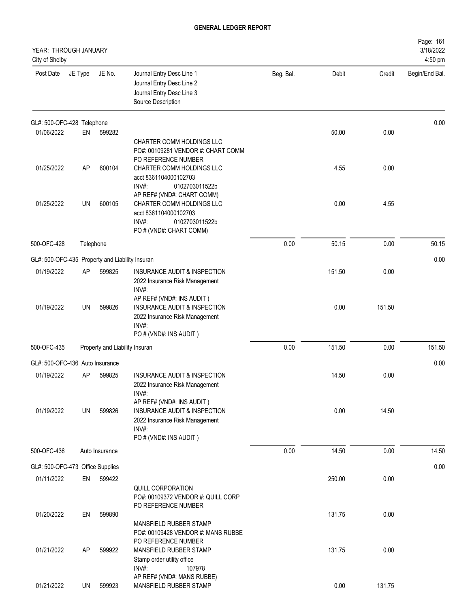| YEAR: THROUGH JANUARY<br>City of Shelby         |           |                                |                                                                                                                                           |           |        |        | Page: 161<br>3/18/2022<br>4:50 pm |
|-------------------------------------------------|-----------|--------------------------------|-------------------------------------------------------------------------------------------------------------------------------------------|-----------|--------|--------|-----------------------------------|
| Post Date                                       | JE Type   | JE No.                         | Journal Entry Desc Line 1<br>Journal Entry Desc Line 2<br>Journal Entry Desc Line 3<br>Source Description                                 | Beg. Bal. | Debit  | Credit | Begin/End Bal.                    |
| GL#: 500-OFC-428 Telephone                      |           |                                |                                                                                                                                           |           |        |        | 0.00                              |
| 01/06/2022                                      | EN        | 599282                         | CHARTER COMM HOLDINGS LLC<br>PO#: 00109281 VENDOR #: CHART COMM<br>PO REFERENCE NUMBER                                                    |           | 50.00  | 0.00   |                                   |
| 01/25/2022                                      | AP        | 600104                         | CHARTER COMM HOLDINGS LLC<br>acct 8361104000102703<br>INV#:<br>0102703011522b<br>AP REF# (VND#: CHART COMM)                               |           | 4.55   | 0.00   |                                   |
| 01/25/2022                                      | UN        | 600105                         | CHARTER COMM HOLDINGS LLC<br>acct 8361104000102703<br>INV#:<br>0102703011522b<br>PO # (VND#: CHART COMM)                                  |           | 0.00   | 4.55   |                                   |
| 500-OFC-428                                     | Telephone |                                |                                                                                                                                           | 0.00      | 50.15  | 0.00   | 50.15                             |
| GL#: 500-OFC-435 Property and Liability Insuran |           |                                |                                                                                                                                           |           |        |        | 0.00                              |
| 01/19/2022                                      | AP        | 599825                         | INSURANCE AUDIT & INSPECTION<br>2022 Insurance Risk Management<br>INV#:                                                                   |           | 151.50 | 0.00   |                                   |
| 01/19/2022                                      | <b>UN</b> | 599826                         | AP REF# (VND#: INS AUDIT)<br>INSURANCE AUDIT & INSPECTION<br>2022 Insurance Risk Management<br>INV#:<br>PO # (VND#: INS AUDIT)            |           | 0.00   | 151.50 |                                   |
| 500-OFC-435                                     |           | Property and Liability Insuran |                                                                                                                                           | 0.00      | 151.50 | 0.00   | 151.50                            |
| GL#: 500-OFC-436 Auto Insurance                 |           |                                |                                                                                                                                           |           |        |        | 0.00                              |
| 01/19/2022                                      | AP        | 599825                         | INSURANCE AUDIT & INSPECTION<br>2022 Insurance Risk Management<br>INV#:                                                                   |           | 14.50  | 0.00   |                                   |
| 01/19/2022                                      | UN        | 599826                         | AP REF# (VND#: INS AUDIT)<br><b>INSURANCE AUDIT &amp; INSPECTION</b><br>2022 Insurance Risk Management<br>INV#:<br>PO # (VND#: INS AUDIT) |           | 0.00   | 14.50  |                                   |
| 500-OFC-436                                     |           | Auto Insurance                 |                                                                                                                                           | 0.00      | 14.50  | 0.00   | 14.50                             |
| GL#: 500-OFC-473 Office Supplies                |           |                                |                                                                                                                                           |           |        |        | 0.00                              |
| 01/11/2022                                      | EN        | 599422                         | QUILL CORPORATION<br>PO#: 00109372 VENDOR #: QUILL CORP<br>PO REFERENCE NUMBER                                                            |           | 250.00 | 0.00   |                                   |
| 01/20/2022                                      | EN        | 599890                         | MANSFIELD RUBBER STAMP<br>PO#: 00109428 VENDOR #: MANS RUBBE<br>PO REFERENCE NUMBER                                                       |           | 131.75 | 0.00   |                                   |
| 01/21/2022                                      | AP        | 599922                         | MANSFIELD RUBBER STAMP<br>Stamp order utility office<br>INV#:<br>107978<br>AP REF# (VND#: MANS RUBBE)                                     |           | 131.75 | 0.00   |                                   |
| 01/21/2022                                      | UN        | 599923                         | MANSFIELD RUBBER STAMP                                                                                                                    |           | 0.00   | 131.75 |                                   |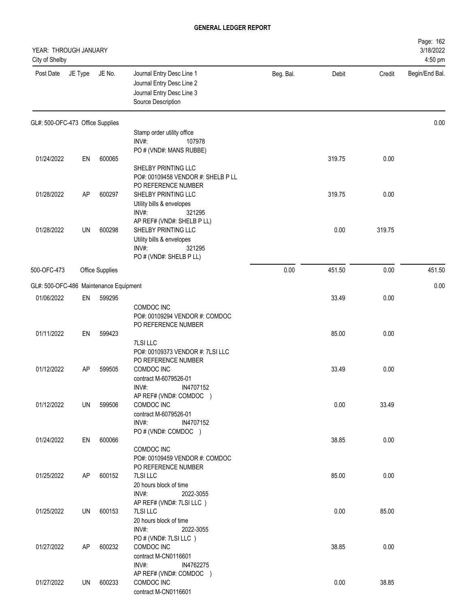| YEAR: THROUGH JANUARY<br>City of Shelby |         |                 |                                                                                                                              |           |        |        | Page: 162<br>3/18/2022<br>4:50 pm |
|-----------------------------------------|---------|-----------------|------------------------------------------------------------------------------------------------------------------------------|-----------|--------|--------|-----------------------------------|
| Post Date                               | JE Type | JE No.          | Journal Entry Desc Line 1<br>Journal Entry Desc Line 2<br>Journal Entry Desc Line 3<br>Source Description                    | Beg. Bal. | Debit  | Credit | Begin/End Bal.                    |
| GL#: 500-OFC-473 Office Supplies        |         |                 |                                                                                                                              |           |        |        | 0.00                              |
|                                         |         |                 | Stamp order utility office<br>INV#:<br>107978                                                                                |           |        |        |                                   |
| 01/24/2022                              | EN      | 600065          | PO # (VND#: MANS RUBBE)                                                                                                      |           | 319.75 | 0.00   |                                   |
|                                         |         |                 | SHELBY PRINTING LLC<br>PO#: 00109458 VENDOR #: SHELB P LL<br>PO REFERENCE NUMBER                                             |           |        |        |                                   |
| 01/28/2022                              | AP      | 600297          | SHELBY PRINTING LLC<br>Utility bills & envelopes<br>INV#:<br>321295                                                          |           | 319.75 | 0.00   |                                   |
| 01/28/2022                              | UN      | 600298          | AP REF# (VND#: SHELB P LL)<br>SHELBY PRINTING LLC<br>Utility bills & envelopes<br>INV#:<br>321295<br>PO # (VND#: SHELB P LL) |           | 0.00   | 319.75 |                                   |
| 500-OFC-473                             |         | Office Supplies |                                                                                                                              | 0.00      | 451.50 | 0.00   | 451.50                            |
| GL#: 500-OFC-486 Maintenance Equipment  |         |                 |                                                                                                                              |           |        |        | 0.00                              |
| 01/06/2022                              | EN      | 599295          | COMDOC INC<br>PO#: 00109294 VENDOR #: COMDOC                                                                                 |           | 33.49  | 0.00   |                                   |
| 01/11/2022                              | EN      | 599423          | PO REFERENCE NUMBER<br>7LSI LLC<br>PO#: 00109373 VENDOR #: 7LSI LLC<br>PO REFERENCE NUMBER                                   |           | 85.00  | 0.00   |                                   |
| 01/12/2022                              | AP      | 599505          | COMDOC INC<br>contract M-6079526-01<br>INV#:<br>IN4707152<br>AP REF# (VND#: COMDOC )                                         |           | 33.49  | 0.00   |                                   |
| 01/12/2022                              | UN      | 599506          | COMDOC INC<br>contract M-6079526-01<br>INV#:<br>IN4707152<br>PO#(VND#: COMDOC)                                               |           | 0.00   | 33.49  |                                   |
| 01/24/2022                              | EN      | 600066          | COMDOC INC<br>PO#: 00109459 VENDOR #: COMDOC<br>PO REFERENCE NUMBER                                                          |           | 38.85  | 0.00   |                                   |
| 01/25/2022                              | AP      | 600152          | 7LSI LLC<br>20 hours block of time<br>INV#:<br>2022-3055<br>AP REF# (VND#: 7LSI LLC)                                         |           | 85.00  | 0.00   |                                   |
| 01/25/2022                              | UN      | 600153          | 7LSI LLC<br>20 hours block of time<br>INV#:<br>2022-3055                                                                     |           | 0.00   | 85.00  |                                   |
| 01/27/2022                              | AP      | 600232          | PO # (VND#: 7LSI LLC)<br>COMDOC INC<br>contract M-CN0116601<br>INV#:<br>IN4762275                                            |           | 38.85  | 0.00   |                                   |
| 01/27/2022                              | UN      | 600233          | AP REF# (VND#: COMDOC )<br>COMDOC INC<br>contract M-CN0116601                                                                |           | 0.00   | 38.85  |                                   |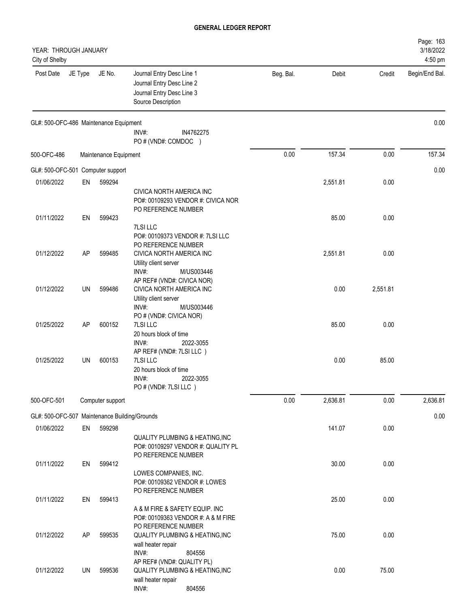| YEAR: THROUGH JANUARY<br>City of Shelby       |           |                       |                                                                                                               |           |          |          | Page: 163<br>3/18/2022<br>4:50 pm |
|-----------------------------------------------|-----------|-----------------------|---------------------------------------------------------------------------------------------------------------|-----------|----------|----------|-----------------------------------|
| Post Date                                     | JE Type   | JE No.                | Journal Entry Desc Line 1<br>Journal Entry Desc Line 2<br>Journal Entry Desc Line 3<br>Source Description     | Beg. Bal. | Debit    | Credit   | Begin/End Bal.                    |
| GL#: 500-OFC-486 Maintenance Equipment        |           |                       | INV#:<br>IN4762275<br>PO # (VND#: COMDOC )                                                                    |           |          |          | 0.00                              |
| 500-OFC-486                                   |           | Maintenance Equipment |                                                                                                               | 0.00      | 157.34   | 0.00     | 157.34                            |
| GL#: 500-OFC-501 Computer support             |           |                       |                                                                                                               |           |          |          | 0.00                              |
| 01/06/2022                                    | EN        | 599294                | CIVICA NORTH AMERICA INC<br>PO#: 00109293 VENDOR #: CIVICA NOR<br>PO REFERENCE NUMBER                         |           | 2,551.81 | 0.00     |                                   |
| 01/11/2022                                    | EN        | 599423                | 7LSI LLC<br>PO#: 00109373 VENDOR #: 7LSI LLC<br>PO REFERENCE NUMBER                                           |           | 85.00    | 0.00     |                                   |
| 01/12/2022                                    | <b>AP</b> | 599485                | CIVICA NORTH AMERICA INC<br>Utility client server<br>INV#:<br>M/US003446<br>AP REF# (VND#: CIVICA NOR)        |           | 2,551.81 | 0.00     |                                   |
| 01/12/2022                                    | UN        | 599486                | CIVICA NORTH AMERICA INC<br>Utility client server<br>INV#:<br>M/US003446                                      |           | 0.00     | 2,551.81 |                                   |
| 01/25/2022                                    | <b>AP</b> | 600152                | PO # (VND#: CIVICA NOR)<br>7LSI LLC<br>20 hours block of time<br>INV#:<br>2022-3055                           |           | 85.00    | 0.00     |                                   |
| 01/25/2022                                    | UN        | 600153                | AP REF# (VND#: 7LSI LLC)<br>7LSI LLC<br>20 hours block of time<br>INV#:<br>2022-3055<br>PO # (VND#: 7LSI LLC) |           | 0.00     | 85.00    |                                   |
| 500-OFC-501                                   |           | Computer support      |                                                                                                               | 0.00      | 2,636.81 | 0.00     | 2,636.81                          |
| GL#: 500-OFC-507 Maintenance Building/Grounds |           |                       |                                                                                                               |           |          |          | 0.00                              |
| 01/06/2022                                    | EN        | 599298                | <b>QUALITY PLUMBING &amp; HEATING, INC</b><br>PO#: 00109297 VENDOR #: QUALITY PL<br>PO REFERENCE NUMBER       |           | 141.07   | 0.00     |                                   |
| 01/11/2022                                    | EN        | 599412                | LOWES COMPANIES, INC.<br>PO#: 00109362 VENDOR #: LOWES<br>PO REFERENCE NUMBER                                 |           | 30.00    | 0.00     |                                   |
| 01/11/2022                                    | EN        | 599413                | A & M FIRE & SAFETY EQUIP. INC<br>PO#: 00109363 VENDOR #: A & M FIRE<br>PO REFERENCE NUMBER                   |           | 25.00    | 0.00     |                                   |
| 01/12/2022                                    | AP        | 599535                | QUALITY PLUMBING & HEATING, INC<br>wall heater repair<br>INV#:<br>804556<br>AP REF# (VND#: QUALITY PL)        |           | 75.00    | 0.00     |                                   |
| 01/12/2022                                    | UN        | 599536                | QUALITY PLUMBING & HEATING, INC<br>wall heater repair<br>804556<br>INV#:                                      |           | 0.00     | 75.00    |                                   |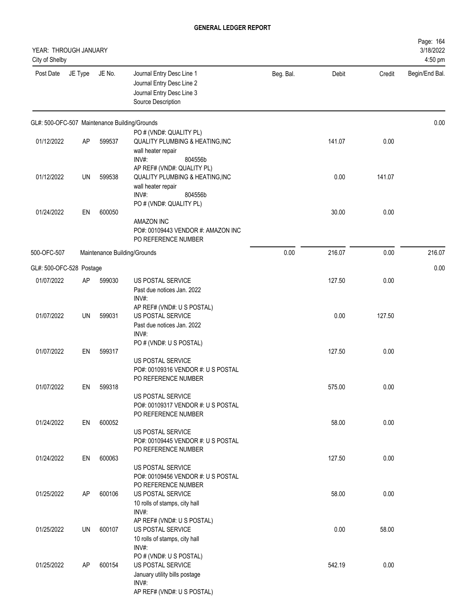| YEAR: THROUGH JANUARY<br>City of Shelby       |         |        |                                                                                                                                               |           |        |        | Page: 164<br>3/18/2022<br>4:50 pm |
|-----------------------------------------------|---------|--------|-----------------------------------------------------------------------------------------------------------------------------------------------|-----------|--------|--------|-----------------------------------|
| Post Date                                     | JE Type | JE No. | Journal Entry Desc Line 1<br>Journal Entry Desc Line 2<br>Journal Entry Desc Line 3<br>Source Description                                     | Beg. Bal. | Debit  | Credit | Begin/End Bal.                    |
| GL#: 500-OFC-507 Maintenance Building/Grounds |         |        |                                                                                                                                               |           |        |        | 0.00                              |
| 01/12/2022                                    | AP      | 599537 | PO # (VND#: QUALITY PL)<br><b>QUALITY PLUMBING &amp; HEATING, INC</b><br>wall heater repair<br>INV#:<br>804556b                               |           | 141.07 | 0.00   |                                   |
| 01/12/2022                                    | UN      | 599538 | AP REF# (VND#: QUALITY PL)<br><b>QUALITY PLUMBING &amp; HEATING, INC</b><br>wall heater repair<br>INV#:<br>804556b<br>PO # (VND#: QUALITY PL) |           | 0.00   | 141.07 |                                   |
| 01/24/2022                                    | EN      | 600050 | AMAZON INC<br>PO#: 00109443 VENDOR #: AMAZON INC<br>PO REFERENCE NUMBER                                                                       |           | 30.00  | 0.00   |                                   |
| 500-OFC-507                                   |         |        | Maintenance Building/Grounds                                                                                                                  | 0.00      | 216.07 | 0.00   | 216.07                            |
| GL#: 500-OFC-528 Postage                      |         |        |                                                                                                                                               |           |        |        | 0.00                              |
| 01/07/2022                                    | AP      | 599030 | US POSTAL SERVICE<br>Past due notices Jan. 2022<br>INV#:                                                                                      |           | 127.50 | 0.00   |                                   |
| 01/07/2022                                    | UN      | 599031 | AP REF# (VND#: U S POSTAL)<br>US POSTAL SERVICE<br>Past due notices Jan. 2022<br>INV#:                                                        |           | 0.00   | 127.50 |                                   |
| 01/07/2022                                    | EN      | 599317 | PO # (VND#: U S POSTAL)<br>US POSTAL SERVICE                                                                                                  |           | 127.50 | 0.00   |                                   |
| 01/07/2022                                    | EN      | 599318 | PO#: 00109316 VENDOR #: U S POSTAL<br>PO REFERENCE NUMBER                                                                                     |           | 575.00 | 0.00   |                                   |
|                                               |         |        | US POSTAL SERVICE<br>PO#: 00109317 VENDOR #: U S POSTAL<br>PO REFERENCE NUMBER                                                                |           |        |        |                                   |
| 01/24/2022                                    | EN      | 600052 | US POSTAL SERVICE<br>PO#: 00109445 VENDOR #: U S POSTAL                                                                                       |           | 58.00  | 0.00   |                                   |
| 01/24/2022                                    | EN      | 600063 | PO REFERENCE NUMBER<br>US POSTAL SERVICE<br>PO#: 00109456 VENDOR #: U S POSTAL                                                                |           | 127.50 | 0.00   |                                   |
| 01/25/2022                                    | AP      | 600106 | PO REFERENCE NUMBER<br>US POSTAL SERVICE<br>10 rolls of stamps, city hall<br>INV#:                                                            |           | 58.00  | 0.00   |                                   |
| 01/25/2022                                    | UN      | 600107 | AP REF# (VND#: U S POSTAL)<br>US POSTAL SERVICE<br>10 rolls of stamps, city hall<br>INV#:                                                     |           | 0.00   | 58.00  |                                   |
| 01/25/2022                                    | AP      | 600154 | PO # (VND#: U S POSTAL)<br>US POSTAL SERVICE<br>January utility bills postage<br>INV#:<br>AP REF# (VND#: U S POSTAL)                          |           | 542.19 | 0.00   |                                   |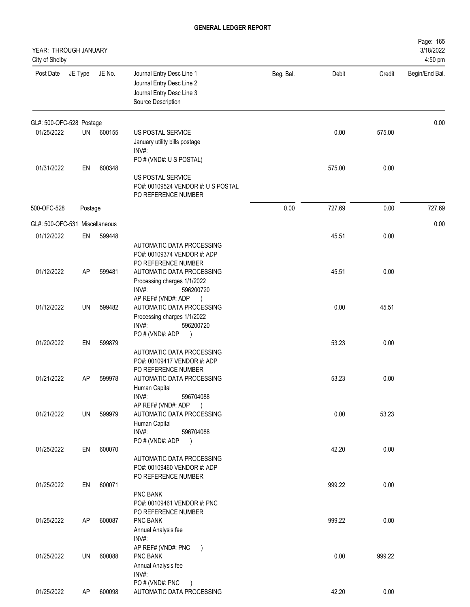| YEAR: THROUGH JANUARY<br>City of Shelby |         |        |                                                                                                                       |           |        |        | Page: 165<br>3/18/2022<br>4:50 pm |
|-----------------------------------------|---------|--------|-----------------------------------------------------------------------------------------------------------------------|-----------|--------|--------|-----------------------------------|
| Post Date                               | JE Type | JE No. | Journal Entry Desc Line 1<br>Journal Entry Desc Line 2<br>Journal Entry Desc Line 3<br>Source Description             | Beg. Bal. | Debit  | Credit | Begin/End Bal.                    |
| GL#: 500-OFC-528 Postage                |         |        |                                                                                                                       |           |        |        | 0.00                              |
| 01/25/2022                              | UN      | 600155 | US POSTAL SERVICE<br>January utility bills postage<br>INV#:                                                           |           | 0.00   | 575.00 |                                   |
| 01/31/2022                              | EN      | 600348 | PO # (VND#: U S POSTAL)<br>US POSTAL SERVICE<br>PO#: 00109524 VENDOR #: U S POSTAL<br>PO REFERENCE NUMBER             |           | 575.00 | 0.00   |                                   |
| 500-OFC-528                             | Postage |        |                                                                                                                       | 0.00      | 727.69 | 0.00   | 727.69                            |
| GL#: 500-OFC-531 Miscellaneous          |         |        |                                                                                                                       |           |        |        | 0.00                              |
| 01/12/2022                              | EN      | 599448 | AUTOMATIC DATA PROCESSING<br>PO#: 00109374 VENDOR #: ADP                                                              |           | 45.51  | 0.00   |                                   |
| 01/12/2022                              | AP      | 599481 | PO REFERENCE NUMBER<br>AUTOMATIC DATA PROCESSING<br>Processing charges 1/1/2022<br>INV#:<br>596200720                 |           | 45.51  | 0.00   |                                   |
| 01/12/2022                              | UN      | 599482 | AP REF# (VND#: ADP<br>$\rightarrow$<br>AUTOMATIC DATA PROCESSING<br>Processing charges 1/1/2022<br>INV#:<br>596200720 |           | 0.00   | 45.51  |                                   |
| 01/20/2022                              | EN      | 599879 | PO # (VND#: ADP<br>$\big)$<br>AUTOMATIC DATA PROCESSING<br>PO#: 00109417 VENDOR #: ADP                                |           | 53.23  | 0.00   |                                   |
| 01/21/2022                              | AP      | 599978 | PO REFERENCE NUMBER<br>AUTOMATIC DATA PROCESSING<br>Human Capital<br>INV#:<br>596704088                               |           | 53.23  | 0.00   |                                   |
| 01/21/2022                              | UN      | 599979 | AP REF# (VND#: ADP<br>$\rightarrow$<br>AUTOMATIC DATA PROCESSING<br>Human Capital<br>INV#:<br>596704088               |           | 0.00   | 53.23  |                                   |
| 01/25/2022                              | EN      | 600070 | PO # (VND#: ADP<br>$\rightarrow$<br>AUTOMATIC DATA PROCESSING<br>PO#: 00109460 VENDOR #: ADP<br>PO REFERENCE NUMBER   |           | 42.20  | 0.00   |                                   |
| 01/25/2022                              | EN      | 600071 | PNC BANK<br>PO#: 00109461 VENDOR #: PNC<br>PO REFERENCE NUMBER                                                        |           | 999.22 | 0.00   |                                   |
| 01/25/2022                              | AP      | 600087 | PNC BANK<br>Annual Analysis fee<br>INV#:                                                                              |           | 999.22 | 0.00   |                                   |
| 01/25/2022                              | UN      | 600088 | AP REF# (VND#: PNC<br>$\lambda$<br>PNC BANK<br>Annual Analysis fee<br>INV#:<br>PO # (VND#: PNC                        |           | 0.00   | 999.22 |                                   |
| 01/25/2022                              | AP      | 600098 | $\rightarrow$<br>AUTOMATIC DATA PROCESSING                                                                            |           | 42.20  | 0.00   |                                   |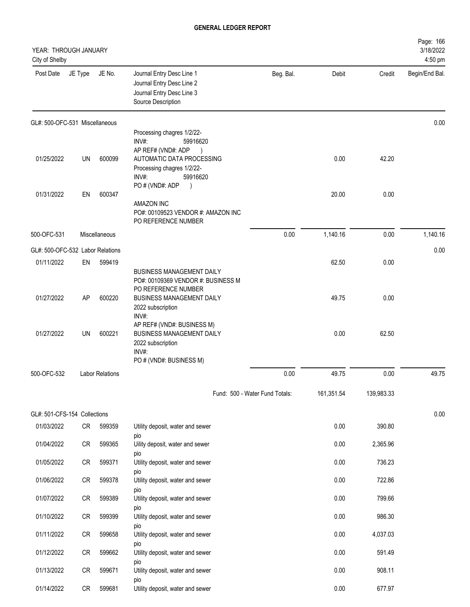| YEAR: THROUGH JANUARY<br>City of Shelby |           |                        |                                                                                                                  |                                |            |            | Page: 166<br>3/18/2022<br>4:50 pm |
|-----------------------------------------|-----------|------------------------|------------------------------------------------------------------------------------------------------------------|--------------------------------|------------|------------|-----------------------------------|
| Post Date                               | JE Type   | JE No.                 | Journal Entry Desc Line 1<br>Journal Entry Desc Line 2<br>Journal Entry Desc Line 3<br>Source Description        | Beg. Bal.                      | Debit      | Credit     | Begin/End Bal.                    |
| GL#: 500-OFC-531 Miscellaneous          |           |                        |                                                                                                                  |                                |            |            | 0.00                              |
|                                         |           |                        | Processing chagres 1/2/22-<br>INV#:<br>59916620                                                                  |                                |            |            |                                   |
|                                         |           |                        | AP REF# (VND#: ADP<br>$\rightarrow$                                                                              |                                |            |            |                                   |
| 01/25/2022                              | <b>UN</b> | 600099                 | AUTOMATIC DATA PROCESSING<br>Processing chagres 1/2/22-<br>INV#:<br>59916620<br>PO#(VND#: ADP<br>$\rightarrow$   |                                | 0.00       | 42.20      |                                   |
| 01/31/2022                              | EN        | 600347                 |                                                                                                                  |                                | 20.00      | 0.00       |                                   |
|                                         |           |                        | AMAZON INC<br>PO#: 00109523 VENDOR #: AMAZON INC<br>PO REFERENCE NUMBER                                          |                                |            |            |                                   |
| 500-OFC-531                             |           | Miscellaneous          |                                                                                                                  | 0.00                           | 1,140.16   | 0.00       | 1,140.16                          |
| GL#: 500-OFC-532 Labor Relations        |           |                        |                                                                                                                  |                                |            |            | 0.00                              |
| 01/11/2022                              | EN        | 599419                 |                                                                                                                  |                                | 62.50      | 0.00       |                                   |
|                                         |           |                        | <b>BUSINESS MANAGEMENT DAILY</b><br>PO#: 00109369 VENDOR #: BUSINESS M<br>PO REFERENCE NUMBER                    |                                |            |            |                                   |
| 01/27/2022                              | AP        | 600220                 | <b>BUSINESS MANAGEMENT DAILY</b><br>2022 subscription<br>INV#:                                                   |                                | 49.75      | 0.00       |                                   |
| 01/27/2022                              | <b>UN</b> | 600221                 | AP REF# (VND#: BUSINESS M)<br>BUSINESS MANAGEMENT DAILY<br>2022 subscription<br>INV#:<br>PO # (VND#: BUSINESS M) |                                | 0.00       | 62.50      |                                   |
| 500-OFC-532                             |           | <b>Labor Relations</b> |                                                                                                                  | 0.00                           | 49.75      | 0.00       | 49.75                             |
|                                         |           |                        |                                                                                                                  | Fund: 500 - Water Fund Totals: | 161,351.54 | 139,983.33 |                                   |
| GL#: 501-CFS-154 Collections            |           |                        |                                                                                                                  |                                |            |            | 0.00                              |
| 01/03/2022                              | CR        | 599359                 | Utility deposit, water and sewer                                                                                 |                                | 0.00       | 390.80     |                                   |
| 01/04/2022                              | CR        | 599365                 | pio<br>Uility deposit, water and sewer                                                                           |                                | 0.00       | 2,365.96   |                                   |
| 01/05/2022                              | <b>CR</b> | 599371                 | pio<br>Utility deposit, water and sewer<br>pio                                                                   |                                | 0.00       | 736.23     |                                   |
| 01/06/2022                              | <b>CR</b> | 599378                 | Utility deposit, water and sewer                                                                                 |                                | 0.00       | 722.86     |                                   |
| 01/07/2022                              | <b>CR</b> | 599389                 | pio<br>Utility deposit, water and sewer                                                                          |                                | 0.00       | 799.66     |                                   |
| 01/10/2022                              | CR        | 599399                 | pio<br>Utility deposit, water and sewer                                                                          |                                | 0.00       | 986.30     |                                   |
| 01/11/2022                              | <b>CR</b> | 599658                 | pio<br>Utility deposit, water and sewer                                                                          |                                | 0.00       | 4,037.03   |                                   |
| 01/12/2022                              | <b>CR</b> | 599662                 | pio<br>Utility deposit, water and sewer                                                                          |                                | 0.00       | 591.49     |                                   |
| 01/13/2022                              | <b>CR</b> | 599671                 | pio<br>Utility deposit, water and sewer                                                                          |                                | 0.00       | 908.11     |                                   |
| 01/14/2022                              | CR        | 599681                 | pio<br>Utility deposit, water and sewer                                                                          |                                | 0.00       | 677.97     |                                   |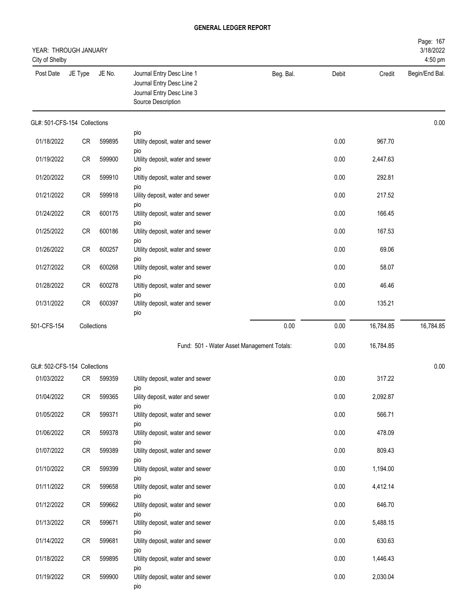| YEAR: THROUGH JANUARY<br>City of Shelby |             |        |                                                                                                           |           |       |           | Page: 167<br>3/18/2022<br>4:50 pm |
|-----------------------------------------|-------------|--------|-----------------------------------------------------------------------------------------------------------|-----------|-------|-----------|-----------------------------------|
| Post Date                               | JE Type     | JE No. | Journal Entry Desc Line 1<br>Journal Entry Desc Line 2<br>Journal Entry Desc Line 3<br>Source Description | Beg. Bal. | Debit | Credit    | Begin/End Bal.                    |
| GL#: 501-CFS-154 Collections            |             |        |                                                                                                           |           |       |           | 0.00                              |
| 01/18/2022                              | CR          | 599895 | pio<br>Utility deposit, water and sewer<br>pio                                                            |           | 0.00  | 967.70    |                                   |
| 01/19/2022                              | CR          | 599900 | Utility deposit, water and sewer                                                                          |           | 0.00  | 2,447.63  |                                   |
| 01/20/2022                              | CR          | 599910 | pio<br>Utiltiy deposit, water and sewer                                                                   |           | 0.00  | 292.81    |                                   |
| 01/21/2022                              | CR          | 599918 | pio<br>Uility deposit, water and sewer                                                                    |           | 0.00  | 217.52    |                                   |
| 01/24/2022                              | CR          | 600175 | pio<br>Utility deposit, water and sewer                                                                   |           | 0.00  | 166.45    |                                   |
| 01/25/2022                              | CR          | 600186 | pio<br>Utility deposit, water and sewer                                                                   |           | 0.00  | 167.53    |                                   |
| 01/26/2022                              | CR          | 600257 | pio<br>Utility deposit, water and sewer                                                                   |           | 0.00  | 69.06     |                                   |
| 01/27/2022                              | CR          | 600268 | pio<br>Utility deposit, water and sewer                                                                   |           | 0.00  | 58.07     |                                   |
| 01/28/2022                              | CR          | 600278 | pio<br>Utiltiy deposit, water and sewer                                                                   |           | 0.00  | 46.46     |                                   |
| 01/31/2022                              | CR          | 600397 | pio<br>Utility deposit, water and sewer<br>pio                                                            |           | 0.00  | 135.21    |                                   |
| 501-CFS-154                             | Collections |        |                                                                                                           | 0.00      | 0.00  | 16,784.85 | 16,784.85                         |
|                                         |             |        | Fund: 501 - Water Asset Management Totals:                                                                |           | 0.00  | 16,784.85 |                                   |
| GL#: 502-CFS-154 Collections            |             |        |                                                                                                           |           |       |           | 0.00                              |
| 01/03/2022                              | CR          | 599359 | Utility deposit, water and sewer                                                                          |           | 0.00  | 317.22    |                                   |
| 01/04/2022                              | CR          | 599365 | pio<br>Uility deposit, water and sewer                                                                    |           | 0.00  | 2,092.87  |                                   |
| 01/05/2022                              | CR          | 599371 | pio<br>Utility deposit, water and sewer<br>pio                                                            |           | 0.00  | 566.71    |                                   |
| 01/06/2022                              | CR          | 599378 | Utility deposit, water and sewer                                                                          |           | 0.00  | 478.09    |                                   |
| 01/07/2022                              | CR          | 599389 | pio<br>Utility deposit, water and sewer                                                                   |           | 0.00  | 809.43    |                                   |
| 01/10/2022                              | CR          | 599399 | pio<br>Utility deposit, water and sewer                                                                   |           | 0.00  | 1,194.00  |                                   |
| 01/11/2022                              | CR          | 599658 | pio<br>Utility deposit, water and sewer                                                                   |           | 0.00  | 4,412.14  |                                   |
| 01/12/2022                              | CR          | 599662 | pio<br>Utility deposit, water and sewer                                                                   |           | 0.00  | 646.70    |                                   |
| 01/13/2022                              | ${\sf CR}$  | 599671 | pio<br>Utility deposit, water and sewer                                                                   |           | 0.00  | 5,488.15  |                                   |
| 01/14/2022                              | ${\sf CR}$  | 599681 | pio<br>Utility deposit, water and sewer                                                                   |           | 0.00  | 630.63    |                                   |
| 01/18/2022                              | CR          | 599895 | pio<br>Utility deposit, water and sewer                                                                   |           | 0.00  | 1,446.43  |                                   |
| 01/19/2022                              | CR          | 599900 | pio<br>Utility deposit, water and sewer<br>pio                                                            |           | 0.00  | 2,030.04  |                                   |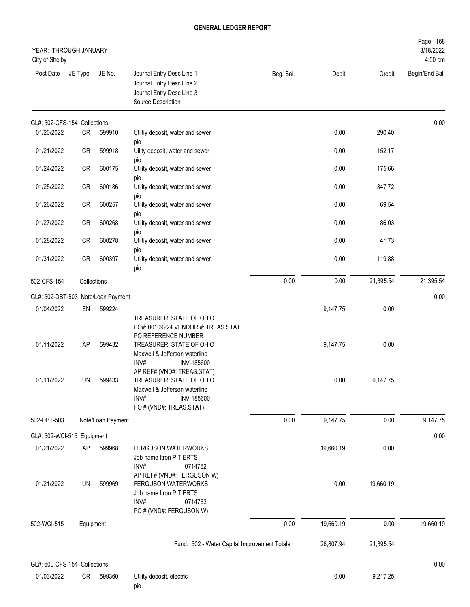| YEAR: THROUGH JANUARY<br>City of Shelby |           |                                    |                                                                                                                                                                                                         |           |           |           | Page: 168<br>3/18/2022<br>4:50 pm |
|-----------------------------------------|-----------|------------------------------------|---------------------------------------------------------------------------------------------------------------------------------------------------------------------------------------------------------|-----------|-----------|-----------|-----------------------------------|
| Post Date                               | JE Type   | JE No.                             | Journal Entry Desc Line 1<br>Journal Entry Desc Line 2<br>Journal Entry Desc Line 3<br>Source Description                                                                                               | Beg. Bal. | Debit     | Credit    | Begin/End Bal.                    |
| GL#: 502-CFS-154 Collections            |           |                                    |                                                                                                                                                                                                         |           |           |           | 0.00                              |
| 01/20/2022                              | CR        | 599910                             | Utiltiy deposit, water and sewer                                                                                                                                                                        |           | 0.00      | 290.40    |                                   |
| 01/21/2022                              | <b>CR</b> | 599918                             | pio<br>Uility deposit, water and sewer<br>pio                                                                                                                                                           |           | 0.00      | 152.17    |                                   |
| 01/24/2022                              | CR        | 600175                             | Utility deposit, water and sewer<br>pio                                                                                                                                                                 |           | 0.00      | 175.66    |                                   |
| 01/25/2022                              | CR        | 600186                             | Utility deposit, water and sewer<br>pio                                                                                                                                                                 |           | 0.00      | 347.72    |                                   |
| 01/26/2022                              | <b>CR</b> | 600257                             | Utility deposit, water and sewer<br>pio                                                                                                                                                                 |           | 0.00      | 69.54     |                                   |
| 01/27/2022                              | <b>CR</b> | 600268                             | Utility deposit, water and sewer<br>pio                                                                                                                                                                 |           | 0.00      | 86.03     |                                   |
| 01/28/2022                              | <b>CR</b> | 600278                             | Utiltiy deposit, water and sewer<br>pio                                                                                                                                                                 |           | 0.00      | 41.73     |                                   |
| 01/31/2022                              | <b>CR</b> | 600397                             | Utility deposit, water and sewer<br>pio                                                                                                                                                                 |           | 0.00      | 119.88    |                                   |
| 502-CFS-154                             |           | Collections                        |                                                                                                                                                                                                         | 0.00      | 0.00      | 21,395.54 | 21,395.54                         |
|                                         |           | GL#: 502-DBT-503 Note/Loan Payment |                                                                                                                                                                                                         |           |           |           | 0.00                              |
| 01/04/2022                              | EN        | 599224                             |                                                                                                                                                                                                         |           | 9,147.75  | 0.00      |                                   |
| 01/11/2022                              | AP        | 599432                             | TREASURER, STATE OF OHIO<br>PO#: 00109224 VENDOR #: TREAS.STAT<br>PO REFERENCE NUMBER<br>TREASURER, STATE OF OHIO<br>Maxwell & Jefferson waterline<br>INV#:<br>INV-185600<br>AP REF# (VND#: TREAS.STAT) |           | 9,147.75  | 0.00      |                                   |
| 01/11/2022                              | UN        | 599433                             | TREASURER, STATE OF OHIO<br>Maxwell & Jefferson waterline<br>INV#:<br>INV-185600<br>PO # (VND#: TREAS.STAT)                                                                                             |           | 0.00      | 9,147.75  |                                   |
| 502-DBT-503                             |           | Note/Loan Payment                  |                                                                                                                                                                                                         | 0.00      | 9,147.75  | 0.00      | 9,147.75                          |
| GL#: 502-WCI-515 Equipment              |           |                                    |                                                                                                                                                                                                         |           |           |           | 0.00                              |
| 01/21/2022                              | AP        | 599968                             | <b>FERGUSON WATERWORKS</b><br>Job name Itron PIT ERTS<br>INV#:<br>0714762<br>AP REF# (VND#: FERGUSON W)                                                                                                 |           | 19,660.19 | 0.00      |                                   |
| 01/21/2022                              | UN        | 599969                             | FERGUSON WATERWORKS<br>Job name Itron PIT ERTS<br>INV#:<br>0714762<br>PO # (VND#: FERGUSON W)                                                                                                           |           | 0.00      | 19,660.19 |                                   |
| 502-WCI-515                             | Equipment |                                    |                                                                                                                                                                                                         | 0.00      | 19,660.19 | 0.00      | 19,660.19                         |
|                                         |           |                                    | Fund: 502 - Water Capital Improvement Totals:                                                                                                                                                           |           | 28,807.94 | 21,395.54 |                                   |
| GL#: 600-CFS-154 Collections            |           |                                    |                                                                                                                                                                                                         |           |           |           | 0.00                              |
| 01/03/2022                              | CR        | 599360                             | Utility deposit, electric<br>pio                                                                                                                                                                        |           | 0.00      | 9,217.25  |                                   |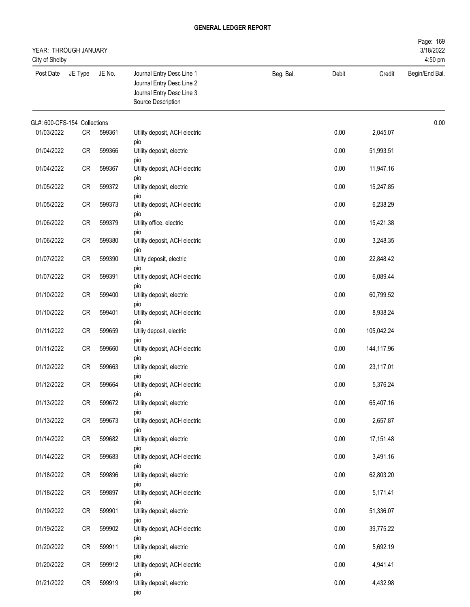| YEAR: THROUGH JANUARY<br>City of Shelby |         |        |                                                                                                           |           |       |            | Page: 169<br>3/18/2022<br>4:50 pm |
|-----------------------------------------|---------|--------|-----------------------------------------------------------------------------------------------------------|-----------|-------|------------|-----------------------------------|
| Post Date                               | JE Type | JE No. | Journal Entry Desc Line 1<br>Journal Entry Desc Line 2<br>Journal Entry Desc Line 3<br>Source Description | Beg. Bal. | Debit | Credit     | Begin/End Bal.                    |
| GL#: 600-CFS-154 Collections            |         |        |                                                                                                           |           |       |            | 0.00                              |
| 01/03/2022                              | CR      | 599361 | Utility deposit, ACH electric                                                                             |           | 0.00  | 2,045.07   |                                   |
| 01/04/2022                              | CR      | 599366 | pio<br>Utility deposit, electric                                                                          |           | 0.00  | 51,993.51  |                                   |
| 01/04/2022                              | CR      | 599367 | pio<br>Utility deposit, ACH electric                                                                      |           | 0.00  | 11,947.16  |                                   |
| 01/05/2022                              | CR      | 599372 | pio<br>Utility deposit, electric                                                                          |           | 0.00  | 15,247.85  |                                   |
| 01/05/2022                              | CR      | 599373 | pio<br>Utility deposit, ACH electric                                                                      |           | 0.00  | 6,238.29   |                                   |
|                                         |         |        | pio                                                                                                       |           |       |            |                                   |
| 01/06/2022                              | CR      | 599379 | Utility office, electric<br>pio                                                                           |           | 0.00  | 15,421.38  |                                   |
| 01/06/2022                              | CR      | 599380 | Utility deposit, ACH electric<br>pio                                                                      |           | 0.00  | 3,248.35   |                                   |
| 01/07/2022                              | CR      | 599390 | Utilty deposit, electric                                                                                  |           | 0.00  | 22,848.42  |                                   |
| 01/07/2022                              | CR      | 599391 | pio<br>Utiltiy deposit, ACH electric                                                                      |           | 0.00  | 6,089.44   |                                   |
| 01/10/2022                              | CR      | 599400 | pio<br>Utility deposit, electric                                                                          |           | 0.00  | 60,799.52  |                                   |
| 01/10/2022                              | CR      | 599401 | pio<br>Utility deposit, ACH electric                                                                      |           | 0.00  | 8,938.24   |                                   |
| 01/11/2022                              | CR      | 599659 | pio<br>Utiliy deposit, electric                                                                           |           | 0.00  | 105,042.24 |                                   |
| 01/11/2022                              | CR      | 599660 | pio<br>Utility deposit, ACH electric                                                                      |           | 0.00  | 144,117.96 |                                   |
| 01/12/2022                              | CR      | 599663 | pio<br>Utility deposit, electric                                                                          |           | 0.00  | 23,117.01  |                                   |
| 01/12/2022                              | CR      | 599664 | pio<br>Utility deposit, ACH electric                                                                      |           | 0.00  | 5,376.24   |                                   |
| 01/13/2022                              | CR      | 599672 | pio<br>Utility deposit, electric                                                                          |           | 0.00  | 65,407.16  |                                   |
| 01/13/2022                              | CR      | 599673 | pio<br>Utility deposit, ACH electric                                                                      |           | 0.00  | 2,657.87   |                                   |
|                                         |         |        | pio                                                                                                       |           |       |            |                                   |
| 01/14/2022                              | CR      | 599682 | Utility deposit, electric<br>pio                                                                          |           | 0.00  | 17,151.48  |                                   |
| 01/14/2022                              | CR      | 599683 | Utility deposit, ACH electric<br>pio                                                                      |           | 0.00  | 3,491.16   |                                   |
| 01/18/2022                              | CR      | 599896 | Utility deposit, electric                                                                                 |           | 0.00  | 62,803.20  |                                   |
| 01/18/2022                              | CR      | 599897 | pio<br>Utility deposit, ACH electric                                                                      |           | 0.00  | 5,171.41   |                                   |
| 01/19/2022                              | CR      | 599901 | pio<br>Utility deposit, electric                                                                          |           | 0.00  | 51,336.07  |                                   |
| 01/19/2022                              | CR      | 599902 | pio<br>Utility deposit, ACH electric                                                                      |           | 0.00  | 39,775.22  |                                   |
| 01/20/2022                              | CR      | 599911 | pio<br>Utility deposit, electric                                                                          |           | 0.00  | 5,692.19   |                                   |
| 01/20/2022                              | CR      | 599912 | pio<br>Utility deposit, ACH electric                                                                      |           | 0.00  | 4,941.41   |                                   |
| 01/21/2022                              | CR      | 599919 | pio<br>Utility deposit, electric<br>pio                                                                   |           | 0.00  | 4,432.98   |                                   |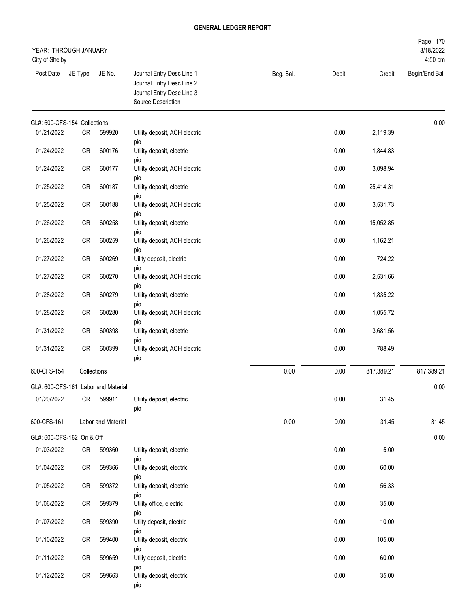| YEAR: THROUGH JANUARY<br>City of Shelby |             |                    |                                                                                                           |           |       |            | Page: 170<br>3/18/2022<br>4:50 pm |
|-----------------------------------------|-------------|--------------------|-----------------------------------------------------------------------------------------------------------|-----------|-------|------------|-----------------------------------|
| Post Date                               | JE Type     | JE No.             | Journal Entry Desc Line 1<br>Journal Entry Desc Line 2<br>Journal Entry Desc Line 3<br>Source Description | Beg. Bal. | Debit | Credit     | Begin/End Bal.                    |
| GL#: 600-CFS-154 Collections            |             |                    |                                                                                                           |           |       |            | 0.00                              |
| 01/21/2022                              | CR          | 599920             | Utility deposit, ACH electric                                                                             |           | 0.00  | 2,119.39   |                                   |
| 01/24/2022                              | CR          | 600176             | pio<br>Utility deposit, electric<br>pio                                                                   |           | 0.00  | 1,844.83   |                                   |
| 01/24/2022                              | ${\sf CR}$  | 600177             | Utility deposit, ACH electric<br>pio                                                                      |           | 0.00  | 3,098.94   |                                   |
| 01/25/2022                              | ${\sf CR}$  | 600187             | Utility deposit, electric<br>pio                                                                          |           | 0.00  | 25,414.31  |                                   |
| 01/25/2022                              | CR          | 600188             | Utility deposit, ACH electric<br>pio                                                                      |           | 0.00  | 3,531.73   |                                   |
| 01/26/2022                              | CR          | 600258             | Utility deposit, electric<br>pio                                                                          |           | 0.00  | 15,052.85  |                                   |
| 01/26/2022                              | CR          | 600259             | Utility deposit, ACH electric<br>pio                                                                      |           | 0.00  | 1,162.21   |                                   |
| 01/27/2022                              | CR          | 600269             | Uility deposit, electric<br>pio                                                                           |           | 0.00  | 724.22     |                                   |
| 01/27/2022                              | ${\sf CR}$  | 600270             | Utility deposit, ACH electric<br>pio                                                                      |           | 0.00  | 2,531.66   |                                   |
| 01/28/2022                              | ${\sf CR}$  | 600279             | Utility deposit, electric<br>pio                                                                          |           | 0.00  | 1,835.22   |                                   |
| 01/28/2022                              | CR          | 600280             | Utility deposit, ACH electric<br>pio                                                                      |           | 0.00  | 1,055.72   |                                   |
| 01/31/2022                              | CR          | 600398             | Utility deposit, electric<br>pio                                                                          |           | 0.00  | 3,681.56   |                                   |
| 01/31/2022                              | ${\sf CR}$  | 600399             | Utility deposit, ACH electric<br>pio                                                                      |           | 0.00  | 788.49     |                                   |
| 600-CFS-154                             | Collections |                    |                                                                                                           | 0.00      | 0.00  | 817,389.21 | 817,389.21                        |
| GL#: 600-CFS-161 Labor and Material     |             |                    |                                                                                                           |           |       |            | 0.00                              |
| 01/20/2022                              | CR          | 599911             | Utility deposit, electric<br>pio                                                                          |           | 0.00  | 31.45      |                                   |
| 600-CFS-161                             |             | Labor and Material |                                                                                                           | 0.00      | 0.00  | 31.45      | 31.45                             |
| GL#: 600-CFS-162 On & Off               |             |                    |                                                                                                           |           |       |            | 0.00                              |
| 01/03/2022                              | CR          | 599360             | Utility deposit, electric<br>pio                                                                          |           | 0.00  | 5.00       |                                   |
| 01/04/2022                              | CR          | 599366             | Utility deposit, electric<br>pio                                                                          |           | 0.00  | 60.00      |                                   |
| 01/05/2022                              | CR          | 599372             | Utility deposit, electric<br>pio                                                                          |           | 0.00  | 56.33      |                                   |
| 01/06/2022                              | CR          | 599379             | Utility office, electric<br>pio                                                                           |           | 0.00  | 35.00      |                                   |
| 01/07/2022                              | <b>CR</b>   | 599390             | Utilty deposit, electric<br>pio                                                                           |           | 0.00  | 10.00      |                                   |
| 01/10/2022                              | CR          | 599400             | Utility deposit, electric<br>pio                                                                          |           | 0.00  | 105.00     |                                   |
| 01/11/2022                              | CR          | 599659             | Utiliy deposit, electric<br>pio                                                                           |           | 0.00  | 60.00      |                                   |
| 01/12/2022                              | CR          | 599663             | Utility deposit, electric<br>pio                                                                          |           | 0.00  | 35.00      |                                   |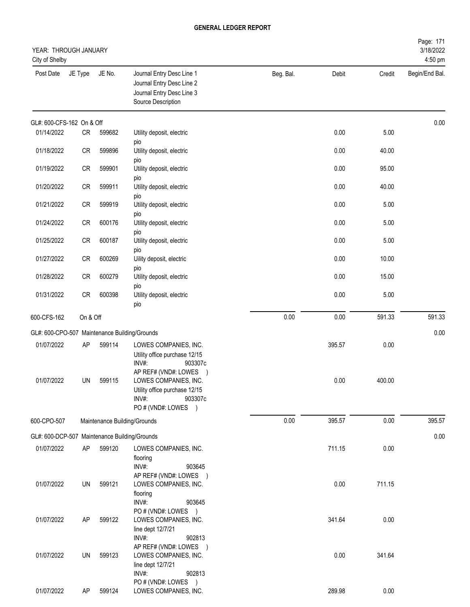| YEAR: THROUGH JANUARY<br>City of Shelby |           |        |                                                                                                                                            |           |        |        | Page: 171<br>3/18/2022<br>4:50 pm |
|-----------------------------------------|-----------|--------|--------------------------------------------------------------------------------------------------------------------------------------------|-----------|--------|--------|-----------------------------------|
| Post Date                               | JE Type   | JE No. | Journal Entry Desc Line 1<br>Journal Entry Desc Line 2<br>Journal Entry Desc Line 3<br>Source Description                                  | Beg. Bal. | Debit  | Credit | Begin/End Bal.                    |
| GL#: 600-CFS-162 On & Off               |           |        |                                                                                                                                            |           |        |        | 0.00                              |
| 01/14/2022                              | CR        | 599682 | Utility deposit, electric                                                                                                                  |           | 0.00   | 5.00   |                                   |
| 01/18/2022                              | <b>CR</b> | 599896 | pio<br>Utility deposit, electric<br>pio                                                                                                    |           | 0.00   | 40.00  |                                   |
| 01/19/2022                              | <b>CR</b> | 599901 | Utility deposit, electric                                                                                                                  |           | 0.00   | 95.00  |                                   |
| 01/20/2022                              | <b>CR</b> | 599911 | pio<br>Utility deposit, electric<br>pio                                                                                                    |           | 0.00   | 40.00  |                                   |
| 01/21/2022                              | CR        | 599919 | Utility deposit, electric                                                                                                                  |           | 0.00   | 5.00   |                                   |
| 01/24/2022                              | <b>CR</b> | 600176 | pio<br>Utility deposit, electric                                                                                                           |           | 0.00   | 5.00   |                                   |
| 01/25/2022                              | <b>CR</b> | 600187 | pio<br>Utility deposit, electric                                                                                                           |           | 0.00   | 5.00   |                                   |
| 01/27/2022                              | <b>CR</b> | 600269 | pio<br>Uility deposit, electric                                                                                                            |           | 0.00   | 10.00  |                                   |
| 01/28/2022                              | <b>CR</b> | 600279 | pio<br>Utility deposit, electric<br>pio                                                                                                    |           | 0.00   | 15.00  |                                   |
| 01/31/2022                              | <b>CR</b> | 600398 | Utility deposit, electric<br>pio                                                                                                           |           | 0.00   | 5.00   |                                   |
| 600-CFS-162                             | On & Off  |        |                                                                                                                                            | 0.00      | 0.00   | 591.33 | 591.33                            |
|                                         |           |        | GL#: 600-CPO-507 Maintenance Building/Grounds                                                                                              |           |        |        | 0.00                              |
| 01/07/2022                              | AP        | 599114 | LOWES COMPANIES, INC.<br>Utility office purchase 12/15<br>INV#:<br>903307c                                                                 |           | 395.57 | 0.00   |                                   |
| 01/07/2022                              | UN        | 599115 | AP REF# (VND#: LOWES<br>$\rightarrow$<br>LOWES COMPANIES, INC.<br>Utility office purchase 12/15<br>INV#:<br>903307c<br>PO # (VND#: LOWES ) |           | 0.00   | 400.00 |                                   |
| 600-CPO-507                             |           |        | Maintenance Building/Grounds                                                                                                               | 0.00      | 395.57 | 0.00   | 395.57                            |
|                                         |           |        | GL#: 600-DCP-507 Maintenance Building/Grounds                                                                                              |           |        |        | 0.00                              |
| 01/07/2022                              | AP        | 599120 | LOWES COMPANIES, INC.<br>flooring<br>INV#:<br>903645                                                                                       |           | 711.15 | 0.00   |                                   |
| 01/07/2022                              | UN        | 599121 | AP REF# (VND#: LOWES )<br>LOWES COMPANIES, INC.<br>flooring<br>INV#:<br>903645                                                             |           | 0.00   | 711.15 |                                   |
| 01/07/2022                              | AP        | 599122 | PO # (VND#: LOWES )<br>LOWES COMPANIES, INC.<br>line dept 12/7/21<br>INV#:<br>902813                                                       |           | 341.64 | 0.00   |                                   |
| 01/07/2022                              | UN        | 599123 | AP REF# (VND#: LOWES )<br>LOWES COMPANIES, INC.<br>line dept 12/7/21<br>INV#:<br>902813                                                    |           | 0.00   | 341.64 |                                   |
| 01/07/2022                              | AP        | 599124 | PO # (VND#: LOWES )<br>LOWES COMPANIES, INC.                                                                                               |           | 289.98 | 0.00   |                                   |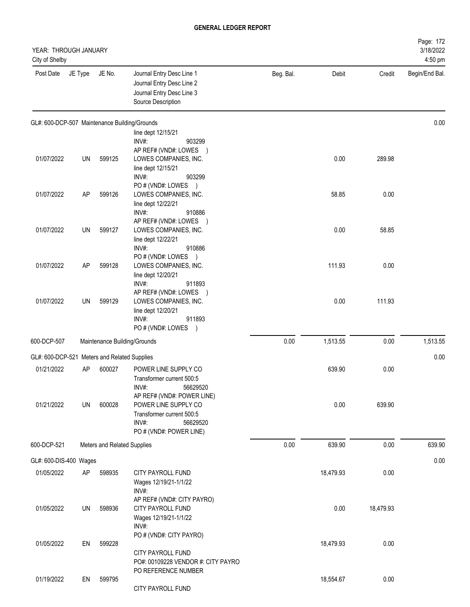| YEAR: THROUGH JANUARY<br>City of Shelby       |         |                             |                                                                                                           |           |           |           | Page: 172<br>3/18/2022<br>4:50 pm |
|-----------------------------------------------|---------|-----------------------------|-----------------------------------------------------------------------------------------------------------|-----------|-----------|-----------|-----------------------------------|
| Post Date                                     | JE Type | JE No.                      | Journal Entry Desc Line 1<br>Journal Entry Desc Line 2<br>Journal Entry Desc Line 3<br>Source Description | Beg. Bal. | Debit     | Credit    | Begin/End Bal.                    |
| GL#: 600-DCP-507 Maintenance Building/Grounds |         |                             |                                                                                                           |           |           |           | 0.00                              |
|                                               |         |                             | line dept 12/15/21                                                                                        |           |           |           |                                   |
|                                               |         |                             | INV#:<br>903299<br>AP REF# (VND#: LOWES )                                                                 |           |           |           |                                   |
| 01/07/2022                                    | UN      | 599125                      | LOWES COMPANIES, INC.                                                                                     |           | 0.00      | 289.98    |                                   |
|                                               |         |                             | line dept 12/15/21                                                                                        |           |           |           |                                   |
|                                               |         |                             | INV#:<br>903299<br>PO # (VND#: LOWES )                                                                    |           |           |           |                                   |
| 01/07/2022                                    | AP      | 599126                      | LOWES COMPANIES, INC.                                                                                     |           | 58.85     | 0.00      |                                   |
|                                               |         |                             | line dept 12/22/21                                                                                        |           |           |           |                                   |
|                                               |         |                             | INV#:<br>910886<br>AP REF# (VND#: LOWES )                                                                 |           |           |           |                                   |
| 01/07/2022                                    | UN      | 599127                      | LOWES COMPANIES, INC.                                                                                     |           | 0.00      | 58.85     |                                   |
|                                               |         |                             | line dept 12/22/21                                                                                        |           |           |           |                                   |
|                                               |         |                             | INV#:<br>910886                                                                                           |           |           |           |                                   |
| 01/07/2022                                    | AP      | 599128                      | PO# (VND#: LOWES<br>$\rightarrow$<br>LOWES COMPANIES, INC.                                                |           | 111.93    | 0.00      |                                   |
|                                               |         |                             | line dept 12/20/21                                                                                        |           |           |           |                                   |
|                                               |         |                             | INV#:<br>911893                                                                                           |           |           |           |                                   |
| 01/07/2022                                    | UN      | 599129                      | AP REF# (VND#: LOWES )<br>LOWES COMPANIES, INC.                                                           |           | 0.00      | 111.93    |                                   |
|                                               |         |                             | line dept 12/20/21                                                                                        |           |           |           |                                   |
|                                               |         |                             | INV#:<br>911893                                                                                           |           |           |           |                                   |
|                                               |         |                             | PO # (VND#: LOWES )                                                                                       |           |           |           |                                   |
| 600-DCP-507                                   |         |                             | Maintenance Building/Grounds                                                                              | 0.00      | 1,513.55  | 0.00      | 1,513.55                          |
| GL#: 600-DCP-521 Meters and Related Supplies  |         |                             |                                                                                                           |           |           |           | 0.00                              |
| 01/21/2022                                    | AP      | 600027                      | POWER LINE SUPPLY CO                                                                                      |           | 639.90    | 0.00      |                                   |
|                                               |         |                             | Transformer current 500:5                                                                                 |           |           |           |                                   |
|                                               |         |                             | INV#:<br>56629520<br>AP REF# (VND#: POWER LINE)                                                           |           |           |           |                                   |
| 01/21/2022                                    | UN      | 600028                      | POWER LINE SUPPLY CO                                                                                      |           | 0.00      | 639.90    |                                   |
|                                               |         |                             | Transformer current 500:5                                                                                 |           |           |           |                                   |
|                                               |         |                             | INV#:<br>56629520<br>PO # (VND#: POWER LINE)                                                              |           |           |           |                                   |
| 600-DCP-521                                   |         | Meters and Related Supplies |                                                                                                           | 0.00      | 639.90    | 0.00      | 639.90                            |
|                                               |         |                             |                                                                                                           |           |           |           |                                   |
| GL#: 600-DIS-400 Wages                        |         |                             |                                                                                                           |           |           |           | 0.00                              |
| 01/05/2022                                    | AP      | 598935                      | CITY PAYROLL FUND<br>Wages 12/19/21-1/1/22                                                                |           | 18,479.93 | 0.00      |                                   |
|                                               |         |                             | INV#:                                                                                                     |           |           |           |                                   |
|                                               |         |                             | AP REF# (VND#: CITY PAYRO)                                                                                |           |           |           |                                   |
| 01/05/2022                                    | UN      | 598936                      | CITY PAYROLL FUND<br>Wages 12/19/21-1/1/22                                                                |           | 0.00      | 18,479.93 |                                   |
|                                               |         |                             | $INV#$ :                                                                                                  |           |           |           |                                   |
|                                               |         |                             | PO # (VND#: CITY PAYRO)                                                                                   |           |           |           |                                   |
| 01/05/2022                                    | EN      | 599228                      |                                                                                                           |           | 18,479.93 | 0.00      |                                   |
|                                               |         |                             | CITY PAYROLL FUND<br>PO#: 00109228 VENDOR #: CITY PAYRO                                                   |           |           |           |                                   |
|                                               |         |                             | PO REFERENCE NUMBER                                                                                       |           |           |           |                                   |
| 01/19/2022                                    | EN      | 599795                      |                                                                                                           |           | 18,554.67 | 0.00      |                                   |
|                                               |         |                             | CITY PAYROLL FUND                                                                                         |           |           |           |                                   |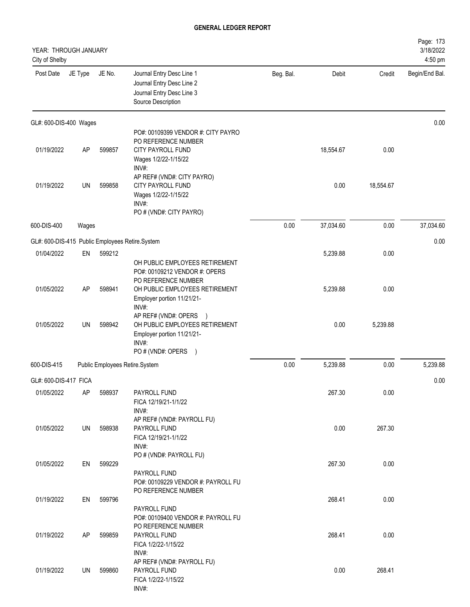| YEAR: THROUGH JANUARY<br>City of Shelby         |         |        |                                                                                                                      |           |           |           | Page: 173<br>3/18/2022<br>4:50 pm |
|-------------------------------------------------|---------|--------|----------------------------------------------------------------------------------------------------------------------|-----------|-----------|-----------|-----------------------------------|
| Post Date                                       | JE Type | JE No. | Journal Entry Desc Line 1<br>Journal Entry Desc Line 2<br>Journal Entry Desc Line 3<br>Source Description            | Beg. Bal. | Debit     | Credit    | Begin/End Bal.                    |
| GL#: 600-DIS-400 Wages                          |         |        |                                                                                                                      |           |           |           | 0.00                              |
| 01/19/2022                                      | AP      | 599857 | PO#: 00109399 VENDOR #: CITY PAYRO<br>PO REFERENCE NUMBER<br>CITY PAYROLL FUND<br>Wages 1/2/22-1/15/22<br>INV#:      |           | 18,554.67 | 0.00      |                                   |
| 01/19/2022                                      | UN      | 599858 | AP REF# (VND#: CITY PAYRO)<br>CITY PAYROLL FUND<br>Wages 1/2/22-1/15/22<br>INV#:<br>PO # (VND#: CITY PAYRO)          |           | 0.00      | 18,554.67 |                                   |
| 600-DIS-400                                     | Wages   |        |                                                                                                                      | 0.00      | 37,034.60 | 0.00      | 37,034.60                         |
| GL#: 600-DIS-415 Public Employees Retire.System |         |        |                                                                                                                      |           |           |           | 0.00                              |
| 01/04/2022                                      | EN      | 599212 |                                                                                                                      |           | 5,239.88  | 0.00      |                                   |
|                                                 |         |        | OH PUBLIC EMPLOYEES RETIREMENT<br>PO#: 00109212 VENDOR #: OPERS<br>PO REFERENCE NUMBER                               |           |           |           |                                   |
| 01/05/2022                                      | AP      | 598941 | OH PUBLIC EMPLOYEES RETIREMENT<br>Employer portion 11/21/21-<br>INV#:                                                |           | 5,239.88  | 0.00      |                                   |
| 01/05/2022                                      | UN      | 598942 | AP REF# (VND#: OPERS<br>OH PUBLIC EMPLOYEES RETIREMENT<br>Employer portion 11/21/21-<br>INV#:<br>PO # (VND#: OPERS ) |           | 0.00      | 5,239.88  |                                   |
| 600-DIS-415                                     |         |        | Public Employees Retire.System                                                                                       | 0.00      | 5,239.88  | 0.00      | 5,239.88                          |
| GL#: 600-DIS-417 FICA                           |         |        |                                                                                                                      |           |           |           | 0.00                              |
| 01/05/2022                                      | AP      | 598937 | PAYROLL FUND<br>FICA 12/19/21-1/1/22                                                                                 |           | 267.30    | 0.00      |                                   |
| 01/05/2022                                      | UN      | 598938 | INV#:<br>AP REF# (VND#: PAYROLL FU)<br>PAYROLL FUND<br>FICA 12/19/21-1/1/22<br>INV#:                                 |           | 0.00      | 267.30    |                                   |
| 01/05/2022                                      | EN      | 599229 | PO # (VND#: PAYROLL FU)<br>PAYROLL FUND                                                                              |           | 267.30    | 0.00      |                                   |
| 01/19/2022                                      | EN      | 599796 | PO#: 00109229 VENDOR #: PAYROLL FU<br>PO REFERENCE NUMBER                                                            |           | 268.41    | 0.00      |                                   |
| 01/19/2022                                      | AP      | 599859 | PAYROLL FUND<br>PO#: 00109400 VENDOR #: PAYROLL FU<br>PO REFERENCE NUMBER<br>PAYROLL FUND<br>FICA 1/2/22-1/15/22     |           | 268.41    | 0.00      |                                   |
| 01/19/2022                                      | UN      | 599860 | INV#:<br>AP REF# (VND#: PAYROLL FU)<br>PAYROLL FUND<br>FICA 1/2/22-1/15/22<br>INV#:                                  |           | 0.00      | 268.41    |                                   |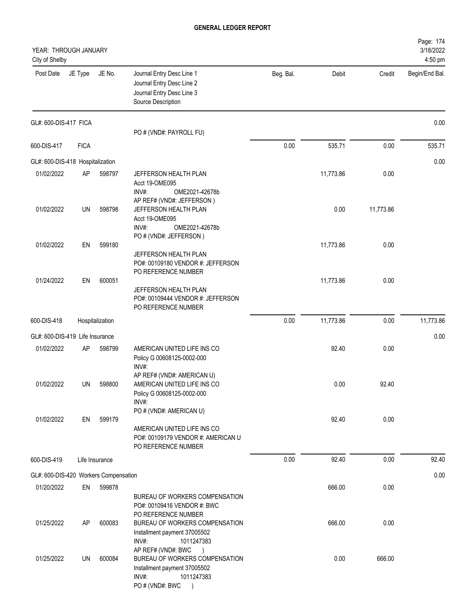| YEAR: THROUGH JANUARY<br>City of Shelby |             |                 |                                                                                                                                                 |           |           |           | Page: 174<br>3/18/2022<br>4:50 pm |
|-----------------------------------------|-------------|-----------------|-------------------------------------------------------------------------------------------------------------------------------------------------|-----------|-----------|-----------|-----------------------------------|
| Post Date                               | JE Type     | JE No.          | Journal Entry Desc Line 1<br>Journal Entry Desc Line 2<br>Journal Entry Desc Line 3<br>Source Description                                       | Beg. Bal. | Debit     | Credit    | Begin/End Bal.                    |
| GL#: 600-DIS-417 FICA                   |             |                 | PO # (VND#: PAYROLL FU)                                                                                                                         |           |           |           | 0.00                              |
| 600-DIS-417                             | <b>FICA</b> |                 |                                                                                                                                                 | 0.00      | 535.71    | 0.00      | 535.71                            |
| GL#: 600-DIS-418 Hospitalization        |             |                 |                                                                                                                                                 |           |           |           | 0.00                              |
| 01/02/2022                              | AP          | 598797          | JEFFERSON HEALTH PLAN<br>Acct 19-OME095<br>INV#:<br>OME2021-42678b                                                                              |           | 11,773.86 | 0.00      |                                   |
| 01/02/2022                              | UN          | 598798          | AP REF# (VND#: JEFFERSON)<br>JEFFERSON HEALTH PLAN<br>Acct 19-OME095<br>INV#:<br>OME2021-42678b                                                 |           | 0.00      | 11,773.86 |                                   |
| 01/02/2022                              | EN          | 599180          | PO # (VND#: JEFFERSON)<br>JEFFERSON HEALTH PLAN                                                                                                 |           | 11,773.86 | 0.00      |                                   |
| 01/24/2022                              | EN          | 600051          | PO#: 00109180 VENDOR #: JEFFERSON<br>PO REFERENCE NUMBER<br>JEFFERSON HEALTH PLAN<br>PO#: 00109444 VENDOR #: JEFFERSON<br>PO REFERENCE NUMBER   |           | 11,773.86 | 0.00      |                                   |
| 600-DIS-418                             |             | Hospitalization |                                                                                                                                                 | 0.00      | 11,773.86 | 0.00      | 11,773.86                         |
| GL#: 600-DIS-419 Life Insurance         |             |                 |                                                                                                                                                 |           |           |           | 0.00                              |
| 01/02/2022                              | AP          | 598799          | AMERICAN UNITED LIFE INS CO<br>Policy G 00608125-0002-000<br>INV#:                                                                              |           | 92.40     | 0.00      |                                   |
| 01/02/2022                              | UN          | 598800          | AP REF# (VND#: AMERICAN U)<br>AMERICAN UNITED LIFE INS CO<br>Policy G 00608125-0002-000<br>$INV#$ :                                             |           | 0.00      | 92.40     |                                   |
| 01/02/2022                              | EN          | 599179          | PO # (VND#: AMERICAN U)<br>AMERICAN UNITED LIFE INS CO<br>PO#: 00109179 VENDOR #: AMERICAN U<br>PO REFERENCE NUMBER                             |           | 92.40     | 0.00      |                                   |
| 600-DIS-419                             |             | Life Insurance  |                                                                                                                                                 | 0.00      | 92.40     | 0.00      | 92.40                             |
| GL#: 600-DIS-420 Workers Compensation   |             |                 |                                                                                                                                                 |           |           |           | 0.00                              |
| 01/20/2022                              | EN          | 599878          | BUREAU OF WORKERS COMPENSATION<br>PO#: 00109416 VENDOR #: BWC                                                                                   |           | 666.00    | 0.00      |                                   |
| 01/25/2022                              | AP          | 600083          | PO REFERENCE NUMBER<br>BUREAU OF WORKERS COMPENSATION<br>Installment payment 37005502<br>INV#:<br>1011247383                                    |           | 666.00    | 0.00      |                                   |
| 01/25/2022                              | UN          | 600084          | AP REF# (VND#: BWC<br>$\rightarrow$<br>BUREAU OF WORKERS COMPENSATION<br>Installment payment 37005502<br>1011247383<br>INV#:<br>PO # (VND#: BWC |           | 0.00      | 666.00    |                                   |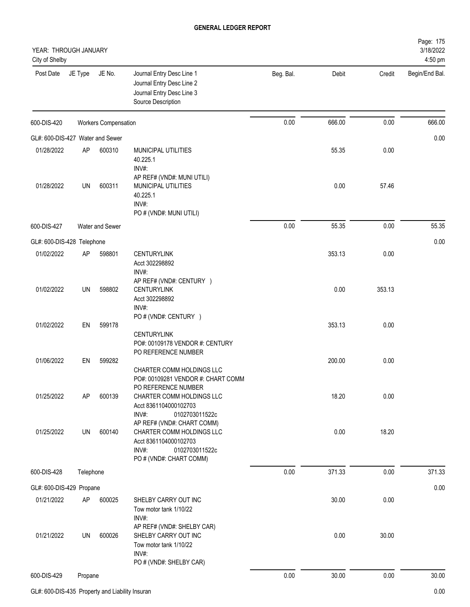| YEAR: THROUGH JANUARY<br>City of Shelby |           |                             |                                                                                                             |           |        |        | Page: 175<br>3/18/2022<br>4:50 pm |
|-----------------------------------------|-----------|-----------------------------|-------------------------------------------------------------------------------------------------------------|-----------|--------|--------|-----------------------------------|
| Post Date                               | JE Type   | JE No.                      | Journal Entry Desc Line 1<br>Journal Entry Desc Line 2<br>Journal Entry Desc Line 3<br>Source Description   | Beg. Bal. | Debit  | Credit | Begin/End Bal.                    |
| 600-DIS-420                             |           | <b>Workers Compensation</b> |                                                                                                             | 0.00      | 666.00 | 0.00   | 666.00                            |
| GL#: 600-DIS-427 Water and Sewer        |           |                             |                                                                                                             |           |        |        | 0.00                              |
| 01/28/2022                              | AP        | 600310                      | <b>MUNICIPAL UTILITIES</b><br>40.225.1<br>INV#:                                                             |           | 55.35  | 0.00   |                                   |
| 01/28/2022                              | UN        | 600311                      | AP REF# (VND#: MUNI UTILI)<br>MUNICIPAL UTILITIES<br>40.225.1<br>INV#:<br>PO # (VND#: MUNI UTILI)           |           | 0.00   | 57.46  |                                   |
| 600-DIS-427                             |           | Water and Sewer             |                                                                                                             | 0.00      | 55.35  | 0.00   | 55.35                             |
| GL#: 600-DIS-428 Telephone              |           |                             |                                                                                                             |           |        |        | 0.00                              |
| 01/02/2022                              | AP        | 598801                      | <b>CENTURYLINK</b><br>Acct 302298892<br>INV#:                                                               |           | 353.13 | 0.00   |                                   |
| 01/02/2022                              | UN        | 598802                      | AP REF# (VND#: CENTURY )<br><b>CENTURYLINK</b><br>Acct 302298892<br>INV#:                                   |           | 0.00   | 353.13 |                                   |
| 01/02/2022                              | EN        | 599178                      | PO # (VND#: CENTURY )<br><b>CENTURYLINK</b><br>PO#: 00109178 VENDOR #: CENTURY<br>PO REFERENCE NUMBER       |           | 353.13 | 0.00   |                                   |
| 01/06/2022                              | EN        | 599282                      | CHARTER COMM HOLDINGS LLC<br>PO#: 00109281 VENDOR #: CHART COMM<br>PO REFERENCE NUMBER                      |           | 200.00 | 0.00   |                                   |
| 01/25/2022                              | AP        | 600139                      | CHARTER COMM HOLDINGS LLC<br>Acct 8361104000102703<br>INV#:<br>0102703011522c<br>AP REF# (VND#: CHART COMM) |           | 18.20  | 0.00   |                                   |
| 01/25/2022                              | UN        | 600140                      | CHARTER COMM HOLDINGS LLC<br>Acct 8361104000102703<br>INV#:<br>0102703011522c<br>PO # (VND#: CHART COMM)    |           | 0.00   | 18.20  |                                   |
| 600-DIS-428                             | Telephone |                             |                                                                                                             | 0.00      | 371.33 | 0.00   | 371.33                            |
| GL#: 600-DIS-429 Propane                |           |                             |                                                                                                             |           |        |        | 0.00                              |
| 01/21/2022                              | AP        | 600025                      | SHELBY CARRY OUT INC<br>Tow motor tank 1/10/22<br>INV#:<br>AP REF# (VND#: SHELBY CAR)                       |           | 30.00  | 0.00   |                                   |
| 01/21/2022                              | UN        | 600026                      | SHELBY CARRY OUT INC<br>Tow motor tank 1/10/22<br>INV#:<br>PO # (VND#: SHELBY CAR)                          |           | 0.00   | 30.00  |                                   |
| 600-DIS-429                             | Propane   |                             |                                                                                                             | 0.00      | 30.00  | 0.00   | 30.00                             |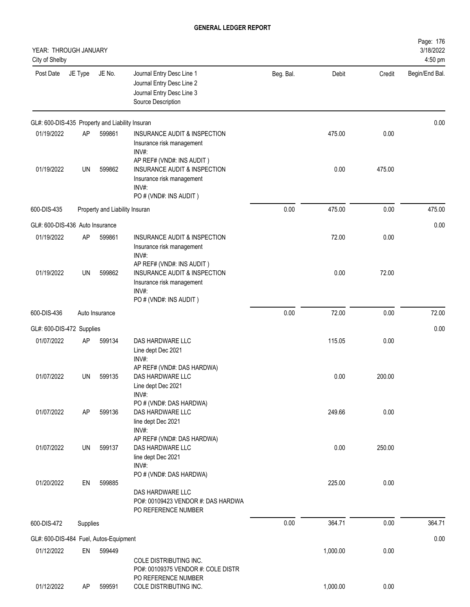| YEAR: THROUGH JANUARY<br>City of Shelby         |           |                                |                                                                                                                           |           |          |        | Page: 176<br>3/18/2022<br>4:50 pm |
|-------------------------------------------------|-----------|--------------------------------|---------------------------------------------------------------------------------------------------------------------------|-----------|----------|--------|-----------------------------------|
| Post Date                                       | JE Type   | JE No.                         | Journal Entry Desc Line 1<br>Journal Entry Desc Line 2<br>Journal Entry Desc Line 3<br>Source Description                 | Beg. Bal. | Debit    | Credit | Begin/End Bal.                    |
| GL#: 600-DIS-435 Property and Liability Insuran |           |                                |                                                                                                                           |           |          |        | 0.00                              |
| 01/19/2022                                      | AP        | 599861                         | INSURANCE AUDIT & INSPECTION<br>Insurance risk management<br>INV#:                                                        |           | 475.00   | 0.00   |                                   |
| 01/19/2022                                      | UN        | 599862                         | AP REF# (VND#: INS AUDIT)<br>INSURANCE AUDIT & INSPECTION<br>Insurance risk management<br>INV#:<br>PO # (VND#: INS AUDIT) |           | 0.00     | 475.00 |                                   |
| 600-DIS-435                                     |           | Property and Liability Insuran |                                                                                                                           | 0.00      | 475.00   | 0.00   | 475.00                            |
| GL#: 600-DIS-436 Auto Insurance                 |           |                                |                                                                                                                           |           |          |        | 0.00                              |
| 01/19/2022                                      | AP        | 599861                         | INSURANCE AUDIT & INSPECTION<br>Insurance risk management<br>INV#:                                                        |           | 72.00    | 0.00   |                                   |
| 01/19/2022                                      | <b>UN</b> | 599862                         | AP REF# (VND#: INS AUDIT)<br>INSURANCE AUDIT & INSPECTION<br>Insurance risk management<br>INV#:<br>PO # (VND#: INS AUDIT) |           | 0.00     | 72.00  |                                   |
| 600-DIS-436                                     |           | Auto Insurance                 |                                                                                                                           | 0.00      | 72.00    | 0.00   | 72.00                             |
| GL#: 600-DIS-472 Supplies                       |           |                                |                                                                                                                           |           |          |        | 0.00                              |
| 01/07/2022                                      | AP        | 599134                         | DAS HARDWARE LLC<br>Line dept Dec 2021<br>INV#:                                                                           |           | 115.05   | 0.00   |                                   |
| 01/07/2022                                      | UN        | 599135                         | AP REF# (VND#: DAS HARDWA)<br>DAS HARDWARE LLC<br>Line dept Dec 2021<br>INV#:                                             |           | 0.00     | 200.00 |                                   |
| 01/07/2022                                      | AP        | 599136                         | PO # (VND#: DAS HARDWA)<br>DAS HARDWARE LLC<br>line dept Dec 2021<br>INV#:                                                |           | 249.66   | 0.00   |                                   |
| 01/07/2022                                      | UN        | 599137                         | AP REF# (VND#: DAS HARDWA)<br>DAS HARDWARE LLC<br>line dept Dec 2021<br>INV#:                                             |           | 0.00     | 250.00 |                                   |
| 01/20/2022                                      | EN        | 599885                         | PO # (VND#: DAS HARDWA)<br>DAS HARDWARE LLC<br>PO#: 00109423 VENDOR #: DAS HARDWA<br>PO REFERENCE NUMBER                  |           | 225.00   | 0.00   |                                   |
| 600-DIS-472                                     | Supplies  |                                |                                                                                                                           | 0.00      | 364.71   | 0.00   | 364.71                            |
| GL#: 600-DIS-484 Fuel, Autos-Equipment          |           |                                |                                                                                                                           |           |          |        | 0.00                              |
| 01/12/2022                                      | EN        | 599449                         | COLE DISTRIBUTING INC.<br>PO#: 00109375 VENDOR #: COLE DISTR                                                              |           | 1,000.00 | 0.00   |                                   |
| 01/12/2022                                      | AP        | 599591                         | PO REFERENCE NUMBER<br>COLE DISTRIBUTING INC.                                                                             |           | 1,000.00 | 0.00   |                                   |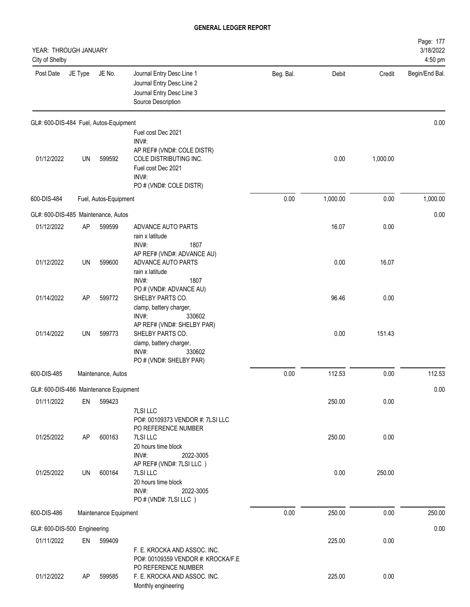| YEAR: THROUGH JANUARY<br>City of Shelby |           |                       |                                                                                                                         |           |          |          | Page: 177<br>3/18/2022<br>4:50 pm |
|-----------------------------------------|-----------|-----------------------|-------------------------------------------------------------------------------------------------------------------------|-----------|----------|----------|-----------------------------------|
| Post Date                               | JE Type   | JE No.                | Journal Entry Desc Line 1<br>Journal Entry Desc Line 2<br>Journal Entry Desc Line 3<br>Source Description               | Beg. Bal. | Debit    | Credit   | Begin/End Bal.                    |
| GL#: 600-DIS-484 Fuel, Autos-Equipment  |           |                       |                                                                                                                         |           |          |          | 0.00                              |
|                                         |           |                       | Fuel cost Dec 2021<br>INV#:                                                                                             |           |          |          |                                   |
| 01/12/2022                              | UN        | 599592                | AP REF# (VND#: COLE DISTR)<br>COLE DISTRIBUTING INC.<br>Fuel cost Dec 2021<br>INV#:<br>PO # (VND#: COLE DISTR)          |           | 0.00     | 1,000.00 |                                   |
| 600-DIS-484                             |           | Fuel, Autos-Equipment |                                                                                                                         | 0.00      | 1,000.00 | 0.00     | 1,000.00                          |
| GL#: 600-DIS-485 Maintenance, Autos     |           |                       |                                                                                                                         |           |          |          | 0.00                              |
| 01/12/2022                              | <b>AP</b> | 599599                | ADVANCE AUTO PARTS<br>rain x latitude<br>INV#:<br>1807                                                                  |           | 16.07    | 0.00     |                                   |
| 01/12/2022                              | UN        | 599600                | AP REF# (VND#: ADVANCE AU)<br>ADVANCE AUTO PARTS<br>rain x latitude<br>INV#:<br>1807                                    |           | 0.00     | 16.07    |                                   |
| 01/14/2022                              | <b>AP</b> | 599772                | PO # (VND#: ADVANCE AU)<br>SHELBY PARTS CO.<br>clamp, battery charger,<br>INV#:<br>330602                               |           | 96.46    | 0.00     |                                   |
| 01/14/2022                              | UN        | 599773                | AP REF# (VND#: SHELBY PAR)<br>SHELBY PARTS CO.<br>clamp, battery charger,<br>INV#:<br>330602<br>PO # (VND#: SHELBY PAR) |           | 0.00     | 151.43   |                                   |
| 600-DIS-485                             |           | Maintenance, Autos    |                                                                                                                         | 0.00      | 112.53   | 0.00     | 112.53                            |
| GL#: 600-DIS-486 Maintenance Equipment  |           |                       |                                                                                                                         |           |          |          | 0.00                              |
| 01/11/2022                              | EN        | 599423                | 7LSI LLC<br>PO#: 00109373 VENDOR #: 7LSI LLC<br>PO REFERENCE NUMBER                                                     |           | 250.00   | 0.00     |                                   |
| 01/25/2022                              | AP        | 600163                | 7LSI LLC<br>20 hours time block<br>INV#:<br>2022-3005                                                                   |           | 250.00   | 0.00     |                                   |
| 01/25/2022                              | UN        | 600164                | AP REF# (VND#: 7LSI LLC)<br>7LSI LLC<br>20 hours time block<br>INV#:<br>2022-3005<br>PO # (VND#: 7LSI LLC)              |           | 0.00     | 250.00   |                                   |
| 600-DIS-486                             |           | Maintenance Equipment |                                                                                                                         | 0.00      | 250.00   | 0.00     | 250.00                            |
| GL#: 600-DIS-500 Engineering            |           |                       |                                                                                                                         |           |          |          | 0.00                              |
| 01/11/2022                              | EN        | 599409                | F. E. KROCKA AND ASSOC. INC.<br>PO#: 00109359 VENDOR #: KROCKA/F.E<br>PO REFERENCE NUMBER                               |           | 225.00   | 0.00     |                                   |
| 01/12/2022                              | AP        | 599585                | F. E. KROCKA AND ASSOC. INC.<br>Monthly engineering                                                                     |           | 225.00   | 0.00     |                                   |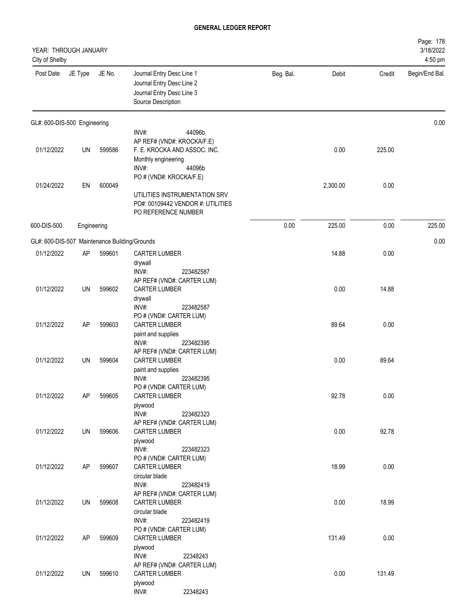| YEAR: THROUGH JANUARY<br>City of Shelby       |             |        |                                                                                                                         |           |          |        | Page: 178<br>3/18/2022<br>4:50 pm |
|-----------------------------------------------|-------------|--------|-------------------------------------------------------------------------------------------------------------------------|-----------|----------|--------|-----------------------------------|
| Post Date                                     | JE Type     | JE No. | Journal Entry Desc Line 1<br>Journal Entry Desc Line 2<br>Journal Entry Desc Line 3<br>Source Description               | Beg. Bal. | Debit    | Credit | Begin/End Bal.                    |
| GL#: 600-DIS-500 Engineering                  |             |        |                                                                                                                         |           |          |        | 0.00                              |
| 01/12/2022                                    | UN          | 599586 | INV#:<br>44096b<br>AP REF# (VND#: KROCKA/F.E)<br>F. E. KROCKA AND ASSOC. INC.<br>Monthly engineering<br>INV#:<br>44096b |           | 0.00     | 225.00 |                                   |
| 01/24/2022                                    | EN          | 600049 | PO # (VND#: KROCKA/F.E)<br>UTILITIES INSTRUMENTATION SRV<br>PO#: 00109442 VENDOR #: UTILITIES<br>PO REFERENCE NUMBER    |           | 2,300.00 | 0.00   |                                   |
| 600-DIS-500                                   | Engineering |        |                                                                                                                         | 0.00      | 225.00   | 0.00   | 225.00                            |
| GL#: 600-DIS-507 Maintenance Building/Grounds |             |        |                                                                                                                         |           |          |        | 0.00                              |
| 01/12/2022                                    | AP          | 599601 | CARTER LUMBER<br>drywall<br>INV#:<br>223482587                                                                          |           | 14.88    | 0.00   |                                   |
| 01/12/2022                                    | UN          | 599602 | AP REF# (VND#: CARTER LUM)<br>CARTER LUMBER<br>drywall<br>INV#:<br>223482587                                            |           | 0.00     | 14.88  |                                   |
| 01/12/2022                                    | AP          | 599603 | PO # (VND#: CARTER LUM)<br><b>CARTER LUMBER</b><br>paint and supplies<br>INV#:<br>223482395                             |           | 89.64    | 0.00   |                                   |
| 01/12/2022                                    | UN          | 599604 | AP REF# (VND#: CARTER LUM)<br><b>CARTER LUMBER</b><br>paint and supplies<br>INV#:<br>223482395                          |           | 0.00     | 89.64  |                                   |
| 01/12/2022                                    | AP          | 599605 | PO # (VND#: CARTER LUM)<br><b>CARTER LUMBER</b><br>plywood<br>INV#:<br>223482323                                        |           | 92.78    | 0.00   |                                   |
| 01/12/2022                                    | UN          | 599606 | AP REF# (VND#: CARTER LUM)<br>CARTER LUMBER<br>plywood<br>INV#:<br>223482323                                            |           | 0.00     | 92.78  |                                   |
| 01/12/2022                                    | AP          | 599607 | PO # (VND#: CARTER LUM)<br><b>CARTER LUMBER</b><br>circular blade                                                       |           | 18.99    | 0.00   |                                   |
| 01/12/2022                                    | UN          | 599608 | INV#:<br>223482419<br>AP REF# (VND#: CARTER LUM)<br><b>CARTER LUMBER</b><br>circular blade                              |           | 0.00     | 18.99  |                                   |
| 01/12/2022                                    | AP          | 599609 | INV#:<br>223482419<br>PO # (VND#: CARTER LUM)<br><b>CARTER LUMBER</b><br>plywood                                        |           | 131.49   | 0.00   |                                   |
| 01/12/2022                                    | UN          | 599610 | INV#:<br>22348243<br>AP REF# (VND#: CARTER LUM)<br>CARTER LUMBER<br>plywood                                             |           | 0.00     | 131.49 |                                   |
|                                               |             |        | INV#:<br>22348243                                                                                                       |           |          |        |                                   |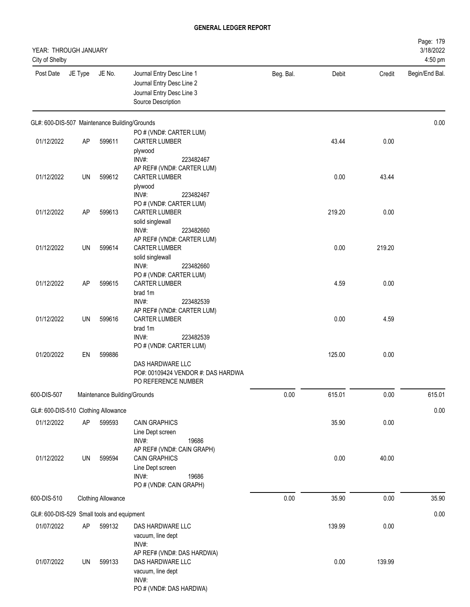| YEAR: THROUGH JANUARY<br>City of Shelby       |           |                              |                                                                                                                     |           |        |        | Page: 179<br>3/18/2022<br>4:50 pm |
|-----------------------------------------------|-----------|------------------------------|---------------------------------------------------------------------------------------------------------------------|-----------|--------|--------|-----------------------------------|
| Post Date                                     | JE Type   | JE No.                       | Journal Entry Desc Line 1<br>Journal Entry Desc Line 2<br>Journal Entry Desc Line 3<br>Source Description           | Beg. Bal. | Debit  | Credit | Begin/End Bal.                    |
| GL#: 600-DIS-507 Maintenance Building/Grounds |           |                              |                                                                                                                     |           |        |        | 0.00                              |
| 01/12/2022                                    | <b>AP</b> | 599611                       | PO # (VND#: CARTER LUM)<br><b>CARTER LUMBER</b><br>plywood                                                          |           | 43.44  | 0.00   |                                   |
| 01/12/2022                                    | UN        | 599612                       | INV#:<br>223482467<br>AP REF# (VND#: CARTER LUM)<br><b>CARTER LUMBER</b><br>plywood<br>INV#:<br>223482467           |           | 0.00   | 43.44  |                                   |
| 01/12/2022                                    | <b>AP</b> | 599613                       | PO # (VND#: CARTER LUM)<br><b>CARTER LUMBER</b><br>solid singlewall                                                 |           | 219.20 | 0.00   |                                   |
| 01/12/2022                                    | UN        | 599614                       | INV#:<br>223482660<br>AP REF# (VND#: CARTER LUM)<br>CARTER LUMBER<br>solid singlewall                               |           | 0.00   | 219.20 |                                   |
| 01/12/2022                                    | AP        | 599615                       | INV#:<br>223482660<br>PO # (VND#: CARTER LUM)<br><b>CARTER LUMBER</b><br>brad 1m                                    |           | 4.59   | 0.00   |                                   |
| 01/12/2022                                    | UN        | 599616                       | INV#:<br>223482539<br>AP REF# (VND#: CARTER LUM)<br><b>CARTER LUMBER</b><br>brad 1m<br>INV#:<br>223482539           |           | 0.00   | 4.59   |                                   |
| 01/20/2022                                    | EN        | 599886                       | PO # (VND#: CARTER LUM)<br>DAS HARDWARE LLC<br>PO#: 00109424 VENDOR #: DAS HARDWA<br>PO REFERENCE NUMBER            |           | 125.00 | 0.00   |                                   |
| 600-DIS-507                                   |           | Maintenance Building/Grounds |                                                                                                                     | 0.00      | 615.01 | 0.00   | 615.01                            |
| GL#: 600-DIS-510 Clothing Allowance           |           |                              |                                                                                                                     |           |        |        | 0.00                              |
| 01/12/2022                                    | AP        | 599593                       | <b>CAIN GRAPHICS</b><br>Line Dept screen<br>INV#:<br>19686                                                          |           | 35.90  | 0.00   |                                   |
| 01/12/2022                                    | UN        | 599594                       | AP REF# (VND#: CAIN GRAPH)<br><b>CAIN GRAPHICS</b><br>Line Dept screen<br>INV#:<br>19686<br>PO # (VND#: CAIN GRAPH) |           | 0.00   | 40.00  |                                   |
| 600-DIS-510                                   |           | <b>Clothing Allowance</b>    |                                                                                                                     | 0.00      | 35.90  | 0.00   | 35.90                             |
| GL#: 600-DIS-529 Small tools and equipment    |           |                              |                                                                                                                     |           |        |        | 0.00                              |
| 01/07/2022                                    | AP        | 599132                       | DAS HARDWARE LLC<br>vacuum, line dept<br>INV#:                                                                      |           | 139.99 | 0.00   |                                   |
| 01/07/2022                                    | UN        | 599133                       | AP REF# (VND#: DAS HARDWA)<br>DAS HARDWARE LLC<br>vacuum, line dept<br>INV#:<br>PO # (VND#: DAS HARDWA)             |           | 0.00   | 139.99 |                                   |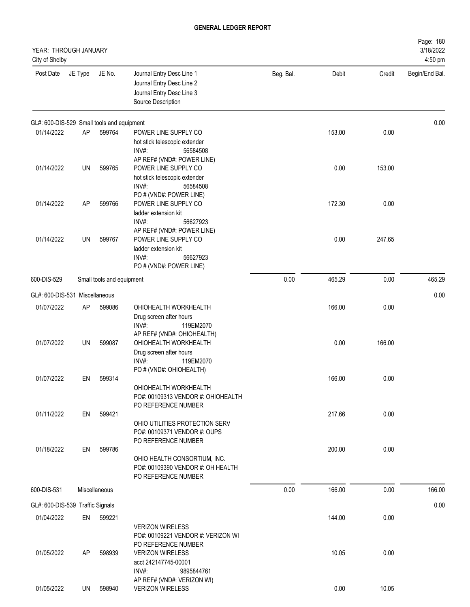| YEAR: THROUGH JANUARY<br>City of Shelby    |         |                           |                                                                                                           |           |        |        | Page: 180<br>3/18/2022<br>4:50 pm |
|--------------------------------------------|---------|---------------------------|-----------------------------------------------------------------------------------------------------------|-----------|--------|--------|-----------------------------------|
| Post Date                                  | JE Type | JE No.                    | Journal Entry Desc Line 1<br>Journal Entry Desc Line 2<br>Journal Entry Desc Line 3<br>Source Description | Beg. Bal. | Debit  | Credit | Begin/End Bal.                    |
| GL#: 600-DIS-529 Small tools and equipment |         |                           |                                                                                                           |           |        |        | 0.00                              |
| 01/14/2022                                 | AP      | 599764                    | POWER LINE SUPPLY CO<br>hot stick telescopic extender<br>INV#:<br>56584508<br>AP REF# (VND#: POWER LINE)  |           | 153.00 | 0.00   |                                   |
| 01/14/2022                                 | UN      | 599765                    | POWER LINE SUPPLY CO<br>hot stick telescopic extender<br>INV#:<br>56584508<br>PO # (VND#: POWER LINE)     |           | 0.00   | 153.00 |                                   |
| 01/14/2022                                 | AP      | 599766                    | POWER LINE SUPPLY CO<br>ladder extension kit<br>INV#:<br>56627923<br>AP REF# (VND#: POWER LINE)           |           | 172.30 | 0.00   |                                   |
| 01/14/2022                                 | UN      | 599767                    | POWER LINE SUPPLY CO<br>ladder extension kit<br>INV#:<br>56627923<br>PO # (VND#: POWER LINE)              |           | 0.00   | 247.65 |                                   |
| 600-DIS-529                                |         | Small tools and equipment |                                                                                                           | 0.00      | 465.29 | 0.00   | 465.29                            |
| GL#: 600-DIS-531 Miscellaneous             |         |                           |                                                                                                           |           |        |        | 0.00                              |
| 01/07/2022                                 | AP      | 599086                    | OHIOHEALTH WORKHEALTH<br>Drug screen after hours<br>INV#:<br>119EM2070<br>AP REF# (VND#: OHIOHEALTH)      |           | 166.00 | 0.00   |                                   |
| 01/07/2022                                 | UN      | 599087                    | OHIOHEALTH WORKHEALTH<br>Drug screen after hours<br>INV#:<br>119EM2070<br>PO # (VND#: OHIOHEALTH)         |           | 0.00   | 166.00 |                                   |
| 01/07/2022                                 | EN      | 599314                    | OHIOHEALTH WORKHEALTH<br>PO#: 00109313 VENDOR #: OHIOHEALTH<br>PO REFERENCE NUMBER                        |           | 166.00 | 0.00   |                                   |
| 01/11/2022                                 | EN      | 599421                    | OHIO UTILITIES PROTECTION SERV<br>PO#: 00109371 VENDOR #: OUPS<br>PO REFERENCE NUMBER                     |           | 217.66 | 0.00   |                                   |
| 01/18/2022                                 | EN      | 599786                    | OHIO HEALTH CONSORTIUM, INC.<br>PO#: 00109390 VENDOR #: OH HEALTH<br>PO REFERENCE NUMBER                  |           | 200.00 | 0.00   |                                   |
| 600-DIS-531                                |         | Miscellaneous             |                                                                                                           | 0.00      | 166.00 | 0.00   | 166.00                            |
| GL#: 600-DIS-539 Traffic Signals           |         |                           |                                                                                                           |           |        |        | 0.00                              |
| 01/04/2022                                 | EN      | 599221                    | <b>VERIZON WIRELESS</b><br>PO#: 00109221 VENDOR #: VERIZON WI<br>PO REFERENCE NUMBER                      |           | 144.00 | 0.00   |                                   |
| 01/05/2022                                 | AP      | 598939                    | <b>VERIZON WIRELESS</b><br>acct 242147745-00001<br>INV#:<br>9895844761<br>AP REF# (VND#: VERIZON WI)      |           | 10.05  | 0.00   |                                   |
| 01/05/2022                                 | UN      | 598940                    | <b>VERIZON WIRELESS</b>                                                                                   |           | 0.00   | 10.05  |                                   |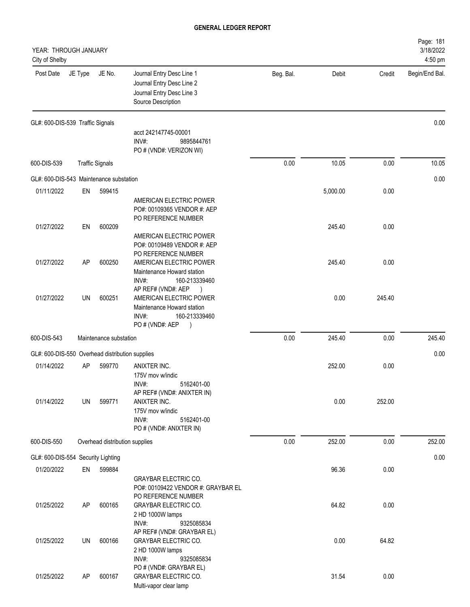| YEAR: THROUGH JANUARY<br>City of Shelby         |           |                                |                                                                                                                         |           |          |        | Page: 181<br>3/18/2022<br>4:50 pm |
|-------------------------------------------------|-----------|--------------------------------|-------------------------------------------------------------------------------------------------------------------------|-----------|----------|--------|-----------------------------------|
| Post Date                                       | JE Type   | JE No.                         | Journal Entry Desc Line 1<br>Journal Entry Desc Line 2<br>Journal Entry Desc Line 3<br>Source Description               | Beg. Bal. | Debit    | Credit | Begin/End Bal.                    |
| GL#: 600-DIS-539 Traffic Signals                |           |                                |                                                                                                                         |           |          |        | 0.00                              |
|                                                 |           |                                | acct 242147745-00001<br>$INV#$ :<br>9895844761<br>PO # (VND#: VERIZON WI)                                               |           |          |        |                                   |
| 600-DIS-539                                     |           | <b>Traffic Signals</b>         |                                                                                                                         | 0.00      | 10.05    | 0.00   | 10.05                             |
| GL#: 600-DIS-543 Maintenance substation         |           |                                |                                                                                                                         |           |          |        | 0.00                              |
| 01/11/2022                                      | EN        | 599415                         |                                                                                                                         |           | 5,000.00 | 0.00   |                                   |
|                                                 |           |                                | AMERICAN ELECTRIC POWER<br>PO#: 00109365 VENDOR #: AEP<br>PO REFERENCE NUMBER                                           |           |          |        |                                   |
| 01/27/2022                                      | EN        | 600209                         | AMERICAN ELECTRIC POWER<br>PO#: 00109489 VENDOR #: AEP<br>PO REFERENCE NUMBER                                           |           | 245.40   | 0.00   |                                   |
| 01/27/2022                                      | AP        | 600250                         | AMERICAN ELECTRIC POWER<br>Maintenance Howard station<br>INV#:<br>160-213339460<br>AP REF# (VND#: AEP                   |           | 245.40   | 0.00   |                                   |
| 01/27/2022                                      | <b>UN</b> | 600251                         | AMERICAN ELECTRIC POWER<br>Maintenance Howard station<br>INV#:<br>160-213339460<br>PO # (VND#: AEP<br>$\lambda$         |           | 0.00     | 245.40 |                                   |
| 600-DIS-543                                     |           | Maintenance substation         |                                                                                                                         | 0.00      | 245.40   | 0.00   | 245.40                            |
| GL#: 600-DIS-550 Overhead distribution supplies |           |                                |                                                                                                                         |           |          |        | 0.00                              |
| 01/14/2022                                      | AP        | 599770                         | ANIXTER INC.<br>175V mov w/indic<br>INV#:<br>5162401-00                                                                 |           | 252.00   | 0.00   |                                   |
| 01/14/2022                                      | UN        | 599771                         | AP REF# (VND#: ANIXTER IN)<br>ANIXTER INC.<br>175V mov w/indic<br>INV#:<br>5162401-00<br>PO # (VND#: ANIXTER IN)        |           | 0.00     | 252.00 |                                   |
| 600-DIS-550                                     |           | Overhead distribution supplies |                                                                                                                         | 0.00      | 252.00   | 0.00   | 252.00                            |
| GL#: 600-DIS-554 Security Lighting              |           |                                |                                                                                                                         |           |          |        | 0.00                              |
| 01/20/2022                                      | EN        | 599884                         |                                                                                                                         |           | 96.36    | 0.00   |                                   |
| 01/25/2022                                      | AP        | 600165                         | <b>GRAYBAR ELECTRIC CO.</b><br>PO#: 00109422 VENDOR #: GRAYBAR EL<br>PO REFERENCE NUMBER<br><b>GRAYBAR ELECTRIC CO.</b> |           | 64.82    | 0.00   |                                   |
|                                                 |           |                                | 2 HD 1000W lamps<br>INV#:<br>9325085834<br>AP REF# (VND#: GRAYBAR EL)                                                   |           |          |        |                                   |
| 01/25/2022                                      | UN        | 600166                         | <b>GRAYBAR ELECTRIC CO.</b><br>2 HD 1000W lamps<br>INV#:<br>9325085834<br>PO # (VND#: GRAYBAR EL)                       |           | 0.00     | 64.82  |                                   |
| 01/25/2022                                      | AP        | 600167                         | <b>GRAYBAR ELECTRIC CO.</b><br>Multi-vapor clear lamp                                                                   |           | 31.54    | 0.00   |                                   |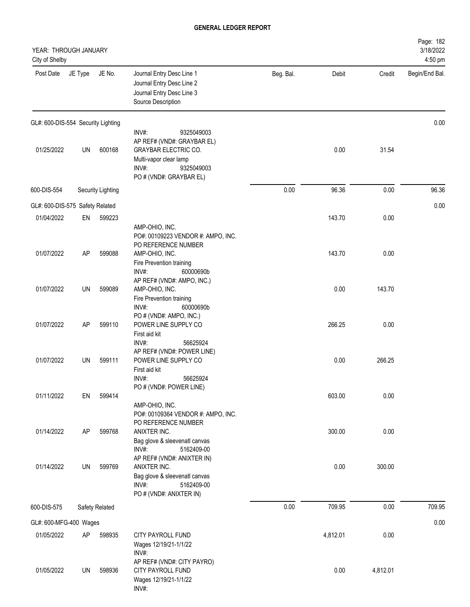| YEAR: THROUGH JANUARY<br>City of Shelby |         |                          |                                                                                                                                                              |           |          |          | Page: 182<br>3/18/2022<br>4:50 pm |
|-----------------------------------------|---------|--------------------------|--------------------------------------------------------------------------------------------------------------------------------------------------------------|-----------|----------|----------|-----------------------------------|
| Post Date                               | JE Type | JE No.                   | Journal Entry Desc Line 1<br>Journal Entry Desc Line 2<br>Journal Entry Desc Line 3<br>Source Description                                                    | Beg. Bal. | Debit    | Credit   | Begin/End Bal.                    |
| GL#: 600-DIS-554 Security Lighting      |         |                          |                                                                                                                                                              |           |          |          | 0.00                              |
| 01/25/2022                              | UN      | 600168                   | INV#:<br>9325049003<br>AP REF# (VND#: GRAYBAR EL)<br><b>GRAYBAR ELECTRIC CO.</b><br>Multi-vapor clear lamp<br>INV#:<br>9325049003<br>PO # (VND#: GRAYBAR EL) |           | 0.00     | 31.54    |                                   |
| 600-DIS-554                             |         | <b>Security Lighting</b> |                                                                                                                                                              | 0.00      | 96.36    | 0.00     | 96.36                             |
| GL#: 600-DIS-575 Safety Related         |         |                          |                                                                                                                                                              |           |          |          | 0.00                              |
| 01/04/2022                              | EN      | 599223                   | AMP-OHIO, INC.<br>PO#: 00109223 VENDOR #: AMPO, INC.                                                                                                         |           | 143.70   | 0.00     |                                   |
| 01/07/2022                              | AP      | 599088                   | PO REFERENCE NUMBER<br>AMP-OHIO, INC.<br>Fire Prevention training<br>INV#:<br>60000690b<br>AP REF# (VND#: AMPO, INC.)                                        |           | 143.70   | 0.00     |                                   |
| 01/07/2022                              | UN      | 599089                   | AMP-OHIO, INC.<br>Fire Prevention training<br>INV#:<br>60000690b                                                                                             |           | 0.00     | 143.70   |                                   |
| 01/07/2022                              | AP      | 599110                   | PO # (VND#: AMPO, INC.)<br>POWER LINE SUPPLY CO<br>First aid kit<br>56625924<br>$INV#$ :                                                                     |           | 266.25   | 0.00     |                                   |
| 01/07/2022                              | UN      | 599111                   | AP REF# (VND#: POWER LINE)<br>POWER LINE SUPPLY CO<br>First aid kit<br>INV#:<br>56625924<br>PO # (VND#: POWER LINE)                                          |           | 0.00     | 266.25   |                                   |
| 01/11/2022                              | EN      | 599414                   |                                                                                                                                                              |           | 603.00   | 0.00     |                                   |
| 01/14/2022                              | AP      | 599768                   | AMP-OHIO, INC.<br>PO#: 00109364 VENDOR #: AMPO, INC.<br>PO REFERENCE NUMBER<br>ANIXTER INC.<br>Bag glove & sleevenatl canvas                                 |           | 300.00   | 0.00     |                                   |
| 01/14/2022                              | UN      | 599769                   | INV#:<br>5162409-00<br>AP REF# (VND#: ANIXTER IN)<br>ANIXTER INC.<br>Bag glove & sleevenatl canvas<br>INV#:<br>5162409-00<br>PO # (VND#: ANIXTER IN)         |           | 0.00     | 300.00   |                                   |
| 600-DIS-575                             |         | Safety Related           |                                                                                                                                                              | 0.00      | 709.95   | 0.00     | 709.95                            |
| GL#: 600-MFG-400 Wages                  |         |                          |                                                                                                                                                              |           |          |          | 0.00                              |
| 01/05/2022                              | AP      | 598935                   | CITY PAYROLL FUND<br>Wages 12/19/21-1/1/22<br>INV#:                                                                                                          |           | 4,812.01 | 0.00     |                                   |
| 01/05/2022                              | UN      | 598936                   | AP REF# (VND#: CITY PAYRO)<br>CITY PAYROLL FUND<br>Wages 12/19/21-1/1/22<br>INV#:                                                                            |           | 0.00     | 4,812.01 |                                   |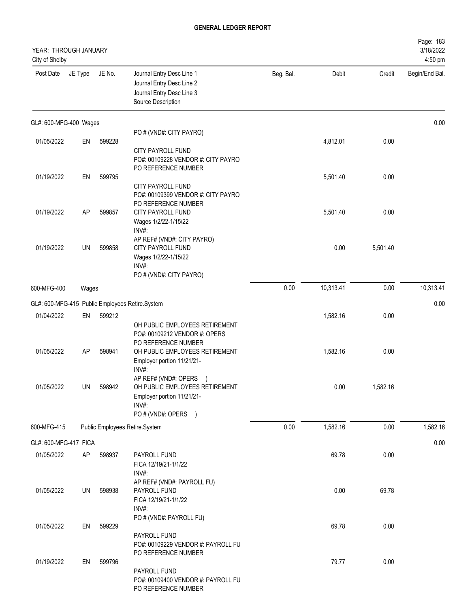| YEAR: THROUGH JANUARY<br>City of Shelby |           |        |                                                                                                                                                        |           |           |          | Page: 183<br>3/18/2022<br>4:50 pm |
|-----------------------------------------|-----------|--------|--------------------------------------------------------------------------------------------------------------------------------------------------------|-----------|-----------|----------|-----------------------------------|
| Post Date                               | JE Type   | JE No. | Journal Entry Desc Line 1<br>Journal Entry Desc Line 2<br>Journal Entry Desc Line 3<br>Source Description                                              | Beg. Bal. | Debit     | Credit   | Begin/End Bal.                    |
| GL#: 600-MFG-400 Wages                  |           |        |                                                                                                                                                        |           |           |          | 0.00                              |
| 01/05/2022                              | EN        | 599228 | PO # (VND#: CITY PAYRO)                                                                                                                                |           | 4,812.01  | 0.00     |                                   |
|                                         |           |        | <b>CITY PAYROLL FUND</b><br>PO#: 00109228 VENDOR #: CITY PAYRO<br>PO REFERENCE NUMBER                                                                  |           |           |          |                                   |
| 01/19/2022                              | EN        | 599795 | <b>CITY PAYROLL FUND</b><br>PO#: 00109399 VENDOR #: CITY PAYRO<br>PO REFERENCE NUMBER                                                                  |           | 5,501.40  | 0.00     |                                   |
| 01/19/2022                              | <b>AP</b> | 599857 | CITY PAYROLL FUND<br>Wages 1/2/22-1/15/22<br>INV#:                                                                                                     |           | 5,501.40  | 0.00     |                                   |
| 01/19/2022                              | UN        | 599858 | AP REF# (VND#: CITY PAYRO)<br>CITY PAYROLL FUND<br>Wages 1/2/22-1/15/22<br>INV#:<br>PO # (VND#: CITY PAYRO)                                            |           | 0.00      | 5,501.40 |                                   |
| 600-MFG-400                             | Wages     |        |                                                                                                                                                        | 0.00      | 10,313.41 | 0.00     | 10,313.41                         |
|                                         |           |        | GL#: 600-MFG-415 Public Employees Retire.System                                                                                                        |           |           |          | 0.00                              |
| 01/04/2022                              | EN        | 599212 |                                                                                                                                                        |           | 1,582.16  | 0.00     |                                   |
| 01/05/2022                              | AP        | 598941 | OH PUBLIC EMPLOYEES RETIREMENT<br>PO#: 00109212 VENDOR #: OPERS<br>PO REFERENCE NUMBER<br>OH PUBLIC EMPLOYEES RETIREMENT<br>Employer portion 11/21/21- |           | 1,582.16  | 0.00     |                                   |
| 01/05/2022                              | UN        | 598942 | INV#:<br>AP REF# (VND#: OPERS<br>OH PUBLIC EMPLOYEES RETIREMENT<br>Employer portion 11/21/21-<br>INV#:<br>PO # (VND#: OPERS )                          |           | 0.00      | 1,582.16 |                                   |
| 600-MFG-415                             |           |        | Public Employees Retire.System                                                                                                                         | 0.00      | 1,582.16  | 0.00     | 1,582.16                          |
| GL#: 600-MFG-417 FICA                   |           |        |                                                                                                                                                        |           |           |          | 0.00                              |
| 01/05/2022                              | AP        | 598937 | PAYROLL FUND<br>FICA 12/19/21-1/1/22<br>INV#:                                                                                                          |           | 69.78     | 0.00     |                                   |
| 01/05/2022                              | UN        | 598938 | AP REF# (VND#: PAYROLL FU)<br>PAYROLL FUND<br>FICA 12/19/21-1/1/22<br>INV#:<br>PO # (VND#: PAYROLL FU)                                                 |           | 0.00      | 69.78    |                                   |
| 01/05/2022                              | EN        | 599229 | PAYROLL FUND<br>PO#: 00109229 VENDOR #: PAYROLL FU                                                                                                     |           | 69.78     | 0.00     |                                   |
| 01/19/2022                              | EN        | 599796 | PO REFERENCE NUMBER<br>PAYROLL FUND<br>PO#: 00109400 VENDOR #: PAYROLL FU<br>PO REFERENCE NUMBER                                                       |           | 79.77     | 0.00     |                                   |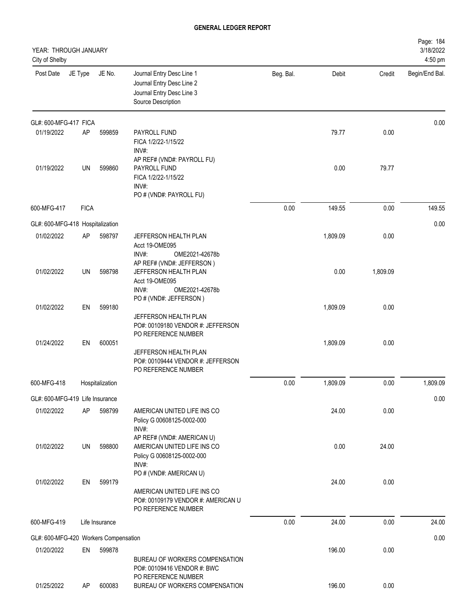| YEAR: THROUGH JANUARY<br>City of Shelby |             |                 |                                                                                                                     |           |          |          | Page: 184<br>3/18/2022<br>4:50 pm |
|-----------------------------------------|-------------|-----------------|---------------------------------------------------------------------------------------------------------------------|-----------|----------|----------|-----------------------------------|
| Post Date                               | JE Type     | JE No.          | Journal Entry Desc Line 1<br>Journal Entry Desc Line 2<br>Journal Entry Desc Line 3<br>Source Description           | Beg. Bal. | Debit    | Credit   | Begin/End Bal.                    |
| GL#: 600-MFG-417 FICA                   |             |                 |                                                                                                                     |           |          |          | 0.00                              |
| 01/19/2022                              | AP          | 599859          | PAYROLL FUND<br>FICA 1/2/22-1/15/22<br>INV#:<br>AP REF# (VND#: PAYROLL FU)                                          |           | 79.77    | 0.00     |                                   |
| 01/19/2022                              | UN          | 599860          | PAYROLL FUND<br>FICA 1/2/22-1/15/22<br>$INV#$ :<br>PO # (VND#: PAYROLL FU)                                          |           | 0.00     | 79.77    |                                   |
| 600-MFG-417                             | <b>FICA</b> |                 |                                                                                                                     | 0.00      | 149.55   | 0.00     | 149.55                            |
| GL#: 600-MFG-418 Hospitalization        |             |                 |                                                                                                                     |           |          |          | 0.00                              |
| 01/02/2022                              | AP          | 598797          | JEFFERSON HEALTH PLAN<br>Acct 19-OME095<br>INV#:<br>OME2021-42678b                                                  |           | 1,809.09 | 0.00     |                                   |
| 01/02/2022                              | UN          | 598798          | AP REF# (VND#: JEFFERSON)<br>JEFFERSON HEALTH PLAN<br>Acct 19-OME095<br>INV#:<br>OME2021-42678b                     |           | 0.00     | 1,809.09 |                                   |
| 01/02/2022                              | EN          | 599180          | PO # (VND#: JEFFERSON)<br>JEFFERSON HEALTH PLAN<br>PO#: 00109180 VENDOR #: JEFFERSON<br>PO REFERENCE NUMBER         |           | 1,809.09 | 0.00     |                                   |
| 01/24/2022                              | EN          | 600051          | JEFFERSON HEALTH PLAN<br>PO#: 00109444 VENDOR #: JEFFERSON<br>PO REFERENCE NUMBER                                   |           | 1,809.09 | 0.00     |                                   |
| 600-MFG-418                             |             | Hospitalization |                                                                                                                     | 0.00      | 1,809.09 | 0.00     | 1,809.09                          |
| GL#: 600-MFG-419 Life Insurance         |             |                 |                                                                                                                     |           |          |          | 0.00                              |
| 01/02/2022                              | AP          | 598799          | AMERICAN UNITED LIFE INS CO<br>Policy G 00608125-0002-000<br>INV#:                                                  |           | 24.00    | 0.00     |                                   |
| 01/02/2022                              | UN          | 598800          | AP REF# (VND#: AMERICAN U)<br>AMERICAN UNITED LIFE INS CO<br>Policy G 00608125-0002-000<br>INV#:                    |           | 0.00     | 24.00    |                                   |
| 01/02/2022                              | EN          | 599179          | PO # (VND#: AMERICAN U)<br>AMERICAN UNITED LIFE INS CO<br>PO#: 00109179 VENDOR #: AMERICAN U<br>PO REFERENCE NUMBER |           | 24.00    | 0.00     |                                   |
| 600-MFG-419                             |             | Life Insurance  |                                                                                                                     | 0.00      | 24.00    | 0.00     | 24.00                             |
| GL#: 600-MFG-420 Workers Compensation   |             |                 |                                                                                                                     |           |          |          | 0.00                              |
| 01/20/2022                              | EN          | 599878          | BUREAU OF WORKERS COMPENSATION<br>PO#: 00109416 VENDOR #: BWC<br>PO REFERENCE NUMBER                                |           | 196.00   | 0.00     |                                   |
| 01/25/2022                              | AP          | 600083          | BUREAU OF WORKERS COMPENSATION                                                                                      |           | 196.00   | 0.00     |                                   |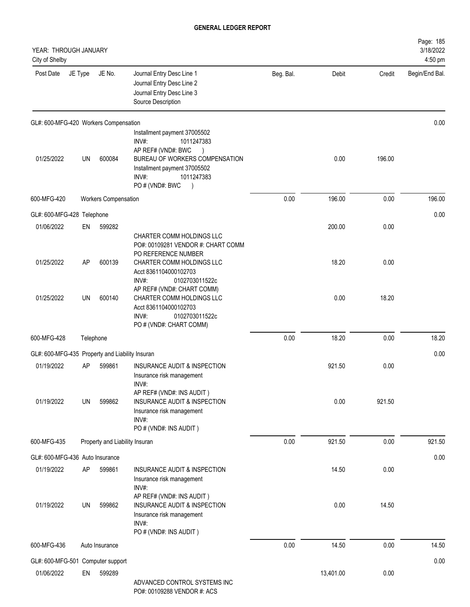| YEAR: THROUGH JANUARY<br>City of Shelby         |           |                                |                                                                                                                                                                                                    |           |           |        | Page: 185<br>3/18/2022<br>4:50 pm |
|-------------------------------------------------|-----------|--------------------------------|----------------------------------------------------------------------------------------------------------------------------------------------------------------------------------------------------|-----------|-----------|--------|-----------------------------------|
| Post Date                                       | JE Type   | JE No.                         | Journal Entry Desc Line 1<br>Journal Entry Desc Line 2<br>Journal Entry Desc Line 3<br>Source Description                                                                                          | Beg. Bal. | Debit     | Credit | Begin/End Bal.                    |
| GL#: 600-MFG-420 Workers Compensation           |           |                                |                                                                                                                                                                                                    |           |           |        | 0.00                              |
| 01/25/2022                                      | UN        | 600084                         | Installment payment 37005502<br>INV#:<br>1011247383<br>AP REF# (VND#: BWC<br>BUREAU OF WORKERS COMPENSATION<br>Installment payment 37005502<br>INV#:<br>1011247383<br>PO # (VND#: BWC<br>$\lambda$ |           | 0.00      | 196.00 |                                   |
| 600-MFG-420                                     |           | <b>Workers Compensation</b>    |                                                                                                                                                                                                    | 0.00      | 196.00    | 0.00   | 196.00                            |
| GL#: 600-MFG-428 Telephone                      |           |                                |                                                                                                                                                                                                    |           |           |        | 0.00                              |
| 01/06/2022                                      | EN        | 599282                         | CHARTER COMM HOLDINGS LLC<br>PO#: 00109281 VENDOR #: CHART COMM<br>PO REFERENCE NUMBER                                                                                                             |           | 200.00    | 0.00   |                                   |
| 01/25/2022                                      | <b>AP</b> | 600139                         | CHARTER COMM HOLDINGS LLC<br>Acct 8361104000102703<br>INV#:<br>0102703011522c<br>AP REF# (VND#: CHART COMM)                                                                                        |           | 18.20     | 0.00   |                                   |
| 01/25/2022                                      | <b>UN</b> | 600140                         | CHARTER COMM HOLDINGS LLC<br>Acct 8361104000102703<br>INV#:<br>0102703011522c<br>PO # (VND#: CHART COMM)                                                                                           |           | 0.00      | 18.20  |                                   |
| 600-MFG-428                                     |           | Telephone                      |                                                                                                                                                                                                    | 0.00      | 18.20     | 0.00   | 18.20                             |
| GL#: 600-MFG-435 Property and Liability Insuran |           |                                |                                                                                                                                                                                                    |           |           |        | 0.00                              |
| 01/19/2022                                      | AP        | 599861                         | <b>INSURANCE AUDIT &amp; INSPECTION</b><br>Insurance risk management<br>INV#:                                                                                                                      |           | 921.50    | 0.00   |                                   |
| 01/19/2022                                      | UN        | 599862                         | AP REF# (VND#: INS AUDIT)<br><b>INSURANCE AUDIT &amp; INSPECTION</b><br>Insurance risk management<br>INV#:<br>PO # (VND#: INS AUDIT)                                                               |           | 0.00      | 921.50 |                                   |
| 600-MFG-435                                     |           | Property and Liability Insuran |                                                                                                                                                                                                    | 0.00      | 921.50    | 0.00   | 921.50                            |
| GL#: 600-MFG-436 Auto Insurance                 |           |                                |                                                                                                                                                                                                    |           |           |        | 0.00                              |
| 01/19/2022                                      | AP        | 599861                         | INSURANCE AUDIT & INSPECTION<br>Insurance risk management<br>INV#:                                                                                                                                 |           | 14.50     | 0.00   |                                   |
| 01/19/2022                                      | UN        | 599862                         | AP REF# (VND#: INS AUDIT)<br><b>INSURANCE AUDIT &amp; INSPECTION</b><br>Insurance risk management<br>INV#:<br>PO # (VND#: INS AUDIT)                                                               |           | 0.00      | 14.50  |                                   |
| 600-MFG-436                                     |           | Auto Insurance                 |                                                                                                                                                                                                    | 0.00      | 14.50     | 0.00   | 14.50                             |
| GL#: 600-MFG-501 Computer support               |           |                                |                                                                                                                                                                                                    |           |           |        | 0.00                              |
| 01/06/2022                                      | EN        | 599289                         | ADVANCED CONTROL SYSTEMS INC                                                                                                                                                                       |           | 13,401.00 | 0.00   |                                   |

PO#: 00109288 VENDOR #: ACS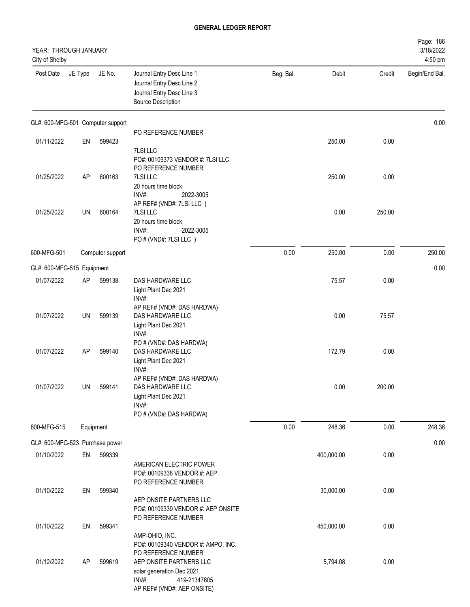| YEAR: THROUGH JANUARY<br>City of Shelby |         |                  |                                                                                                                                    |           |            |        | Page: 186<br>3/18/2022<br>4:50 pm |
|-----------------------------------------|---------|------------------|------------------------------------------------------------------------------------------------------------------------------------|-----------|------------|--------|-----------------------------------|
| Post Date                               | JE Type | JE No.           | Journal Entry Desc Line 1<br>Journal Entry Desc Line 2<br>Journal Entry Desc Line 3<br>Source Description                          | Beg. Bal. | Debit      | Credit | Begin/End Bal.                    |
| GL#: 600-MFG-501 Computer support       |         |                  |                                                                                                                                    |           |            |        | 0.00                              |
| 01/11/2022                              | EN      | 599423           | PO REFERENCE NUMBER                                                                                                                |           | 250.00     | 0.00   |                                   |
| 01/25/2022                              | AP      | 600163           | 7LSI LLC<br>PO#: 00109373 VENDOR #: 7LSI LLC<br>PO REFERENCE NUMBER<br>7LSI LLC                                                    |           | 250.00     | 0.00   |                                   |
|                                         |         |                  | 20 hours time block<br>INV#:<br>2022-3005<br>AP REF# (VND#: 7LSI LLC)                                                              |           |            |        |                                   |
| 01/25/2022                              | UN      | 600164           | 7LSI LLC<br>20 hours time block<br>INV#:<br>2022-3005<br>PO # (VND#: 7LSI LLC)                                                     |           | 0.00       | 250.00 |                                   |
| 600-MFG-501                             |         | Computer support |                                                                                                                                    | 0.00      | 250.00     | 0.00   | 250.00                            |
| GL#: 600-MFG-515 Equipment              |         |                  |                                                                                                                                    |           |            |        | 0.00                              |
| 01/07/2022                              | AP      | 599138           | DAS HARDWARE LLC<br>Light Plant Dec 2021<br>INV#:                                                                                  |           | 75.57      | 0.00   |                                   |
| 01/07/2022                              | UN      | 599139           | AP REF# (VND#: DAS HARDWA)<br>DAS HARDWARE LLC<br>Light Plant Dec 2021<br>INV#:                                                    |           | 0.00       | 75.57  |                                   |
| 01/07/2022                              | AP      | 599140           | PO # (VND#: DAS HARDWA)<br>DAS HARDWARE LLC<br>Light Plant Dec 2021<br>INV#:                                                       |           | 172.79     | 0.00   |                                   |
| 01/07/2022                              | UN      | 599141           | AP REF# (VND#: DAS HARDWA)<br>DAS HARDWARE LLC<br>Light Plant Dec 2021<br>INV#:<br>PO # (VND#: DAS HARDWA)                         |           | 0.00       | 200.00 |                                   |
| 600-MFG-515                             |         | Equipment        |                                                                                                                                    | 0.00      | 248.36     | 0.00   | 248.36                            |
| GL#: 600-MFG-523 Purchase power         |         |                  |                                                                                                                                    |           |            |        | 0.00                              |
| 01/10/2022                              | EN      | 599339           | AMERICAN ELECTRIC POWER<br>PO#: 00109338 VENDOR #: AEP                                                                             |           | 400,000.00 | 0.00   |                                   |
| 01/10/2022                              | EN      | 599340           | PO REFERENCE NUMBER<br>AEP ONSITE PARTNERS LLC<br>PO#: 00109339 VENDOR #: AEP ONSITE                                               |           | 30,000.00  | 0.00   |                                   |
| 01/10/2022                              | EN      | 599341           | PO REFERENCE NUMBER<br>AMP-OHIO, INC.<br>PO#: 00109340 VENDOR #: AMPO, INC.                                                        |           | 450,000.00 | 0.00   |                                   |
| 01/12/2022                              | AP      | 599619           | PO REFERENCE NUMBER<br>AEP ONSITE PARTNERS LLC<br>solar generation Dec 2021<br>INV#:<br>419-21347605<br>AP REF# (VND#: AEP ONSITE) |           | 5,794.08   | 0.00   |                                   |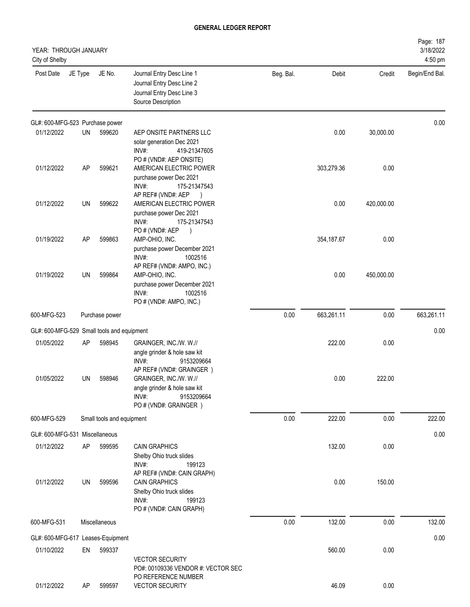| YEAR: THROUGH JANUARY<br>City of Shelby    |           |                           |                                                                                                                                    |           |            |            | Page: 187<br>3/18/2022<br>4:50 pm |
|--------------------------------------------|-----------|---------------------------|------------------------------------------------------------------------------------------------------------------------------------|-----------|------------|------------|-----------------------------------|
| Post Date                                  | JE Type   | JE No.                    | Journal Entry Desc Line 1<br>Journal Entry Desc Line 2<br>Journal Entry Desc Line 3<br>Source Description                          | Beg. Bal. | Debit      | Credit     | Begin/End Bal.                    |
| GL#: 600-MFG-523 Purchase power            |           |                           |                                                                                                                                    |           |            |            | 0.00                              |
| 01/12/2022                                 | UN        | 599620                    | AEP ONSITE PARTNERS LLC<br>solar generation Dec 2021<br>INV#:<br>419-21347605<br>PO # (VND#: AEP ONSITE)                           |           | 0.00       | 30,000.00  |                                   |
| 01/12/2022                                 | AP        | 599621                    | AMERICAN ELECTRIC POWER<br>purchase power Dec 2021<br>INV#:<br>175-21347543<br>AP REF# (VND#: AEP<br>$\rightarrow$                 |           | 303,279.36 | 0.00       |                                   |
| 01/12/2022                                 | UN        | 599622                    | AMERICAN ELECTRIC POWER<br>purchase power Dec 2021<br>INV#:<br>175-21347543<br>PO#(VND#: AEP                                       |           | 0.00       | 420,000.00 |                                   |
| 01/19/2022                                 | AP        | 599863                    | AMP-OHIO, INC.<br>purchase power December 2021<br>INV#:<br>1002516<br>AP REF# (VND#: AMPO, INC.)                                   |           | 354,187.67 | 0.00       |                                   |
| 01/19/2022                                 | UN        | 599864                    | AMP-OHIO, INC.<br>purchase power December 2021<br>INV#:<br>1002516<br>PO # (VND#: AMPO, INC.)                                      |           | 0.00       | 450,000.00 |                                   |
| 600-MFG-523                                |           | Purchase power            |                                                                                                                                    | 0.00      | 663,261.11 | 0.00       | 663,261.11                        |
| GL#: 600-MFG-529 Small tools and equipment |           |                           |                                                                                                                                    |           |            |            | 0.00                              |
| 01/05/2022                                 | <b>AP</b> | 598945                    | GRAINGER, INC./W. W.//<br>angle grinder & hole saw kit<br>INV#:<br>9153209664                                                      |           | 222.00     | 0.00       |                                   |
| 01/05/2022                                 | UN        | 598946                    | AP REF# (VND#: GRAINGER)<br>GRAINGER, INC./W. W.//<br>angle grinder & hole saw kit<br>INV#:<br>9153209664<br>PO # (VND#: GRAINGER) |           | 0.00       | 222.00     |                                   |
| 600-MFG-529                                |           | Small tools and equipment |                                                                                                                                    | 0.00      | 222.00     | 0.00       | 222.00                            |
| GL#: 600-MFG-531 Miscellaneous             |           |                           |                                                                                                                                    |           |            |            | 0.00                              |
| 01/12/2022                                 | AP        | 599595                    | <b>CAIN GRAPHICS</b><br>Shelby Ohio truck slides<br>INV#:<br>199123<br>AP REF# (VND#: CAIN GRAPH)                                  |           | 132.00     | 0.00       |                                   |
| 01/12/2022                                 | UN        | 599596                    | <b>CAIN GRAPHICS</b><br>Shelby Ohio truck slides<br>INV#:<br>199123<br>PO # (VND#: CAIN GRAPH)                                     |           | 0.00       | 150.00     |                                   |
| 600-MFG-531                                |           | Miscellaneous             |                                                                                                                                    | 0.00      | 132.00     | 0.00       | 132.00                            |
| GL#: 600-MFG-617 Leases-Equipment          |           |                           |                                                                                                                                    |           |            |            | 0.00                              |
| 01/10/2022                                 | EN        | 599337                    | <b>VECTOR SECURITY</b><br>PO#: 00109336 VENDOR #: VECTOR SEC<br>PO REFERENCE NUMBER                                                |           | 560.00     | 0.00       |                                   |
| 01/12/2022                                 | AP        | 599597                    | <b>VECTOR SECURITY</b>                                                                                                             |           | 46.09      | 0.00       |                                   |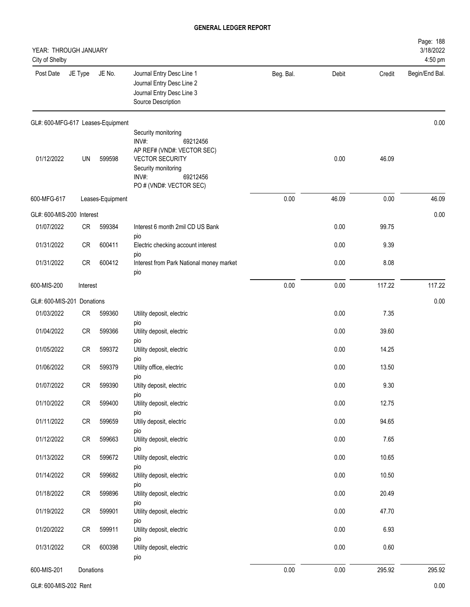| YEAR: THROUGH JANUARY<br>City of Shelby |            |                                   |                                                                                                                                                                         |           |       |        | Page: 188<br>3/18/2022<br>4:50 pm |
|-----------------------------------------|------------|-----------------------------------|-------------------------------------------------------------------------------------------------------------------------------------------------------------------------|-----------|-------|--------|-----------------------------------|
| Post Date                               | JE Type    | JE No.                            | Journal Entry Desc Line 1<br>Journal Entry Desc Line 2<br>Journal Entry Desc Line 3<br>Source Description                                                               | Beg. Bal. | Debit | Credit | Begin/End Bal.                    |
|                                         |            | GL#: 600-MFG-617 Leases-Equipment |                                                                                                                                                                         |           |       |        | 0.00                              |
| 01/12/2022                              | UN         | 599598                            | Security monitoring<br>INV#:<br>69212456<br>AP REF# (VND#: VECTOR SEC)<br><b>VECTOR SECURITY</b><br>Security monitoring<br>INV#:<br>69212456<br>PO # (VND#: VECTOR SEC) |           | 0.00  | 46.09  |                                   |
| 600-MFG-617                             |            | Leases-Equipment                  |                                                                                                                                                                         | 0.00      | 46.09 | 0.00   | 46.09                             |
| GL#: 600-MIS-200                        | Interest   |                                   |                                                                                                                                                                         |           |       |        | 0.00                              |
| 01/07/2022                              | CR         | 599384                            | Interest 6 month 2mil CD US Bank                                                                                                                                        |           | 0.00  | 99.75  |                                   |
| 01/31/2022                              | <b>CR</b>  | 600411                            | pio<br>Electric checking account interest                                                                                                                               |           | 0.00  | 9.39   |                                   |
| 01/31/2022                              | <b>CR</b>  | 600412                            | pio<br>Interest from Park National money market<br>pio                                                                                                                  |           | 0.00  | 8.08   |                                   |
| 600-MIS-200                             | Interest   |                                   |                                                                                                                                                                         | 0.00      | 0.00  | 117.22 | 117.22                            |
| GL#: 600-MIS-201                        | Donations  |                                   |                                                                                                                                                                         |           |       |        | 0.00                              |
| 01/03/2022                              | CR         | 599360                            | Utility deposit, electric                                                                                                                                               |           | 0.00  | 7.35   |                                   |
| 01/04/2022                              | <b>CR</b>  | 599366                            | pio<br>Utility deposit, electric                                                                                                                                        |           | 0.00  | 39.60  |                                   |
| 01/05/2022                              | <b>CR</b>  | 599372                            | pio<br>Utility deposit, electric                                                                                                                                        |           | 0.00  | 14.25  |                                   |
| 01/06/2022                              | <b>CR</b>  | 599379                            | pio<br>Utility office, electric                                                                                                                                         |           | 0.00  | 13.50  |                                   |
| 01/07/2022                              | ${\sf CR}$ | 599390                            | pio<br>Utilty deposit, electric                                                                                                                                         |           | 0.00  | 9.30   |                                   |
| 01/10/2022                              | ${\sf CR}$ | 599400                            | pio<br>Utility deposit, electric                                                                                                                                        |           | 0.00  | 12.75  |                                   |
| 01/11/2022                              | CR         | 599659                            | pio<br>Utiliy deposit, electric                                                                                                                                         |           | 0.00  | 94.65  |                                   |
| 01/12/2022                              | ${\sf CR}$ | 599663                            | pio<br>Utility deposit, electric                                                                                                                                        |           | 0.00  | 7.65   |                                   |
| 01/13/2022                              | ${\sf CR}$ | 599672                            | pio<br>Utility deposit, electric                                                                                                                                        |           | 0.00  | 10.65  |                                   |
| 01/14/2022                              | CR         | 599682                            | pio<br>Utility deposit, electric                                                                                                                                        |           | 0.00  | 10.50  |                                   |
| 01/18/2022                              | CR         | 599896                            | pio<br>Utility deposit, electric                                                                                                                                        |           | 0.00  | 20.49  |                                   |
| 01/19/2022                              | CR         | 599901                            | pio<br>Utility deposit, electric                                                                                                                                        |           | 0.00  | 47.70  |                                   |
| 01/20/2022                              | CR         | 599911                            | pio<br>Utility deposit, electric                                                                                                                                        |           | 0.00  | 6.93   |                                   |
| 01/31/2022                              | ${\sf CR}$ | 600398                            | pio<br>Utility deposit, electric<br>pio                                                                                                                                 |           | 0.00  | 0.60   |                                   |
| 600-MIS-201                             | Donations  |                                   |                                                                                                                                                                         | 0.00      | 0.00  | 295.92 | 295.92                            |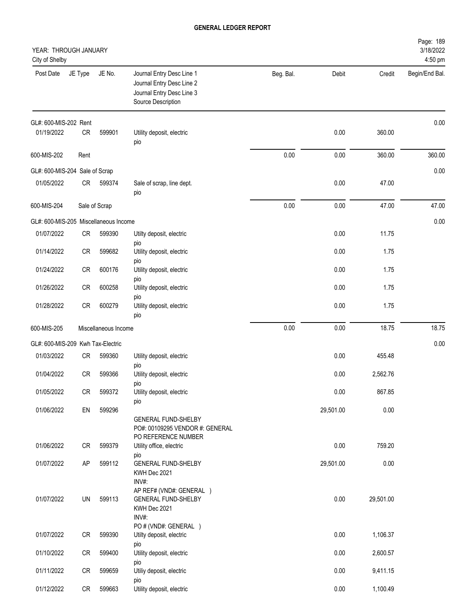| YEAR: THROUGH JANUARY<br>City of Shelby |           |                      |                                                                                                           |           |           |           | Page: 189<br>3/18/2022<br>4:50 pm |
|-----------------------------------------|-----------|----------------------|-----------------------------------------------------------------------------------------------------------|-----------|-----------|-----------|-----------------------------------|
| Post Date                               | JE Type   | JE No.               | Journal Entry Desc Line 1<br>Journal Entry Desc Line 2<br>Journal Entry Desc Line 3<br>Source Description | Beg. Bal. | Debit     | Credit    | Begin/End Bal.                    |
| GL#: 600-MIS-202 Rent                   |           |                      |                                                                                                           |           |           |           | 0.00                              |
| 01/19/2022                              | CR        | 599901               | Utility deposit, electric<br>pio                                                                          |           | 0.00      | 360.00    |                                   |
| 600-MIS-202                             | Rent      |                      |                                                                                                           | 0.00      | 0.00      | 360.00    | 360.00                            |
| GL#: 600-MIS-204 Sale of Scrap          |           |                      |                                                                                                           |           |           |           | $0.00\,$                          |
| 01/05/2022                              | <b>CR</b> | 599374               | Sale of scrap, line dept.<br>pio                                                                          |           | 0.00      | 47.00     |                                   |
| 600-MIS-204                             |           | Sale of Scrap        |                                                                                                           | 0.00      | 0.00      | 47.00     | 47.00                             |
| GL#: 600-MIS-205 Miscellaneous Income   |           |                      |                                                                                                           |           |           |           | 0.00                              |
| 01/07/2022                              | <b>CR</b> | 599390               | Utilty deposit, electric<br>pio                                                                           |           | 0.00      | 11.75     |                                   |
| 01/14/2022                              | <b>CR</b> | 599682               | Utility deposit, electric                                                                                 |           | 0.00      | 1.75      |                                   |
| 01/24/2022                              | CR        | 600176               | pio<br>Utility deposit, electric                                                                          |           | 0.00      | 1.75      |                                   |
| 01/26/2022                              | CR        | 600258               | pio<br>Utility deposit, electric                                                                          |           | 0.00      | 1.75      |                                   |
| 01/28/2022                              | CR        | 600279               | pio<br>Utility deposit, electric                                                                          |           | 0.00      | 1.75      |                                   |
| 600-MIS-205                             |           | Miscellaneous Income | pio                                                                                                       | 0.00      | 0.00      | 18.75     | 18.75                             |
| GL#: 600-MIS-209 Kwh Tax-Electric       |           |                      |                                                                                                           |           |           |           | 0.00                              |
| 01/03/2022                              | <b>CR</b> | 599360               | Utility deposit, electric                                                                                 |           | 0.00      | 455.48    |                                   |
| 01/04/2022                              | <b>CR</b> | 599366               | pio<br>Utility deposit, electric                                                                          |           | 0.00      | 2,562.76  |                                   |
| 01/05/2022                              | <b>CR</b> | 599372               | pio<br>Utility deposit, electric                                                                          |           | 0.00      | 867.85    |                                   |
| 01/06/2022                              | EN        | 599296               | pio                                                                                                       |           | 29,501.00 | 0.00      |                                   |
|                                         |           |                      | <b>GENERAL FUND-SHELBY</b><br>PO#: 00109295 VENDOR #: GENERAL<br>PO REFERENCE NUMBER                      |           |           |           |                                   |
| 01/06/2022                              | CR        | 599379               | Utility office, electric                                                                                  |           | 0.00      | 759.20    |                                   |
| 01/07/2022                              | AP        | 599112               | pio<br><b>GENERAL FUND-SHELBY</b><br>KWH Dec 2021                                                         |           | 29,501.00 | 0.00      |                                   |
| 01/07/2022                              | UN        | 599113               | INV#:<br>AP REF# (VND#: GENERAL )<br><b>GENERAL FUND-SHELBY</b><br>KWH Dec 2021<br>INV#:                  |           | 0.00      | 29,501.00 |                                   |
| 01/07/2022                              | CR        | 599390               | PO # (VND#: GENERAL )<br>Utilty deposit, electric                                                         |           | 0.00      | 1,106.37  |                                   |
| 01/10/2022                              | CR        | 599400               | pio<br>Utility deposit, electric                                                                          |           | 0.00      | 2,600.57  |                                   |
| 01/11/2022                              | CR        | 599659               | pio<br>Utiliy deposit, electric                                                                           |           | 0.00      | 9,411.15  |                                   |
| 01/12/2022                              | CR        | 599663               | pio<br>Utility deposit, electric                                                                          |           | 0.00      | 1,100.49  |                                   |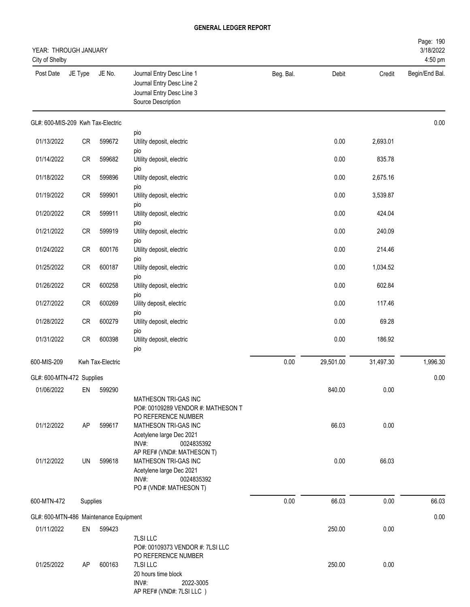| YEAR: THROUGH JANUARY<br>City of Shelby |            |                  |                                                                                                           |           |           |           | Page: 190<br>3/18/2022<br>4:50 pm |
|-----------------------------------------|------------|------------------|-----------------------------------------------------------------------------------------------------------|-----------|-----------|-----------|-----------------------------------|
| Post Date                               | JE Type    | JE No.           | Journal Entry Desc Line 1<br>Journal Entry Desc Line 2<br>Journal Entry Desc Line 3<br>Source Description | Beg. Bal. | Debit     | Credit    | Begin/End Bal.                    |
| GL#: 600-MIS-209 Kwh Tax-Electric       |            |                  |                                                                                                           |           |           |           | 0.00                              |
| 01/13/2022                              | CR         | 599672           | pio<br>Utility deposit, electric                                                                          |           | 0.00      | 2,693.01  |                                   |
| 01/14/2022                              | CR         | 599682           | pio<br>Utility deposit, electric                                                                          |           | 0.00      | 835.78    |                                   |
| 01/18/2022                              | ${\sf CR}$ | 599896           | pio<br>Utility deposit, electric                                                                          |           | 0.00      | 2,675.16  |                                   |
| 01/19/2022                              | CR         | 599901           | pio<br>Utility deposit, electric                                                                          |           | 0.00      | 3,539.87  |                                   |
| 01/20/2022                              | CR         | 599911           | pio<br>Utility deposit, electric                                                                          |           | 0.00      | 424.04    |                                   |
| 01/21/2022                              | CR         | 599919           | pio<br>Utility deposit, electric                                                                          |           | 0.00      | 240.09    |                                   |
| 01/24/2022                              | CR         | 600176           | pio<br>Utility deposit, electric                                                                          |           | 0.00      | 214.46    |                                   |
| 01/25/2022                              | CR         | 600187           | pio<br>Utility deposit, electric                                                                          |           | 0.00      | 1,034.52  |                                   |
| 01/26/2022                              | ${\sf CR}$ | 600258           | pio<br>Utility deposit, electric                                                                          |           | 0.00      | 602.84    |                                   |
| 01/27/2022                              | CR         | 600269           | pio<br>Uility deposit, electric                                                                           |           | 0.00      | 117.46    |                                   |
| 01/28/2022                              | CR         | 600279           | pio<br>Utility deposit, electric<br>pio                                                                   |           | 0.00      | 69.28     |                                   |
| 01/31/2022                              | ${\sf CR}$ | 600398           | Utility deposit, electric<br>pio                                                                          |           | 0.00      | 186.92    |                                   |
| 600-MIS-209                             |            | Kwh Tax-Electric |                                                                                                           | 0.00      | 29,501.00 | 31,497.30 | 1,996.30                          |
| GL#: 600-MTN-472 Supplies               |            |                  |                                                                                                           |           |           |           | 0.00                              |
| 01/06/2022                              | EN         | 599290           |                                                                                                           |           | 840.00    | 0.00      |                                   |
|                                         |            |                  | MATHESON TRI-GAS INC<br>PO#: 00109289 VENDOR #: MATHESON T<br>PO REFERENCE NUMBER                         |           |           |           |                                   |
| 01/12/2022                              | AP         | 599617           | MATHESON TRI-GAS INC<br>Acetylene large Dec 2021<br>$INV#$ :<br>0024835392<br>AP REF# (VND#: MATHESON T)  |           | 66.03     | 0.00      |                                   |
| 01/12/2022                              | UN         | 599618           | MATHESON TRI-GAS INC<br>Acetylene large Dec 2021<br>INV#:<br>0024835392<br>PO # (VND#: MATHESON T)        |           | 0.00      | 66.03     |                                   |
| 600-MTN-472                             | Supplies   |                  |                                                                                                           | 0.00      | 66.03     | 0.00      | 66.03                             |
| GL#: 600-MTN-486 Maintenance Equipment  |            |                  |                                                                                                           |           |           |           | 0.00                              |
| 01/11/2022                              | EN         | 599423           |                                                                                                           |           | 250.00    | 0.00      |                                   |
|                                         |            |                  | 7LSI LLC<br>PO#: 00109373 VENDOR #: 7LSI LLC<br>PO REFERENCE NUMBER                                       |           |           |           |                                   |
| 01/25/2022                              | AP         | 600163           | 7LSI LLC<br>20 hours time block<br>INV#:<br>2022-3005<br>AP REF# (VND#: 7LSI LLC)                         |           | 250.00    | 0.00      |                                   |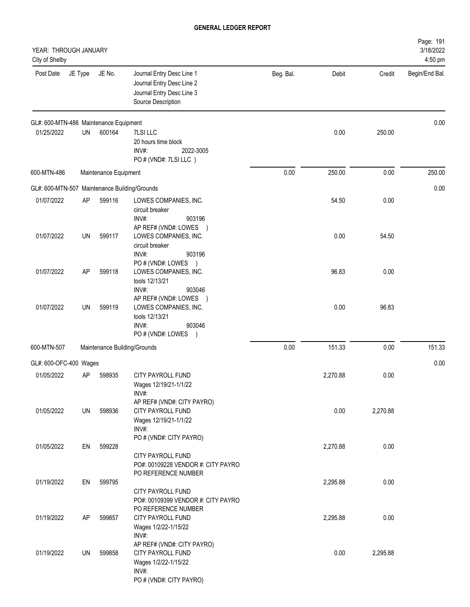| YEAR: THROUGH JANUARY<br>City of Shelby       |         |                       |                                                                                                             |           |          |          | Page: 191<br>3/18/2022<br>4:50 pm |
|-----------------------------------------------|---------|-----------------------|-------------------------------------------------------------------------------------------------------------|-----------|----------|----------|-----------------------------------|
| Post Date                                     | JE Type | JE No.                | Journal Entry Desc Line 1<br>Journal Entry Desc Line 2<br>Journal Entry Desc Line 3<br>Source Description   | Beg. Bal. | Debit    | Credit   | Begin/End Bal.                    |
| GL#: 600-MTN-486 Maintenance Equipment        |         |                       |                                                                                                             |           |          |          | 0.00                              |
| 01/25/2022                                    | UN      | 600164                | 7LSI LLC<br>20 hours time block<br>INV#:<br>2022-3005<br>PO # (VND#: 7LSI LLC)                              |           | 0.00     | 250.00   |                                   |
| 600-MTN-486                                   |         | Maintenance Equipment |                                                                                                             | 0.00      | 250.00   | 0.00     | 250.00                            |
| GL#: 600-MTN-507 Maintenance Building/Grounds |         |                       |                                                                                                             |           |          |          | 0.00                              |
| 01/07/2022                                    | AP      | 599116                | LOWES COMPANIES, INC.<br>circuit breaker<br>INV#:<br>903196<br>AP REF# (VND#: LOWES )                       |           | 54.50    | 0.00     |                                   |
| 01/07/2022                                    | UN      | 599117                | LOWES COMPANIES, INC.<br>circuit breaker<br>INV#:<br>903196<br>PO # (VND#: LOWES )                          |           | 0.00     | 54.50    |                                   |
| 01/07/2022                                    | AP      | 599118                | LOWES COMPANIES, INC.<br>tools 12/13/21<br>INV#:<br>903046<br>AP REF# (VND#: LOWES )                        |           | 96.83    | 0.00     |                                   |
| 01/07/2022                                    | UN      | 599119                | LOWES COMPANIES, INC.<br>tools 12/13/21<br>INV#:<br>903046<br>PO # (VND#: LOWES )                           |           | 0.00     | 96.83    |                                   |
| 600-MTN-507                                   |         |                       | Maintenance Building/Grounds                                                                                | 0.00      | 151.33   | 0.00     | 151.33                            |
| GL#: 600-OFC-400 Wages                        |         |                       |                                                                                                             |           |          |          | 0.00                              |
| 01/05/2022                                    | AP      | 598935                | CITY PAYROLL FUND<br>Wages 12/19/21-1/1/22<br>INV#:<br>AP REF# (VND#: CITY PAYRO)                           |           | 2,270.88 | 0.00     |                                   |
| 01/05/2022                                    | UN      | 598936                | CITY PAYROLL FUND<br>Wages 12/19/21-1/1/22<br>INV#:<br>PO # (VND#: CITY PAYRO)                              |           | 0.00     | 2,270.88 |                                   |
| 01/05/2022                                    | EN      | 599228                | <b>CITY PAYROLL FUND</b><br>PO#: 00109228 VENDOR #: CITY PAYRO<br>PO REFERENCE NUMBER                       |           | 2,270.88 | 0.00     |                                   |
| 01/19/2022                                    | EN      | 599795                | CITY PAYROLL FUND<br>PO#: 00109399 VENDOR #: CITY PAYRO                                                     |           | 2,295.88 | 0.00     |                                   |
| 01/19/2022                                    | AP      | 599857                | PO REFERENCE NUMBER<br>CITY PAYROLL FUND<br>Wages 1/2/22-1/15/22<br>INV#:                                   |           | 2,295.88 | 0.00     |                                   |
| 01/19/2022                                    | UN      | 599858                | AP REF# (VND#: CITY PAYRO)<br>CITY PAYROLL FUND<br>Wages 1/2/22-1/15/22<br>INV#:<br>PO # (VND#: CITY PAYRO) |           | 0.00     | 2,295.88 |                                   |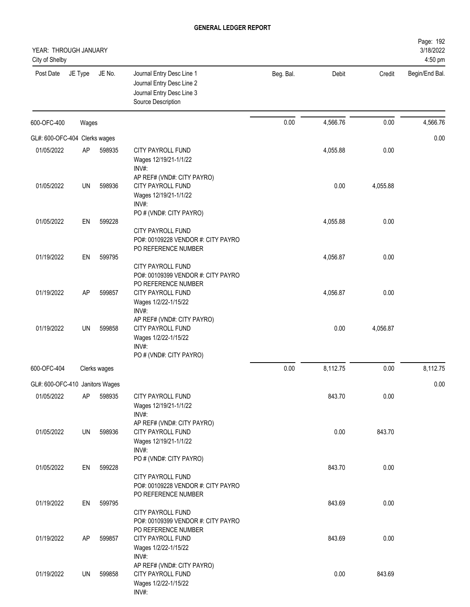| YEAR: THROUGH JANUARY<br>City of Shelby |         |              |                                                                                                                    |           |          |          | Page: 192<br>3/18/2022<br>4:50 pm |
|-----------------------------------------|---------|--------------|--------------------------------------------------------------------------------------------------------------------|-----------|----------|----------|-----------------------------------|
| Post Date                               | JE Type | JE No.       | Journal Entry Desc Line 1<br>Journal Entry Desc Line 2<br>Journal Entry Desc Line 3<br>Source Description          | Beg. Bal. | Debit    | Credit   | Begin/End Bal.                    |
| 600-OFC-400                             | Wages   |              |                                                                                                                    | 0.00      | 4,566.76 | 0.00     | 4,566.76                          |
| GL#: 600-OFC-404 Clerks wages           |         |              |                                                                                                                    |           |          |          | 0.00                              |
| 01/05/2022                              | AP      | 598935       | CITY PAYROLL FUND<br>Wages 12/19/21-1/1/22<br>INV#:<br>AP REF# (VND#: CITY PAYRO)                                  |           | 4,055.88 | 0.00     |                                   |
| 01/05/2022                              | UN      | 598936       | <b>CITY PAYROLL FUND</b><br>Wages 12/19/21-1/1/22<br>INV#:<br>PO # (VND#: CITY PAYRO)                              |           | 0.00     | 4,055.88 |                                   |
| 01/05/2022                              | EN      | 599228       | <b>CITY PAYROLL FUND</b><br>PO#: 00109228 VENDOR #: CITY PAYRO                                                     |           | 4,055.88 | 0.00     |                                   |
| 01/19/2022                              | EN      | 599795       | PO REFERENCE NUMBER<br>CITY PAYROLL FUND                                                                           |           | 4,056.87 | 0.00     |                                   |
| 01/19/2022                              | AP      | 599857       | PO#: 00109399 VENDOR #: CITY PAYRO<br>PO REFERENCE NUMBER<br>CITY PAYROLL FUND<br>Wages 1/2/22-1/15/22<br>INV#:    |           | 4,056.87 | 0.00     |                                   |
| 01/19/2022                              | UN      | 599858       | AP REF# (VND#: CITY PAYRO)<br><b>CITY PAYROLL FUND</b><br>Wages 1/2/22-1/15/22<br>INV#:<br>PO # (VND#: CITY PAYRO) |           | 0.00     | 4,056.87 |                                   |
| 600-OFC-404                             |         | Clerks wages |                                                                                                                    | 0.00      | 8,112.75 | 0.00     | 8,112.75                          |
| GL#: 600-OFC-410 Janitors Wages         |         |              |                                                                                                                    |           |          |          | 0.00                              |
| 01/05/2022                              | AP      | 598935       | CITY PAYROLL FUND<br>Wages 12/19/21-1/1/22<br>INV#:                                                                |           | 843.70   | 0.00     |                                   |
| 01/05/2022                              | UN      | 598936       | AP REF# (VND#: CITY PAYRO)<br>CITY PAYROLL FUND<br>Wages 12/19/21-1/1/22<br>INV#:                                  |           | 0.00     | 843.70   |                                   |
| 01/05/2022                              | EN      | 599228       | PO # (VND#: CITY PAYRO)<br>CITY PAYROLL FUND<br>PO#: 00109228 VENDOR #: CITY PAYRO                                 |           | 843.70   | 0.00     |                                   |
| 01/19/2022                              | EN      | 599795       | PO REFERENCE NUMBER<br>CITY PAYROLL FUND                                                                           |           | 843.69   | 0.00     |                                   |
| 01/19/2022                              | AP      | 599857       | PO#: 00109399 VENDOR #: CITY PAYRO<br>PO REFERENCE NUMBER<br>CITY PAYROLL FUND<br>Wages 1/2/22-1/15/22             |           | 843.69   | 0.00     |                                   |
| 01/19/2022                              | UN      | 599858       | INV#:<br>AP REF# (VND#: CITY PAYRO)<br>CITY PAYROLL FUND<br>Wages 1/2/22-1/15/22<br>INV#:                          |           | 0.00     | 843.69   |                                   |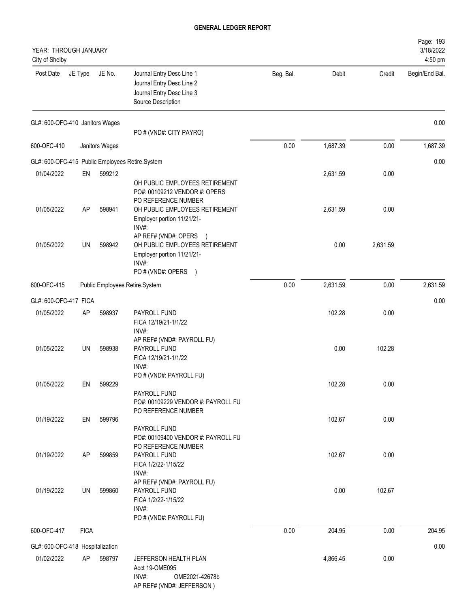| YEAR: THROUGH JANUARY<br>City of Shelby |             |                |                                                                                                                                                        |           |          |          | Page: 193<br>3/18/2022<br>4:50 pm |
|-----------------------------------------|-------------|----------------|--------------------------------------------------------------------------------------------------------------------------------------------------------|-----------|----------|----------|-----------------------------------|
| Post Date                               | JE Type     | JE No.         | Journal Entry Desc Line 1<br>Journal Entry Desc Line 2<br>Journal Entry Desc Line 3<br>Source Description                                              | Beg. Bal. | Debit    | Credit   | Begin/End Bal.                    |
| GL#: 600-OFC-410 Janitors Wages         |             |                | PO # (VND#: CITY PAYRO)                                                                                                                                |           |          |          | 0.00                              |
| 600-OFC-410                             |             | Janitors Wages |                                                                                                                                                        | 0.00      | 1,687.39 | 0.00     | 1,687.39                          |
|                                         |             |                | GL#: 600-OFC-415 Public Employees Retire.System                                                                                                        |           |          |          | 0.00                              |
| 01/04/2022                              | EN          | 599212         |                                                                                                                                                        |           | 2,631.59 | 0.00     |                                   |
| 01/05/2022                              | AP          | 598941         | OH PUBLIC EMPLOYEES RETIREMENT<br>PO#: 00109212 VENDOR #: OPERS<br>PO REFERENCE NUMBER<br>OH PUBLIC EMPLOYEES RETIREMENT<br>Employer portion 11/21/21- |           | 2,631.59 | 0.00     |                                   |
| 01/05/2022                              | UN          | 598942         | INV#:<br>AP REF# (VND#: OPERS<br>$\rightarrow$<br>OH PUBLIC EMPLOYEES RETIREMENT<br>Employer portion 11/21/21-<br>INV#:<br>PO # (VND#: OPERS )         |           | 0.00     | 2,631.59 |                                   |
| 600-OFC-415                             |             |                | Public Employees Retire.System                                                                                                                         | 0.00      | 2,631.59 | 0.00     | 2,631.59                          |
| GL#: 600-OFC-417 FICA                   |             |                |                                                                                                                                                        |           |          |          | 0.00                              |
| 01/05/2022                              | AP          | 598937         | PAYROLL FUND<br>FICA 12/19/21-1/1/22<br>INV#:                                                                                                          |           | 102.28   | 0.00     |                                   |
| 01/05/2022                              | UN          | 598938         | AP REF# (VND#: PAYROLL FU)<br>PAYROLL FUND<br>FICA 12/19/21-1/1/22<br>INV#:                                                                            |           | 0.00     | 102.28   |                                   |
| 01/05/2022                              | EN          | 599229         | PO # (VND#: PAYROLL FU)                                                                                                                                |           | 102.28   | 0.00     |                                   |
|                                         |             |                | PAYROLL FUND<br>PO#: 00109229 VENDOR #: PAYROLL FU<br>PO REFERENCE NUMBER                                                                              |           |          |          |                                   |
| 01/19/2022                              | EN          | 599796         | PAYROLL FUND<br>PO#: 00109400 VENDOR #: PAYROLL FU                                                                                                     |           | 102.67   | 0.00     |                                   |
| 01/19/2022                              | AP          | 599859         | PO REFERENCE NUMBER<br>PAYROLL FUND<br>FICA 1/2/22-1/15/22<br>INV#:                                                                                    |           | 102.67   | 0.00     |                                   |
| 01/19/2022                              | UN          | 599860         | AP REF# (VND#: PAYROLL FU)<br>PAYROLL FUND<br>FICA 1/2/22-1/15/22<br>INV#:<br>PO # (VND#: PAYROLL FU)                                                  |           | 0.00     | 102.67   |                                   |
| 600-OFC-417                             | <b>FICA</b> |                |                                                                                                                                                        | 0.00      | 204.95   | 0.00     | 204.95                            |
| GL#: 600-OFC-418 Hospitalization        |             |                |                                                                                                                                                        |           |          |          | 0.00                              |
| 01/02/2022                              | AP          | 598797         | JEFFERSON HEALTH PLAN<br>Acct 19-OME095<br>INV#:<br>OME2021-42678b<br>AP REF# (VND#: JEFFERSON)                                                        |           | 4,866.45 | 0.00     |                                   |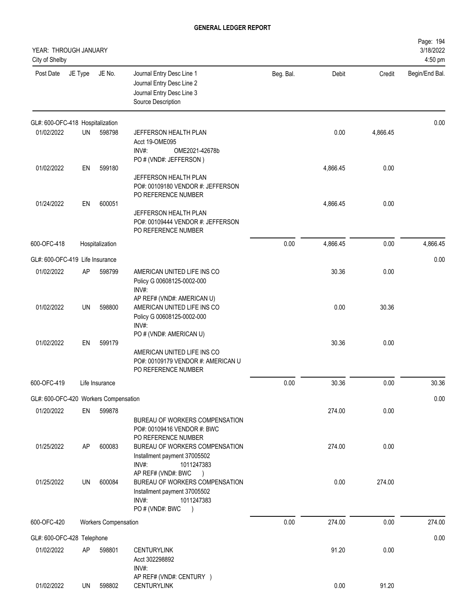| YEAR: THROUGH JANUARY<br>City of Shelby |         |                             |                                                                                                                              |           |          |          | Page: 194<br>3/18/2022<br>4:50 pm |
|-----------------------------------------|---------|-----------------------------|------------------------------------------------------------------------------------------------------------------------------|-----------|----------|----------|-----------------------------------|
| Post Date                               | JE Type | JE No.                      | Journal Entry Desc Line 1<br>Journal Entry Desc Line 2<br>Journal Entry Desc Line 3<br>Source Description                    | Beg. Bal. | Debit    | Credit   | Begin/End Bal.                    |
| GL#: 600-OFC-418 Hospitalization        |         |                             |                                                                                                                              |           |          |          | 0.00                              |
| 01/02/2022                              | UN      | 598798                      | JEFFERSON HEALTH PLAN<br>Acct 19-OME095<br>INV#:<br>OME2021-42678b<br>PO # (VND#: JEFFERSON)                                 |           | 0.00     | 4,866.45 |                                   |
| 01/02/2022                              | EN      | 599180                      | JEFFERSON HEALTH PLAN<br>PO#: 00109180 VENDOR #: JEFFERSON<br>PO REFERENCE NUMBER                                            |           | 4,866.45 | 0.00     |                                   |
| 01/24/2022                              | EN      | 600051                      | JEFFERSON HEALTH PLAN<br>PO#: 00109444 VENDOR #: JEFFERSON<br>PO REFERENCE NUMBER                                            |           | 4,866.45 | 0.00     |                                   |
| 600-OFC-418                             |         | Hospitalization             |                                                                                                                              | 0.00      | 4,866.45 | 0.00     | 4,866.45                          |
| GL#: 600-OFC-419 Life Insurance         |         |                             |                                                                                                                              |           |          |          | 0.00                              |
| 01/02/2022                              | AP      | 598799                      | AMERICAN UNITED LIFE INS CO<br>Policy G 00608125-0002-000<br>INV#:                                                           |           | 30.36    | 0.00     |                                   |
| 01/02/2022                              | UN      | 598800                      | AP REF# (VND#: AMERICAN U)<br>AMERICAN UNITED LIFE INS CO<br>Policy G 00608125-0002-000<br>INV#:                             |           | 0.00     | 30.36    |                                   |
| 01/02/2022                              | EN      | 599179                      | PO # (VND#: AMERICAN U)<br>AMERICAN UNITED LIFE INS CO<br>PO#: 00109179 VENDOR #: AMERICAN U<br>PO REFERENCE NUMBER          |           | 30.36    | 0.00     |                                   |
| 600-OFC-419                             |         | Life Insurance              |                                                                                                                              | 0.00      | 30.36    | 0.00     | 30.36                             |
| GL#: 600-OFC-420 Workers Compensation   |         |                             |                                                                                                                              |           |          |          | 0.00                              |
| 01/20/2022                              | EN      | 599878                      | BUREAU OF WORKERS COMPENSATION<br>PO#: 00109416 VENDOR #: BWC<br>PO REFERENCE NUMBER                                         |           | 274.00   | 0.00     |                                   |
| 01/25/2022                              | AP      | 600083                      | BUREAU OF WORKERS COMPENSATION<br>Installment payment 37005502<br>INV#:<br>1011247383<br>AP REF# (VND#: BWC<br>$\rightarrow$ |           | 274.00   | 0.00     |                                   |
| 01/25/2022                              | UN      | 600084                      | BUREAU OF WORKERS COMPENSATION<br>Installment payment 37005502<br>INV#:<br>1011247383<br>PO # (VND#: BWC<br>$\lambda$        |           | 0.00     | 274.00   |                                   |
| 600-OFC-420                             |         | <b>Workers Compensation</b> |                                                                                                                              | 0.00      | 274.00   | 0.00     | 274.00                            |
| GL#: 600-OFC-428 Telephone              |         |                             |                                                                                                                              |           |          |          | 0.00                              |
| 01/02/2022                              | AP      | 598801                      | <b>CENTURYLINK</b><br>Acct 302298892<br>INV#:<br>AP REF# (VND#: CENTURY )                                                    |           | 91.20    | 0.00     |                                   |
| 01/02/2022                              | UN      | 598802                      | <b>CENTURYLINK</b>                                                                                                           |           | 0.00     | 91.20    |                                   |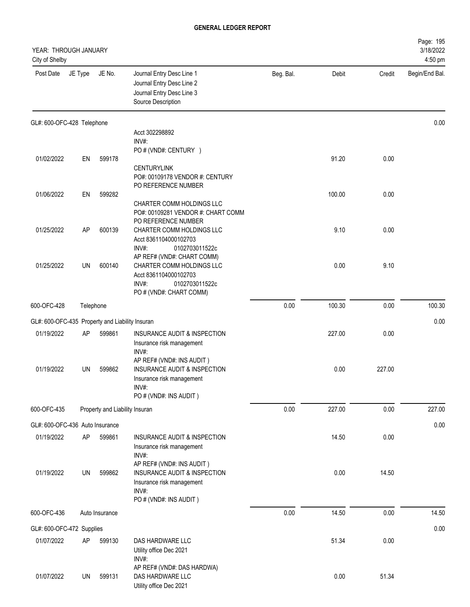| YEAR: THROUGH JANUARY<br>City of Shelby         |         |                                |                                                                                                                           |           |        |        | Page: 195<br>3/18/2022<br>4:50 pm |
|-------------------------------------------------|---------|--------------------------------|---------------------------------------------------------------------------------------------------------------------------|-----------|--------|--------|-----------------------------------|
| Post Date                                       | JE Type | JE No.                         | Journal Entry Desc Line 1<br>Journal Entry Desc Line 2<br>Journal Entry Desc Line 3<br>Source Description                 | Beg. Bal. | Debit  | Credit | Begin/End Bal.                    |
| GL#: 600-OFC-428 Telephone                      |         |                                |                                                                                                                           |           |        |        | 0.00                              |
|                                                 |         |                                | Acct 302298892<br>INV#:                                                                                                   |           |        |        |                                   |
|                                                 |         |                                | PO # (VND#: CENTURY )                                                                                                     |           |        |        |                                   |
| 01/02/2022                                      | EN      | 599178                         | <b>CENTURYLINK</b><br>PO#: 00109178 VENDOR #: CENTURY<br>PO REFERENCE NUMBER                                              |           | 91.20  | 0.00   |                                   |
| 01/06/2022                                      | EN      | 599282                         |                                                                                                                           |           | 100.00 | 0.00   |                                   |
|                                                 |         |                                | CHARTER COMM HOLDINGS LLC<br>PO#: 00109281 VENDOR #: CHART COMM<br>PO REFERENCE NUMBER                                    |           |        |        |                                   |
| 01/25/2022                                      | AP      | 600139                         | CHARTER COMM HOLDINGS LLC<br>Acct 8361104000102703<br>INV#:<br>0102703011522c                                             |           | 9.10   | 0.00   |                                   |
|                                                 |         |                                | AP REF# (VND#: CHART COMM)                                                                                                |           |        |        |                                   |
| 01/25/2022                                      | UN      | 600140                         | CHARTER COMM HOLDINGS LLC<br>Acct 8361104000102703<br>INV#:<br>0102703011522c<br>PO # (VND#: CHART COMM)                  |           | 0.00   | 9.10   |                                   |
| 600-OFC-428                                     |         | Telephone                      |                                                                                                                           | 0.00      | 100.30 | 0.00   | 100.30                            |
| GL#: 600-OFC-435 Property and Liability Insuran |         |                                |                                                                                                                           |           |        |        | 0.00                              |
| 01/19/2022                                      | AP      | 599861                         | INSURANCE AUDIT & INSPECTION<br>Insurance risk management<br>INV#:                                                        |           | 227.00 | 0.00   |                                   |
| 01/19/2022                                      | UN      | 599862                         | AP REF# (VND#: INS AUDIT)<br>INSURANCE AUDIT & INSPECTION<br>Insurance risk management<br>INV#:<br>PO # (VND#: INS AUDIT) |           | 0.00   | 227.00 |                                   |
| 600-OFC-435                                     |         | Property and Liability Insuran |                                                                                                                           | 0.00      | 227.00 | 0.00   | 227.00                            |
| GL#: 600-OFC-436 Auto Insurance                 |         |                                |                                                                                                                           |           |        |        | 0.00                              |
| 01/19/2022                                      | AP      | 599861                         | INSURANCE AUDIT & INSPECTION<br>Insurance risk management<br>INV#:                                                        |           | 14.50  | 0.00   |                                   |
| 01/19/2022                                      | UN      | 599862                         | AP REF# (VND#: INS AUDIT)<br>INSURANCE AUDIT & INSPECTION<br>Insurance risk management<br>INV#:<br>PO # (VND#: INS AUDIT) |           | 0.00   | 14.50  |                                   |
| 600-OFC-436                                     |         | Auto Insurance                 |                                                                                                                           | 0.00      | 14.50  | 0.00   | 14.50                             |
|                                                 |         |                                |                                                                                                                           |           |        |        |                                   |
| GL#: 600-OFC-472 Supplies<br>01/07/2022         | AP      | 599130                         | DAS HARDWARE LLC                                                                                                          |           | 51.34  | 0.00   | 0.00                              |
|                                                 |         |                                | Utility office Dec 2021<br>INV#:                                                                                          |           |        |        |                                   |
| 01/07/2022                                      | UN      | 599131                         | AP REF# (VND#: DAS HARDWA)<br>DAS HARDWARE LLC<br>Utility office Dec 2021                                                 |           | 0.00   | 51.34  |                                   |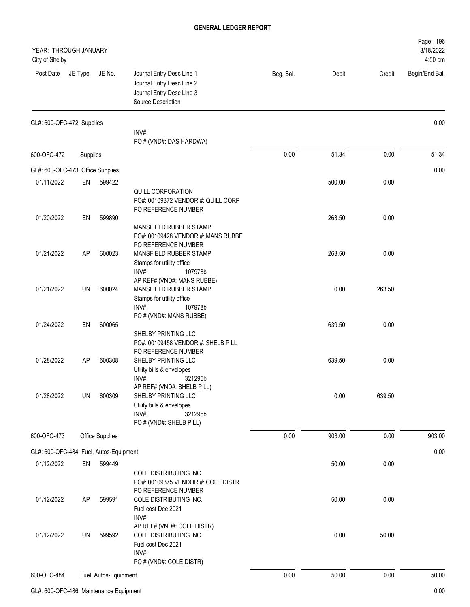| YEAR: THROUGH JANUARY<br>City of Shelby |           |                       |                                                                                                                               |           |        |        | Page: 196<br>3/18/2022<br>4:50 pm |
|-----------------------------------------|-----------|-----------------------|-------------------------------------------------------------------------------------------------------------------------------|-----------|--------|--------|-----------------------------------|
| Post Date                               | JE Type   | JE No.                | Journal Entry Desc Line 1<br>Journal Entry Desc Line 2<br>Journal Entry Desc Line 3<br>Source Description                     | Beg. Bal. | Debit  | Credit | Begin/End Bal.                    |
| GL#: 600-OFC-472 Supplies               |           |                       |                                                                                                                               |           |        |        | 0.00                              |
|                                         |           |                       | INV#:<br>PO # (VND#: DAS HARDWA)                                                                                              |           |        |        |                                   |
| 600-OFC-472                             | Supplies  |                       |                                                                                                                               | 0.00      | 51.34  | 0.00   | 51.34                             |
| GL#: 600-OFC-473 Office Supplies        |           |                       |                                                                                                                               |           |        |        | 0.00                              |
| 01/11/2022                              | EN        | 599422                |                                                                                                                               |           | 500.00 | 0.00   |                                   |
|                                         |           |                       | QUILL CORPORATION<br>PO#: 00109372 VENDOR #: QUILL CORP<br>PO REFERENCE NUMBER                                                |           |        |        |                                   |
| 01/20/2022                              | EN        | 599890                |                                                                                                                               |           | 263.50 | 0.00   |                                   |
|                                         |           |                       | MANSFIELD RUBBER STAMP<br>PO#: 00109428 VENDOR #: MANS RUBBE<br>PO REFERENCE NUMBER                                           |           |        |        |                                   |
| 01/21/2022                              | AP        | 600023                | MANSFIELD RUBBER STAMP                                                                                                        |           | 263.50 | 0.00   |                                   |
| 01/21/2022                              | UN        | 600024                | Stamps for utility office<br>INV#:<br>107978b<br>AP REF# (VND#: MANS RUBBE)<br>MANSFIELD RUBBER STAMP                         |           | 0.00   | 263.50 |                                   |
|                                         |           |                       | Stamps for utility office<br>INV#:<br>107978b<br>PO # (VND#: MANS RUBBE)                                                      |           | 639.50 |        |                                   |
| 01/24/2022                              | EN        | 600065                | SHELBY PRINTING LLC<br>PO#: 00109458 VENDOR #: SHELB P LL<br>PO REFERENCE NUMBER                                              |           |        | 0.00   |                                   |
| 01/28/2022                              | AP        | 600308                | SHELBY PRINTING LLC<br>Utility bills & envelopes<br>INV#:<br>321295b                                                          |           | 639.50 | 0.00   |                                   |
| 01/28/2022                              | UN        | 600309                | AP REF# (VND#: SHELB P LL)<br>SHELBY PRINTING LLC<br>Utility bills & envelopes<br>INV#:<br>321295b<br>PO # (VND#: SHELB P LL) |           | 0.00   | 639.50 |                                   |
| 600-OFC-473                             |           | Office Supplies       |                                                                                                                               | 0.00      | 903.00 | 0.00   | 903.00                            |
| GL#: 600-OFC-484 Fuel, Autos-Equipment  |           |                       |                                                                                                                               |           |        |        | 0.00                              |
| 01/12/2022                              | EN        | 599449                |                                                                                                                               |           | 50.00  | 0.00   |                                   |
|                                         |           |                       | COLE DISTRIBUTING INC.<br>PO#: 00109375 VENDOR #: COLE DISTR<br>PO REFERENCE NUMBER                                           |           |        |        |                                   |
| 01/12/2022                              | <b>AP</b> | 599591                | COLE DISTRIBUTING INC.<br>Fuel cost Dec 2021<br>INV#:                                                                         |           | 50.00  | 0.00   |                                   |
| 01/12/2022                              | UN        | 599592                | AP REF# (VND#: COLE DISTR)<br>COLE DISTRIBUTING INC.<br>Fuel cost Dec 2021<br>INV#:                                           |           | 0.00   | 50.00  |                                   |
|                                         |           |                       | PO # (VND#: COLE DISTR)                                                                                                       |           |        |        |                                   |
| 600-OFC-484                             |           | Fuel, Autos-Equipment |                                                                                                                               | 0.00      | 50.00  | 0.00   | 50.00                             |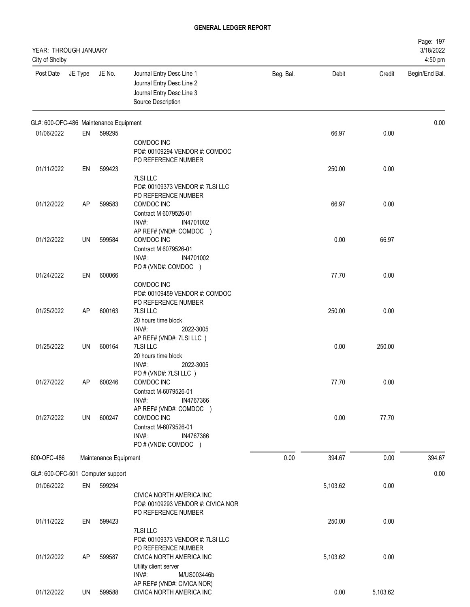| YEAR: THROUGH JANUARY<br>City of Shelby |         |                       |                                                                                                           |           |          |          | Page: 197<br>3/18/2022<br>4:50 pm |
|-----------------------------------------|---------|-----------------------|-----------------------------------------------------------------------------------------------------------|-----------|----------|----------|-----------------------------------|
| Post Date                               | JE Type | JE No.                | Journal Entry Desc Line 1<br>Journal Entry Desc Line 2<br>Journal Entry Desc Line 3<br>Source Description | Beg. Bal. | Debit    | Credit   | Begin/End Bal.                    |
| GL#: 600-OFC-486 Maintenance Equipment  |         |                       |                                                                                                           |           |          |          | 0.00                              |
| 01/06/2022                              | EN      | 599295                |                                                                                                           |           | 66.97    | 0.00     |                                   |
| 01/11/2022                              | EN      | 599423                | COMDOC INC<br>PO#: 00109294 VENDOR #: COMDOC<br>PO REFERENCE NUMBER                                       |           | 250.00   | 0.00     |                                   |
|                                         |         |                       | 7LSI LLC<br>PO#: 00109373 VENDOR #: 7LSI LLC<br>PO REFERENCE NUMBER                                       |           |          |          |                                   |
| 01/12/2022                              | AP      | 599583                | COMDOC INC<br>Contract M 6079526-01<br>INV#:<br>IN4701002<br>AP REF# (VND#: COMDOC )                      |           | 66.97    | 0.00     |                                   |
| 01/12/2022                              | UN      | 599584                | COMDOC INC<br>Contract M 6079526-01<br>INV#:<br>IN4701002                                                 |           | 0.00     | 66.97    |                                   |
| 01/24/2022                              | EN      | 600066                | PO # (VND#: COMDOC )                                                                                      |           | 77.70    | 0.00     |                                   |
|                                         |         |                       | COMDOC INC<br>PO#: 00109459 VENDOR #: COMDOC<br>PO REFERENCE NUMBER                                       |           |          |          |                                   |
| 01/25/2022                              | AP      | 600163                | <b>7LSI LLC</b><br>20 hours time block<br>$INV#$ :<br>2022-3005<br>AP REF# (VND#: 7LSI LLC)               |           | 250.00   | 0.00     |                                   |
| 01/25/2022                              | UN      | 600164                | 7LSI LLC<br>20 hours time block<br>$INV#$ :<br>2022-3005<br>PO # (VND#: 7LSI LLC)                         |           | 0.00     | 250.00   |                                   |
| 01/27/2022                              | AP      | 600246                | COMDOC INC<br>Contract M-6079526-01<br>INV#:<br>IN4767366<br>AP REF# (VND#: COMDOC )                      |           | 77.70    | 0.00     |                                   |
| 01/27/2022                              | UN      | 600247                | COMDOC INC<br>Contract M-6079526-01<br>INV#:<br>IN4767366<br>PO # (VND#: COMDOC )                         |           | 0.00     | 77.70    |                                   |
| 600-OFC-486                             |         | Maintenance Equipment |                                                                                                           | 0.00      | 394.67   | 0.00     | 394.67                            |
| GL#: 600-OFC-501 Computer support       |         |                       |                                                                                                           |           |          |          | 0.00                              |
| 01/06/2022                              | EN      | 599294                | CIVICA NORTH AMERICA INC<br>PO#: 00109293 VENDOR #: CIVICA NOR<br>PO REFERENCE NUMBER                     |           | 5,103.62 | 0.00     |                                   |
| 01/11/2022                              | EN      | 599423                | 7LSI LLC<br>PO#: 00109373 VENDOR #: 7LSI LLC<br>PO REFERENCE NUMBER                                       |           | 250.00   | 0.00     |                                   |
| 01/12/2022                              | AP      | 599587                | CIVICA NORTH AMERICA INC<br>Utility client server<br>INV#:<br>M/US003446b<br>AP REF# (VND#: CIVICA NOR)   |           | 5,103.62 | 0.00     |                                   |
| 01/12/2022                              | UN      | 599588                | CIVICA NORTH AMERICA INC                                                                                  |           | 0.00     | 5,103.62 |                                   |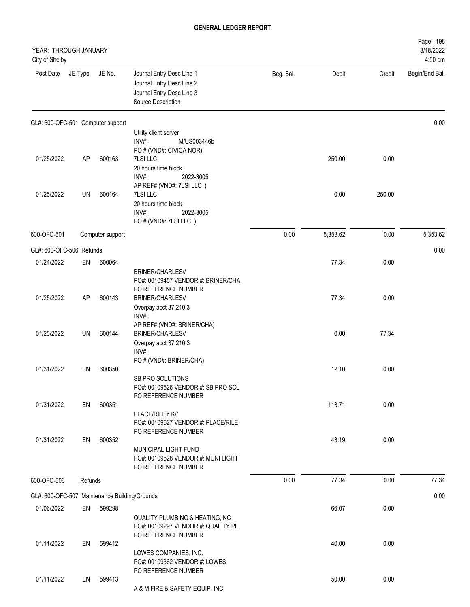| YEAR: THROUGH JANUARY<br>City of Shelby       |         |                  |                                                                                                           |           |          |        | Page: 198<br>3/18/2022<br>4:50 pm |
|-----------------------------------------------|---------|------------------|-----------------------------------------------------------------------------------------------------------|-----------|----------|--------|-----------------------------------|
| Post Date                                     | JE Type | JE No.           | Journal Entry Desc Line 1<br>Journal Entry Desc Line 2<br>Journal Entry Desc Line 3<br>Source Description | Beg. Bal. | Debit    | Credit | Begin/End Bal.                    |
| GL#: 600-OFC-501 Computer support             |         |                  |                                                                                                           |           |          |        | 0.00                              |
|                                               |         |                  | Utility client server<br>INV#:<br>M/US003446b                                                             |           |          |        |                                   |
|                                               |         |                  | PO # (VND#: CIVICA NOR)                                                                                   |           |          |        |                                   |
| 01/25/2022                                    | AP      | 600163           | 7LSI LLC                                                                                                  |           | 250.00   | 0.00   |                                   |
|                                               |         |                  | 20 hours time block<br>INV#:<br>2022-3005                                                                 |           |          |        |                                   |
|                                               |         |                  | AP REF# (VND#: 7LSI LLC)                                                                                  |           |          |        |                                   |
| 01/25/2022                                    | UN      | 600164           | 7LSI LLC                                                                                                  |           | 0.00     | 250.00 |                                   |
|                                               |         |                  | 20 hours time block<br>INV#:<br>2022-3005                                                                 |           |          |        |                                   |
|                                               |         |                  | PO # (VND#: 7LSI LLC)                                                                                     |           |          |        |                                   |
| 600-OFC-501                                   |         | Computer support |                                                                                                           | 0.00      | 5,353.62 | 0.00   | 5,353.62                          |
| GL#: 600-OFC-506 Refunds                      |         |                  |                                                                                                           |           |          |        | 0.00                              |
| 01/24/2022                                    | EN      | 600064           |                                                                                                           |           | 77.34    | 0.00   |                                   |
|                                               |         |                  | BRINER/CHARLES//                                                                                          |           |          |        |                                   |
|                                               |         |                  | PO#: 00109457 VENDOR #: BRINER/CHA<br>PO REFERENCE NUMBER                                                 |           |          |        |                                   |
| 01/25/2022                                    | AP      | 600143           | BRINER/CHARLES//                                                                                          |           | 77.34    | 0.00   |                                   |
|                                               |         |                  | Overpay acct 37.210.3                                                                                     |           |          |        |                                   |
|                                               |         |                  | INV#:<br>AP REF# (VND#: BRINER/CHA)                                                                       |           |          |        |                                   |
| 01/25/2022                                    | UN      | 600144           | <b>BRINER/CHARLES//</b>                                                                                   |           | 0.00     | 77.34  |                                   |
|                                               |         |                  | Overpay acct 37.210.3                                                                                     |           |          |        |                                   |
|                                               |         |                  | INV#:<br>PO # (VND#: BRINER/CHA)                                                                          |           |          |        |                                   |
| 01/31/2022                                    | EN      | 600350           |                                                                                                           |           | 12.10    | 0.00   |                                   |
|                                               |         |                  | SB PRO SOLUTIONS                                                                                          |           |          |        |                                   |
|                                               |         |                  | PO#: 00109526 VENDOR #: SB PRO SOL<br>PO REFERENCE NUMBER                                                 |           |          |        |                                   |
| 01/31/2022                                    | EN      | 600351           |                                                                                                           |           | 113.71   | 0.00   |                                   |
|                                               |         |                  | PLACE/RILEY K//                                                                                           |           |          |        |                                   |
|                                               |         |                  | PO#: 00109527 VENDOR #: PLACE/RILE<br>PO REFERENCE NUMBER                                                 |           |          |        |                                   |
| 01/31/2022                                    | EN      | 600352           |                                                                                                           |           | 43.19    | 0.00   |                                   |
|                                               |         |                  | MUNICIPAL LIGHT FUND                                                                                      |           |          |        |                                   |
|                                               |         |                  | PO#: 00109528 VENDOR #: MUNI LIGHT<br>PO REFERENCE NUMBER                                                 |           |          |        |                                   |
| 600-OFC-506                                   | Refunds |                  |                                                                                                           | 0.00      | 77.34    | 0.00   | 77.34                             |
|                                               |         |                  |                                                                                                           |           |          |        |                                   |
| GL#: 600-OFC-507 Maintenance Building/Grounds |         |                  |                                                                                                           |           |          |        | 0.00                              |
| 01/06/2022                                    | EN      | 599298           |                                                                                                           |           | 66.07    | 0.00   |                                   |
|                                               |         |                  | <b>QUALITY PLUMBING &amp; HEATING, INC</b><br>PO#: 00109297 VENDOR #: QUALITY PL                          |           |          |        |                                   |
|                                               |         |                  | PO REFERENCE NUMBER                                                                                       |           |          |        |                                   |
| 01/11/2022                                    | EN      | 599412           |                                                                                                           |           | 40.00    | 0.00   |                                   |
|                                               |         |                  | LOWES COMPANIES, INC.<br>PO#: 00109362 VENDOR #: LOWES                                                    |           |          |        |                                   |
|                                               |         |                  | PO REFERENCE NUMBER                                                                                       |           |          |        |                                   |
| 01/11/2022                                    | EN      | 599413           | A & M FIRE & SAFETY EQUIP. INC                                                                            |           | 50.00    | 0.00   |                                   |
|                                               |         |                  |                                                                                                           |           |          |        |                                   |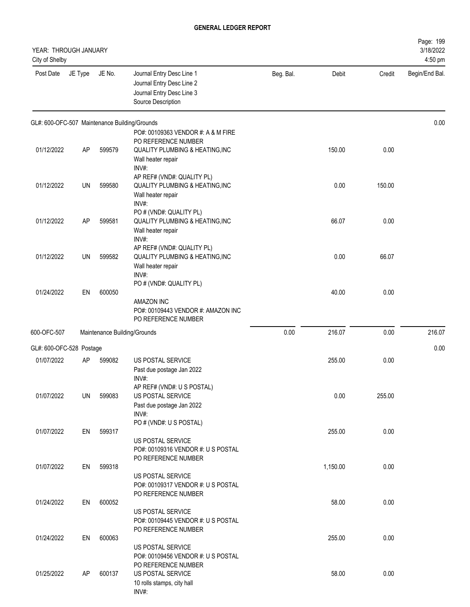| YEAR: THROUGH JANUARY<br>City of Shelby       |           |        |                                                                                                           |           |          |        | Page: 199<br>3/18/2022<br>4:50 pm |
|-----------------------------------------------|-----------|--------|-----------------------------------------------------------------------------------------------------------|-----------|----------|--------|-----------------------------------|
| Post Date                                     | JE Type   | JE No. | Journal Entry Desc Line 1<br>Journal Entry Desc Line 2<br>Journal Entry Desc Line 3<br>Source Description | Beg. Bal. | Debit    | Credit | Begin/End Bal.                    |
| GL#: 600-OFC-507 Maintenance Building/Grounds |           |        | PO#: 00109363 VENDOR #: A & M FIRE                                                                        |           |          |        | 0.00                              |
| 01/12/2022                                    | <b>AP</b> | 599579 | PO REFERENCE NUMBER<br><b>QUALITY PLUMBING &amp; HEATING, INC</b><br>Wall heater repair<br>INV#:          |           | 150.00   | 0.00   |                                   |
| 01/12/2022                                    | UN        | 599580 | AP REF# (VND#: QUALITY PL)<br><b>QUALITY PLUMBING &amp; HEATING, INC</b><br>Wall heater repair<br>INV#:   |           | 0.00     | 150.00 |                                   |
| 01/12/2022                                    | AP        | 599581 | PO # (VND#: QUALITY PL)<br>QUALITY PLUMBING & HEATING, INC<br>Wall heater repair<br>INV#:                 |           | 66.07    | 0.00   |                                   |
| 01/12/2022                                    | UN        | 599582 | AP REF# (VND#: QUALITY PL)<br>QUALITY PLUMBING & HEATING, INC<br>Wall heater repair<br>INV#:              |           | 0.00     | 66.07  |                                   |
| 01/24/2022                                    | EN        | 600050 | PO # (VND#: QUALITY PL)<br>AMAZON INC<br>PO#: 00109443 VENDOR #: AMAZON INC<br>PO REFERENCE NUMBER        |           | 40.00    | 0.00   |                                   |
| 600-OFC-507                                   |           |        | Maintenance Building/Grounds                                                                              | 0.00      | 216.07   | 0.00   | 216.07                            |
| GL#: 600-OFC-528 Postage                      |           |        |                                                                                                           |           |          |        | 0.00                              |
| 01/07/2022                                    | AP        | 599082 | US POSTAL SERVICE<br>Past due postage Jan 2022<br>INV#:                                                   |           | 255.00   | 0.00   |                                   |
| 01/07/2022                                    | UN        | 599083 | AP REF# (VND#: U S POSTAL)<br>US POSTAL SERVICE<br>Past due postage Jan 2022<br>INV#:                     |           | 0.00     | 255.00 |                                   |
| 01/07/2022                                    | EN        | 599317 | PO # (VND#: U S POSTAL)<br>US POSTAL SERVICE<br>PO#: 00109316 VENDOR #: U S POSTAL                        |           | 255.00   | 0.00   |                                   |
| 01/07/2022                                    | EN        | 599318 | PO REFERENCE NUMBER<br>US POSTAL SERVICE<br>PO#: 00109317 VENDOR #: U S POSTAL                            |           | 1,150.00 | 0.00   |                                   |
| 01/24/2022                                    | EN        | 600052 | PO REFERENCE NUMBER<br>US POSTAL SERVICE<br>PO#: 00109445 VENDOR #: U S POSTAL                            |           | 58.00    | 0.00   |                                   |
| 01/24/2022                                    | EN        | 600063 | PO REFERENCE NUMBER<br>US POSTAL SERVICE<br>PO#: 00109456 VENDOR #: U S POSTAL                            |           | 255.00   | 0.00   |                                   |
| 01/25/2022                                    | AP        | 600137 | PO REFERENCE NUMBER<br>US POSTAL SERVICE<br>10 rolls stamps, city hall<br>INV#:                           |           | 58.00    | 0.00   |                                   |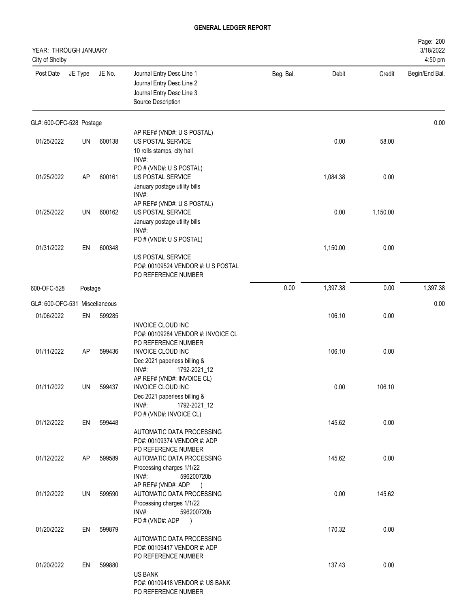| YEAR: THROUGH JANUARY<br>City of Shelby |         |        |                                                                                                                                            |           |          |          | Page: 200<br>3/18/2022<br>4:50 pm |
|-----------------------------------------|---------|--------|--------------------------------------------------------------------------------------------------------------------------------------------|-----------|----------|----------|-----------------------------------|
| Post Date                               | JE Type | JE No. | Journal Entry Desc Line 1<br>Journal Entry Desc Line 2<br>Journal Entry Desc Line 3<br>Source Description                                  | Beg. Bal. | Debit    | Credit   | Begin/End Bal.                    |
| GL#: 600-OFC-528 Postage                |         |        |                                                                                                                                            |           |          |          | 0.00                              |
| 01/25/2022                              | UN      | 600138 | AP REF# (VND#: U S POSTAL)<br>US POSTAL SERVICE<br>10 rolls stamps, city hall                                                              |           | 0.00     | 58.00    |                                   |
| 01/25/2022                              | AP      | 600161 | INV#:<br>PO # (VND#: U S POSTAL)<br>US POSTAL SERVICE<br>January postage utility bills<br>$INV#$ :                                         |           | 1,084.38 | 0.00     |                                   |
| 01/25/2022                              | UN      | 600162 | AP REF# (VND#: U S POSTAL)<br>US POSTAL SERVICE<br>January postage utility bills<br>INV#:                                                  |           | 0.00     | 1,150.00 |                                   |
| 01/31/2022                              | EN      | 600348 | PO # (VND#: U S POSTAL)<br>US POSTAL SERVICE<br>PO#: 00109524 VENDOR #: U S POSTAL<br>PO REFERENCE NUMBER                                  |           | 1,150.00 | 0.00     |                                   |
| 600-OFC-528                             | Postage |        |                                                                                                                                            | 0.00      | 1,397.38 | 0.00     | 1,397.38                          |
| GL#: 600-OFC-531 Miscellaneous          |         |        |                                                                                                                                            |           |          |          | 0.00                              |
| 01/06/2022                              | EN      | 599285 |                                                                                                                                            |           | 106.10   | 0.00     |                                   |
| 01/11/2022                              | AP      | 599436 | INVOICE CLOUD INC<br>PO#: 00109284 VENDOR #: INVOICE CL<br>PO REFERENCE NUMBER<br><b>INVOICE CLOUD INC</b><br>Dec 2021 paperless billing & |           | 106.10   | 0.00     |                                   |
| 01/11/2022                              | UN      | 599437 | INV#:<br>1792-2021 12<br>AP REF# (VND#: INVOICE CL)<br>INVOICE CLOUD INC<br>Dec 2021 paperless billing &<br>INV#:<br>1792-2021_12          |           | 0.00     | 106.10   |                                   |
| 01/12/2022                              | EN      | 599448 | PO # (VND#: INVOICE CL)<br>AUTOMATIC DATA PROCESSING                                                                                       |           | 145.62   | 0.00     |                                   |
| 01/12/2022                              | AP      | 599589 | PO#: 00109374 VENDOR #: ADP<br>PO REFERENCE NUMBER<br>AUTOMATIC DATA PROCESSING<br>Processing charges 1/1/22<br>INV#:<br>596200720b        |           | 145.62   | 0.00     |                                   |
| 01/12/2022                              | UN      | 599590 | AP REF# (VND#: ADP)<br>AUTOMATIC DATA PROCESSING<br>Processing charges 1/1/22<br>INV#:<br>596200720b                                       |           | 0.00     | 145.62   |                                   |
| 01/20/2022                              | EN      | 599879 | PO # (VND#: ADP<br>$\rightarrow$<br>AUTOMATIC DATA PROCESSING<br>PO#: 00109417 VENDOR #: ADP                                               |           | 170.32   | 0.00     |                                   |
| 01/20/2022                              | EN      | 599880 | PO REFERENCE NUMBER<br><b>US BANK</b><br>PO#: 00109418 VENDOR #: US BANK<br>PO REFERENCE NUMBER                                            |           | 137.43   | 0.00     |                                   |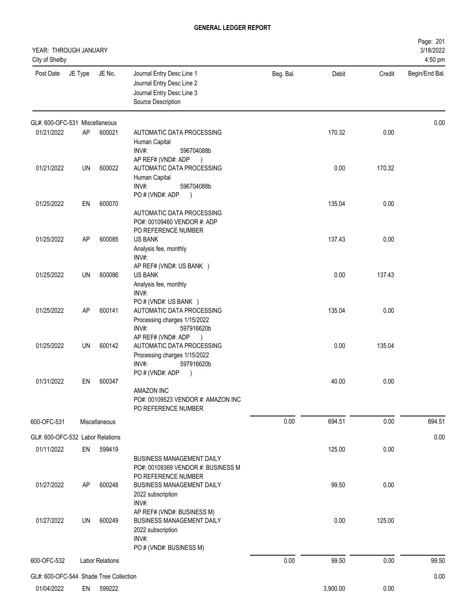| YEAR: THROUGH JANUARY<br>City of Shelby |           |                        |                                                                                                                         |           |          |        | Page: 201<br>3/18/2022<br>4:50 pm |
|-----------------------------------------|-----------|------------------------|-------------------------------------------------------------------------------------------------------------------------|-----------|----------|--------|-----------------------------------|
| Post Date                               | JE Type   | JE No.                 | Journal Entry Desc Line 1<br>Journal Entry Desc Line 2<br>Journal Entry Desc Line 3<br>Source Description               | Beg. Bal. | Debit    | Credit | Begin/End Bal.                    |
| GL#: 600-OFC-531 Miscellaneous          |           |                        |                                                                                                                         |           |          |        | 0.00                              |
| 01/21/2022                              | AP        | 600021                 | AUTOMATIC DATA PROCESSING<br>Human Capital<br>$INV#$ :<br>596704088b<br>AP REF# (VND#: ADP<br>$\rightarrow$             |           | 170.32   | 0.00   |                                   |
| 01/21/2022                              | UN        | 600022                 | AUTOMATIC DATA PROCESSING<br>Human Capital<br>INV#:<br>596704088b<br>PO # (VND#: ADP<br>$\lambda$                       |           | 0.00     | 170.32 |                                   |
| 01/25/2022                              | EN        | 600070                 | <b>AUTOMATIC DATA PROCESSING</b><br>PO#: 00109460 VENDOR #: ADP<br>PO REFERENCE NUMBER                                  |           | 135.04   | 0.00   |                                   |
| 01/25/2022                              | <b>AP</b> | 600085                 | <b>US BANK</b><br>Analysis fee, monthly<br>INV#:<br>AP REF# (VND#: US BANK )                                            |           | 137.43   | 0.00   |                                   |
| 01/25/2022                              | UN        | 600086                 | <b>US BANK</b><br>Analysis fee, monthly<br>INV#:<br>PO # (VND#: US BANK)                                                |           | 0.00     | 137.43 |                                   |
| 01/25/2022                              | <b>AP</b> | 600141                 | AUTOMATIC DATA PROCESSING<br>Processing charges 1/15/2022<br>INV#:<br>597916620b<br>AP REF# (VND#: ADP<br>$\rightarrow$ |           | 135.04   | 0.00   |                                   |
| 01/25/2022                              | UN        | 600142                 | AUTOMATIC DATA PROCESSING<br>Processing charges 1/15/2022<br>INV#:<br>597916620b<br>PO # (VND#: ADP                     |           | 0.00     | 135.04 |                                   |
| 01/31/2022                              | EN        | 600347                 | <b>AMAZON INC</b><br>PO#: 00109523 VENDOR #: AMAZON INC<br>PO REFERENCE NUMBER                                          |           | 40.00    | 0.00   |                                   |
| 600-OFC-531                             |           | Miscellaneous          |                                                                                                                         | 0.00      | 694.51   | 0.00   | 694.51                            |
| GL#: 600-OFC-532 Labor Relations        |           |                        |                                                                                                                         |           |          |        | 0.00                              |
| 01/11/2022                              | EN        | 599419                 | <b>BUSINESS MANAGEMENT DAILY</b><br>PO#: 00109369 VENDOR #: BUSINESS M<br>PO REFERENCE NUMBER                           |           | 125.00   | 0.00   |                                   |
| 01/27/2022                              | AP        | 600248                 | <b>BUSINESS MANAGEMENT DAILY</b><br>2022 subscription<br>INV#:<br>AP REF# (VND#: BUSINESS M)                            |           | 99.50    | 0.00   |                                   |
| 01/27/2022                              | UN        | 600249                 | BUSINESS MANAGEMENT DAILY<br>2022 subscription<br>INV#:<br>PO # (VND#: BUSINESS M)                                      |           | 0.00     | 125.00 |                                   |
| 600-OFC-532                             |           | <b>Labor Relations</b> |                                                                                                                         | 0.00      | 99.50    | 0.00   | 99.50                             |
| GL#: 600-OFC-544 Shade Tree Collection  |           |                        |                                                                                                                         |           |          |        | 0.00                              |
| 01/04/2022                              | EN        | 599222                 |                                                                                                                         |           | 3,900.00 | 0.00   |                                   |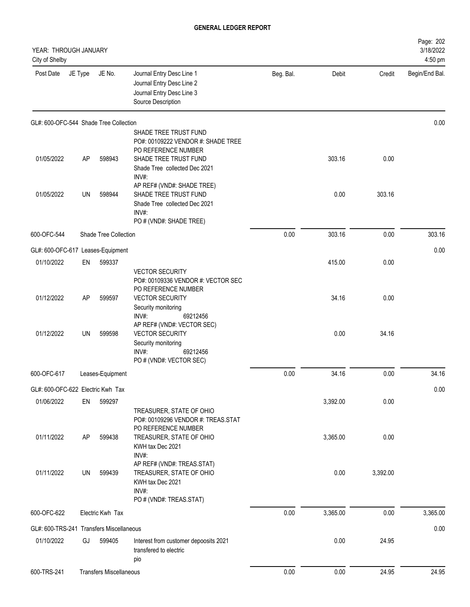| YEAR: THROUGH JANUARY<br>City of Shelby  |           |                                |                                                                                                                          |           |          |          | Page: 202<br>3/18/2022<br>4:50 pm |
|------------------------------------------|-----------|--------------------------------|--------------------------------------------------------------------------------------------------------------------------|-----------|----------|----------|-----------------------------------|
| Post Date                                | JE Type   | JE No.                         | Journal Entry Desc Line 1<br>Journal Entry Desc Line 2<br>Journal Entry Desc Line 3<br>Source Description                | Beg. Bal. | Debit    | Credit   | Begin/End Bal.                    |
| GL#: 600-OFC-544 Shade Tree Collection   |           |                                |                                                                                                                          |           |          |          | 0.00                              |
|                                          |           |                                | SHADE TREE TRUST FUND<br>PO#: 00109222 VENDOR #: SHADE TREE<br>PO REFERENCE NUMBER                                       |           |          |          |                                   |
| 01/05/2022                               | AP        | 598943                         | SHADE TREE TRUST FUND<br>Shade Tree collected Dec 2021<br>INV#:                                                          |           | 303.16   | 0.00     |                                   |
| 01/05/2022                               | UN        | 598944                         | AP REF# (VND#: SHADE TREE)<br>SHADE TREE TRUST FUND<br>Shade Tree collected Dec 2021<br>INV#:<br>PO # (VND#: SHADE TREE) |           | 0.00     | 303.16   |                                   |
| 600-OFC-544                              |           | <b>Shade Tree Collection</b>   |                                                                                                                          | 0.00      | 303.16   | 0.00     | 303.16                            |
| GL#: 600-OFC-617 Leases-Equipment        |           |                                |                                                                                                                          |           |          |          | 0.00                              |
| 01/10/2022                               | EN        | 599337                         |                                                                                                                          |           | 415.00   | 0.00     |                                   |
| 01/12/2022                               | AP        | 599597                         | <b>VECTOR SECURITY</b><br>PO#: 00109336 VENDOR #: VECTOR SEC<br>PO REFERENCE NUMBER<br><b>VECTOR SECURITY</b>            |           | 34.16    | 0.00     |                                   |
|                                          |           |                                | Security monitoring<br>INV#:<br>69212456<br>AP REF# (VND#: VECTOR SEC)                                                   |           |          |          |                                   |
| 01/12/2022                               | <b>UN</b> | 599598                         | <b>VECTOR SECURITY</b><br>Security monitoring<br>INV#:<br>69212456<br>PO # (VND#: VECTOR SEC)                            |           | 0.00     | 34.16    |                                   |
| 600-OFC-617                              |           | Leases-Equipment               |                                                                                                                          | 0.00      | 34.16    | 0.00     | 34.16                             |
| GL#: 600-OFC-622 Electric Kwh Tax        |           |                                |                                                                                                                          |           |          |          | 0.00                              |
| 01/06/2022                               | EN        | 599297                         | TREASURER, STATE OF OHIO<br>PO#: 00109296 VENDOR #: TREAS.STAT                                                           |           | 3,392.00 | 0.00     |                                   |
| 01/11/2022                               | AP        | 599438                         | PO REFERENCE NUMBER<br>TREASURER, STATE OF OHIO<br>KWH tax Dec 2021<br>INV#:                                             |           | 3,365.00 | 0.00     |                                   |
| 01/11/2022                               | UN        | 599439                         | AP REF# (VND#: TREAS.STAT)<br>TREASURER, STATE OF OHIO<br>KWH tax Dec 2021<br>INV#:<br>PO # (VND#: TREAS.STAT)           |           | 0.00     | 3,392.00 |                                   |
| 600-OFC-622                              |           | Electric Kwh Tax               |                                                                                                                          | 0.00      | 3,365.00 | 0.00     | 3,365.00                          |
| GL#: 600-TRS-241 Transfers Miscellaneous |           |                                |                                                                                                                          |           |          |          | 0.00                              |
| 01/10/2022                               | GJ        | 599405                         | Interest from customer depoosits 2021<br>transfered to electric<br>pio                                                   |           | 0.00     | 24.95    |                                   |
| 600-TRS-241                              |           | <b>Transfers Miscellaneous</b> |                                                                                                                          | 0.00      | 0.00     | 24.95    | 24.95                             |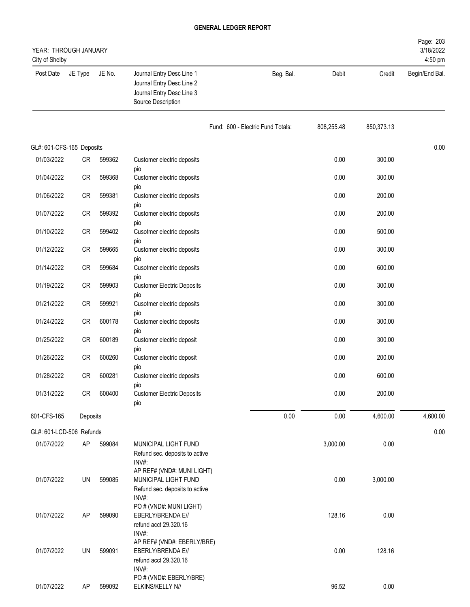| YEAR: THROUGH JANUARY<br>City of Shelby |           |        |                                                                                                           |                                   |            |            | Page: 203<br>3/18/2022<br>4:50 pm |
|-----------------------------------------|-----------|--------|-----------------------------------------------------------------------------------------------------------|-----------------------------------|------------|------------|-----------------------------------|
| Post Date                               | JE Type   | JE No. | Journal Entry Desc Line 1<br>Journal Entry Desc Line 2<br>Journal Entry Desc Line 3<br>Source Description | Beg. Bal.                         | Debit      | Credit     | Begin/End Bal.                    |
|                                         |           |        |                                                                                                           | Fund: 600 - Electric Fund Totals: | 808,255.48 | 850,373.13 |                                   |
| GL#: 601-CFS-165 Deposits               |           |        |                                                                                                           |                                   |            |            | 0.00                              |
| 01/03/2022                              | CR        | 599362 | Customer electric deposits                                                                                |                                   | 0.00       | 300.00     |                                   |
| 01/04/2022                              | <b>CR</b> | 599368 | pio<br>Customer electric deposits                                                                         |                                   | 0.00       | 300.00     |                                   |
| 01/06/2022                              | <b>CR</b> | 599381 | pio<br>Customer electric deposits                                                                         |                                   | 0.00       | 200.00     |                                   |
| 01/07/2022                              | <b>CR</b> | 599392 | pio<br>Customer electric deposits                                                                         |                                   | 0.00       | 200.00     |                                   |
| 01/10/2022                              | CR        | 599402 | pio<br>Cusotmer electric deposits                                                                         |                                   | 0.00       | 500.00     |                                   |
| 01/12/2022                              | CR        | 599665 | pio<br>Customer electric deposits                                                                         |                                   | 0.00       | 300.00     |                                   |
| 01/14/2022                              | CR        | 599684 | pio<br>Cusotmer electric deposits                                                                         |                                   | 0.00       | 600.00     |                                   |
| 01/19/2022                              | CR        | 599903 | pio<br><b>Customer Electric Deposits</b>                                                                  |                                   | 0.00       | 300.00     |                                   |
| 01/21/2022                              | CR        | 599921 | pio<br>Cusotmer electric deposits                                                                         |                                   | 0.00       | 300.00     |                                   |
|                                         |           |        | pio                                                                                                       |                                   |            |            |                                   |
| 01/24/2022                              | CR        | 600178 | Customer electric deposits<br>pio                                                                         |                                   | 0.00       | 300.00     |                                   |
| 01/25/2022                              | CR        | 600189 | Customer electric deposit<br>pio                                                                          |                                   | 0.00       | 300.00     |                                   |
| 01/26/2022                              | CR        | 600260 | Customer electric deposit<br>pio                                                                          |                                   | 0.00       | 200.00     |                                   |
| 01/28/2022                              | CR        | 600281 | Customer electric deposits                                                                                |                                   | 0.00       | 600.00     |                                   |
| 01/31/2022                              | CR        | 600400 | pio<br><b>Customer Electric Deposits</b>                                                                  |                                   | 0.00       | 200.00     |                                   |
| 601-CFS-165                             | Deposits  |        | pio                                                                                                       | 0.00                              | 0.00       | 4,600.00   | 4,600.00                          |
| GL#: 601-LCD-506 Refunds                |           |        |                                                                                                           |                                   |            |            | 0.00                              |
| 01/07/2022                              | AP        | 599084 | MUNICIPAL LIGHT FUND<br>Refund sec. deposits to active<br>INV#:                                           |                                   | 3,000.00   | 0.00       |                                   |
| 01/07/2022                              | UN        | 599085 | AP REF# (VND#: MUNI LIGHT)<br>MUNICIPAL LIGHT FUND<br>Refund sec. deposits to active<br>INV#:             |                                   | 0.00       | 3,000.00   |                                   |
| 01/07/2022                              | AP        | 599090 | PO # (VND#: MUNI LIGHT)<br>EBERLY/BRENDA E//<br>refund acct 29.320.16<br>INV#:                            |                                   | 128.16     | 0.00       |                                   |
| 01/07/2022                              | UN        | 599091 | AP REF# (VND#: EBERLY/BRE)<br>EBERLY/BRENDA E//<br>refund acct 29.320.16<br>INV#:                         |                                   | 0.00       | 128.16     |                                   |
| 01/07/2022                              | AP        | 599092 | PO # (VND#: EBERLY/BRE)<br>ELKINS/KELLY N//                                                               |                                   | 96.52      | 0.00       |                                   |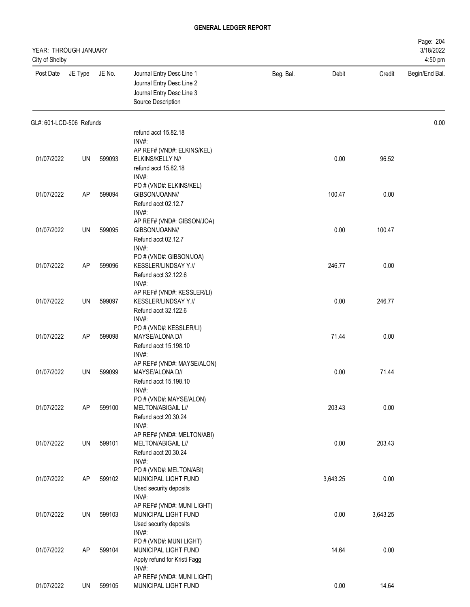| YEAR: THROUGH JANUARY<br>City of Shelby |         |        |                                                                                                           |           |          |          | Page: 204<br>3/18/2022<br>4:50 pm |
|-----------------------------------------|---------|--------|-----------------------------------------------------------------------------------------------------------|-----------|----------|----------|-----------------------------------|
| Post Date                               | JE Type | JE No. | Journal Entry Desc Line 1<br>Journal Entry Desc Line 2<br>Journal Entry Desc Line 3<br>Source Description | Beg. Bal. | Debit    | Credit   | Begin/End Bal.                    |
| GL#: 601-LCD-506 Refunds                |         |        |                                                                                                           |           |          |          | 0.00                              |
|                                         |         |        | refund acct 15.82.18                                                                                      |           |          |          |                                   |
|                                         |         |        | INV#:<br>AP REF# (VND#: ELKINS/KEL)                                                                       |           |          |          |                                   |
| 01/07/2022                              | UN      | 599093 | ELKINS/KELLY N//                                                                                          |           | 0.00     | 96.52    |                                   |
|                                         |         |        | refund acct 15.82.18                                                                                      |           |          |          |                                   |
|                                         |         |        | INV#:                                                                                                     |           |          |          |                                   |
| 01/07/2022                              | AP      | 599094 | PO # (VND#: ELKINS/KEL)<br>GIBSON/JOANN//                                                                 |           | 100.47   | 0.00     |                                   |
|                                         |         |        | Refund acct 02.12.7                                                                                       |           |          |          |                                   |
|                                         |         |        | INV#:                                                                                                     |           |          |          |                                   |
|                                         |         |        | AP REF# (VND#: GIBSON/JOA)                                                                                |           |          |          |                                   |
| 01/07/2022                              | UN      | 599095 | GIBSON/JOANN//                                                                                            |           | 0.00     | 100.47   |                                   |
|                                         |         |        | Refund acct 02.12.7<br>INV#:                                                                              |           |          |          |                                   |
|                                         |         |        | PO # (VND#: GIBSON/JOA)                                                                                   |           |          |          |                                   |
| 01/07/2022                              | AP      | 599096 | KESSLER/LINDSAY Y.//                                                                                      |           | 246.77   | 0.00     |                                   |
|                                         |         |        | Refund acct 32.122.6                                                                                      |           |          |          |                                   |
|                                         |         |        | INV#:                                                                                                     |           |          |          |                                   |
| 01/07/2022                              | UN      | 599097 | AP REF# (VND#: KESSLER/LI)<br>KESSLER/LINDSAY Y.//                                                        |           | 0.00     | 246.77   |                                   |
|                                         |         |        | Refund acct 32.122.6                                                                                      |           |          |          |                                   |
|                                         |         |        | INV#:                                                                                                     |           |          |          |                                   |
|                                         |         |        | PO # (VND#: KESSLER/LI)                                                                                   |           |          |          |                                   |
| 01/07/2022                              | AP      | 599098 | MAYSE/ALONA D//<br>Refund acct 15.198.10                                                                  |           | 71.44    | 0.00     |                                   |
|                                         |         |        | INV#:                                                                                                     |           |          |          |                                   |
|                                         |         |        | AP REF# (VND#: MAYSE/ALON)                                                                                |           |          |          |                                   |
| 01/07/2022                              | UN      | 599099 | MAYSE/ALONA D//                                                                                           |           | 0.00     | 71.44    |                                   |
|                                         |         |        | Refund acct 15.198.10                                                                                     |           |          |          |                                   |
|                                         |         |        | INV#:<br>PO # (VND#: MAYSE/ALON)                                                                          |           |          |          |                                   |
| 01/07/2022                              | AP      | 599100 | MELTON/ABIGAIL L//                                                                                        |           | 203.43   | 0.00     |                                   |
|                                         |         |        | Refund acct 20.30.24                                                                                      |           |          |          |                                   |
|                                         |         |        | INV#:                                                                                                     |           |          |          |                                   |
| 01/07/2022                              | UN      | 599101 | AP REF# (VND#: MELTON/ABI)<br>MELTON/ABIGAIL L//                                                          |           | 0.00     | 203.43   |                                   |
|                                         |         |        | Refund acct 20.30.24                                                                                      |           |          |          |                                   |
|                                         |         |        | INV#:                                                                                                     |           |          |          |                                   |
|                                         |         |        | PO # (VND#: MELTON/ABI)                                                                                   |           |          |          |                                   |
| 01/07/2022                              | AP      | 599102 | MUNICIPAL LIGHT FUND<br>Used security deposits                                                            |           | 3,643.25 | 0.00     |                                   |
|                                         |         |        | INV#:                                                                                                     |           |          |          |                                   |
|                                         |         |        | AP REF# (VND#: MUNI LIGHT)                                                                                |           |          |          |                                   |
| 01/07/2022                              | UN      | 599103 | MUNICIPAL LIGHT FUND                                                                                      |           | 0.00     | 3,643.25 |                                   |
|                                         |         |        | Used security deposits                                                                                    |           |          |          |                                   |
|                                         |         |        | INV#:<br>PO # (VND#: MUNI LIGHT)                                                                          |           |          |          |                                   |
| 01/07/2022                              | AP      | 599104 | MUNICIPAL LIGHT FUND                                                                                      |           | 14.64    | 0.00     |                                   |
|                                         |         |        | Apply refund for Kristi Fagg                                                                              |           |          |          |                                   |
|                                         |         |        | INV#:                                                                                                     |           |          |          |                                   |
| 01/07/2022                              | UN      | 599105 | AP REF# (VND#: MUNI LIGHT)<br>MUNICIPAL LIGHT FUND                                                        |           | 0.00     | 14.64    |                                   |
|                                         |         |        |                                                                                                           |           |          |          |                                   |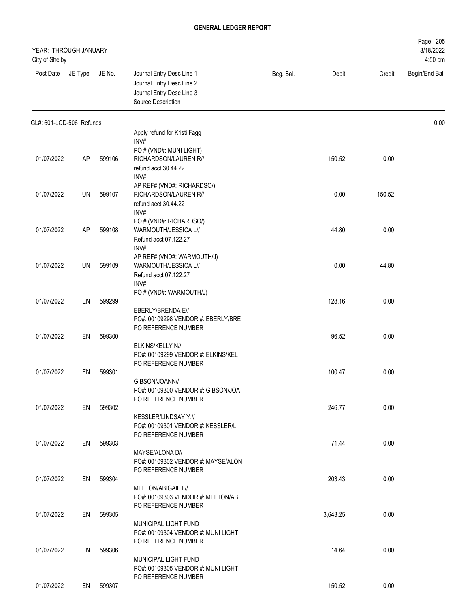| YEAR: THROUGH JANUARY<br>City of Shelby |           |        |                                                                                                                 |           |          |        | Page: 205<br>3/18/2022<br>4:50 pm |
|-----------------------------------------|-----------|--------|-----------------------------------------------------------------------------------------------------------------|-----------|----------|--------|-----------------------------------|
| Post Date                               | JE Type   | JE No. | Journal Entry Desc Line 1<br>Journal Entry Desc Line 2<br>Journal Entry Desc Line 3<br>Source Description       | Beg. Bal. | Debit    | Credit | Begin/End Bal.                    |
| GL#: 601-LCD-506 Refunds                |           |        |                                                                                                                 |           |          |        | 0.00                              |
|                                         |           |        | Apply refund for Kristi Fagg<br>INV#:                                                                           |           |          |        |                                   |
| 01/07/2022                              | <b>AP</b> | 599106 | PO # (VND#: MUNI LIGHT)<br>RICHARDSON/LAUREN R//<br>refund acct 30.44.22<br>INV#:                               |           | 150.52   | 0.00   |                                   |
| 01/07/2022                              | UN        | 599107 | AP REF# (VND#: RICHARDSO/)<br>RICHARDSON/LAUREN R//<br>refund acct 30.44.22                                     |           | 0.00     | 150.52 |                                   |
| 01/07/2022                              | AP        | 599108 | INV#:<br>PO # (VND#: RICHARDSO/)<br>WARMOUTH/JESSICA L//<br>Refund acct 07.122.27                               |           | 44.80    | 0.00   |                                   |
| 01/07/2022                              | UN        | 599109 | INV#:<br>AP REF# (VND#: WARMOUTH/J)<br>WARMOUTH/JESSICA L//<br>Refund acct 07.122.27<br>INV#:                   |           | 0.00     | 44.80  |                                   |
| 01/07/2022                              | EN        | 599299 | PO # (VND#: WARMOUTH/J)                                                                                         |           | 128.16   | 0.00   |                                   |
| 01/07/2022                              | EN        | 599300 | EBERLY/BRENDA E//<br>PO#: 00109298 VENDOR #: EBERLY/BRE<br>PO REFERENCE NUMBER                                  |           | 96.52    | 0.00   |                                   |
|                                         |           |        | ELKINS/KELLY N//<br>PO#: 00109299 VENDOR #: ELKINS/KEL<br>PO REFERENCE NUMBER                                   |           |          |        |                                   |
| 01/07/2022                              | EN        | 599301 | GIBSON/JOANN//<br>PO#: 00109300 VENDOR #: GIBSON/JOA<br>PO REFERENCE NUMBER                                     |           | 100.47   | 0.00   |                                   |
| 01/07/2022                              | EN        | 599302 | KESSLER/LINDSAY Y.//<br>PO#: 00109301 VENDOR #: KESSLER/LI                                                      |           | 246.77   | 0.00   |                                   |
| 01/07/2022                              | EN        | 599303 | PO REFERENCE NUMBER<br>MAYSE/ALONA D//<br>PO#: 00109302 VENDOR #: MAYSE/ALON                                    |           | 71.44    | 0.00   |                                   |
| 01/07/2022                              | EN        | 599304 | PO REFERENCE NUMBER<br>MELTON/ABIGAIL L//<br>PO#: 00109303 VENDOR #: MELTON/ABI<br>PO REFERENCE NUMBER          |           | 203.43   | 0.00   |                                   |
| 01/07/2022                              | EN        | 599305 | MUNICIPAL LIGHT FUND<br>PO#: 00109304 VENDOR #: MUNI LIGHT                                                      |           | 3,643.25 | 0.00   |                                   |
| 01/07/2022                              | EN        | 599306 | PO REFERENCE NUMBER<br><b>MUNICIPAL LIGHT FUND</b><br>PO#: 00109305 VENDOR #: MUNI LIGHT<br>PO REFERENCE NUMBER |           | 14.64    | 0.00   |                                   |
| 01/07/2022                              | EN        | 599307 |                                                                                                                 |           | 150.52   | 0.00   |                                   |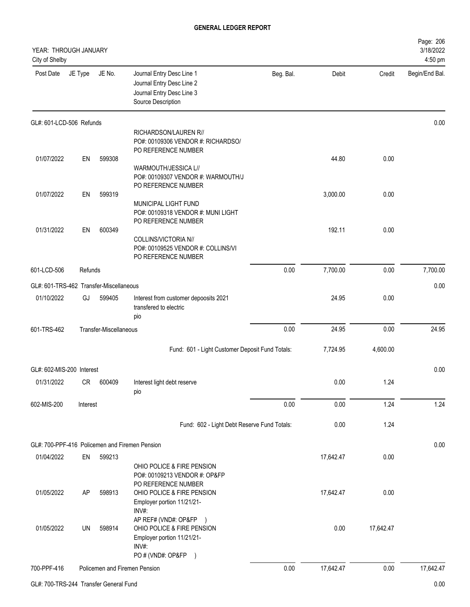| YEAR: THROUGH JANUARY<br>City of Shelby |          |                        |                                                                                                                                                  |           |           |           | Page: 206<br>3/18/2022<br>4:50 pm |
|-----------------------------------------|----------|------------------------|--------------------------------------------------------------------------------------------------------------------------------------------------|-----------|-----------|-----------|-----------------------------------|
| Post Date                               | JE Type  | JE No.                 | Journal Entry Desc Line 1<br>Journal Entry Desc Line 2<br>Journal Entry Desc Line 3<br>Source Description                                        | Beg. Bal. | Debit     | Credit    | Begin/End Bal.                    |
| GL#: 601-LCD-506 Refunds                |          |                        |                                                                                                                                                  |           |           |           | 0.00                              |
|                                         |          |                        | RICHARDSON/LAUREN R//<br>PO#: 00109306 VENDOR #: RICHARDSO/                                                                                      |           |           |           |                                   |
|                                         |          |                        | PO REFERENCE NUMBER                                                                                                                              |           |           |           |                                   |
| 01/07/2022                              | EN       | 599308                 | WARMOUTH/JESSICA L//<br>PO#: 00109307 VENDOR #: WARMOUTH/J<br>PO REFERENCE NUMBER                                                                |           | 44.80     | 0.00      |                                   |
| 01/07/2022                              | EN       | 599319                 |                                                                                                                                                  |           | 3,000.00  | 0.00      |                                   |
|                                         |          |                        | MUNICIPAL LIGHT FUND<br>PO#: 00109318 VENDOR #: MUNI LIGHT<br>PO REFERENCE NUMBER                                                                |           |           |           |                                   |
| 01/31/2022                              | EN       | 600349                 | COLLINS/VICTORIA N//<br>PO#: 00109525 VENDOR #: COLLINS/VI<br>PO REFERENCE NUMBER                                                                |           | 192.11    | 0.00      |                                   |
| 601-LCD-506                             | Refunds  |                        |                                                                                                                                                  | 0.00      | 7,700.00  | 0.00      | 7,700.00                          |
| GL#: 601-TRS-462 Transfer-Miscellaneous |          |                        |                                                                                                                                                  |           |           |           | 0.00                              |
| 01/10/2022                              | GJ       | 599405                 | Interest from customer depoosits 2021<br>transfered to electric<br>pio                                                                           |           | 24.95     | 0.00      |                                   |
| 601-TRS-462                             |          | Transfer-Miscellaneous |                                                                                                                                                  | 0.00      | 24.95     | 0.00      | 24.95                             |
|                                         |          |                        | Fund: 601 - Light Customer Deposit Fund Totals:                                                                                                  |           | 7,724.95  | 4,600.00  |                                   |
| GL#: 602-MIS-200 Interest               |          |                        |                                                                                                                                                  |           |           |           | 0.00                              |
| 01/31/2022                              |          | CR 600409              | Interest light debt reserve<br>pio                                                                                                               |           | 0.00      | 1.24      |                                   |
| 602-MIS-200                             | Interest |                        |                                                                                                                                                  | 0.00      | 0.00      | 1.24      | 1.24                              |
|                                         |          |                        | Fund: 602 - Light Debt Reserve Fund Totals:                                                                                                      |           | 0.00      | 1.24      |                                   |
|                                         |          |                        | GL#: 700-PPF-416 Policemen and Firemen Pension                                                                                                   |           |           |           | 0.00                              |
| 01/04/2022                              | EN       | 599213                 | OHIO POLICE & FIRE PENSION<br>PO#: 00109213 VENDOR #: OP&FP                                                                                      |           | 17,642.47 | 0.00      |                                   |
| 01/05/2022                              | AP       | 598913                 | PO REFERENCE NUMBER<br>OHIO POLICE & FIRE PENSION<br>Employer portion 11/21/21-<br>INV#:                                                         |           | 17,642.47 | 0.00      |                                   |
| 01/05/2022                              | UN       | 598914                 | AP REF# (VND#: OP&FP<br>$\rightarrow$<br>OHIO POLICE & FIRE PENSION<br>Employer portion 11/21/21-<br>INV#:<br>PO # (VND#: OP&FP<br>$\rightarrow$ |           | 0.00      | 17,642.47 |                                   |
| 700-PPF-416                             |          |                        | Policemen and Firemen Pension                                                                                                                    | 0.00      | 17,642.47 | 0.00      | 17,642.47                         |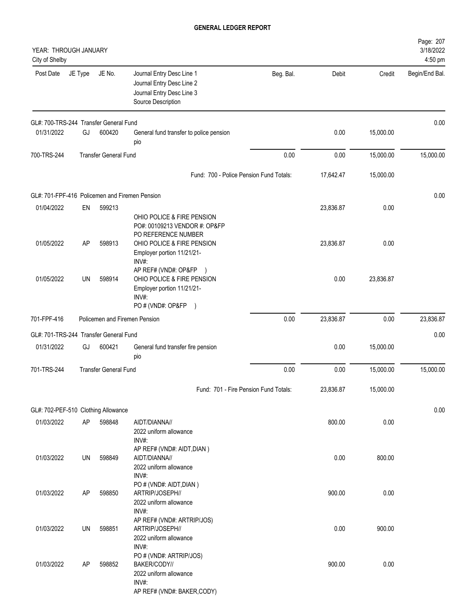| YEAR: THROUGH JANUARY<br>City of Shelby        |           |                               |                                                                                                                                   |           |           |           | Page: 207<br>3/18/2022<br>4:50 pm |
|------------------------------------------------|-----------|-------------------------------|-----------------------------------------------------------------------------------------------------------------------------------|-----------|-----------|-----------|-----------------------------------|
| Post Date                                      | JE Type   | JE No.                        | Journal Entry Desc Line 1<br>Journal Entry Desc Line 2<br>Journal Entry Desc Line 3<br>Source Description                         | Beg. Bal. | Debit     | Credit    | Begin/End Bal.                    |
| GL#: 700-TRS-244 Transfer General Fund         |           |                               |                                                                                                                                   |           |           |           | 0.00                              |
| 01/31/2022                                     | GJ        | 600420                        | General fund transfer to police pension<br>pio                                                                                    |           | 0.00      | 15,000.00 |                                   |
| 700-TRS-244                                    |           | <b>Transfer General Fund</b>  |                                                                                                                                   | 0.00      | 0.00      | 15,000.00 | 15,000.00                         |
|                                                |           |                               | Fund: 700 - Police Pension Fund Totals:                                                                                           |           | 17,642.47 | 15,000.00 |                                   |
| GL#: 701-FPF-416 Policemen and Firemen Pension |           |                               |                                                                                                                                   |           |           |           | 0.00                              |
| 01/04/2022                                     | EN        | 599213                        |                                                                                                                                   |           | 23,836.87 | 0.00      |                                   |
|                                                |           |                               | OHIO POLICE & FIRE PENSION<br>PO#: 00109213 VENDOR #: OP&FP<br>PO REFERENCE NUMBER                                                |           |           |           |                                   |
| 01/05/2022                                     | AΡ        | 598913                        | OHIO POLICE & FIRE PENSION<br>Employer portion 11/21/21-<br>INV#:                                                                 |           | 23,836.87 | 0.00      |                                   |
| 01/05/2022                                     | <b>UN</b> | 598914                        | AP REF# (VND#: OP&FP )<br>OHIO POLICE & FIRE PENSION<br>Employer portion 11/21/21-<br>INV#:<br>PO # (VND#: OP&FP<br>$\rightarrow$ |           | 0.00      | 23,836.87 |                                   |
| 701-FPF-416                                    |           | Policemen and Firemen Pension |                                                                                                                                   | 0.00      | 23,836.87 | 0.00      | 23,836.87                         |
| GL#: 701-TRS-244 Transfer General Fund         |           |                               |                                                                                                                                   |           |           |           | 0.00                              |
| 01/31/2022                                     | GJ        | 600421                        | General fund transfer fire pension<br>pio                                                                                         |           | 0.00      | 15,000.00 |                                   |
| 701-TRS-244                                    |           | <b>Transfer General Fund</b>  |                                                                                                                                   | 0.00      | 0.00      | 15,000.00 | 15,000.00                         |
|                                                |           |                               | Fund: 701 - Fire Pension Fund Totals:                                                                                             |           | 23,836.87 | 15,000.00 |                                   |
| GL#: 702-PEF-510 Clothing Allowance            |           |                               |                                                                                                                                   |           |           |           | 0.00                              |
| 01/03/2022                                     | AP        | 598848                        | AIDT/DIANNA//                                                                                                                     |           | 800.00    | 0.00      |                                   |
|                                                |           |                               | 2022 uniform allowance<br>INV#:                                                                                                   |           |           |           |                                   |
| 01/03/2022                                     | UN        | 598849                        | AP REF# (VND#: AIDT, DIAN)<br>AIDT/DIANNA//<br>2022 uniform allowance                                                             |           | 0.00      | 800.00    |                                   |
| 01/03/2022                                     | AP        | 598850                        | INV#:<br>PO # (VND#: AIDT, DIAN)<br>ARTRIP/JOSEPH//                                                                               |           | 900.00    | 0.00      |                                   |
|                                                |           |                               | 2022 uniform allowance<br>INV#:<br>AP REF# (VND#: ARTRIP/JOS)                                                                     |           |           |           |                                   |
| 01/03/2022                                     | UN        | 598851                        | ARTRIP/JOSEPH//<br>2022 uniform allowance<br>INV#:                                                                                |           | 0.00      | 900.00    |                                   |
| 01/03/2022                                     | AP        | 598852                        | PO # (VND#: ARTRIP/JOS)<br>BAKER/CODY//<br>2022 uniform allowance<br>INV#:<br>AP REF# (VND#: BAKER,CODY)                          |           | 900.00    | 0.00      |                                   |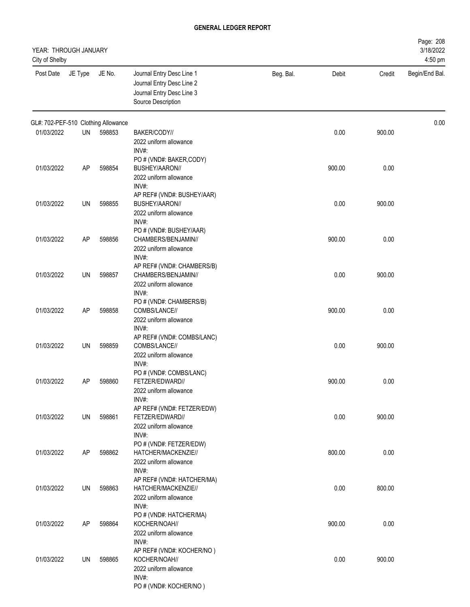| YEAR: THROUGH JANUARY<br>City of Shelby |         |        |                                                                                                                  |           |        |        | Page: 208<br>3/18/2022<br>4:50 pm |
|-----------------------------------------|---------|--------|------------------------------------------------------------------------------------------------------------------|-----------|--------|--------|-----------------------------------|
| Post Date                               | JE Type | JE No. | Journal Entry Desc Line 1<br>Journal Entry Desc Line 2<br>Journal Entry Desc Line 3<br>Source Description        | Beg. Bal. | Debit  | Credit | Begin/End Bal.                    |
| GL#: 702-PEF-510 Clothing Allowance     |         |        |                                                                                                                  |           |        |        | 0.00                              |
| 01/03/2022                              | UN      | 598853 | BAKER/CODY//<br>2022 uniform allowance<br>INV#:                                                                  |           | 0.00   | 900.00 |                                   |
| 01/03/2022                              | AP      | 598854 | PO # (VND#: BAKER,CODY)<br>BUSHEY/AARON//<br>2022 uniform allowance<br>INV#:                                     |           | 900.00 | 0.00   |                                   |
| 01/03/2022                              | UN      | 598855 | AP REF# (VND#: BUSHEY/AAR)<br>BUSHEY/AARON//<br>2022 uniform allowance<br>INV#:                                  |           | 0.00   | 900.00 |                                   |
| 01/03/2022                              | AP      | 598856 | PO # (VND#: BUSHEY/AAR)<br>CHAMBERS/BENJAMIN//<br>2022 uniform allowance<br>INV#:                                |           | 900.00 | 0.00   |                                   |
| 01/03/2022                              | UN      | 598857 | AP REF# (VND#: CHAMBERS/B)<br>CHAMBERS/BENJAMIN//<br>2022 uniform allowance<br>INV#:                             |           | 0.00   | 900.00 |                                   |
| 01/03/2022                              | AP      | 598858 | PO # (VND#: CHAMBERS/B)<br>COMBS/LANCE//<br>2022 uniform allowance                                               |           | 900.00 | 0.00   |                                   |
| 01/03/2022                              | UN      | 598859 | INV#:<br>AP REF# (VND#: COMBS/LANC)<br>COMBS/LANCE//<br>2022 uniform allowance                                   |           | 0.00   | 900.00 |                                   |
| 01/03/2022                              | AP      | 598860 | INV#:<br>PO # (VND#: COMBS/LANC)<br>FETZER/EDWARD//<br>2022 uniform allowance                                    |           | 900.00 | 0.00   |                                   |
| 01/03/2022                              | UN      | 598861 | INV#:<br>AP REF# (VND#: FETZER/EDW)<br>FETZER/EDWARD//<br>2022 uniform allowance                                 |           | 0.00   | 900.00 |                                   |
| 01/03/2022                              | AP      | 598862 | INV#:<br>PO # (VND#: FETZER/EDW)<br>HATCHER/MACKENZIE//<br>2022 uniform allowance                                |           | 800.00 | 0.00   |                                   |
| 01/03/2022                              | UN      | 598863 | INV#:<br>AP REF# (VND#: HATCHER/MA)<br>HATCHER/MACKENZIE//<br>2022 uniform allowance                             |           | 0.00   | 800.00 |                                   |
| 01/03/2022                              | AP      | 598864 | INV#:<br>PO # (VND#: HATCHER/MA)<br>KOCHER/NOAH//<br>2022 uniform allowance                                      |           | 900.00 | 0.00   |                                   |
| 01/03/2022                              | UN      | 598865 | INV#:<br>AP REF# (VND#: KOCHER/NO)<br>KOCHER/NOAH//<br>2022 uniform allowance<br>INV#:<br>PO # (VND#: KOCHER/NO) |           | 0.00   | 900.00 |                                   |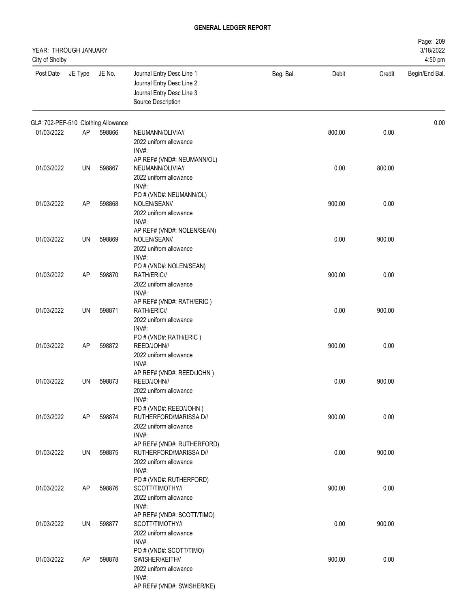| YEAR: THROUGH JANUARY<br>City of Shelby |         |        |                                                                                                                      |           |        |        | Page: 209<br>3/18/2022<br>4:50 pm |
|-----------------------------------------|---------|--------|----------------------------------------------------------------------------------------------------------------------|-----------|--------|--------|-----------------------------------|
| Post Date                               | JE Type | JE No. | Journal Entry Desc Line 1<br>Journal Entry Desc Line 2<br>Journal Entry Desc Line 3<br>Source Description            | Beg. Bal. | Debit  | Credit | Begin/End Bal.                    |
| GL#: 702-PEF-510 Clothing Allowance     |         |        |                                                                                                                      |           |        |        | 0.00                              |
| 01/03/2022                              | AP      | 598866 | NEUMANN/OLIVIA//<br>2022 uniform allowance<br>INV#:                                                                  |           | 800.00 | 0.00   |                                   |
| 01/03/2022                              | UN      | 598867 | AP REF# (VND#: NEUMANN/OL)<br>NEUMANN/OLIVIA//<br>2022 uniform allowance<br>INV#:                                    |           | 0.00   | 800.00 |                                   |
| 01/03/2022                              | AP      | 598868 | PO # (VND#: NEUMANN/OL)<br>NOLEN/SEAN//<br>2022 unifrom allowance                                                    |           | 900.00 | 0.00   |                                   |
| 01/03/2022                              | UN      | 598869 | INV#:<br>AP REF# (VND#: NOLEN/SEAN)<br>NOLEN/SEAN//<br>2022 unifrom allowance                                        |           | 0.00   | 900.00 |                                   |
| 01/03/2022                              | AP      | 598870 | INV#:<br>PO # (VND#: NOLEN/SEAN)<br>RATH/ERIC//<br>2022 uniform allowance                                            |           | 900.00 | 0.00   |                                   |
| 01/03/2022                              | UN      | 598871 | INV#:<br>AP REF# (VND#: RATH/ERIC)<br>RATH/ERIC//<br>2022 uniform allowance                                          |           | 0.00   | 900.00 |                                   |
| 01/03/2022                              | AP      | 598872 | INV#:<br>PO # (VND#: RATH/ERIC)<br>REED/JOHN//<br>2022 uniform allowance                                             |           | 900.00 | 0.00   |                                   |
| 01/03/2022                              | UN      | 598873 | INV#:<br>AP REF# (VND#: REED/JOHN)<br>REED/JOHN//<br>2022 uniform allowance                                          |           | 0.00   | 900.00 |                                   |
| 01/03/2022                              | AP      | 598874 | INV#:<br>PO # (VND#: REED/JOHN)<br>RUTHERFORD/MARISSA D//<br>2022 uniform allowance                                  |           | 900.00 | 0.00   |                                   |
| 01/03/2022                              | UN      | 598875 | INV#:<br>AP REF# (VND#: RUTHERFORD)<br>RUTHERFORD/MARISSA D//<br>2022 uniform allowance                              |           | 0.00   | 900.00 |                                   |
| 01/03/2022                              | AP      | 598876 | INV#:<br>PO # (VND#: RUTHERFORD)<br>SCOTT/TIMOTHY//<br>2022 uniform allowance                                        |           | 900.00 | 0.00   |                                   |
| 01/03/2022                              | UN      | 598877 | INV#:<br>AP REF# (VND#: SCOTT/TIMO)<br>SCOTT/TIMOTHY//<br>2022 uniform allowance                                     |           | 0.00   | 900.00 |                                   |
| 01/03/2022                              | AP      | 598878 | INV#:<br>PO # (VND#: SCOTT/TIMO)<br>SWISHER/KEITH//<br>2022 uniform allowance<br>INV#:<br>AP REF# (VND#: SWISHER/KE) |           | 900.00 | 0.00   |                                   |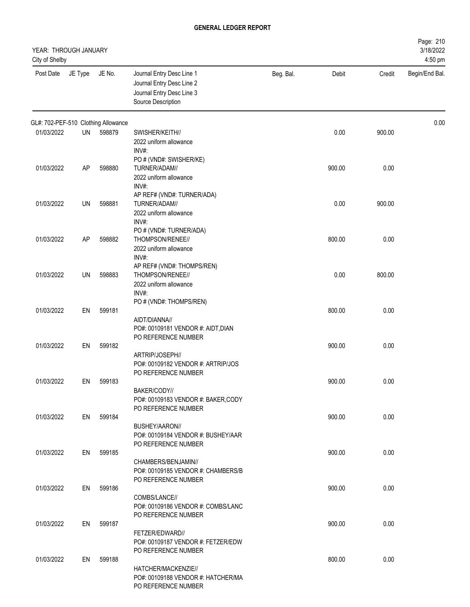| YEAR: THROUGH JANUARY<br>City of Shelby |         |        |                                                                                                                                               |           |        |        | Page: 210<br>3/18/2022<br>4:50 pm |
|-----------------------------------------|---------|--------|-----------------------------------------------------------------------------------------------------------------------------------------------|-----------|--------|--------|-----------------------------------|
| Post Date                               | JE Type | JE No. | Journal Entry Desc Line 1<br>Journal Entry Desc Line 2<br>Journal Entry Desc Line 3<br>Source Description                                     | Beg. Bal. | Debit  | Credit | Begin/End Bal.                    |
| GL#: 702-PEF-510 Clothing Allowance     |         |        |                                                                                                                                               |           |        |        | 0.00                              |
| 01/03/2022                              | UN      | 598879 | SWISHER/KEITH//<br>2022 uniform allowance<br>INV#:                                                                                            |           | 0.00   | 900.00 |                                   |
| 01/03/2022                              | AP      | 598880 | PO # (VND#: SWISHER/KE)<br>TURNER/ADAM//<br>2022 uniform allowance<br>INV#:                                                                   |           | 900.00 | 0.00   |                                   |
| 01/03/2022                              | UN      | 598881 | AP REF# (VND#: TURNER/ADA)<br>TURNER/ADAM//<br>2022 uniform allowance                                                                         |           | 0.00   | 900.00 |                                   |
| 01/03/2022                              | AP      | 598882 | INV#:<br>PO # (VND#: TURNER/ADA)<br>THOMPSON/RENEE//<br>2022 uniform allowance                                                                |           | 800.00 | 0.00   |                                   |
| 01/03/2022                              | UN      | 598883 | INV#:<br>AP REF# (VND#: THOMPS/REN)<br>THOMPSON/RENEE//<br>2022 uniform allowance<br>INV#:                                                    |           | 0.00   | 800.00 |                                   |
| 01/03/2022                              | EN      | 599181 | PO # (VND#: THOMPS/REN)<br>AIDT/DIANNA//<br>PO#: 00109181 VENDOR #: AIDT, DIAN                                                                |           | 800.00 | 0.00   |                                   |
| 01/03/2022                              | EN      | 599182 | PO REFERENCE NUMBER<br>ARTRIP/JOSEPH//<br>PO#: 00109182 VENDOR #: ARTRIP/JOS                                                                  |           | 900.00 | 0.00   |                                   |
| 01/03/2022                              | EN      | 599183 | PO REFERENCE NUMBER<br>BAKER/CODY//<br>PO#: 00109183 VENDOR #: BAKER,CODY                                                                     |           | 900.00 | 0.00   |                                   |
| 01/03/2022                              | EN      | 599184 | PO REFERENCE NUMBER<br>BUSHEY/AARON//                                                                                                         |           | 900.00 | 0.00   |                                   |
| 01/03/2022                              | EN.     | 599185 | PO#: 00109184 VENDOR #: BUSHEY/AAR<br>PO REFERENCE NUMBER<br>CHAMBERS/BENJAMIN//                                                              |           | 900.00 | 0.00   |                                   |
| 01/03/2022                              | EN      | 599186 | PO#: 00109185 VENDOR #: CHAMBERS/B<br>PO REFERENCE NUMBER<br>COMBS/LANCE//<br>PO#: 00109186 VENDOR #: COMBS/LANC                              |           | 900.00 | 0.00   |                                   |
| 01/03/2022                              | EN      | 599187 | PO REFERENCE NUMBER<br>FETZER/EDWARD//                                                                                                        |           | 900.00 | 0.00   |                                   |
| 01/03/2022                              | EN      | 599188 | PO#: 00109187 VENDOR #: FETZER/EDW<br>PO REFERENCE NUMBER<br>HATCHER/MACKENZIE//<br>PO#: 00109188 VENDOR #: HATCHER/MA<br>PO REFERENCE NUMBER |           | 800.00 | 0.00   |                                   |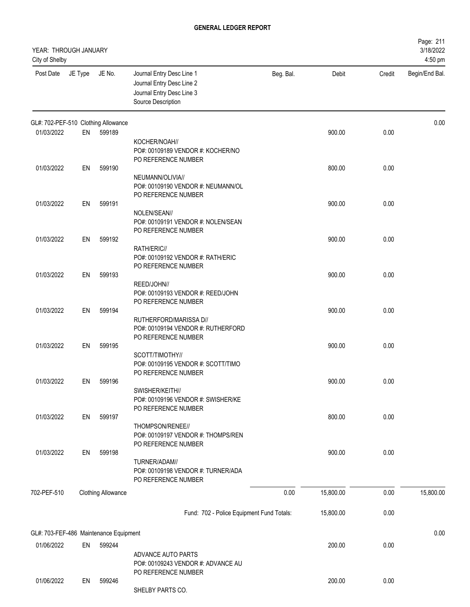| YEAR: THROUGH JANUARY<br>City of Shelby |         |                                        |                                                                                                           |           |           |        | Page: 211<br>3/18/2022<br>4:50 pm |
|-----------------------------------------|---------|----------------------------------------|-----------------------------------------------------------------------------------------------------------|-----------|-----------|--------|-----------------------------------|
| Post Date                               | JE Type | JE No.                                 | Journal Entry Desc Line 1<br>Journal Entry Desc Line 2<br>Journal Entry Desc Line 3<br>Source Description | Beg. Bal. | Debit     | Credit | Begin/End Bal.                    |
|                                         |         | GL#: 702-PEF-510 Clothing Allowance    |                                                                                                           |           |           |        | 0.00                              |
| 01/03/2022                              | EN      | 599189                                 | KOCHER/NOAH//                                                                                             |           | 900.00    | 0.00   |                                   |
|                                         |         |                                        | PO#: 00109189 VENDOR #: KOCHER/NO<br>PO REFERENCE NUMBER                                                  |           |           |        |                                   |
| 01/03/2022                              | EN      | 599190                                 | NEUMANN/OLIVIA//<br>PO#: 00109190 VENDOR #: NEUMANN/OL<br>PO REFERENCE NUMBER                             |           | 800.00    | 0.00   |                                   |
| 01/03/2022                              | EN      | 599191                                 |                                                                                                           |           | 900.00    | 0.00   |                                   |
|                                         |         |                                        | NOLEN/SEAN//<br>PO#: 00109191 VENDOR #: NOLEN/SEAN<br>PO REFERENCE NUMBER                                 |           |           |        |                                   |
| 01/03/2022                              | EN      | 599192                                 |                                                                                                           |           | 900.00    | 0.00   |                                   |
|                                         |         |                                        | RATH/ERIC//<br>PO#: 00109192 VENDOR #: RATH/ERIC<br>PO REFERENCE NUMBER                                   |           |           |        |                                   |
| 01/03/2022                              | EN      | 599193                                 |                                                                                                           |           | 900.00    | 0.00   |                                   |
|                                         |         |                                        | REED/JOHN//<br>PO#: 00109193 VENDOR #: REED/JOHN<br>PO REFERENCE NUMBER                                   |           |           |        |                                   |
| 01/03/2022                              | EN      | 599194                                 | RUTHERFORD/MARISSA D//<br>PO#: 00109194 VENDOR #: RUTHERFORD<br>PO REFERENCE NUMBER                       |           | 900.00    | 0.00   |                                   |
| 01/03/2022                              | EN      | 599195                                 | SCOTT/TIMOTHY//<br>PO#: 00109195 VENDOR #: SCOTT/TIMO<br>PO REFERENCE NUMBER                              |           | 900.00    | 0.00   |                                   |
| 01/03/2022                              | EN      | 599196                                 |                                                                                                           |           | 900.00    | 0.00   |                                   |
|                                         |         |                                        | SWISHER/KEITH//<br>PO#: 00109196 VENDOR #: SWISHER/KE<br>PO REFERENCE NUMBER                              |           |           |        |                                   |
| 01/03/2022                              | EN      | 599197                                 | THOMPSON/RENEE//<br>PO#: 00109197 VENDOR #: THOMPS/REN                                                    |           | 800.00    | 0.00   |                                   |
| 01/03/2022                              | EN      | 599198                                 | PO REFERENCE NUMBER                                                                                       |           | 900.00    | 0.00   |                                   |
|                                         |         |                                        | TURNER/ADAM//<br>PO#: 00109198 VENDOR #: TURNER/ADA<br>PO REFERENCE NUMBER                                |           |           |        |                                   |
| 702-PEF-510                             |         | <b>Clothing Allowance</b>              |                                                                                                           | 0.00      | 15,800.00 | 0.00   | 15,800.00                         |
|                                         |         |                                        | Fund: 702 - Police Equipment Fund Totals:                                                                 |           | 15,800.00 | 0.00   |                                   |
|                                         |         | GL#: 703-FEF-486 Maintenance Equipment |                                                                                                           |           |           |        | 0.00                              |
| 01/06/2022                              | EN      | 599244                                 |                                                                                                           |           | 200.00    | 0.00   |                                   |
|                                         |         |                                        | ADVANCE AUTO PARTS<br>PO#: 00109243 VENDOR #: ADVANCE AU<br>PO REFERENCE NUMBER                           |           |           |        |                                   |
| 01/06/2022                              | EN      | 599246                                 | SHELBY PARTS CO.                                                                                          |           | 200.00    | 0.00   |                                   |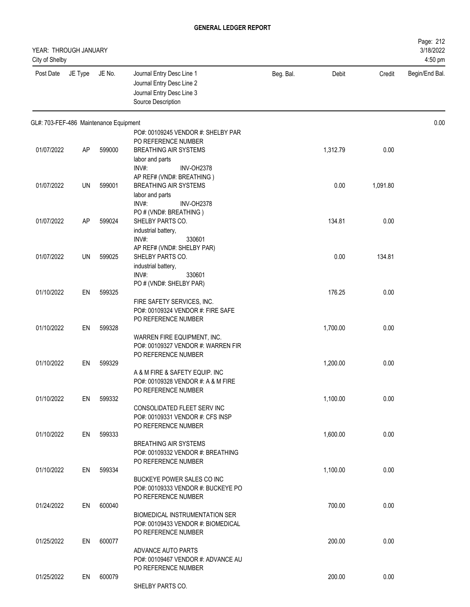| YEAR: THROUGH JANUARY<br>City of Shelby |           |        |                                                                                                              |           |          |          | Page: 212<br>3/18/2022<br>4:50 pm |
|-----------------------------------------|-----------|--------|--------------------------------------------------------------------------------------------------------------|-----------|----------|----------|-----------------------------------|
| Post Date                               | JE Type   | JE No. | Journal Entry Desc Line 1<br>Journal Entry Desc Line 2<br>Journal Entry Desc Line 3<br>Source Description    | Beg. Bal. | Debit    | Credit   | Begin/End Bal.                    |
| GL#: 703-FEF-486 Maintenance Equipment  |           |        |                                                                                                              |           |          |          | 0.00                              |
| 01/07/2022                              | AP        | 599000 | PO#: 00109245 VENDOR #: SHELBY PAR<br>PO REFERENCE NUMBER<br><b>BREATHING AIR SYSTEMS</b><br>labor and parts |           | 1,312.79 | 0.00     |                                   |
| 01/07/2022                              | UN        | 599001 | INV#:<br><b>INV-OH2378</b><br>AP REF# (VND#: BREATHING)<br><b>BREATHING AIR SYSTEMS</b><br>labor and parts   |           | 0.00     | 1,091.80 |                                   |
| 01/07/2022                              | <b>AP</b> | 599024 | INV#:<br><b>INV-OH2378</b><br>PO # (VND#: BREATHING)<br>SHELBY PARTS CO.<br>industrial battery,              |           | 134.81   | 0.00     |                                   |
| 01/07/2022                              | UN        | 599025 | INV#:<br>330601<br>AP REF# (VND#: SHELBY PAR)<br>SHELBY PARTS CO.<br>industrial battery,<br>INV#:<br>330601  |           | 0.00     | 134.81   |                                   |
| 01/10/2022                              | EN        | 599325 | PO # (VND#: SHELBY PAR)<br>FIRE SAFETY SERVICES, INC.                                                        |           | 176.25   | 0.00     |                                   |
| 01/10/2022                              | EN        | 599328 | PO#: 00109324 VENDOR #: FIRE SAFE<br>PO REFERENCE NUMBER<br>WARREN FIRE EQUIPMENT, INC.                      |           | 1,700.00 | 0.00     |                                   |
| 01/10/2022                              | EN        | 599329 | PO#: 00109327 VENDOR #: WARREN FIR<br>PO REFERENCE NUMBER<br>A & M FIRE & SAFETY EQUIP. INC                  |           | 1,200.00 | 0.00     |                                   |
| 01/10/2022                              | EN        | 599332 | PO#: 00109328 VENDOR #: A & M FIRE<br>PO REFERENCE NUMBER<br>CONSOLIDATED FLEET SERV INC                     |           | 1,100.00 | 0.00     |                                   |
| 01/10/2022                              | EN        | 599333 | PO#: 00109331 VENDOR #: CFS INSP<br>PO REFERENCE NUMBER<br><b>BREATHING AIR SYSTEMS</b>                      |           | 1,600.00 | 0.00     |                                   |
| 01/10/2022                              | EN        | 599334 | PO#: 00109332 VENDOR #: BREATHING<br>PO REFERENCE NUMBER<br>BUCKEYE POWER SALES CO INC                       |           | 1,100.00 | 0.00     |                                   |
| 01/24/2022                              | EN        | 600040 | PO#: 00109333 VENDOR #: BUCKEYE PO<br>PO REFERENCE NUMBER                                                    |           | 700.00   | 0.00     |                                   |
| 01/25/2022                              | EN        | 600077 | <b>BIOMEDICAL INSTRUMENTATION SER</b><br>PO#: 00109433 VENDOR #: BIOMEDICAL<br>PO REFERENCE NUMBER           |           | 200.00   | 0.00     |                                   |
|                                         |           |        | ADVANCE AUTO PARTS<br>PO#: 00109467 VENDOR #: ADVANCE AU<br>PO REFERENCE NUMBER                              |           |          |          |                                   |
| 01/25/2022                              | EN        | 600079 | SHELBY PARTS CO.                                                                                             |           | 200.00   | 0.00     |                                   |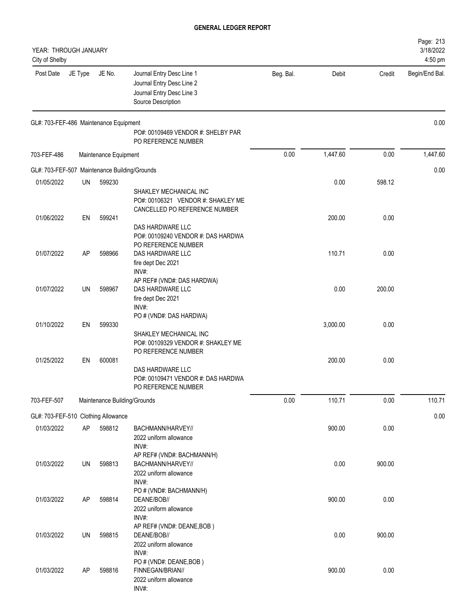| YEAR: THROUGH JANUARY<br>City of Shelby       |           |                       |                                                                                                           |           |          |        | Page: 213<br>3/18/2022<br>4:50 pm |
|-----------------------------------------------|-----------|-----------------------|-----------------------------------------------------------------------------------------------------------|-----------|----------|--------|-----------------------------------|
| Post Date                                     | JE Type   | JE No.                | Journal Entry Desc Line 1<br>Journal Entry Desc Line 2<br>Journal Entry Desc Line 3<br>Source Description | Beg. Bal. | Debit    | Credit | Begin/End Bal.                    |
| GL#: 703-FEF-486 Maintenance Equipment        |           |                       | PO#: 00109469 VENDOR #: SHELBY PAR<br>PO REFERENCE NUMBER                                                 |           |          |        | 0.00                              |
| 703-FEF-486                                   |           | Maintenance Equipment |                                                                                                           | 0.00      | 1,447.60 | 0.00   | 1,447.60                          |
| GL#: 703-FEF-507 Maintenance Building/Grounds |           |                       |                                                                                                           |           |          |        | 0.00                              |
| 01/05/2022                                    | UN        | 599230                | SHAKLEY MECHANICAL INC<br>PO#: 00106321 VENDOR #: SHAKLEY ME<br>CANCELLED PO REFERENCE NUMBER             |           | 0.00     | 598.12 |                                   |
| 01/06/2022                                    | EN        | 599241                | DAS HARDWARE LLC<br>PO#: 00109240 VENDOR #: DAS HARDWA<br>PO REFERENCE NUMBER                             |           | 200.00   | 0.00   |                                   |
| 01/07/2022                                    | AP        | 598966                | DAS HARDWARE LLC<br>fire dept Dec 2021<br>INV#:                                                           |           | 110.71   | 0.00   |                                   |
| 01/07/2022                                    | UN        | 598967                | AP REF# (VND#: DAS HARDWA)<br>DAS HARDWARE LLC<br>fire dept Dec 2021<br>INV#:                             |           | 0.00     | 200.00 |                                   |
| 01/10/2022                                    | EN        | 599330                | PO # (VND#: DAS HARDWA)<br>SHAKLEY MECHANICAL INC<br>PO#: 00109329 VENDOR #: SHAKLEY ME                   |           | 3,000.00 | 0.00   |                                   |
| 01/25/2022                                    | EN        | 600081                | PO REFERENCE NUMBER<br>DAS HARDWARE LLC<br>PO#: 00109471 VENDOR #: DAS HARDWA<br>PO REFERENCE NUMBER      |           | 200.00   | 0.00   |                                   |
| 703-FEF-507                                   |           |                       | Maintenance Building/Grounds                                                                              | 0.00      | 110.71   | 0.00   | 110.71                            |
| GL#: 703-FEF-510 Clothing Allowance           |           |                       |                                                                                                           |           |          |        | 0.00                              |
| 01/03/2022                                    | <b>AP</b> | 598812                | BACHMANN/HARVEY//<br>2022 uniform allowance<br>INV#:                                                      |           | 900.00   | 0.00   |                                   |
| 01/03/2022                                    | UN        | 598813                | AP REF# (VND#: BACHMANN/H)<br>BACHMANN/HARVEY//<br>2022 uniform allowance<br>INV#:                        |           | 0.00     | 900.00 |                                   |
| 01/03/2022                                    | AP        | 598814                | PO # (VND#: BACHMANN/H)<br>DEANE/BOB//<br>2022 uniform allowance<br>INV#:                                 |           | 900.00   | 0.00   |                                   |
| 01/03/2022                                    | UN        | 598815                | AP REF# (VND#: DEANE, BOB)<br>DEANE/BOB//<br>2022 uniform allowance                                       |           | 0.00     | 900.00 |                                   |
| 01/03/2022                                    | AP        | 598816                | INV#:<br>PO # (VND#: DEANE, BOB)<br>FINNEGAN/BRIAN//<br>2022 uniform allowance<br>INV#:                   |           | 900.00   | 0.00   |                                   |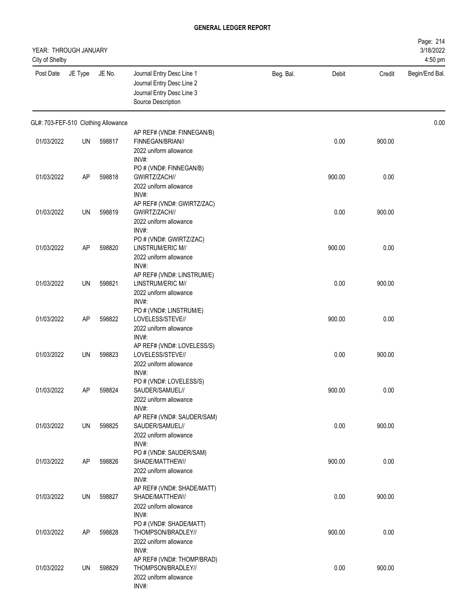| YEAR: THROUGH JANUARY<br>City of Shelby |         |        |                                                                                                           |           |        |        | Page: 214<br>3/18/2022<br>4:50 pm |
|-----------------------------------------|---------|--------|-----------------------------------------------------------------------------------------------------------|-----------|--------|--------|-----------------------------------|
| Post Date                               | JE Type | JE No. | Journal Entry Desc Line 1<br>Journal Entry Desc Line 2<br>Journal Entry Desc Line 3<br>Source Description | Beg. Bal. | Debit  | Credit | Begin/End Bal.                    |
| GL#: 703-FEF-510 Clothing Allowance     |         |        |                                                                                                           |           |        |        | 0.00                              |
| 01/03/2022                              | UN      | 598817 | AP REF# (VND#: FINNEGAN/B)<br>FINNEGAN/BRIAN//<br>2022 uniform allowance                                  |           | 0.00   | 900.00 |                                   |
| 01/03/2022                              | AP      | 598818 | INV#:<br>PO # (VND#: FINNEGAN/B)<br>GWIRTZ/ZACH//<br>2022 uniform allowance                               |           | 900.00 | 0.00   |                                   |
| 01/03/2022                              | UN      | 598819 | INV#:<br>AP REF# (VND#: GWIRTZ/ZAC)<br>GWIRTZ/ZACH//<br>2022 uniform allowance                            |           | 0.00   | 900.00 |                                   |
| 01/03/2022                              | AP      | 598820 | INV#:<br>PO # (VND#: GWIRTZ/ZAC)<br>LINSTRUM/ERIC M//<br>2022 uniform allowance                           |           | 900.00 | 0.00   |                                   |
| 01/03/2022                              | UN      | 598821 | INV#:<br>AP REF# (VND#: LINSTRUM/E)<br>LINSTRUM/ERIC M//<br>2022 uniform allowance<br>INV#:               |           | 0.00   | 900.00 |                                   |
| 01/03/2022                              | AP      | 598822 | PO # (VND#: LINSTRUM/E)<br>LOVELESS/STEVE//<br>2022 uniform allowance<br>INV#:                            |           | 900.00 | 0.00   |                                   |
| 01/03/2022                              | UN      | 598823 | AP REF# (VND#: LOVELESS/S)<br>LOVELESS/STEVE//<br>2022 uniform allowance<br>INV#:                         |           | 0.00   | 900.00 |                                   |
| 01/03/2022                              | AP      | 598824 | PO # (VND#: LOVELESS/S)<br>SAUDER/SAMUEL//<br>2022 uniform allowance<br>INV#:                             |           | 900.00 | 0.00   |                                   |
| 01/03/2022                              | UN      | 598825 | AP REF# (VND#: SAUDER/SAM)<br>SAUDER/SAMUEL//<br>2022 uniform allowance<br>INV#:                          |           | 0.00   | 900.00 |                                   |
| 01/03/2022                              | AP      | 598826 | PO # (VND#: SAUDER/SAM)<br>SHADE/MATTHEW//<br>2022 uniform allowance<br>INV#:                             |           | 900.00 | 0.00   |                                   |
| 01/03/2022                              | UN      | 598827 | AP REF# (VND#: SHADE/MATT)<br>SHADE/MATTHEW//<br>2022 uniform allowance                                   |           | 0.00   | 900.00 |                                   |
| 01/03/2022                              | AP      | 598828 | INV#:<br>PO # (VND#: SHADE/MATT)<br>THOMPSON/BRADLEY//<br>2022 uniform allowance                          |           | 900.00 | 0.00   |                                   |
| 01/03/2022                              | UN      | 598829 | INV#:<br>AP REF# (VND#: THOMP/BRAD)<br>THOMPSON/BRADLEY//<br>2022 uniform allowance<br>INV#:              |           | 0.00   | 900.00 |                                   |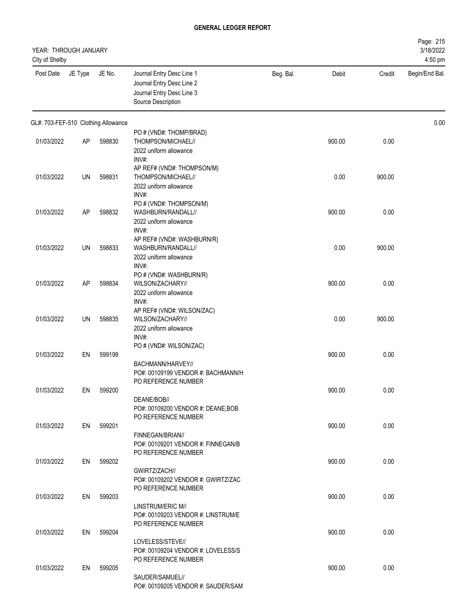| YEAR: THROUGH JANUARY<br>City of Shelby |         |        |                                                                                                           |           |        |        | Page: 215<br>3/18/2022<br>4:50 pm |
|-----------------------------------------|---------|--------|-----------------------------------------------------------------------------------------------------------|-----------|--------|--------|-----------------------------------|
| Post Date                               | JE Type | JE No. | Journal Entry Desc Line 1<br>Journal Entry Desc Line 2<br>Journal Entry Desc Line 3<br>Source Description | Beg. Bal. | Debit  | Credit | Begin/End Bal.                    |
| GL#: 703-FEF-510 Clothing Allowance     |         |        |                                                                                                           |           |        |        | 0.00                              |
| 01/03/2022                              | AP      | 598830 | PO # (VND#: THOMP/BRAD)<br>THOMPSON/MICHAEL//<br>2022 uniform allowance                                   |           | 900.00 | 0.00   |                                   |
| 01/03/2022                              | UN      | 598831 | INV#:<br>AP REF# (VND#: THOMPSON/M)<br>THOMPSON/MICHAEL//<br>2022 uniform allowance                       |           | 0.00   | 900.00 |                                   |
| 01/03/2022                              | AP      | 598832 | INV#:<br>PO # (VND#: THOMPSON/M)<br>WASHBURN/RANDALL//<br>2022 uniform allowance                          |           | 900.00 | 0.00   |                                   |
| 01/03/2022                              | UN      | 598833 | INV#:<br>AP REF# (VND#: WASHBURN/R)<br>WASHBURN/RANDALL//<br>2022 uniform allowance                       |           | 0.00   | 900.00 |                                   |
| 01/03/2022                              | AP      | 598834 | INV#:<br>PO # (VND#: WASHBURN/R)<br>WILSON/ZACHARY//<br>2022 uniform allowance<br>INV#:                   |           | 900.00 | 0.00   |                                   |
| 01/03/2022                              | UN      | 598835 | AP REF# (VND#: WILSON/ZAC)<br>WILSON/ZACHARY//<br>2022 uniform allowance<br>INV#:                         |           | 0.00   | 900.00 |                                   |
| 01/03/2022                              | EN      | 599199 | PO # (VND#: WILSON/ZAC)<br>BACHMANN/HARVEY//<br>PO#: 00109199 VENDOR #: BACHMANN/H                        |           | 900.00 | 0.00   |                                   |
| 01/03/2022                              | EN      | 599200 | PO REFERENCE NUMBER<br>DEANE/BOB//<br>PO#: 00109200 VENDOR #: DEANE, BOB                                  |           | 900.00 | 0.00   |                                   |
| 01/03/2022                              | EN      | 599201 | PO REFERENCE NUMBER<br>FINNEGAN/BRIAN//<br>PO#: 00109201 VENDOR #: FINNEGAN/B                             |           | 900.00 | 0.00   |                                   |
| 01/03/2022                              | EN      | 599202 | PO REFERENCE NUMBER<br>GWIRTZ/ZACH//<br>PO#: 00109202 VENDOR #: GWIRTZ/ZAC                                |           | 900.00 | 0.00   |                                   |
| 01/03/2022                              | EN      | 599203 | PO REFERENCE NUMBER<br>LINSTRUM/ERIC M//<br>PO#: 00109203 VENDOR #: LINSTRUM/E                            |           | 900.00 | 0.00   |                                   |
| 01/03/2022                              | EN      | 599204 | PO REFERENCE NUMBER<br>LOVELESS/STEVE//<br>PO#: 00109204 VENDOR #: LOVELESS/S                             |           | 900.00 | 0.00   |                                   |
| 01/03/2022                              | EN      | 599205 | PO REFERENCE NUMBER<br>SAUDER/SAMUEL//<br>PO#: 00109205 VENDOR #: SAUDER/SAM                              |           | 900.00 | 0.00   |                                   |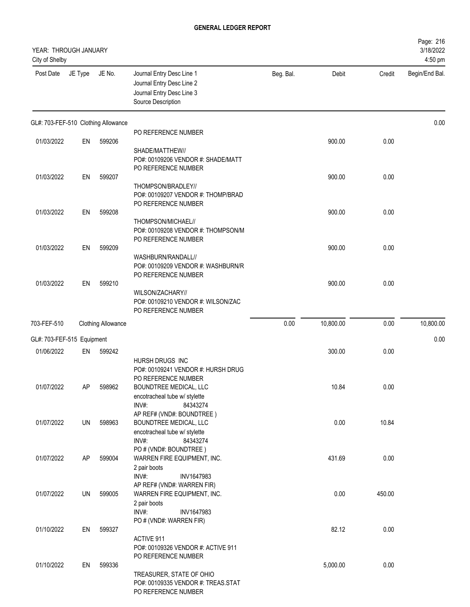| YEAR: THROUGH JANUARY<br>City of Shelby |         |                                     |                                                                                                                                                                                           |           |           |        | Page: 216<br>3/18/2022<br>4:50 pm |
|-----------------------------------------|---------|-------------------------------------|-------------------------------------------------------------------------------------------------------------------------------------------------------------------------------------------|-----------|-----------|--------|-----------------------------------|
| Post Date                               | JE Type | JE No.                              | Journal Entry Desc Line 1<br>Journal Entry Desc Line 2<br>Journal Entry Desc Line 3<br>Source Description                                                                                 | Beg. Bal. | Debit     | Credit | Begin/End Bal.                    |
|                                         |         | GL#: 703-FEF-510 Clothing Allowance |                                                                                                                                                                                           |           |           |        | 0.00                              |
| 01/03/2022                              | EN      | 599206                              | PO REFERENCE NUMBER<br>SHADE/MATTHEW//                                                                                                                                                    |           | 900.00    | 0.00   |                                   |
| 01/03/2022                              | EN      | 599207                              | PO#: 00109206 VENDOR #: SHADE/MATT<br>PO REFERENCE NUMBER<br>THOMPSON/BRADLEY//<br>PO#: 00109207 VENDOR #: THOMP/BRAD                                                                     |           | 900.00    | 0.00   |                                   |
| 01/03/2022                              | EN      | 599208                              | PO REFERENCE NUMBER<br>THOMPSON/MICHAEL//<br>PO#: 00109208 VENDOR #: THOMPSON/M                                                                                                           |           | 900.00    | 0.00   |                                   |
| 01/03/2022                              | EN      | 599209                              | PO REFERENCE NUMBER<br>WASHBURN/RANDALL//                                                                                                                                                 |           | 900.00    | 0.00   |                                   |
| 01/03/2022                              | EN      | 599210                              | PO#: 00109209 VENDOR #: WASHBURN/R<br>PO REFERENCE NUMBER<br>WILSON/ZACHARY//<br>PO#: 00109210 VENDOR #: WILSON/ZAC<br>PO REFERENCE NUMBER                                                |           | 900.00    | 0.00   |                                   |
| 703-FEF-510                             |         | <b>Clothing Allowance</b>           |                                                                                                                                                                                           | 0.00      | 10,800.00 | 0.00   | 10,800.00                         |
| GL#: 703-FEF-515 Equipment              |         |                                     |                                                                                                                                                                                           |           |           |        | 0.00                              |
| 01/06/2022                              | EN      | 599242                              |                                                                                                                                                                                           |           | 300.00    | 0.00   |                                   |
| 01/07/2022                              | AP      | 598962                              | HURSH DRUGS INC<br>PO#: 00109241 VENDOR #: HURSH DRUG<br>PO REFERENCE NUMBER<br>BOUNDTREE MEDICAL, LLC<br>encotracheal tube w/ stylette<br>INV#:<br>84343274<br>AP REF# (VND#: BOUNDTREE) |           | 10.84     | 0.00   |                                   |
| 01/07/2022                              | UN      | 598963                              | BOUNDTREE MEDICAL, LLC<br>encotracheal tube w/ stylette<br>INV#:<br>84343274                                                                                                              |           | 0.00      | 10.84  |                                   |
| 01/07/2022                              | AP      | 599004                              | PO # (VND#: BOUNDTREE)<br>WARREN FIRE EQUIPMENT, INC.<br>2 pair boots<br>INV#:<br>INV1647983                                                                                              |           | 431.69    | 0.00   |                                   |
| 01/07/2022                              | UN      | 599005                              | AP REF# (VND#: WARREN FIR)<br>WARREN FIRE EQUIPMENT, INC.<br>2 pair boots<br>INV#:<br>INV1647983                                                                                          |           | 0.00      | 450.00 |                                   |
| 01/10/2022                              | EN      | 599327                              | PO # (VND#: WARREN FIR)<br>ACTIVE 911<br>PO#: 00109326 VENDOR #: ACTIVE 911                                                                                                               |           | 82.12     | 0.00   |                                   |
| 01/10/2022                              | EN      | 599336                              | PO REFERENCE NUMBER<br>TREASURER, STATE OF OHIO<br>PO#: 00109335 VENDOR #: TREAS.STAT<br>PO REFERENCE NUMBER                                                                              |           | 5,000.00  | 0.00   |                                   |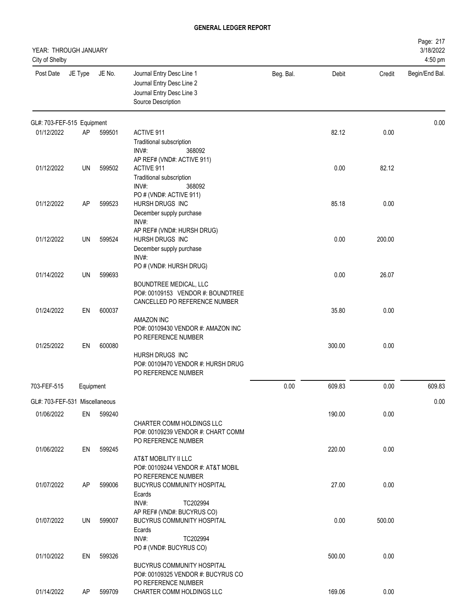| Page: 217<br>3/18/2022<br>YEAR: THROUGH JANUARY<br>City of Shelby<br>4:50 pm |           |        |                                                                                                                      |           |        |        |                |
|------------------------------------------------------------------------------|-----------|--------|----------------------------------------------------------------------------------------------------------------------|-----------|--------|--------|----------------|
| Post Date                                                                    | JE Type   | JE No. | Journal Entry Desc Line 1<br>Journal Entry Desc Line 2<br>Journal Entry Desc Line 3<br>Source Description            | Beg. Bal. | Debit  | Credit | Begin/End Bal. |
| GL#: 703-FEF-515 Equipment                                                   |           |        |                                                                                                                      |           |        |        | 0.00           |
| 01/12/2022                                                                   | AP        | 599501 | <b>ACTIVE 911</b><br><b>Traditional subscription</b><br>INV#:<br>368092                                              |           | 82.12  | 0.00   |                |
| 01/12/2022                                                                   | UN        | 599502 | AP REF# (VND#: ACTIVE 911)<br><b>ACTIVE 911</b><br>Traditional subscription<br>INV#:<br>368092                       |           | 0.00   | 82.12  |                |
| 01/12/2022                                                                   | AP        | 599523 | PO # (VND#: ACTIVE 911)<br>HURSH DRUGS INC<br>December supply purchase<br>INV#:                                      |           | 85.18  | 0.00   |                |
| 01/12/2022                                                                   | <b>UN</b> | 599524 | AP REF# (VND#: HURSH DRUG)<br><b>HURSH DRUGS INC</b><br>December supply purchase<br>INV#:<br>PO # (VND#: HURSH DRUG) |           | 0.00   | 200.00 |                |
| 01/14/2022                                                                   | UN        | 599693 | BOUNDTREE MEDICAL, LLC<br>PO#: 00109153 VENDOR #: BOUNDTREE<br>CANCELLED PO REFERENCE NUMBER                         |           | 0.00   | 26.07  |                |
| 01/24/2022                                                                   | EN        | 600037 | <b>AMAZON INC</b><br>PO#: 00109430 VENDOR #: AMAZON INC<br>PO REFERENCE NUMBER                                       |           | 35.80  | 0.00   |                |
| 01/25/2022                                                                   | EN        | 600080 | HURSH DRUGS INC<br>PO#: 00109470 VENDOR #: HURSH DRUG<br>PO REFERENCE NUMBER                                         |           | 300.00 | 0.00   |                |
| 703-FEF-515                                                                  | Equipment |        |                                                                                                                      | 0.00      | 609.83 | 0.00   | 609.83         |
| GL#: 703-FEF-531 Miscellaneous                                               |           |        |                                                                                                                      |           |        |        | 0.00           |
| 01/06/2022                                                                   | EN        | 599240 | CHARTER COMM HOLDINGS LLC<br>PO#: 00109239 VENDOR #: CHART COMM<br>PO REFERENCE NUMBER                               |           | 190.00 | 0.00   |                |
| 01/06/2022                                                                   | EN        | 599245 | AT&T MOBILITY II LLC<br>PO#: 00109244 VENDOR #: AT&T MOBIL<br>PO REFERENCE NUMBER                                    |           | 220.00 | 0.00   |                |
| 01/07/2022                                                                   | AP        | 599006 | BUCYRUS COMMUNITY HOSPITAL<br>Ecards<br>INV#:<br>TC202994<br>AP REF# (VND#: BUCYRUS CO)                              |           | 27.00  | 0.00   |                |
| 01/07/2022                                                                   | UN        | 599007 | BUCYRUS COMMUNITY HOSPITAL<br>Ecards<br>INV#:<br>TC202994<br>PO # (VND#: BUCYRUS CO)                                 |           | 0.00   | 500.00 |                |
| 01/10/2022                                                                   | EN        | 599326 | BUCYRUS COMMUNITY HOSPITAL<br>PO#: 00109325 VENDOR #: BUCYRUS CO<br>PO REFERENCE NUMBER                              |           | 500.00 | 0.00   |                |
| 01/14/2022                                                                   | AP        | 599709 | CHARTER COMM HOLDINGS LLC                                                                                            |           | 169.06 | 0.00   |                |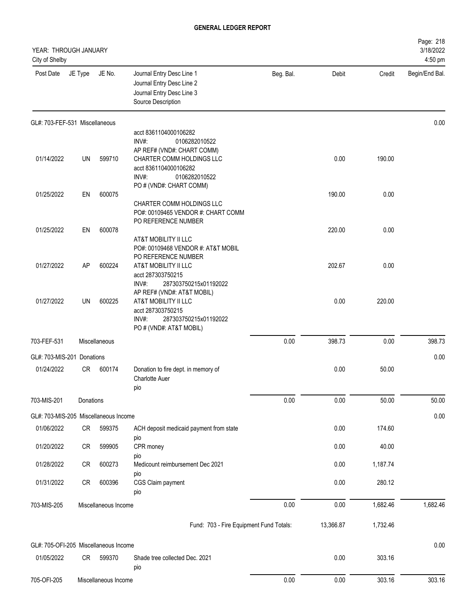| YEAR: THROUGH JANUARY<br>City of Shelby |           |                      |                                                                                                                                                                                            |           |           |          | Page: 218<br>3/18/2022<br>4:50 pm |
|-----------------------------------------|-----------|----------------------|--------------------------------------------------------------------------------------------------------------------------------------------------------------------------------------------|-----------|-----------|----------|-----------------------------------|
| Post Date                               | JE Type   | JE No.               | Journal Entry Desc Line 1<br>Journal Entry Desc Line 2<br>Journal Entry Desc Line 3<br>Source Description                                                                                  | Beg. Bal. | Debit     | Credit   | Begin/End Bal.                    |
| GL#: 703-FEF-531 Miscellaneous          |           |                      |                                                                                                                                                                                            |           |           |          | 0.00                              |
|                                         |           |                      | acct 8361104000106282<br>INV#:<br>0106282010522                                                                                                                                            |           |           |          |                                   |
| 01/14/2022                              | UN        | 599710               | AP REF# (VND#: CHART COMM)<br>CHARTER COMM HOLDINGS LLC<br>acct 8361104000106282<br>INV#:<br>0106282010522                                                                                 |           | 0.00      | 190.00   |                                   |
| 01/25/2022                              | EN        | 600075               | PO # (VND#: CHART COMM)                                                                                                                                                                    |           | 190.00    | 0.00     |                                   |
|                                         |           |                      | CHARTER COMM HOLDINGS LLC<br>PO#: 00109465 VENDOR #: CHART COMM<br>PO REFERENCE NUMBER                                                                                                     |           |           |          |                                   |
| 01/25/2022                              | EN        | 600078               |                                                                                                                                                                                            |           | 220.00    | 0.00     |                                   |
| 01/27/2022                              | AP        | 600224               | AT&T MOBILITY II LLC<br>PO#: 00109468 VENDOR #: AT&T MOBIL<br>PO REFERENCE NUMBER<br>AT&T MOBILITY II LLC                                                                                  |           | 202.67    | 0.00     |                                   |
| 01/27/2022                              | <b>UN</b> | 600225               | acct 287303750215<br>287303750215x01192022<br>INV#<br>AP REF# (VND#: AT&T MOBIL)<br>AT&T MOBILITY II LLC<br>acct 287303750215<br>INV#:<br>287303750215x01192022<br>PO # (VND#: AT&T MOBIL) |           | 0.00      | 220.00   |                                   |
| 703-FEF-531                             |           | Miscellaneous        |                                                                                                                                                                                            | 0.00      | 398.73    | 0.00     | 398.73                            |
| GL#: 703-MIS-201 Donations              |           |                      |                                                                                                                                                                                            |           |           |          | 0.00                              |
| 01/24/2022                              | CR        | 600174               | Donation to fire dept. in memory of<br><b>Charlotte Auer</b><br>pio                                                                                                                        |           | 0.00      | 50.00    |                                   |
| 703-MIS-201                             | Donations |                      |                                                                                                                                                                                            | 0.00      | 0.00      | 50.00    | 50.00                             |
| GL#: 703-MIS-205 Miscellaneous Income   |           |                      |                                                                                                                                                                                            |           |           |          | 0.00                              |
| 01/06/2022                              | CR        | 599375               | ACH deposit medicaid payment from state                                                                                                                                                    |           | 0.00      | 174.60   |                                   |
| 01/20/2022                              | CR        | 599905               | pio<br>CPR money<br>pio                                                                                                                                                                    |           | 0.00      | 40.00    |                                   |
| 01/28/2022                              | CR        | 600273               | Medicount reimbursement Dec 2021                                                                                                                                                           |           | 0.00      | 1,187.74 |                                   |
| 01/31/2022                              | CR        | 600396               | pio<br>CGS Claim payment<br>pio                                                                                                                                                            |           | 0.00      | 280.12   |                                   |
| 703-MIS-205                             |           | Miscellaneous Income |                                                                                                                                                                                            | 0.00      | 0.00      | 1,682.46 | 1,682.46                          |
|                                         |           |                      | Fund: 703 - Fire Equipment Fund Totals:                                                                                                                                                    |           | 13,366.87 | 1,732.46 |                                   |
| GL#: 705-OFI-205 Miscellaneous Income   |           |                      |                                                                                                                                                                                            |           |           |          | 0.00                              |
| 01/05/2022                              | CR        | 599370               | Shade tree collected Dec. 2021<br>pio                                                                                                                                                      |           | 0.00      | 303.16   |                                   |
| 705-OFI-205                             |           | Miscellaneous Income |                                                                                                                                                                                            | 0.00      | 0.00      | 303.16   | 303.16                            |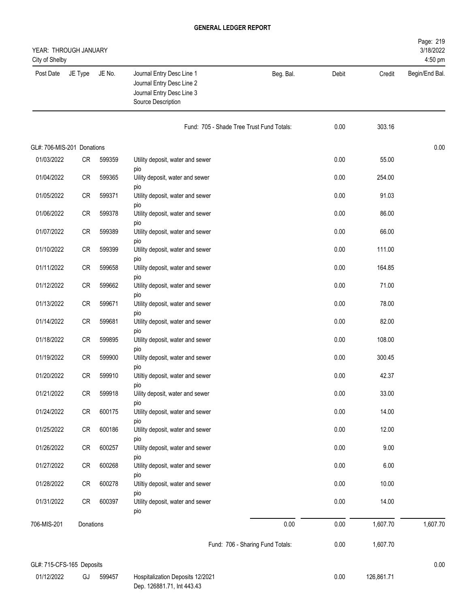| Page: 219<br>3/18/2022<br>YEAR: THROUGH JANUARY<br>4:50 pm<br>City of Shelby |           |        |                                                                                                           |                                           |       |          |                |
|------------------------------------------------------------------------------|-----------|--------|-----------------------------------------------------------------------------------------------------------|-------------------------------------------|-------|----------|----------------|
| Post Date                                                                    | JE Type   | JE No. | Journal Entry Desc Line 1<br>Journal Entry Desc Line 2<br>Journal Entry Desc Line 3<br>Source Description | Beg. Bal.                                 | Debit | Credit   | Begin/End Bal. |
|                                                                              |           |        |                                                                                                           | Fund: 705 - Shade Tree Trust Fund Totals: | 0.00  | 303.16   |                |
| GL#: 706-MIS-201 Donations                                                   |           |        |                                                                                                           |                                           |       |          | 0.00           |
| 01/03/2022                                                                   | CR        | 599359 | Utility deposit, water and sewer                                                                          |                                           | 0.00  | 55.00    |                |
| 01/04/2022                                                                   | CR        | 599365 | pio<br>Uility deposit, water and sewer                                                                    |                                           | 0.00  | 254.00   |                |
| 01/05/2022                                                                   | CR        | 599371 | pio<br>Utility deposit, water and sewer<br>pio                                                            |                                           | 0.00  | 91.03    |                |
| 01/06/2022                                                                   | CR        | 599378 | Utility deposit, water and sewer                                                                          |                                           | 0.00  | 86.00    |                |
| 01/07/2022                                                                   | CR        | 599389 | pio<br>Utility deposit, water and sewer                                                                   |                                           | 0.00  | 66.00    |                |
| 01/10/2022                                                                   | CR        | 599399 | pio<br>Utility deposit, water and sewer                                                                   |                                           | 0.00  | 111.00   |                |
| 01/11/2022                                                                   | CR        | 599658 | pio<br>Utility deposit, water and sewer                                                                   |                                           | 0.00  | 164.85   |                |
| 01/12/2022                                                                   | CR        | 599662 | pio<br>Utility deposit, water and sewer                                                                   |                                           | 0.00  | 71.00    |                |
| 01/13/2022                                                                   | CR        | 599671 | pio<br>Utility deposit, water and sewer                                                                   |                                           | 0.00  | 78.00    |                |
| 01/14/2022                                                                   | CR        | 599681 | pio<br>Utility deposit, water and sewer                                                                   |                                           | 0.00  | 82.00    |                |
| 01/18/2022                                                                   | CR        | 599895 | pio<br>Utility deposit, water and sewer                                                                   |                                           | 0.00  | 108.00   |                |
| 01/19/2022                                                                   | CR        | 599900 | pio<br>Utility deposit, water and sewer                                                                   |                                           | 0.00  | 300.45   |                |
| 01/20/2022                                                                   | CR        | 599910 | pio<br>Utiltiy deposit, water and sewer                                                                   |                                           | 0.00  | 42.37    |                |
| 01/21/2022                                                                   | CR        | 599918 | pio<br>Uility deposit, water and sewer                                                                    |                                           | 0.00  | 33.00    |                |
| 01/24/2022                                                                   | CR        | 600175 | pio<br>Utility deposit, water and sewer                                                                   |                                           | 0.00  | 14.00    |                |
| 01/25/2022                                                                   | CR        | 600186 | pio<br>Utility deposit, water and sewer                                                                   |                                           | 0.00  | 12.00    |                |
| 01/26/2022                                                                   | CR        | 600257 | pio<br>Utility deposit, water and sewer                                                                   |                                           | 0.00  | 9.00     |                |
| 01/27/2022                                                                   | CR        | 600268 | pio<br>Utility deposit, water and sewer                                                                   |                                           | 0.00  | 6.00     |                |
| 01/28/2022                                                                   | CR        | 600278 | pio<br>Utiltiy deposit, water and sewer                                                                   |                                           | 0.00  | 10.00    |                |
| 01/31/2022                                                                   | CR        | 600397 | pio<br>Utility deposit, water and sewer                                                                   |                                           | 0.00  | 14.00    |                |
| 706-MIS-201                                                                  | Donations |        | pio                                                                                                       | 0.00                                      | 0.00  | 1,607.70 | 1,607.70       |
|                                                                              |           |        |                                                                                                           | Fund: 706 - Sharing Fund Totals:          | 0.00  | 1,607.70 |                |
|                                                                              |           |        |                                                                                                           |                                           |       |          |                |

# GL#: 715-CFS-165 Deposits 0.00